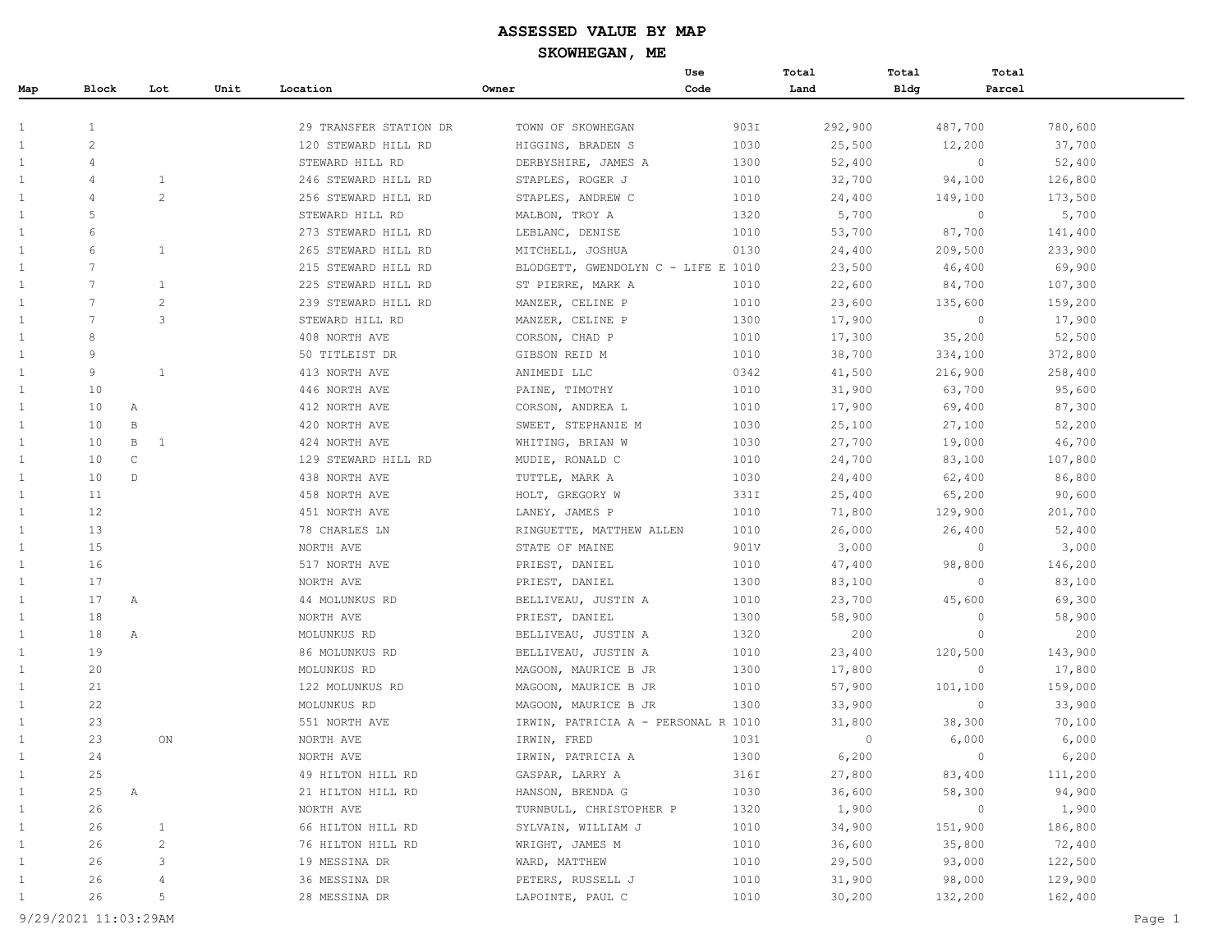|              |                 |                |      |                        |                                     | Use  | Total    | Total       | Total        |         |
|--------------|-----------------|----------------|------|------------------------|-------------------------------------|------|----------|-------------|--------------|---------|
| Map          | Block           | Lot            | Unit | Location               | Owner                               | Code | Land     | <b>Bldg</b> | Parcel       |         |
|              |                 |                |      |                        |                                     |      |          |             |              |         |
| 1            | $\mathbf{1}$    |                |      | 29 TRANSFER STATION DR | TOWN OF SKOWHEGAN                   | 903I | 292,900  |             | 487,700      | 780,600 |
| 1            | $\overline{c}$  |                |      | 120 STEWARD HILL RD    | HIGGINS, BRADEN S                   | 1030 | 25,500   |             | 12,200       | 37,700  |
| 1            | $\overline{4}$  |                |      | STEWARD HILL RD        | DERBYSHIRE, JAMES A                 | 1300 | 52,400   |             | $\circ$      | 52,400  |
| $\mathbf{1}$ | $\overline{4}$  | $\mathbf{1}$   |      | 246 STEWARD HILL RD    | STAPLES, ROGER J                    | 1010 | 32,700   |             | 94,100       | 126,800 |
| 1            | $\overline{4}$  | 2              |      | 256 STEWARD HILL RD    | STAPLES, ANDREW C                   | 1010 | 24,400   |             | 149,100      | 173,500 |
| 1            | 5               |                |      | STEWARD HILL RD        | MALBON, TROY A                      | 1320 | 5,700    |             | $\circ$      | 5,700   |
| $\mathbf{1}$ | 6               |                |      | 273 STEWARD HILL RD    | LEBLANC, DENISE                     | 1010 | 53,700   |             | 87,700       | 141,400 |
| 1            | 6               | $\mathbf{1}$   |      | 265 STEWARD HILL RD    | MITCHELL, JOSHUA                    | 0130 | 24,400   |             | 209,500      | 233,900 |
| 1            | 7               |                |      | 215 STEWARD HILL RD    | BLODGETT, GWENDOLYN C - LIFE E 1010 |      | 23,500   |             | 46,400       | 69,900  |
| 1            | $\overline{7}$  | 1              |      | 225 STEWARD HILL RD    | ST PIERRE, MARK A                   | 1010 | 22,600   |             | 84,700       | 107,300 |
| 1            | 7               | 2              |      | 239 STEWARD HILL RD    | MANZER, CELINE P                    | 1010 | 23,600   |             | 135,600      | 159,200 |
| $\mathbf{1}$ | $7\phantom{.0}$ | 3              |      | STEWARD HILL RD        | MANZER, CELINE P                    | 1300 | 17,900   |             | $\circ$      | 17,900  |
| 1            | 8               |                |      | 408 NORTH AVE          | CORSON, CHAD P                      | 1010 | 17,300   |             | 35,200       | 52,500  |
| 1            | 9               |                |      | 50 TITLEIST DR         | GIBSON REID M                       | 1010 | 38,700   |             | 334,100      | 372,800 |
| $\mathbf{1}$ | 9               | 1              |      | 413 NORTH AVE          | ANIMEDI LLC                         | 0342 | 41,500   |             | 216,900      | 258,400 |
| 1            | 10              |                |      | 446 NORTH AVE          | PAINE, TIMOTHY                      | 1010 | 31,900   |             | 63,700       | 95,600  |
| 1            | 10              | Α              |      | 412 NORTH AVE          | CORSON, ANDREA L                    | 1010 | 17,900   |             | 69,400       | 87,300  |
| 1            | 10              | B              |      | 420 NORTH AVE          | SWEET, STEPHANIE M                  | 1030 | 25,100   |             | 27,100       | 52,200  |
| 1            | 10              | B<br>-1        |      | 424 NORTH AVE          | WHITING, BRIAN W                    | 1030 | 27,700   |             | 19,000       | 46,700  |
| 1            | 10              | C              |      | 129 STEWARD HILL RD    | MUDIE, RONALD C                     | 1010 | 24,700   |             | 83,100       | 107,800 |
| 1            | 10              | D              |      | 438 NORTH AVE          | TUTTLE, MARK A                      | 1030 | 24,400   |             | 62,400       | 86,800  |
| 1            | 11              |                |      | 458 NORTH AVE          | HOLT, GREGORY W                     | 331I | 25,400   |             | 65,200       | 90,600  |
| $\mathbf{1}$ | 12              |                |      | 451 NORTH AVE          | LANEY, JAMES P                      | 1010 | 71,800   |             | 129,900      | 201,700 |
| 1            | 13              |                |      | 78 CHARLES LN          | RINGUETTE, MATTHEW ALLEN            | 1010 | 26,000   |             | 26,400       | 52,400  |
| 1            | 15              |                |      | NORTH AVE              | STATE OF MAINE                      | 901V | 3,000    |             | $\circ$      | 3,000   |
| 1            | 16              |                |      | 517 NORTH AVE          | PRIEST, DANIEL                      | 1010 | 47,400   |             | 98,800       | 146,200 |
| $\mathbf{1}$ | 17              |                |      | NORTH AVE              | PRIEST, DANIEL                      | 1300 | 83,100   |             | $\mathbf{0}$ | 83,100  |
| 1            | 17              | Α              |      | 44 MOLUNKUS RD         | BELLIVEAU, JUSTIN A                 | 1010 | 23,700   |             | 45,600       | 69,300  |
| 1            | 18              |                |      | NORTH AVE              | PRIEST, DANIEL                      | 1300 | 58,900   |             | $\circ$      | 58,900  |
| 1            | 18              | Α              |      | MOLUNKUS RD            | BELLIVEAU, JUSTIN A                 | 1320 | 200      |             | $\circ$      | 200     |
| $\mathbf{1}$ | 19              |                |      | 86 MOLUNKUS RD         | BELLIVEAU, JUSTIN A                 | 1010 | 23,400   |             | 120,500      | 143,900 |
| 1            | 20              |                |      | MOLUNKUS RD            | MAGOON, MAURICE B JR                | 1300 | 17,800   |             | $\circ$      | 17,800  |
| 1            | 21              |                |      | 122 MOLUNKUS RD        | MAGOON, MAURICE B JR                | 1010 | 57,900   |             | 101,100      | 159,000 |
| 1            | 22              |                |      | MOLUNKUS RD            | MAGOON, MAURICE B JR                | 1300 | 33,900   |             | $\circ$      | 33,900  |
| 1            | 23              |                |      | 551 NORTH AVE          | IRWIN, PATRICIA A - PERSONAL R 1010 |      | 31,800   |             | 38,300       | 70,100  |
| 1            | 23              | ON             |      | NORTH AVE              | IRWIN, FRED                         | 1031 | $\Omega$ |             | 6,000        | 6,000   |
| 1            | 24              |                |      | NORTH AVE              | IRWIN, PATRICIA A                   | 1300 | 6,200    |             | $\Omega$     | 6,200   |
| $\mathbf{1}$ | 25              |                |      | 49 HILTON HILL RD      | GASPAR, LARRY A                     | 316I | 27,800   |             | 83,400       | 111,200 |
| $\mathbf{1}$ | 25              | Α              |      | 21 HILTON HILL RD      | HANSON, BRENDA G                    | 1030 | 36,600   |             | 58,300       | 94,900  |
| $\mathbf{1}$ | 26              |                |      | NORTH AVE              | TURNBULL, CHRISTOPHER P             | 1320 | 1,900    |             | $\circ$      | 1,900   |
| $\mathbf{1}$ | 26              | $\mathbf{1}$   |      | 66 HILTON HILL RD      | SYLVAIN, WILLIAM J                  | 1010 | 34,900   |             | 151,900      | 186,800 |
| $\mathbf{1}$ | 26              | $\overline{c}$ |      | 76 HILTON HILL RD      | WRIGHT, JAMES M                     | 1010 | 36,600   |             | 35,800       | 72,400  |
| $\mathbf{1}$ | 26              | 3              |      | 19 MESSINA DR          | WARD, MATTHEW                       | 1010 | 29,500   |             | 93,000       | 122,500 |
| $\mathbf{1}$ | 26              | 4              |      | 36 MESSINA DR          | PETERS, RUSSELL J                   | 1010 | 31,900   |             | 98,000       | 129,900 |
| $\mathbf{1}$ | 26              | 5              |      | 28 MESSINA DR          | LAPOINTE, PAUL C                    | 1010 | 30,200   |             | 132,200      | 162,400 |
|              |                 |                |      |                        |                                     |      |          |             |              |         |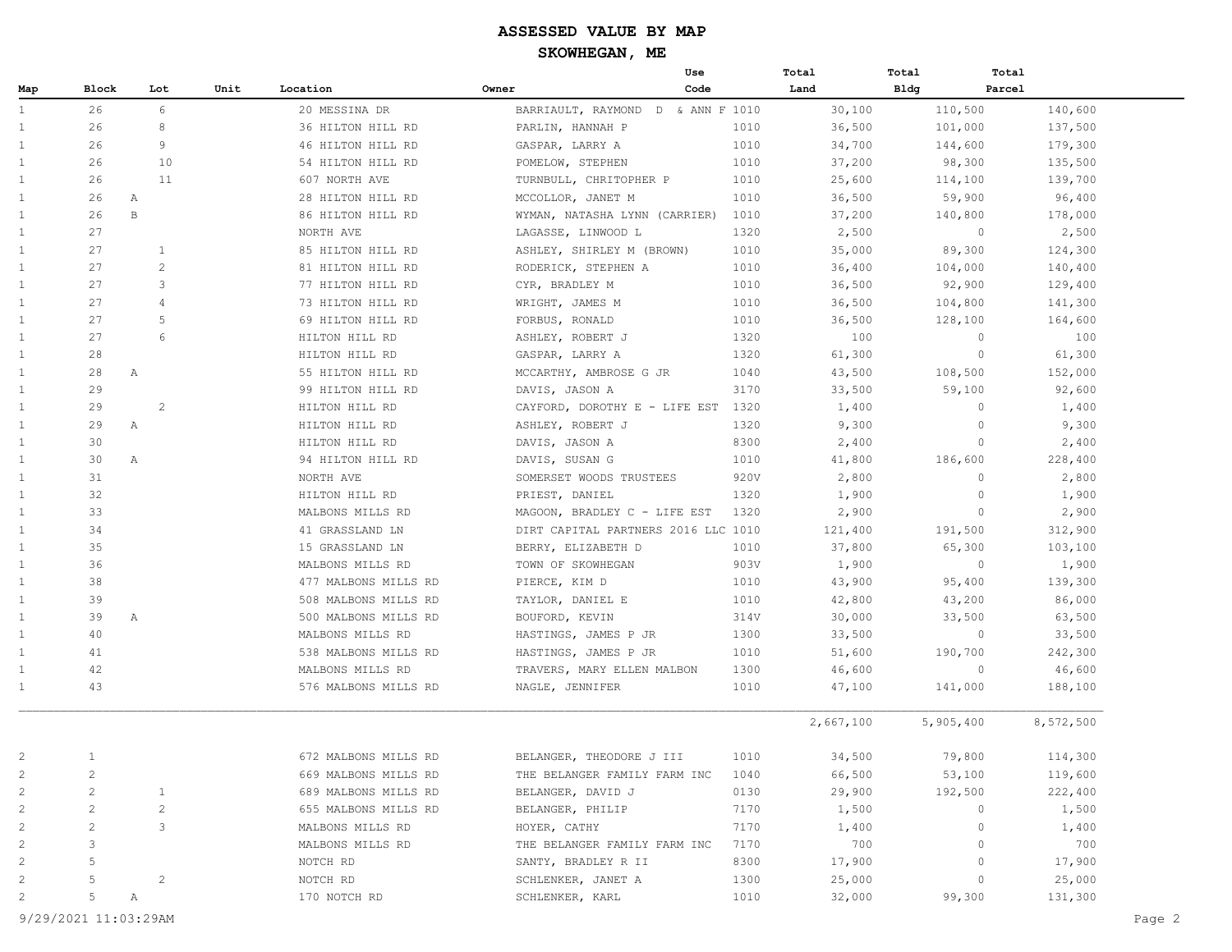# **ASSESSED VALUE BY MAP**

**SKOWHEGAN, ME**

|              |                |                |      |                      | Use                                 |      | Total     | Total       | Total     |
|--------------|----------------|----------------|------|----------------------|-------------------------------------|------|-----------|-------------|-----------|
| Map          | Block          | Lot            | Unit | Location             | Code<br>Owner                       |      | Land      | <b>Bldg</b> | Parcel    |
| $\mathbf{1}$ | 26             | 6              |      | 20 MESSINA DR        | BARRIAULT, RAYMOND D & ANN F 1010   |      | 30,100    | 110,500     | 140,600   |
|              | 26             | 8              |      | 36 HILTON HILL RD    | PARLIN, HANNAH P                    | 1010 | 36,500    | 101,000     | 137,500   |
|              | 26             | 9              |      | 46 HILTON HILL RD    | GASPAR, LARRY A                     | 1010 | 34,700    | 144,600     | 179,300   |
|              | 26             | 10             |      | 54 HILTON HILL RD    | POMELOW, STEPHEN                    | 1010 | 37,200    | 98,300      | 135,500   |
|              | 26             | 11             |      | 607 NORTH AVE        | TURNBULL, CHRITOPHER P              | 1010 | 25,600    | 114,100     | 139,700   |
|              | 26             | $\mathbb{A}$   |      | 28 HILTON HILL RD    | MCCOLLOR, JANET M                   | 1010 | 36,500    | 59,900      | 96,400    |
|              | 26             | $\, {\bf B}$   |      | 86 HILTON HILL RD    | WYMAN, NATASHA LYNN (CARRIER)       | 1010 | 37,200    | 140,800     | 178,000   |
|              | 27             |                |      | NORTH AVE            | LAGASSE, LINWOOD L                  | 1320 | 2,500     | $\circ$     | 2,500     |
|              | 27             | 1              |      | 85 HILTON HILL RD    | ASHLEY, SHIRLEY M (BROWN)           | 1010 | 35,000    | 89,300      | 124,300   |
|              | 27             | 2              |      | 81 HILTON HILL RD    | RODERICK, STEPHEN A                 | 1010 | 36,400    | 104,000     | 140,400   |
|              | 27             | 3              |      | 77 HILTON HILL RD    | CYR, BRADLEY M                      | 1010 | 36,500    | 92,900      | 129,400   |
|              | 27             | $\overline{4}$ |      | 73 HILTON HILL RD    | WRIGHT, JAMES M                     | 1010 | 36,500    | 104,800     | 141,300   |
|              | 27             | 5              |      | 69 HILTON HILL RD    | FORBUS, RONALD                      | 1010 | 36,500    | 128,100     | 164,600   |
|              | 27             | 6              |      | HILTON HILL RD       | ASHLEY, ROBERT J                    | 1320 | 100       | $\circ$     | 100       |
|              | 28             |                |      | HILTON HILL RD       | GASPAR, LARRY A                     | 1320 | 61,300    | $\circ$     | 61,300    |
|              | 28             | A              |      | 55 HILTON HILL RD    | MCCARTHY, AMBROSE G JR              | 1040 | 43,500    | 108,500     | 152,000   |
|              | 29             |                |      | 99 HILTON HILL RD    | DAVIS, JASON A                      | 3170 | 33,500    | 59,100      | 92,600    |
|              | 29             | 2              |      | HILTON HILL RD       | CAYFORD, DOROTHY E - LIFE EST 1320  |      | 1,400     | $\circ$     | 1,400     |
|              | 29             | $\mathbb{A}$   |      | HILTON HILL RD       | ASHLEY, ROBERT J                    | 1320 | 9,300     | $\circ$     | 9,300     |
|              | 30             |                |      | HILTON HILL RD       | DAVIS, JASON A                      | 8300 | 2,400     | $\circ$     | 2,400     |
|              | 30             | Α              |      | 94 HILTON HILL RD    | DAVIS, SUSAN G                      | 1010 | 41,800    | 186,600     | 228,400   |
|              | 31             |                |      | NORTH AVE            | SOMERSET WOODS TRUSTEES             | 920V | 2,800     | $\circ$     | 2,800     |
|              | 32             |                |      | HILTON HILL RD       | PRIEST, DANIEL                      | 1320 | 1,900     | $\circ$     | 1,900     |
|              | 33             |                |      | MALBONS MILLS RD     | MAGOON, BRADLEY C - LIFE EST        | 1320 | 2,900     | $\circ$     | 2,900     |
|              | 34             |                |      | 41 GRASSLAND LN      | DIRT CAPITAL PARTNERS 2016 LLC 1010 |      | 121,400   | 191,500     | 312,900   |
|              | 35             |                |      | 15 GRASSLAND LN      | BERRY, ELIZABETH D                  | 1010 | 37,800    | 65,300      | 103,100   |
|              | 36             |                |      | MALBONS MILLS RD     | TOWN OF SKOWHEGAN                   | 903V | 1,900     | $\circ$     | 1,900     |
|              | 38             |                |      | 477 MALBONS MILLS RD | PIERCE, KIM D                       | 1010 | 43,900    | 95,400      | 139,300   |
|              | 39             |                |      | 508 MALBONS MILLS RD | TAYLOR, DANIEL E                    | 1010 | 42,800    | 43,200      | 86,000    |
|              | 39             | $\mathbb{A}$   |      | 500 MALBONS MILLS RD | BOUFORD, KEVIN                      | 314V | 30,000    | 33,500      | 63,500    |
|              | 40             |                |      | MALBONS MILLS RD     | HASTINGS, JAMES P JR                | 1300 | 33,500    | $\circ$     | 33,500    |
|              | 41             |                |      | 538 MALBONS MILLS RD | HASTINGS, JAMES P JR                | 1010 | 51,600    | 190,700     | 242,300   |
|              | 42             |                |      | MALBONS MILLS RD     | TRAVERS, MARY ELLEN MALBON          | 1300 | 46,600    | $\circ$     | 46,600    |
|              | 43             |                |      | 576 MALBONS MILLS RD | NAGLE, JENNIFER                     | 1010 | 47,100    | 141,000     | 188,100   |
|              |                |                |      |                      |                                     |      | 2,667,100 | 5,905,400   | 8,572,500 |
|              |                |                |      | 672 MALBONS MILLS RD | BELANGER, THEODORE J III            | 1010 | 34,500    | 79,800      | 114,300   |
|              | $\overline{c}$ |                |      | 669 MALBONS MILLS RD | THE BELANGER FAMILY FARM INC        | 1040 | 66,500    | 53,100      | 119,600   |
|              | $\overline{2}$ | $\mathbf{1}$   |      | 689 MALBONS MILLS RD | BELANGER, DAVID J                   | 0130 | 29,900    | 192,500     | 222,400   |
|              | $\overline{2}$ | $\overline{c}$ |      | 655 MALBONS MILLS RD | BELANGER, PHILIP                    | 7170 | 1,500     | $\circ$     | 1,500     |
|              | 2              | 3              |      | MALBONS MILLS RD     | HOYER, CATHY                        | 7170 | 1,400     | 0           | 1,400     |
|              | 3              |                |      | MALBONS MILLS RD     | THE BELANGER FAMILY FARM INC        | 7170 | 700       | $\circ$     | 700       |
|              | 5              |                |      | NOTCH RD             | SANTY, BRADLEY R II                 | 8300 | 17,900    | $\circ$     | 17,900    |
|              | 5              | $\mathbf{2}$   |      | NOTCH RD             | SCHLENKER, JANET A                  | 1300 | 25,000    | $\circ$     | 25,000    |
| 2            |                |                |      |                      |                                     |      |           |             |           |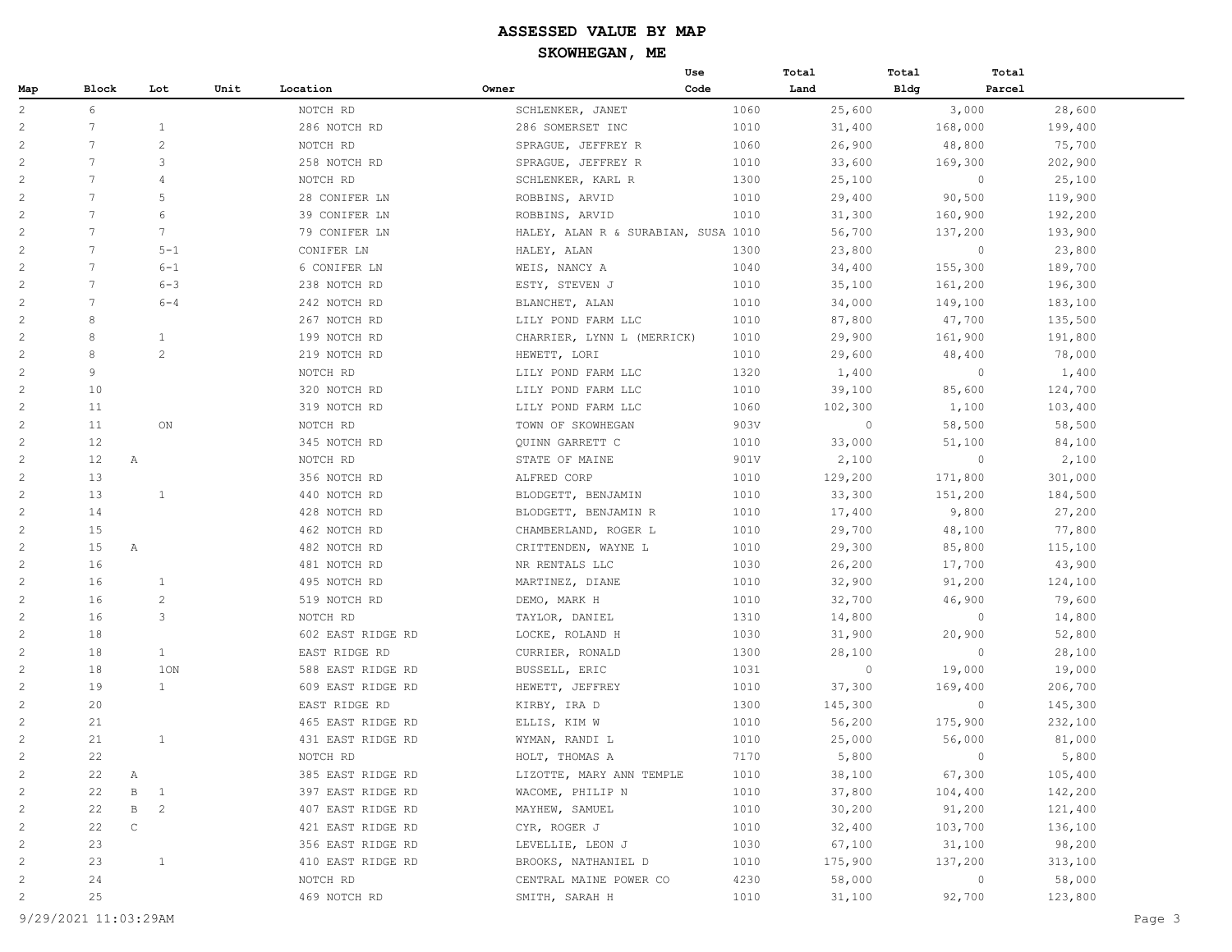|                |                 |                                |      |                   |                                     | Use  | Total   | Total       | Total   |
|----------------|-----------------|--------------------------------|------|-------------------|-------------------------------------|------|---------|-------------|---------|
| Map            | Block           | Lot                            | Unit | Location          | Owner                               | Code | Land    | <b>Bldg</b> | Parcel  |
| $\overline{c}$ | 6               |                                |      | NOTCH RD          | SCHLENKER, JANET                    | 1060 | 25,600  | 3,000       | 28,600  |
| $\mathbf{2}$   | $7\overline{ }$ | $\mathbf{1}$                   |      | 286 NOTCH RD      | 286 SOMERSET INC                    | 1010 | 31,400  | 168,000     | 199,400 |
| 2              | 7               | 2                              |      | NOTCH RD          | SPRAGUE, JEFFREY R                  | 1060 | 26,900  | 48,800      | 75,700  |
| $\overline{c}$ | $\overline{7}$  | 3                              |      | 258 NOTCH RD      | SPRAGUE, JEFFREY R                  | 1010 | 33,600  | 169,300     | 202,900 |
| $\mathbf{2}$   | $\overline{7}$  | $\overline{4}$                 |      | NOTCH RD          | SCHLENKER, KARL R                   | 1300 | 25,100  | $\circ$     | 25,100  |
| $\sqrt{2}$     | $7\phantom{.0}$ | 5                              |      | 28 CONIFER LN     | ROBBINS, ARVID                      | 1010 | 29,400  | 90,500      | 119,900 |
| $\mathbf{2}$   | $7\phantom{.0}$ | 6                              |      | 39 CONIFER LN     | ROBBINS, ARVID                      | 1010 | 31,300  | 160,900     | 192,200 |
| $\overline{c}$ | $7\phantom{.0}$ | $7\phantom{.0}$                |      | 79 CONIFER LN     | HALEY, ALAN R & SURABIAN, SUSA 1010 |      | 56,700  | 137,200     | 193,900 |
| $\overline{c}$ | 7               | $5 - 1$                        |      | CONIFER LN        | HALEY, ALAN                         | 1300 | 23,800  | $\circ$     | 23,800  |
| $\overline{c}$ | 7               | $6 - 1$                        |      | 6 CONIFER LN      | WEIS, NANCY A                       | 1040 | 34,400  | 155,300     | 189,700 |
| $\overline{c}$ | $\overline{7}$  | $6 - 3$                        |      | 238 NOTCH RD      | ESTY, STEVEN J                      | 1010 | 35,100  | 161,200     | 196,300 |
| $\overline{c}$ | 7               | $6 - 4$                        |      | 242 NOTCH RD      | BLANCHET, ALAN                      | 1010 | 34,000  | 149,100     | 183,100 |
| $\mathbf{2}$   | 8               |                                |      | 267 NOTCH RD      | LILY POND FARM LLC                  | 1010 | 87,800  | 47,700      | 135,500 |
| $\overline{c}$ | 8               | $\mathbf{1}$                   |      | 199 NOTCH RD      | CHARRIER, LYNN L (MERRICK)          | 1010 | 29,900  | 161,900     | 191,800 |
| 2              | 8               | 2                              |      | 219 NOTCH RD      | HEWETT, LORI                        | 1010 | 29,600  | 48,400      | 78,000  |
| 2              | 9               |                                |      | NOTCH RD          | LILY POND FARM LLC                  | 1320 | 1,400   | $\circ$     | 1,400   |
| 2              | 10              |                                |      | 320 NOTCH RD      | LILY POND FARM LLC                  | 1010 | 39,100  | 85,600      | 124,700 |
| $\overline{c}$ | 11              |                                |      | 319 NOTCH RD      | LILY POND FARM LLC                  | 1060 | 102,300 | 1,100       | 103,400 |
| 2              | 11              | $_{\rm ON}$                    |      | NOTCH RD          | TOWN OF SKOWHEGAN                   | 903V | $\circ$ | 58,500      | 58,500  |
| $\overline{c}$ | 12              |                                |      | 345 NOTCH RD      | QUINN GARRETT C                     | 1010 | 33,000  | 51,100      | 84,100  |
| 2              | 12              | Α                              |      | NOTCH RD          | STATE OF MAINE                      | 901V | 2,100   | $\circ$     | 2,100   |
| $\overline{c}$ | 13              |                                |      | 356 NOTCH RD      | ALFRED CORP                         | 1010 | 129,200 | 171,800     | 301,000 |
| $\overline{c}$ | 13              | $\mathbf{1}$                   |      | 440 NOTCH RD      | BLODGETT, BENJAMIN                  | 1010 | 33,300  | 151,200     | 184,500 |
| $\mathbf{2}$   | 14              |                                |      | 428 NOTCH RD      | BLODGETT, BENJAMIN R                | 1010 | 17,400  | 9,800       | 27,200  |
| 2              | 15              |                                |      | 462 NOTCH RD      | CHAMBERLAND, ROGER L                | 1010 | 29,700  | 48,100      | 77,800  |
| $\overline{c}$ | 15              | Α                              |      | 482 NOTCH RD      | CRITTENDEN, WAYNE L                 | 1010 | 29,300  | 85,800      | 115,100 |
| $\overline{c}$ | 16              |                                |      | 481 NOTCH RD      | NR RENTALS LLC                      | 1030 | 26,200  | 17,700      | 43,900  |
| $\overline{c}$ | 16              | 1                              |      | 495 NOTCH RD      | MARTINEZ, DIANE                     | 1010 | 32,900  | 91,200      | 124,100 |
| 2              | 16              | $\overline{c}$                 |      | 519 NOTCH RD      | DEMO, MARK H                        | 1010 | 32,700  | 46,900      | 79,600  |
| $\overline{c}$ | 16              | 3                              |      | NOTCH RD          | TAYLOR, DANIEL                      | 1310 | 14,800  | $\circ$     | 14,800  |
| 2              | 18              |                                |      | 602 EAST RIDGE RD | LOCKE, ROLAND H                     | 1030 | 31,900  | 20,900      | 52,800  |
| $\overline{c}$ | 18              | $\mathbf{1}$                   |      | EAST RIDGE RD     | CURRIER, RONALD                     | 1300 | 28,100  | $\circ$     | 28,100  |
| $\overline{c}$ | 18              | 1ON                            |      | 588 EAST RIDGE RD | BUSSELL, ERIC                       | 1031 | 0       | 19,000      | 19,000  |
| $\overline{c}$ | 19              | $\mathbf{1}$                   |      | 609 EAST RIDGE RD | HEWETT, JEFFREY                     | 1010 | 37,300  | 169,400     | 206,700 |
| $\overline{c}$ | 20              |                                |      | EAST RIDGE RD     | KIRBY, IRA D                        | 1300 | 145,300 | $\circ$     | 145,300 |
| $\overline{c}$ | 21              |                                |      | 465 EAST RIDGE RD | ELLIS, KIM W                        | 1010 | 56,200  | 175,900     | 232,100 |
| 2              | 21              | $\mathbf{1}$                   |      | 431 EAST RIDGE RD | WYMAN, RANDI L                      | 1010 | 25,000  | 56,000      | 81,000  |
| $\mathbf{2}$   | 22              |                                |      | NOTCH RD          | HOLT, THOMAS A                      | 7170 | 5,800   | $\circ$     | 5,800   |
| $\overline{c}$ | 22              | Α                              |      | 385 EAST RIDGE RD | LIZOTTE, MARY ANN TEMPLE            | 1010 | 38,100  | 67,300      | 105,400 |
| $\overline{c}$ | 22              | $\, {\bf B}$<br>$\mathbf{1}$   |      | 397 EAST RIDGE RD | WACOME, PHILIP N                    | 1010 | 37,800  | 104,400     | 142,200 |
| $\overline{c}$ | 22              | $\, {\bf B}$<br>$\overline{c}$ |      | 407 EAST RIDGE RD | MAYHEW, SAMUEL                      | 1010 | 30,200  | 91,200      | 121,400 |
| $\overline{c}$ | 22              | $\mathsf{C}$                   |      | 421 EAST RIDGE RD | CYR, ROGER J                        | 1010 | 32,400  | 103,700     | 136,100 |
| $\overline{c}$ | 23              |                                |      | 356 EAST RIDGE RD | LEVELLIE, LEON J                    | 1030 | 67,100  | 31,100      | 98,200  |
| $\overline{c}$ | 23              | $\mathbf{1}$                   |      | 410 EAST RIDGE RD | BROOKS, NATHANIEL D                 | 1010 | 175,900 | 137,200     | 313,100 |
| $\overline{c}$ | 24              |                                |      | NOTCH RD          | CENTRAL MAINE POWER CO              | 4230 | 58,000  | $\circ$     | 58,000  |
| $\overline{c}$ | 25              |                                |      | 469 NOTCH RD      | SMITH, SARAH H                      | 1010 | 31,100  | 92,700      | 123,800 |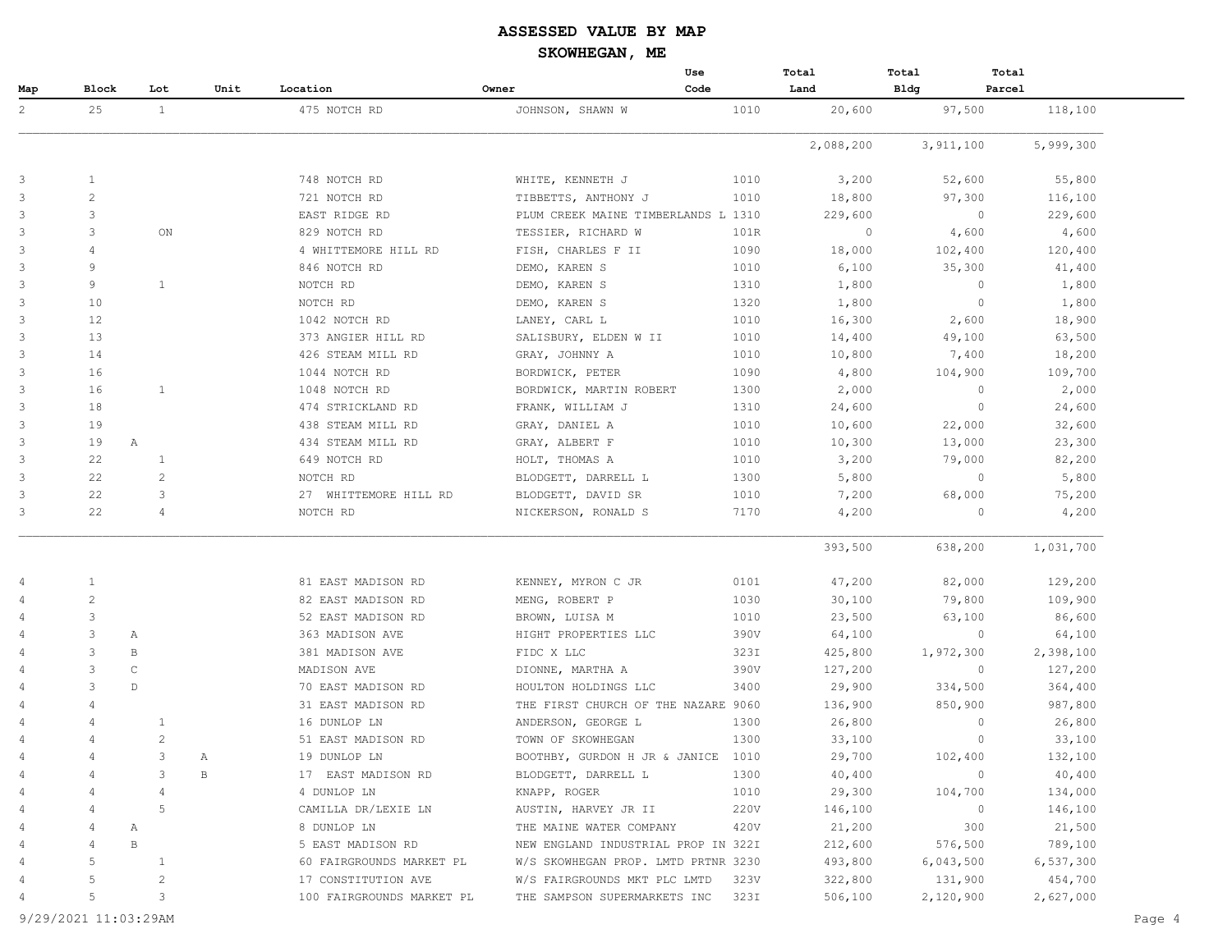|                |                |                |      |                           |                                     | Use  | Total     | Total       | Total     |
|----------------|----------------|----------------|------|---------------------------|-------------------------------------|------|-----------|-------------|-----------|
| Map            | Block          | Lot            | Unit | Location                  | Owner                               | Code | Land      | <b>Bldg</b> | Parcel    |
| $\overline{2}$ | 25             | 1              |      | 475 NOTCH RD              | JOHNSON, SHAWN W                    | 1010 | 20,600    | 97,500      | 118,100   |
|                |                |                |      |                           |                                     |      | 2,088,200 | 3,911,100   | 5,999,300 |
| 3              | $\mathbf{1}$   |                |      | 748 NOTCH RD              | WHITE, KENNETH J                    | 1010 | 3,200     | 52,600      | 55,800    |
| $\mathbf{3}$   | $\overline{c}$ |                |      | 721 NOTCH RD              | TIBBETTS, ANTHONY J                 | 1010 | 18,800    | 97,300      | 116,100   |
| 3              | 3              |                |      | EAST RIDGE RD             | PLUM CREEK MAINE TIMBERLANDS L 1310 |      | 229,600   | $\circ$     | 229,600   |
| $\mathbf{3}$   | 3              | ON             |      | 829 NOTCH RD              | TESSIER, RICHARD W                  | 101R | $\circ$   | 4,600       | 4,600     |
| 3              | 4              |                |      | 4 WHITTEMORE HILL RD      | FISH, CHARLES F II                  | 1090 | 18,000    | 102,400     | 120,400   |
| $\mathbf{3}$   | 9              |                |      | 846 NOTCH RD              | DEMO, KAREN S                       | 1010 | 6,100     | 35,300      | 41,400    |
| 3              | 9              | $\mathbf{1}$   |      | NOTCH RD                  | DEMO, KAREN S                       | 1310 | 1,800     | $\circ$     | 1,800     |
| 3              | 10             |                |      | NOTCH RD                  | DEMO, KAREN S                       | 1320 | 1,800     | $\circ$     | 1,800     |
| 3              | 12             |                |      | 1042 NOTCH RD             | LANEY, CARL L                       | 1010 | 16,300    | 2,600       | 18,900    |
| $\mathbf{3}$   | 13             |                |      | 373 ANGIER HILL RD        | SALISBURY, ELDEN W II               | 1010 | 14,400    | 49,100      | 63,500    |
| 3              | 14             |                |      | 426 STEAM MILL RD         | GRAY, JOHNNY A                      | 1010 | 10,800    | 7,400       | 18,200    |
| 3              | 16             |                |      | 1044 NOTCH RD             | BORDWICK, PETER                     | 1090 | 4,800     | 104,900     | 109,700   |
| 3              | 16             | $\mathbf{1}$   |      | 1048 NOTCH RD             | BORDWICK, MARTIN ROBERT             | 1300 | 2,000     | $\circ$     | 2,000     |
| $\mathbf{3}$   | 18             |                |      | 474 STRICKLAND RD         | FRANK, WILLIAM J                    | 1310 | 24,600    | $\circ$     | 24,600    |
| 3              | 19             |                |      | 438 STEAM MILL RD         | GRAY, DANIEL A                      | 1010 | 10,600    | 22,000      | 32,600    |
| 3              | 19             | A              |      | 434 STEAM MILL RD         | GRAY, ALBERT F                      | 1010 | 10,300    | 13,000      | 23,300    |
| 3              | 22             | 1              |      | 649 NOTCH RD              | HOLT, THOMAS A                      | 1010 | 3,200     | 79,000      | 82,200    |
| $\mathbf{3}$   | 22             | $\overline{c}$ |      | NOTCH RD                  | BLODGETT, DARRELL L                 | 1300 | 5,800     | $\circ$     | 5,800     |
| 3              | 22             | 3              |      | 27 WHITTEMORE HILL RD     | BLODGETT, DAVID SR                  | 1010 | 7,200     | 68,000      | 75,200    |
| 3              | 22             | $\overline{4}$ |      | NOTCH RD                  | NICKERSON, RONALD S                 | 7170 | 4,200     | $\circ$     | 4,200     |
|                |                |                |      |                           |                                     |      | 393,500   | 638,200     | 1,031,700 |
| 4              | 1              |                |      | 81 EAST MADISON RD        | KENNEY, MYRON C JR                  | 0101 | 47,200    | 82,000      | 129,200   |
| 4              | $\overline{c}$ |                |      | 82 EAST MADISON RD        | MENG, ROBERT P                      | 1030 | 30,100    | 79,800      | 109,900   |
| 4              | 3              |                |      | 52 EAST MADISON RD        | BROWN, LUISA M                      | 1010 | 23,500    | 63,100      | 86,600    |
| 4              | 3              | Α              |      | 363 MADISON AVE           | HIGHT PROPERTIES LLC                | 390V | 64,100    | $\circ$     | 64,100    |
| 4              | 3              | B              |      | 381 MADISON AVE           | FIDC X LLC                          | 323I | 425,800   | 1,972,300   | 2,398,100 |
| $\overline{4}$ | $\overline{3}$ | C              |      | MADISON AVE               | DIONNE, MARTHA A                    | 390V | 127,200   | $\circ$     | 127,200   |
|                | 3              | $\mathbb D$    |      | 70 EAST MADISON RD        | HOULTON HOLDINGS LLC                | 3400 | 29,900    | 334,500     | 364,400   |
| 4              | 4              |                |      | 31 EAST MADISON RD        | THE FIRST CHURCH OF THE NAZARE 9060 |      | 136,900   | 850,900     | 987,800   |
|                |                | 1              |      | 16 DUNLOP LN              | ANDERSON, GEORGE L                  | 1300 | 26,800    | $\circ$     | 26,800    |
| 4              |                | $\mathbf{2}$   |      | 51 EAST MADISON RD        | TOWN OF SKOWHEGAN                   | 1300 | 33,100    | $\circ$     | 33,100    |
|                |                | 3              | Α    | 19 DUNLOP LN              | BOOTHBY, GURDON H JR & JANICE 1010  |      | 29,700    | 102,400     | 132,100   |
|                |                | 3              | B    | 17 EAST MADISON RD        | BLODGETT, DARRELL L                 | 1300 | 40,400    | $\circ$     | 40,400    |
|                |                | 4              |      | 4 DUNLOP LN               | KNAPP, ROGER                        | 1010 | 29,300    | 104,700     | 134,000   |
|                | 4              | $\mathsf S$    |      | CAMILLA DR/LEXIE LN       | AUSTIN, HARVEY JR II                | 220V | 146,100   | $\circ$     | 146,100   |
|                | 4              | Α              |      | 8 DUNLOP LN               | THE MAINE WATER COMPANY             | 420V | 21,200    | 300         | 21,500    |
| 4              | 4              | $\, {\bf B}$   |      | 5 EAST MADISON RD         | NEW ENGLAND INDUSTRIAL PROP IN 322I |      | 212,600   | 576,500     | 789,100   |
|                | 5              | $\mathbf{1}$   |      | 60 FAIRGROUNDS MARKET PL  | W/S SKOWHEGAN PROP. LMTD PRTNR 3230 |      | 493,800   | 6,043,500   | 6,537,300 |
|                | 5              | $\overline{c}$ |      | 17 CONSTITUTION AVE       | W/S FAIRGROUNDS MKT PLC LMTD        | 323V | 322,800   | 131,900     | 454,700   |
|                | 5              | 3              |      | 100 FAIRGROUNDS MARKET PL | THE SAMPSON SUPERMARKETS INC        | 323I | 506,100   | 2,120,900   | 2,627,000 |

9/29/2021 11:03:29AM Page 4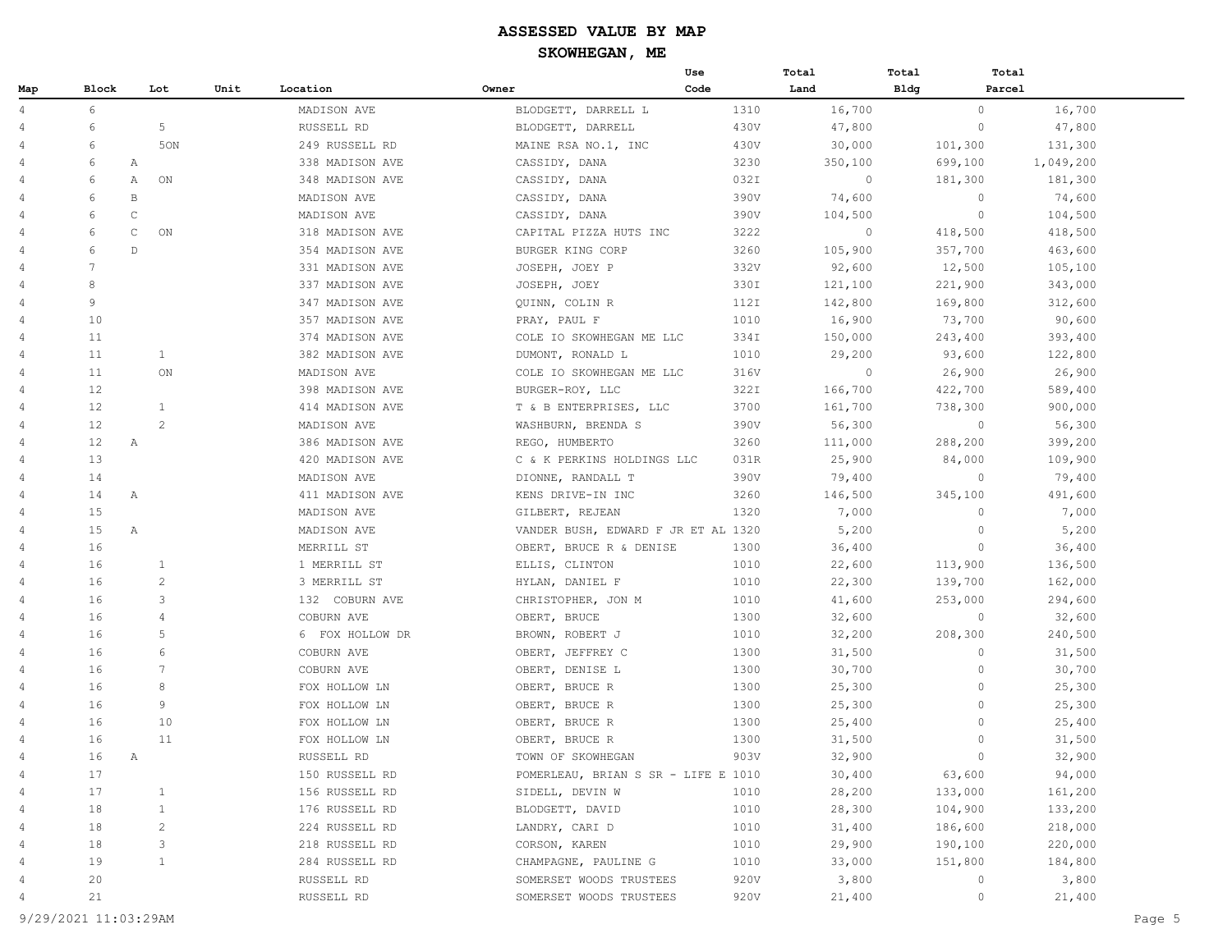|                |                 |                    |      |                 |                                     | Use  | Total   | Total       | Total   |           |
|----------------|-----------------|--------------------|------|-----------------|-------------------------------------|------|---------|-------------|---------|-----------|
| Map            | Block           | Lot                | Unit | Location        | Owner                               | Code | Land    | <b>Bldg</b> | Parcel  |           |
| 4              | 6               |                    |      | MADISON AVE     | BLODGETT, DARRELL L                 | 1310 | 16,700  |             | $\circ$ | 16,700    |
| 4              | 6               | $\mathsf S$        |      | RUSSELL RD      | BLODGETT, DARRELL                   | 430V | 47,800  |             | $\circ$ | 47,800    |
| 4              | 6               | 50N                |      | 249 RUSSELL RD  | MAINE RSA NO.1, INC                 | 430V | 30,000  |             | 101,300 | 131,300   |
| 4              | 6               | Α                  |      | 338 MADISON AVE | CASSIDY, DANA                       | 3230 | 350,100 |             | 699,100 | 1,049,200 |
| 4              | 6               | Α<br>ON            |      | 348 MADISON AVE | CASSIDY, DANA                       | 032I | $\circ$ |             | 181,300 | 181,300   |
| 4              | 6               | $\, {\bf B}$       |      | MADISON AVE     | CASSIDY, DANA                       | 390V | 74,600  |             | $\circ$ | 74,600    |
| 4              | 6               | $\mathsf{C}$       |      | MADISON AVE     | CASSIDY, DANA                       | 390V | 104,500 |             | $\circ$ | 104,500   |
| $\overline{4}$ | 6               | $\mathsf{C}$<br>ON |      | 318 MADISON AVE | CAPITAL PIZZA HUTS INC              | 3222 | $\circ$ |             | 418,500 | 418,500   |
| 4              | 6               | $\mathbb{D}$       |      | 354 MADISON AVE | BURGER KING CORP                    | 3260 | 105,900 |             | 357,700 | 463,600   |
| $\overline{4}$ | $7\phantom{.0}$ |                    |      | 331 MADISON AVE | JOSEPH, JOEY P                      | 332V | 92,600  |             | 12,500  | 105,100   |
| 4              | 8               |                    |      | 337 MADISON AVE | JOSEPH, JOEY                        | 330I | 121,100 |             | 221,900 | 343,000   |
| 4              | 9               |                    |      | 347 MADISON AVE | QUINN, COLIN R                      | 112I | 142,800 |             | 169,800 | 312,600   |
| 4              | 10              |                    |      | 357 MADISON AVE | PRAY, PAUL F                        | 1010 | 16,900  |             | 73,700  | 90,600    |
| 4              | 11              |                    |      | 374 MADISON AVE | COLE IO SKOWHEGAN ME LLC            | 334I | 150,000 |             | 243,400 | 393,400   |
| 4              | 11              | $\mathbf{1}$       |      | 382 MADISON AVE | DUMONT, RONALD L                    | 1010 | 29,200  |             | 93,600  | 122,800   |
| 4              | 11              | ON                 |      | MADISON AVE     | COLE IO SKOWHEGAN ME LLC            | 316V | $\circ$ |             | 26,900  | 26,900    |
| 4              | 12              |                    |      | 398 MADISON AVE | BURGER-ROY, LLC                     | 322I | 166,700 |             | 422,700 | 589,400   |
| 4              | 12              | $\mathbf{1}$       |      | 414 MADISON AVE | T & B ENTERPRISES, LLC              | 3700 | 161,700 |             | 738,300 | 900,000   |
| 4              | 12              | 2                  |      | MADISON AVE     | WASHBURN, BRENDA S                  | 390V | 56,300  |             | $\circ$ | 56,300    |
| 4              | 12              | A                  |      | 386 MADISON AVE | REGO, HUMBERTO                      | 3260 | 111,000 |             | 288,200 | 399,200   |
| 4              | 13              |                    |      | 420 MADISON AVE | C & K PERKINS HOLDINGS LLC          | 031R | 25,900  |             | 84,000  | 109,900   |
| 4              | 14              |                    |      | MADISON AVE     | DIONNE, RANDALL T                   | 390V | 79,400  |             | $\circ$ | 79,400    |
| 4              | 14              | A                  |      | 411 MADISON AVE | KENS DRIVE-IN INC                   | 3260 | 146,500 |             | 345,100 | 491,600   |
| 4              | 15              |                    |      | MADISON AVE     | GILBERT, REJEAN                     | 1320 | 7,000   |             | $\circ$ | 7,000     |
| 4              | 15              | Α                  |      | MADISON AVE     | VANDER BUSH, EDWARD F JR ET AL 1320 |      | 5,200   |             | $\circ$ | 5,200     |
| 4              | 16              |                    |      | MERRILL ST      | OBERT, BRUCE R & DENISE             | 1300 | 36,400  |             | $\circ$ | 36,400    |
| 4              | 16              | 1                  |      | 1 MERRILL ST    | ELLIS, CLINTON                      | 1010 | 22,600  |             | 113,900 | 136,500   |
| 4              | 16              | 2                  |      | 3 MERRILL ST    | HYLAN, DANIEL F                     | 1010 | 22,300  |             | 139,700 | 162,000   |
| 4              | 16              | 3                  |      | 132 COBURN AVE  | CHRISTOPHER, JON M                  | 1010 | 41,600  |             | 253,000 | 294,600   |
| 4              | 16              | $\overline{4}$     |      | COBURN AVE      | OBERT, BRUCE                        | 1300 | 32,600  |             | $\circ$ | 32,600    |
| 4              | 16              | 5                  |      | 6 FOX HOLLOW DR | BROWN, ROBERT J                     | 1010 | 32,200  |             | 208,300 | 240,500   |
| 4              | 16              | 6                  |      | COBURN AVE      | OBERT, JEFFREY C                    | 1300 | 31,500  |             | $\circ$ | 31,500    |
| 4              | 16              | 7                  |      | COBURN AVE      | OBERT, DENISE L                     | 1300 | 30,700  |             | $\circ$ | 30,700    |
| 4              | 16              | 8                  |      | FOX HOLLOW LN   | OBERT, BRUCE R                      | 1300 | 25,300  |             | $\circ$ | 25,300    |
| 4              | 16              | 9                  |      | FOX HOLLOW LN   | OBERT, BRUCE R                      | 1300 | 25,300  |             | $\circ$ | 25,300    |
| 4              | 16              | 10                 |      | FOX HOLLOW LN   | OBERT, BRUCE R                      | 1300 | 25,400  |             | $\circ$ | 25,400    |
| 4              | 16              | 11                 |      | FOX HOLLOW LN   | OBERT, BRUCE R                      | 1300 | 31,500  |             | $\circ$ | 31,500    |
| 4              | 16              | A                  |      | RUSSELL RD      | TOWN OF SKOWHEGAN                   | 903V | 32,900  |             | $\circ$ | 32,900    |
|                | 17              |                    |      | 150 RUSSELL RD  | POMERLEAU, BRIAN S SR - LIFE E 1010 |      | 30,400  |             | 63,600  | 94,000    |
| 4              | 17              | 1                  |      | 156 RUSSELL RD  | SIDELL, DEVIN W                     | 1010 | 28,200  |             | 133,000 | 161,200   |
| 4              | 18              | $\mathbf{1}$       |      | 176 RUSSELL RD  | BLODGETT, DAVID                     | 1010 | 28,300  |             | 104,900 | 133,200   |
| 4              | 18              | $\overline{c}$     |      | 224 RUSSELL RD  | LANDRY, CARI D                      | 1010 | 31,400  |             | 186,600 | 218,000   |
| 4              | 18              | 3                  |      | 218 RUSSELL RD  | CORSON, KAREN                       | 1010 | 29,900  |             | 190,100 | 220,000   |
| 4              | 19              | $\mathbf{1}$       |      | 284 RUSSELL RD  | CHAMPAGNE, PAULINE G                | 1010 | 33,000  |             | 151,800 | 184,800   |
| 4              | 20              |                    |      | RUSSELL RD      | SOMERSET WOODS TRUSTEES             | 920V | 3,800   |             | $\circ$ | 3,800     |
| 4              | 21              |                    |      | RUSSELL RD      | SOMERSET WOODS TRUSTEES             | 920V | 21,400  |             | $\circ$ | 21,400    |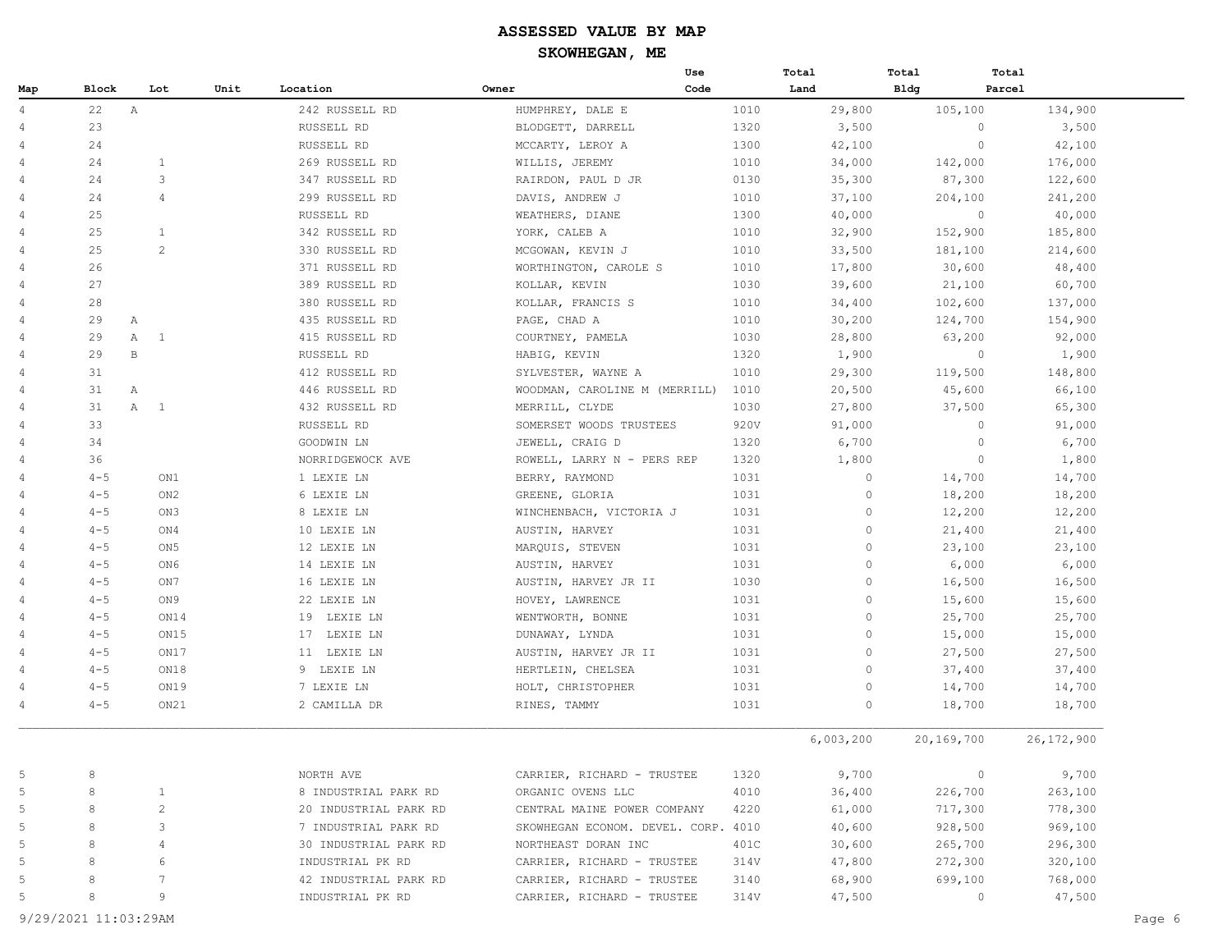|     |                    |                 |      |                       |                                     | Use  |      | Total     | Total       | Total      |            |
|-----|--------------------|-----------------|------|-----------------------|-------------------------------------|------|------|-----------|-------------|------------|------------|
| Map | Block              | Lot             | Unit | Location              | Owner                               | Code |      | Land      | <b>Bldg</b> | Parcel     |            |
| 4   | 22<br>$\mathbb{A}$ |                 |      | 242 RUSSELL RD        | HUMPHREY, DALE E                    |      | 1010 | 29,800    |             | 105,100    | 134,900    |
| 4   | 23                 |                 |      | RUSSELL RD            | BLODGETT, DARRELL                   |      | 1320 | 3,500     |             | $\circ$    | 3,500      |
| 4   | 24                 |                 |      | RUSSELL RD            | MCCARTY, LEROY A                    |      | 1300 | 42,100    |             | $\circ$    | 42,100     |
| 4   | 24                 | $\mathbf{1}$    |      | 269 RUSSELL RD        | WILLIS, JEREMY                      |      | 1010 | 34,000    |             | 142,000    | 176,000    |
| 4   | 24                 | 3               |      | 347 RUSSELL RD        | RAIRDON, PAUL D JR                  |      | 0130 | 35,300    |             | 87,300     | 122,600    |
| 4   | 24                 | $\overline{4}$  |      | 299 RUSSELL RD        | DAVIS, ANDREW J                     |      | 1010 | 37,100    |             | 204,100    | 241,200    |
| 4   | 25                 |                 |      | RUSSELL RD            | WEATHERS, DIANE                     |      | 1300 | 40,000    |             | $\circ$    | 40,000     |
| 4   | 25                 | $\mathbf{1}$    |      | 342 RUSSELL RD        | YORK, CALEB A                       |      | 1010 | 32,900    |             | 152,900    | 185,800    |
| 4   | 25                 | 2               |      | 330 RUSSELL RD        | MCGOWAN, KEVIN J                    |      | 1010 | 33,500    |             | 181,100    | 214,600    |
| 4   | 26                 |                 |      | 371 RUSSELL RD        | WORTHINGTON, CAROLE S               |      | 1010 | 17,800    |             | 30,600     | 48,400     |
| 4   | 27                 |                 |      | 389 RUSSELL RD        | KOLLAR, KEVIN                       |      | 1030 | 39,600    |             | 21,100     | 60,700     |
| 4   | 28                 |                 |      | 380 RUSSELL RD        | KOLLAR, FRANCIS S                   |      | 1010 | 34,400    |             | 102,600    | 137,000    |
| 4   | 29<br>A            |                 |      | 435 RUSSELL RD        | PAGE, CHAD A                        |      | 1010 | 30,200    |             | 124,700    | 154,900    |
| 4   | 29                 | A 1             |      | 415 RUSSELL RD        | COURTNEY, PAMELA                    |      | 1030 | 28,800    |             | 63,200     | 92,000     |
| 4   | 29<br>В            |                 |      | RUSSELL RD            | HABIG, KEVIN                        |      | 1320 | 1,900     |             | $\circ$    | 1,900      |
| 4   | 31                 |                 |      | 412 RUSSELL RD        | SYLVESTER, WAYNE A                  |      | 1010 | 29,300    |             | 119,500    | 148,800    |
| 4   | 31<br>Α            |                 |      | 446 RUSSELL RD        | WOODMAN, CAROLINE M (MERRILL)       |      | 1010 | 20,500    |             | 45,600     | 66,100     |
| 4   | 31                 | A 1             |      | 432 RUSSELL RD        | MERRILL, CLYDE                      |      | 1030 | 27,800    |             | 37,500     | 65,300     |
| 4   | 33                 |                 |      | RUSSELL RD            | SOMERSET WOODS TRUSTEES             |      | 920V | 91,000    |             | $\circ$    | 91,000     |
| 4   | 34                 |                 |      | GOODWIN LN            | JEWELL, CRAIG D                     |      | 1320 | 6,700     |             | $\circ$    | 6,700      |
| 4   | 36                 |                 |      | NORRIDGEWOCK AVE      | ROWELL, LARRY N - PERS REP          |      | 1320 | 1,800     |             | $\circ$    | 1,800      |
| 4   | $4 - 5$            | ON1             |      | 1 LEXIE LN            | BERRY, RAYMOND                      |      | 1031 | $\circ$   |             | 14,700     | 14,700     |
| 4   | $4 - 5$            | ON2             |      | 6 LEXIE LN            | GREENE, GLORIA                      |      | 1031 | $\circ$   |             | 18,200     | 18,200     |
| 4   | $4 - 5$            | ON3             |      | 8 LEXIE LN            | WINCHENBACH, VICTORIA J             |      | 1031 | $\circ$   |             | 12,200     | 12,200     |
| 4   | $4 - 5$            | ON4             |      | 10 LEXIE LN           | AUSTIN, HARVEY                      |      | 1031 | $\Omega$  |             | 21,400     | 21,400     |
| 4   | $4 - 5$            | ON <sub>5</sub> |      | 12 LEXIE LN           | MARQUIS, STEVEN                     |      | 1031 | $\circ$   |             | 23,100     | 23,100     |
| 4   | $4 - 5$            | ON6             |      | 14 LEXIE LN           | AUSTIN, HARVEY                      |      | 1031 | $\circ$   |             | 6,000      | 6,000      |
| 4   | $4 - 5$            | ON7             |      | 16 LEXIE LN           | AUSTIN, HARVEY JR II                |      | 1030 | $\circ$   |             | 16,500     | 16,500     |
| 4   | $4 - 5$            | ON 9            |      | 22 LEXIE LN           | HOVEY, LAWRENCE                     |      | 1031 | $\circ$   |             | 15,600     | 15,600     |
| 4   | $4 - 5$            | ON14            |      | 19 LEXIE LN           | WENTWORTH, BONNE                    |      | 1031 | $\circ$   |             | 25,700     | 25,700     |
| 4   | $4 - 5$            | ON15            |      | 17 LEXIE LN           | DUNAWAY, LYNDA                      |      | 1031 | $\circ$   |             | 15,000     | 15,000     |
| 4   | $4 - 5$            | ON17            |      | 11 LEXIE LN           | AUSTIN, HARVEY JR II                |      | 1031 | $\circ$   |             | 27,500     | 27,500     |
| 4   | $4 - 5$            | ON18            |      | 9 LEXIE LN            | HERTLEIN, CHELSEA                   |      | 1031 | $\Omega$  |             | 37,400     | 37,400     |
| 4   | $4 - 5$            | ON19            |      | 7 LEXIE LN            | HOLT, CHRISTOPHER                   |      | 1031 | $\circ$   |             | 14,700     | 14,700     |
| 4   | $4 - 5$            | ON21            |      | 2 CAMILLA DR          | RINES, TAMMY                        |      | 1031 | $\circ$   |             | 18,700     | 18,700     |
|     |                    |                 |      |                       |                                     |      |      | 6,003,200 |             | 20,169,700 | 26,172,900 |
| 5   | 8                  |                 |      | NORTH AVE             | CARRIER, RICHARD - TRUSTEE          |      | 1320 | 9,700     |             | $\circ$    | 9,700      |
| 5   | 8                  | 1               |      | 8 INDUSTRIAL PARK RD  | ORGANIC OVENS LLC                   |      | 4010 | 36,400    |             | 226,700    | 263,100    |
| 5   | 8                  | $\overline{c}$  |      | 20 INDUSTRIAL PARK RD | CENTRAL MAINE POWER COMPANY         |      | 4220 | 61,000    |             | 717,300    | 778,300    |
| 5   | 8                  | 3               |      | 7 INDUSTRIAL PARK RD  | SKOWHEGAN ECONOM. DEVEL. CORP. 4010 |      |      | 40,600    |             | 928,500    | 969,100    |
| 5   | 8                  | 4               |      | 30 INDUSTRIAL PARK RD | NORTHEAST DORAN INC                 |      | 401C | 30,600    |             | 265,700    | 296,300    |
| 5   | 8                  | 6               |      | INDUSTRIAL PK RD      | CARRIER, RICHARD - TRUSTEE          |      | 314V | 47,800    |             | 272,300    | 320,100    |
| 5   | 8                  | 7               |      | 42 INDUSTRIAL PARK RD | CARRIER, RICHARD - TRUSTEE          |      | 3140 | 68,900    |             | 699,100    | 768,000    |
| 5   | 8                  | 9               |      | INDUSTRIAL PK RD      | CARRIER, RICHARD - TRUSTEE          |      | 314V | 47,500    |             | $\circ$    | 47,500     |
|     |                    |                 |      |                       |                                     |      |      |           |             |            |            |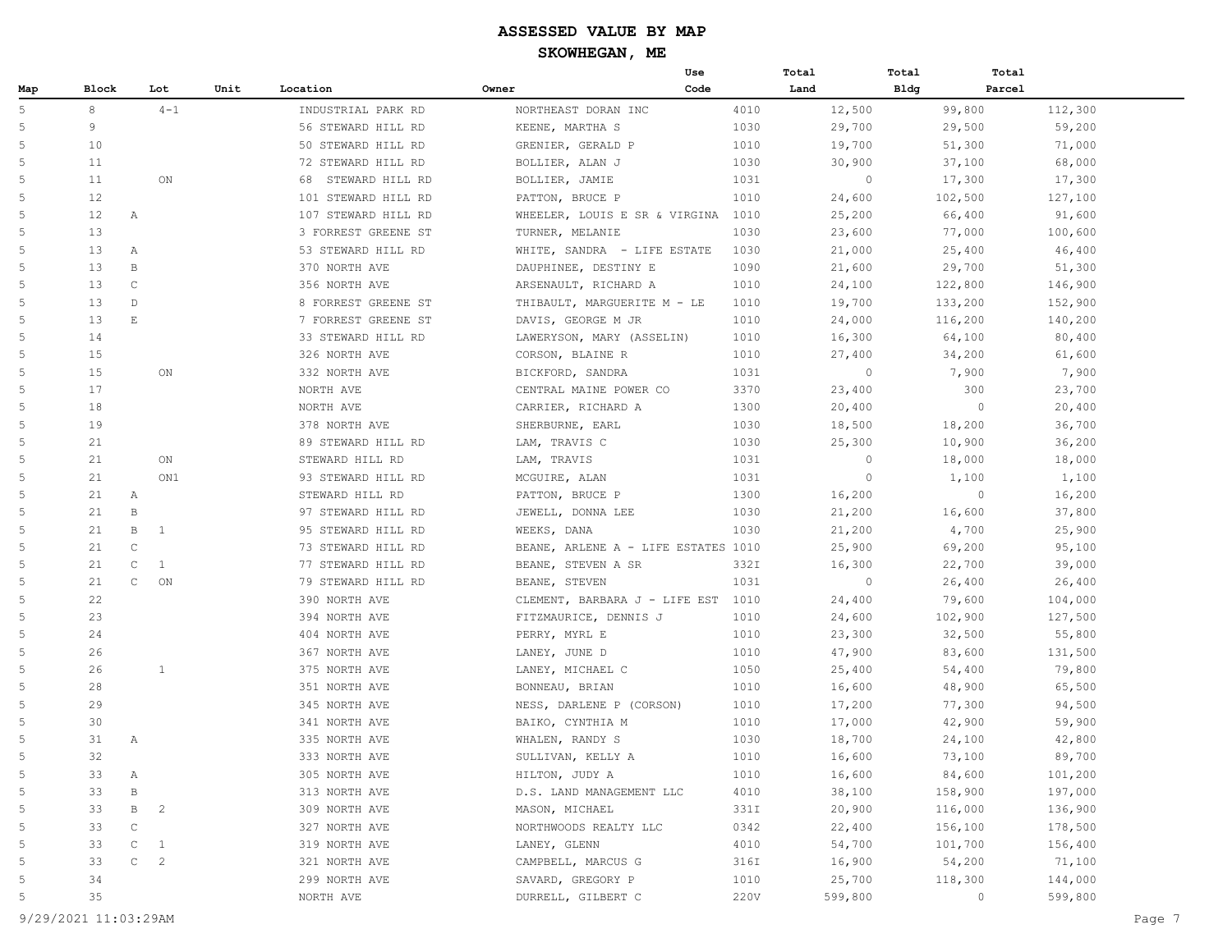|                |       |                                |      |                       |                                     | Use  | Total   | Total   | Total   |         |
|----------------|-------|--------------------------------|------|-----------------------|-------------------------------------|------|---------|---------|---------|---------|
| Map            | Block | Lot                            | Unit | Location              | Owner                               | Code | Land    | Bldg    | Parcel  |         |
| 5              | 8     | $4 - 1$                        |      | INDUSTRIAL PARK RD    | NORTHEAST DORAN INC                 | 4010 | 12,500  |         | 99,800  | 112,300 |
| 5              | 9     |                                |      | 56 STEWARD HILL RD    | KEENE, MARTHA S                     | 1030 | 29,700  |         | 29,500  | 59,200  |
| 5              | 10    |                                |      | 50 STEWARD HILL RD    | GRENIER, GERALD P                   | 1010 | 19,700  |         | 51,300  | 71,000  |
| 5              | 11    |                                |      | 72 STEWARD HILL RD    | BOLLIER, ALAN J                     | 1030 | 30,900  |         | 37,100  | 68,000  |
| 5              | 11    | ON                             |      | STEWARD HILL RD<br>68 | BOLLIER, JAMIE                      | 1031 | $\circ$ |         | 17,300  | 17,300  |
| 5              | 12    |                                |      | 101 STEWARD HILL RD   | PATTON, BRUCE P                     | 1010 | 24,600  | 102,500 |         | 127,100 |
| 5              | 12    | A                              |      | 107 STEWARD HILL RD   | WHEELER, LOUIS E SR & VIRGINA 1010  |      | 25,200  |         | 66,400  | 91,600  |
| 5              | 13    |                                |      | 3 FORREST GREENE ST   | TURNER, MELANIE                     | 1030 | 23,600  |         | 77,000  | 100,600 |
| 5              | 13    | Α                              |      | 53 STEWARD HILL RD    | WHITE, SANDRA - LIFE ESTATE         | 1030 | 21,000  |         | 25,400  | 46,400  |
| 5              | 13    | В                              |      | 370 NORTH AVE         | DAUPHINEE, DESTINY E                | 1090 | 21,600  |         | 29,700  | 51,300  |
| 5              | 13    | $\mathsf{C}$                   |      | 356 NORTH AVE         | ARSENAULT, RICHARD A                | 1010 | 24,100  | 122,800 |         | 146,900 |
| 5              | 13    | $\mathbb{D}$                   |      | 8 FORREST GREENE ST   | THIBAULT, MARGUERITE M - LE         | 1010 | 19,700  | 133,200 |         | 152,900 |
| 5              | 13    | $\mathop{}\mathbb{E}$          |      | 7 FORREST GREENE ST   | DAVIS, GEORGE M JR                  | 1010 | 24,000  | 116,200 |         | 140,200 |
| 5              | 14    |                                |      | 33 STEWARD HILL RD    | LAWERYSON, MARY (ASSELIN)           | 1010 | 16,300  |         | 64,100  | 80,400  |
| 5              | 15    |                                |      | 326 NORTH AVE         | CORSON, BLAINE R                    | 1010 | 27,400  |         | 34,200  | 61,600  |
| 5              | 15    | ON                             |      | 332 NORTH AVE         | BICKFORD, SANDRA                    | 1031 | $\circ$ |         | 7,900   | 7,900   |
| 5              | 17    |                                |      | NORTH AVE             | CENTRAL MAINE POWER CO              | 3370 | 23,400  |         | 300     | 23,700  |
| 5              | 18    |                                |      | NORTH AVE             | CARRIER, RICHARD A                  | 1300 | 20,400  |         | $\circ$ | 20,400  |
| 5              | 19    |                                |      | 378 NORTH AVE         | SHERBURNE, EARL                     | 1030 | 18,500  |         | 18,200  | 36,700  |
| 5              | 21    |                                |      | 89 STEWARD HILL RD    | LAM, TRAVIS C                       | 1030 | 25,300  |         | 10,900  | 36,200  |
| 5              | 21    | ON                             |      | STEWARD HILL RD       | LAM, TRAVIS                         | 1031 | $\circ$ |         | 18,000  | 18,000  |
| 5              | 21    | ON1                            |      | 93 STEWARD HILL RD    | MCGUIRE, ALAN                       | 1031 | $\circ$ |         | 1,100   | 1,100   |
| 5              | 21    | A                              |      | STEWARD HILL RD       | PATTON, BRUCE P                     | 1300 | 16,200  |         | $\circ$ | 16,200  |
| 5              | 21    | $\, {\bf B}$                   |      | 97 STEWARD HILL RD    | JEWELL, DONNA LEE                   | 1030 | 21,200  |         | 16,600  | 37,800  |
| 5              | 21    | B<br><sup>1</sup>              |      | 95 STEWARD HILL RD    | WEEKS, DANA                         | 1030 | 21,200  |         | 4,700   | 25,900  |
| 5              | 21    | $\mathbb C$                    |      | 73 STEWARD HILL RD    | BEANE, ARLENE A - LIFE ESTATES 1010 |      | 25,900  |         | 69,200  | 95,100  |
| 5              | 21    | $\mathbb C$<br>1               |      | 77 STEWARD HILL RD    | BEANE, STEVEN A SR                  | 332I | 16,300  |         | 22,700  | 39,000  |
| 5              | 21    | $\mathsf{C}$<br>ON             |      | 79 STEWARD HILL RD    | BEANE, STEVEN                       | 1031 | $\circ$ |         | 26,400  | 26,400  |
| 5              | 22    |                                |      | 390 NORTH AVE         | CLEMENT, BARBARA J - LIFE EST 1010  |      | 24,400  |         | 79,600  | 104,000 |
| 5              | 23    |                                |      | 394 NORTH AVE         | FITZMAURICE, DENNIS J               | 1010 | 24,600  | 102,900 |         | 127,500 |
| 5              | 24    |                                |      | 404 NORTH AVE         | PERRY, MYRL E                       | 1010 | 23,300  |         | 32,500  | 55,800  |
| 5              | 26    |                                |      | 367 NORTH AVE         | LANEY, JUNE D                       | 1010 | 47,900  |         | 83,600  | 131,500 |
| 5              | 26    | $\mathbf{1}$                   |      | 375 NORTH AVE         | LANEY, MICHAEL C                    | 1050 | 25,400  |         | 54,400  | 79,800  |
| 5              | 28    |                                |      | 351 NORTH AVE         | BONNEAU, BRIAN                      | 1010 | 16,600  |         | 48,900  | 65,500  |
| 5              | 29    |                                |      | 345 NORTH AVE         | NESS, DARLENE P (CORSON)            | 1010 | 17,200  |         | 77,300  | 94,500  |
| 5              | 30    |                                |      | 341 NORTH AVE         | BAIKO, CYNTHIA M                    | 1010 | 17,000  |         | 42,900  | 59,900  |
| 5              | 31    | A                              |      | 335 NORTH AVE         | WHALEN, RANDY S                     | 1030 | 18,700  |         | 24,100  | 42,800  |
| 5              | 32    |                                |      | 333 NORTH AVE         | SULLIVAN, KELLY A                   | 1010 | 16,600  |         | 73,100  | 89,700  |
| 5              | 33    | Α                              |      | 305 NORTH AVE         | HILTON, JUDY A                      | 1010 | 16,600  |         | 84,600  | 101,200 |
| 5              | 33    | в                              |      | 313 NORTH AVE         | D.S. LAND MANAGEMENT LLC            | 4010 | 38,100  | 158,900 |         | 197,000 |
| 5              | 33    | В<br>$\overline{c}$            |      | 309 NORTH AVE         | MASON, MICHAEL                      | 331I | 20,900  | 116,000 |         | 136,900 |
| 5              | 33    | $\mathbb C$                    |      | 327 NORTH AVE         | NORTHWOODS REALTY LLC               | 0342 | 22,400  | 156,100 |         | 178,500 |
| 5              | 33    | $\mathtt{C}$<br>$\mathbf{1}$   |      | 319 NORTH AVE         | LANEY, GLENN                        | 4010 | 54,700  | 101,700 |         | 156,400 |
| $\overline{5}$ | 33    | $\mathtt{C}$<br>$\overline{c}$ |      | 321 NORTH AVE         | CAMPBELL, MARCUS G                  | 316I | 16,900  |         | 54,200  | 71,100  |
| 5              | 34    |                                |      | 299 NORTH AVE         | SAVARD, GREGORY P                   | 1010 | 25,700  | 118,300 |         | 144,000 |
| 5              | 35    |                                |      | NORTH AVE             | DURRELL, GILBERT C                  | 220V | 599,800 |         | $\circ$ | 599,800 |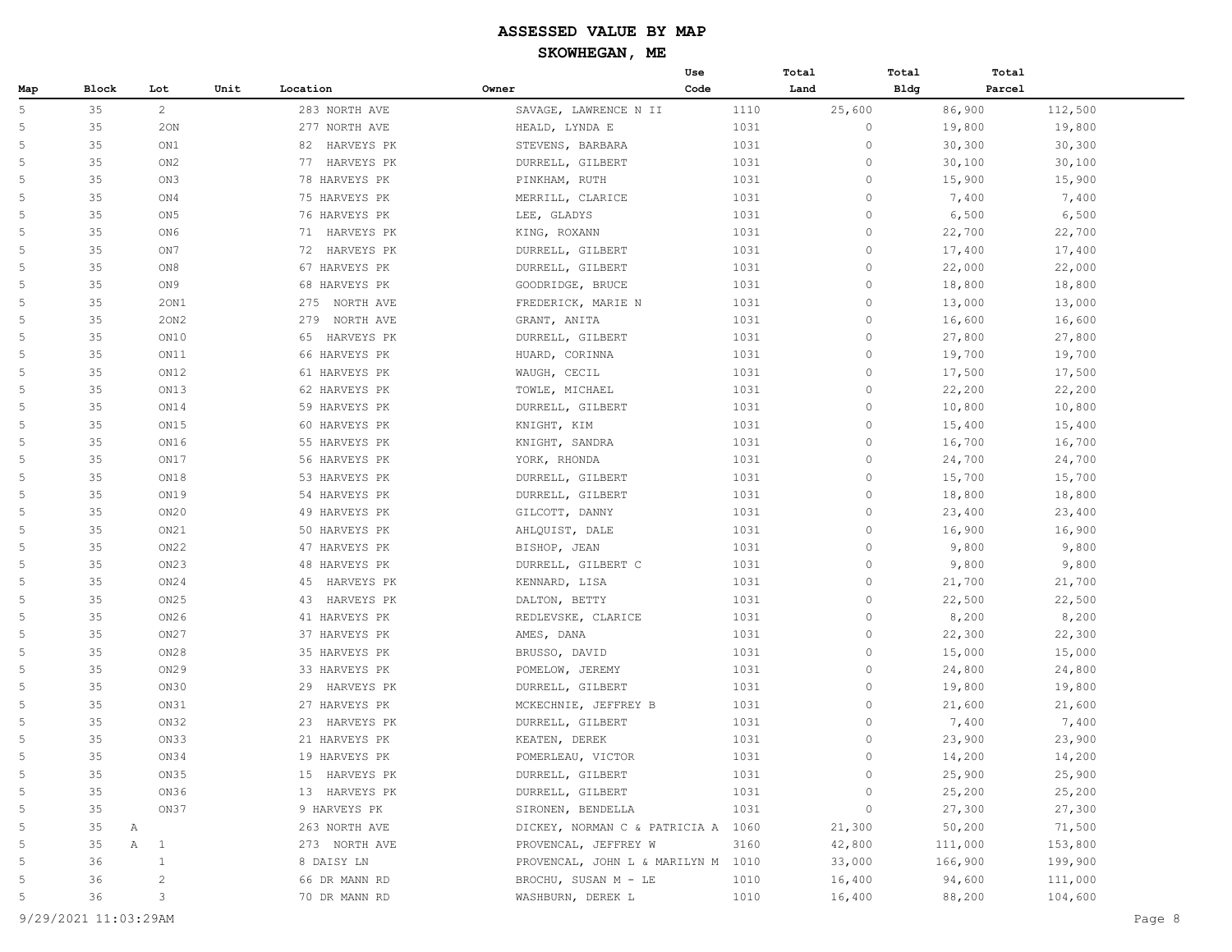|                |         |                  |      |                  |       |                                    | Use  |      | Total        | Total       | Total   |         |  |
|----------------|---------|------------------|------|------------------|-------|------------------------------------|------|------|--------------|-------------|---------|---------|--|
| Map            | Block   | Lot              | Unit | Location         | Owner |                                    | Code |      | Land         | <b>Bldg</b> | Parcel  |         |  |
| 5              | 35      | $\overline{c}$   |      | 283 NORTH AVE    |       | SAVAGE, LAWRENCE N II              |      | 1110 | 25,600       |             | 86,900  | 112,500 |  |
| 5              | 35      | 20N              |      | 277 NORTH AVE    |       | HEALD, LYNDA E                     |      | 1031 | $\circ$      |             | 19,800  | 19,800  |  |
| $\overline{5}$ | 35      | ON1              |      | 82 HARVEYS PK    |       | STEVENS, BARBARA                   |      | 1031 | $\circ$      |             | 30,300  | 30,300  |  |
| 5              | 35      | ON <sub>2</sub>  |      | 77 HARVEYS PK    |       | DURRELL, GILBERT                   |      | 1031 | $\circ$      |             | 30,100  | 30,100  |  |
| $\overline{5}$ | 35      | ON3              |      | 78 HARVEYS PK    |       | PINKHAM, RUTH                      |      | 1031 | $\circ$      |             | 15,900  | 15,900  |  |
| 5              | 35      | ON4              |      | 75 HARVEYS PK    |       | MERRILL, CLARICE                   |      | 1031 | $\circ$      |             | 7,400   | 7,400   |  |
| 5              | 35      | ON <sub>5</sub>  |      | 76 HARVEYS PK    |       | LEE, GLADYS                        |      | 1031 | $\circ$      |             | 6,500   | 6,500   |  |
| 5              | 35      | ON6              |      | 71 HARVEYS PK    |       | KING, ROXANN                       |      | 1031 | $\mathbf{0}$ |             | 22,700  | 22,700  |  |
| 5              | 35      | ON7              |      | 72 HARVEYS PK    |       | DURRELL, GILBERT                   |      | 1031 | $\mathbf{0}$ |             | 17,400  | 17,400  |  |
| 5              | 35      | ON8              |      | 67 HARVEYS PK    |       | DURRELL, GILBERT                   |      | 1031 | $\circ$      |             | 22,000  | 22,000  |  |
| 5              | 35      | ON9              |      | 68 HARVEYS PK    |       | GOODRIDGE, BRUCE                   |      | 1031 | $\circ$      |             | 18,800  | 18,800  |  |
| 5              | 35      | 20N1             |      | 275<br>NORTH AVE |       | FREDERICK, MARIE N                 |      | 1031 | $\circ$      |             | 13,000  | 13,000  |  |
| 5              | 35      | 20N2             |      | 279<br>NORTH AVE |       | GRANT, ANITA                       |      | 1031 | $\circ$      |             | 16,600  | 16,600  |  |
| 5              | 35      | ON10             |      | HARVEYS PK<br>65 |       | DURRELL, GILBERT                   |      | 1031 | $\circ$      |             | 27,800  | 27,800  |  |
| 5              | 35      | ON11             |      | 66 HARVEYS PK    |       | HUARD, CORINNA                     |      | 1031 | $\circ$      |             | 19,700  | 19,700  |  |
| 5              | 35      | ON12             |      | 61 HARVEYS PK    |       | WAUGH, CECIL                       |      | 1031 | $\circ$      |             | 17,500  | 17,500  |  |
| 5              | 35      | ON13             |      | 62 HARVEYS PK    |       | TOWLE, MICHAEL                     |      | 1031 | $\mathbf{0}$ |             | 22,200  | 22,200  |  |
| 5              | 35      | ON14             |      | 59 HARVEYS PK    |       | DURRELL, GILBERT                   |      | 1031 | $\circ$      |             | 10,800  | 10,800  |  |
| 5              | 35      | ON15             |      | 60 HARVEYS PK    |       | KNIGHT, KIM                        |      | 1031 | $\circ$      |             | 15,400  | 15,400  |  |
| 5              | 35      | ON16             |      | 55 HARVEYS PK    |       | KNIGHT, SANDRA                     |      | 1031 | $\circ$      |             | 16,700  | 16,700  |  |
| 5              | 35      | ON17             |      | 56 HARVEYS PK    |       | YORK, RHONDA                       |      | 1031 | $\circ$      |             | 24,700  | 24,700  |  |
| 5              | 35      | ON18             |      | 53 HARVEYS PK    |       | DURRELL, GILBERT                   |      | 1031 | $\circ$      |             | 15,700  | 15,700  |  |
| 5              | 35      | ON19             |      | 54 HARVEYS PK    |       | DURRELL, GILBERT                   |      | 1031 | $\circ$      |             | 18,800  | 18,800  |  |
| 5              | 35      | ON20             |      | 49 HARVEYS PK    |       | GILCOTT, DANNY                     |      | 1031 | $\circ$      |             | 23,400  | 23,400  |  |
| 5              | 35      | ON21             |      | 50 HARVEYS PK    |       | AHLQUIST, DALE                     |      | 1031 | $\mathbf{0}$ |             | 16,900  | 16,900  |  |
| 5              | 35      | ON22             |      | 47 HARVEYS PK    |       | BISHOP, JEAN                       |      | 1031 | $\circ$      |             | 9,800   | 9,800   |  |
| 5              | 35      | ON <sub>23</sub> |      | 48 HARVEYS PK    |       | DURRELL, GILBERT C                 |      | 1031 | $\circ$      |             | 9,800   | 9,800   |  |
| 5              | 35      | ON24             |      | 45<br>HARVEYS PK |       | KENNARD, LISA                      |      | 1031 | $\circ$      |             | 21,700  | 21,700  |  |
| $\overline{5}$ | 35      | ON25             |      | 43<br>HARVEYS PK |       | DALTON, BETTY                      |      | 1031 | $\circ$      |             | 22,500  | 22,500  |  |
| 5              | 35      | ON26             |      | 41 HARVEYS PK    |       | REDLEVSKE, CLARICE                 |      | 1031 | $\circ$      |             | 8,200   | 8,200   |  |
| 5              | 35      | ON27             |      | 37 HARVEYS PK    |       | AMES, DANA                         |      | 1031 | $\circ$      |             | 22,300  | 22,300  |  |
| 5              | 35      | ON28             |      | 35 HARVEYS PK    |       | BRUSSO, DAVID                      |      | 1031 | $\circ$      |             | 15,000  | 15,000  |  |
| 5              | 35      | ON29             |      | 33 HARVEYS PK    |       | POMELOW, JEREMY                    |      | 1031 | $\mathbf{0}$ |             | 24,800  | 24,800  |  |
| 5              | 35      | ON30             |      | 29<br>HARVEYS PK |       | DURRELL, GILBERT                   |      | 1031 | $\circ$      |             | 19,800  | 19,800  |  |
| 5              | 35      | ON31             |      | 27 HARVEYS PK    |       | MCKECHNIE, JEFFREY B               |      | 1031 | $\circ$      |             | 21,600  | 21,600  |  |
| 5              | 35      | ON32             |      | 23<br>HARVEYS PK |       | DURRELL, GILBERT                   |      | 1031 | $\circ$      |             | 7,400   | 7,400   |  |
| $\overline{5}$ | 35      | ON33             |      | 21 HARVEYS PK    |       | KEATEN, DEREK                      |      | 1031 | $\mathbf{0}$ |             | 23,900  | 23,900  |  |
| 5              | 35      | ON34             |      | 19 HARVEYS PK    |       | POMERLEAU, VICTOR                  |      | 1031 | $\circ$      |             | 14,200  | 14,200  |  |
| 5              | 35      | ON35             |      | 15 HARVEYS PK    |       | DURRELL, GILBERT                   |      | 1031 | 0            |             | 25,900  | 25,900  |  |
| $\overline{5}$ | 35      | ON36             |      | 13 HARVEYS PK    |       | DURRELL, GILBERT                   |      | 1031 | 0            |             | 25,200  | 25,200  |  |
| 5              | 35      | ON37             |      | 9 HARVEYS PK     |       | SIRONEN, BENDELLA                  |      | 1031 | 0            |             | 27,300  | 27,300  |  |
| 5              | 35<br>A |                  |      | 263 NORTH AVE    |       | DICKEY, NORMAN C & PATRICIA A 1060 |      |      | 21,300       |             | 50,200  | 71,500  |  |
| 5              | 35<br>Α | $\mathbf{1}$     |      | 273 NORTH AVE    |       | PROVENCAL, JEFFREY W               |      | 3160 | 42,800       |             | 111,000 | 153,800 |  |
| 5              | 36      | $\mathbf{1}$     |      | 8 DAISY LN       |       | PROVENCAL, JOHN L & MARILYN M 1010 |      |      | 33,000       |             | 166,900 | 199,900 |  |
| 5              | 36      | 2                |      | 66 DR MANN RD    |       | BROCHU, SUSAN M - LE               |      | 1010 | 16,400       |             | 94,600  | 111,000 |  |
| 5              | 36      | 3                |      | 70 DR MANN RD    |       | WASHBURN, DEREK L                  |      | 1010 | 16,400       |             | 88,200  | 104,600 |  |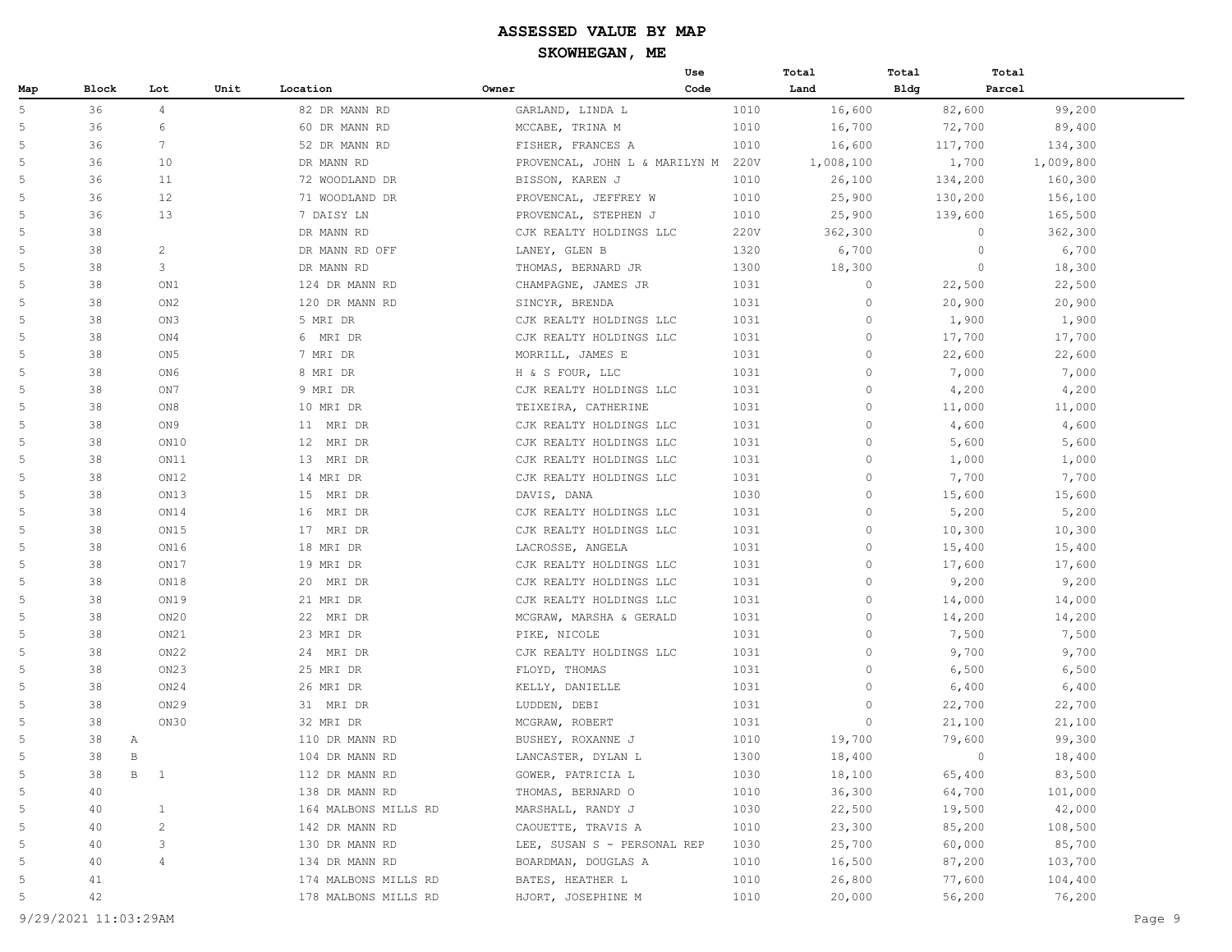|                |                    |                                   |      |                      |                                    | Use  | Total     | Total       | Total   |           |
|----------------|--------------------|-----------------------------------|------|----------------------|------------------------------------|------|-----------|-------------|---------|-----------|
| Map            | Block              | Lot                               | Unit | Location             | Owner                              | Code | Land      | <b>Bldg</b> | Parcel  |           |
| 5              | 36                 | $\overline{4}$                    |      | 82 DR MANN RD        | GARLAND, LINDA L                   | 1010 | 16,600    |             | 82,600  | 99,200    |
| 5              | 36                 | 6                                 |      | 60 DR MANN RD        | MCCABE, TRINA M                    | 1010 | 16,700    |             | 72,700  | 89,400    |
| 5              | 36                 | $7\phantom{.0}$                   |      | 52 DR MANN RD        | FISHER, FRANCES A                  | 1010 | 16,600    |             | 117,700 | 134,300   |
| 5              | 36                 | 10                                |      | DR MANN RD           | PROVENCAL, JOHN L & MARILYN M 220V |      | 1,008,100 |             | 1,700   | 1,009,800 |
| 5              | 36                 | 11                                |      | 72 WOODLAND DR       | BISSON, KAREN J                    | 1010 | 26,100    |             | 134,200 | 160,300   |
| 5              | 36                 | 12                                |      | 71 WOODLAND DR       | PROVENCAL, JEFFREY W               | 1010 | 25,900    |             | 130,200 | 156,100   |
| 5              | 36                 | 13                                |      | 7 DAISY LN           | PROVENCAL, STEPHEN J               | 1010 | 25,900    |             | 139,600 | 165,500   |
| 5              | 38                 |                                   |      | DR MANN RD           | CJK REALTY HOLDINGS LLC            | 220V | 362,300   |             | $\circ$ | 362,300   |
| 5              | 38                 | $\overline{c}$                    |      | DR MANN RD OFF       | LANEY, GLEN B                      | 1320 | 6,700     |             | $\circ$ | 6,700     |
| 5              | 38                 | 3                                 |      | DR MANN RD           | THOMAS, BERNARD JR                 | 1300 | 18,300    |             | $\circ$ | 18,300    |
| 5              | 38                 | ON1                               |      | 124 DR MANN RD       | CHAMPAGNE, JAMES JR                | 1031 | $\circ$   |             | 22,500  | 22,500    |
| 5              | 38                 | ON <sub>2</sub>                   |      | 120 DR MANN RD       | SINCYR, BRENDA                     | 1031 | $\circ$   |             | 20,900  | 20,900    |
| 5              | 38                 | ON3                               |      | 5 MRI DR             | CJK REALTY HOLDINGS LLC            | 1031 | $\circ$   |             | 1,900   | 1,900     |
| 5              | 38                 | ON4                               |      | 6 MRI DR             | CJK REALTY HOLDINGS LLC            | 1031 | $\circ$   |             | 17,700  | 17,700    |
| 5              | 38                 | ON <sub>5</sub>                   |      | 7 MRI DR             | MORRILL, JAMES E                   | 1031 | $\circ$   |             | 22,600  | 22,600    |
| 5              | 38                 | ON <sub>6</sub>                   |      | 8 MRI DR             | H & S FOUR, LLC                    | 1031 | $\circ$   |             | 7,000   | 7,000     |
| 5              | 38                 | ON7                               |      | 9 MRI DR             | CJK REALTY HOLDINGS LLC            | 1031 | $\circ$   |             | 4,200   | 4,200     |
| 5              | 38                 | ON8                               |      | 10 MRI DR            | TEIXEIRA, CATHERINE                | 1031 | $\circ$   |             | 11,000  | 11,000    |
| 5              | 38                 | ON9                               |      | 11 MRI DR            | CJK REALTY HOLDINGS LLC            | 1031 | $\circ$   |             | 4,600   | 4,600     |
| 5              | 38                 | ON10                              |      | 12 MRI DR            | CJK REALTY HOLDINGS LLC            | 1031 | $\circ$   |             | 5,600   | 5,600     |
| 5              | 38                 | ON11                              |      | 13 MRI DR            | CJK REALTY HOLDINGS LLC            | 1031 | $\circ$   |             | 1,000   | 1,000     |
| 5              | 38                 | ON12                              |      | 14 MRI DR            | CJK REALTY HOLDINGS LLC            | 1031 | $\circ$   |             | 7,700   | 7,700     |
| 5              | 38                 | ON13                              |      | 15<br>MRI DR         | DAVIS, DANA                        | 1030 | $\circ$   |             | 15,600  | 15,600    |
| 5              | 38                 | ON14                              |      | 16<br>MRI DR         | CJK REALTY HOLDINGS LLC            | 1031 | $\circ$   |             | 5,200   | 5,200     |
| 5              | 38                 | ON15                              |      | 17 MRI DR            | CJK REALTY HOLDINGS LLC            | 1031 | $\circ$   |             | 10,300  | 10,300    |
| 5              | 38                 | ON16                              |      | 18 MRI DR            | LACROSSE, ANGELA                   | 1031 | $\circ$   |             | 15,400  | 15,400    |
| 5              | 38                 | ON17                              |      | 19 MRI DR            | CJK REALTY HOLDINGS LLC            | 1031 | $\circ$   |             | 17,600  | 17,600    |
| 5              | 38                 | ON18                              |      | 20 MRI DR            | CJK REALTY HOLDINGS LLC            | 1031 | $\circ$   |             | 9,200   | 9,200     |
| 5              | 38                 | ON19                              |      | 21 MRI DR            | CJK REALTY HOLDINGS LLC            | 1031 | $\circ$   |             | 14,000  | 14,000    |
| 5              | 38                 | ON20                              |      | 22 MRI DR            | MCGRAW, MARSHA & GERALD            | 1031 | $\circ$   |             | 14,200  | 14,200    |
| 5              | 38                 | ON21                              |      | 23 MRI DR            | PIKE, NICOLE                       | 1031 | $\circ$   |             | 7,500   | 7,500     |
| 5              | 38                 | ON22                              |      | 24 MRI DR            | CJK REALTY HOLDINGS LLC            | 1031 | $\circ$   |             | 9,700   | 9,700     |
| 5              | 38                 | ON23                              |      | 25 MRI DR            | FLOYD, THOMAS                      | 1031 | $\circ$   |             | 6,500   | 6,500     |
| 5              | 38                 | ON24                              |      | 26 MRI DR            | KELLY, DANIELLE                    | 1031 | $\circ$   |             | 6,400   | 6,400     |
| 5              | 38                 | ON29                              |      | 31 MRI DR            | LUDDEN, DEBI                       | 1031 | $\circ$   |             | 22,700  | 22,700    |
| 5              | 38                 | ON30                              |      | 32 MRI DR            | MCGRAW, ROBERT                     | 1031 | $\circ$   |             | 21,100  | 21,100    |
| 5              | 38<br>Α            |                                   |      | 110 DR MANN RD       | BUSHEY, ROXANNE J                  | 1010 | 19,700    |             | 79,600  | 99,300    |
| 5              | 38<br>$\, {\bf B}$ |                                   |      | 104 DR MANN RD       | LANCASTER, DYLAN L                 | 1300 | 18,400    |             | $\circ$ | 18,400    |
| 5              | 38                 | $\, {\bf B} \,$<br>$\overline{1}$ |      | 112 DR MANN RD       | GOWER, PATRICIA L                  | 1030 | 18,100    |             | 65,400  | 83,500    |
| 5              | 40                 |                                   |      | 138 DR MANN RD       | THOMAS, BERNARD O                  | 1010 | 36,300    |             | 64,700  | 101,000   |
| 5              | 40                 | $\mathbf{1}$                      |      | 164 MALBONS MILLS RD | MARSHALL, RANDY J                  | 1030 | 22,500    |             | 19,500  | 42,000    |
| 5              | 40                 | 2                                 |      | 142 DR MANN RD       | CAOUETTE, TRAVIS A                 | 1010 | 23,300    |             | 85,200  | 108,500   |
| 5              | 40                 | 3                                 |      | 130 DR MANN RD       | LEE, SUSAN S - PERSONAL REP        | 1030 | 25,700    |             | 60,000  | 85,700    |
| 5              | 40                 | $\overline{4}$                    |      | 134 DR MANN RD       | BOARDMAN, DOUGLAS A                | 1010 | 16,500    |             | 87,200  | 103,700   |
| $\overline{5}$ | 41                 |                                   |      | 174 MALBONS MILLS RD | BATES, HEATHER L                   | 1010 | 26,800    |             | 77,600  | 104,400   |
| 5              | 42                 |                                   |      | 178 MALBONS MILLS RD | HJORT, JOSEPHINE M                 | 1010 | 20,000    |             | 56,200  | 76,200    |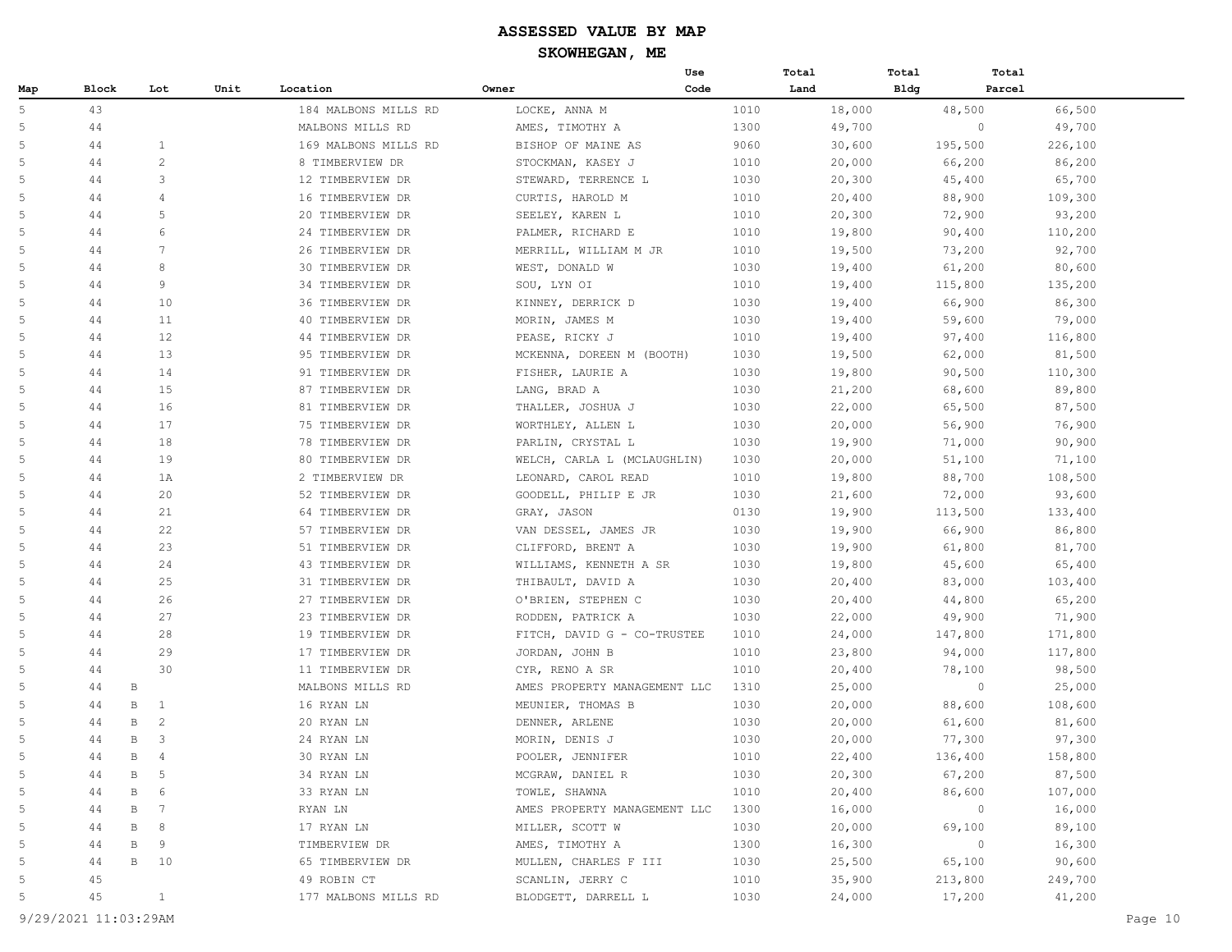|     |       |                      |      |                      |                              | Use  | Total |        | Total | Total   |         |
|-----|-------|----------------------|------|----------------------|------------------------------|------|-------|--------|-------|---------|---------|
| Map | Block | Lot                  | Unit | Location             | Owner                        | Code | Land  |        | Bldg  | Parcel  |         |
| 5   | 43    |                      |      | 184 MALBONS MILLS RD | LOCKE, ANNA M                |      | 1010  | 18,000 |       | 48,500  | 66,500  |
| 5   | 44    |                      |      | MALBONS MILLS RD     | AMES, TIMOTHY A              |      | 1300  | 49,700 |       | $\circ$ | 49,700  |
| 5   | 44    | 1                    |      | 169 MALBONS MILLS RD | BISHOP OF MAINE AS           |      | 9060  | 30,600 |       | 195,500 | 226,100 |
| 5   | 44    | $\overline{c}$       |      | 8 TIMBERVIEW DR      | STOCKMAN, KASEY J            |      | 1010  | 20,000 |       | 66,200  | 86,200  |
| 5   | 44    | 3                    |      | 12 TIMBERVIEW DR     | STEWARD, TERRENCE L          |      | 1030  | 20,300 |       | 45,400  | 65,700  |
| 5   | 44    | $\overline{4}$       |      | 16 TIMBERVIEW DR     | CURTIS, HAROLD M             |      | 1010  | 20,400 |       | 88,900  | 109,300 |
| 5   | 44    | 5                    |      | 20 TIMBERVIEW DR     | SEELEY, KAREN L              |      | 1010  | 20,300 |       | 72,900  | 93,200  |
| 5   | 44    | 6                    |      | 24 TIMBERVIEW DR     | PALMER, RICHARD E            |      | 1010  | 19,800 |       | 90,400  | 110,200 |
| 5   | 44    | $\overline{7}$       |      | 26 TIMBERVIEW DR     | MERRILL, WILLIAM M JR        |      | 1010  | 19,500 |       | 73,200  | 92,700  |
| 5   | 44    | 8                    |      | 30 TIMBERVIEW DR     | WEST, DONALD W               |      | 1030  | 19,400 |       | 61,200  | 80,600  |
| 5   | 44    | 9                    |      | 34 TIMBERVIEW DR     | SOU, LYN OI                  |      | 1010  | 19,400 |       | 115,800 | 135,200 |
| 5   | 44    | 10                   |      | 36 TIMBERVIEW DR     | KINNEY, DERRICK D            |      | 1030  | 19,400 |       | 66,900  | 86,300  |
| 5   | 44    | 11                   |      | 40 TIMBERVIEW DR     | MORIN, JAMES M               |      | 1030  | 19,400 |       | 59,600  | 79,000  |
| 5   | 44    | 12                   |      | 44 TIMBERVIEW DR     | PEASE, RICKY J               |      | 1010  | 19,400 |       | 97,400  | 116,800 |
| 5   | 44    | 13                   |      | 95 TIMBERVIEW DR     | MCKENNA, DOREEN M (BOOTH)    |      | 1030  | 19,500 |       | 62,000  | 81,500  |
| 5   | 44    | 14                   |      | 91 TIMBERVIEW DR     | FISHER, LAURIE A             |      | 1030  | 19,800 |       | 90,500  | 110,300 |
| 5   | 44    | 15                   |      | 87 TIMBERVIEW DR     | LANG, BRAD A                 |      | 1030  | 21,200 |       | 68,600  | 89,800  |
| 5   | 44    | 16                   |      | 81 TIMBERVIEW DR     | THALLER, JOSHUA J            |      | 1030  | 22,000 |       | 65,500  | 87,500  |
| 5   | 44    | 17                   |      | 75 TIMBERVIEW DR     | WORTHLEY, ALLEN L            |      | 1030  | 20,000 |       | 56,900  | 76,900  |
| 5   | 44    | 18                   |      | 78 TIMBERVIEW DR     | PARLIN, CRYSTAL L            |      | 1030  | 19,900 |       | 71,000  | 90,900  |
| 5   | 44    | 19                   |      | 80 TIMBERVIEW DR     | WELCH, CARLA L (MCLAUGHLIN)  |      | 1030  | 20,000 |       | 51,100  | 71,100  |
| 5   | 44    | 1A                   |      | 2 TIMBERVIEW DR      | LEONARD, CAROL READ          |      | 1010  | 19,800 |       | 88,700  | 108,500 |
| 5   | 44    | 20                   |      | 52 TIMBERVIEW DR     | GOODELL, PHILIP E JR         |      | 1030  | 21,600 |       | 72,000  | 93,600  |
| 5   | 44    | 21                   |      | 64 TIMBERVIEW DR     | GRAY, JASON                  |      | 0130  | 19,900 |       | 113,500 | 133,400 |
| 5   | 44    | 22                   |      | 57 TIMBERVIEW DR     | VAN DESSEL, JAMES JR         |      | 1030  | 19,900 |       | 66,900  | 86,800  |
| 5   | 44    | 23                   |      | 51 TIMBERVIEW DR     | CLIFFORD, BRENT A            |      | 1030  | 19,900 |       | 61,800  | 81,700  |
| 5   | 44    | 24                   |      | 43 TIMBERVIEW DR     | WILLIAMS, KENNETH A SR       |      | 1030  | 19,800 |       | 45,600  | 65,400  |
| 5   | 44    | 25                   |      | 31 TIMBERVIEW DR     | THIBAULT, DAVID A            |      | 1030  | 20,400 |       | 83,000  | 103,400 |
| 5   | 44    | 26                   |      | 27 TIMBERVIEW DR     | O'BRIEN, STEPHEN C           |      | 1030  | 20,400 |       | 44,800  | 65,200  |
| 5   | 44    | 27                   |      | 23 TIMBERVIEW DR     | RODDEN, PATRICK A            |      | 1030  | 22,000 |       | 49,900  | 71,900  |
| 5   | 44    | 28                   |      | 19 TIMBERVIEW DR     | FITCH, DAVID G - CO-TRUSTEE  |      | 1010  | 24,000 |       | 147,800 | 171,800 |
| 5   | 44    | 29                   |      | 17 TIMBERVIEW DR     | JORDAN, JOHN B               |      | 1010  | 23,800 |       | 94,000  | 117,800 |
| 5   | 44    | 30                   |      | 11 TIMBERVIEW DR     | CYR, RENO A SR               |      | 1010  | 20,400 |       | 78,100  | 98,500  |
| 5   | 44    | $\, {\bf B}$         |      | MALBONS MILLS RD     | AMES PROPERTY MANAGEMENT LLC |      | 1310  | 25,000 |       | $\circ$ | 25,000  |
| 5   | 44    | B<br>1               |      | 16 RYAN LN           | MEUNIER, THOMAS B            |      | 1030  | 20,000 |       | 88,600  | 108,600 |
| 5   | 44    | 2<br>B               |      | 20 RYAN LN           | DENNER, ARLENE               |      | 1030  | 20,000 |       | 61,600  | 81,600  |
| 5   | 44    | 3<br>B               |      | 24 RYAN LN           | MORIN, DENIS J               |      | 1030  | 20,000 |       | 77,300  | 97,300  |
| 5   | 44    | $\, {\bf B}$<br>4    |      | 30 RYAN LN           | POOLER, JENNIFER             |      | 1010  | 22,400 |       | 136,400 | 158,800 |
| 5   | 44    | В<br>5               |      | 34 RYAN LN           | MCGRAW, DANIEL R             |      | 1030  | 20,300 |       | 67,200  | 87,500  |
| 5   | 44    | 6<br>B               |      | 33 RYAN LN           | TOWLE, SHAWNA                |      | 1010  | 20,400 |       | 86,600  | 107,000 |
| 5   | 44    | B<br>$7\phantom{.0}$ |      | RYAN LN              | AMES PROPERTY MANAGEMENT LLC |      | 1300  | 16,000 |       | $\circ$ | 16,000  |
| 5   | 44    | 8<br>B               |      | 17 RYAN LN           | MILLER, SCOTT W              |      | 1030  | 20,000 |       | 69,100  | 89,100  |
| 5   | 44    | B<br>9               |      | TIMBERVIEW DR        | AMES, TIMOTHY A              |      | 1300  | 16,300 |       | $\circ$ | 16,300  |
| 5   | 44    | $\, {\bf B}$<br>10   |      | 65 TIMBERVIEW DR     | MULLEN, CHARLES F III        |      | 1030  | 25,500 |       | 65,100  | 90,600  |
| 5   | 45    |                      |      | 49 ROBIN CT          | SCANLIN, JERRY C             |      | 1010  | 35,900 |       | 213,800 | 249,700 |
| 5   | 45    | $\mathbf{1}$         |      | 177 MALBONS MILLS RD | BLODGETT, DARRELL L          |      | 1030  | 24,000 |       | 17,200  | 41,200  |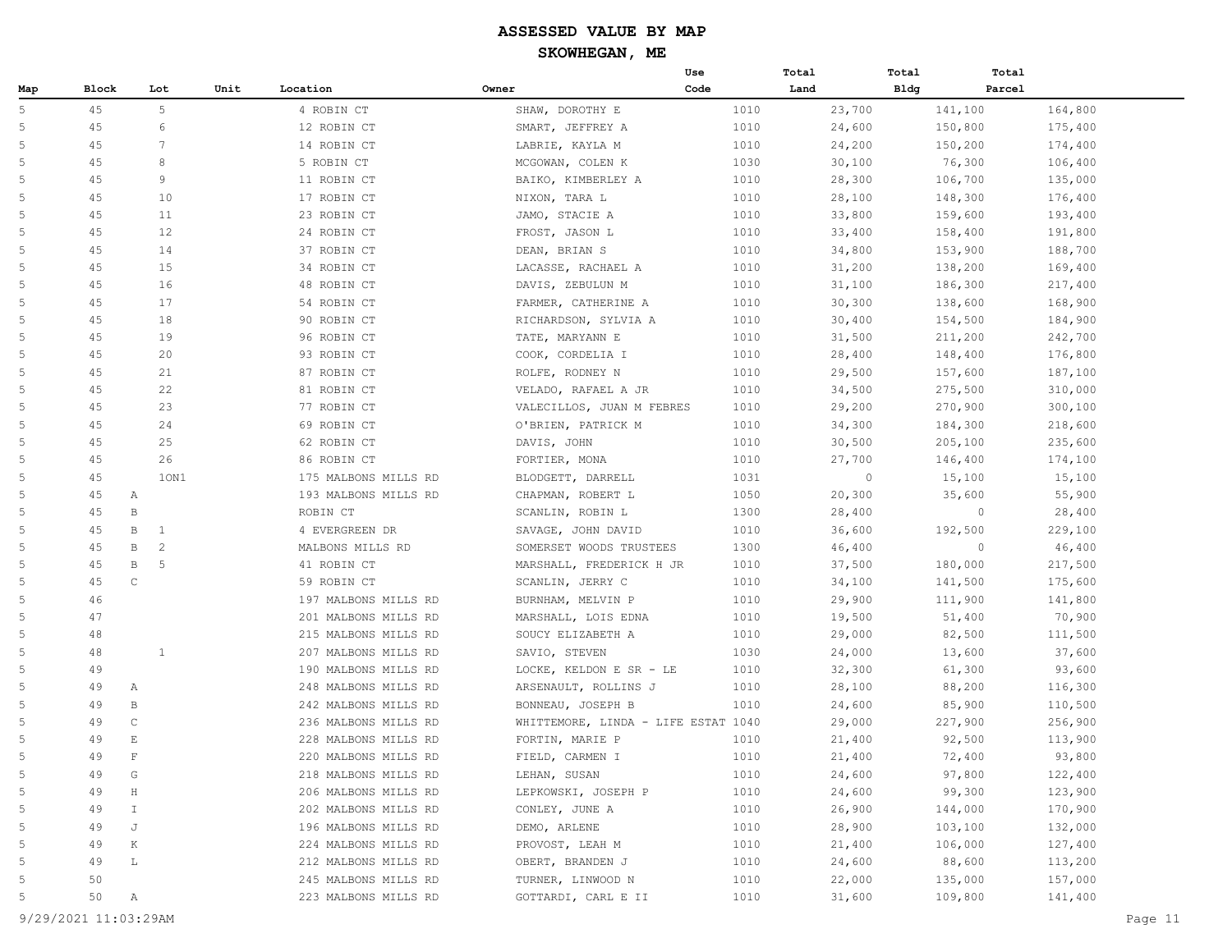|                |       |                                |      |                      |                                     | Use  | Total   | Total       | Total             |  |
|----------------|-------|--------------------------------|------|----------------------|-------------------------------------|------|---------|-------------|-------------------|--|
| Map            | Block | Lot                            | Unit | Location             | Owner                               | Code | Land    | <b>Bldg</b> | Parcel            |  |
| 5              | 45    | 5                              |      | 4 ROBIN CT           | SHAW, DOROTHY E                     | 1010 | 23,700  | 141,100     | 164,800           |  |
| 5              | 45    | 6                              |      | 12 ROBIN CT          | SMART, JEFFREY A                    | 1010 | 24,600  | 150,800     | 175,400           |  |
| 5              | 45    | $7\phantom{.0}$                |      | 14 ROBIN CT          | LABRIE, KAYLA M                     | 1010 | 24,200  | 150,200     | 174,400           |  |
| 5              | 45    | 8                              |      | 5 ROBIN CT           | MCGOWAN, COLEN K                    | 1030 | 30,100  |             | 76,300<br>106,400 |  |
| $\overline{5}$ | 45    | 9                              |      | 11 ROBIN CT          | BAIKO, KIMBERLEY A                  | 1010 | 28,300  | 106,700     | 135,000           |  |
| $\overline{5}$ | 45    | 10                             |      | 17 ROBIN CT          | NIXON, TARA L                       | 1010 | 28,100  | 148,300     | 176,400           |  |
| 5              | 45    | 11                             |      | 23 ROBIN CT          | JAMO, STACIE A                      | 1010 | 33,800  | 159,600     | 193,400           |  |
| 5              | 45    | 12                             |      | 24 ROBIN CT          | FROST, JASON L                      | 1010 | 33,400  | 158,400     | 191,800           |  |
| 5              | 45    | 14                             |      | 37 ROBIN CT          | DEAN, BRIAN S                       | 1010 | 34,800  | 153,900     | 188,700           |  |
| 5              | 45    | 15                             |      | 34 ROBIN CT          | LACASSE, RACHAEL A                  | 1010 | 31,200  | 138,200     | 169,400           |  |
| 5              | 45    | 16                             |      | 48 ROBIN CT          | DAVIS, ZEBULUN M                    | 1010 | 31,100  | 186,300     | 217,400           |  |
| 5              | 45    | 17                             |      | 54 ROBIN CT          | FARMER, CATHERINE A                 | 1010 | 30,300  | 138,600     | 168,900           |  |
| $\overline{5}$ | 45    | 18                             |      | 90 ROBIN CT          | RICHARDSON, SYLVIA A                | 1010 | 30,400  | 154,500     | 184,900           |  |
| $\overline{5}$ | 45    | 19                             |      | 96 ROBIN CT          | TATE, MARYANN E                     | 1010 | 31,500  | 211,200     | 242,700           |  |
| 5              | 45    | 20                             |      | 93 ROBIN CT          | COOK, CORDELIA I                    | 1010 | 28,400  | 148,400     | 176,800           |  |
| 5              | 45    | 21                             |      | 87 ROBIN CT          | ROLFE, RODNEY N                     | 1010 | 29,500  | 157,600     | 187,100           |  |
| 5              | 45    | 22                             |      | 81 ROBIN CT          | VELADO, RAFAEL A JR                 | 1010 | 34,500  | 275,500     | 310,000           |  |
| 5              | 45    | 23                             |      | 77 ROBIN CT          | VALECILLOS, JUAN M FEBRES           | 1010 | 29,200  | 270,900     | 300,100           |  |
| 5              | 45    | 24                             |      | 69 ROBIN CT          | O'BRIEN, PATRICK M                  | 1010 | 34,300  | 184,300     | 218,600           |  |
| 5              | 45    | 25                             |      | 62 ROBIN CT          | DAVIS, JOHN                         | 1010 | 30,500  | 205,100     | 235,600           |  |
| $\overline{5}$ | 45    | 26                             |      | 86 ROBIN CT          | FORTIER, MONA                       | 1010 | 27,700  | 146,400     | 174,100           |  |
| 5              | 45    | 10N1                           |      | 175 MALBONS MILLS RD | BLODGETT, DARRELL                   | 1031 | $\circ$ | 15,100      | 15,100            |  |
| 5              | 45    | $\mathbb{A}$                   |      | 193 MALBONS MILLS RD | CHAPMAN, ROBERT L                   | 1050 | 20,300  |             | 35,600<br>55,900  |  |
| 5              | 45    | $\, {\bf B}$                   |      | ROBIN CT             | SCANLIN, ROBIN L                    | 1300 | 28,400  |             | $\circ$<br>28,400 |  |
| 5              | 45    | B<br>1                         |      | 4 EVERGREEN DR       | SAVAGE, JOHN DAVID                  | 1010 | 36,600  | 192,500     | 229,100           |  |
| 5              | 45    | $\, {\bf B}$<br>$\overline{2}$ |      | MALBONS MILLS RD     | SOMERSET WOODS TRUSTEES             | 1300 | 46,400  |             | $\circ$<br>46,400 |  |
| 5              | 45    | $\, {\bf B}$<br>5              |      | 41 ROBIN CT          | MARSHALL, FREDERICK H JR            | 1010 | 37,500  | 180,000     | 217,500           |  |
| 5              | 45    | $\mathsf C$                    |      | 59 ROBIN CT          | SCANLIN, JERRY C                    | 1010 | 34,100  | 141,500     | 175,600           |  |
| $\overline{5}$ | 46    |                                |      | 197 MALBONS MILLS RD | BURNHAM, MELVIN P                   | 1010 | 29,900  | 111,900     | 141,800           |  |
| 5              | 47    |                                |      | 201 MALBONS MILLS RD | MARSHALL, LOIS EDNA                 | 1010 | 19,500  |             | 51,400<br>70,900  |  |
| 5              | 48    |                                |      | 215 MALBONS MILLS RD | SOUCY ELIZABETH A                   | 1010 | 29,000  |             | 82,500<br>111,500 |  |
| 5              | 48    | $\mathbf{1}$                   |      | 207 MALBONS MILLS RD | SAVIO, STEVEN                       | 1030 | 24,000  |             | 13,600<br>37,600  |  |
| 5              | 49    |                                |      | 190 MALBONS MILLS RD | LOCKE, KELDON E SR - LE             | 1010 | 32,300  |             | 61,300<br>93,600  |  |
| 5              | 49    | А                              |      | 248 MALBONS MILLS RD | ARSENAULT, ROLLINS J                | 1010 | 28,100  |             | 88,200<br>116,300 |  |
| 5              | 49    | B                              |      | 242 MALBONS MILLS RD | BONNEAU, JOSEPH B                   | 1010 | 24,600  |             | 85,900<br>110,500 |  |
| 5              | 49    | $\mathbb C$                    |      | 236 MALBONS MILLS RD | WHITTEMORE, LINDA - LIFE ESTAT 1040 |      | 29,000  | 227,900     | 256,900           |  |
| $\overline{5}$ | 49    | $\mathbf E$                    |      | 228 MALBONS MILLS RD | FORTIN, MARIE P                     | 1010 | 21,400  |             | 92,500<br>113,900 |  |
| 5              | 49    | $\mathbf F$                    |      | 220 MALBONS MILLS RD | FIELD, CARMEN I                     | 1010 | 21,400  |             | 93,800<br>72,400  |  |
| $\overline{5}$ | 49    | G                              |      | 218 MALBONS MILLS RD | LEHAN, SUSAN                        | 1010 | 24,600  |             | 97,800<br>122,400 |  |
| $\overline{5}$ | 49    | $\rm H$                        |      | 206 MALBONS MILLS RD | LEPKOWSKI, JOSEPH P                 | 1010 | 24,600  |             | 99,300<br>123,900 |  |
| 5              | 49    | $\mathbbm{1}$                  |      | 202 MALBONS MILLS RD | CONLEY, JUNE A                      | 1010 | 26,900  | 144,000     | 170,900           |  |
| 5              | 49    | J                              |      | 196 MALBONS MILLS RD | DEMO, ARLENE                        | 1010 | 28,900  | 103,100     | 132,000           |  |
| 5              | 49    | $\rm K$                        |      | 224 MALBONS MILLS RD | PROVOST, LEAH M                     | 1010 | 21,400  | 106,000     | 127,400           |  |
| 5              | 49    | L                              |      | 212 MALBONS MILLS RD | OBERT, BRANDEN J                    | 1010 | 24,600  |             | 88,600<br>113,200 |  |
| 5              | 50    |                                |      | 245 MALBONS MILLS RD | TURNER, LINWOOD N                   | 1010 | 22,000  | 135,000     | 157,000           |  |
| $\overline{5}$ | 50    | Α                              |      | 223 MALBONS MILLS RD | GOTTARDI, CARL E II                 | 1010 | 31,600  | 109,800     | 141,400           |  |
|                |       |                                |      |                      |                                     |      |         |             |                   |  |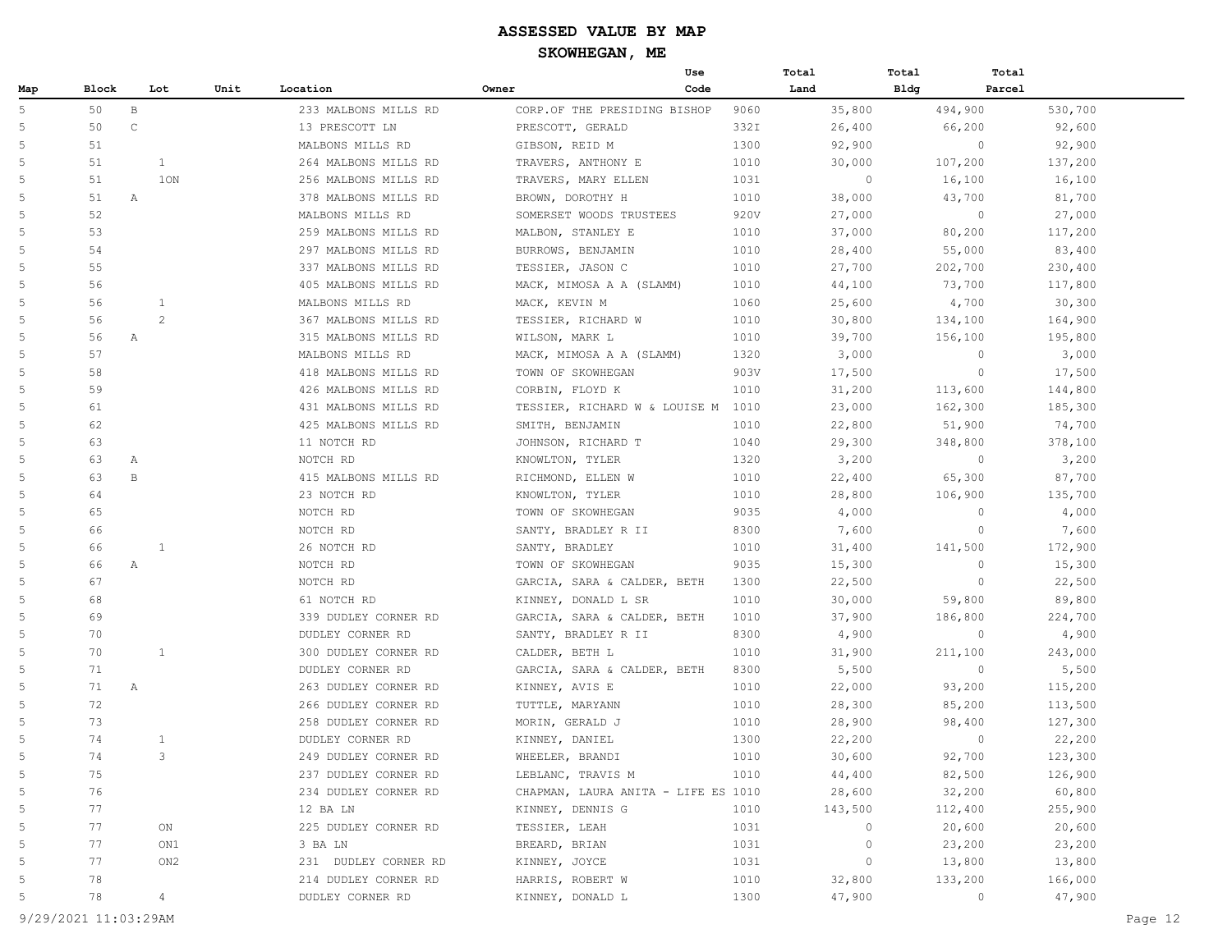|                |         |              |                 |                      |                                     | Use  | Total   | Total       | Total   |
|----------------|---------|--------------|-----------------|----------------------|-------------------------------------|------|---------|-------------|---------|
| Map            | Block   |              | Lot<br>Unit     | Location             | Owner                               | Code | Land    | <b>Bldg</b> | Parcel  |
| 5              | 50      | $\, {\bf B}$ |                 | 233 MALBONS MILLS RD | CORP.OF THE PRESIDING BISHOP        | 9060 | 35,800  | 494,900     | 530,700 |
| 5              | 50      | $\mathsf C$  |                 | 13 PRESCOTT LN       | PRESCOTT, GERALD                    | 332I | 26,400  | 66,200      | 92,600  |
| 5              | 51      |              |                 | MALBONS MILLS RD     | GIBSON, REID M                      | 1300 | 92,900  | $\circ$     | 92,900  |
| 5              | 51      |              | $\mathbf{1}$    | 264 MALBONS MILLS RD | TRAVERS, ANTHONY E                  | 1010 | 30,000  | 107,200     | 137,200 |
| 5              | 51      |              | 10N             | 256 MALBONS MILLS RD | TRAVERS, MARY ELLEN                 | 1031 | $\circ$ | 16,100      | 16,100  |
| $\overline{5}$ | 51      | $\mathbb{A}$ |                 | 378 MALBONS MILLS RD | BROWN, DOROTHY H                    | 1010 | 38,000  | 43,700      | 81,700  |
| 5              | 52      |              |                 | MALBONS MILLS RD     | SOMERSET WOODS TRUSTEES             | 920V | 27,000  | $\circ$     | 27,000  |
| 5              | 53      |              |                 | 259 MALBONS MILLS RD | MALBON, STANLEY E                   | 1010 | 37,000  | 80,200      | 117,200 |
| 5              | 54      |              |                 | 297 MALBONS MILLS RD | BURROWS, BENJAMIN                   | 1010 | 28,400  | 55,000      | 83,400  |
| 5              | 55      |              |                 | 337 MALBONS MILLS RD | TESSIER, JASON C                    | 1010 | 27,700  | 202,700     | 230,400 |
| 5              | 56      |              |                 | 405 MALBONS MILLS RD | MACK, MIMOSA A A (SLAMM)            | 1010 | 44,100  | 73,700      | 117,800 |
| 5              | 56      |              | 1               | MALBONS MILLS RD     | MACK, KEVIN M                       | 1060 | 25,600  | 4,700       | 30,300  |
| 5              | 56      |              | $\overline{c}$  | 367 MALBONS MILLS RD | TESSIER, RICHARD W                  | 1010 | 30,800  | 134,100     | 164,900 |
| 5              | 56      | A            |                 | 315 MALBONS MILLS RD | WILSON, MARK L                      | 1010 | 39,700  | 156,100     | 195,800 |
| 5              | 57      |              |                 | MALBONS MILLS RD     | MACK, MIMOSA A A (SLAMM)            | 1320 | 3,000   | $\circ$     | 3,000   |
| 5              | 58      |              |                 | 418 MALBONS MILLS RD | TOWN OF SKOWHEGAN                   | 903V | 17,500  | $\circ$     | 17,500  |
| 5              | 59      |              |                 | 426 MALBONS MILLS RD | CORBIN, FLOYD K                     | 1010 | 31,200  | 113,600     | 144,800 |
| 5              | 61      |              |                 | 431 MALBONS MILLS RD | TESSIER, RICHARD W & LOUISE M       | 1010 | 23,000  | 162,300     | 185,300 |
| 5              | 62      |              |                 | 425 MALBONS MILLS RD | SMITH, BENJAMIN                     | 1010 | 22,800  | 51,900      | 74,700  |
| 5              | 63      |              |                 | 11 NOTCH RD          | JOHNSON, RICHARD T                  | 1040 | 29,300  | 348,800     | 378,100 |
| 5              | 63<br>Α |              |                 | NOTCH RD             | KNOWLTON, TYLER                     | 1320 | 3,200   | $\circ$     | 3,200   |
| 5              | 63      | $\mathbf{B}$ |                 | 415 MALBONS MILLS RD | RICHMOND, ELLEN W                   | 1010 | 22,400  | 65,300      | 87,700  |
| 5              | 64      |              |                 | 23 NOTCH RD          | KNOWLTON, TYLER                     | 1010 | 28,800  | 106,900     | 135,700 |
| 5              | 65      |              |                 | NOTCH RD             | TOWN OF SKOWHEGAN                   | 9035 | 4,000   | $\circ$     | 4,000   |
| 5              | 66      |              |                 | NOTCH RD             | SANTY, BRADLEY R II                 | 8300 | 7,600   | $\circ$     | 7,600   |
| 5              | 66      |              | 1               | 26 NOTCH RD          | SANTY, BRADLEY                      | 1010 | 31,400  | 141,500     | 172,900 |
| 5              | 66<br>Α |              |                 | NOTCH RD             | TOWN OF SKOWHEGAN                   | 9035 | 15,300  | $\circ$     | 15,300  |
| 5              | 67      |              |                 | NOTCH RD             | GARCIA, SARA & CALDER, BETH         | 1300 | 22,500  | $\circ$     | 22,500  |
| 5              | 68      |              |                 | 61 NOTCH RD          | KINNEY, DONALD L SR                 | 1010 | 30,000  | 59,800      | 89,800  |
| 5              | 69      |              |                 | 339 DUDLEY CORNER RD | GARCIA, SARA & CALDER, BETH         | 1010 | 37,900  | 186,800     | 224,700 |
| 5              | 70      |              |                 | DUDLEY CORNER RD     | SANTY, BRADLEY R II                 | 8300 | 4,900   | $\circ$     | 4,900   |
| 5              | 70      |              | 1               | 300 DUDLEY CORNER RD | CALDER, BETH L                      | 1010 | 31,900  | 211,100     | 243,000 |
| 5              | 71      |              |                 | DUDLEY CORNER RD     | GARCIA, SARA & CALDER, BETH         | 8300 | 5,500   | $\circ$     | 5,500   |
| 5              | 71      | $\mathbb{A}$ |                 | 263 DUDLEY CORNER RD | KINNEY, AVIS E                      | 1010 | 22,000  | 93,200      | 115,200 |
| 5              | 72      |              |                 | 266 DUDLEY CORNER RD | TUTTLE, MARYANN                     | 1010 | 28,300  | 85,200      | 113,500 |
| 5              | 73      |              |                 | 258 DUDLEY CORNER RD | MORIN, GERALD J                     | 1010 | 28,900  | 98,400      | 127,300 |
| 5              | 74      |              | $\mathbf{1}$    | DUDLEY CORNER RD     | KINNEY, DANIEL                      | 1300 | 22,200  | $\circ$     | 22,200  |
| 5              | 74      |              | 3               | 249 DUDLEY CORNER RD | WHEELER, BRANDI                     | 1010 | 30,600  | 92,700      | 123,300 |
| $\overline{5}$ | 75      |              |                 | 237 DUDLEY CORNER RD | LEBLANC, TRAVIS M                   | 1010 | 44,400  | 82,500      | 126,900 |
| 5              | 76      |              |                 | 234 DUDLEY CORNER RD | CHAPMAN, LAURA ANITA - LIFE ES 1010 |      | 28,600  | 32,200      | 60,800  |
| 5              | 77      |              |                 | 12 BA LN             | KINNEY, DENNIS G                    | 1010 | 143,500 | 112,400     | 255,900 |
| 5              | 77      |              | ON              | 225 DUDLEY CORNER RD | TESSIER, LEAH                       | 1031 | 0       | 20,600      | 20,600  |
| 5              | 77      |              | ON1             | 3 BA LN              | BREARD, BRIAN                       | 1031 | 0       | 23,200      | 23,200  |
| 5              | 77      |              | ON <sub>2</sub> | 231 DUDLEY CORNER RD | KINNEY, JOYCE                       | 1031 | 0       | 13,800      | 13,800  |
| 5              | 78      |              |                 | 214 DUDLEY CORNER RD | HARRIS, ROBERT W                    | 1010 | 32,800  | 133,200     | 166,000 |
| $\overline{5}$ | 78      |              | 4               | DUDLEY CORNER RD     | KINNEY, DONALD L                    | 1300 | 47,900  | $\circ$     | 47,900  |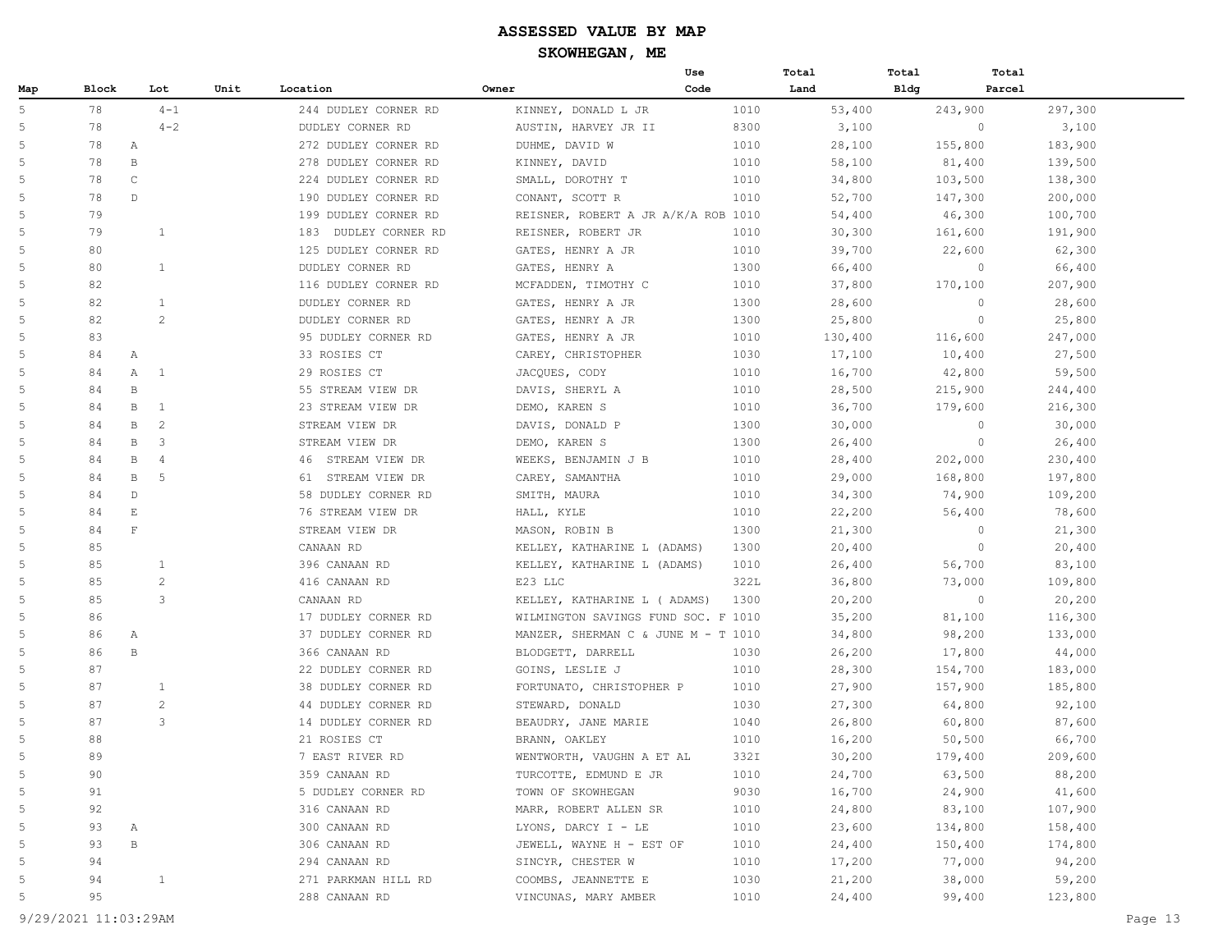|     |       |                        |      |                         |                                     | Use  | Total   | Total       | Total             |
|-----|-------|------------------------|------|-------------------------|-------------------------------------|------|---------|-------------|-------------------|
| Map | Block | Lot                    | Unit | Location                | Owner                               | Code | Land    | <b>Bldg</b> | Parcel            |
| 5   | 78    | $4 - 1$                |      | 244 DUDLEY CORNER RD    | KINNEY, DONALD L JR                 | 1010 | 53,400  | 243,900     | 297,300           |
| 5   | 78    | $4 - 2$                |      | DUDLEY CORNER RD        | AUSTIN, HARVEY JR II                | 8300 | 3,100   |             | $\circ$<br>3,100  |
| 5   | 78    | Α                      |      | 272 DUDLEY CORNER RD    | DUHME, DAVID W                      | 1010 | 28,100  | 155,800     | 183,900           |
| 5   | 78    | B                      |      | 278 DUDLEY CORNER RD    | KINNEY, DAVID                       | 1010 | 58,100  | 81,400      | 139,500           |
| 5   | 78    | $\mathsf{C}$           |      | 224 DUDLEY CORNER RD    | SMALL, DOROTHY T                    | 1010 | 34,800  | 103,500     | 138,300           |
| 5   | 78    | $\mathbb{D}$           |      | 190 DUDLEY CORNER RD    | CONANT, SCOTT R                     | 1010 | 52,700  | 147,300     | 200,000           |
| 5   | 79    |                        |      | 199 DUDLEY CORNER RD    | REISNER, ROBERT A JR A/K/A ROB 1010 |      | 54,400  | 46,300      | 100,700           |
| 5   | 79    | $\mathbf{1}$           |      | 183<br>DUDLEY CORNER RD | REISNER, ROBERT JR                  | 1010 | 30,300  | 161,600     | 191,900           |
| 5   | 80    |                        |      | 125 DUDLEY CORNER RD    | GATES, HENRY A JR                   | 1010 | 39,700  | 22,600      | 62,300            |
| 5   | 80    | 1                      |      | DUDLEY CORNER RD        | GATES, HENRY A                      | 1300 | 66,400  |             | $\circ$<br>66,400 |
| 5   | 82    |                        |      | 116 DUDLEY CORNER RD    | MCFADDEN, TIMOTHY C                 | 1010 | 37,800  | 170,100     | 207,900           |
| 5   | 82    | $\mathbf{1}$           |      | DUDLEY CORNER RD        | GATES, HENRY A JR                   | 1300 | 28,600  |             | $\circ$<br>28,600 |
| 5   | 82    | $\overline{c}$         |      | DUDLEY CORNER RD        | GATES, HENRY A JR                   | 1300 | 25,800  |             | $\circ$<br>25,800 |
| 5   | 83    |                        |      | 95 DUDLEY CORNER RD     | GATES, HENRY A JR                   | 1010 | 130,400 | 116,600     | 247,000           |
| 5   | 84    | $\mathbb{A}$           |      | 33 ROSIES CT            | CAREY, CHRISTOPHER                  | 1030 | 17,100  | 10,400      | 27,500            |
| 5   | 84    | Α<br>1                 |      | 29 ROSIES CT            | JACQUES, CODY                       | 1010 | 16,700  | 42,800      | 59,500            |
| 5   | 84    | $\mathbf{B}$           |      | 55 STREAM VIEW DR       | DAVIS, SHERYL A                     | 1010 | 28,500  | 215,900     | 244,400           |
| 5   | 84    | B<br>1                 |      | 23 STREAM VIEW DR       | DEMO, KAREN S                       | 1010 | 36,700  | 179,600     | 216,300           |
| 5   | 84    | 2<br>B                 |      | STREAM VIEW DR          | DAVIS, DONALD P                     | 1300 | 30,000  |             | $\circ$<br>30,000 |
| 5   | 84    | $\mathbb B$<br>3       |      | STREAM VIEW DR          | DEMO, KAREN S                       | 1300 | 26,400  |             | $\circ$<br>26,400 |
| 5   | 84    | B<br>$\overline{4}$    |      | STREAM VIEW DR<br>46    | WEEKS, BENJAMIN J B                 | 1010 | 28,400  | 202,000     | 230,400           |
| 5   | 84    | $\mathbf{B}$<br>5      |      | 61<br>STREAM VIEW DR    | CAREY, SAMANTHA                     | 1010 | 29,000  | 168,800     | 197,800           |
| 5   | 84    | $\mathbb{D}$           |      | 58 DUDLEY CORNER RD     | SMITH, MAURA                        | 1010 | 34,300  | 74,900      | 109,200           |
| 5   | 84    | $\mathop{}\mathcal{E}$ |      | 76 STREAM VIEW DR       | HALL, KYLE                          | 1010 | 22,200  | 56,400      | 78,600            |
| 5   | 84    | $\mathbf{F}$           |      | STREAM VIEW DR          | MASON, ROBIN B                      | 1300 | 21,300  |             | $\circ$<br>21,300 |
| 5   | 85    |                        |      | CANAAN RD               | KELLEY, KATHARINE L (ADAMS)         | 1300 | 20,400  |             | $\circ$<br>20,400 |
| 5   | 85    | 1                      |      | 396 CANAAN RD           | KELLEY, KATHARINE L (ADAMS)         | 1010 | 26,400  | 56,700      | 83,100            |
| 5   | 85    | $\overline{c}$         |      | 416 CANAAN RD           | E23 LLC                             | 322L | 36,800  | 73,000      | 109,800           |
| 5   | 85    | 3                      |      | CANAAN RD               | KELLEY, KATHARINE L ( ADAMS)        | 1300 | 20,200  |             | $\circ$<br>20,200 |
| 5   | 86    |                        |      | 17 DUDLEY CORNER RD     | WILMINGTON SAVINGS FUND SOC. F 1010 |      | 35,200  | 81,100      | 116,300           |
| 5   | 86    | $\mathbb{A}$           |      | 37 DUDLEY CORNER RD     | MANZER, SHERMAN C & JUNE M - T 1010 |      | 34,800  | 98,200      | 133,000           |
| 5   | 86    | $\mathbf{B}$           |      | 366 CANAAN RD           | BLODGETT, DARRELL                   | 1030 | 26,200  | 17,800      | 44,000            |
| 5   | 87    |                        |      | 22 DUDLEY CORNER RD     | GOINS, LESLIE J                     | 1010 | 28,300  | 154,700     | 183,000           |
| 5   | 87    | $\mathbf{1}$           |      | 38 DUDLEY CORNER RD     | FORTUNATO, CHRISTOPHER P            | 1010 | 27,900  | 157,900     | 185,800           |
| 5   | 87    | $\overline{c}$         |      | 44 DUDLEY CORNER RD     | STEWARD, DONALD                     | 1030 | 27,300  | 64,800      | 92,100            |
| 5   | 87    | 3                      |      | 14 DUDLEY CORNER RD     | BEAUDRY, JANE MARIE                 | 1040 | 26,800  | 60,800      | 87,600            |
| 5   | 88    |                        |      | 21 ROSIES CT            | BRANN, OAKLEY                       | 1010 | 16,200  | 50,500      | 66,700            |
| 5   | 89    |                        |      | 7 EAST RIVER RD         | WENTWORTH, VAUGHN A ET AL           | 332I | 30,200  | 179,400     | 209,600           |
| 5   | 90    |                        |      | 359 CANAAN RD           | TURCOTTE, EDMUND E JR               | 1010 | 24,700  | 63,500      | 88,200            |
| 5   | 91    |                        |      | 5 DUDLEY CORNER RD      | TOWN OF SKOWHEGAN                   | 9030 | 16,700  | 24,900      | 41,600            |
| 5   | 92    |                        |      | 316 CANAAN RD           | MARR, ROBERT ALLEN SR               | 1010 | 24,800  | 83,100      | 107,900           |
| 5   | 93    | А                      |      | 300 CANAAN RD           | LYONS, DARCY I - LE                 | 1010 | 23,600  | 134,800     | 158,400           |
| 5   | 93    | $\, {\bf B}$           |      | 306 CANAAN RD           | JEWELL, WAYNE H - EST OF            | 1010 | 24,400  | 150,400     | 174,800           |
| 5   | 94    |                        |      | 294 CANAAN RD           | SINCYR, CHESTER W                   | 1010 | 17,200  | 77,000      | 94,200            |
| 5   | 94    | $\mathbf{1}$           |      | 271 PARKMAN HILL RD     | COOMBS, JEANNETTE E                 | 1030 | 21,200  | 38,000      | 59,200            |
| 5   | 95    |                        |      | 288 CANAAN RD           | VINCUNAS, MARY AMBER                | 1010 | 24,400  | 99,400      | 123,800           |
|     |       |                        |      |                         |                                     |      |         |             |                   |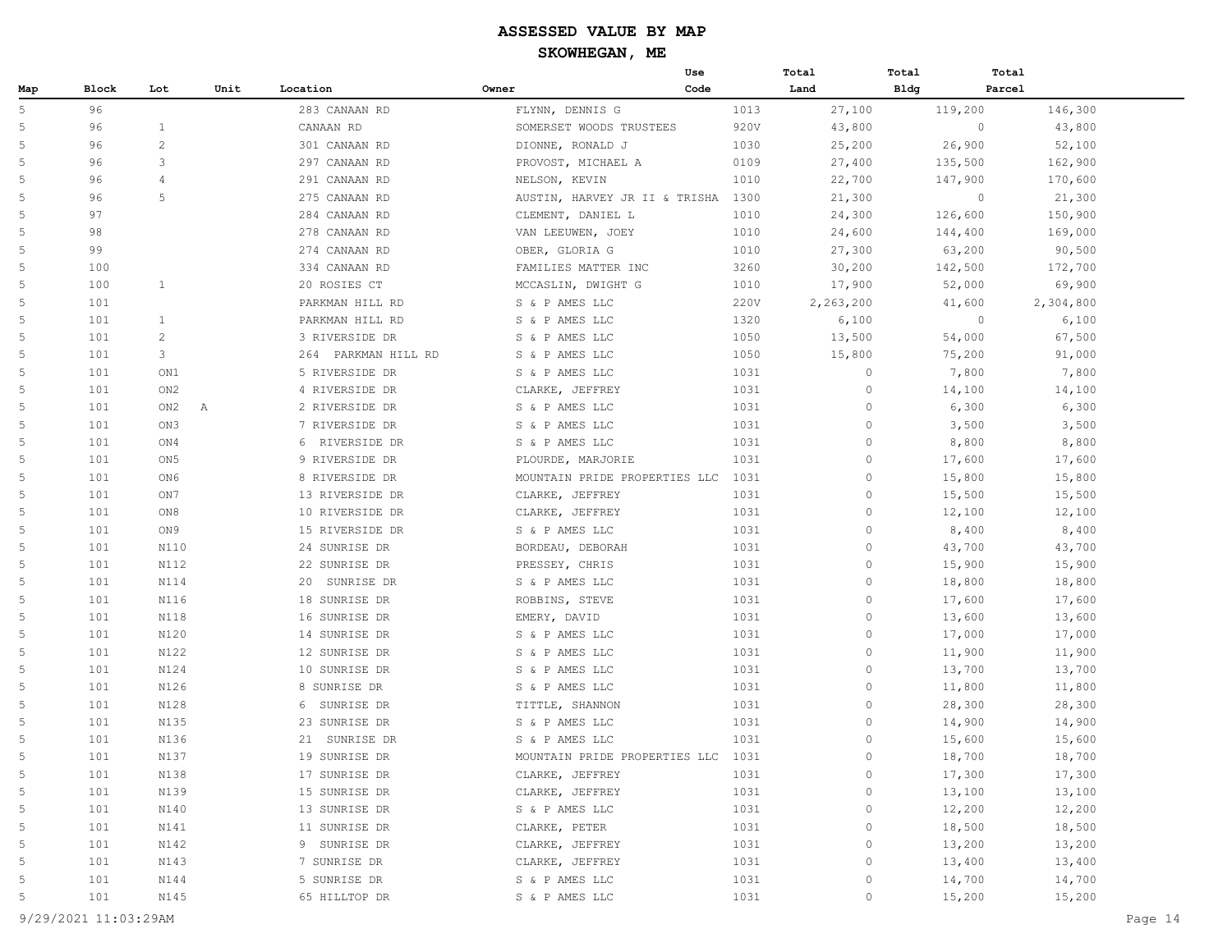|     |       |                 |      |                     |                                    | Use  | Total        | Total       | Total   |           |
|-----|-------|-----------------|------|---------------------|------------------------------------|------|--------------|-------------|---------|-----------|
| Map | Block | Lot             | Unit | Location            | Owner                              | Code | Land         | <b>Bldg</b> | Parcel  |           |
| 5   | 96    |                 |      | 283 CANAAN RD       | FLYNN, DENNIS G                    | 1013 | 27,100       | 119,200     |         | 146,300   |
| 5   | 96    | $\mathbf{1}$    |      | CANAAN RD           | SOMERSET WOODS TRUSTEES            | 920V | 43,800       |             | $\circ$ | 43,800    |
| 5   | 96    | $\overline{2}$  |      | 301 CANAAN RD       | DIONNE, RONALD J                   | 1030 | 25,200       |             | 26,900  | 52,100    |
| 5   | 96    | 3               |      | 297 CANAAN RD       | PROVOST, MICHAEL A                 | 0109 | 27,400       | 135,500     |         | 162,900   |
| 5   | 96    | $\overline{4}$  |      | 291 CANAAN RD       | NELSON, KEVIN                      | 1010 | 22,700       | 147,900     |         | 170,600   |
| 5   | 96    | 5               |      | 275 CANAAN RD       | AUSTIN, HARVEY JR II & TRISHA 1300 |      | 21,300       |             | $\circ$ | 21,300    |
| 5   | 97    |                 |      | 284 CANAAN RD       | CLEMENT, DANIEL L                  | 1010 | 24,300       | 126,600     |         | 150,900   |
| 5   | 98    |                 |      | 278 CANAAN RD       | VAN LEEUWEN, JOEY                  | 1010 | 24,600       | 144,400     |         | 169,000   |
| 5   | 99    |                 |      | 274 CANAAN RD       | OBER, GLORIA G                     | 1010 | 27,300       |             | 63,200  | 90,500    |
| 5   | 100   |                 |      | 334 CANAAN RD       | FAMILIES MATTER INC                | 3260 | 30,200       | 142,500     |         | 172,700   |
| 5   | 100   | $\mathbf{1}$    |      | 20 ROSIES CT        | MCCASLIN, DWIGHT G                 | 1010 | 17,900       |             | 52,000  | 69,900    |
| 5   | 101   |                 |      | PARKMAN HILL RD     | S & P AMES LLC                     | 220V | 2,263,200    |             | 41,600  | 2,304,800 |
| 5   | 101   | 1               |      | PARKMAN HILL RD     | S & P AMES LLC                     | 1320 | 6,100        |             | $\circ$ | 6,100     |
| 5   | 101   | $\overline{c}$  |      | 3 RIVERSIDE DR      | S & P AMES LLC                     | 1050 | 13,500       |             | 54,000  | 67,500    |
| 5   | 101   | 3               |      | 264 PARKMAN HILL RD | S & P AMES LLC                     | 1050 | 15,800       |             | 75,200  | 91,000    |
| 5   | 101   | ON1             |      | 5 RIVERSIDE DR      | S & P AMES LLC                     | 1031 | $\circ$      |             | 7,800   | 7,800     |
| 5   | 101   | ON <sub>2</sub> |      | 4 RIVERSIDE DR      | CLARKE, JEFFREY                    | 1031 | $\circ$      |             | 14,100  | 14,100    |
| 5   | 101   | ON2             | Α    | 2 RIVERSIDE DR      | S & P AMES LLC                     | 1031 | $\mathbf{0}$ |             | 6,300   | 6,300     |
| 5   | 101   | ON3             |      | 7 RIVERSIDE DR      | S & P AMES LLC                     | 1031 | $\circ$      |             | 3,500   | 3,500     |
| 5   | 101   | ON4             |      | 6 RIVERSIDE DR      | S & P AMES LLC                     | 1031 | $\circ$      |             | 8,800   | 8,800     |
| 5   | 101   | ON <sub>5</sub> |      | 9 RIVERSIDE DR      | PLOURDE, MARJORIE                  | 1031 | $\circ$      |             | 17,600  | 17,600    |
| 5   | 101   | ON6             |      | 8 RIVERSIDE DR      | MOUNTAIN PRIDE PROPERTIES LLC      | 1031 | $\circ$      |             | 15,800  | 15,800    |
| 5   | 101   | ON7             |      | 13 RIVERSIDE DR     | CLARKE, JEFFREY                    | 1031 | $\circ$      |             | 15,500  | 15,500    |
| 5   | 101   | ON8             |      | 10 RIVERSIDE DR     | CLARKE, JEFFREY                    | 1031 | $\circ$      |             | 12,100  | 12,100    |
| 5   | 101   | ON 9            |      | 15 RIVERSIDE DR     | S & P AMES LLC                     | 1031 | $\Omega$     |             | 8,400   | 8,400     |
| 5   | 101   | N110            |      | 24 SUNRISE DR       | BORDEAU, DEBORAH                   | 1031 | $\mathbf{0}$ |             | 43,700  | 43,700    |
| 5   | 101   | N112            |      | 22 SUNRISE DR       | PRESSEY, CHRIS                     | 1031 | $\circ$      |             | 15,900  | 15,900    |
| 5   | 101   | N114            |      | 20 SUNRISE DR       | S & P AMES LLC                     | 1031 | $\circ$      |             | 18,800  | 18,800    |
| 5   | 101   | N116            |      | 18 SUNRISE DR       | ROBBINS, STEVE                     | 1031 | $\circ$      |             | 17,600  | 17,600    |
| 5   | 101   | N118            |      | 16 SUNRISE DR       | EMERY, DAVID                       | 1031 | $\circ$      |             | 13,600  | 13,600    |
| 5   | 101   | N120            |      | 14 SUNRISE DR       | S & P AMES LLC                     | 1031 | $\circ$      |             | 17,000  | 17,000    |
| 5   | 101   | N122            |      | 12 SUNRISE DR       | S & P AMES LLC                     | 1031 | $\circ$      |             | 11,900  | 11,900    |
| 5   | 101   | N124            |      | 10 SUNRISE DR       | S & P AMES LLC                     | 1031 | $\circ$      |             | 13,700  | 13,700    |
| 5   | 101   | N126            |      | 8 SUNRISE DR        | S & P AMES LLC                     | 1031 | $\theta$     |             | 11,800  | 11,800    |
| 5   | 101   | N128            |      | 6 SUNRISE DR        | TITTLE, SHANNON                    | 1031 | $\circ$      |             | 28,300  | 28,300    |
| 5   | 101   | N135            |      | 23 SUNRISE DR       | S & P AMES LLC                     | 1031 | $\circ$      |             | 14,900  | 14,900    |
| 5   | 101   | N136            |      | 21 SUNRISE DR       | S & P AMES LLC                     | 1031 | 0            |             | 15,600  | 15,600    |
| 5   | 101   | N137            |      | 19 SUNRISE DR       | MOUNTAIN PRIDE PROPERTIES LLC      | 1031 | $\circ$      |             | 18,700  | 18,700    |
| 5   | 101   | N138            |      | 17 SUNRISE DR       | CLARKE, JEFFREY                    | 1031 | $\mathbb O$  |             | 17,300  | 17,300    |
| 5   | 101   | N139            |      | 15 SUNRISE DR       | CLARKE, JEFFREY                    | 1031 | $\mathbb O$  |             | 13,100  | 13,100    |
| 5   | 101   | N140            |      | 13 SUNRISE DR       | S & P AMES LLC                     | 1031 | $\mathbb O$  |             | 12,200  | 12,200    |
| 5   | 101   | N141            |      | 11 SUNRISE DR       | CLARKE, PETER                      | 1031 | $\mathbb O$  |             | 18,500  | 18,500    |
| 5   | 101   | N142            |      | 9 SUNRISE DR        | CLARKE, JEFFREY                    | 1031 | $\circ$      |             | 13,200  | 13,200    |
| 5   | 101   | N143            |      | 7 SUNRISE DR        | CLARKE, JEFFREY                    | 1031 | $\circ$      |             | 13,400  | 13,400    |
| 5   | 101   | N144            |      | 5 SUNRISE DR        | S & P AMES LLC                     | 1031 | $\mathbb O$  |             | 14,700  | 14,700    |
| 5   | 101   | N145            |      | 65 HILLTOP DR       | S & P AMES LLC                     | 1031 | $\mathbb O$  |             | 15,200  | 15,200    |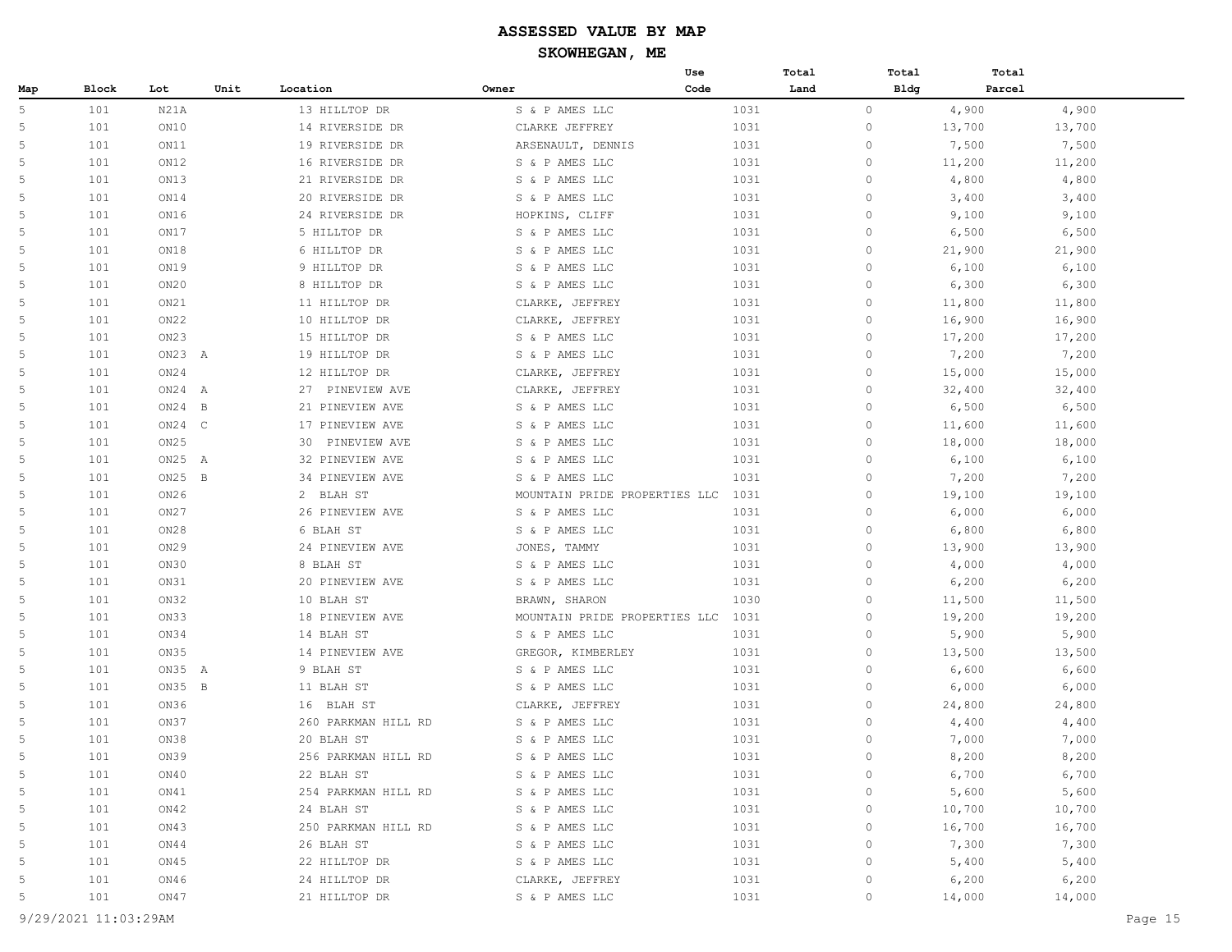|     |              |          |      |                     |                   | Use                           |      | Total       | Total       | Total  |        |
|-----|--------------|----------|------|---------------------|-------------------|-------------------------------|------|-------------|-------------|--------|--------|
| Map | <b>Block</b> | Lot      | Unit | Location            | Owner             | Code                          |      | Land        | <b>Bldg</b> | Parcel |        |
| 5   | 101          | N21A     |      | 13 HILLTOP DR       | S & P AMES LLC    |                               | 1031 | $\circ$     |             | 4,900  | 4,900  |
| 5   | 101          | ON10     |      | 14 RIVERSIDE DR     | CLARKE JEFFREY    |                               | 1031 | $\circ$     |             | 13,700 | 13,700 |
| 5   | 101          | ON11     |      | 19 RIVERSIDE DR     | ARSENAULT, DENNIS |                               | 1031 | $\circ$     |             | 7,500  | 7,500  |
| 5   | 101          | ON12     |      | 16 RIVERSIDE DR     | S & P AMES LLC    |                               | 1031 | $\circ$     |             | 11,200 | 11,200 |
| 5   | 101          | ON13     |      | 21 RIVERSIDE DR     | S & P AMES LLC    |                               | 1031 | $\circ$     |             | 4,800  | 4,800  |
| 5   | 101          | ON14     |      | 20 RIVERSIDE DR     | S & P AMES LLC    |                               | 1031 | $\circ$     |             | 3,400  | 3,400  |
| 5   | 101          | ON16     |      | 24 RIVERSIDE DR     | HOPKINS, CLIFF    |                               | 1031 | $\circ$     |             | 9,100  | 9,100  |
| 5   | 101          | ON17     |      | 5 HILLTOP DR        | S & P AMES LLC    |                               | 1031 | $\circ$     |             | 6,500  | 6,500  |
| 5   | 101          | ON18     |      | 6 HILLTOP DR        | S & P AMES LLC    |                               | 1031 | $\circ$     |             | 21,900 | 21,900 |
| 5   | 101          | ON19     |      | 9 HILLTOP DR        | S & P AMES LLC    |                               | 1031 | $\circ$     |             | 6,100  | 6,100  |
| 5   | 101          | ON20     |      | 8 HILLTOP DR        | S & P AMES LLC    |                               | 1031 | $\circ$     |             | 6,300  | 6,300  |
| 5   | 101          | ON21     |      | 11 HILLTOP DR       | CLARKE, JEFFREY   |                               | 1031 | $\circ$     |             | 11,800 | 11,800 |
| 5   | 101          | ON22     |      | 10 HILLTOP DR       | CLARKE, JEFFREY   |                               | 1031 | $\circ$     |             | 16,900 | 16,900 |
| 5   | 101          | ON23     |      | 15 HILLTOP DR       | S & P AMES LLC    |                               | 1031 | $\circ$     |             | 17,200 | 17,200 |
| 5   | 101          | ON23 A   |      | 19 HILLTOP DR       | S & P AMES LLC    |                               | 1031 | $\circ$     |             | 7,200  | 7,200  |
| 5   | 101          | ON24     |      | 12 HILLTOP DR       | CLARKE, JEFFREY   |                               | 1031 | $\circ$     |             | 15,000 | 15,000 |
| .5  | 101          | $ON24$ A |      | 27 PINEVIEW AVE     | CLARKE, JEFFREY   |                               | 1031 | $\circ$     |             | 32,400 | 32,400 |
| 5   | 101          | $ON24$ B |      | 21 PINEVIEW AVE     | S & P AMES LLC    |                               | 1031 | $\circ$     |             | 6,500  | 6,500  |
| 5   | 101          | $ON24$ C |      | 17 PINEVIEW AVE     | S & P AMES LLC    |                               | 1031 | $\circ$     |             | 11,600 | 11,600 |
| 5   | 101          | ON25     |      | 30 PINEVIEW AVE     | S & P AMES LLC    |                               | 1031 | $\circ$     |             | 18,000 | 18,000 |
| 5   | 101          | ON25 A   |      | 32 PINEVIEW AVE     | S & P AMES LLC    |                               | 1031 | $\circ$     |             | 6,100  | 6,100  |
| 5   | 101          | $ON25$ B |      | 34 PINEVIEW AVE     | S & P AMES LLC    |                               | 1031 | $\circ$     |             | 7,200  | 7,200  |
| 5   | 101          | ON26     |      | 2 BLAH ST           |                   | MOUNTAIN PRIDE PROPERTIES LLC | 1031 | $\circ$     |             | 19,100 | 19,100 |
| 5   | 101          | ON27     |      | 26 PINEVIEW AVE     | S & P AMES LLC    |                               | 1031 | $\circ$     |             | 6,000  | 6,000  |
| 5   | 101          | ON28     |      | 6 BLAH ST           | S & P AMES LLC    |                               | 1031 | $\circ$     |             | 6,800  | 6,800  |
| 5   | 101          | ON29     |      | 24 PINEVIEW AVE     | JONES, TAMMY      |                               | 1031 | $\circ$     |             | 13,900 | 13,900 |
| 5   | 101          | ON30     |      | 8 BLAH ST           | S & P AMES LLC    |                               | 1031 | $\circ$     |             | 4,000  | 4,000  |
| .5  | 101          | ON31     |      | 20 PINEVIEW AVE     | S & P AMES LLC    |                               | 1031 | $\circ$     |             | 6,200  | 6,200  |
| 5   | 101          | ON32     |      | 10 BLAH ST          | BRAWN, SHARON     |                               | 1030 | $\circ$     |             | 11,500 | 11,500 |
| 5   | 101          | ON33     |      | 18 PINEVIEW AVE     |                   | MOUNTAIN PRIDE PROPERTIES LLC | 1031 | $\circ$     |             | 19,200 | 19,200 |
| 5   | 101          | ON34     |      | 14 BLAH ST          | S & P AMES LLC    |                               | 1031 | $\circ$     |             | 5,900  | 5,900  |
| .5  | 101          | ON35     |      | 14 PINEVIEW AVE     | GREGOR, KIMBERLEY |                               | 1031 | $\circ$     |             | 13,500 | 13,500 |
| 5   | 101          | ON35 A   |      | 9 BLAH ST           | S & P AMES LLC    |                               | 1031 | $\circ$     |             | 6,600  | 6,600  |
| 5   | 101          | ON35 B   |      | 11 BLAH ST          | S & P AMES LLC    |                               | 1031 | $\circ$     |             | 6,000  | 6,000  |
| 5   | 101          | ON36     |      | 16 BLAH ST          | CLARKE, JEFFREY   |                               | 1031 | $\circ$     |             | 24,800 | 24,800 |
| 5   | 101          | ON37     |      | 260 PARKMAN HILL RD | S & P AMES LLC    |                               | 1031 | $\circ$     |             | 4,400  | 4,400  |
| 5   | 101          | ON38     |      | 20 BLAH ST          | S & P AMES LLC    |                               | 1031 | $\circ$     |             | 7,000  | 7,000  |
| 5   | 101          | ON39     |      | 256 PARKMAN HILL RD | S & P AMES LLC    |                               | 1031 | $\circ$     |             | 8,200  | 8,200  |
| 5   | 101          | ON40     |      | 22 BLAH ST          | S & P AMES LLC    |                               | 1031 | $\circ$     |             | 6,700  | 6,700  |
| 5   | 101          | ON41     |      | 254 PARKMAN HILL RD | S & P AMES LLC    |                               | 1031 | $\circ$     |             | 5,600  | 5,600  |
| 5   | 101          | ON42     |      | 24 BLAH ST          | S & P AMES LLC    |                               | 1031 | $\mathbb O$ |             | 10,700 | 10,700 |
| 5   | 101          | ON43     |      | 250 PARKMAN HILL RD | S & P AMES LLC    |                               | 1031 | $\mathbb O$ |             | 16,700 | 16,700 |
| 5   | 101          | ON44     |      | 26 BLAH ST          | S & P AMES LLC    |                               | 1031 | $\mathbb O$ |             | 7,300  | 7,300  |
| 5   | 101          | ON45     |      | 22 HILLTOP DR       | S & P AMES LLC    |                               | 1031 | $\circ$     |             | 5,400  | 5,400  |
| 5   | 101          | ON46     |      | 24 HILLTOP DR       | CLARKE, JEFFREY   |                               | 1031 | $\circ$     |             | 6,200  | 6,200  |
| 5   | 101          | ON47     |      | 21 HILLTOP DR       | S & P AMES LLC    |                               | 1031 | $\circ$     |             | 14,000 | 14,000 |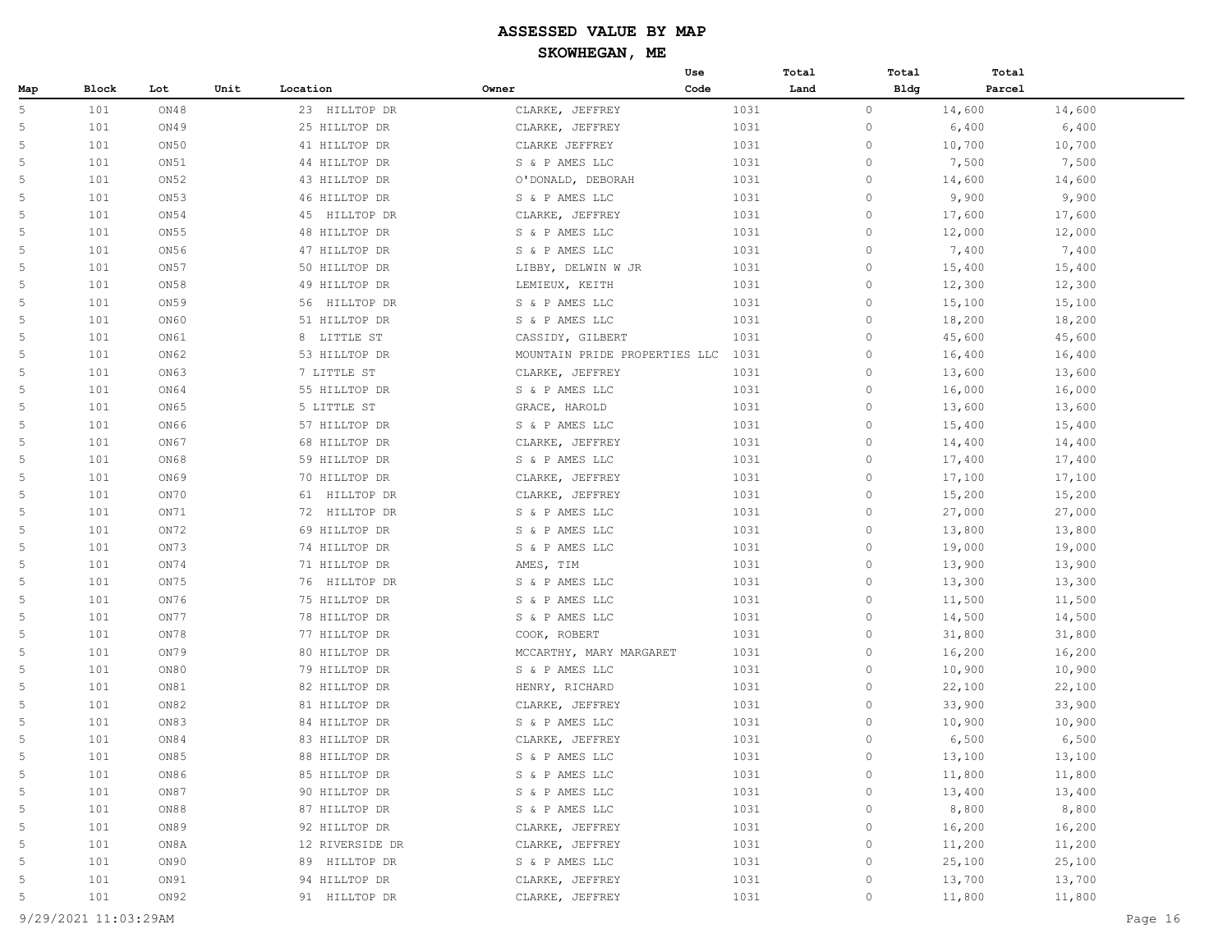|             |       |      |      |                  |       |                               | Use  | Total | Total               | Total  |        |
|-------------|-------|------|------|------------------|-------|-------------------------------|------|-------|---------------------|--------|--------|
| Map         | Block | Lot  | Unit | Location         | Owner |                               | Code | Land  | <b>Bldg</b>         | Parcel |        |
| 5           | 101   | ON48 |      | 23 HILLTOP DR    |       | CLARKE, JEFFREY               | 1031 |       | $\circ$             | 14,600 | 14,600 |
| 5           | 101   | ON49 |      | 25 HILLTOP DR    |       | CLARKE, JEFFREY               | 1031 |       | $\mathbf{0}$        | 6,400  | 6,400  |
| 5           | 101   | ON50 |      | 41 HILLTOP DR    |       | CLARKE JEFFREY                | 1031 |       | $\mathbb O$         | 10,700 | 10,700 |
| 5           | 101   | ON51 |      | 44 HILLTOP DR    |       | S & P AMES LLC                | 1031 |       | $\circ$             | 7,500  | 7,500  |
| 5           | 101   | ON52 |      | 43 HILLTOP DR    |       | O'DONALD, DEBORAH             | 1031 |       | $\mathbb O$         | 14,600 | 14,600 |
| 5           | 101   | ON53 |      | 46 HILLTOP DR    |       | S & P AMES LLC                | 1031 |       | $\circ$             | 9,900  | 9,900  |
| 5           | 101   | ON54 |      | 45<br>HILLTOP DR |       | CLARKE, JEFFREY               | 1031 |       | $\mathbf{0}$        | 17,600 | 17,600 |
| 5           | 101   | ON55 |      | 48 HILLTOP DR    |       | S & P AMES LLC                | 1031 |       | $\circ$             | 12,000 | 12,000 |
| 5           | 101   | ON56 |      | 47 HILLTOP DR    |       | S & P AMES LLC                | 1031 |       | $\circ$             | 7,400  | 7,400  |
| 5           | 101   | ON57 |      | 50 HILLTOP DR    |       | LIBBY, DELWIN W JR            | 1031 |       | $\circ$             | 15,400 | 15,400 |
| 5           | 101   | ON58 |      | 49 HILLTOP DR    |       | LEMIEUX, KEITH                | 1031 |       | $\mathbf{0}$        | 12,300 | 12,300 |
| 5           | 101   | ON59 |      | 56 HILLTOP DR    |       | S & P AMES LLC                | 1031 |       | $\circ$             | 15,100 | 15,100 |
| 5           | 101   | ON60 |      | 51 HILLTOP DR    |       | S & P AMES LLC                | 1031 |       | $\circ$             | 18,200 | 18,200 |
| 5           | 101   | ON61 |      | 8 LITTLE ST      |       | CASSIDY, GILBERT              | 1031 |       | $\circ$             | 45,600 | 45,600 |
| 5           | 101   | ON62 |      | 53 HILLTOP DR    |       | MOUNTAIN PRIDE PROPERTIES LLC | 1031 |       | $\mathbf{0}$        | 16,400 | 16,400 |
| 5           | 101   | ON63 |      | 7 LITTLE ST      |       | CLARKE, JEFFREY               | 1031 |       | $\circ$             | 13,600 | 13,600 |
| 5           | 101   | ON64 |      | 55 HILLTOP DR    |       | S & P AMES LLC                | 1031 |       | $\circ$             | 16,000 | 16,000 |
| 5           | 101   | ON65 |      | 5 LITTLE ST      |       | GRACE, HAROLD                 | 1031 |       | $\circ$             | 13,600 | 13,600 |
| 5           | 101   | ON66 |      | 57 HILLTOP DR    |       | S & P AMES LLC                | 1031 |       | $\mathbf{0}$        | 15,400 | 15,400 |
| 5           | 101   | ON67 |      | 68 HILLTOP DR    |       | CLARKE, JEFFREY               | 1031 |       | $\circ$             | 14,400 | 14,400 |
| 5           | 101   | ON68 |      | 59 HILLTOP DR    |       | S & P AMES LLC                | 1031 |       | $\mathbb O$         | 17,400 | 17,400 |
| 5           | 101   | ON69 |      | 70 HILLTOP DR    |       | CLARKE, JEFFREY               | 1031 |       | $\circ$             | 17,100 | 17,100 |
| 5           | 101   | ON70 |      | 61 HILLTOP DR    |       | CLARKE, JEFFREY               | 1031 |       | $\mathbf{0}$        | 15,200 | 15,200 |
| 5           | 101   | ON71 |      | 72 HILLTOP DR    |       | S & P AMES LLC                | 1031 |       | $\circ$             | 27,000 | 27,000 |
| 5           | 101   | ON72 |      | 69 HILLTOP DR    |       | S & P AMES LLC                | 1031 |       | $\circ$             | 13,800 | 13,800 |
| 5           | 101   | ON73 |      | 74 HILLTOP DR    |       | S & P AMES LLC                | 1031 |       | $\circ$             | 19,000 | 19,000 |
| 5           | 101   | ON74 |      | 71 HILLTOP DR    |       | AMES, TIM                     | 1031 |       | $\mathbf{0}$        | 13,900 | 13,900 |
| 5           | 101   | ON75 |      | 76 HILLTOP DR    |       | S & P AMES LLC                | 1031 |       | $\circ$             | 13,300 | 13,300 |
| 5           | 101   | ON76 |      | 75 HILLTOP DR    |       | S & P AMES LLC                | 1031 |       | $\circ$             | 11,500 | 11,500 |
| 5           | 101   | ON77 |      | 78 HILLTOP DR    |       | S & P AMES LLC                | 1031 |       | $\circ$             | 14,500 | 14,500 |
| 5           | 101   | ON78 |      | 77 HILLTOP DR    |       | COOK, ROBERT                  | 1031 |       | $\mathbf{0}$        | 31,800 | 31,800 |
| 5           | 101   | ON79 |      | 80 HILLTOP DR    |       | MCCARTHY, MARY MARGARET       | 1031 |       | $\circ$             | 16,200 | 16,200 |
| 5           | 101   | ON80 |      | 79 HILLTOP DR    |       | S & P AMES LLC                | 1031 |       | $\circ$             | 10,900 | 10,900 |
| 5           | 101   | ON81 |      | 82 HILLTOP DR    |       | HENRY, RICHARD                | 1031 |       | $\circ$             | 22,100 | 22,100 |
| 5           | 101   | ON82 |      | 81 HILLTOP DR    |       | CLARKE, JEFFREY               | 1031 |       | $\mathbf{0}$        | 33,900 | 33,900 |
| 5           | 101   | ON83 |      | 84 HILLTOP DR    |       | S & P AMES LLC                | 1031 |       | $\circ$             | 10,900 | 10,900 |
| 5           | 101   | ON84 |      | 83 HILLTOP DR    |       | CLARKE, JEFFREY               | 1031 |       | $\circ$             | 6,500  | 6,500  |
| 5           | 101   | ON85 |      | 88 HILLTOP DR    |       | S & P AMES LLC                | 1031 |       | $\circ$             | 13,100 | 13,100 |
| $\mathsf S$ | 101   | ON86 |      | 85 HILLTOP DR    |       | S & P AMES LLC                | 1031 |       | $\mathbb O$         | 11,800 | 11,800 |
| 5           | 101   | ON87 |      | 90 HILLTOP DR    |       | S & P AMES LLC                | 1031 |       | $\mathbb O$         | 13,400 | 13,400 |
| 5           | 101   | ON88 |      | 87 HILLTOP DR    |       | S & P AMES LLC                | 1031 |       | $\mathbb O$         | 8,800  | 8,800  |
| 5           | 101   | ON89 |      | 92 HILLTOP DR    |       | CLARKE, JEFFREY               | 1031 |       | $\mathbb O$         | 16,200 | 16,200 |
| 5           | 101   | ON8A |      | 12 RIVERSIDE DR  |       | CLARKE, JEFFREY               | 1031 |       | $\mathbb O$         | 11,200 | 11,200 |
| 5           | 101   | ON90 |      | 89 HILLTOP DR    |       | S & P AMES LLC                | 1031 |       | $\circ$             | 25,100 | 25,100 |
| 5           | 101   | ON91 |      | 94 HILLTOP DR    |       | CLARKE, JEFFREY               | 1031 |       | $\mathsf{O}\xspace$ | 13,700 | 13,700 |
| 5           | 101   | ON92 |      | 91 HILLTOP DR    |       | CLARKE, JEFFREY               | 1031 |       | $\mathsf{O}\xspace$ | 11,800 | 11,800 |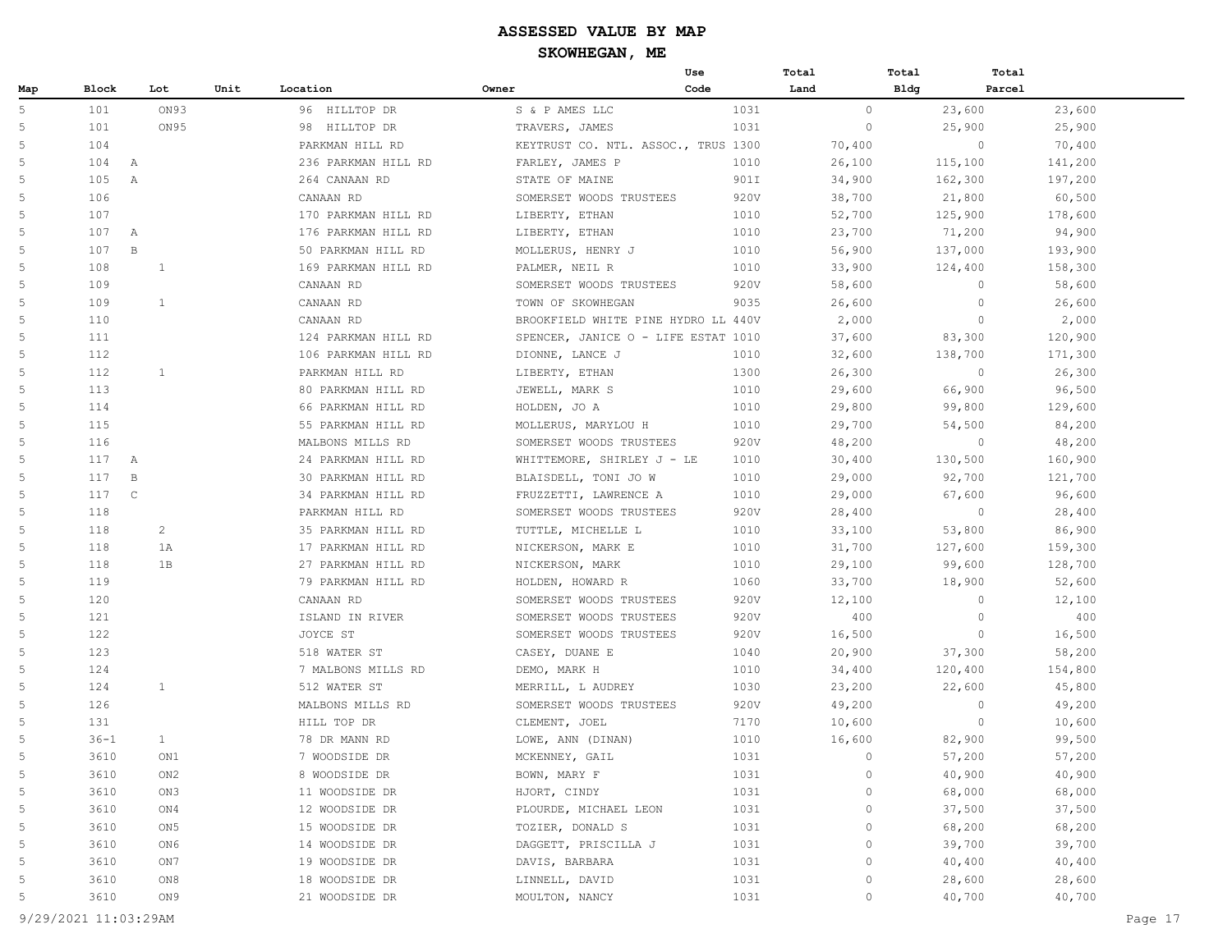|     |                     |                 |      |                     |                                     | Use  | Total       | Total       | Total             |
|-----|---------------------|-----------------|------|---------------------|-------------------------------------|------|-------------|-------------|-------------------|
| Map | Block               | Lot             | Unit | Location            | Owner                               | Code | Land        | <b>Bldg</b> | Parcel            |
| 5   | 101                 | ON93            |      | 96 HILLTOP DR       | S & P AMES LLC                      | 1031 | $\circ$     | 23,600      | 23,600            |
| 5   | 101                 | ON95            |      | 98 HILLTOP DR       | TRAVERS, JAMES                      | 1031 | $\circ$     | 25,900      | 25,900            |
| 5   | 104                 |                 |      | PARKMAN HILL RD     | KEYTRUST CO. NTL. ASSOC., TRUS 1300 |      | 70,400      |             | $\circ$<br>70,400 |
| 5   | 104<br>$\mathbb{A}$ |                 |      | 236 PARKMAN HILL RD | FARLEY, JAMES P                     | 1010 | 26,100      | 115,100     | 141,200           |
| 5   | 105<br>A            |                 |      | 264 CANAAN RD       | STATE OF MAINE                      | 901I | 34,900      | 162,300     | 197,200           |
| 5   | 106                 |                 |      | CANAAN RD           | SOMERSET WOODS TRUSTEES             | 920V | 38,700      | 21,800      | 60,500            |
| 5   | 107                 |                 |      | 170 PARKMAN HILL RD | LIBERTY, ETHAN                      | 1010 | 52,700      | 125,900     | 178,600           |
| 5   | 107<br>$\mathbb{A}$ |                 |      | 176 PARKMAN HILL RD | LIBERTY, ETHAN                      | 1010 | 23,700      | 71,200      | 94,900            |
| 5   | 107<br>$\mathbf B$  |                 |      | 50 PARKMAN HILL RD  | MOLLERUS, HENRY J                   | 1010 | 56,900      | 137,000     | 193,900           |
| 5   | 108                 | 1               |      | 169 PARKMAN HILL RD | PALMER, NEIL R                      | 1010 | 33,900      | 124,400     | 158,300           |
| 5   | 109                 |                 |      | CANAAN RD           | SOMERSET WOODS TRUSTEES             | 920V | 58,600      |             | $\circ$<br>58,600 |
| 5   | 109                 | 1               |      | CANAAN RD           | TOWN OF SKOWHEGAN                   | 9035 | 26,600      |             | $\circ$<br>26,600 |
| 5   | 110                 |                 |      | CANAAN RD           | BROOKFIELD WHITE PINE HYDRO LL 440V |      | 2,000       |             | $\circ$<br>2,000  |
| 5   | 111                 |                 |      | 124 PARKMAN HILL RD | SPENCER, JANICE O - LIFE ESTAT 1010 |      | 37,600      | 83,300      | 120,900           |
| 5   | 112                 |                 |      | 106 PARKMAN HILL RD | DIONNE, LANCE J                     | 1010 | 32,600      | 138,700     | 171,300           |
| 5   | 112                 | $\mathbf{1}$    |      | PARKMAN HILL RD     | LIBERTY, ETHAN                      | 1300 | 26,300      |             | $\circ$<br>26,300 |
| 5   | 113                 |                 |      | 80 PARKMAN HILL RD  | JEWELL, MARK S                      | 1010 | 29,600      | 66,900      | 96,500            |
| 5   | 114                 |                 |      | 66 PARKMAN HILL RD  | HOLDEN, JO A                        | 1010 | 29,800      | 99,800      | 129,600           |
| 5   | 115                 |                 |      | 55 PARKMAN HILL RD  | MOLLERUS, MARYLOU H                 | 1010 | 29,700      | 54,500      | 84,200            |
| 5   | 116                 |                 |      | MALBONS MILLS RD    | SOMERSET WOODS TRUSTEES             | 920V | 48,200      |             | $\circ$<br>48,200 |
| 5   | 117<br>A            |                 |      | 24 PARKMAN HILL RD  | WHITTEMORE, SHIRLEY J - LE          | 1010 | 30,400      | 130,500     | 160,900           |
| 5   | 117<br>$\mathbf B$  |                 |      | 30 PARKMAN HILL RD  | BLAISDELL, TONI JO W                | 1010 | 29,000      | 92,700      | 121,700           |
| 5   | 117<br>$\mathbb{C}$ |                 |      | 34 PARKMAN HILL RD  | FRUZZETTI, LAWRENCE A               | 1010 | 29,000      | 67,600      | 96,600            |
| 5   | 118                 |                 |      | PARKMAN HILL RD     | SOMERSET WOODS TRUSTEES             | 920V | 28,400      |             | $\circ$<br>28,400 |
| 5   | 118                 | 2               |      | 35 PARKMAN HILL RD  | TUTTLE, MICHELLE L                  | 1010 | 33,100      | 53,800      | 86,900            |
| 5   | 118                 | 1A              |      | 17 PARKMAN HILL RD  | NICKERSON, MARK E                   | 1010 | 31,700      | 127,600     | 159,300           |
| 5   | 118                 | 1B              |      | 27 PARKMAN HILL RD  | NICKERSON, MARK                     | 1010 | 29,100      | 99,600      | 128,700           |
| 5   | 119                 |                 |      | 79 PARKMAN HILL RD  | HOLDEN, HOWARD R                    | 1060 | 33,700      | 18,900      | 52,600            |
| 5   | 120                 |                 |      | CANAAN RD           | SOMERSET WOODS TRUSTEES             | 920V | 12,100      |             | $\circ$<br>12,100 |
| 5   | 121                 |                 |      | ISLAND IN RIVER     | SOMERSET WOODS TRUSTEES             | 920V | 400         |             | $\circ$<br>400    |
| 5   | 122                 |                 |      | JOYCE ST            | SOMERSET WOODS TRUSTEES             | 920V | 16,500      |             | $\circ$<br>16,500 |
| 5   | 123                 |                 |      | 518 WATER ST        | CASEY, DUANE E                      | 1040 | 20,900      | 37,300      | 58,200            |
| 5   | 124                 |                 |      | 7 MALBONS MILLS RD  | DEMO, MARK H                        | 1010 | 34,400      | 120,400     | 154,800           |
| 5   | 124                 | $\mathbf{1}$    |      | 512 WATER ST        | MERRILL, L AUDREY                   | 1030 | 23,200      | 22,600      | 45,800            |
| 5   | 126                 |                 |      | MALBONS MILLS RD    | SOMERSET WOODS TRUSTEES             | 920V | 49,200      |             | $\circ$<br>49,200 |
| 5   | 131                 |                 |      | HILL TOP DR         | CLEMENT, JOEL                       | 7170 | 10,600      |             | $\circ$<br>10,600 |
| 5   | $36 - 1$            | $\mathbf{1}$    |      | 78 DR MANN RD       | LOWE, ANN (DINAN)                   | 1010 | 16,600      | 82,900      | 99,500            |
| 5   | 3610                | ON1             |      | 7 WOODSIDE DR       | MCKENNEY, GAIL                      | 1031 | $\circ$     | 57,200      | 57,200            |
| 5   | 3610                | ON2             |      | 8 WOODSIDE DR       | BOWN, MARY F                        | 1031 | $\circ$     | 40,900      | 40,900            |
| 5   | 3610                | ON3             |      | 11 WOODSIDE DR      | HJORT, CINDY                        | 1031 | 0           | 68,000      | 68,000            |
| 5   | 3610                | ON4             |      | 12 WOODSIDE DR      | PLOURDE, MICHAEL LEON               | 1031 | 0           | 37,500      | 37,500            |
| 5   | 3610                | ON <sub>5</sub> |      | 15 WOODSIDE DR      | TOZIER, DONALD S                    | 1031 | $\circ$     | 68,200      | 68,200            |
| 5   | 3610                | ON6             |      | 14 WOODSIDE DR      | DAGGETT, PRISCILLA J                | 1031 | $\circ$     | 39,700      | 39,700            |
| 5   | 3610                | ON7             |      | 19 WOODSIDE DR      | DAVIS, BARBARA                      | 1031 | $\circ$     | 40,400      | 40,400            |
| 5   | 3610                | ON8             |      | 18 WOODSIDE DR      | LINNELL, DAVID                      | 1031 | $\mathbb O$ | 28,600      | 28,600            |
| 5   | 3610                | ON 9            |      | 21 WOODSIDE DR      | MOULTON, NANCY                      | 1031 | $\circ$     | 40,700      | 40,700            |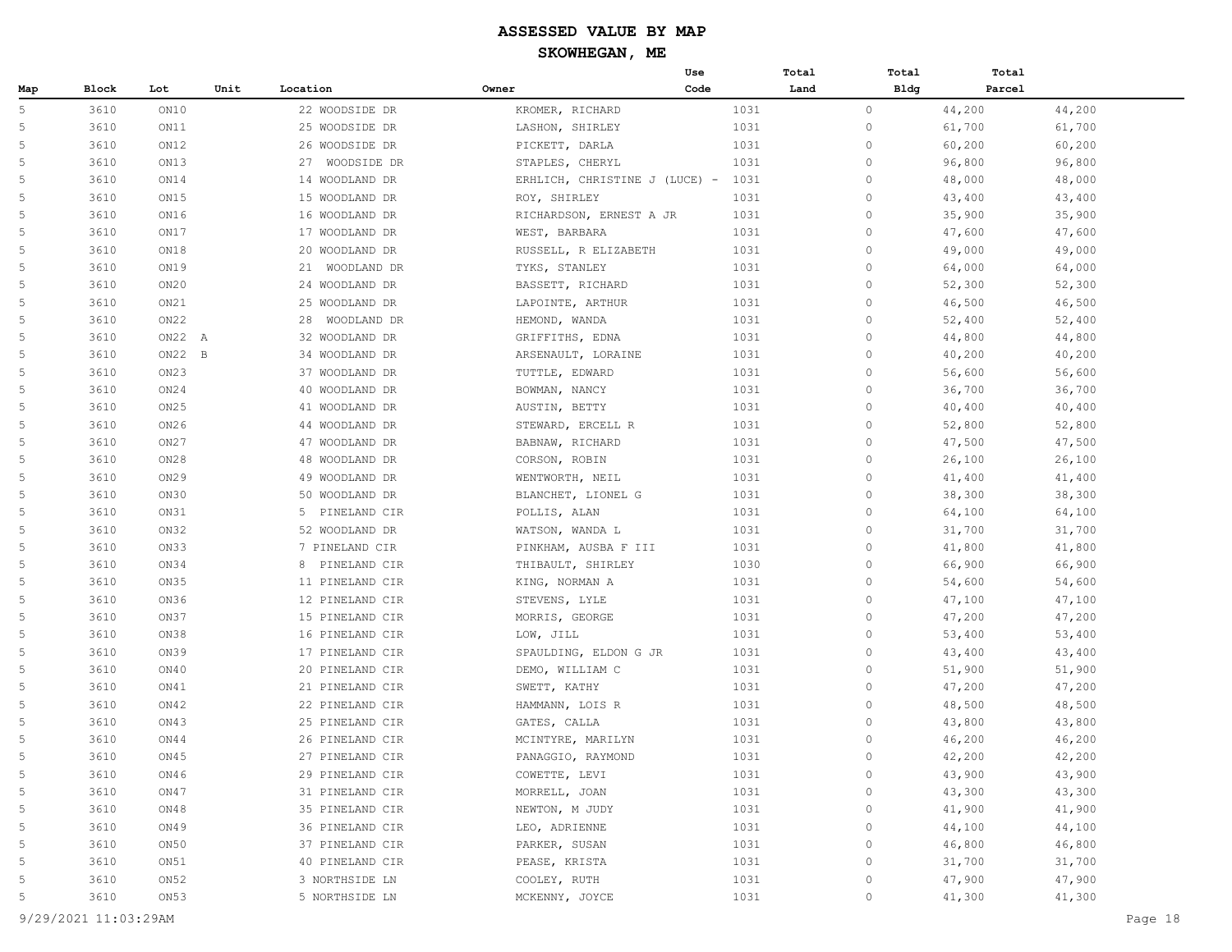|     |              |          |      |                   |                               | Use  | Total | Total       | Total  |        |
|-----|--------------|----------|------|-------------------|-------------------------------|------|-------|-------------|--------|--------|
| Map | <b>Block</b> | Lot      | Unit | Location          | Owner                         | Code | Land  | <b>Bldg</b> | Parcel |        |
| 5   | 3610         | ON10     |      | 22 WOODSIDE DR    | KROMER, RICHARD               | 1031 |       | $\circ$     | 44,200 | 44,200 |
| 5   | 3610         | ON11     |      | 25 WOODSIDE DR    | LASHON, SHIRLEY               | 1031 |       | $\circ$     | 61,700 | 61,700 |
| 5   | 3610         | ON12     |      | 26 WOODSIDE DR    | PICKETT, DARLA                | 1031 |       | $\circ$     | 60,200 | 60,200 |
| 5   | 3610         | ON13     |      | 27<br>WOODSIDE DR | STAPLES, CHERYL               | 1031 |       | $\circ$     | 96,800 | 96,800 |
| 5   | 3610         | ON14     |      | 14 WOODLAND DR    | ERHLICH, CHRISTINE J (LUCE) - | 1031 |       | $\circ$     | 48,000 | 48,000 |
| 5   | 3610         | ON15     |      | 15 WOODLAND DR    | ROY, SHIRLEY                  | 1031 |       | $\circ$     | 43,400 | 43,400 |
| 5   | 3610         | ON16     |      | 16 WOODLAND DR    | RICHARDSON, ERNEST A JR       | 1031 |       | $\circ$     | 35,900 | 35,900 |
| 5   | 3610         | ON17     |      | 17 WOODLAND DR    | WEST, BARBARA                 | 1031 |       | $\circ$     | 47,600 | 47,600 |
| 5   | 3610         | ON18     |      | 20 WOODLAND DR    | RUSSELL, R ELIZABETH          | 1031 |       | $\circ$     | 49,000 | 49,000 |
| 5   | 3610         | ON19     |      | 21 WOODLAND DR    | TYKS, STANLEY                 | 1031 |       | $\circ$     | 64,000 | 64,000 |
| 5   | 3610         | ON20     |      | 24 WOODLAND DR    | BASSETT, RICHARD              | 1031 |       | $\circ$     | 52,300 | 52,300 |
| 5   | 3610         | ON21     |      | 25 WOODLAND DR    | LAPOINTE, ARTHUR              | 1031 |       | $\circ$     | 46,500 | 46,500 |
| 5   | 3610         | ON22     |      | 28<br>WOODLAND DR | HEMOND, WANDA                 | 1031 |       | $\circ$     | 52,400 | 52,400 |
| 5   | 3610         | ON22 A   |      | 32 WOODLAND DR    | GRIFFITHS, EDNA               | 1031 |       | $\circ$     | 44,800 | 44,800 |
| 5   | 3610         | $ON22$ B |      | 34 WOODLAND DR    | ARSENAULT, LORAINE            | 1031 |       | $\circ$     | 40,200 | 40,200 |
| 5   | 3610         | ON23     |      | 37 WOODLAND DR    | TUTTLE, EDWARD                | 1031 |       | $\circ$     | 56,600 | 56,600 |
| 5   | 3610         | ON24     |      | 40 WOODLAND DR    | BOWMAN, NANCY                 | 1031 |       | $\circ$     | 36,700 | 36,700 |
| 5   | 3610         | ON25     |      | 41 WOODLAND DR    | AUSTIN, BETTY                 | 1031 |       | $\circ$     | 40,400 | 40,400 |
| 5   | 3610         | ON26     |      | 44 WOODLAND DR    | STEWARD, ERCELL R             | 1031 |       | $\circ$     | 52,800 | 52,800 |
| 5   | 3610         | ON27     |      | 47 WOODLAND DR    | BABNAW, RICHARD               | 1031 |       | $\circ$     | 47,500 | 47,500 |
| 5   | 3610         | ON28     |      | 48 WOODLAND DR    | CORSON, ROBIN                 | 1031 |       | $\circ$     | 26,100 | 26,100 |
| 5   | 3610         | ON29     |      | 49 WOODLAND DR    | WENTWORTH, NEIL               | 1031 |       | $\circ$     | 41,400 | 41,400 |
| 5   | 3610         | ON30     |      | 50 WOODLAND DR    | BLANCHET, LIONEL G            | 1031 |       | $\circ$     | 38,300 | 38,300 |
| 5   | 3610         | ON31     |      | 5 PINELAND CIR    | POLLIS, ALAN                  | 1031 |       | $\circ$     | 64,100 | 64,100 |
| 5   | 3610         | ON32     |      | 52 WOODLAND DR    | WATSON, WANDA L               | 1031 |       | $\circ$     | 31,700 | 31,700 |
| 5   | 3610         | ON33     |      | 7 PINELAND CIR    | PINKHAM, AUSBA F III          | 1031 |       | $\circ$     | 41,800 | 41,800 |
| 5   | 3610         | ON34     |      | 8 PINELAND CIR    | THIBAULT, SHIRLEY             | 1030 |       | $\circ$     | 66,900 | 66,900 |
| 5   | 3610         | ON35     |      | 11 PINELAND CIR   | KING, NORMAN A                | 1031 |       | $\circ$     | 54,600 | 54,600 |
| 5   | 3610         | ON36     |      | 12 PINELAND CIR   | STEVENS, LYLE                 | 1031 |       | 0           | 47,100 | 47,100 |
| 5   | 3610         | ON37     |      | 15 PINELAND CIR   | MORRIS, GEORGE                | 1031 |       | $\circ$     | 47,200 | 47,200 |
| 5   | 3610         | ON38     |      | 16 PINELAND CIR   | LOW, JILL                     | 1031 |       | $\circ$     | 53,400 | 53,400 |
| 5   | 3610         | ON39     |      | 17 PINELAND CIR   | SPAULDING, ELDON G JR         | 1031 |       | $\circ$     | 43,400 | 43,400 |
| 5   | 3610         | ON40     |      | 20 PINELAND CIR   | DEMO, WILLIAM C               | 1031 |       | $\circ$     | 51,900 | 51,900 |
| 5   | 3610         | ON41     |      | 21 PINELAND CIR   | SWETT, KATHY                  | 1031 |       | $\circ$     | 47,200 | 47,200 |
| 5   | 3610         | ON42     |      | 22 PINELAND CIR   | HAMMANN, LOIS R               | 1031 |       | $\circ$     | 48,500 | 48,500 |
| 5   | 3610         | ON43     |      | 25 PINELAND CIR   | GATES, CALLA                  | 1031 |       | $\circ$     | 43,800 | 43,800 |
| 5   | 3610         | ON44     |      | 26 PINELAND CIR   | MCINTYRE, MARILYN             | 1031 |       | 0           | 46,200 | 46,200 |
| 5   | 3610         | ON45     |      | 27 PINELAND CIR   | PANAGGIO, RAYMOND             | 1031 |       | $\circ$     | 42,200 | 42,200 |
| 5   | 3610         | ON46     |      | 29 PINELAND CIR   | COWETTE, LEVI                 | 1031 |       | $\circ$     | 43,900 | 43,900 |
| 5   | 3610         | ON47     |      | 31 PINELAND CIR   | MORRELL, JOAN                 | 1031 |       | $\mathbb O$ | 43,300 | 43,300 |
| 5   | 3610         | ON48     |      | 35 PINELAND CIR   | NEWTON, M JUDY                | 1031 |       | $\circ$     | 41,900 | 41,900 |
| 5   | 3610         | ON49     |      | 36 PINELAND CIR   | LEO, ADRIENNE                 | 1031 |       | $\circ$     | 44,100 | 44,100 |
| 5   | 3610         | ON50     |      | 37 PINELAND CIR   | PARKER, SUSAN                 | 1031 |       | $\circ$     | 46,800 | 46,800 |
| 5   | 3610         | ON51     |      | 40 PINELAND CIR   | PEASE, KRISTA                 | 1031 |       | $\circ$     | 31,700 | 31,700 |
| 5   | 3610         | ON52     |      | 3 NORTHSIDE LN    | COOLEY, RUTH                  | 1031 |       | $\circ$     | 47,900 | 47,900 |
| 5   | 3610         | ON53     |      | 5 NORTHSIDE LN    | MCKENNY, JOYCE                | 1031 |       | $\circ$     | 41,300 | 41,300 |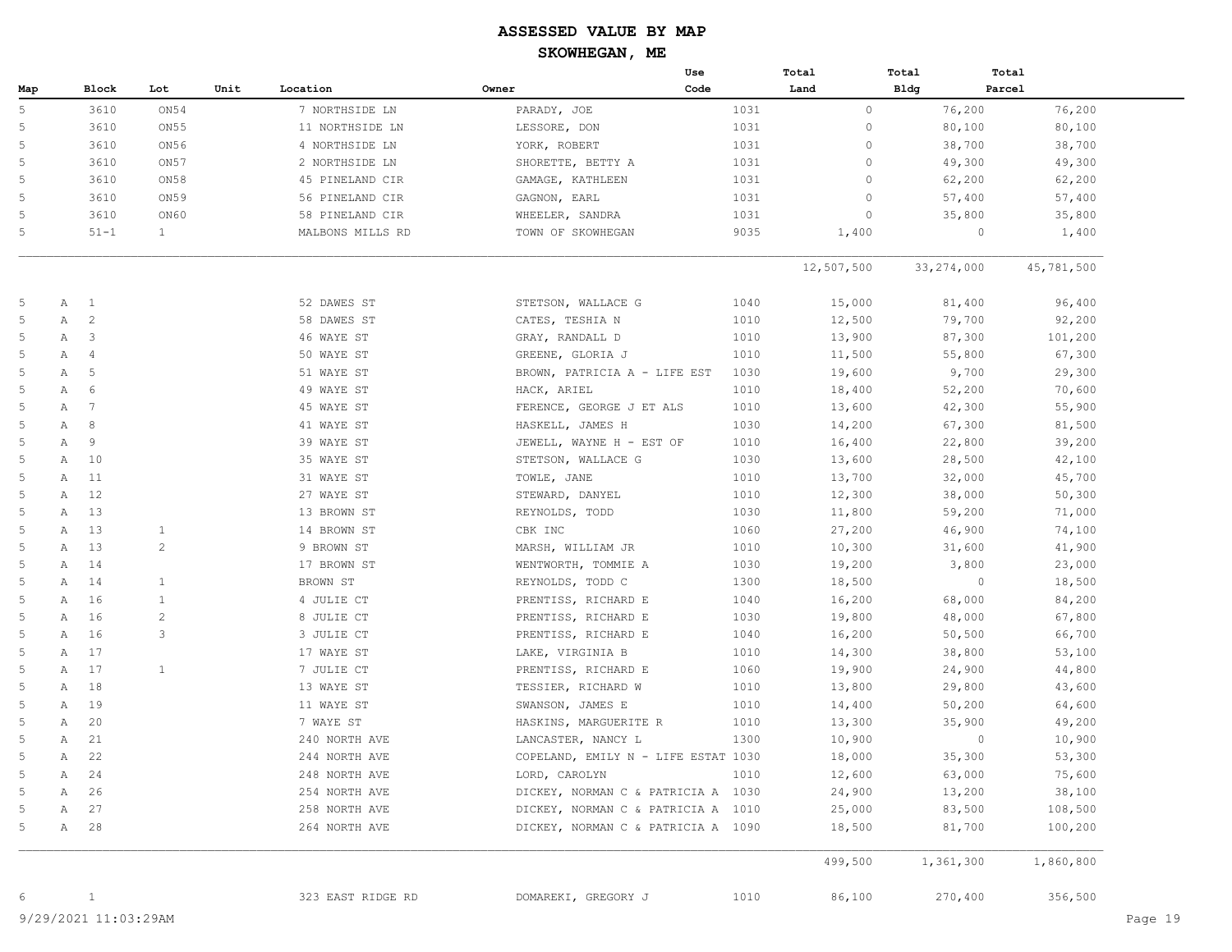|     |              |                 |                |      |                   | Use                                 |      | Total        | Total        | Total      |
|-----|--------------|-----------------|----------------|------|-------------------|-------------------------------------|------|--------------|--------------|------------|
| Map |              | Block           | Lot            | Unit | Location          | Owner                               | Code | Land         | <b>Bldg</b>  | Parcel     |
| 5   |              | 3610            | ON54           |      | 7 NORTHSIDE LN    | PARADY, JOE                         | 1031 | $\circ$      | 76,200       | 76,200     |
|     |              | 3610            | ON55           |      | 11 NORTHSIDE LN   | LESSORE, DON                        | 1031 | $\circ$      | 80,100       | 80,100     |
|     |              | 3610            | ON56           |      | 4 NORTHSIDE LN    | YORK, ROBERT                        | 1031 | $\mathbf{0}$ | 38,700       | 38,700     |
|     |              | 3610            | ON57           |      | 2 NORTHSIDE LN    | SHORETTE, BETTY A                   | 1031 | $\circ$      | 49,300       | 49,300     |
|     |              | 3610            | ON58           |      | 45 PINELAND CIR   | GAMAGE, KATHLEEN                    | 1031 | $\mathbf{0}$ | 62,200       | 62,200     |
|     |              | 3610            | ON59           |      | 56 PINELAND CIR   | GAGNON, EARL                        | 1031 | $\mathbf{0}$ | 57,400       | 57,400     |
|     |              | 3610            | ON60           |      | 58 PINELAND CIR   | WHEELER, SANDRA                     | 1031 | $\circ$      | 35,800       | 35,800     |
| 5   |              | $51 - 1$        | $\mathbf{1}$   |      | MALBONS MILLS RD  | TOWN OF SKOWHEGAN                   | 9035 | 1,400        | $\circ$      | 1,400      |
|     |              |                 |                |      |                   |                                     |      | 12,507,500   | 33, 274, 000 | 45,781,500 |
|     | $\mathbb A$  | $\overline{1}$  |                |      | 52 DAWES ST       | STETSON, WALLACE G                  | 1040 | 15,000       | 81,400       | 96,400     |
|     | Α            | $\overline{c}$  |                |      | 58 DAWES ST       | CATES, TESHIA N                     | 1010 | 12,500       | 79,700       | 92,200     |
|     | Α            | 3               |                |      | 46 WAYE ST        | GRAY, RANDALL D                     | 1010 | 13,900       | 87,300       | 101,200    |
|     | Α            | $\overline{4}$  |                |      | 50 WAYE ST        | GREENE, GLORIA J                    | 1010 | 11,500       | 55,800       | 67,300     |
|     | Α            | 5               |                |      | 51 WAYE ST        | BROWN, PATRICIA A - LIFE EST        | 1030 | 19,600       | 9,700        | 29,300     |
|     | Α            | 6               |                |      | 49 WAYE ST        | HACK, ARIEL                         | 1010 | 18,400       | 52,200       | 70,600     |
|     | Α            | $7\phantom{.0}$ |                |      | 45 WAYE ST        | FERENCE, GEORGE J ET ALS            | 1010 | 13,600       | 42,300       | 55,900     |
|     | Α            | 8               |                |      | 41 WAYE ST        | HASKELL, JAMES H                    | 1030 | 14,200       | 67,300       | 81,500     |
|     | Α            | 9               |                |      | 39 WAYE ST        | JEWELL, WAYNE H - EST OF            | 1010 | 16,400       | 22,800       | 39,200     |
|     | Α            | 10              |                |      | 35 WAYE ST        | STETSON, WALLACE G                  | 1030 | 13,600       | 28,500       | 42,100     |
|     | Α            | 11              |                |      | 31 WAYE ST        | TOWLE, JANE                         | 1010 | 13,700       | 32,000       | 45,700     |
|     | Α            | 12              |                |      | 27 WAYE ST        | STEWARD, DANYEL                     | 1010 | 12,300       | 38,000       | 50,300     |
|     | Α            | 13              |                |      | 13 BROWN ST       | REYNOLDS, TODD                      | 1030 | 11,800       | 59,200       | 71,000     |
|     | Α            | 13              | $\mathbf{1}$   |      | 14 BROWN ST       | CBK INC                             | 1060 | 27,200       | 46,900       | 74,100     |
|     | Α            | 13              | $\overline{c}$ |      | 9 BROWN ST        | MARSH, WILLIAM JR                   | 1010 | 10,300       | 31,600       | 41,900     |
|     | Α            | 14              |                |      | 17 BROWN ST       | WENTWORTH, TOMMIE A                 | 1030 | 19,200       | 3,800        | 23,000     |
|     | Α            | 14              | 1              |      | BROWN ST          | REYNOLDS, TODD C                    | 1300 | 18,500       | $\circ$      | 18,500     |
|     | Α            | 16              | $\mathbf{1}$   |      | 4 JULIE CT        | PRENTISS, RICHARD E                 | 1040 | 16,200       | 68,000       | 84,200     |
|     | Α            | 16              | $\overline{c}$ |      | 8 JULIE CT        | PRENTISS, RICHARD E                 | 1030 | 19,800       | 48,000       | 67,800     |
|     | Α            | 16              | 3              |      | 3 JULIE CT        | PRENTISS, RICHARD E                 | 1040 | 16,200       | 50,500       | 66,700     |
|     | Α            | 17              |                |      | 17 WAYE ST        | LAKE, VIRGINIA B                    | 1010 | 14,300       | 38,800       | 53,100     |
|     | Α            | 17              | 1              |      | 7 JULIE CT        | PRENTISS, RICHARD E                 | 1060 | 19,900       | 24,900       | 44,800     |
|     | Α            | 18              |                |      | 13 WAYE ST        | TESSIER, RICHARD W                  | 1010 | 13,800       | 29,800       | 43,600     |
|     | Α            | 19              |                |      | 11 WAYE ST        | SWANSON, JAMES E                    | 1010 | 14,400       | 50,200       | 64,600     |
|     | Α            | 20              |                |      | 7 WAYE ST         | HASKINS, MARGUERITE R               | 1010 | 13,300       | 35,900       | 49,200     |
|     | Α            | 21              |                |      | 240 NORTH AVE     | LANCASTER, NANCY L                  | 1300 | 10,900       | $\circ$      | 10,900     |
|     | Α            | 22              |                |      | 244 NORTH AVE     | COPELAND, EMILY N - LIFE ESTAT 1030 |      | 18,000       | 35,300       | 53,300     |
|     | $\mathbb{A}$ | 24              |                |      | 248 NORTH AVE     | LORD, CAROLYN                       | 1010 | 12,600       | 63,000       | 75,600     |
|     | Α            | 26              |                |      | 254 NORTH AVE     | DICKEY, NORMAN C & PATRICIA A 1030  |      | 24,900       | 13,200       | 38,100     |
|     | Α            | 27              |                |      | 258 NORTH AVE     | DICKEY, NORMAN C & PATRICIA A 1010  |      | 25,000       | 83,500       | 108,500    |
|     | $\mathbb{A}$ | 28              |                |      | 264 NORTH AVE     | DICKEY, NORMAN C & PATRICIA A 1090  |      | 18,500       | 81,700       | 100,200    |
|     |              |                 |                |      |                   |                                     |      | 499,500      | 1,361,300    | 1,860,800  |
|     |              | $\mathbf{1}$    |                |      | 323 EAST RIDGE RD | DOMAREKI, GREGORY J                 | 1010 | 86,100       | 270,400      | 356,500    |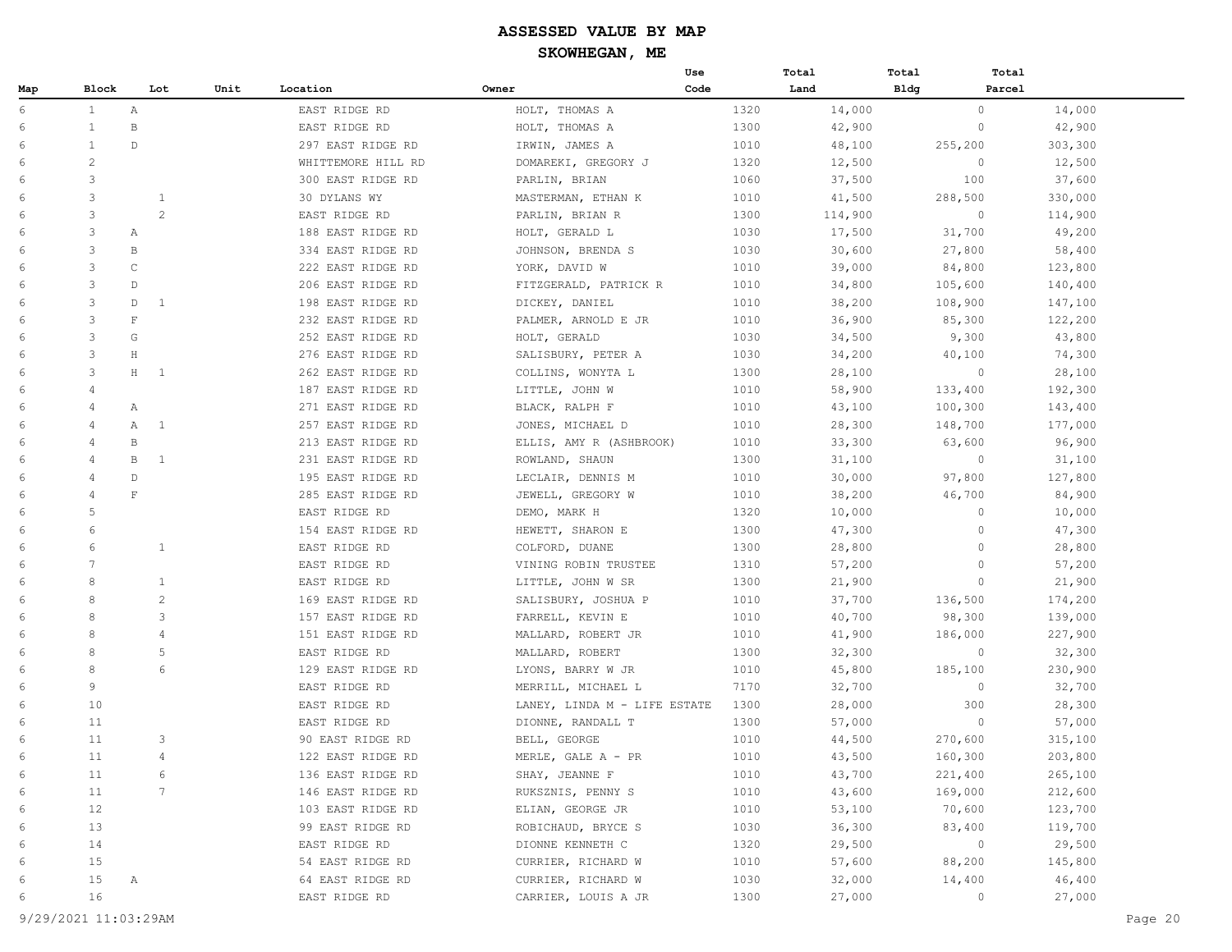|     |                |              |                       |                    |                              | Use  | Total   | Total          | Total   |
|-----|----------------|--------------|-----------------------|--------------------|------------------------------|------|---------|----------------|---------|
| Map | Block          |              | Unit<br>Lot           | Location           | Owner                        | Code | Land    | <b>Bldg</b>    | Parcel  |
| 6   | $\mathbf{1}$   | Α            |                       | EAST RIDGE RD      | HOLT, THOMAS A               | 1320 | 14,000  | $\circ$        | 14,000  |
| 6   | $\mathbf{1}$   | В            |                       | EAST RIDGE RD      | HOLT, THOMAS A               | 1300 | 42,900  | $\mathbf{0}$   | 42,900  |
| 6   | $\mathbf{1}$   | $\mathbb{D}$ |                       | 297 EAST RIDGE RD  | IRWIN, JAMES A               | 1010 | 48,100  | 255,200        | 303,300 |
| 6   | 2              |              |                       | WHITTEMORE HILL RD | DOMAREKI, GREGORY J          | 1320 | 12,500  | $\circ$        | 12,500  |
| 6   | 3              |              |                       | 300 EAST RIDGE RD  | PARLIN, BRIAN                | 1060 | 37,500  | 100            | 37,600  |
| 6   | 3              |              | $\mathbf{1}$          | 30 DYLANS WY       | MASTERMAN, ETHAN K           | 1010 | 41,500  | 288,500        | 330,000 |
| 6   | 3              |              | $\overline{2}$        | EAST RIDGE RD      | PARLIN, BRIAN R              | 1300 | 114,900 | $\overline{0}$ | 114,900 |
| 6   | 3              | Α            |                       | 188 EAST RIDGE RD  | HOLT, GERALD L               | 1030 | 17,500  | 31,700         | 49,200  |
| 6   | 3              | B            |                       | 334 EAST RIDGE RD  | JOHNSON, BRENDA S            | 1030 | 30,600  | 27,800         | 58,400  |
| 6   | 3              | C            |                       | 222 EAST RIDGE RD  | YORK, DAVID W                | 1010 | 39,000  | 84,800         | 123,800 |
| 6   | 3              | $\mathbb{D}$ |                       | 206 EAST RIDGE RD  | FITZGERALD, PATRICK R        | 1010 | 34,800  | 105,600        | 140,400 |
| 6   | 3              | D            | 1                     | 198 EAST RIDGE RD  | DICKEY, DANIEL               | 1010 | 38,200  | 108,900        | 147,100 |
| 6   | 3              | $\mathbf F$  |                       | 232 EAST RIDGE RD  | PALMER, ARNOLD E JR          | 1010 | 36,900  | 85,300         | 122,200 |
| 6   | 3              | G            |                       | 252 EAST RIDGE RD  | HOLT, GERALD                 | 1030 | 34,500  | 9,300          | 43,800  |
| 6   | 3              | H            |                       | 276 EAST RIDGE RD  | SALISBURY, PETER A           | 1030 | 34,200  | 40,100         | 74,300  |
| 6   | 3              | $H$ 1        |                       | 262 EAST RIDGE RD  | COLLINS, WONYTA L            | 1300 | 28,100  | $\circ$        | 28,100  |
| 6   | $\overline{4}$ |              |                       | 187 EAST RIDGE RD  | LITTLE, JOHN W               | 1010 | 58,900  | 133,400        | 192,300 |
| 6   | 4              | $\mathbb{A}$ |                       | 271 EAST RIDGE RD  | BLACK, RALPH F               | 1010 | 43,100  | 100,300        | 143,400 |
| 6   | $\overline{4}$ | Α            | <sup>1</sup>          | 257 EAST RIDGE RD  | JONES, MICHAEL D             | 1010 | 28,300  | 148,700        | 177,000 |
| 6   | 4              | B            |                       | 213 EAST RIDGE RD  | ELLIS, AMY R (ASHBROOK)      | 1010 | 33,300  | 63,600         | 96,900  |
| 6   | $\overline{4}$ | $\mathbb B$  | 1                     | 231 EAST RIDGE RD  | ROWLAND, SHAUN               | 1300 | 31,100  | $\circ$        | 31,100  |
| 6   | $\overline{4}$ | D            |                       | 195 EAST RIDGE RD  | LECLAIR, DENNIS M            | 1010 | 30,000  | 97,800         | 127,800 |
| 6   | $\overline{4}$ | $\mathbf F$  |                       | 285 EAST RIDGE RD  | JEWELL, GREGORY W            | 1010 | 38,200  | 46,700         | 84,900  |
| 6   | 5              |              |                       | EAST RIDGE RD      | DEMO, MARK H                 | 1320 | 10,000  | $\mathbf{0}$   | 10,000  |
| 6   | 6              |              |                       | 154 EAST RIDGE RD  | HEWETT, SHARON E             | 1300 | 47,300  | $\circ$        | 47,300  |
| 6   | 6              |              | $\mathbf{1}$          | EAST RIDGE RD      | COLFORD, DUANE               | 1300 | 28,800  | $\Omega$       | 28,800  |
| 6   | 7              |              |                       | EAST RIDGE RD      | VINING ROBIN TRUSTEE         | 1310 | 57,200  | $\circ$        | 57,200  |
| 6   | 8              |              | $\mathbf{1}$          | EAST RIDGE RD      | LITTLE, JOHN W SR            | 1300 | 21,900  | $\circ$        | 21,900  |
| 6   | 8              |              | $\mathbf{2}^{\prime}$ | 169 EAST RIDGE RD  | SALISBURY, JOSHUA P          | 1010 | 37,700  | 136,500        | 174,200 |
| 6   | 8              |              | 3                     | 157 EAST RIDGE RD  | FARRELL, KEVIN E             | 1010 | 40,700  | 98,300         | 139,000 |
| 6   | 8              |              | $\overline{4}$        | 151 EAST RIDGE RD  | MALLARD, ROBERT JR           | 1010 | 41,900  | 186,000        | 227,900 |
| 6   | 8              |              | 5                     | EAST RIDGE RD      | MALLARD, ROBERT              | 1300 | 32,300  | $\circ$        | 32,300  |
| 6   | 8              |              | 6                     | 129 EAST RIDGE RD  | LYONS, BARRY W JR            | 1010 | 45,800  | 185,100        | 230,900 |
| 6   | 9              |              |                       | EAST RIDGE RD      | MERRILL, MICHAEL L           | 7170 | 32,700  | $\circ$        | 32,700  |
| 6   | 10             |              |                       | EAST RIDGE RD      | LANEY, LINDA M - LIFE ESTATE | 1300 | 28,000  | 300            | 28,300  |
| 6   | 11             |              |                       | EAST RIDGE RD      | DIONNE, RANDALL T            | 1300 | 57,000  | $\circ$        | 57,000  |
| 6   | 11             |              | 3                     | 90 EAST RIDGE RD   | BELL, GEORGE                 | 1010 | 44,500  | 270,600        | 315,100 |
| 6   | 11             |              | $\overline{4}$        | 122 EAST RIDGE RD  | MERLE, GALE A - PR           | 1010 | 43,500  | 160,300        | 203,800 |
| 6   | 11             |              | 6                     | 136 EAST RIDGE RD  | SHAY, JEANNE F               | 1010 | 43,700  | 221,400        | 265,100 |
| 6   | 11             |              | 7                     | 146 EAST RIDGE RD  | RUKSZNIS, PENNY S            | 1010 | 43,600  | 169,000        | 212,600 |
| 6   | 12             |              |                       | 103 EAST RIDGE RD  | ELIAN, GEORGE JR             | 1010 | 53,100  | 70,600         | 123,700 |
| 6   | 13             |              |                       | 99 EAST RIDGE RD   | ROBICHAUD, BRYCE S           | 1030 | 36,300  | 83,400         | 119,700 |
| 6   | 14             |              |                       | EAST RIDGE RD      | DIONNE KENNETH C             | 1320 | 29,500  | $\circ$        | 29,500  |
| 6   | 15             |              |                       | 54 EAST RIDGE RD   | CURRIER, RICHARD W           | 1010 | 57,600  | 88,200         | 145,800 |
| 6   | 15             | А            |                       | 64 EAST RIDGE RD   | CURRIER, RICHARD W           | 1030 | 32,000  | 14,400         | 46,400  |
| 6   | 16             |              |                       | EAST RIDGE RD      | CARRIER, LOUIS A JR          | 1300 | 27,000  | $\circ$        | 27,000  |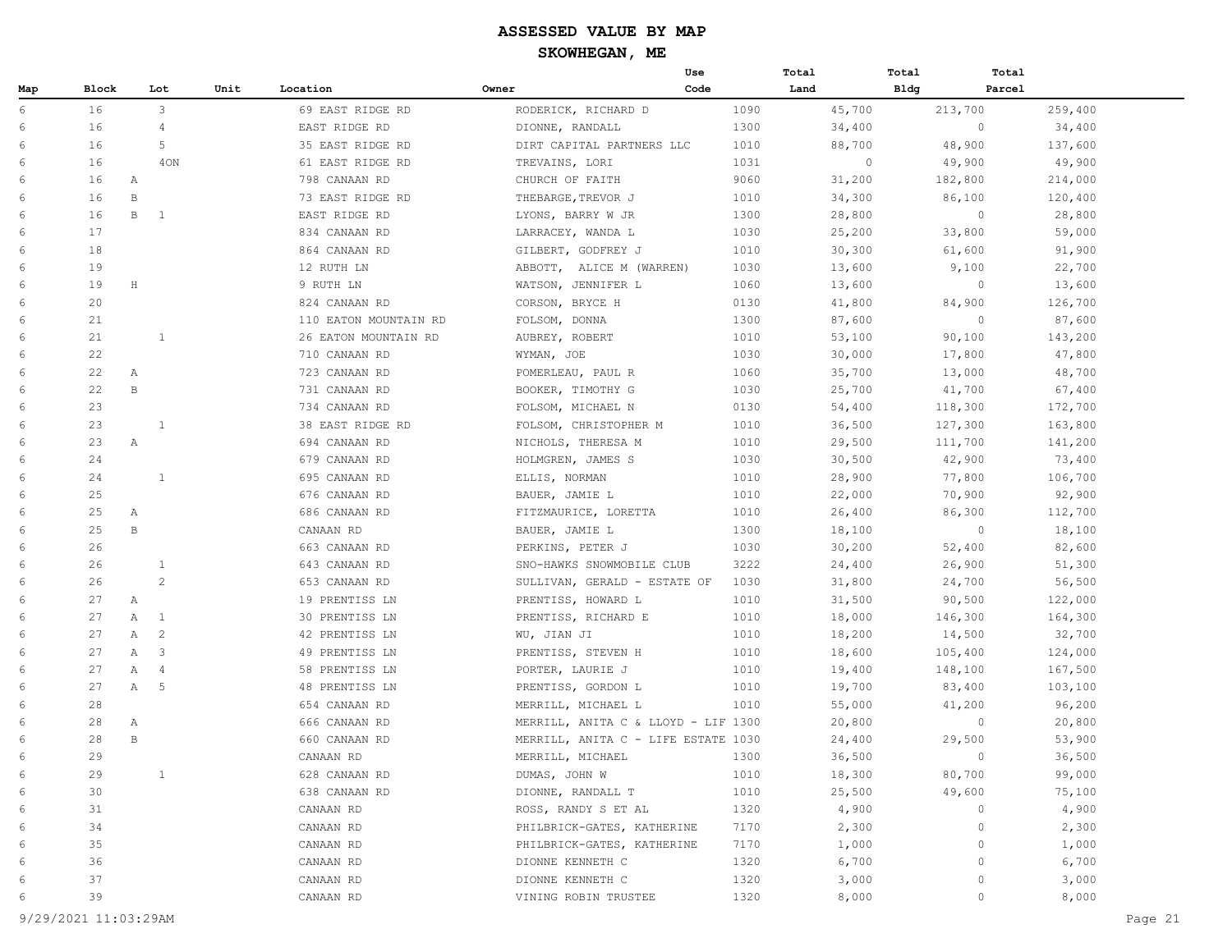|     |       |              |                |      |                       |                              | Use                                 |      | Total   | Total | Total   |         |
|-----|-------|--------------|----------------|------|-----------------------|------------------------------|-------------------------------------|------|---------|-------|---------|---------|
| Map | Block |              | Lot            | Unit | Location              | Owner                        | Code                                |      | Land    | Bldg  | Parcel  |         |
| 6   | 16    |              | 3              |      | 69 EAST RIDGE RD      | RODERICK, RICHARD D          |                                     | 1090 | 45,700  |       | 213,700 | 259,400 |
| 6   | 16    |              | $\overline{4}$ |      | EAST RIDGE RD         | DIONNE, RANDALL              |                                     | 1300 | 34,400  |       | $\circ$ | 34,400  |
| 6   | 16    |              | 5              |      | 35 EAST RIDGE RD      | DIRT CAPITAL PARTNERS LLC    |                                     | 1010 | 88,700  |       | 48,900  | 137,600 |
| 6   | 16    |              | 40N            |      | 61 EAST RIDGE RD      | TREVAINS, LORI               |                                     | 1031 | $\circ$ |       | 49,900  | 49,900  |
| 6   | 16    | $\mathbb{A}$ |                |      | 798 CANAAN RD         | CHURCH OF FAITH              |                                     | 9060 | 31,200  |       | 182,800 | 214,000 |
| 6   | 16    | $\, {\bf B}$ |                |      | 73 EAST RIDGE RD      | THEBARGE, TREVOR J           |                                     | 1010 | 34,300  |       | 86,100  | 120,400 |
| 6   | 16    | В            | $\mathbf{1}$   |      | EAST RIDGE RD         | LYONS, BARRY W JR            |                                     | 1300 | 28,800  |       | $\circ$ | 28,800  |
| 6   | 17    |              |                |      | 834 CANAAN RD         | LARRACEY, WANDA L            |                                     | 1030 | 25,200  |       | 33,800  | 59,000  |
| 6   | 18    |              |                |      | 864 CANAAN RD         | GILBERT, GODFREY J           |                                     | 1010 | 30,300  |       | 61,600  | 91,900  |
| 6   | 19    |              |                |      | 12 RUTH LN            | ABBOTT, ALICE M (WARREN)     |                                     | 1030 | 13,600  |       | 9,100   | 22,700  |
| 6   | 19    | H            |                |      | 9 RUTH LN             | WATSON, JENNIFER L           |                                     | 1060 | 13,600  |       | $\circ$ | 13,600  |
| 6   | 20    |              |                |      | 824 CANAAN RD         | CORSON, BRYCE H              |                                     | 0130 | 41,800  |       | 84,900  | 126,700 |
| 6   | 21    |              |                |      | 110 EATON MOUNTAIN RD | FOLSOM, DONNA                |                                     | 1300 | 87,600  |       | $\circ$ | 87,600  |
| 6   | 21    |              | $\mathbf{1}$   |      | 26 EATON MOUNTAIN RD  | AUBREY, ROBERT               |                                     | 1010 | 53,100  |       | 90,100  | 143,200 |
| 6   | 22    |              |                |      | 710 CANAAN RD         | WYMAN, JOE                   |                                     | 1030 | 30,000  |       | 17,800  | 47,800  |
| 6   | 22    | Α            |                |      | 723 CANAAN RD         | POMERLEAU, PAUL R            |                                     | 1060 | 35,700  |       | 13,000  | 48,700  |
| 6   | 22    | В            |                |      | 731 CANAAN RD         | BOOKER, TIMOTHY G            |                                     | 1030 | 25,700  |       | 41,700  | 67,400  |
| 6   | 23    |              |                |      | 734 CANAAN RD         | FOLSOM, MICHAEL N            |                                     | 0130 | 54,400  |       | 118,300 | 172,700 |
| 6   | 23    |              | $\mathbf{1}$   |      | 38 EAST RIDGE RD      | FOLSOM, CHRISTOPHER M        |                                     | 1010 | 36,500  |       | 127,300 | 163,800 |
| 6   | 23    | Α            |                |      | 694 CANAAN RD         | NICHOLS, THERESA M           |                                     | 1010 | 29,500  |       | 111,700 | 141,200 |
| 6   | 24    |              |                |      | 679 CANAAN RD         | HOLMGREN, JAMES S            |                                     | 1030 | 30,500  |       | 42,900  | 73,400  |
| 6   | 24    |              | $\mathbf{1}$   |      | 695 CANAAN RD         | ELLIS, NORMAN                |                                     | 1010 | 28,900  |       | 77,800  | 106,700 |
| 6   | 25    |              |                |      | 676 CANAAN RD         | BAUER, JAMIE L               |                                     | 1010 | 22,000  |       | 70,900  | 92,900  |
| 6   | 25    | Α            |                |      | 686 CANAAN RD         | FITZMAURICE, LORETTA         |                                     | 1010 | 26,400  |       | 86,300  | 112,700 |
| 6   | 25    | В            |                |      | CANAAN RD             | BAUER, JAMIE L               |                                     | 1300 | 18,100  |       | $\circ$ | 18,100  |
| 6   | 26    |              |                |      | 663 CANAAN RD         | PERKINS, PETER J             |                                     | 1030 | 30,200  |       | 52,400  | 82,600  |
| 6   | 26    |              | 1              |      | 643 CANAAN RD         | SNO-HAWKS SNOWMOBILE CLUB    |                                     | 3222 | 24,400  |       | 26,900  | 51,300  |
| 6   | 26    |              | 2              |      | 653 CANAAN RD         | SULLIVAN, GERALD - ESTATE OF |                                     | 1030 | 31,800  |       | 24,700  | 56,500  |
| 6   | 27    | Α            |                |      | 19 PRENTISS LN        | PRENTISS, HOWARD L           |                                     | 1010 | 31,500  |       | 90,500  | 122,000 |
| 6   | 27    | Α            | $\overline{1}$ |      | 30 PRENTISS LN        | PRENTISS, RICHARD E          |                                     | 1010 | 18,000  |       | 146,300 | 164,300 |
| 6   | 27    | Α            | $\overline{c}$ |      | 42 PRENTISS LN        | WU, JIAN JI                  |                                     | 1010 | 18,200  |       | 14,500  | 32,700  |
| 6   | 27    | Α            | $\overline{3}$ |      | 49 PRENTISS LN        | PRENTISS, STEVEN H           |                                     | 1010 | 18,600  |       | 105,400 | 124,000 |
| 6   | 27    | Α            | 4              |      | 58 PRENTISS LN        | PORTER, LAURIE J             |                                     | 1010 | 19,400  |       | 148,100 | 167,500 |
| 6   | 27    | Α            | 5              |      | 48 PRENTISS LN        | PRENTISS, GORDON L           |                                     | 1010 | 19,700  |       | 83,400  | 103,100 |
| 6   | 28    |              |                |      | 654 CANAAN RD         | MERRILL, MICHAEL L           |                                     | 1010 | 55,000  |       | 41,200  | 96,200  |
| 6   | 28    | Α            |                |      | 666 CANAAN RD         |                              | MERRILL, ANITA C & LLOYD - LIF 1300 |      | 20,800  |       | $\circ$ | 20,800  |
| 6   | 28    | B            |                |      | 660 CANAAN RD         |                              | MERRILL, ANITA C - LIFE ESTATE 1030 |      | 24,400  |       | 29,500  | 53,900  |
| 6   | 29    |              |                |      | CANAAN RD             | MERRILL, MICHAEL             |                                     | 1300 | 36,500  |       | $\circ$ | 36,500  |
| 6   | 29    |              | $\mathbf{1}$   |      | 628 CANAAN RD         | DUMAS, JOHN W                |                                     | 1010 | 18,300  |       | 80,700  | 99,000  |
| 6   | 30    |              |                |      | 638 CANAAN RD         | DIONNE, RANDALL T            |                                     | 1010 | 25,500  |       | 49,600  | 75,100  |
| 6   | 31    |              |                |      | CANAAN RD             | ROSS, RANDY S ET AL          |                                     | 1320 | 4,900   |       | $\circ$ | 4,900   |
| 6   | 34    |              |                |      | CANAAN RD             | PHILBRICK-GATES, KATHERINE   |                                     | 7170 | 2,300   |       | $\circ$ | 2,300   |
| 6   | 35    |              |                |      | CANAAN RD             | PHILBRICK-GATES, KATHERINE   |                                     | 7170 | 1,000   |       | $\circ$ | 1,000   |
| 6   | 36    |              |                |      | CANAAN RD             | DIONNE KENNETH C             |                                     | 1320 | 6,700   |       | $\circ$ | 6,700   |
| 6   | 37    |              |                |      | CANAAN RD             | DIONNE KENNETH C             |                                     | 1320 | 3,000   |       | $\circ$ | 3,000   |
| 6   | 39    |              |                |      | CANAAN RD             | VINING ROBIN TRUSTEE         |                                     | 1320 | 8,000   |       | $\circ$ | 8,000   |

9/29/2021 11:03:29AM Page 21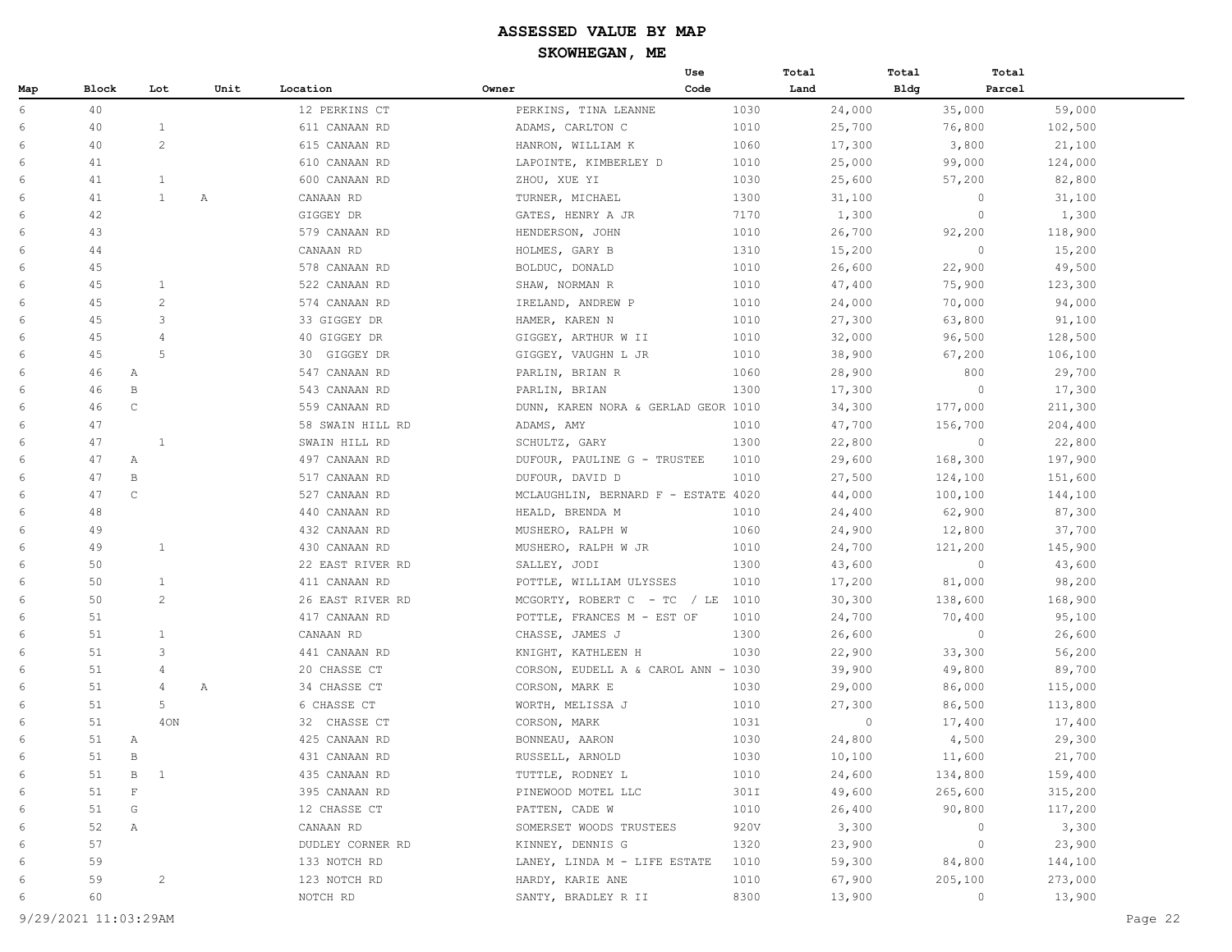|     |                    |                       |      |                  |                                     | Use  | Total   | Total       | Total             |
|-----|--------------------|-----------------------|------|------------------|-------------------------------------|------|---------|-------------|-------------------|
| Map | <b>Block</b>       | Lot                   | Unit | Location         | Owner                               | Code | Land    | <b>Bldg</b> | Parcel            |
| 6   | 40                 |                       |      | 12 PERKINS CT    | PERKINS, TINA LEANNE                | 1030 | 24,000  | 35,000      | 59,000            |
| 6   | 40                 | $\mathbf{1}$          |      | 611 CANAAN RD    | ADAMS, CARLTON C                    | 1010 | 25,700  | 76,800      | 102,500           |
| 6   | 40                 | $\overline{c}$        |      | 615 CANAAN RD    | HANRON, WILLIAM K                   | 1060 | 17,300  | 3,800       | 21,100            |
| 6   | 41                 |                       |      | 610 CANAAN RD    | LAPOINTE, KIMBERLEY D               | 1010 | 25,000  | 99,000      | 124,000           |
| 6   | 41                 | $\mathbf{1}$          |      | 600 CANAAN RD    | ZHOU, XUE YI                        | 1030 | 25,600  | 57,200      | 82,800            |
| 6   | 41                 | $\mathbf{1}$          | Α    | CANAAN RD        | TURNER, MICHAEL                     | 1300 | 31,100  | $\circ$     | 31,100            |
| 6   | 42                 |                       |      | GIGGEY DR        | GATES, HENRY A JR                   | 7170 | 1,300   | $\circ$     | 1,300             |
| 6   | 43                 |                       |      | 579 CANAAN RD    | HENDERSON, JOHN                     | 1010 | 26,700  | 92,200      | 118,900           |
| 6   | 44                 |                       |      | CANAAN RD        | HOLMES, GARY B                      | 1310 | 15,200  | $\circ$     | 15,200            |
| 6   | 45                 |                       |      | 578 CANAAN RD    | BOLDUC, DONALD                      | 1010 | 26,600  | 22,900      | 49,500            |
| 6   | 45                 | $\mathbf{1}$          |      | 522 CANAAN RD    | SHAW, NORMAN R                      | 1010 | 47,400  | 75,900      | 123,300           |
| 6   | 45                 | $\overline{c}$        |      | 574 CANAAN RD    | IRELAND, ANDREW P                   | 1010 | 24,000  | 70,000      | 94,000            |
| 6   | 45                 | 3                     |      | 33 GIGGEY DR     | HAMER, KAREN N                      | 1010 | 27,300  | 63,800      | 91,100            |
| 6   | 45                 | 4                     |      | 40 GIGGEY DR     | GIGGEY, ARTHUR W II                 | 1010 | 32,000  | 96,500      | 128,500           |
| 6   | 45                 | 5                     |      | 30<br>GIGGEY DR  | GIGGEY, VAUGHN L JR                 | 1010 | 38,900  | 67,200      | 106,100           |
| 6   | 46                 | Α                     |      | 547 CANAAN RD    | PARLIN, BRIAN R                     | 1060 | 28,900  | 800         | 29,700            |
| 6   | 46<br>B            |                       |      | 543 CANAAN RD    | PARLIN, BRIAN                       | 1300 | 17,300  | $\circ$     | 17,300            |
| 6   | $\mathsf C$<br>46  |                       |      | 559 CANAAN RD    | DUNN, KAREN NORA & GERLAD GEOR 1010 |      | 34,300  | 177,000     | 211,300           |
| 6   | 47                 |                       |      | 58 SWAIN HILL RD | ADAMS, AMY                          | 1010 | 47,700  | 156,700     | 204,400           |
| 6   | 47                 | 1                     |      | SWAIN HILL RD    | SCHULTZ, GARY                       | 1300 | 22,800  | $\circ$     | 22,800            |
| 6   | 47<br>А            |                       |      | 497 CANAAN RD    | DUFOUR, PAULINE G - TRUSTEE         | 1010 | 29,600  | 168,300     | 197,900           |
| 6   | $\, {\bf B}$<br>47 |                       |      | 517 CANAAN RD    | DUFOUR, DAVID D                     | 1010 | 27,500  | 124,100     | 151,600           |
| 6   | 47<br>$\mathbb C$  |                       |      | 527 CANAAN RD    | MCLAUGHLIN, BERNARD F - ESTATE 4020 |      | 44,000  | 100,100     | 144,100           |
| 6   | 48                 |                       |      | 440 CANAAN RD    | HEALD, BRENDA M                     | 1010 | 24,400  | 62,900      | 87,300            |
| 6   | 49                 |                       |      | 432 CANAAN RD    | MUSHERO, RALPH W                    | 1060 | 24,900  | 12,800      | 37,700            |
| 6   | 49                 | $\mathbf{1}$          |      | 430 CANAAN RD    | MUSHERO, RALPH W JR                 | 1010 | 24,700  | 121,200     | 145,900           |
| 6   | 50                 |                       |      | 22 EAST RIVER RD | SALLEY, JODI                        | 1300 | 43,600  | $\circ$     | 43,600            |
| 6   | 50                 | $\mathbf{1}$          |      | 411 CANAAN RD    | POTTLE, WILLIAM ULYSSES             | 1010 | 17,200  | 81,000      | 98,200            |
| 6   | 50                 | $\mathbf{2}^{\prime}$ |      | 26 EAST RIVER RD | MCGORTY, ROBERT C - TC / LE $1010$  |      | 30,300  | 138,600     | 168,900           |
| 6   | 51                 |                       |      | 417 CANAAN RD    | POTTLE, FRANCES M - EST OF          | 1010 | 24,700  | 70,400      | 95,100            |
| 6   | 51                 | $\mathbf{1}$          |      | CANAAN RD        | CHASSE, JAMES J                     | 1300 | 26,600  |             | $\circ$<br>26,600 |
| 6   | 51                 | 3                     |      | 441 CANAAN RD    | KNIGHT, KATHLEEN H                  | 1030 | 22,900  | 33,300      | 56,200            |
| 6   | 51                 | 4                     |      | 20 CHASSE CT     | CORSON, EUDELL A & CAROL ANN - 1030 |      | 39,900  | 49,800      | 89,700            |
| 6   | 51                 | 4                     | Α    | 34 CHASSE CT     | CORSON, MARK E                      | 1030 | 29,000  | 86,000      | 115,000           |
| 6   | 51                 | 5                     |      | 6 CHASSE CT      | WORTH, MELISSA J                    | 1010 | 27,300  | 86,500      | 113,800           |
| 6   | 51                 | 40N                   |      | 32 CHASSE CT     | CORSON, MARK                        | 1031 | $\circ$ | 17,400      | 17,400            |
| 6   | 51<br>Α            |                       |      | 425 CANAAN RD    | BONNEAU, AARON                      | 1030 | 24,800  | 4,500       | 29,300            |
| 6   | 51<br>$\, {\bf B}$ |                       |      | 431 CANAAN RD    | RUSSELL, ARNOLD                     | 1030 | 10,100  | 11,600      | 21,700            |
| 6   | 51                 | $\, {\bf B}$<br>1     |      | 435 CANAAN RD    | TUTTLE, RODNEY L                    | 1010 | 24,600  | 134,800     | 159,400           |
| 6   | 51                 | $\mathbf{F}$          |      | 395 CANAAN RD    | PINEWOOD MOTEL LLC                  | 301I | 49,600  | 265,600     | 315,200           |
| 6   | 51                 | G                     |      | 12 CHASSE CT     | PATTEN, CADE W                      | 1010 | 26,400  | 90,800      | 117,200           |
| 6   | 52                 | Α                     |      | CANAAN RD        | SOMERSET WOODS TRUSTEES             | 920V | 3,300   | $\circ$     | 3,300             |
| 6   | 57                 |                       |      | DUDLEY CORNER RD | KINNEY, DENNIS G                    | 1320 | 23,900  | $\circ$     | 23,900            |
| 6   | 59                 |                       |      | 133 NOTCH RD     | LANEY, LINDA M - LIFE ESTATE        | 1010 | 59,300  | 84,800      | 144,100           |
| 6   | 59                 | $\overline{c}$        |      | 123 NOTCH RD     | HARDY, KARIE ANE                    | 1010 | 67,900  | 205,100     | 273,000           |
| 6   | 60                 |                       |      | NOTCH RD         | SANTY, BRADLEY R II                 | 8300 | 13,900  | $\circ$     | 13,900            |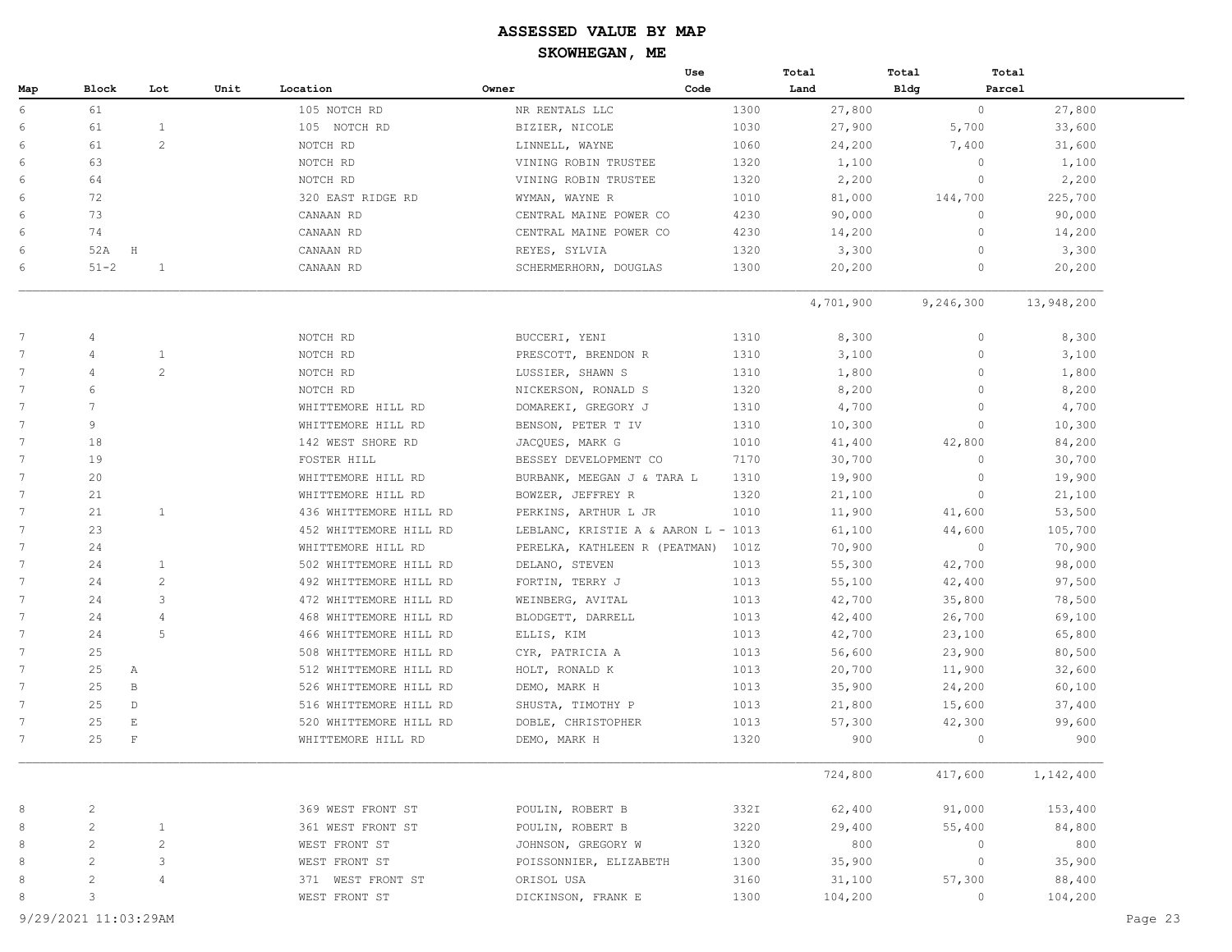|                 |                          |                |      |                        |                                     | Use  | Total     | Total          | Total      |         |
|-----------------|--------------------------|----------------|------|------------------------|-------------------------------------|------|-----------|----------------|------------|---------|
| Map             | <b>Block</b>             | Lot            | Unit | Location               | Owner                               | Code | Land      | <b>Bldg</b>    | Parcel     |         |
| 6               | 61                       |                |      | 105 NOTCH RD           | NR RENTALS LLC                      | 1300 | 27,800    | $\circ$        | 27,800     |         |
| 6               | 61                       | $\mathbf{1}$   |      | 105 NOTCH RD           | BIZIER, NICOLE                      | 1030 | 27,900    | 5,700          | 33,600     |         |
| 6               | 61                       | 2              |      | NOTCH RD               | LINNELL, WAYNE                      | 1060 | 24,200    | 7,400          | 31,600     |         |
| 6               | 63                       |                |      | NOTCH RD               | VINING ROBIN TRUSTEE                | 1320 | 1,100     | $\mathbf{0}$   | 1,100      |         |
| 6               | 64                       |                |      | NOTCH RD               | VINING ROBIN TRUSTEE                | 1320 | 2,200     | $\circ$        | 2,200      |         |
| 6               | 72                       |                |      | 320 EAST RIDGE RD      | WYMAN, WAYNE R                      | 1010 | 81,000    | 144,700        | 225,700    |         |
| 6               | 73                       |                |      | CANAAN RD              | CENTRAL MAINE POWER CO              | 4230 | 90,000    | $\circ$        | 90,000     |         |
| 6               | 74                       |                |      | CANAAN RD              | CENTRAL MAINE POWER CO              | 4230 | 14,200    | $\overline{0}$ | 14,200     |         |
| 6               | 52A                      | H              |      | CANAAN RD              | REYES, SYLVIA                       | 1320 | 3,300     | $\overline{0}$ | 3,300      |         |
| 6               | $51 - 2$                 | $\mathbf{1}$   |      | CANAAN RD              | SCHERMERHORN, DOUGLAS               | 1300 | 20,200    | $\overline{0}$ | 20,200     |         |
|                 |                          |                |      |                        |                                     |      | 4,701,900 | 9,246,300      | 13,948,200 |         |
| $7\phantom{.0}$ | $\overline{4}$           |                |      | NOTCH RD               | BUCCERI, YENI                       | 1310 | 8,300     | $\circ$        | 8,300      |         |
| 7               | $\overline{4}$           | $\mathbf{1}$   |      | NOTCH RD               | PRESCOTT, BRENDON R                 | 1310 | 3,100     | $\overline{0}$ | 3,100      |         |
| 7               | 4                        | 2              |      | NOTCH RD               | LUSSIER, SHAWN S                    | 1310 | 1,800     | $\Omega$       | 1,800      |         |
| 7               | 6                        |                |      | NOTCH RD               | NICKERSON, RONALD S                 | 1320 | 8,200     | $\overline{0}$ | 8,200      |         |
| $\overline{7}$  | 7                        |                |      | WHITTEMORE HILL RD     | DOMAREKI, GREGORY J                 | 1310 | 4,700     | $\overline{0}$ | 4,700      |         |
| $7\phantom{.0}$ | 9                        |                |      | WHITTEMORE HILL RD     | BENSON, PETER T IV                  | 1310 | 10,300    | $\overline{0}$ | 10,300     |         |
| 7               | 18                       |                |      | 142 WEST SHORE RD      | JACQUES, MARK G                     | 1010 | 41,400    | 42,800         | 84,200     |         |
| 7               | 19                       |                |      | FOSTER HILL            | BESSEY DEVELOPMENT CO               | 7170 | 30,700    | $\circ$        | 30,700     |         |
| $\overline{7}$  | 20                       |                |      | WHITTEMORE HILL RD     | BURBANK, MEEGAN J & TARA L          | 1310 | 19,900    | $\circ$        | 19,900     |         |
| 7               | 21                       |                |      | WHITTEMORE HILL RD     | BOWZER, JEFFREY R                   | 1320 | 21,100    | $\overline{0}$ | 21,100     |         |
| 7               | 21                       | $\mathbf{1}$   |      | 436 WHITTEMORE HILL RD | PERKINS, ARTHUR L JR                | 1010 | 11,900    | 41,600         | 53,500     |         |
| 7               | 23                       |                |      | 452 WHITTEMORE HILL RD | LEBLANC, KRISTIE A & AARON L - 1013 |      | 61,100    | 44,600         | 105,700    |         |
| $\overline{7}$  | 24                       |                |      | WHITTEMORE HILL RD     | PERELKA, KATHLEEN R (PEATMAN)       | 101Z | 70,900    | $\overline{0}$ | 70,900     |         |
| 7               | 24                       | 1              |      | 502 WHITTEMORE HILL RD | DELANO, STEVEN                      | 1013 | 55,300    | 42,700         | 98,000     |         |
| 7               | 24                       | 2              |      | 492 WHITTEMORE HILL RD | FORTIN, TERRY J                     | 1013 | 55,100    | 42,400         | 97,500     |         |
| 7               | 24                       | 3              |      | 472 WHITTEMORE HILL RD | WEINBERG, AVITAL                    | 1013 | 42,700    | 35,800         | 78,500     |         |
| $\overline{7}$  | 24                       | 4              |      | 468 WHITTEMORE HILL RD | BLODGETT, DARRELL                   | 1013 | 42,400    | 26,700         | 69,100     |         |
| 7               | 24                       | 5              |      | 466 WHITTEMORE HILL RD | ELLIS, KIM                          | 1013 | 42,700    | 23,100         | 65,800     |         |
| 7               | 25                       |                |      | 508 WHITTEMORE HILL RD | CYR, PATRICIA A                     | 1013 | 56,600    | 23,900         | 80,500     |         |
| 7               | 25                       | А              |      | 512 WHITTEMORE HILL RD | HOLT, RONALD K                      | 1013 | 20,700    | 11,900         | 32,600     |         |
| 7               | 25                       | B              |      | 526 WHITTEMORE HILL RD | DEMO, MARK H                        | 1013 | 35,900    | 24,200         | 60,100     |         |
| 7               | 25                       | $\mathbb{D}$   |      | 516 WHITTEMORE HILL RD | SHUSTA, TIMOTHY P                   | 1013 | 21,800    | 15,600         | 37,400     |         |
| 7               | 25                       | E              |      | 520 WHITTEMORE HILL RD | DOBLE, CHRISTOPHER                  | 1013 | 57,300    | 42,300         | 99,600     |         |
| 7               | 25                       | $\mathbf F$    |      | WHITTEMORE HILL RD     | DEMO, MARK H                        | 1320 | 900       | $\circ$        | 900        |         |
|                 |                          |                |      |                        |                                     |      | 724,800   | 417,600        | 1,142,400  |         |
| 8               | $\overline{c}$           |                |      | 369 WEST FRONT ST      | POULIN, ROBERT B                    | 332I | 62,400    | 91,000         | 153,400    |         |
| 8               | $\overline{c}$           | 1              |      | 361 WEST FRONT ST      | POULIN, ROBERT B                    | 3220 | 29,400    | 55,400         | 84,800     |         |
| 8               | $\mathbf{2}$             | $\overline{c}$ |      | WEST FRONT ST          | JOHNSON, GREGORY W                  | 1320 | 800       | $\circ$        | 800        |         |
| 8               | $\overline{c}$           | 3              |      | WEST FRONT ST          | POISSONNIER, ELIZABETH              | 1300 | 35,900    | $\circ$        | 35,900     |         |
| 8               | $\overline{\mathcal{L}}$ | 4              |      | 371 WEST FRONT ST      | ORISOL USA                          | 3160 | 31,100    | 57,300         | 88,400     |         |
| 8               | $\overline{3}$           |                |      | WEST FRONT ST          | DICKINSON, FRANK E                  | 1300 | 104,200   | $\circ$        | 104,200    |         |
|                 | 9/29/2021 11:03:29AM     |                |      |                        |                                     |      |           |                |            | Page 23 |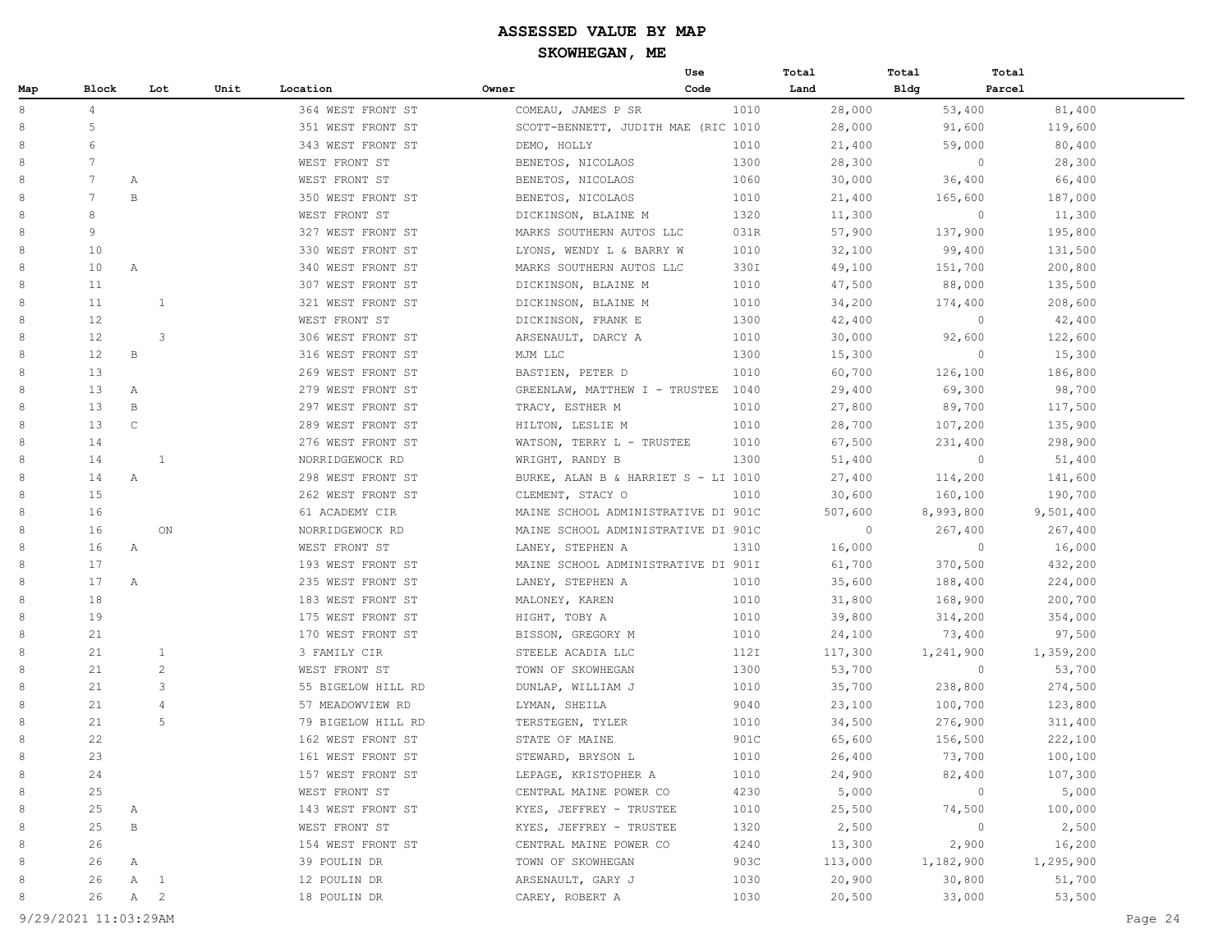|     |                 |              |                |                    |                                     | Use  | Total        | Total     | Total     |
|-----|-----------------|--------------|----------------|--------------------|-------------------------------------|------|--------------|-----------|-----------|
| Map | Block           |              | Lot<br>Unit    | Location           | Owner                               | Code | Land         | Bldg      | Parcel    |
| 8   | $\overline{4}$  |              |                | 364 WEST FRONT ST  | COMEAU, JAMES P SR                  | 1010 | 28,000       | 53,400    | 81,400    |
| 8   | 5               |              |                | 351 WEST FRONT ST  | SCOTT-BENNETT, JUDITH MAE (RIC 1010 |      | 28,000       | 91,600    | 119,600   |
| 8   | 6               |              |                | 343 WEST FRONT ST  | DEMO, HOLLY                         | 1010 | 21,400       | 59,000    | 80,400    |
| 8   | 7               |              |                | WEST FRONT ST      | BENETOS, NICOLAOS                   | 1300 | 28,300       | $\circ$   | 28,300    |
| 8   | 7               | Α            |                | WEST FRONT ST      | BENETOS, NICOLAOS                   | 1060 | 30,000       | 36,400    | 66,400    |
| 8   | $7\phantom{.0}$ | $\, {\bf B}$ |                | 350 WEST FRONT ST  | BENETOS, NICOLAOS                   | 1010 | 21,400       | 165,600   | 187,000   |
| 8   | 8               |              |                | WEST FRONT ST      | DICKINSON, BLAINE M                 | 1320 | 11,300       | $\circ$   | 11,300    |
| 8   | 9               |              |                | 327 WEST FRONT ST  | MARKS SOUTHERN AUTOS LLC            | 031R | 57,900       | 137,900   | 195,800   |
| 8   | 10              |              |                | 330 WEST FRONT ST  | LYONS, WENDY L & BARRY W            | 1010 | 32,100       | 99,400    | 131,500   |
| 8   | 10              | Α            |                | 340 WEST FRONT ST  | MARKS SOUTHERN AUTOS LLC            | 330I | 49,100       | 151,700   | 200,800   |
| 8   | 11              |              |                | 307 WEST FRONT ST  | DICKINSON, BLAINE M                 | 1010 | 47,500       | 88,000    | 135,500   |
| 8   | 11              |              | $\mathbf{1}$   | 321 WEST FRONT ST  | DICKINSON, BLAINE M                 | 1010 | 34,200       | 174,400   | 208,600   |
| 8   | 12              |              |                | WEST FRONT ST      | DICKINSON, FRANK E                  | 1300 | 42,400       | $\circ$   | 42,400    |
| 8   | 12 <sup>°</sup> |              | 3              | 306 WEST FRONT ST  | ARSENAULT, DARCY A                  | 1010 | 30,000       | 92,600    | 122,600   |
| 8   | 12 <sup>°</sup> | B            |                | 316 WEST FRONT ST  | MJM LLC                             | 1300 | 15,300       | $\circ$   | 15,300    |
| 8   | 13              |              |                | 269 WEST FRONT ST  | BASTIEN, PETER D                    | 1010 | 60,700       | 126,100   | 186,800   |
| 8   | 13              | Α            |                | 279 WEST FRONT ST  | GREENLAW, MATTHEW I - TRUSTEE       | 1040 | 29,400       | 69,300    | 98,700    |
| 8   | 13              | $\, {\bf B}$ |                | 297 WEST FRONT ST  | TRACY, ESTHER M                     | 1010 | 27,800       | 89,700    | 117,500   |
| 8   | 13              | $\mathsf C$  |                | 289 WEST FRONT ST  | HILTON, LESLIE M                    | 1010 | 28,700       | 107,200   | 135,900   |
| 8   | 14              |              |                | 276 WEST FRONT ST  | WATSON, TERRY L - TRUSTEE           | 1010 | 67,500       | 231,400   | 298,900   |
| 8   | 14              |              | $\mathbf{1}$   | NORRIDGEWOCK RD    | WRIGHT, RANDY B                     | 1300 | 51,400       | $\circ$   | 51,400    |
| 8   | 14              | Α            |                | 298 WEST FRONT ST  | BURKE, ALAN B & HARRIET S - LI 1010 |      | 27,400       | 114,200   | 141,600   |
| 8   | 15              |              |                | 262 WEST FRONT ST  | CLEMENT, STACY O                    | 1010 | 30,600       | 160,100   | 190,700   |
| 8   | 16              |              |                | 61 ACADEMY CIR     | MAINE SCHOOL ADMINISTRATIVE DI 901C |      | 507,600      | 8,993,800 | 9,501,400 |
| 8   | 16              |              | ON             | NORRIDGEWOCK RD    | MAINE SCHOOL ADMINISTRATIVE DI 901C |      | $\mathbf{0}$ | 267,400   | 267,400   |
| 8   | 16              | Α            |                | WEST FRONT ST      | LANEY, STEPHEN A                    | 1310 | 16,000       | $\circ$   | 16,000    |
| 8   | 17              |              |                | 193 WEST FRONT ST  | MAINE SCHOOL ADMINISTRATIVE DI 901I |      | 61,700       | 370,500   | 432,200   |
| 8   | 17              | Α            |                | 235 WEST FRONT ST  | LANEY, STEPHEN A                    | 1010 | 35,600       | 188,400   | 224,000   |
| 8   | 18              |              |                | 183 WEST FRONT ST  | MALONEY, KAREN                      | 1010 | 31,800       | 168,900   | 200,700   |
| 8   | 19              |              |                | 175 WEST FRONT ST  | HIGHT, TOBY A                       | 1010 | 39,800       | 314,200   | 354,000   |
| 8   | 21              |              |                | 170 WEST FRONT ST  | BISSON, GREGORY M                   | 1010 | 24,100       | 73,400    | 97,500    |
| 8   | 21              |              | $\mathbf{1}$   | 3 FAMILY CIR       | STEELE ACADIA LLC                   | 112I | 117,300      | 1,241,900 | 1,359,200 |
| 8   | 21              |              | $\overline{c}$ | WEST FRONT ST      | TOWN OF SKOWHEGAN                   | 1300 | 53,700       | $\circ$   | 53,700    |
| 8   | 21              |              | 3              | 55 BIGELOW HILL RD | DUNLAP, WILLIAM J                   | 1010 | 35,700       | 238,800   | 274,500   |
| 8   | 21              |              | $\overline{4}$ | 57 MEADOWVIEW RD   | LYMAN, SHEILA                       | 9040 | 23,100       | 100,700   | 123,800   |
| 8   | 21              |              | 5              | 79 BIGELOW HILL RD | TERSTEGEN, TYLER                    | 1010 | 34,500       | 276,900   | 311,400   |
| 8   | 22              |              |                | 162 WEST FRONT ST  | STATE OF MAINE                      | 901C | 65,600       | 156,500   | 222,100   |
| 8   | 23              |              |                | 161 WEST FRONT ST  | STEWARD, BRYSON L                   | 1010 | 26,400       | 73,700    | 100,100   |
| 8   | 24              |              |                | 157 WEST FRONT ST  | LEPAGE, KRISTOPHER A                | 1010 | 24,900       | 82,400    | 107,300   |
| 8   | 25              |              |                | WEST FRONT ST      | CENTRAL MAINE POWER CO              | 4230 | 5,000        | $\circ$   | 5,000     |
| 8   | 25              | А            |                | 143 WEST FRONT ST  | KYES, JEFFREY - TRUSTEE             | 1010 | 25,500       | 74,500    | 100,000   |
| 8   | 25              | $\mathbf{B}$ |                | WEST FRONT ST      | KYES, JEFFREY - TRUSTEE             | 1320 | 2,500        | $\circ$   | 2,500     |
| 8   | 26              |              |                | 154 WEST FRONT ST  | CENTRAL MAINE POWER CO              | 4240 | 13,300       | 2,900     | 16,200    |
| 8   | 26              | Α            |                | 39 POULIN DR       | TOWN OF SKOWHEGAN                   | 903C | 113,000      | 1,182,900 | 1,295,900 |
| 8   | 26              | $\mathbb{A}$ | $\overline{1}$ | 12 POULIN DR       | ARSENAULT, GARY J                   | 1030 | 20,900       | 30,800    | 51,700    |
| 8   | 26              | A            | $\overline{2}$ | 18 POULIN DR       | CAREY, ROBERT A                     | 1030 | 20,500       | 33,000    | 53,500    |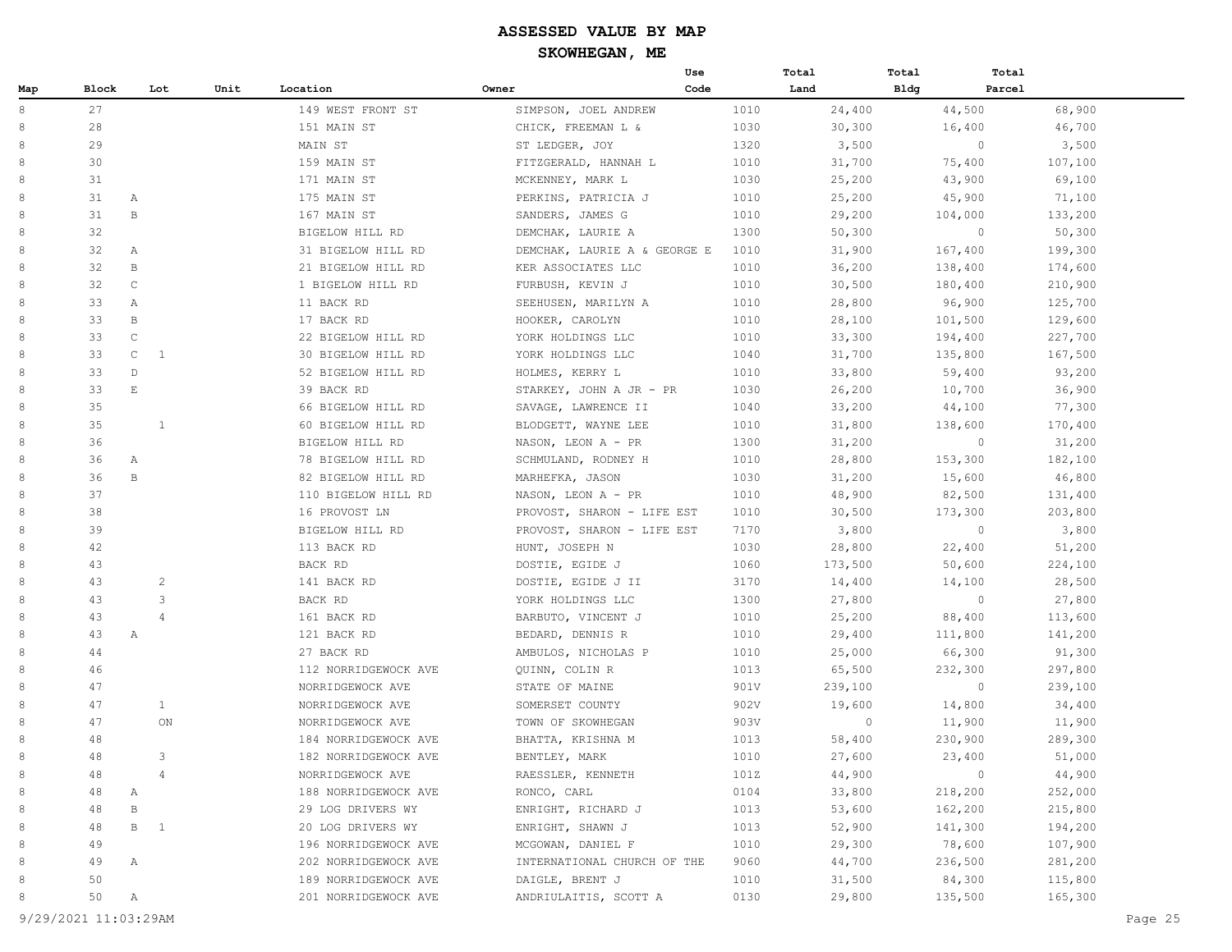|     |       |              |                |                      |                              | Use  | Total   | Total       | Total   |         |
|-----|-------|--------------|----------------|----------------------|------------------------------|------|---------|-------------|---------|---------|
| Map | Block |              | Unit<br>Lot    | Location             | Owner                        | Code | Land    | <b>Bldg</b> | Parcel  |         |
| 8   | 27    |              |                | 149 WEST FRONT ST    | SIMPSON, JOEL ANDREW         | 1010 | 24,400  |             | 44,500  | 68,900  |
| 8   | 28    |              |                | 151 MAIN ST          | CHICK, FREEMAN L &           | 1030 | 30,300  |             | 16,400  | 46,700  |
| 8   | 29    |              |                | MAIN ST              | ST LEDGER, JOY               | 1320 | 3,500   |             | $\circ$ | 3,500   |
| 8   | 30    |              |                | 159 MAIN ST          | FITZGERALD, HANNAH L         | 1010 | 31,700  |             | 75,400  | 107,100 |
| 8   | 31    |              |                | 171 MAIN ST          | MCKENNEY, MARK L             | 1030 | 25,200  |             | 43,900  | 69,100  |
| 8   | 31    | $\mathbb{A}$ |                | 175 MAIN ST          | PERKINS, PATRICIA J          | 1010 | 25,200  |             | 45,900  | 71,100  |
| 8   | 31    | $\,$ B       |                | 167 MAIN ST          | SANDERS, JAMES G             | 1010 | 29,200  |             | 104,000 | 133,200 |
| 8   | 32    |              |                | BIGELOW HILL RD      | DEMCHAK, LAURIE A            | 1300 | 50,300  |             | $\circ$ | 50,300  |
| 8   | 32    | А            |                | 31 BIGELOW HILL RD   | DEMCHAK, LAURIE A & GEORGE E | 1010 | 31,900  |             | 167,400 | 199,300 |
| 8   | 32    | B            |                | 21 BIGELOW HILL RD   | KER ASSOCIATES LLC           | 1010 | 36,200  |             | 138,400 | 174,600 |
| 8   | 32    | $\mathsf{C}$ |                | 1 BIGELOW HILL RD    | FURBUSH, KEVIN J             | 1010 | 30,500  |             | 180,400 | 210,900 |
| 8   | 33    | $\mathbb{A}$ |                | 11 BACK RD           | SEEHUSEN, MARILYN A          | 1010 | 28,800  |             | 96,900  | 125,700 |
| 8   | 33    | $\mathbf{B}$ |                | 17 BACK RD           | HOOKER, CAROLYN              | 1010 | 28,100  |             | 101,500 | 129,600 |
| 8   | 33    | $\mathsf C$  |                | 22 BIGELOW HILL RD   | YORK HOLDINGS LLC            | 1010 | 33,300  |             | 194,400 | 227,700 |
| 8   | 33    | $\mathsf{C}$ | 1              | 30 BIGELOW HILL RD   | YORK HOLDINGS LLC            | 1040 | 31,700  |             | 135,800 | 167,500 |
| 8   | 33    | $\mathbb{D}$ |                | 52 BIGELOW HILL RD   | HOLMES, KERRY L              | 1010 | 33,800  |             | 59,400  | 93,200  |
| 8   | 33    | $\mathbf E$  |                | 39 BACK RD           | STARKEY, JOHN A JR - PR      | 1030 | 26,200  |             | 10,700  | 36,900  |
| 8   | 35    |              |                | 66 BIGELOW HILL RD   | SAVAGE, LAWRENCE II          | 1040 | 33,200  |             | 44,100  | 77,300  |
| 8   | 35    |              | 1              | 60 BIGELOW HILL RD   | BLODGETT, WAYNE LEE          | 1010 | 31,800  |             | 138,600 | 170,400 |
| 8   | 36    |              |                | BIGELOW HILL RD      | NASON, LEON A - PR           | 1300 | 31,200  |             | $\circ$ | 31,200  |
| 8   | 36    | Α            |                | 78 BIGELOW HILL RD   | SCHMULAND, RODNEY H          | 1010 | 28,800  |             | 153,300 | 182,100 |
| 8   | 36    | $\,$ B       |                | 82 BIGELOW HILL RD   | MARHEFKA, JASON              | 1030 | 31,200  |             | 15,600  | 46,800  |
| 8   | 37    |              |                | 110 BIGELOW HILL RD  | NASON, LEON A - PR           | 1010 | 48,900  |             | 82,500  | 131,400 |
| 8   | 38    |              |                | 16 PROVOST LN        | PROVOST, SHARON - LIFE EST   | 1010 | 30,500  |             | 173,300 | 203,800 |
| 8   | 39    |              |                | BIGELOW HILL RD      | PROVOST, SHARON - LIFE EST   | 7170 | 3,800   |             | $\circ$ | 3,800   |
| 8   | 42    |              |                | 113 BACK RD          | HUNT, JOSEPH N               | 1030 | 28,800  |             | 22,400  | 51,200  |
| 8   | 43    |              |                | BACK RD              | DOSTIE, EGIDE J              | 1060 | 173,500 |             | 50,600  | 224,100 |
| 8   | 43    |              | $\overline{c}$ | 141 BACK RD          | DOSTIE, EGIDE J II           | 3170 | 14,400  |             | 14,100  | 28,500  |
| 8   | 43    |              | 3              | BACK RD              | YORK HOLDINGS LLC            | 1300 | 27,800  |             | $\circ$ | 27,800  |
| 8   | 43    |              | $\overline{4}$ | 161 BACK RD          | BARBUTO, VINCENT J           | 1010 | 25,200  |             | 88,400  | 113,600 |
| 8   | 43    | $\mathbb{A}$ |                | 121 BACK RD          | BEDARD, DENNIS R             | 1010 | 29,400  |             | 111,800 | 141,200 |
| 8   | 44    |              |                | 27 BACK RD           | AMBULOS, NICHOLAS P          | 1010 | 25,000  |             | 66,300  | 91,300  |
| 8   | 46    |              |                | 112 NORRIDGEWOCK AVE | QUINN, COLIN R               | 1013 | 65,500  |             | 232,300 | 297,800 |
| 8   | 47    |              |                | NORRIDGEWOCK AVE     | STATE OF MAINE               | 901V | 239,100 |             | $\circ$ | 239,100 |
| 8   | 47    |              | $\mathbf{1}$   | NORRIDGEWOCK AVE     | SOMERSET COUNTY              | 902V | 19,600  |             | 14,800  | 34,400  |
| 8   | 47    |              | ON             | NORRIDGEWOCK AVE     | TOWN OF SKOWHEGAN            | 903V | 0       |             | 11,900  | 11,900  |
| 8   | 48    |              |                | 184 NORRIDGEWOCK AVE | BHATTA, KRISHNA M            | 1013 | 58,400  |             | 230,900 | 289,300 |
| 8   | 48    |              | 3              | 182 NORRIDGEWOCK AVE | BENTLEY, MARK                | 1010 | 27,600  |             | 23,400  | 51,000  |
| 8   | 48    |              | $\overline{4}$ | NORRIDGEWOCK AVE     | RAESSLER, KENNETH            | 101Z | 44,900  |             | $\circ$ | 44,900  |
| 8   | 48    | Α            |                | 188 NORRIDGEWOCK AVE | RONCO, CARL                  | 0104 | 33,800  |             | 218,200 | 252,000 |
| 8   | 48    | $\, {\bf B}$ |                | 29 LOG DRIVERS WY    | ENRIGHT, RICHARD J           | 1013 | 53,600  |             | 162,200 | 215,800 |
| 8   | 48    | B 1          |                | 20 LOG DRIVERS WY    | ENRIGHT, SHAWN J             | 1013 | 52,900  |             | 141,300 | 194,200 |
| 8   | 49    |              |                | 196 NORRIDGEWOCK AVE | MCGOWAN, DANIEL F            | 1010 | 29,300  |             | 78,600  | 107,900 |
| 8   | 49    | Α            |                | 202 NORRIDGEWOCK AVE | INTERNATIONAL CHURCH OF THE  | 9060 | 44,700  |             | 236,500 | 281,200 |
| 8   | 50    |              |                | 189 NORRIDGEWOCK AVE | DAIGLE, BRENT J              | 1010 | 31,500  |             | 84,300  | 115,800 |
| 8   | 50    | A            |                | 201 NORRIDGEWOCK AVE | ANDRIULAITIS, SCOTT A        | 0130 | 29,800  |             | 135,500 | 165,300 |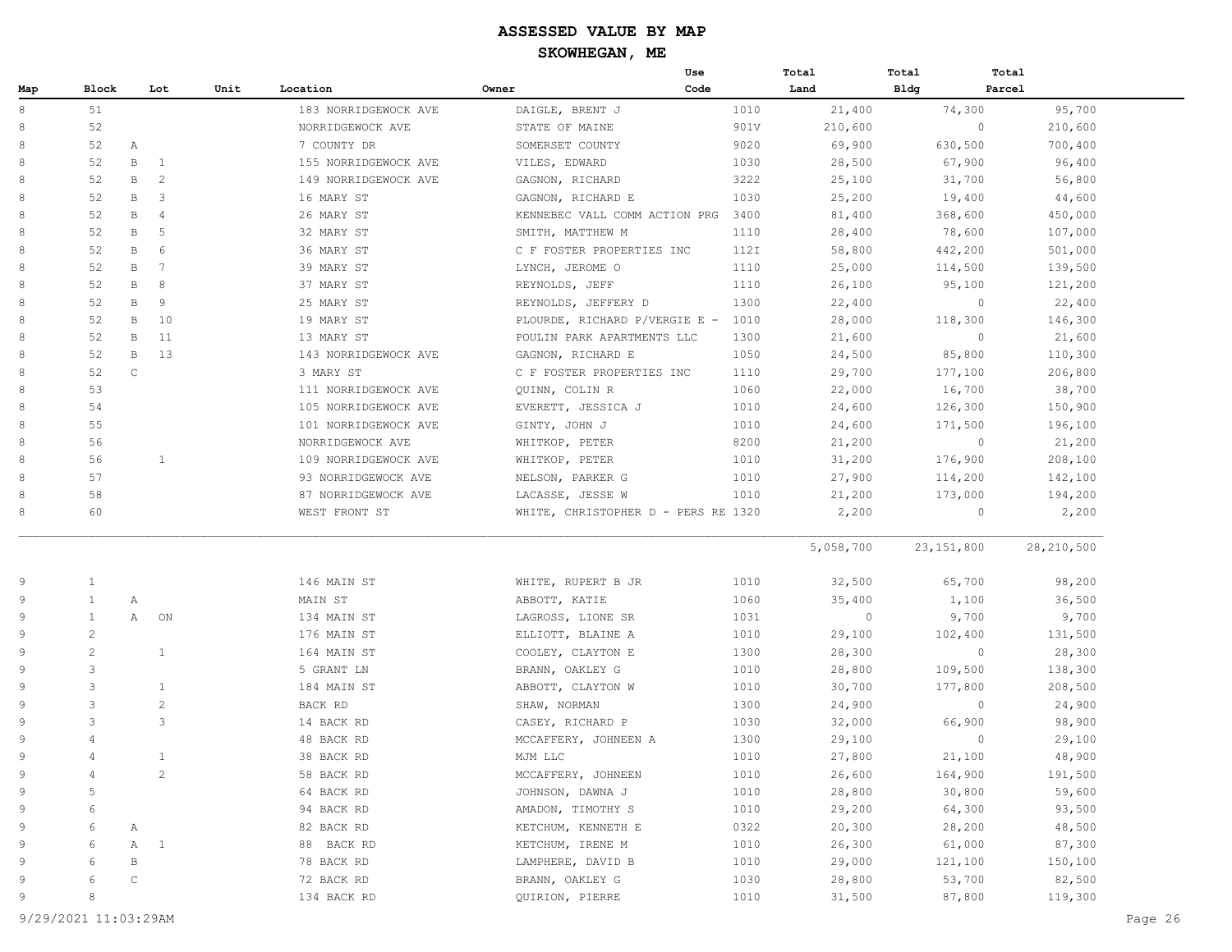|     |              |              |                         |                      |                                     | Use  | Total     | Total | Total        |              |
|-----|--------------|--------------|-------------------------|----------------------|-------------------------------------|------|-----------|-------|--------------|--------------|
| Map | Block        |              | Lot<br>Unit             | Location             | Owner                               | Code | Land      | Bldg  | Parcel       |              |
| 8   | 51           |              |                         | 183 NORRIDGEWOCK AVE | DAIGLE, BRENT J                     | 1010 | 21,400    |       | 74,300       | 95,700       |
| 8   | 52           |              |                         | NORRIDGEWOCK AVE     | STATE OF MAINE                      | 901V | 210,600   |       | $\circ$      | 210,600      |
| 8   | 52           | Α            |                         | 7 COUNTY DR          | SOMERSET COUNTY                     | 9020 | 69,900    |       | 630,500      | 700,400      |
| 8   | 52           | $\mathbf B$  | $\mathbf{1}$            | 155 NORRIDGEWOCK AVE | VILES, EDWARD                       | 1030 | 28,500    |       | 67,900       | 96,400       |
| 8   | 52           | В            | $\overline{c}$          | 149 NORRIDGEWOCK AVE | GAGNON, RICHARD                     | 3222 | 25,100    |       | 31,700       | 56,800       |
|     | 52           | $\mathbf B$  | $\overline{\mathbf{3}}$ | 16 MARY ST           | GAGNON, RICHARD E                   | 1030 | 25,200    |       | 19,400       | 44,600       |
|     | 52           | В            | 4                       | 26 MARY ST           | KENNEBEC VALL COMM ACTION PRG       | 3400 | 81,400    |       | 368,600      | 450,000      |
|     | 52           | B            | 5                       | 32 MARY ST           | SMITH, MATTHEW M                    | 1110 | 28,400    |       | 78,600       | 107,000      |
|     | 52           | В            | 6                       | 36 MARY ST           | C F FOSTER PROPERTIES INC           | 112I | 58,800    |       | 442,200      | 501,000      |
|     | 52           | $\mathbf B$  | 7                       | 39 MARY ST           | LYNCH, JEROME O                     | 1110 | 25,000    |       | 114,500      | 139,500      |
|     | 52           | В            | 8                       | 37 MARY ST           | REYNOLDS, JEFF                      | 1110 | 26,100    |       | 95,100       | 121,200      |
|     | 52           | B            | 9                       | 25 MARY ST           | REYNOLDS, JEFFERY D                 | 1300 | 22,400    |       | $\circ$      | 22,400       |
|     | 52           | $\, {\bf B}$ | 10                      | 19 MARY ST           | PLOURDE, RICHARD P/VERGIE E -       | 1010 | 28,000    |       | 118,300      | 146,300      |
|     | 52           | $\mathbf B$  | 11                      | 13 MARY ST           | POULIN PARK APARTMENTS LLC          | 1300 | 21,600    |       | $\circ$      | 21,600       |
|     | 52           | $\mathbf B$  | 13                      | 143 NORRIDGEWOCK AVE | GAGNON, RICHARD E                   | 1050 | 24,500    |       | 85,800       | 110,300      |
|     | 52           | $\mathbb C$  |                         | 3 MARY ST            | C F FOSTER PROPERTIES INC           | 1110 | 29,700    |       | 177,100      | 206,800      |
|     | 53           |              |                         | 111 NORRIDGEWOCK AVE | QUINN, COLIN R                      | 1060 | 22,000    |       | 16,700       | 38,700       |
|     | 54           |              |                         | 105 NORRIDGEWOCK AVE | EVERETT, JESSICA J                  | 1010 | 24,600    |       | 126,300      | 150,900      |
|     | 55           |              |                         | 101 NORRIDGEWOCK AVE | GINTY, JOHN J                       | 1010 | 24,600    |       | 171,500      | 196,100      |
|     | 56           |              |                         | NORRIDGEWOCK AVE     | WHITKOP, PETER                      | 8200 | 21,200    |       | $\circ$      | 21,200       |
|     | 56           |              | 1                       | 109 NORRIDGEWOCK AVE | WHITKOP, PETER                      | 1010 | 31,200    |       | 176,900      | 208,100      |
|     | 57           |              |                         | 93 NORRIDGEWOCK AVE  | NELSON, PARKER G                    | 1010 | 27,900    |       | 114,200      | 142,100      |
|     | 58           |              |                         | 87 NORRIDGEWOCK AVE  | LACASSE, JESSE W                    | 1010 | 21,200    |       | 173,000      | 194,200      |
|     | 60           |              |                         | WEST FRONT ST        | WHITE, CHRISTOPHER D - PERS RE 1320 |      | 2,200     |       | $\circ$      | 2,200        |
|     |              |              |                         |                      |                                     |      | 5,058,700 |       | 23, 151, 800 | 28, 210, 500 |
|     | 1            |              |                         | 146 MAIN ST          | WHITE, RUPERT B JR                  | 1010 | 32,500    |       | 65,700       | 98,200       |
|     | $\mathbf{1}$ | Α            |                         | MAIN ST              | ABBOTT, KATIE                       | 1060 | 35,400    |       | 1,100        | 36,500       |
|     | 1            | A            | ON                      | 134 MAIN ST          | LAGROSS, LIONE SR                   | 1031 | $\circ$   |       | 9,700        | 9,700        |
|     | 2            |              |                         | 176 MAIN ST          | ELLIOTT, BLAINE A                   | 1010 | 29,100    |       | 102,400      | 131,500      |
|     | 2            |              | 1                       | 164 MAIN ST          | COOLEY, CLAYTON E                   | 1300 | 28,300    |       | $\circ$      | 28,300       |
|     | 3            |              |                         | 5 GRANT LN           | BRANN, OAKLEY G                     | 1010 | 28,800    |       | 109,500      | 138,300      |
|     | 3            |              | $\mathbf{1}$            | 184 MAIN ST          | ABBOTT, CLAYTON W                   | 1010 | 30,700    |       | 177,800      | 208,500      |
|     | 3            |              | $\overline{c}$          | BACK RD              | SHAW, NORMAN                        | 1300 | 24,900    |       | $\circ$      | 24,900       |
|     | 3            |              | 3                       | 14 BACK RD           | CASEY, RICHARD P                    | 1030 | 32,000    |       | 66,900       | 98,900       |
|     | 4            |              |                         | 48 BACK RD           | MCCAFFERY, JOHNEEN A                | 1300 | 29,100    |       | $\circ$      | 29,100       |
|     | 4            |              | $\mathbf{1}$            | 38 BACK RD           | MJM LLC                             | 1010 | 27,800    |       | 21,100       | 48,900       |
|     | 4            |              | $\overline{c}$          | 58 BACK RD           | MCCAFFERY, JOHNEEN                  | 1010 | 26,600    |       | 164,900      | 191,500      |
|     | 5            |              |                         | 64 BACK RD           | JOHNSON, DAWNA J                    | 1010 | 28,800    |       | 30,800       | 59,600       |
|     | 6            |              |                         | 94 BACK RD           | AMADON, TIMOTHY S                   | 1010 | 29,200    |       | 64,300       | 93,500       |
|     | 6            | Α            |                         | 82 BACK RD           | KETCHUM, KENNETH E                  | 0322 | 20,300    |       | 28,200       | 48,500       |
|     | 6            | $\mathbb A$  | $\mathbf{1}$            | 88 BACK RD           | KETCHUM, IRENE M                    | 1010 | 26,300    |       | 61,000       | 87,300       |
|     | 6            | $\, {\bf B}$ |                         | 78 BACK RD           | LAMPHERE, DAVID B                   | 1010 | 29,000    |       | 121,100      | 150,100      |
|     | 6            | С            |                         | 72 BACK RD           | BRANN, OAKLEY G                     | 1030 | 28,800    |       | 53,700       | 82,500       |
|     | 8            |              |                         | 134 BACK RD          | QUIRION, PIERRE                     | 1010 | 31,500    |       | 87,800       | 119,300      |
|     |              |              |                         |                      |                                     |      |           |       |              |              |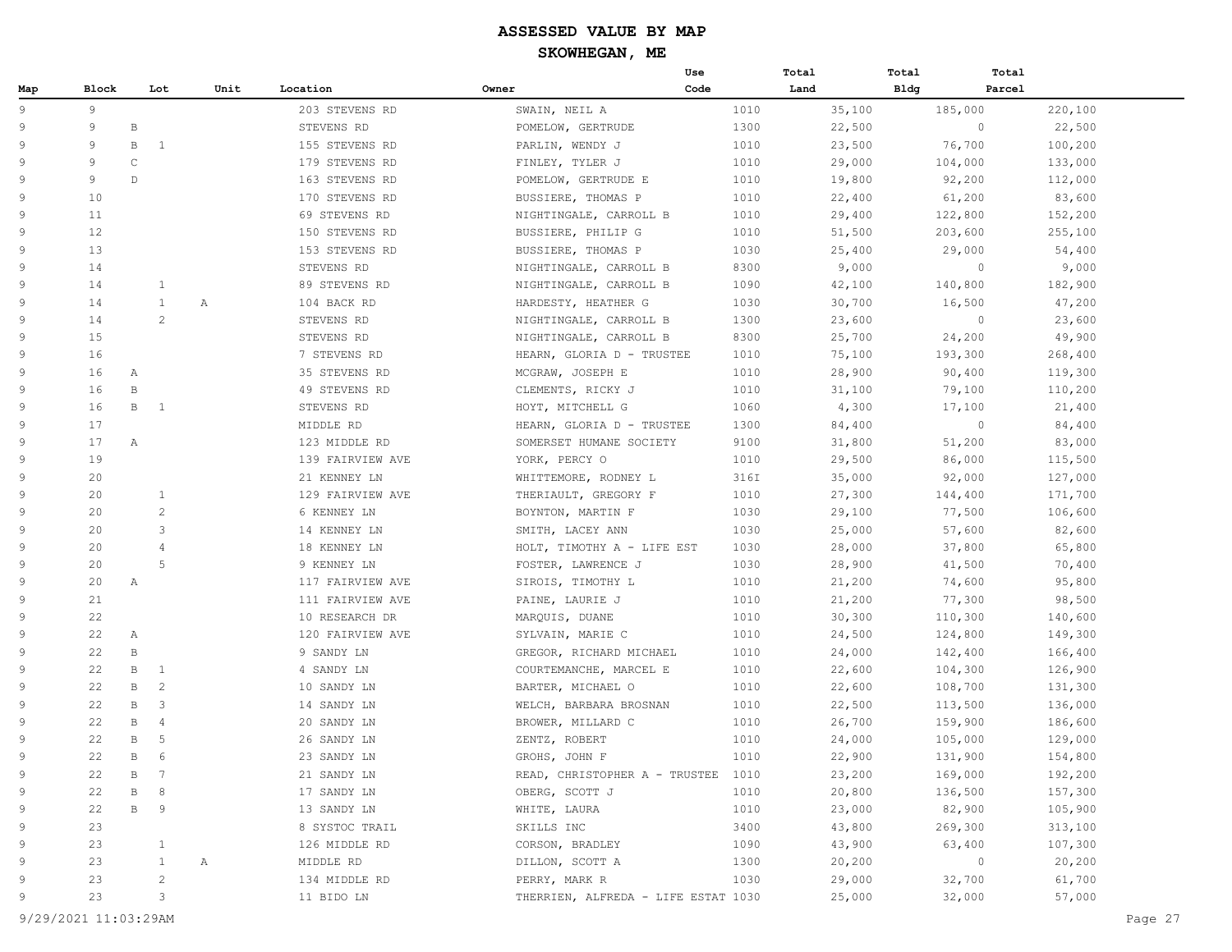|     |       |                             |      |                  |                                     | Use  | Total  | Total       | Total                    |
|-----|-------|-----------------------------|------|------------------|-------------------------------------|------|--------|-------------|--------------------------|
| Map | Block | Lot                         | Unit | Location         | Owner                               | Code | Land   | <b>Bldg</b> | Parcel                   |
| 9   | 9     |                             |      | 203 STEVENS RD   | SWAIN, NEIL A                       | 1010 | 35,100 | 185,000     | 220,100                  |
| 9   | 9     | $\, {\bf B}$                |      | STEVENS RD       | POMELOW, GERTRUDE                   | 1300 | 22,500 |             | $\circ$<br>22,500        |
| 9   | 9     | B<br><sup>1</sup>           |      | 155 STEVENS RD   | PARLIN, WENDY J                     | 1010 | 23,500 | 76,700      | 100,200                  |
| 9   | 9     | $\mathsf{C}$                |      | 179 STEVENS RD   | FINLEY, TYLER J                     | 1010 | 29,000 | 104,000     | 133,000                  |
| 9   | 9     | $\mathbb{D}$                |      | 163 STEVENS RD   | POMELOW, GERTRUDE E                 | 1010 | 19,800 | 92,200      | 112,000                  |
| 9   | 10    |                             |      | 170 STEVENS RD   | BUSSIERE, THOMAS P                  | 1010 | 22,400 | 61,200      | 83,600                   |
| 9   | 11    |                             |      | 69 STEVENS RD    | NIGHTINGALE, CARROLL B              | 1010 | 29,400 | 122,800     | 152,200                  |
| 9   | 12    |                             |      | 150 STEVENS RD   | BUSSIERE, PHILIP G                  | 1010 | 51,500 | 203,600     | 255,100                  |
| 9   | 13    |                             |      | 153 STEVENS RD   | BUSSIERE, THOMAS P                  | 1030 | 25,400 | 29,000      | 54,400                   |
| 9   | 14    |                             |      | STEVENS RD       | NIGHTINGALE, CARROLL B              | 8300 | 9,000  |             | $\circ$<br>9,000         |
| 9   | 14    | $\mathbf{1}$                |      | 89 STEVENS RD    | NIGHTINGALE, CARROLL B              | 1090 | 42,100 | 140,800     | 182,900                  |
| 9   | 14    | $\mathbf{1}$                | Α    | 104 BACK RD      | HARDESTY, HEATHER G                 | 1030 | 30,700 | 16,500      | 47,200                   |
| 9   | 14    | 2                           |      | STEVENS RD       | NIGHTINGALE, CARROLL B              | 1300 | 23,600 |             | $\circledcirc$<br>23,600 |
| 9   | 15    |                             |      | STEVENS RD       | NIGHTINGALE, CARROLL B              | 8300 | 25,700 | 24,200      | 49,900                   |
| 9   | 16    |                             |      | 7 STEVENS RD     | HEARN, GLORIA D - TRUSTEE           | 1010 | 75,100 | 193,300     | 268,400                  |
| 9   | 16    | Α                           |      | 35 STEVENS RD    | MCGRAW, JOSEPH E                    | 1010 | 28,900 | 90,400      | 119,300                  |
| 9   | 16    | $\, {\bf B}$                |      | 49 STEVENS RD    | CLEMENTS, RICKY J                   | 1010 | 31,100 | 79,100      | 110,200                  |
| 9   | 16    | $\mathbf B$<br>$\mathbf{1}$ |      | STEVENS RD       | HOYT, MITCHELL G                    | 1060 | 4,300  | 17,100      | 21,400                   |
| 9   | 17    |                             |      | MIDDLE RD        | HEARN, GLORIA D - TRUSTEE           | 1300 | 84,400 |             | $\circ$<br>84,400        |
| 9   | 17    | Α                           |      | 123 MIDDLE RD    | SOMERSET HUMANE SOCIETY             | 9100 | 31,800 | 51,200      | 83,000                   |
| 9   | 19    |                             |      | 139 FAIRVIEW AVE | YORK, PERCY O                       | 1010 | 29,500 | 86,000      | 115,500                  |
| 9   | 20    |                             |      | 21 KENNEY LN     | WHITTEMORE, RODNEY L                | 316I | 35,000 | 92,000      | 127,000                  |
| 9   | 20    | $\mathbf{1}$                |      | 129 FAIRVIEW AVE | THERIAULT, GREGORY F                | 1010 | 27,300 | 144,400     | 171,700                  |
| 9   | 20    | 2                           |      | 6 KENNEY LN      | BOYNTON, MARTIN F                   | 1030 | 29,100 | 77,500      | 106,600                  |
| 9   | 20    | 3                           |      | 14 KENNEY LN     | SMITH, LACEY ANN                    | 1030 | 25,000 | 57,600      | 82,600                   |
| 9   | 20    | $\overline{4}$              |      | 18 KENNEY LN     | HOLT, TIMOTHY A - LIFE EST          | 1030 | 28,000 | 37,800      | 65,800                   |
| 9   | 20    | 5                           |      | 9 KENNEY LN      | FOSTER, LAWRENCE J                  | 1030 | 28,900 | 41,500      | 70,400                   |
| 9   | 20    | A                           |      | 117 FAIRVIEW AVE | SIROIS, TIMOTHY L                   | 1010 | 21,200 | 74,600      | 95,800                   |
| 9   | 21    |                             |      | 111 FAIRVIEW AVE | PAINE, LAURIE J                     | 1010 | 21,200 | 77,300      | 98,500                   |
| 9   | 22    |                             |      | 10 RESEARCH DR   | MARQUIS, DUANE                      | 1010 | 30,300 | 110,300     | 140,600                  |
| 9   | 22    | Α                           |      | 120 FAIRVIEW AVE | SYLVAIN, MARIE C                    | 1010 | 24,500 | 124,800     | 149,300                  |
| 9   | 22    | $\, {\bf B}$                |      | 9 SANDY LN       | GREGOR, RICHARD MICHAEL             | 1010 | 24,000 | 142,400     | 166,400                  |
| 9   | 22    | В<br>$\mathbf{1}$           |      | 4 SANDY LN       | COURTEMANCHE, MARCEL E              | 1010 | 22,600 | 104,300     | 126,900                  |
| 9   | 22    | $\, {\bf B}$<br>2           |      | 10 SANDY LN      | BARTER, MICHAEL O                   | 1010 | 22,600 | 108,700     | 131,300                  |
| 9   | 22    | 3<br>B                      |      | 14 SANDY LN      | WELCH, BARBARA BROSNAN              | 1010 | 22,500 | 113,500     | 136,000                  |
| 9   | 22    | B<br>4                      |      | 20 SANDY LN      | BROWER, MILLARD C                   | 1010 | 26,700 | 159,900     | 186,600                  |
| 9   | 22    | 5<br>B                      |      | 26 SANDY LN      | ZENTZ, ROBERT                       | 1010 | 24,000 | 105,000     | 129,000                  |
| 9   | 22    | $\, {\bf B}$<br>6           |      | 23 SANDY LN      | GROHS, JOHN F                       | 1010 | 22,900 | 131,900     | 154,800                  |
| 9   | 22    | $7\phantom{.0}$<br>В        |      | 21 SANDY LN      | READ, CHRISTOPHER A - TRUSTEE       | 1010 | 23,200 | 169,000     | 192,200                  |
| 9   | 22    | 8<br>B                      |      | 17 SANDY LN      | OBERG, SCOTT J                      | 1010 | 20,800 | 136,500     | 157,300                  |
| 9   | 22    | $\, {\bf B}$<br>9           |      | 13 SANDY LN      | WHITE, LAURA                        | 1010 | 23,000 | 82,900      | 105,900                  |
| 9   | 23    |                             |      | 8 SYSTOC TRAIL   | SKILLS INC                          | 3400 | 43,800 | 269,300     | 313,100                  |
| 9   | 23    | $\mathbf{1}$                |      | 126 MIDDLE RD    | CORSON, BRADLEY                     | 1090 | 43,900 | 63,400      | 107,300                  |
| 9   | 23    | $\mathbf{1}$                | Α    | MIDDLE RD        | DILLON, SCOTT A                     | 1300 | 20,200 |             | $\circ$<br>20,200        |
| 9   | 23    | $\sqrt{2}$                  |      | 134 MIDDLE RD    | PERRY, MARK R                       | 1030 | 29,000 | 32,700      | 61,700                   |
| 9   | 23    | 3                           |      | 11 BIDO LN       | THERRIEN, ALFREDA - LIFE ESTAT 1030 |      | 25,000 | 32,000      | 57,000                   |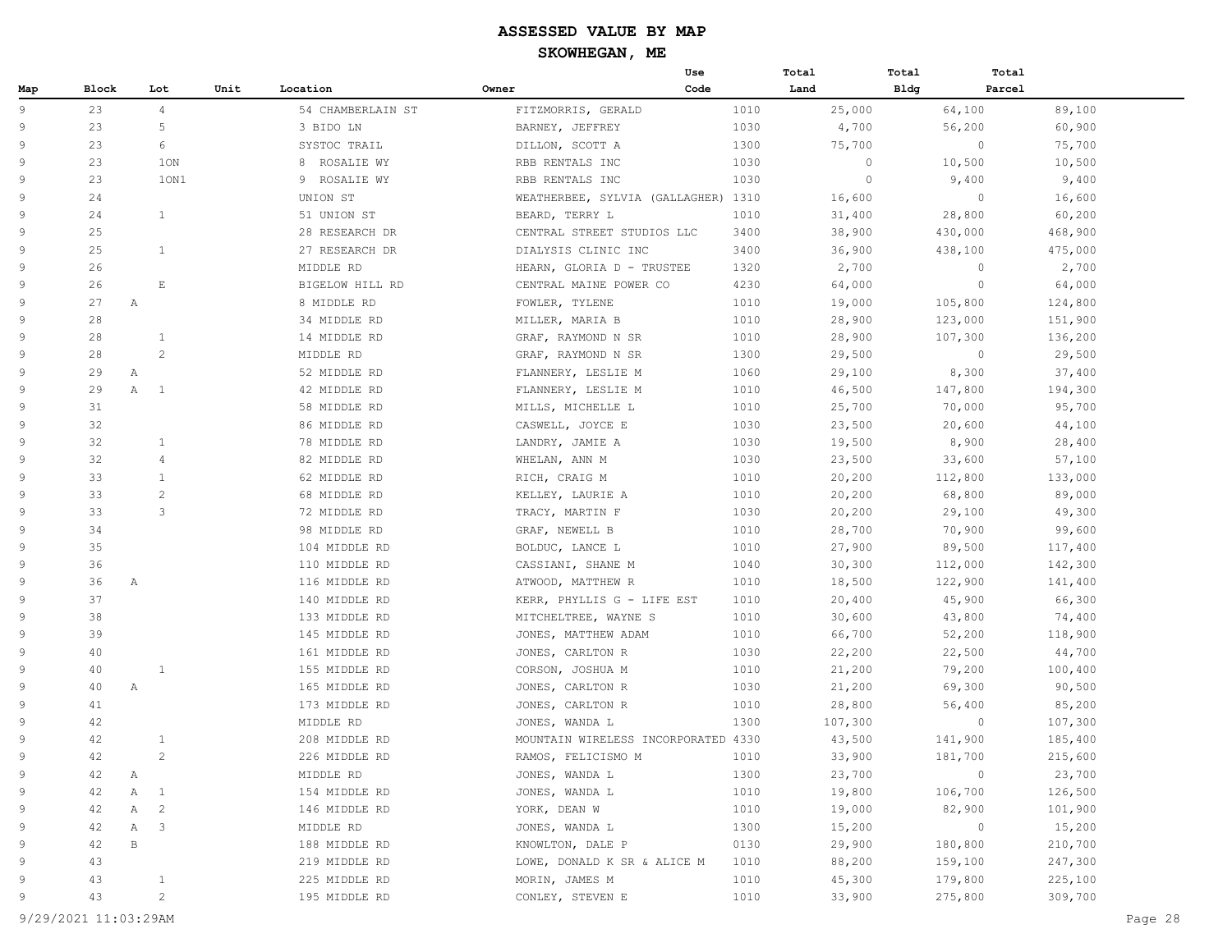|                |                    |                              |      |                   |                                     | Use  | Total   | Total       | Total   |
|----------------|--------------------|------------------------------|------|-------------------|-------------------------------------|------|---------|-------------|---------|
| Map            | <b>Block</b>       | Lot                          | Unit | Location          | Owner                               | Code | Land    | <b>Bldg</b> | Parcel  |
| 9              | 23                 | $\overline{4}$               |      | 54 CHAMBERLAIN ST | FITZMORRIS, GERALD                  | 1010 | 25,000  | 64,100      | 89,100  |
| 9              | 23                 | 5                            |      | 3 BIDO LN         | BARNEY, JEFFREY                     | 1030 | 4,700   | 56,200      | 60,900  |
| $\overline{9}$ | 23                 | 6                            |      | SYSTOC TRAIL      | DILLON, SCOTT A                     | 1300 | 75,700  | $\circ$     | 75,700  |
| $\overline{9}$ | 23                 | 10N                          |      | 8 ROSALIE WY      | RBB RENTALS INC                     | 1030 | $\circ$ | 10,500      | 10,500  |
| 9              | 23                 | 10N1                         |      | 9 ROSALIE WY      | RBB RENTALS INC                     | 1030 | $\circ$ | 9,400       | 9,400   |
| 9              | 24                 |                              |      | UNION ST          | WEATHERBEE, SYLVIA (GALLAGHER) 1310 |      | 16,600  | $\circ$     | 16,600  |
| $\overline{9}$ | 24                 | $\mathbf{1}$                 |      | 51 UNION ST       | BEARD, TERRY L                      | 1010 | 31,400  | 28,800      | 60,200  |
| 9              | 25                 |                              |      | 28 RESEARCH DR    | CENTRAL STREET STUDIOS LLC          | 3400 | 38,900  | 430,000     | 468,900 |
| $\overline{9}$ | 25                 | $\mathbf{1}$                 |      | 27 RESEARCH DR    | DIALYSIS CLINIC INC                 | 3400 | 36,900  | 438,100     | 475,000 |
| 9              | 26                 |                              |      | MIDDLE RD         | HEARN, GLORIA D - TRUSTEE           | 1320 | 2,700   | $\circ$     | 2,700   |
| 9              | 26                 | E                            |      | BIGELOW HILL RD   | CENTRAL MAINE POWER CO              | 4230 | 64,000  | $\circ$     | 64,000  |
| 9              | 27<br>A            |                              |      | 8 MIDDLE RD       | FOWLER, TYLENE                      | 1010 | 19,000  | 105,800     | 124,800 |
| 9              | 28                 |                              |      | 34 MIDDLE RD      | MILLER, MARIA B                     | 1010 | 28,900  | 123,000     | 151,900 |
| 9              | 28                 | $\mathbf{1}$                 |      | 14 MIDDLE RD      | GRAF, RAYMOND N SR                  | 1010 | 28,900  | 107,300     | 136,200 |
| 9              | 28                 | $\mathbf{2}^{\prime}$        |      | MIDDLE RD         | GRAF, RAYMOND N SR                  | 1300 | 29,500  | $\circ$     | 29,500  |
| $\overline{9}$ | 29<br>Α            |                              |      | 52 MIDDLE RD      | FLANNERY, LESLIE M                  | 1060 | 29,100  | 8,300       | 37,400  |
| $\overline{9}$ | 29                 | A<br>$\mathbf{1}$            |      | 42 MIDDLE RD      | FLANNERY, LESLIE M                  | 1010 | 46,500  | 147,800     | 194,300 |
| 9              | 31                 |                              |      | 58 MIDDLE RD      | MILLS, MICHELLE L                   | 1010 | 25,700  | 70,000      | 95,700  |
| 9              | 32                 |                              |      | 86 MIDDLE RD      | CASWELL, JOYCE E                    | 1030 | 23,500  | 20,600      | 44,100  |
| 9              | 32                 | $\mathbf{1}$                 |      | 78 MIDDLE RD      | LANDRY, JAMIE A                     | 1030 | 19,500  | 8,900       | 28,400  |
| 9              | 32                 | $\overline{4}$               |      | 82 MIDDLE RD      | WHELAN, ANN M                       | 1030 | 23,500  | 33,600      | 57,100  |
| 9              | 33                 | $\mathbf{1}$                 |      | 62 MIDDLE RD      | RICH, CRAIG M                       | 1010 | 20,200  | 112,800     | 133,000 |
| $\overline{9}$ | 33                 | $\mathbf{2}^{\prime}$        |      | 68 MIDDLE RD      | KELLEY, LAURIE A                    | 1010 | 20,200  | 68,800      | 89,000  |
| 9              | 33                 | 3                            |      | 72 MIDDLE RD      | TRACY, MARTIN F                     | 1030 | 20,200  | 29,100      | 49,300  |
| $\overline{9}$ | 34                 |                              |      | 98 MIDDLE RD      | GRAF, NEWELL B                      | 1010 | 28,700  | 70,900      | 99,600  |
| 9              | 35                 |                              |      | 104 MIDDLE RD     | BOLDUC, LANCE L                     | 1010 | 27,900  | 89,500      | 117,400 |
| 9              | 36                 |                              |      | 110 MIDDLE RD     | CASSIANI, SHANE M                   | 1040 | 30,300  | 112,000     | 142,300 |
| 9              | 36<br>A            |                              |      | 116 MIDDLE RD     | ATWOOD, MATTHEW R                   | 1010 | 18,500  | 122,900     | 141,400 |
| 9              | 37                 |                              |      | 140 MIDDLE RD     | KERR, PHYLLIS G - LIFE EST          | 1010 | 20,400  | 45,900      | 66,300  |
| 9              | 38                 |                              |      | 133 MIDDLE RD     | MITCHELTREE, WAYNE S                | 1010 | 30,600  | 43,800      | 74,400  |
| 9              | 39                 |                              |      | 145 MIDDLE RD     | JONES, MATTHEW ADAM                 | 1010 | 66,700  | 52,200      | 118,900 |
| 9              | 40                 |                              |      | 161 MIDDLE RD     | JONES, CARLTON R                    | 1030 | 22,200  | 22,500      | 44,700  |
| $\overline{9}$ | 40                 | 1                            |      | 155 MIDDLE RD     | CORSON, JOSHUA M                    | 1010 | 21,200  | 79,200      | 100,400 |
| 9              | 40<br>Α            |                              |      | 165 MIDDLE RD     | JONES, CARLTON R                    | 1030 | 21,200  | 69,300      | 90,500  |
| $\overline{9}$ | 41                 |                              |      | 173 MIDDLE RD     | JONES, CARLTON R                    | 1010 | 28,800  | 56,400      | 85,200  |
| 9              | 42                 |                              |      | MIDDLE RD         | JONES, WANDA L                      | 1300 | 107,300 | $\circ$     | 107,300 |
| 9              | 42                 | $\mathbf{1}$                 |      | 208 MIDDLE RD     | MOUNTAIN WIRELESS INCORPORATED 4330 |      | 43,500  | 141,900     | 185,400 |
| 9              | 42                 | $\overline{c}$               |      | 226 MIDDLE RD     | RAMOS, FELICISMO M                  | 1010 | 33,900  | 181,700     | 215,600 |
| 9              | $\mathbb{A}$<br>42 |                              |      | MIDDLE RD         | JONES, WANDA L                      | 1300 | 23,700  | $\circ$     | 23,700  |
| 9              | 42                 | Α<br>1                       |      | 154 MIDDLE RD     | JONES, WANDA L                      | 1010 | 19,800  | 106,700     | 126,500 |
| 9              | 42                 | $\overline{c}$<br>Α          |      | 146 MIDDLE RD     | YORK, DEAN W                        | 1010 | 19,000  | 82,900      | 101,900 |
| 9              | 42                 | $\overline{\mathbf{3}}$<br>Α |      | MIDDLE RD         | JONES, WANDA L                      | 1300 | 15,200  | $\circ$     | 15,200  |
| 9              | 42                 | $\, {\bf B}$                 |      | 188 MIDDLE RD     | KNOWLTON, DALE P                    | 0130 | 29,900  | 180,800     | 210,700 |
| 9              | 43                 |                              |      | 219 MIDDLE RD     | LOWE, DONALD K SR & ALICE M         | 1010 | 88,200  | 159,100     | 247,300 |
| 9              | 43                 | $\mathbf{1}$                 |      | 225 MIDDLE RD     | MORIN, JAMES M                      | 1010 | 45,300  | 179,800     | 225,100 |
| 9              | 43                 | $\overline{c}$               |      | 195 MIDDLE RD     | CONLEY, STEVEN E                    | 1010 | 33,900  | 275,800     | 309,700 |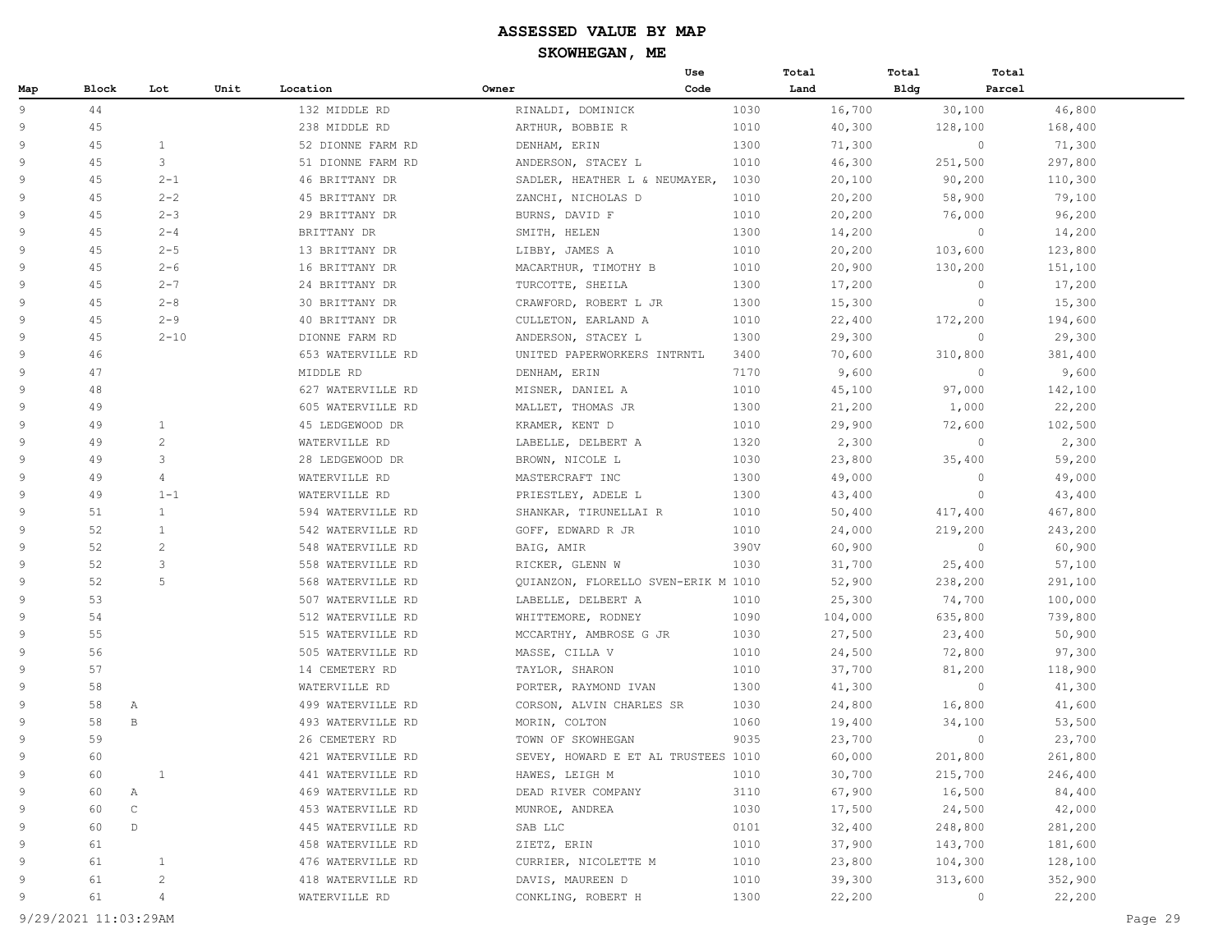|     |       |                |      |                   |                                     | Use  | Total   | Total       | Total                  |
|-----|-------|----------------|------|-------------------|-------------------------------------|------|---------|-------------|------------------------|
| Map | Block | Lot            | Unit | Location          | Owner                               | Code | Land    | <b>Bldg</b> | Parcel                 |
| 9   | 44    |                |      | 132 MIDDLE RD     | RINALDI, DOMINICK                   | 1030 | 16,700  | 30,100      | 46,800                 |
| 9   | 45    |                |      | 238 MIDDLE RD     | ARTHUR, BOBBIE R                    | 1010 | 40,300  | 128,100     | 168,400                |
| 9   | 45    | $\mathbf{1}$   |      | 52 DIONNE FARM RD | DENHAM, ERIN                        | 1300 | 71,300  |             | $\circ$<br>71,300      |
| 9   | 45    | 3              |      | 51 DIONNE FARM RD | ANDERSON, STACEY L                  | 1010 | 46,300  | 251,500     | 297,800                |
| 9   | 45    | $2 - 1$        |      | 46 BRITTANY DR    | SADLER, HEATHER L & NEUMAYER,       | 1030 | 20,100  | 90,200      | 110,300                |
| 9   | 45    | $2 - 2$        |      | 45 BRITTANY DR    | ZANCHI, NICHOLAS D                  | 1010 | 20,200  | 58,900      | 79,100                 |
| 9   | 45    | $2 - 3$        |      | 29 BRITTANY DR    | BURNS, DAVID F                      | 1010 | 20,200  | 76,000      | 96,200                 |
| 9   | 45    | $2 - 4$        |      | BRITTANY DR       | SMITH, HELEN                        | 1300 | 14,200  |             | $\circ$<br>14,200      |
| 9   | 45    | $2 - 5$        |      | 13 BRITTANY DR    | LIBBY, JAMES A                      | 1010 | 20,200  | 103,600     | 123,800                |
| 9   | 45    | $2 - 6$        |      | 16 BRITTANY DR    | MACARTHUR, TIMOTHY B                | 1010 | 20,900  | 130,200     | 151,100                |
| 9   | 45    | $2 - 7$        |      | 24 BRITTANY DR    | TURCOTTE, SHEILA                    | 1300 | 17,200  |             | 17,200<br>$\circ$      |
| 9   | 45    | $2 - 8$        |      | 30 BRITTANY DR    | CRAWFORD, ROBERT L JR               | 1300 | 15,300  |             | $\circ$<br>15,300      |
| 9   | 45    | $2 - 9$        |      | 40 BRITTANY DR    | CULLETON, EARLAND A                 | 1010 | 22,400  | 172,200     | 194,600                |
| 9   | 45    | $2 - 10$       |      | DIONNE FARM RD    | ANDERSON, STACEY L                  | 1300 | 29,300  |             | $\circ$<br>29,300      |
| 9   | 46    |                |      | 653 WATERVILLE RD | UNITED PAPERWORKERS INTRNTL         | 3400 | 70,600  | 310,800     | 381,400                |
| 9   | 47    |                |      | MIDDLE RD         | DENHAM, ERIN                        | 7170 | 9,600   |             | $\circ$<br>9,600       |
| 9   | 48    |                |      | 627 WATERVILLE RD | MISNER, DANIEL A                    | 1010 | 45,100  | 97,000      | 142,100                |
| 9   | 49    |                |      | 605 WATERVILLE RD | MALLET, THOMAS JR                   | 1300 | 21,200  | 1,000       | 22,200                 |
| 9   | 49    | $\mathbf{1}$   |      | 45 LEDGEWOOD DR   | KRAMER, KENT D                      | 1010 | 29,900  | 72,600      | 102,500                |
| 9   | 49    | 2              |      | WATERVILLE RD     | LABELLE, DELBERT A                  | 1320 | 2,300   |             | 2,300<br>$\circ$       |
| 9   | 49    | 3              |      | 28 LEDGEWOOD DR   | BROWN, NICOLE L                     | 1030 | 23,800  | 35,400      | 59,200                 |
| 9   | 49    | $\overline{4}$ |      | WATERVILLE RD     | MASTERCRAFT INC                     | 1300 | 49,000  |             | $\circ$<br>49,000      |
| 9   | 49    | $1 - 1$        |      | WATERVILLE RD     | PRIESTLEY, ADELE L                  | 1300 | 43,400  |             | $\circ$<br>43,400      |
| 9   | 51    | $\mathbf{1}$   |      | 594 WATERVILLE RD | SHANKAR, TIRUNELLAI R               | 1010 | 50,400  | 417,400     | 467,800                |
| 9   | 52    | $\mathbf{1}$   |      | 542 WATERVILLE RD | GOFF, EDWARD R JR                   | 1010 | 24,000  | 219,200     | 243,200                |
| 9   | 52    | 2              |      | 548 WATERVILLE RD | BAIG, AMIR                          | 390V | 60,900  |             | $\mathbf{0}$<br>60,900 |
| 9   | 52    | 3              |      | 558 WATERVILLE RD | RICKER, GLENN W                     | 1030 | 31,700  | 25,400      | 57,100                 |
| 9   | 52    | 5              |      | 568 WATERVILLE RD | QUIANZON, FLORELLO SVEN-ERIK M 1010 |      | 52,900  | 238,200     | 291,100                |
| 9   | 53    |                |      | 507 WATERVILLE RD | LABELLE, DELBERT A                  | 1010 | 25,300  | 74,700      | 100,000                |
| 9   | 54    |                |      | 512 WATERVILLE RD | WHITTEMORE, RODNEY                  | 1090 | 104,000 | 635,800     | 739,800                |
| 9   | 55    |                |      | 515 WATERVILLE RD | MCCARTHY, AMBROSE G JR              | 1030 | 27,500  | 23,400      | 50,900                 |
| 9   | 56    |                |      | 505 WATERVILLE RD | MASSE, CILLA V                      | 1010 | 24,500  | 72,800      | 97,300                 |
| 9   | 57    |                |      | 14 CEMETERY RD    | TAYLOR, SHARON                      | 1010 | 37,700  | 81,200      | 118,900                |
| 9   | 58    |                |      | WATERVILLE RD     | PORTER, RAYMOND IVAN                | 1300 | 41,300  |             | $\circ$<br>41,300      |
| 9   | 58    | Α              |      | 499 WATERVILLE RD | CORSON, ALVIN CHARLES SR            | 1030 | 24,800  | 16,800      | 41,600                 |
| 9   | 58    | B              |      | 493 WATERVILLE RD | MORIN, COLTON                       | 1060 | 19,400  | 34,100      | 53,500                 |
| 9   | 59    |                |      | 26 CEMETERY RD    | TOWN OF SKOWHEGAN                   | 9035 | 23,700  |             | $\circ$<br>23,700      |
| 9   | 60    |                |      | 421 WATERVILLE RD | SEVEY, HOWARD E ET AL TRUSTEES 1010 |      | 60,000  | 201,800     | 261,800                |
| 9   | 60    | $\mathbf{1}$   |      | 441 WATERVILLE RD | HAWES, LEIGH M                      | 1010 | 30,700  | 215,700     | 246,400                |
| 9   | 60    | Α              |      | 469 WATERVILLE RD | DEAD RIVER COMPANY                  | 3110 | 67,900  | 16,500      | 84,400                 |
| 9   | 60    | $\mathsf C$    |      | 453 WATERVILLE RD | MUNROE, ANDREA                      | 1030 | 17,500  | 24,500      | 42,000                 |
| 9   | 60    | $\mathbb D$    |      | 445 WATERVILLE RD | SAB LLC                             | 0101 | 32,400  | 248,800     | 281,200                |
| 9   | 61    |                |      | 458 WATERVILLE RD | ZIETZ, ERIN                         | 1010 | 37,900  | 143,700     | 181,600                |
| 9   | 61    | $\mathbf{1}$   |      | 476 WATERVILLE RD | CURRIER, NICOLETTE M                | 1010 | 23,800  | 104,300     | 128,100                |
| 9   | 61    | 2              |      | 418 WATERVILLE RD | DAVIS, MAUREEN D                    | 1010 | 39,300  | 313,600     | 352,900                |
| 9   | 61    | 4              |      | WATERVILLE RD     | CONKLING, ROBERT H                  | 1300 | 22,200  |             | 22,200<br>0            |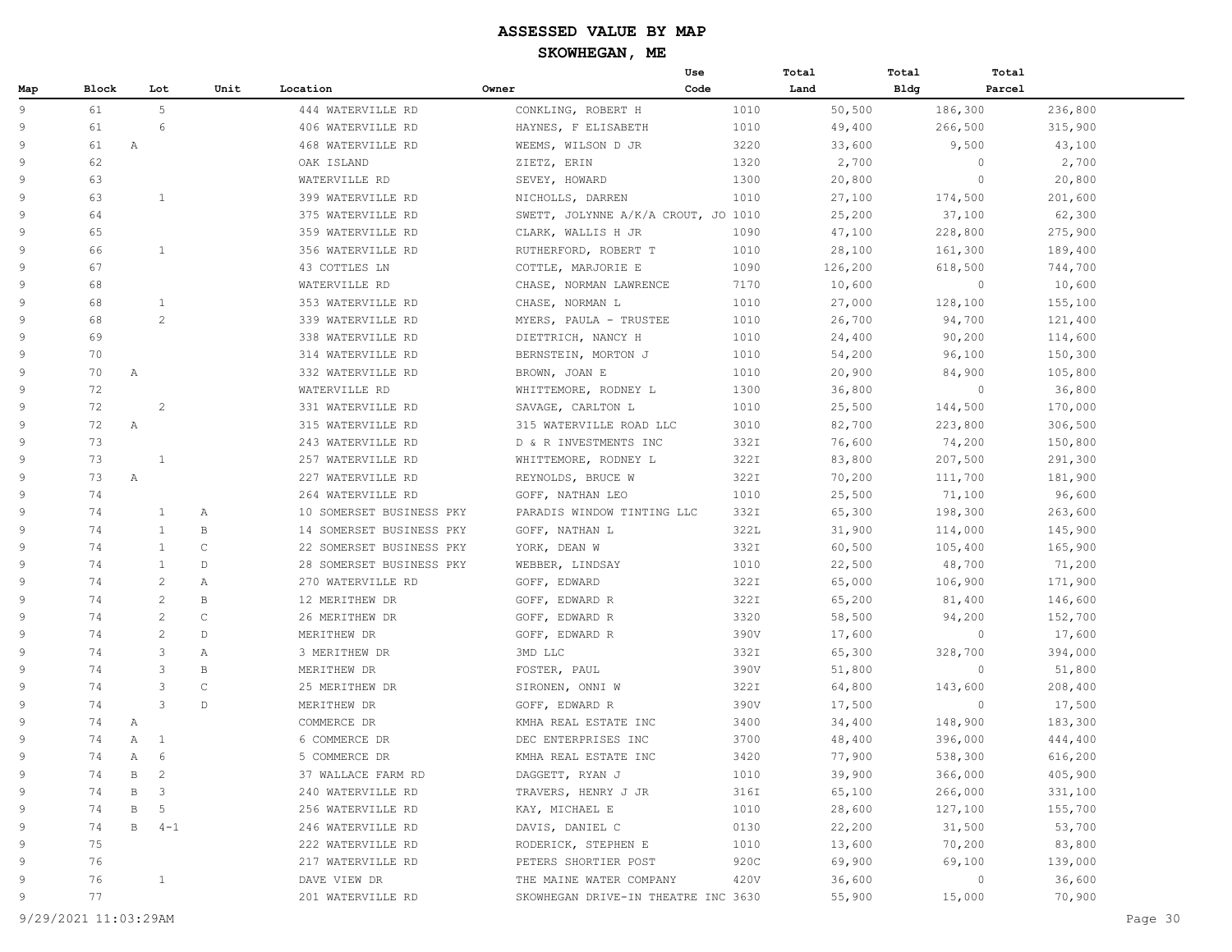|                |              |              |                |              |                          |                                     | Use  | Total   | Total       | Total   |         |
|----------------|--------------|--------------|----------------|--------------|--------------------------|-------------------------------------|------|---------|-------------|---------|---------|
| Map            | <b>Block</b> |              | Lot            | Unit         | Location                 | Owner                               | Code | Land    | <b>Bldg</b> | Parcel  |         |
| $\overline{9}$ | 61           |              | 5              |              | 444 WATERVILLE RD        | CONKLING, ROBERT H                  | 1010 | 50,500  |             | 186,300 | 236,800 |
| 9              | 61           |              | 6              |              | 406 WATERVILLE RD        | HAYNES, F ELISABETH                 | 1010 | 49,400  |             | 266,500 | 315,900 |
| 9              | 61           | Α            |                |              | 468 WATERVILLE RD        | WEEMS, WILSON D JR                  | 3220 | 33,600  |             | 9,500   | 43,100  |
| 9              | 62           |              |                |              | OAK ISLAND               | ZIETZ, ERIN                         | 1320 | 2,700   |             | $\circ$ | 2,700   |
| 9              | 63           |              |                |              | WATERVILLE RD            | SEVEY, HOWARD                       | 1300 | 20,800  |             | $\circ$ | 20,800  |
| 9              | 63           |              | 1              |              | 399 WATERVILLE RD        | NICHOLLS, DARREN                    | 1010 | 27,100  |             | 174,500 | 201,600 |
| 9              | 64           |              |                |              | 375 WATERVILLE RD        | SWETT, JOLYNNE A/K/A CROUT, JO 1010 |      | 25,200  |             | 37,100  | 62,300  |
| 9              | 65           |              |                |              | 359 WATERVILLE RD        | CLARK, WALLIS H JR                  | 1090 | 47,100  |             | 228,800 | 275,900 |
| 9              | 66           |              | $\mathbf{1}$   |              | 356 WATERVILLE RD        | RUTHERFORD, ROBERT T                | 1010 | 28,100  |             | 161,300 | 189,400 |
| 9              | 67           |              |                |              | 43 COTTLES LN            | COTTLE, MARJORIE E                  | 1090 | 126,200 |             | 618,500 | 744,700 |
| 9              | 68           |              |                |              | WATERVILLE RD            | CHASE, NORMAN LAWRENCE              | 7170 | 10,600  |             | $\circ$ | 10,600  |
| 9              | 68           |              | $\mathbf{1}$   |              | 353 WATERVILLE RD        | CHASE, NORMAN L                     | 1010 | 27,000  |             | 128,100 | 155,100 |
| 9              | 68           |              | $\overline{c}$ |              | 339 WATERVILLE RD        | MYERS, PAULA - TRUSTEE              | 1010 | 26,700  |             | 94,700  | 121,400 |
| 9              | 69           |              |                |              | 338 WATERVILLE RD        | DIETTRICH, NANCY H                  | 1010 | 24,400  |             | 90,200  | 114,600 |
| 9              | 70           |              |                |              | 314 WATERVILLE RD        | BERNSTEIN, MORTON J                 | 1010 | 54,200  |             | 96,100  | 150,300 |
| 9              | 70           | Α            |                |              | 332 WATERVILLE RD        | BROWN, JOAN E                       | 1010 | 20,900  |             | 84,900  | 105,800 |
| 9              | 72           |              |                |              | WATERVILLE RD            | WHITTEMORE, RODNEY L                | 1300 | 36,800  |             | $\circ$ | 36,800  |
| 9              | 72           |              | $\overline{2}$ |              | 331 WATERVILLE RD        | SAVAGE, CARLTON L                   | 1010 | 25,500  |             | 144,500 | 170,000 |
| 9              | 72           | $\mathbb{A}$ |                |              | 315 WATERVILLE RD        | 315 WATERVILLE ROAD LLC             | 3010 | 82,700  |             | 223,800 | 306,500 |
| 9              | 73           |              |                |              | 243 WATERVILLE RD        | D & R INVESTMENTS INC               | 332I | 76,600  |             | 74,200  | 150,800 |
| 9              | 73           |              | 1              |              | 257 WATERVILLE RD        | WHITTEMORE, RODNEY L                | 322I | 83,800  |             | 207,500 | 291,300 |
| 9              | 73           | $\mathbb{A}$ |                |              | 227 WATERVILLE RD        | REYNOLDS, BRUCE W                   | 322I | 70,200  |             | 111,700 | 181,900 |
| 9              | 74           |              |                |              | 264 WATERVILLE RD        | GOFF, NATHAN LEO                    | 1010 | 25,500  |             | 71,100  | 96,600  |
| 9              | 74           |              | $\mathbf{1}$   | Α            | 10 SOMERSET BUSINESS PKY | PARADIS WINDOW TINTING LLC          | 332I | 65,300  |             | 198,300 | 263,600 |
| 9              | 74           |              | $\mathbf{1}$   | $\, {\bf B}$ | 14 SOMERSET BUSINESS PKY | GOFF, NATHAN L                      | 322L | 31,900  |             | 114,000 | 145,900 |
| 9              | 74           |              | $\mathbf{1}$   | $\mathsf{C}$ | 22 SOMERSET BUSINESS PKY | YORK, DEAN W                        | 332I | 60,500  |             | 105,400 | 165,900 |
| 9              | 74           |              | $\mathbf{1}$   | D            | 28 SOMERSET BUSINESS PKY | WEBBER, LINDSAY                     | 1010 | 22,500  |             | 48,700  | 71,200  |
| 9              | 74           |              | $\overline{2}$ | Α            | 270 WATERVILLE RD        | GOFF, EDWARD                        | 322I | 65,000  |             | 106,900 | 171,900 |
| 9              | 74           |              | $\overline{c}$ | $\, {\bf B}$ | 12 MERITHEW DR           | GOFF, EDWARD R                      | 322I | 65,200  |             | 81,400  | 146,600 |
| 9              | 74           |              | $\overline{2}$ | $\mathsf{C}$ | 26 MERITHEW DR           | GOFF, EDWARD R                      | 3320 | 58,500  |             | 94,200  | 152,700 |
| 9              | 74           |              | $\overline{2}$ | $\mathbb{D}$ | MERITHEW DR              | GOFF, EDWARD R                      | 390V | 17,600  |             | $\circ$ | 17,600  |
| 9              | 74           |              | 3              | Α            | 3 MERITHEW DR            | 3MD LLC                             | 332I | 65,300  |             | 328,700 | 394,000 |
| 9              | 74           |              | 3              | $\mathbb B$  | MERITHEW DR              | FOSTER, PAUL                        | 390V | 51,800  |             | $\circ$ | 51,800  |
| 9              | 74           |              | 3              | $\mathsf{C}$ | 25 MERITHEW DR           | SIRONEN, ONNI W                     | 322I | 64,800  |             | 143,600 | 208,400 |
| 9              | 74           |              | 3              | $\mathbb D$  | MERITHEW DR              | GOFF, EDWARD R                      | 390V | 17,500  |             | $\circ$ | 17,500  |
| 9              | 74           | Α            |                |              | COMMERCE DR              | KMHA REAL ESTATE INC                | 3400 | 34,400  |             | 148,900 | 183,300 |
| 9              | 74           | $\mathbb{A}$ | <sup>1</sup>   |              | 6 COMMERCE DR            | DEC ENTERPRISES INC                 | 3700 | 48,400  |             | 396,000 | 444,400 |
| 9              | 74           | $\mathbb{A}$ | 6              |              | 5 COMMERCE DR            | KMHA REAL ESTATE INC                | 3420 | 77,900  |             | 538,300 | 616,200 |
| 9              | 74           | В            | $\overline{2}$ |              | 37 WALLACE FARM RD       | DAGGETT, RYAN J                     | 1010 | 39,900  |             | 366,000 | 405,900 |
| 9              | 74           | B            | 3              |              | 240 WATERVILLE RD        | TRAVERS, HENRY J JR                 | 316I | 65,100  |             | 266,000 | 331,100 |
| 9              | 74           | В            | 5              |              | 256 WATERVILLE RD        | KAY, MICHAEL E                      | 1010 | 28,600  |             | 127,100 | 155,700 |
| 9              | 74           | В            | $4 - 1$        |              | 246 WATERVILLE RD        | DAVIS, DANIEL C                     | 0130 | 22,200  |             | 31,500  | 53,700  |
| 9              | 75           |              |                |              | 222 WATERVILLE RD        | RODERICK, STEPHEN E                 | 1010 | 13,600  |             | 70,200  | 83,800  |
| 9              | 76           |              |                |              | 217 WATERVILLE RD        | PETERS SHORTIER POST                | 920C | 69,900  |             | 69,100  | 139,000 |
| 9              | 76           |              | $\mathbf{1}$   |              | DAVE VIEW DR             | THE MAINE WATER COMPANY             | 420V | 36,600  |             | $\circ$ | 36,600  |
| 9              | 77           |              |                |              | 201 WATERVILLE RD        | SKOWHEGAN DRIVE-IN THEATRE INC 3630 |      | 55,900  |             | 15,000  | 70,900  |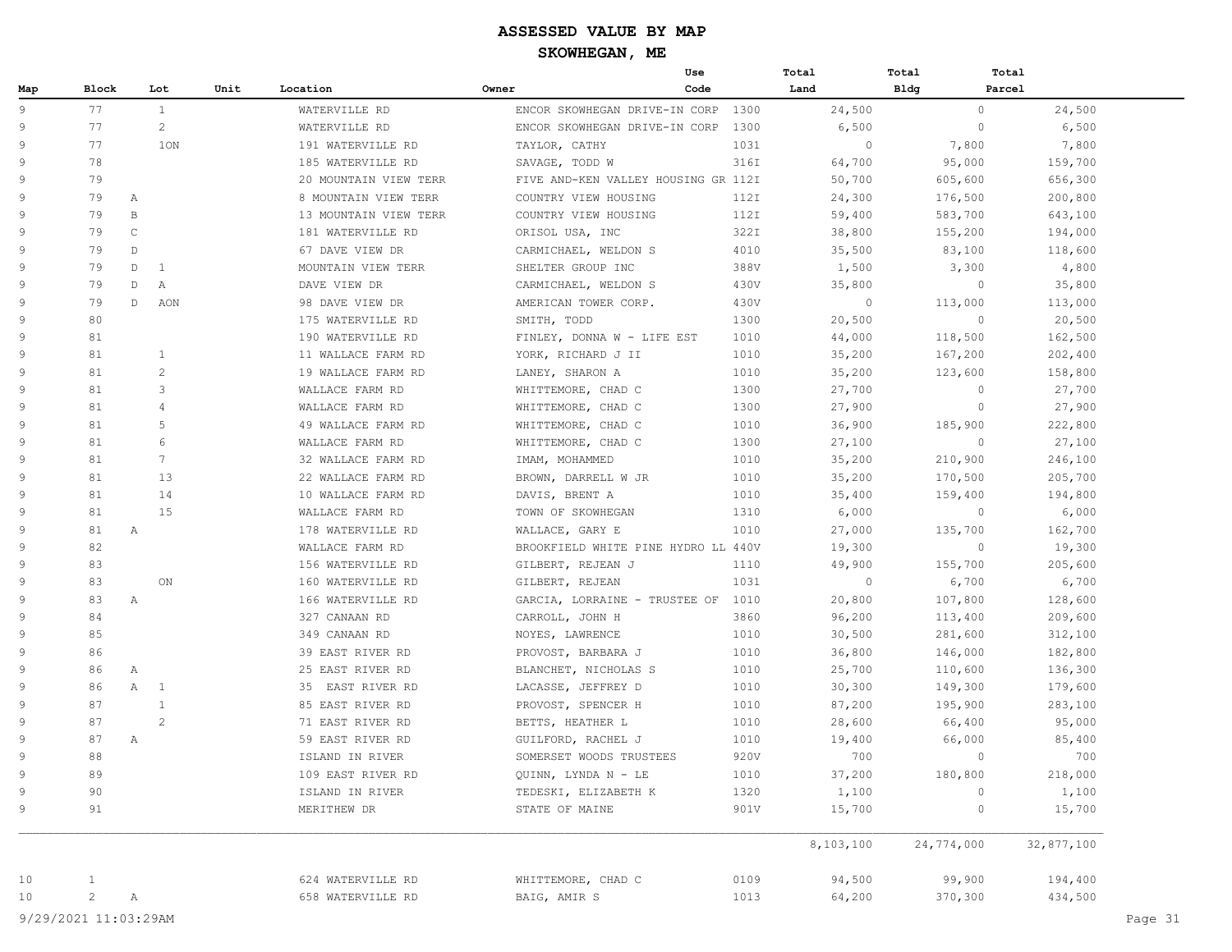|     |                |                   |      |                       |                                     | Use  | Total        | Total        | Total      |
|-----|----------------|-------------------|------|-----------------------|-------------------------------------|------|--------------|--------------|------------|
| Map | Block          | Lot               | Unit | Location              | Owner                               | Code | Land         | <b>Bldg</b>  | Parcel     |
| 9   | 77             | $\mathbf{1}$      |      | WATERVILLE RD         | ENCOR SKOWHEGAN DRIVE-IN CORP       | 1300 | 24,500       | $\circ$      | 24,500     |
| 9   | 77             | $\mathbf{2}$      |      | WATERVILLE RD         | ENCOR SKOWHEGAN DRIVE-IN CORP       | 1300 | 6,500        | $\circ$      | 6,500      |
| 9   | 77             | 10N               |      | 191 WATERVILLE RD     | TAYLOR, CATHY                       | 1031 | $\mathbf{0}$ | 7,800        | 7,800      |
| 9   | 78             |                   |      | 185 WATERVILLE RD     | SAVAGE, TODD W                      | 316I | 64,700       | 95,000       | 159,700    |
| 9   | 79             |                   |      | 20 MOUNTAIN VIEW TERR | FIVE AND-KEN VALLEY HOUSING GR 112I |      | 50,700       | 605,600      | 656,300    |
| 9   | 79             | Α                 |      | 8 MOUNTAIN VIEW TERR  | COUNTRY VIEW HOUSING                | 112I | 24,300       | 176,500      | 200,800    |
| 9   | 79             | $\mathbf{B}$      |      | 13 MOUNTAIN VIEW TERR | COUNTRY VIEW HOUSING                | 112I | 59,400       | 583,700      | 643,100    |
| 9   | 79             | $\mathsf{C}$      |      | 181 WATERVILLE RD     | ORISOL USA, INC                     | 322I | 38,800       | 155,200      | 194,000    |
| 9   | 79             | D                 |      | 67 DAVE VIEW DR       | CARMICHAEL, WELDON S                | 4010 | 35,500       | 83,100       | 118,600    |
| 9   | 79             | D<br>1            |      | MOUNTAIN VIEW TERR    | SHELTER GROUP INC                   | 388V | 1,500        | 3,300        | 4,800      |
| 9   | 79             | D<br>Α            |      | DAVE VIEW DR          | CARMICHAEL, WELDON S                | 430V | 35,800       | $\circ$      | 35,800     |
| 9   | 79             | D<br>AON          |      | 98 DAVE VIEW DR       | AMERICAN TOWER CORP.                | 430V | $\circ$      | 113,000      | 113,000    |
| 9   | 80             |                   |      | 175 WATERVILLE RD     | SMITH, TODD                         | 1300 | 20,500       | $\circ$      | 20,500     |
| 9   | 81             |                   |      | 190 WATERVILLE RD     | FINLEY, DONNA W - LIFE EST          | 1010 | 44,000       | 118,500      | 162,500    |
| 9   | 81             | $\mathbf{1}$      |      | 11 WALLACE FARM RD    | YORK, RICHARD J II                  | 1010 | 35,200       | 167,200      | 202,400    |
| 9   | 81             | 2                 |      | 19 WALLACE FARM RD    | LANEY, SHARON A                     | 1010 | 35,200       | 123,600      | 158,800    |
| 9   | 81             | 3                 |      | WALLACE FARM RD       | WHITTEMORE, CHAD C                  | 1300 | 27,700       | $\circ$      | 27,700     |
| 9   | 81             | $\overline{4}$    |      | WALLACE FARM RD       | WHITTEMORE, CHAD C                  | 1300 | 27,900       | $\circ$      | 27,900     |
| 9   | 81             | 5                 |      | 49 WALLACE FARM RD    | WHITTEMORE, CHAD C                  | 1010 | 36,900       | 185,900      | 222,800    |
| 9   | 81             | 6                 |      | WALLACE FARM RD       | WHITTEMORE, CHAD C                  | 1300 | 27,100       | $\circ$      | 27,100     |
| 9   | 81             | $7\phantom{.0}$   |      | 32 WALLACE FARM RD    | IMAM, MOHAMMED                      | 1010 | 35,200       | 210,900      | 246,100    |
| 9   | 81             | 13                |      | 22 WALLACE FARM RD    | BROWN, DARRELL W JR                 | 1010 | 35,200       | 170,500      | 205,700    |
| 9   | 81             | 14                |      | 10 WALLACE FARM RD    | DAVIS, BRENT A                      | 1010 | 35,400       | 159,400      | 194,800    |
| 9   | 81             | 15                |      | WALLACE FARM RD       | TOWN OF SKOWHEGAN                   | 1310 | 6,000        | $\circ$      | 6,000      |
| 9   | 81             | Α                 |      | 178 WATERVILLE RD     | WALLACE, GARY E                     | 1010 | 27,000       | 135,700      | 162,700    |
| 9   | 82             |                   |      | WALLACE FARM RD       | BROOKFIELD WHITE PINE HYDRO LL 440V |      | 19,300       | $\circ$      | 19,300     |
| 9   | 83             |                   |      | 156 WATERVILLE RD     | GILBERT, REJEAN J                   | 1110 | 49,900       | 155,700      | 205,600    |
| 9   | 83             | ON                |      | 160 WATERVILLE RD     | GILBERT, REJEAN                     | 1031 | $\circ$      | 6,700        | 6,700      |
| 9   | 83             | A                 |      | 166 WATERVILLE RD     | GARCIA, LORRAINE - TRUSTEE OF 1010  |      | 20,800       | 107,800      | 128,600    |
| 9   | 84             |                   |      | 327 CANAAN RD         | CARROLL, JOHN H                     | 3860 | 96,200       | 113,400      | 209,600    |
| 9   | 85             |                   |      | 349 CANAAN RD         | NOYES, LAWRENCE                     | 1010 | 30,500       | 281,600      | 312,100    |
| 9   | 86             |                   |      | 39 EAST RIVER RD      | PROVOST, BARBARA J                  | 1010 | 36,800       | 146,000      | 182,800    |
| 9   | 86             | Α                 |      | 25 EAST RIVER RD      | BLANCHET, NICHOLAS S                | 1010 | 25,700       | 110,600      | 136,300    |
| 9   | 86             | A<br>$\mathbf{1}$ |      | 35 EAST RIVER RD      | LACASSE, JEFFREY D                  | 1010 | 30,300       | 149,300      | 179,600    |
| 9   | 87             | 1                 |      | 85 EAST RIVER RD      | PROVOST, SPENCER H                  | 1010 | 87,200       | 195,900      | 283,100    |
| 9   | 87             | 2                 |      | 71 EAST RIVER RD      | BETTS, HEATHER L                    | 1010 | 28,600       | 66,400       | 95,000     |
| 9   | 87             | Α                 |      | 59 EAST RIVER RD      | GUILFORD, RACHEL J                  | 1010 | 19,400       | 66,000       | 85,400     |
| 9   | 88             |                   |      | ISLAND IN RIVER       | SOMERSET WOODS TRUSTEES             | 920V | 700          | $\circ$      | 700        |
| 9   | 89             |                   |      | 109 EAST RIVER RD     | QUINN, LYNDA N - LE                 | 1010 | 37,200       | 180,800      | 218,000    |
| 9   | 90             |                   |      | ISLAND IN RIVER       | TEDESKI, ELIZABETH K                | 1320 | 1,100        | $\mathbf{0}$ | 1,100      |
| 9   | 91             |                   |      | MERITHEW DR           | STATE OF MAINE                      | 901V | 15,700       | $\mathbb O$  | 15,700     |
|     |                |                   |      |                       |                                     |      | 8,103,100    | 24,774,000   | 32,877,100 |
| 10  | $\mathbf{1}$   |                   |      | 624 WATERVILLE RD     | WHITTEMORE, CHAD C                  | 0109 | 94,500       | 99,900       | 194,400    |
| 10  | $\overline{c}$ | Α                 |      | 658 WATERVILLE RD     | BAIG, AMIR S                        | 1013 | 64,200       | 370,300      | 434,500    |
|     |                |                   |      |                       |                                     |      |              |              |            |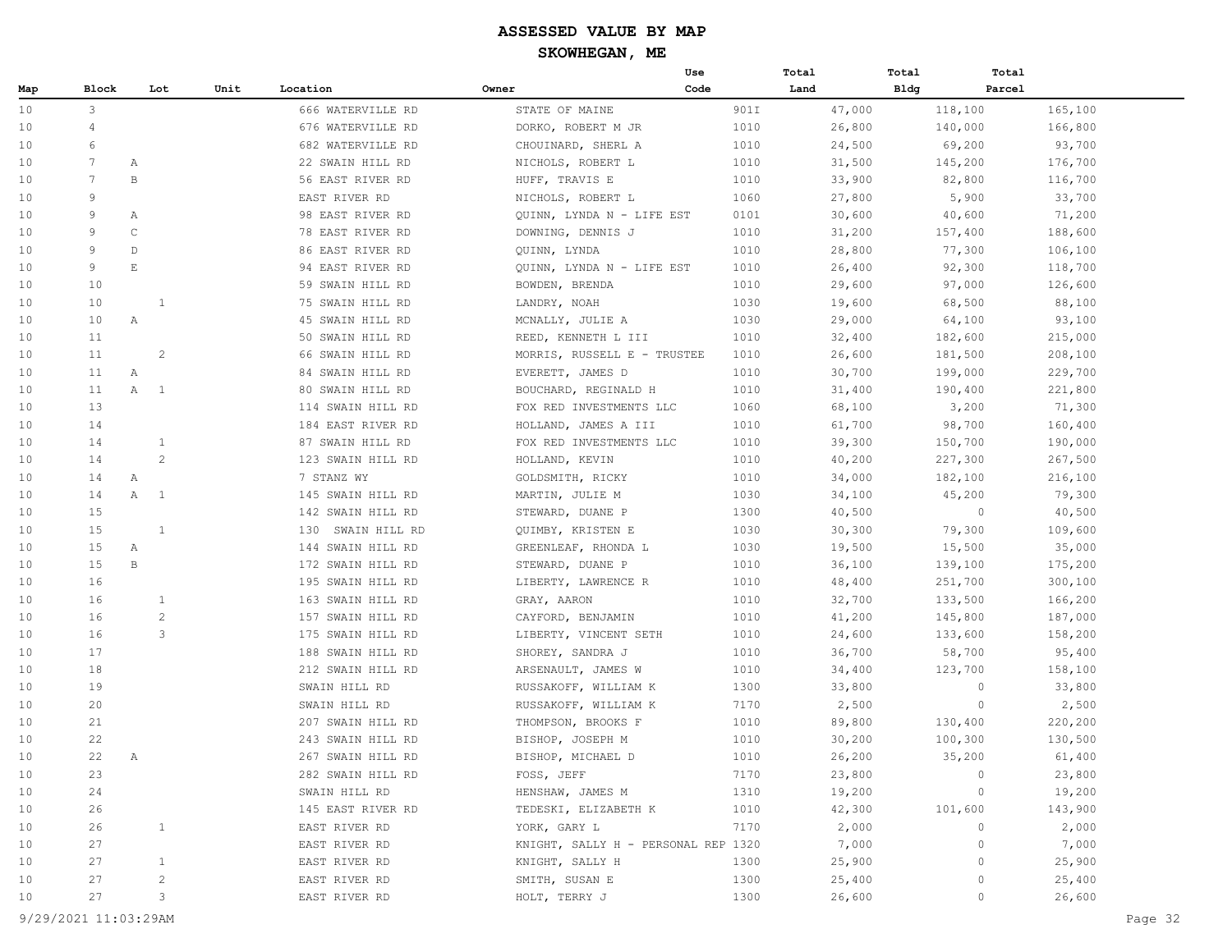|     |                |                        |                       |      |                   |                                     | Use  |      | Total  | Total       | Total   |         |
|-----|----------------|------------------------|-----------------------|------|-------------------|-------------------------------------|------|------|--------|-------------|---------|---------|
| Map | Block          |                        | Lot                   | Unit | Location          | Owner                               | Code |      | Land   | <b>Bldg</b> | Parcel  |         |
| 10  | 3              |                        |                       |      | 666 WATERVILLE RD | STATE OF MAINE                      |      | 901I | 47,000 |             | 118,100 | 165,100 |
| 10  | $\overline{4}$ |                        |                       |      | 676 WATERVILLE RD | DORKO, ROBERT M JR                  |      | 1010 | 26,800 |             | 140,000 | 166,800 |
| 10  | 6              |                        |                       |      | 682 WATERVILLE RD | CHOUINARD, SHERL A                  |      | 1010 | 24,500 |             | 69,200  | 93,700  |
| 10  | 7              | А                      |                       |      | 22 SWAIN HILL RD  | NICHOLS, ROBERT L                   |      | 1010 | 31,500 |             | 145,200 | 176,700 |
| 10  | 7              | B                      |                       |      | 56 EAST RIVER RD  | HUFF, TRAVIS E                      |      | 1010 | 33,900 |             | 82,800  | 116,700 |
| 10  | 9              |                        |                       |      | EAST RIVER RD     | NICHOLS, ROBERT L                   |      | 1060 | 27,800 |             | 5,900   | 33,700  |
| 10  | 9              | Α                      |                       |      | 98 EAST RIVER RD  | QUINN, LYNDA N - LIFE EST           |      | 0101 | 30,600 |             | 40,600  | 71,200  |
| 10  | 9              | $\mathsf C$            |                       |      | 78 EAST RIVER RD  | DOWNING, DENNIS J                   |      | 1010 | 31,200 |             | 157,400 | 188,600 |
| 10  | 9              | $\mathbb{D}$           |                       |      | 86 EAST RIVER RD  | QUINN, LYNDA                        |      | 1010 | 28,800 |             | 77,300  | 106,100 |
| 10  | 9              | $\mathop{}\mathcal{E}$ |                       |      | 94 EAST RIVER RD  | QUINN, LYNDA N - LIFE EST           |      | 1010 | 26,400 |             | 92,300  | 118,700 |
| 10  | 10             |                        |                       |      | 59 SWAIN HILL RD  | BOWDEN, BRENDA                      |      | 1010 | 29,600 |             | 97,000  | 126,600 |
| 10  | 10             |                        | 1                     |      | 75 SWAIN HILL RD  | LANDRY, NOAH                        |      | 1030 | 19,600 |             | 68,500  | 88,100  |
| 10  | 10             | $\mathbb{A}$           |                       |      | 45 SWAIN HILL RD  | MCNALLY, JULIE A                    |      | 1030 | 29,000 |             | 64,100  | 93,100  |
| 10  | 11             |                        |                       |      | 50 SWAIN HILL RD  | REED, KENNETH L III                 |      | 1010 | 32,400 |             | 182,600 | 215,000 |
| 10  | 11             |                        | $\overline{2}$        |      | 66 SWAIN HILL RD  | MORRIS, RUSSELL E - TRUSTEE         |      | 1010 | 26,600 |             | 181,500 | 208,100 |
| 10  | 11             | Α                      |                       |      | 84 SWAIN HILL RD  | EVERETT, JAMES D                    |      | 1010 | 30,700 |             | 199,000 | 229,700 |
| 10  | 11             | $\mathbb A$            | $\mathbf{1}$          |      | 80 SWAIN HILL RD  | BOUCHARD, REGINALD H                |      | 1010 | 31,400 |             | 190,400 | 221,800 |
| 10  | 13             |                        |                       |      | 114 SWAIN HILL RD | FOX RED INVESTMENTS LLC             |      | 1060 | 68,100 |             | 3,200   | 71,300  |
| 10  | 14             |                        |                       |      | 184 EAST RIVER RD | HOLLAND, JAMES A III                |      | 1010 | 61,700 |             | 98,700  | 160,400 |
| 10  | 14             |                        | $\mathbf{1}$          |      | 87 SWAIN HILL RD  | FOX RED INVESTMENTS LLC             |      | 1010 | 39,300 |             | 150,700 | 190,000 |
| 10  | 14             |                        | $\mathbf{2}^{\prime}$ |      | 123 SWAIN HILL RD | HOLLAND, KEVIN                      |      | 1010 | 40,200 |             | 227,300 | 267,500 |
| 10  | 14             | $\mathbb{A}$           |                       |      | 7 STANZ WY        | GOLDSMITH, RICKY                    |      | 1010 | 34,000 |             | 182,100 | 216,100 |
| 10  | 14             | A                      | 1                     |      | 145 SWAIN HILL RD | MARTIN, JULIE M                     |      | 1030 | 34,100 |             | 45,200  | 79,300  |
| 10  | 15             |                        |                       |      | 142 SWAIN HILL RD | STEWARD, DUANE P                    |      | 1300 | 40,500 |             | $\circ$ | 40,500  |
| 10  | 15             |                        | $\mathbf{1}$          |      | 130 SWAIN HILL RD | QUIMBY, KRISTEN E                   |      | 1030 | 30,300 |             | 79,300  | 109,600 |
| 10  | 15             | $\mathbb{A}$           |                       |      | 144 SWAIN HILL RD | GREENLEAF, RHONDA L                 |      | 1030 | 19,500 |             | 15,500  | 35,000  |
| 10  | 15             | $\mathbf{B}$           |                       |      | 172 SWAIN HILL RD | STEWARD, DUANE P                    |      | 1010 | 36,100 |             | 139,100 | 175,200 |
| 10  | 16             |                        |                       |      | 195 SWAIN HILL RD | LIBERTY, LAWRENCE R                 |      | 1010 | 48,400 |             | 251,700 | 300,100 |
| 10  | 16             |                        | $\mathbf{1}$          |      | 163 SWAIN HILL RD | GRAY, AARON                         |      | 1010 | 32,700 |             | 133,500 | 166,200 |
| 10  | 16             |                        | $\mathbf{2}$          |      | 157 SWAIN HILL RD | CAYFORD, BENJAMIN                   |      | 1010 | 41,200 |             | 145,800 | 187,000 |
| 10  | 16             |                        | 3                     |      | 175 SWAIN HILL RD | LIBERTY, VINCENT SETH               |      | 1010 | 24,600 |             | 133,600 | 158,200 |
| 10  | 17             |                        |                       |      | 188 SWAIN HILL RD | SHOREY, SANDRA J                    |      | 1010 | 36,700 |             | 58,700  | 95,400  |
| 10  | 18             |                        |                       |      | 212 SWAIN HILL RD | ARSENAULT, JAMES W                  |      | 1010 | 34,400 |             | 123,700 | 158,100 |
| 10  | 19             |                        |                       |      | SWAIN HILL RD     | RUSSAKOFF, WILLIAM K                |      | 1300 | 33,800 |             | 0       | 33,800  |
| 10  | 20             |                        |                       |      | SWAIN HILL RD     | RUSSAKOFF, WILLIAM K                |      | 7170 | 2,500  |             | $\circ$ | 2,500   |
| 10  | 21             |                        |                       |      | 207 SWAIN HILL RD | THOMPSON, BROOKS F                  |      | 1010 | 89,800 |             | 130,400 | 220,200 |
| 10  | 22             |                        |                       |      | 243 SWAIN HILL RD | BISHOP, JOSEPH M                    |      | 1010 | 30,200 |             | 100,300 | 130,500 |
| 10  | 22             | Α                      |                       |      | 267 SWAIN HILL RD | BISHOP, MICHAEL D                   |      | 1010 | 26,200 |             | 35,200  | 61,400  |
| 10  | 23             |                        |                       |      | 282 SWAIN HILL RD | FOSS, JEFF                          |      | 7170 | 23,800 |             | $\circ$ | 23,800  |
| 10  | 24             |                        |                       |      | SWAIN HILL RD     | HENSHAW, JAMES M                    |      | 1310 | 19,200 |             | $\circ$ | 19,200  |
| 10  | 26             |                        |                       |      | 145 EAST RIVER RD | TEDESKI, ELIZABETH K                |      | 1010 | 42,300 |             | 101,600 | 143,900 |
| 10  | 26             |                        | $\mathbf{1}$          |      | EAST RIVER RD     | YORK, GARY L                        |      | 7170 | 2,000  |             | 0       | 2,000   |
| 10  | 27             |                        |                       |      | EAST RIVER RD     | KNIGHT, SALLY H - PERSONAL REP 1320 |      |      | 7,000  |             | 0       | 7,000   |
| 10  | 27             |                        | $\mathbf{1}$          |      | EAST RIVER RD     | KNIGHT, SALLY H                     |      | 1300 | 25,900 |             | 0       | 25,900  |
| 10  | 27             |                        | $\overline{c}$        |      | EAST RIVER RD     | SMITH, SUSAN E                      |      | 1300 | 25,400 |             | 0       | 25,400  |
| 10  | 27             |                        | 3                     |      | EAST RIVER RD     | HOLT, TERRY J                       |      | 1300 | 26,600 |             | 0       | 26,600  |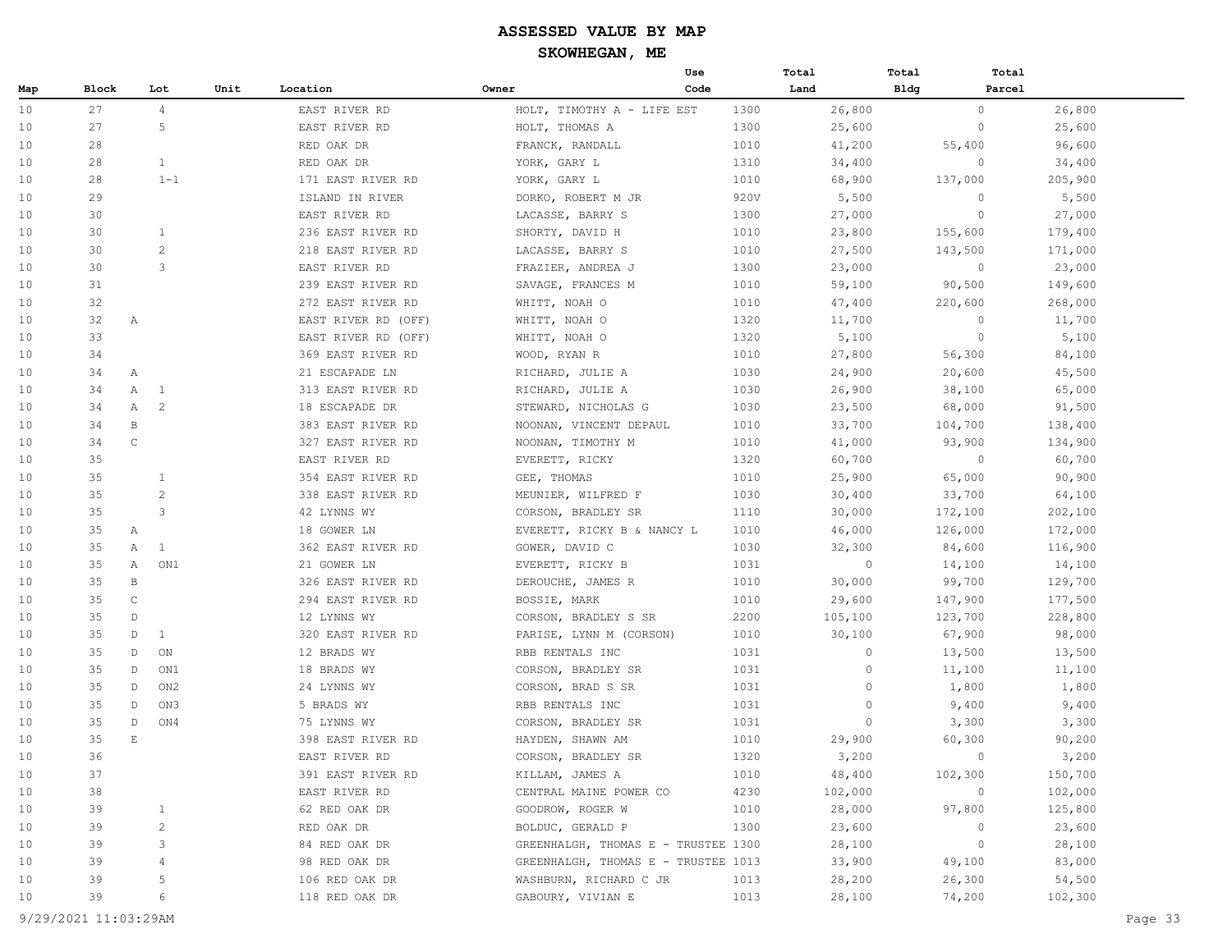|     |       |                     |      |                     | Use                                 |      | Total   | Total        | Total   |
|-----|-------|---------------------|------|---------------------|-------------------------------------|------|---------|--------------|---------|
| Map | Block | Lot                 | Unit | Location            | Owner<br>Code                       |      | Land    | <b>Bldg</b>  | Parcel  |
| 10  | 27    | $\overline{4}$      |      | EAST RIVER RD       | HOLT, TIMOTHY A - LIFE EST          | 1300 | 26,800  | $\circ$      | 26,800  |
| 10  | 27    | 5                   |      | EAST RIVER RD       | HOLT, THOMAS A                      | 1300 | 25,600  | $\circ$      | 25,600  |
| 10  | 28    |                     |      | RED OAK DR          | FRANCK, RANDALL                     | 1010 | 41,200  | 55,400       | 96,600  |
| 10  | 28    | $\mathbf{1}$        |      | RED OAK DR          | YORK, GARY L                        | 1310 | 34,400  | $\circ$      | 34,400  |
| 10  | 28    | $1 - 1$             |      | 171 EAST RIVER RD   | YORK, GARY L                        | 1010 | 68,900  | 137,000      | 205,900 |
| 10  | 29    |                     |      | ISLAND IN RIVER     | DORKO, ROBERT M JR                  | 920V | 5,500   | $\circ$      | 5,500   |
| 10  | 30    |                     |      | EAST RIVER RD       | LACASSE, BARRY S                    | 1300 | 27,000  | $\circ$      | 27,000  |
| 10  | 30    | 1                   |      | 236 EAST RIVER RD   | SHORTY, DAVID H                     | 1010 | 23,800  | 155,600      | 179,400 |
| 10  | 30    | $\overline{c}$      |      | 218 EAST RIVER RD   | LACASSE, BARRY S                    | 1010 | 27,500  | 143,500      | 171,000 |
| 10  | 30    | 3                   |      | EAST RIVER RD       | FRAZIER, ANDREA J                   | 1300 | 23,000  | $\circ$      | 23,000  |
| 10  | 31    |                     |      | 239 EAST RIVER RD   | SAVAGE, FRANCES M                   | 1010 | 59,100  | 90,500       | 149,600 |
| 10  | 32    |                     |      | 272 EAST RIVER RD   | WHITT, NOAH O                       | 1010 | 47,400  | 220,600      | 268,000 |
| 10  | 32    | Α                   |      | EAST RIVER RD (OFF) | WHITT, NOAH O                       | 1320 | 11,700  | $\circ$      | 11,700  |
| 10  | 33    |                     |      | EAST RIVER RD (OFF) | WHITT, NOAH O                       | 1320 | 5,100   | $\circ$      | 5,100   |
| 10  | 34    |                     |      | 369 EAST RIVER RD   | WOOD, RYAN R                        | 1010 | 27,800  | 56,300       | 84,100  |
| 10  | 34    | Α                   |      | 21 ESCAPADE LN      | RICHARD, JULIE A                    | 1030 | 24,900  | 20,600       | 45,500  |
| 10  | 34    | Α<br>1              |      | 313 EAST RIVER RD   | RICHARD, JULIE A                    | 1030 | 26,900  | 38,100       | 65,000  |
| 10  | 34    | $\overline{2}$<br>Α |      | 18 ESCAPADE DR      | STEWARD, NICHOLAS G                 | 1030 | 23,500  | 68,000       | 91,500  |
| 10  | 34    | $\, {\bf B}$        |      | 383 EAST RIVER RD   | NOONAN, VINCENT DEPAUL              | 1010 | 33,700  | 104,700      | 138,400 |
| 10  | 34    | $\mathsf C$         |      | 327 EAST RIVER RD   | NOONAN, TIMOTHY M                   | 1010 | 41,000  | 93,900       | 134,900 |
| 10  | 35    |                     |      | EAST RIVER RD       | EVERETT, RICKY                      | 1320 | 60,700  | $\circ$      | 60,700  |
| 10  | 35    | $\mathbf{1}$        |      | 354 EAST RIVER RD   | GEE, THOMAS                         | 1010 | 25,900  | 65,000       | 90,900  |
| 10  | 35    | $\overline{c}$      |      | 338 EAST RIVER RD   | MEUNIER, WILFRED F                  | 1030 | 30,400  | 33,700       | 64,100  |
| 10  | 35    | 3                   |      | 42 LYNNS WY         | CORSON, BRADLEY SR                  | 1110 | 30,000  | 172,100      | 202,100 |
| 10  | 35    | Α                   |      | 18 GOWER LN         | EVERETT, RICKY B & NANCY L          | 1010 | 46,000  | 126,000      | 172,000 |
| 10  | 35    | Α<br>1              |      | 362 EAST RIVER RD   | GOWER, DAVID C                      | 1030 | 32,300  | 84,600       | 116,900 |
| 10  | 35    | Α<br>ON1            |      | 21 GOWER LN         | EVERETT, RICKY B                    | 1031 | $\circ$ | 14,100       | 14,100  |
| 10  | 35    | B                   |      | 326 EAST RIVER RD   | DEROUCHE, JAMES R                   | 1010 | 30,000  | 99,700       | 129,700 |
| 10  | 35    | $\mathsf C$         |      | 294 EAST RIVER RD   | BOSSIE, MARK                        | 1010 | 29,600  | 147,900      | 177,500 |
| 10  | 35    | $\mathbb D$         |      | 12 LYNNS WY         | CORSON, BRADLEY S SR                | 2200 | 105,100 | 123,700      | 228,800 |
| 10  | 35    | $\mathbb D$<br>1    |      | 320 EAST RIVER RD   | PARISE, LYNN M (CORSON)             | 1010 | 30,100  | 67,900       | 98,000  |
| 10  | 35    | $\mathbb D$<br>ON   |      | 12 BRADS WY         | RBB RENTALS INC                     | 1031 | 0       | 13,500       | 13,500  |
| 10  | 35    | $\mathbb D$<br>ON1  |      | 18 BRADS WY         | CORSON, BRADLEY SR                  | 1031 | $\circ$ | 11,100       | 11,100  |
| 10  | 35    | D<br>ON2            |      | 24 LYNNS WY         | CORSON, BRAD S SR                   | 1031 | $\circ$ | 1,800        | 1,800   |
| 10  | 35    | D<br>ON3            |      | 5 BRADS WY          | RBB RENTALS INC                     | 1031 | 0       | 9,400        | 9,400   |
| 10  | 35    | D<br>ON4            |      | 75 LYNNS WY         | CORSON, BRADLEY SR                  | 1031 | $\circ$ | 3,300        | 3,300   |
| 10  | 35    | $\mathbf E$         |      | 398 EAST RIVER RD   | HAYDEN, SHAWN AM                    | 1010 | 29,900  | 60,300       | 90,200  |
| 10  | 36    |                     |      | EAST RIVER RD       | CORSON, BRADLEY SR                  | 1320 | 3,200   | $\mathbf{0}$ | 3,200   |
| 10  | 37    |                     |      | 391 EAST RIVER RD   | KILLAM, JAMES A                     | 1010 | 48,400  | 102,300      | 150,700 |
| 10  | 38    |                     |      | EAST RIVER RD       | CENTRAL MAINE POWER CO              | 4230 | 102,000 | $\circ$      | 102,000 |
| 10  | 39    | $\mathbf{1}$        |      | 62 RED OAK DR       | GOODROW, ROGER W                    | 1010 | 28,000  | 97,800       | 125,800 |
| 10  | 39    | 2                   |      | RED OAK DR          | BOLDUC, GERALD P                    | 1300 | 23,600  | $\circ$      | 23,600  |
| 10  | 39    | 3                   |      | 84 RED OAK DR       | GREENHALGH, THOMAS E - TRUSTEE 1300 |      | 28,100  | $\circ$      | 28,100  |
| 10  | 39    | 4                   |      | 98 RED OAK DR       | GREENHALGH, THOMAS E - TRUSTEE 1013 |      | 33,900  | 49,100       | 83,000  |
| 10  | 39    | 5                   |      | 106 RED OAK DR      | WASHBURN, RICHARD C JR              | 1013 | 28,200  | 26,300       | 54,500  |
| 10  | 39    | 6                   |      | 118 RED OAK DR      | GABOURY, VIVIAN E                   | 1013 | 28,100  | 74,200       | 102,300 |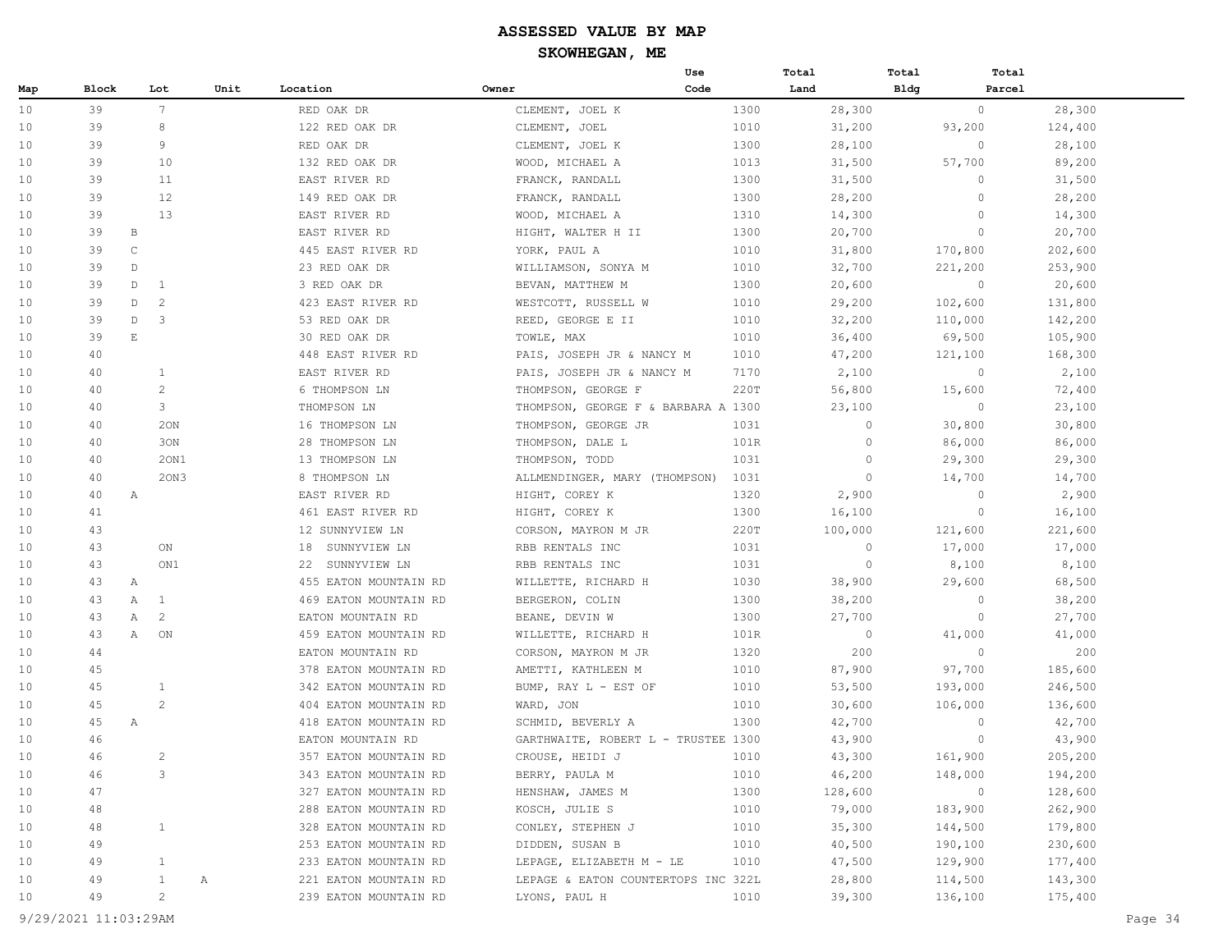|     |       |                     |      |                       |                                     | Use  | Total    | Total       | Total   |
|-----|-------|---------------------|------|-----------------------|-------------------------------------|------|----------|-------------|---------|
| Map | Block | Lot                 | Unit | Location              | Owner                               | Code | Land     | <b>Bldg</b> | Parcel  |
| 10  | 39    | $7\overline{ }$     |      | RED OAK DR            | CLEMENT, JOEL K                     | 1300 | 28,300   | $\circ$     | 28,300  |
| 10  | 39    | 8                   |      | 122 RED OAK DR        | CLEMENT, JOEL                       | 1010 | 31,200   | 93,200      | 124,400 |
| 10  | 39    | 9                   |      | RED OAK DR            | CLEMENT, JOEL K                     | 1300 | 28,100   | $\circ$     | 28,100  |
| 10  | 39    | 10                  |      | 132 RED OAK DR        | WOOD, MICHAEL A                     | 1013 | 31,500   | 57,700      | 89,200  |
| 10  | 39    | 11                  |      | EAST RIVER RD         | FRANCK, RANDALL                     | 1300 | 31,500   | $\circ$     | 31,500  |
| 10  | 39    | 12                  |      | 149 RED OAK DR        | FRANCK, RANDALL                     | 1300 | 28,200   | $\circ$     | 28,200  |
| 10  | 39    | 13                  |      | EAST RIVER RD         | WOOD, MICHAEL A                     | 1310 | 14,300   | $\circ$     | 14,300  |
| 10  | 39    | B                   |      | EAST RIVER RD         | HIGHT, WALTER H II                  | 1300 | 20,700   | $\circ$     | 20,700  |
| 10  | 39    | $\mathsf{C}$        |      | 445 EAST RIVER RD     | YORK, PAUL A                        | 1010 | 31,800   | 170,800     | 202,600 |
| 10  | 39    | $\mathbb D$         |      | 23 RED OAK DR         | WILLIAMSON, SONYA M                 | 1010 | 32,700   | 221,200     | 253,900 |
| 10  | 39    | $\mathbb{D}$<br>1   |      | 3 RED OAK DR          | BEVAN, MATTHEW M                    | 1300 | 20,600   | $\circ$     | 20,600  |
| 10  | 39    | D<br>$\mathcal{L}$  |      | 423 EAST RIVER RD     | WESTCOTT, RUSSELL W                 | 1010 | 29,200   | 102,600     | 131,800 |
| 10  | 39    | 3<br>$\mathbb D$    |      | 53 RED OAK DR         | REED, GEORGE E II                   | 1010 | 32,200   | 110,000     | 142,200 |
| 10  | 39    | E                   |      | 30 RED OAK DR         | TOWLE, MAX                          | 1010 | 36,400   | 69,500      | 105,900 |
| 10  | 40    |                     |      | 448 EAST RIVER RD     | PAIS, JOSEPH JR & NANCY M           | 1010 | 47,200   | 121,100     | 168,300 |
| 10  | 40    | 1                   |      | EAST RIVER RD         | PAIS, JOSEPH JR & NANCY M           | 7170 | 2,100    | $\circ$     | 2,100   |
| 10  | 40    | 2                   |      | 6 THOMPSON LN         | THOMPSON, GEORGE F                  | 220T | 56,800   | 15,600      | 72,400  |
| 10  | 40    | 3                   |      | THOMPSON LN           | THOMPSON, GEORGE F & BARBARA A 1300 |      | 23,100   | $\circ$     | 23,100  |
| 10  | 40    | 20N                 |      | 16 THOMPSON LN        | THOMPSON, GEORGE JR                 | 1031 | 0        | 30,800      | 30,800  |
| 10  | 40    | 30N                 |      | 28 THOMPSON LN        | THOMPSON, DALE L                    | 101R | 0        | 86,000      | 86,000  |
| 10  | 40    | 20N1                |      | 13 THOMPSON LN        | THOMPSON, TODD                      | 1031 | $\circ$  | 29,300      | 29,300  |
| 10  | 40    | 20N3                |      | 8 THOMPSON LN         | ALLMENDINGER, MARY (THOMPSON)       | 1031 | $\circ$  | 14,700      | 14,700  |
| 10  | 40    | Α                   |      | EAST RIVER RD         | HIGHT, COREY K                      | 1320 | 2,900    | $\circ$     | 2,900   |
| 10  | 41    |                     |      | 461 EAST RIVER RD     | HIGHT, COREY K                      | 1300 | 16,100   | $\circ$     | 16,100  |
| 10  | 43    |                     |      | 12 SUNNYVIEW LN       | CORSON, MAYRON M JR                 | 220T | 100,000  | 121,600     | 221,600 |
| 10  | 43    | ON                  |      | 18<br>SUNNYVIEW LN    | RBB RENTALS INC                     | 1031 | $\Omega$ | 17,000      | 17,000  |
| 10  | 43    | ON1                 |      | 22 SUNNYVIEW LN       | RBB RENTALS INC                     | 1031 | $\circ$  | 8,100       | 8,100   |
| 10  | 43    | Α                   |      | 455 EATON MOUNTAIN RD | WILLETTE, RICHARD H                 | 1030 | 38,900   | 29,600      | 68,500  |
| 10  | 43    | Α<br>1              |      | 469 EATON MOUNTAIN RD | BERGERON, COLIN                     | 1300 | 38,200   | $\circ$     | 38,200  |
| 10  | 43    | $\overline{c}$<br>Α |      | EATON MOUNTAIN RD     | BEANE, DEVIN W                      | 1300 | 27,700   | $\circ$     | 27,700  |
| 10  | 43    | Α<br>ON             |      | 459 EATON MOUNTAIN RD | WILLETTE, RICHARD H                 | 101R | $\circ$  | 41,000      | 41,000  |
| 10  | 44    |                     |      | EATON MOUNTAIN RD     | CORSON, MAYRON M JR                 | 1320 | 200      | $\circ$     | 200     |
| 10  | 45    |                     |      | 378 EATON MOUNTAIN RD | AMETTI, KATHLEEN M                  | 1010 | 87,900   | 97,700      | 185,600 |
| 10  | 45    | $\mathbf{1}$        |      | 342 EATON MOUNTAIN RD | BUMP, RAY L - EST OF                | 1010 | 53,500   | 193,000     | 246,500 |
| 10  | 45    | 2                   |      | 404 EATON MOUNTAIN RD | WARD, JON                           | 1010 | 30,600   | 106,000     | 136,600 |
| 10  | 45    | Α                   |      | 418 EATON MOUNTAIN RD | SCHMID, BEVERLY A                   | 1300 | 42,700   | $\circ$     | 42,700  |
| 10  | 46    |                     |      | EATON MOUNTAIN RD     | GARTHWAITE, ROBERT L - TRUSTEE 1300 |      | 43,900   | $\circ$     | 43,900  |
| 10  | 46    | $\overline{c}$      |      | 357 EATON MOUNTAIN RD | CROUSE, HEIDI J                     | 1010 | 43,300   | 161,900     | 205,200 |
| 10  | 46    | 3                   |      | 343 EATON MOUNTAIN RD | BERRY, PAULA M                      | 1010 | 46,200   | 148,000     | 194,200 |
| 10  | 47    |                     |      | 327 EATON MOUNTAIN RD | HENSHAW, JAMES M                    | 1300 | 128,600  | $\circ$     | 128,600 |
| 10  | 48    |                     |      | 288 EATON MOUNTAIN RD | KOSCH, JULIE S                      | 1010 | 79,000   | 183,900     | 262,900 |
| 10  | 48    | $\mathbf{1}$        |      | 328 EATON MOUNTAIN RD | CONLEY, STEPHEN J                   | 1010 | 35,300   | 144,500     | 179,800 |
| 10  | 49    |                     |      | 253 EATON MOUNTAIN RD | DIDDEN, SUSAN B                     | 1010 | 40,500   | 190,100     | 230,600 |
| 10  | 49    | $\mathbf{1}$        |      | 233 EATON MOUNTAIN RD | LEPAGE, ELIZABETH M - LE            | 1010 | 47,500   | 129,900     | 177,400 |
| 10  | 49    | $\mathbf{1}$        | Α    | 221 EATON MOUNTAIN RD | LEPAGE & EATON COUNTERTOPS INC 322L |      | 28,800   | 114,500     | 143,300 |
| 10  | 49    | $\overline{c}$      |      | 239 EATON MOUNTAIN RD | LYONS, PAUL H                       | 1010 | 39,300   | 136,100     | 175,400 |
|     |       |                     |      |                       |                                     |      |          |             |         |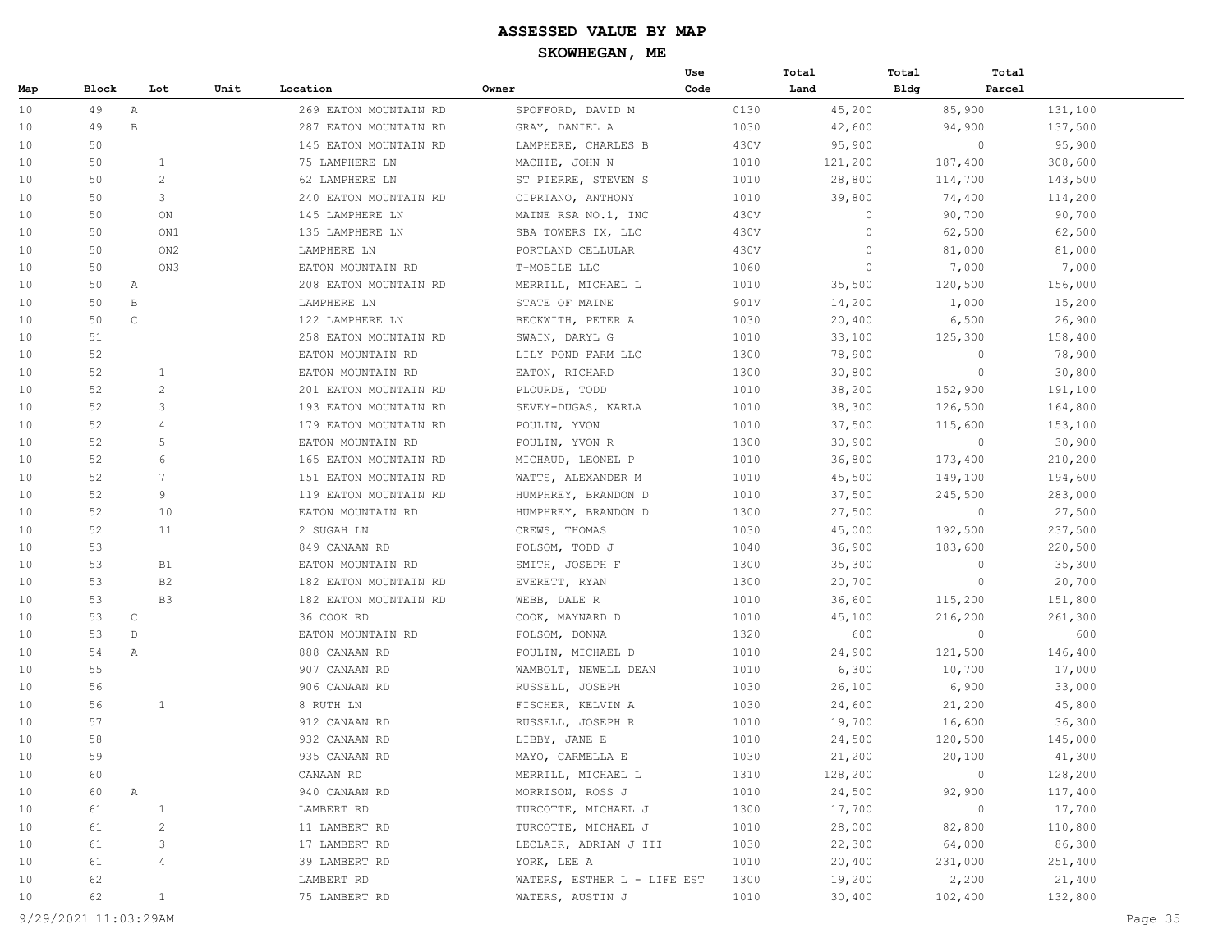|     |       |                 |                  |                       |                             | Use  | Total   | Total       | Total              |
|-----|-------|-----------------|------------------|-----------------------|-----------------------------|------|---------|-------------|--------------------|
| Map | Block | Lot             | Unit<br>Location |                       | Owner                       | Code | Land    | <b>Bldg</b> | Parcel             |
| 10  | 49    | Α               |                  | 269 EATON MOUNTAIN RD | SPOFFORD, DAVID M           | 0130 | 45,200  | 85,900      | 131,100            |
| 10  | 49    | $\, {\bf B}$    |                  | 287 EATON MOUNTAIN RD | GRAY, DANIEL A              | 1030 | 42,600  | 94,900      | 137,500            |
| 10  | 50    |                 |                  | 145 EATON MOUNTAIN RD | LAMPHERE, CHARLES B         | 430V | 95,900  |             | $\circ$<br>95,900  |
| 10  | 50    | $\mathbf{1}$    |                  | 75 LAMPHERE LN        | MACHIE, JOHN N              | 1010 | 121,200 | 187,400     | 308,600            |
| 10  | 50    | $\mathbf{2}$    |                  | 62 LAMPHERE LN        | ST PIERRE, STEVEN S         | 1010 | 28,800  | 114,700     | 143,500            |
| 10  | 50    | 3               |                  | 240 EATON MOUNTAIN RD | CIPRIANO, ANTHONY           | 1010 | 39,800  | 74,400      | 114,200            |
| 10  | 50    | ON              |                  | 145 LAMPHERE LN       | MAINE RSA NO.1, INC         | 430V | $\circ$ | 90,700      | 90,700             |
| 10  | 50    | ON1             |                  | 135 LAMPHERE LN       | SBA TOWERS IX, LLC          | 430V | $\circ$ | 62,500      | 62,500             |
| 10  | 50    | ON <sub>2</sub> |                  | LAMPHERE LN           | PORTLAND CELLULAR           | 430V | $\circ$ | 81,000      | 81,000             |
| 10  | 50    | ON3             |                  | EATON MOUNTAIN RD     | T-MOBILE LLC                | 1060 | $\circ$ | 7,000       | 7,000              |
| 10  | 50    | $\mathbb A$     |                  | 208 EATON MOUNTAIN RD | MERRILL, MICHAEL L          | 1010 | 35,500  | 120,500     | 156,000            |
| 10  | 50    | $\, {\bf B}$    |                  | LAMPHERE LN           | STATE OF MAINE              | 901V | 14,200  | 1,000       | 15,200             |
| 10  | 50    | $\mathsf{C}$    |                  | 122 LAMPHERE LN       | BECKWITH, PETER A           | 1030 | 20,400  | 6,500       | 26,900             |
| 10  | 51    |                 |                  | 258 EATON MOUNTAIN RD | SWAIN, DARYL G              | 1010 | 33,100  | 125,300     | 158,400            |
| 10  | 52    |                 |                  | EATON MOUNTAIN RD     | LILY POND FARM LLC          | 1300 | 78,900  |             | $\circ$<br>78,900  |
| 10  | 52    | $\mathbf{1}$    |                  | EATON MOUNTAIN RD     | EATON, RICHARD              | 1300 | 30,800  |             | $\circ$<br>30,800  |
| 10  | 52    | $\overline{2}$  |                  | 201 EATON MOUNTAIN RD | PLOURDE, TODD               | 1010 | 38,200  | 152,900     | 191,100            |
| 10  | 52    | 3               |                  | 193 EATON MOUNTAIN RD | SEVEY-DUGAS, KARLA          | 1010 | 38,300  | 126,500     | 164,800            |
| 10  | 52    | 4               |                  | 179 EATON MOUNTAIN RD | POULIN, YVON                | 1010 | 37,500  | 115,600     | 153,100            |
| 10  | 52    | 5               |                  | EATON MOUNTAIN RD     | POULIN, YVON R              | 1300 | 30,900  |             | $\circ$<br>30,900  |
| 10  | 52    | 6               |                  | 165 EATON MOUNTAIN RD | MICHAUD, LEONEL P           | 1010 | 36,800  | 173,400     | 210,200            |
| 10  | 52    | 7               |                  | 151 EATON MOUNTAIN RD | WATTS, ALEXANDER M          | 1010 | 45,500  | 149,100     | 194,600            |
| 10  | 52    | 9               |                  | 119 EATON MOUNTAIN RD | HUMPHREY, BRANDON D         | 1010 | 37,500  | 245,500     | 283,000            |
| 10  | 52    | 10              |                  | EATON MOUNTAIN RD     | HUMPHREY, BRANDON D         | 1300 | 27,500  |             | $\circ$<br>27,500  |
| 10  | 52    | 11              |                  | 2 SUGAH LN            | CREWS, THOMAS               | 1030 | 45,000  | 192,500     | 237,500            |
| 10  | 53    |                 |                  | 849 CANAAN RD         | FOLSOM, TODD J              | 1040 | 36,900  | 183,600     | 220,500            |
| 10  | 53    | <b>B1</b>       |                  | EATON MOUNTAIN RD     | SMITH, JOSEPH F             | 1300 | 35,300  |             | $\circ$<br>35,300  |
| 10  | 53    | B <sub>2</sub>  |                  | 182 EATON MOUNTAIN RD | EVERETT, RYAN               | 1300 | 20,700  |             | $\circ$<br>20,700  |
| 10  | 53    | B <sub>3</sub>  |                  | 182 EATON MOUNTAIN RD | WEBB, DALE R                | 1010 | 36,600  | 115,200     | 151,800            |
| 10  | 53    | $\mathsf{C}$    |                  | 36 COOK RD            | COOK, MAYNARD D             | 1010 | 45,100  | 216,200     | 261,300            |
| 10  | 53    | $\mathbb{D}$    |                  | EATON MOUNTAIN RD     | FOLSOM, DONNA               | 1320 | 600     |             | $\circ$<br>600     |
| 10  | 54    | Α               |                  | 888 CANAAN RD         | POULIN, MICHAEL D           | 1010 | 24,900  | 121,500     | 146,400            |
| 10  | 55    |                 |                  | 907 CANAAN RD         | WAMBOLT, NEWELL DEAN        | 1010 | 6,300   | 10,700      | 17,000             |
| 10  | 56    |                 |                  | 906 CANAAN RD         | RUSSELL, JOSEPH             | 1030 | 26,100  | 6,900       | 33,000             |
| 10  | 56    | $\mathbf{1}$    |                  | 8 RUTH LN             | FISCHER, KELVIN A           | 1030 | 24,600  | 21,200      | 45,800             |
| 10  | 57    |                 |                  | 912 CANAAN RD         | RUSSELL, JOSEPH R           | 1010 | 19,700  | 16,600      | 36,300             |
| 10  | 58    |                 |                  | 932 CANAAN RD         | LIBBY, JANE E               | 1010 | 24,500  | 120,500     | 145,000            |
| 10  | 59    |                 |                  | 935 CANAAN RD         | MAYO, CARMELLA E            | 1030 | 21,200  | 20,100      | 41,300             |
| 10  | 60    |                 |                  | CANAAN RD             | MERRILL, MICHAEL L          | 1310 | 128,200 |             | $\circ$<br>128,200 |
| 10  | 60    | Α               |                  | 940 CANAAN RD         | MORRISON, ROSS J            | 1010 | 24,500  | 92,900      | 117,400            |
| 10  | 61    | $\mathbf{1}$    |                  | LAMBERT RD            | TURCOTTE, MICHAEL J         | 1300 | 17,700  |             | $\circ$<br>17,700  |
| 10  | 61    | $\overline{c}$  |                  | 11 LAMBERT RD         | TURCOTTE, MICHAEL J         | 1010 | 28,000  | 82,800      | 110,800            |
| 10  | 61    | 3               |                  | 17 LAMBERT RD         | LECLAIR, ADRIAN J III       | 1030 | 22,300  | 64,000      | 86,300             |
| 10  | 61    | 4               |                  | 39 LAMBERT RD         | YORK, LEE A                 | 1010 | 20,400  | 231,000     | 251,400            |
| 10  | 62    |                 |                  | LAMBERT RD            | WATERS, ESTHER L - LIFE EST | 1300 | 19,200  | 2,200       | 21,400             |
| 10  | 62    | $\mathbf{1}$    |                  | 75 LAMBERT RD         | WATERS, AUSTIN J            | 1010 | 30,400  | 102,400     | 132,800            |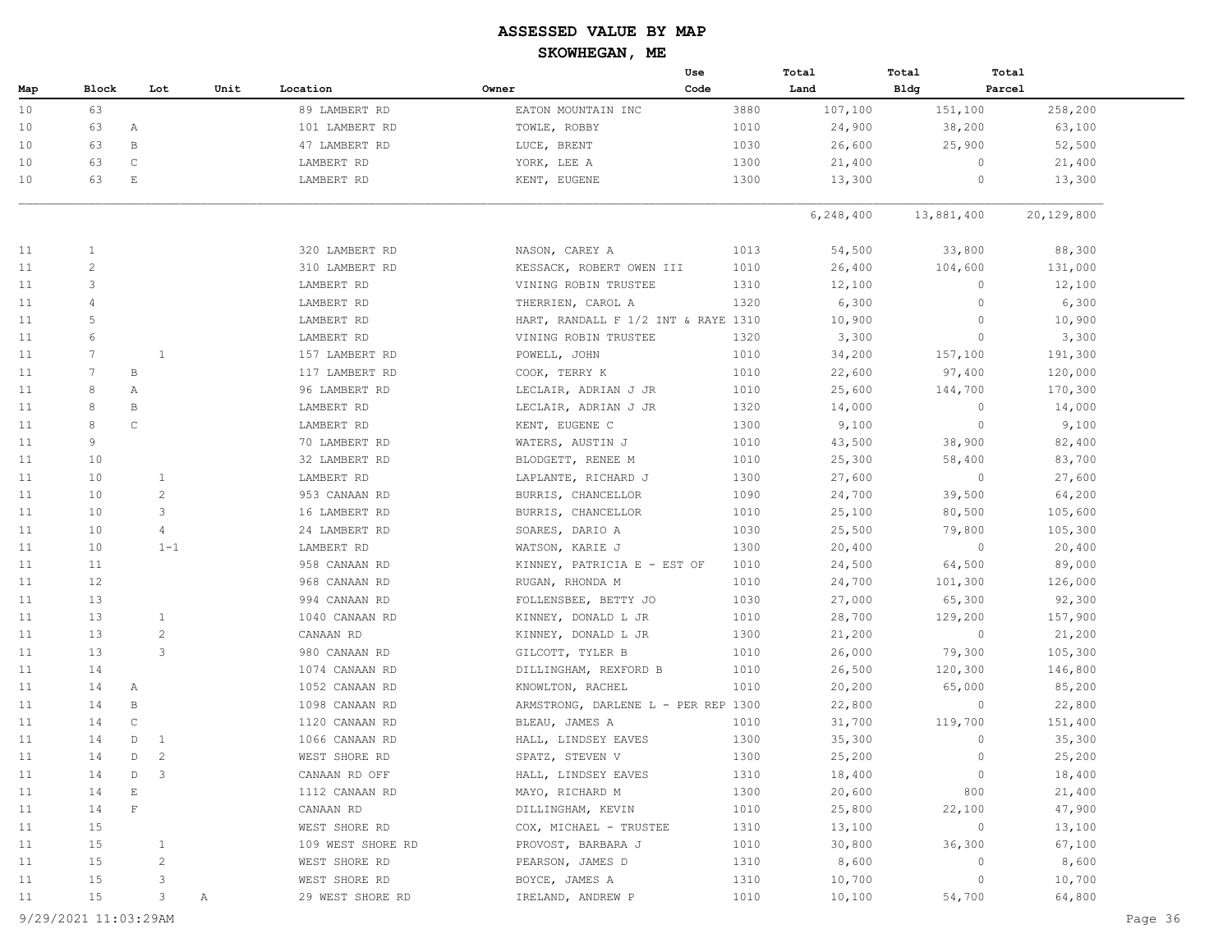|     |                 |              |                |      |                   |       | Use                                 |      | Total       | Total      | Total        |            |
|-----|-----------------|--------------|----------------|------|-------------------|-------|-------------------------------------|------|-------------|------------|--------------|------------|
| Map | Block           |              | Lot            | Unit | Location          | Owner | Code                                |      | Land        | Bldg       | Parcel       |            |
| 10  | 63              |              |                |      | 89 LAMBERT RD     |       | EATON MOUNTAIN INC                  | 3880 | 107,100     | 151,100    |              | 258,200    |
| 10  | 63              | Α            |                |      | 101 LAMBERT RD    |       | TOWLE, ROBBY                        | 1010 | 24,900      | 38,200     |              | 63,100     |
| 10  | 63              | $\, {\bf B}$ |                |      | 47 LAMBERT RD     |       | LUCE, BRENT                         | 1030 | 26,600      | 25,900     |              | 52,500     |
| 10  | 63              | $\mathsf{C}$ |                |      | LAMBERT RD        |       | YORK, LEE A                         | 1300 | 21,400      |            | $\circ$      | 21,400     |
| 10  | 63              | $\mathbf E$  |                |      | LAMBERT RD        |       | KENT, EUGENE                        | 1300 | 13,300      |            | 0            | 13,300     |
|     |                 |              |                |      |                   |       |                                     |      |             |            |              |            |
|     |                 |              |                |      |                   |       |                                     |      | 6, 248, 400 | 13,881,400 |              | 20,129,800 |
| 11  | $\mathbf{1}$    |              |                |      | 320 LAMBERT RD    |       | NASON, CAREY A                      | 1013 | 54,500      | 33,800     |              | 88,300     |
| 11  | $\overline{2}$  |              |                |      | 310 LAMBERT RD    |       | KESSACK, ROBERT OWEN III            | 1010 | 26,400      | 104,600    |              | 131,000    |
| 11  | 3               |              |                |      | LAMBERT RD        |       | VINING ROBIN TRUSTEE                | 1310 | 12,100      |            | $\circ$      | 12,100     |
| 11  | 4               |              |                |      | LAMBERT RD        |       | THERRIEN, CAROL A                   | 1320 | 6,300       |            | $\circ$      | 6,300      |
| 11  | 5               |              |                |      | LAMBERT RD        |       | HART, RANDALL F 1/2 INT & RAYE 1310 |      | 10,900      |            | $\circ$      | 10,900     |
| 11  | 6               |              |                |      | LAMBERT RD        |       | VINING ROBIN TRUSTEE                | 1320 | 3,300       |            | $\circ$      | 3,300      |
| 11  | 7               |              | $\mathbf{1}$   |      | 157 LAMBERT RD    |       | POWELL, JOHN                        | 1010 | 34,200      | 157,100    |              | 191,300    |
| 11  | $7\phantom{.0}$ | B            |                |      | 117 LAMBERT RD    |       | COOK, TERRY K                       | 1010 | 22,600      | 97,400     |              | 120,000    |
| 11  | 8               | Α            |                |      | 96 LAMBERT RD     |       | LECLAIR, ADRIAN J JR                | 1010 | 25,600      | 144,700    |              | 170,300    |
| 11  | 8               | $\, {\bf B}$ |                |      | LAMBERT RD        |       | LECLAIR, ADRIAN J JR                | 1320 | 14,000      |            | $\circ$      | 14,000     |
| 11  | 8               | $\mathsf C$  |                |      | LAMBERT RD        |       | KENT, EUGENE C                      | 1300 | 9,100       |            | $\mathbf{0}$ | 9,100      |
| 11  | 9               |              |                |      | 70 LAMBERT RD     |       | WATERS, AUSTIN J                    | 1010 | 43,500      | 38,900     |              | 82,400     |
| 11  | 10              |              |                |      | 32 LAMBERT RD     |       | BLODGETT, RENEE M                   | 1010 | 25,300      | 58,400     |              | 83,700     |
| 11  | 10              |              | $\mathbf{1}$   |      | LAMBERT RD        |       | LAPLANTE, RICHARD J                 | 1300 | 27,600      |            | $\circ$      | 27,600     |
| 11  | 10              |              | $\overline{2}$ |      | 953 CANAAN RD     |       | BURRIS, CHANCELLOR                  | 1090 | 24,700      | 39,500     |              | 64,200     |
| 11  | 10              |              | 3              |      | 16 LAMBERT RD     |       | BURRIS, CHANCELLOR                  | 1010 | 25,100      | 80,500     |              | 105,600    |
| 11  | 10              |              | 4              |      | 24 LAMBERT RD     |       | SOARES, DARIO A                     | 1030 | 25,500      | 79,800     |              | 105,300    |
| 11  | 10              |              | $1 - 1$        |      | LAMBERT RD        |       | WATSON, KARIE J                     | 1300 | 20,400      |            | $\circ$      | 20,400     |
| 11  | 11              |              |                |      | 958 CANAAN RD     |       | KINNEY, PATRICIA E - EST OF         | 1010 | 24,500      | 64,500     |              | 89,000     |
| 11  | 12              |              |                |      | 968 CANAAN RD     |       | RUGAN, RHONDA M                     | 1010 | 24,700      | 101,300    |              | 126,000    |
| 11  | 13              |              |                |      | 994 CANAAN RD     |       | FOLLENSBEE, BETTY JO                | 1030 | 27,000      | 65,300     |              | 92,300     |
| 11  | 13              |              | $\mathbf{1}$   |      | 1040 CANAAN RD    |       | KINNEY, DONALD L JR                 | 1010 | 28,700      | 129,200    |              | 157,900    |
| 11  | 13              |              | 2              |      | CANAAN RD         |       | KINNEY, DONALD L JR                 | 1300 | 21,200      |            | $\circ$      | 21,200     |
| 11  | 13              |              | 3              |      | 980 CANAAN RD     |       | GILCOTT, TYLER B                    | 1010 | 26,000      | 79,300     |              | 105,300    |
| 11  | 14              |              |                |      | 1074 CANAAN RD    |       | DILLINGHAM, REXFORD B               | 1010 | 26,500      | 120,300    |              | 146,800    |
| 11  | 14              | Α            |                |      | 1052 CANAAN RD    |       | KNOWLTON, RACHEL                    | 1010 | 20,200      | 65,000     |              | 85,200     |
| 11  | 14              | $\, {\bf B}$ |                |      | 1098 CANAAN RD    |       | ARMSTRONG, DARLENE L - PER REP 1300 |      | 22,800      |            | $\circ$      | 22,800     |
| 11  | 14              | $\mathsf{C}$ |                |      | 1120 CANAAN RD    |       | BLEAU, JAMES A                      | 1010 | 31,700      | 119,700    |              | 151,400    |
| 11  | 14              | $\mathbb D$  | 1              |      | 1066 CANAAN RD    |       | HALL, LINDSEY EAVES                 | 1300 | 35,300      |            | $\circ$      | 35,300     |
| 11  | 14              | D            | 2              |      | WEST SHORE RD     |       | SPATZ, STEVEN V                     | 1300 | 25,200      |            | $\circ$      | 25,200     |
| 11  | 14              | D            | 3              |      | CANAAN RD OFF     |       | HALL, LINDSEY EAVES                 | 1310 | 18,400      |            | $\circ$      | 18,400     |
| 11  | 14              | $\mathbb E$  |                |      | 1112 CANAAN RD    |       | MAYO, RICHARD M                     | 1300 | 20,600      |            | 800          | 21,400     |
| 11  | 14              | $\mathbf{F}$ |                |      | CANAAN RD         |       | DILLINGHAM, KEVIN                   | 1010 | 25,800      | 22,100     |              | 47,900     |
| 11  | 15              |              |                |      | WEST SHORE RD     |       | COX, MICHAEL - TRUSTEE              | 1310 | 13,100      |            | $\circ$      | 13,100     |
| 11  | 15              |              | $\mathbf{1}$   |      | 109 WEST SHORE RD |       | PROVOST, BARBARA J                  | 1010 | 30,800      | 36,300     |              | 67,100     |
| 11  | 15              |              | 2              |      | WEST SHORE RD     |       | PEARSON, JAMES D                    | 1310 | 8,600       |            | $\circ$      | 8,600      |
| 11  | 15              |              | 3              |      | WEST SHORE RD     |       | BOYCE, JAMES A                      | 1310 | 10,700      |            | $\circ$      | 10,700     |
| 11  | 15              |              | 3              | Α    | 29 WEST SHORE RD  |       | IRELAND, ANDREW P                   | 1010 | 10,100      | 54,700     |              | 64,800     |
|     |                 |              |                |      |                   |       |                                     |      |             |            |              |            |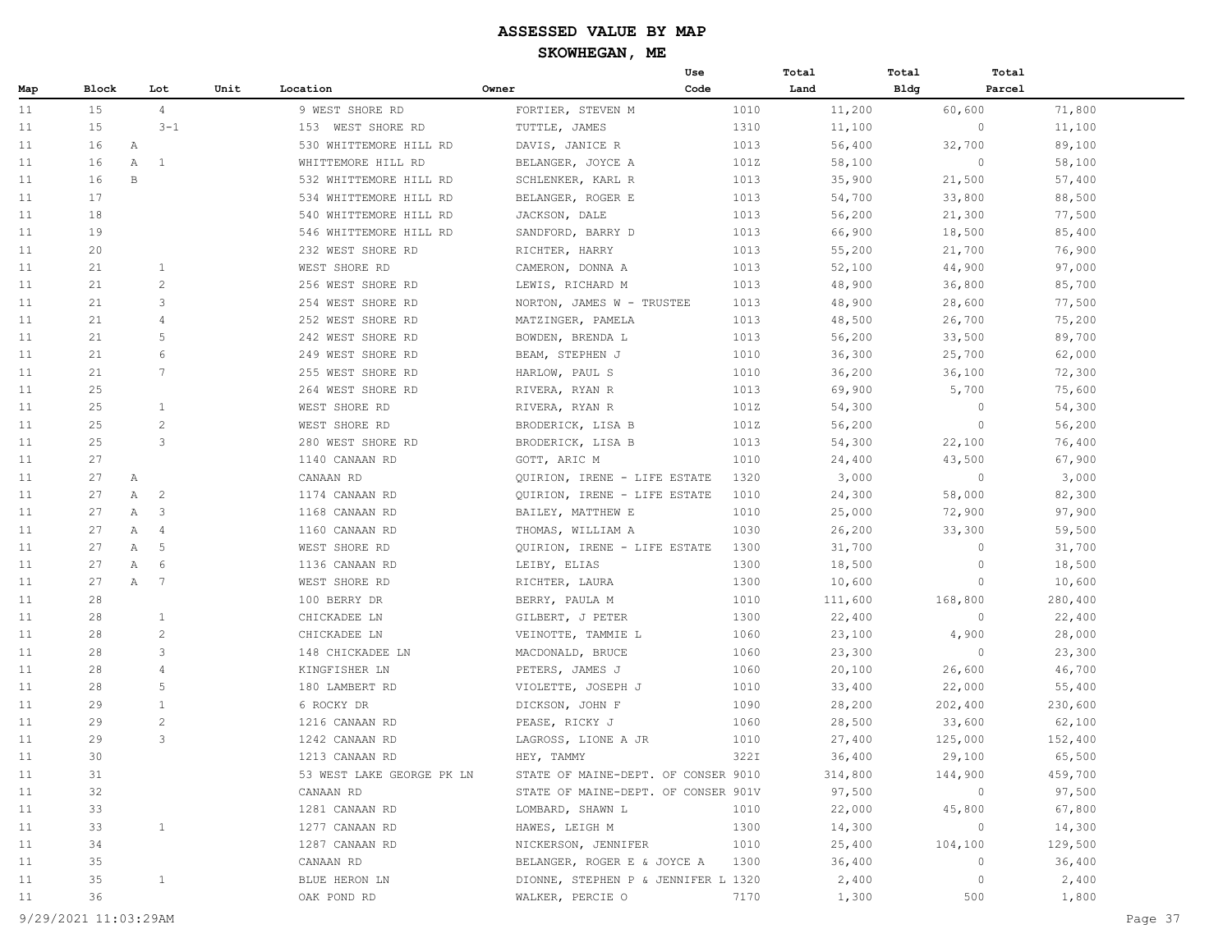|     |       |              |                |      |                           |                                     | Use  |      | Total   | Total       | Total   |         |
|-----|-------|--------------|----------------|------|---------------------------|-------------------------------------|------|------|---------|-------------|---------|---------|
| Map | Block |              | Lot            | Unit | Location                  | Owner                               | Code |      | Land    | <b>Bldg</b> | Parcel  |         |
| 11  | 15    |              | $\overline{4}$ |      | 9 WEST SHORE RD           | FORTIER, STEVEN M                   |      | 1010 | 11,200  |             | 60,600  | 71,800  |
| 11  | 15    |              | $3 - 1$        |      | 153 WEST SHORE RD         | TUTTLE, JAMES                       |      | 1310 | 11,100  |             | $\circ$ | 11,100  |
| 11  | 16    | A            |                |      | 530 WHITTEMORE HILL RD    | DAVIS, JANICE R                     |      | 1013 | 56,400  |             | 32,700  | 89,100  |
| 11  | 16    | $\mathbb{A}$ | 1              |      | WHITTEMORE HILL RD        | BELANGER, JOYCE A                   |      | 101Z | 58,100  |             | $\circ$ | 58,100  |
| 11  | 16    | $\mathbf{B}$ |                |      | 532 WHITTEMORE HILL RD    | SCHLENKER, KARL R                   |      | 1013 | 35,900  |             | 21,500  | 57,400  |
| 11  | 17    |              |                |      | 534 WHITTEMORE HILL RD    | BELANGER, ROGER E                   |      | 1013 | 54,700  |             | 33,800  | 88,500  |
| 11  | 18    |              |                |      | 540 WHITTEMORE HILL RD    | JACKSON, DALE                       |      | 1013 | 56,200  |             | 21,300  | 77,500  |
| 11  | 19    |              |                |      | 546 WHITTEMORE HILL RD    | SANDFORD, BARRY D                   |      | 1013 | 66,900  |             | 18,500  | 85,400  |
| 11  | 20    |              |                |      | 232 WEST SHORE RD         | RICHTER, HARRY                      |      | 1013 | 55,200  |             | 21,700  | 76,900  |
| 11  | 21    |              | $\mathbf{1}$   |      | WEST SHORE RD             | CAMERON, DONNA A                    |      | 1013 | 52,100  |             | 44,900  | 97,000  |
| 11  | 21    |              | $\overline{c}$ |      | 256 WEST SHORE RD         | LEWIS, RICHARD M                    |      | 1013 | 48,900  |             | 36,800  | 85,700  |
| 11  | 21    |              | 3              |      | 254 WEST SHORE RD         | NORTON, JAMES W - TRUSTEE           |      | 1013 | 48,900  |             | 28,600  | 77,500  |
| 11  | 21    |              | $\overline{4}$ |      | 252 WEST SHORE RD         | MATZINGER, PAMELA                   |      | 1013 | 48,500  |             | 26,700  | 75,200  |
| 11  | 21    |              | 5              |      | 242 WEST SHORE RD         | BOWDEN, BRENDA L                    |      | 1013 | 56,200  |             | 33,500  | 89,700  |
| 11  | 21    |              | 6              |      | 249 WEST SHORE RD         | BEAM, STEPHEN J                     |      | 1010 | 36,300  |             | 25,700  | 62,000  |
| 11  | 21    |              | 7              |      | 255 WEST SHORE RD         | HARLOW, PAUL S                      |      | 1010 | 36,200  |             | 36,100  | 72,300  |
| 11  | 25    |              |                |      | 264 WEST SHORE RD         | RIVERA, RYAN R                      |      | 1013 | 69,900  |             | 5,700   | 75,600  |
| 11  | 25    |              | $\mathbf{1}$   |      | WEST SHORE RD             | RIVERA, RYAN R                      |      | 101Z | 54,300  |             | $\circ$ | 54,300  |
| 11  | 25    |              | $\mathbf{2}$   |      | WEST SHORE RD             | BRODERICK, LISA B                   |      | 101Z | 56,200  |             | $\circ$ | 56,200  |
| 11  | 25    |              | 3              |      | 280 WEST SHORE RD         | BRODERICK, LISA B                   |      | 1013 | 54,300  |             | 22,100  | 76,400  |
| 11  | 27    |              |                |      | 1140 CANAAN RD            | GOTT, ARIC M                        |      | 1010 | 24,400  |             | 43,500  | 67,900  |
| 11  | 27    | A            |                |      | CANAAN RD                 | QUIRION, IRENE - LIFE ESTATE        |      | 1320 | 3,000   |             | $\circ$ | 3,000   |
| 11  | 27    | Α            | 2              |      | 1174 CANAAN RD            | QUIRION, IRENE - LIFE ESTATE        |      | 1010 | 24,300  |             | 58,000  | 82,300  |
| 11  | 27    | Α            | 3              |      | 1168 CANAAN RD            | BAILEY, MATTHEW E                   |      | 1010 | 25,000  |             | 72,900  | 97,900  |
| 11  | 27    | А            | $\overline{4}$ |      | 1160 CANAAN RD            | THOMAS, WILLIAM A                   |      | 1030 | 26,200  |             | 33,300  | 59,500  |
| 11  | 27    | Α            | 5              |      | WEST SHORE RD             | QUIRION, IRENE - LIFE ESTATE        |      | 1300 | 31,700  |             | $\circ$ | 31,700  |
| 11  | 27    | Α            | 6              |      | 1136 CANAAN RD            | LEIBY, ELIAS                        |      | 1300 | 18,500  |             | $\circ$ | 18,500  |
| 11  | 27    | A            | 7              |      | WEST SHORE RD             | RICHTER, LAURA                      |      | 1300 | 10,600  |             | $\circ$ | 10,600  |
| 11  | 28    |              |                |      | 100 BERRY DR              | BERRY, PAULA M                      |      | 1010 | 111,600 |             | 168,800 | 280,400 |
| 11  | 28    |              | $\mathbf{1}$   |      | CHICKADEE LN              | GILBERT, J PETER                    |      | 1300 | 22,400  |             | $\circ$ | 22,400  |
| 11  | 28    |              | $\overline{c}$ |      | CHICKADEE LN              | VEINOTTE, TAMMIE L                  |      | 1060 | 23,100  |             | 4,900   | 28,000  |
| 11  | 28    |              | 3              |      | 148 CHICKADEE LN          | MACDONALD, BRUCE                    |      | 1060 | 23,300  |             | $\circ$ | 23,300  |
| 11  | 28    |              | $\overline{4}$ |      | KINGFISHER LN             | PETERS, JAMES J                     |      | 1060 | 20,100  |             | 26,600  | 46,700  |
| 11  | 28    |              | 5              |      | 180 LAMBERT RD            | VIOLETTE, JOSEPH J                  |      | 1010 | 33,400  |             | 22,000  | 55,400  |
| 11  | 29    |              | 1              |      | 6 ROCKY DR                | DICKSON, JOHN F                     |      | 1090 | 28,200  |             | 202,400 | 230,600 |
| 11  | 29    |              | $\mathbf{2}$   |      | 1216 CANAAN RD            | PEASE, RICKY J                      |      | 1060 | 28,500  |             | 33,600  | 62,100  |
| 11  | 29    |              | 3              |      | 1242 CANAAN RD            | LAGROSS, LIONE A JR                 |      | 1010 | 27,400  |             | 125,000 | 152,400 |
| 11  | 30    |              |                |      | 1213 CANAAN RD            | HEY, TAMMY                          |      | 322I | 36,400  |             | 29,100  | 65,500  |
| 11  | 31    |              |                |      | 53 WEST LAKE GEORGE PK LN | STATE OF MAINE-DEPT. OF CONSER 9010 |      |      | 314,800 |             | 144,900 | 459,700 |
| 11  | 32    |              |                |      | CANAAN RD                 | STATE OF MAINE-DEPT. OF CONSER 901V |      |      | 97,500  |             | 0       | 97,500  |
| 11  | 33    |              |                |      | 1281 CANAAN RD            | LOMBARD, SHAWN L                    |      | 1010 | 22,000  |             | 45,800  | 67,800  |
| 11  | 33    |              | $\mathbf{1}$   |      | 1277 CANAAN RD            | HAWES, LEIGH M                      |      | 1300 | 14,300  |             | 0       | 14,300  |
| 11  | 34    |              |                |      | 1287 CANAAN RD            | NICKERSON, JENNIFER                 |      | 1010 | 25,400  |             | 104,100 | 129,500 |
| 11  | 35    |              |                |      | CANAAN RD                 | BELANGER, ROGER E & JOYCE A         |      | 1300 | 36,400  |             | 0       | 36,400  |
| 11  | 35    |              | $\mathbf{1}$   |      | BLUE HERON LN             | DIONNE, STEPHEN P & JENNIFER L 1320 |      |      | 2,400   |             | $\circ$ | 2,400   |
| 11  | 36    |              |                |      | OAK POND RD               | WALKER, PERCIE O                    |      | 7170 | 1,300   |             | 500     | 1,800   |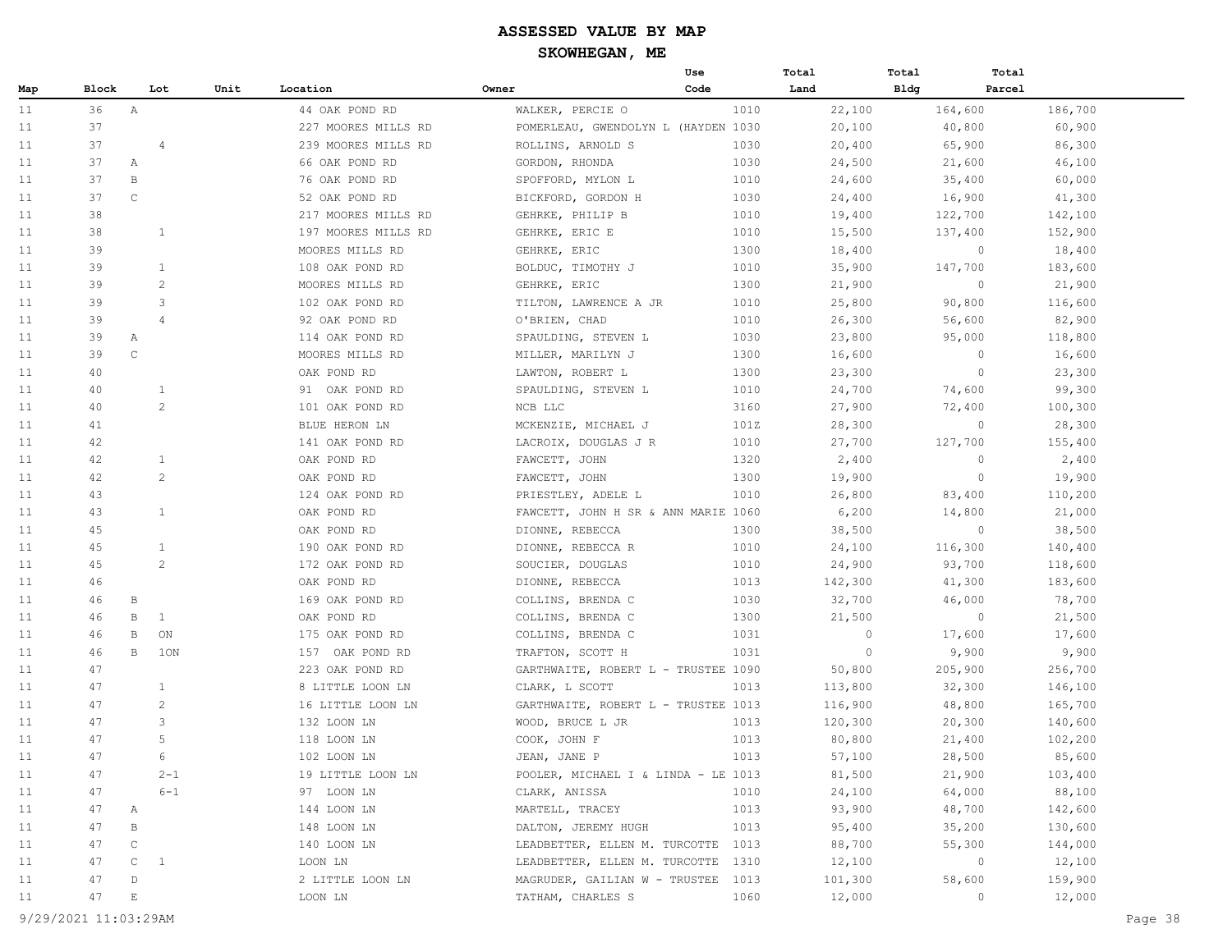|     |       |                             |                |                     |                                     | Use  | Total   | Total       | Total   |         |
|-----|-------|-----------------------------|----------------|---------------------|-------------------------------------|------|---------|-------------|---------|---------|
| Map | Block |                             | Lot<br>Unit    | Location            | Owner                               | Code | Land    | <b>Bldg</b> | Parcel  |         |
| 11  | 36    | $\mathbb A$                 |                | 44 OAK POND RD      | WALKER, PERCIE O                    | 1010 | 22,100  |             | 164,600 | 186,700 |
| 11  | 37    |                             |                | 227 MOORES MILLS RD | POMERLEAU, GWENDOLYN L (HAYDEN 1030 |      | 20,100  |             | 40,800  | 60,900  |
| 11  | 37    |                             | $\overline{4}$ | 239 MOORES MILLS RD | ROLLINS, ARNOLD S                   | 1030 | 20,400  |             | 65,900  | 86,300  |
| 11  | 37    | Α                           |                | 66 OAK POND RD      | GORDON, RHONDA                      | 1030 | 24,500  |             | 21,600  | 46,100  |
| 11  | 37    | B                           |                | 76 OAK POND RD      | SPOFFORD, MYLON L                   | 1010 | 24,600  |             | 35,400  | 60,000  |
| 11  | 37    | $\mathsf C$                 |                | 52 OAK POND RD      | BICKFORD, GORDON H                  | 1030 | 24,400  |             | 16,900  | 41,300  |
| 11  | 38    |                             |                | 217 MOORES MILLS RD | GEHRKE, PHILIP B                    | 1010 | 19,400  |             | 122,700 | 142,100 |
| 11  | 38    |                             | 1              | 197 MOORES MILLS RD | GEHRKE, ERIC E                      | 1010 | 15,500  |             | 137,400 | 152,900 |
| 11  | 39    |                             |                | MOORES MILLS RD     | GEHRKE, ERIC                        | 1300 | 18,400  |             | $\circ$ | 18,400  |
| 11  | 39    |                             | $\mathbf{1}$   | 108 OAK POND RD     | BOLDUC, TIMOTHY J                   | 1010 | 35,900  |             | 147,700 | 183,600 |
| 11  | 39    |                             | $\overline{c}$ | MOORES MILLS RD     | GEHRKE, ERIC                        | 1300 | 21,900  |             | $\circ$ | 21,900  |
| 11  | 39    |                             | 3              | 102 OAK POND RD     | TILTON, LAWRENCE A JR               | 1010 | 25,800  |             | 90,800  | 116,600 |
| 11  | 39    |                             | $\overline{4}$ | 92 OAK POND RD      | O'BRIEN, CHAD                       | 1010 | 26,300  |             | 56,600  | 82,900  |
| 11  | 39    | $\mathbb A$                 |                | 114 OAK POND RD     | SPAULDING, STEVEN L                 | 1030 | 23,800  |             | 95,000  | 118,800 |
| 11  | 39    | $\mathbb{C}$                |                | MOORES MILLS RD     | MILLER, MARILYN J                   | 1300 | 16,600  |             | $\circ$ | 16,600  |
| 11  | 40    |                             |                | OAK POND RD         | LAWTON, ROBERT L                    | 1300 | 23,300  |             | $\circ$ | 23,300  |
| 11  | 40    |                             | $\mathbf{1}$   | 91 OAK POND RD      | SPAULDING, STEVEN L                 | 1010 | 24,700  |             | 74,600  | 99,300  |
| 11  | 40    |                             | 2              | 101 OAK POND RD     | NCB LLC                             | 3160 | 27,900  |             | 72,400  | 100,300 |
| 11  | 41    |                             |                | BLUE HERON LN       | MCKENZIE, MICHAEL J                 | 101Z | 28,300  |             | $\circ$ | 28,300  |
| 11  | 42    |                             |                | 141 OAK POND RD     | LACROIX, DOUGLAS J R                | 1010 | 27,700  |             | 127,700 | 155,400 |
| 11  | 42    |                             | $\mathbf{1}$   | OAK POND RD         | FAWCETT, JOHN                       | 1320 | 2,400   |             | $\circ$ | 2,400   |
| 11  | 42    |                             | 2              | OAK POND RD         | FAWCETT, JOHN                       | 1300 | 19,900  |             | $\circ$ | 19,900  |
| 11  | 43    |                             |                | 124 OAK POND RD     | PRIESTLEY, ADELE L                  | 1010 | 26,800  |             | 83,400  | 110,200 |
| 11  | 43    |                             | $\mathbf{1}$   | OAK POND RD         | FAWCETT, JOHN H SR & ANN MARIE 1060 |      | 6,200   |             | 14,800  | 21,000  |
| 11  | 45    |                             |                | OAK POND RD         | DIONNE, REBECCA                     | 1300 | 38,500  |             | $\circ$ | 38,500  |
| 11  | 45    |                             | $\mathbf{1}$   | 190 OAK POND RD     | DIONNE, REBECCA R                   | 1010 | 24,100  |             | 116,300 | 140,400 |
| 11  | 45    |                             | 2              | 172 OAK POND RD     | SOUCIER, DOUGLAS                    | 1010 | 24,900  |             | 93,700  | 118,600 |
| 11  | 46    |                             |                | OAK POND RD         | DIONNE, REBECCA                     | 1013 | 142,300 |             | 41,300  | 183,600 |
| 11  | 46    | $\, {\bf B}$                |                | 169 OAK POND RD     | COLLINS, BRENDA C                   | 1030 | 32,700  |             | 46,000  | 78,700  |
| 11  | 46    | B                           | <sup>1</sup>   | OAK POND RD         | COLLINS, BRENDA C                   | 1300 | 21,500  |             | $\circ$ | 21,500  |
| 11  | 46    | В                           | ON             | 175 OAK POND RD     | COLLINS, BRENDA C                   | 1031 | $\circ$ |             | 17,600  | 17,600  |
| 11  | 46    | B                           | 10N            | 157 OAK POND RD     | TRAFTON, SCOTT H                    | 1031 | $\circ$ |             | 9,900   | 9,900   |
| 11  | 47    |                             |                | 223 OAK POND RD     | GARTHWAITE, ROBERT L - TRUSTEE 1090 |      | 50,800  |             | 205,900 | 256,700 |
| 11  | 47    |                             | $\mathbf{1}$   | 8 LITTLE LOON LN    | CLARK, L SCOTT                      | 1013 | 113,800 |             | 32,300  | 146,100 |
| 11  | 47    |                             | 2              | 16 LITTLE LOON LN   | GARTHWAITE, ROBERT L - TRUSTEE 1013 |      | 116,900 |             | 48,800  | 165,700 |
| 11  | 47    |                             | 3              | 132 LOON LN         | WOOD, BRUCE L JR                    | 1013 | 120,300 |             | 20,300  | 140,600 |
| 11  | 47    |                             | 5              | 118 LOON LN         | COOK, JOHN F                        | 1013 | 80,800  |             | 21,400  | 102,200 |
| 11  | 47    |                             | 6              | 102 LOON LN         | JEAN, JANE P                        | 1013 | 57,100  |             | 28,500  | 85,600  |
| 11  | 47    |                             | $2 - 1$        | 19 LITTLE LOON LN   | POOLER, MICHAEL I & LINDA - LE 1013 |      | 81,500  |             | 21,900  | 103,400 |
| 11  | 47    |                             | $6 - 1$        | 97 LOON LN          | CLARK, ANISSA                       | 1010 | 24,100  |             | 64,000  | 88,100  |
| 11  | 47    | Α                           |                | 144 LOON LN         | MARTELL, TRACEY                     | 1013 | 93,900  |             | 48,700  | 142,600 |
| 11  | 47    | В                           |                | 148 LOON LN         | DALTON, JEREMY HUGH                 | 1013 | 95,400  |             | 35,200  | 130,600 |
| 11  | 47    | $\mathsf C$                 |                | 140 LOON LN         | LEADBETTER, ELLEN M. TURCOTTE       | 1013 | 88,700  |             | 55,300  | 144,000 |
| 11  | 47    | $\mathbb C$                 | $\overline{1}$ | LOON LN             | LEADBETTER, ELLEN M. TURCOTTE       | 1310 | 12,100  |             | $\circ$ | 12,100  |
| 11  | 47    | $\mathbb D$                 |                | 2 LITTLE LOON LN    | MAGRUDER, GAILIAN W - TRUSTEE       | 1013 | 101,300 |             | 58,600  | 159,900 |
| 11  | 47    | $\mathop{}\!\textnormal{E}$ |                | LOON LN             | TATHAM, CHARLES S                   | 1060 | 12,000  |             | $\circ$ | 12,000  |

9/29/2021 11:03:29AM Page 38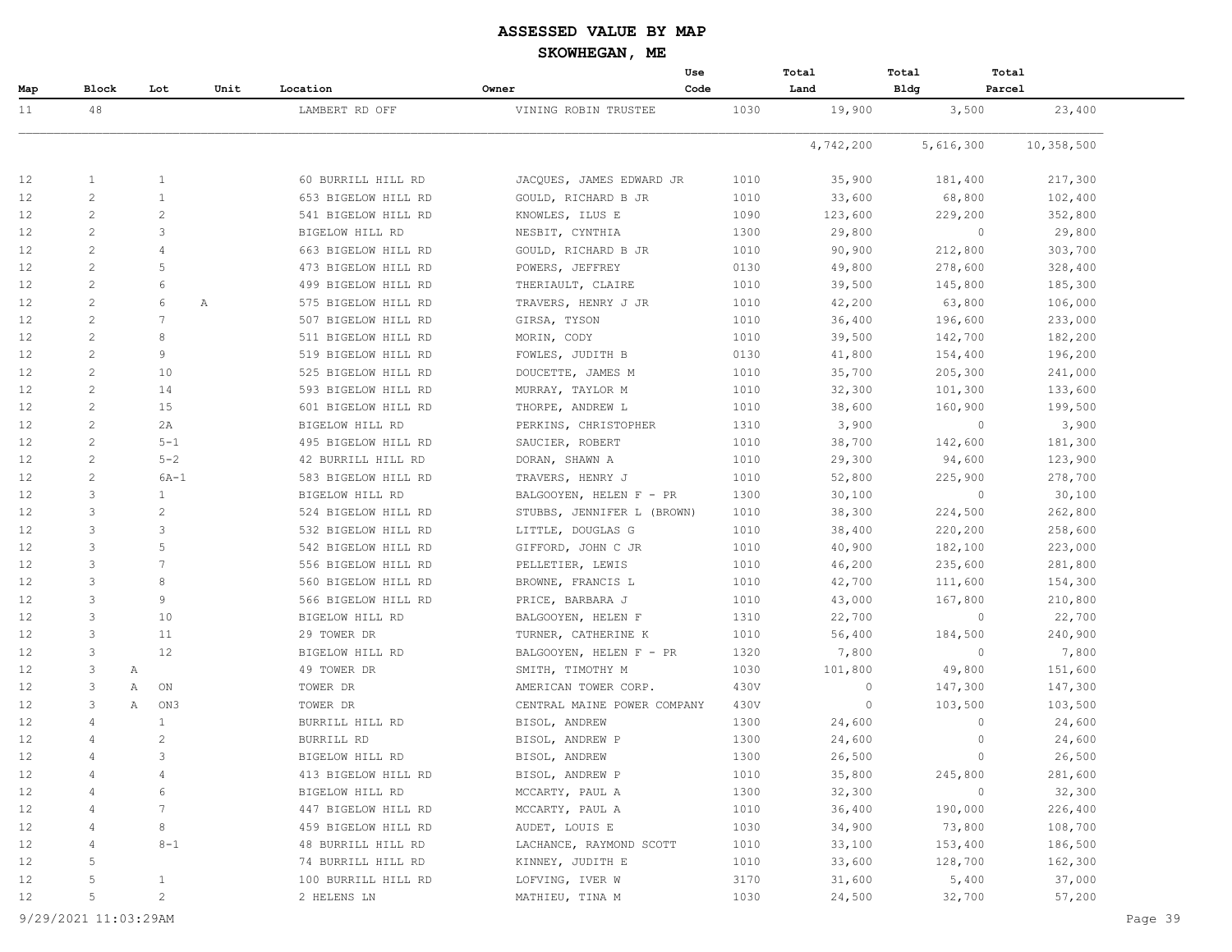|                   |                |                |      |                     |                             | Use  | Total     | Total       | Total                    |  |
|-------------------|----------------|----------------|------|---------------------|-----------------------------|------|-----------|-------------|--------------------------|--|
| Map               | Block          | Lot            | Unit | Location            | Owner                       | Code | Land      | <b>Bldg</b> | Parcel                   |  |
| 11                | 48             |                |      | LAMBERT RD OFF      | VINING ROBIN TRUSTEE        | 1030 | 19,900    | 3,500       | 23,400                   |  |
|                   |                |                |      |                     |                             |      | 4,742,200 | 5,616,300   | 10,358,500               |  |
| 12                | 1              | 1              |      | 60 BURRILL HILL RD  | JACQUES, JAMES EDWARD JR    | 1010 | 35,900    | 181,400     | 217,300                  |  |
| 12                | $\overline{c}$ | 1              |      | 653 BIGELOW HILL RD | GOULD, RICHARD B JR         | 1010 | 33,600    | 68,800      | 102,400                  |  |
| 12                | $\overline{c}$ | 2              |      | 541 BIGELOW HILL RD | KNOWLES, ILUS E             | 1090 | 123,600   | 229,200     | 352,800                  |  |
| 12                | $\overline{c}$ | 3              |      | BIGELOW HILL RD     | NESBIT, CYNTHIA             | 1300 | 29,800    |             | $\overline{0}$<br>29,800 |  |
| 12                | $\overline{c}$ | 4              |      | 663 BIGELOW HILL RD | GOULD, RICHARD B JR         | 1010 | 90,900    | 212,800     | 303,700                  |  |
| 12                | $\overline{c}$ | 5              |      | 473 BIGELOW HILL RD | POWERS, JEFFREY             | 0130 | 49,800    | 278,600     | 328,400                  |  |
| 12                | $\overline{c}$ | 6              |      | 499 BIGELOW HILL RD | THERIAULT, CLAIRE           | 1010 | 39,500    | 145,800     | 185,300                  |  |
| 12                | $\overline{c}$ | 6              | Α    | 575 BIGELOW HILL RD | TRAVERS, HENRY J JR         | 1010 | 42,200    | 63,800      | 106,000                  |  |
| 12                | $\overline{c}$ | 7              |      | 507 BIGELOW HILL RD | GIRSA, TYSON                | 1010 | 36,400    | 196,600     | 233,000                  |  |
| 12                | $\overline{c}$ | 8              |      | 511 BIGELOW HILL RD | MORIN, CODY                 | 1010 | 39,500    | 142,700     | 182,200                  |  |
| 12                | $\overline{c}$ | 9              |      | 519 BIGELOW HILL RD | FOWLES, JUDITH B            | 0130 | 41,800    | 154,400     | 196,200                  |  |
| 12                | $\overline{c}$ | 10             |      | 525 BIGELOW HILL RD | DOUCETTE, JAMES M           | 1010 | 35,700    | 205,300     | 241,000                  |  |
| 12                | 2              | 14             |      | 593 BIGELOW HILL RD | MURRAY, TAYLOR M            | 1010 | 32,300    | 101,300     | 133,600                  |  |
| 12                | 2              | 15             |      | 601 BIGELOW HILL RD | THORPE, ANDREW L            | 1010 | 38,600    | 160,900     | 199,500                  |  |
| 12                | 2              | 2A             |      | BIGELOW HILL RD     | PERKINS, CHRISTOPHER        | 1310 | 3,900     |             | 3,900<br>$\circ$         |  |
| 12                | $\overline{c}$ | $5 - 1$        |      | 495 BIGELOW HILL RD | SAUCIER, ROBERT             | 1010 | 38,700    | 142,600     | 181,300                  |  |
| 12                | $\overline{2}$ | $5 - 2$        |      | 42 BURRILL HILL RD  | DORAN, SHAWN A              | 1010 | 29,300    | 94,600      | 123,900                  |  |
| 12                | 2              | $6A-1$         |      | 583 BIGELOW HILL RD | TRAVERS, HENRY J            | 1010 | 52,800    | 225,900     | 278,700                  |  |
| 12                | 3              | 1              |      | BIGELOW HILL RD     | BALGOOYEN, HELEN F - PR     | 1300 | 30,100    |             | 30,100<br>$\overline{0}$ |  |
| 12                | 3              | $\mathbf{2}$   |      | 524 BIGELOW HILL RD | STUBBS, JENNIFER L (BROWN)  | 1010 | 38,300    | 224,500     | 262,800                  |  |
| 12                | 3              | 3              |      | 532 BIGELOW HILL RD | LITTLE, DOUGLAS G           | 1010 | 38,400    | 220,200     | 258,600                  |  |
| 12                | 3              | 5              |      | 542 BIGELOW HILL RD | GIFFORD, JOHN C JR          | 1010 | 40,900    | 182,100     | 223,000                  |  |
| 12                | 3              | 7              |      | 556 BIGELOW HILL RD | PELLETIER, LEWIS            | 1010 | 46,200    | 235,600     | 281,800                  |  |
| 12                | 3              | 8              |      | 560 BIGELOW HILL RD | BROWNE, FRANCIS L           | 1010 | 42,700    | 111,600     | 154,300                  |  |
| 12                | 3              | 9              |      | 566 BIGELOW HILL RD | PRICE, BARBARA J            | 1010 | 43,000    | 167,800     | 210,800                  |  |
| 12                | 3              | 10             |      | BIGELOW HILL RD     | BALGOOYEN, HELEN F          | 1310 | 22,700    |             | 22,700<br>0              |  |
| 12                | 3              | 11             |      | 29 TOWER DR         | TURNER, CATHERINE K         | 1010 | 56,400    | 184,500     | 240,900                  |  |
| 12                | 3              | 12             |      | BIGELOW HILL RD     | BALGOOYEN, HELEN F - PR     | 1320 | 7,800     |             | 7,800<br>$\circ$         |  |
| 12                | 3              | Α              |      | 49 TOWER DR         | SMITH, TIMOTHY M            | 1030 | 101,800   | 49,800      | 151,600                  |  |
| 12                | 3              | Α<br>ON        |      | TOWER DR            | AMERICAN TOWER CORP.        | 430V | $\circ$   | 147,300     | 147,300                  |  |
| 12                | 3              | Α<br>ON3       |      | TOWER DR            | CENTRAL MAINE POWER COMPANY | 430V | $\circ$   | 103,500     | 103,500                  |  |
| 12                | 4              | 1              |      | BURRILL HILL RD     | BISOL, ANDREW               | 1300 | 24,600    |             | 24,600<br>$\circ$        |  |
| 12                | 4              | $\overline{2}$ |      | BURRILL RD          | BISOL, ANDREW P             | 1300 | 24,600    |             | 24,600<br>0              |  |
| $12 \overline{ }$ | 4              | 3              |      | BIGELOW HILL RD     | BISOL, ANDREW               | 1300 | 26,500    |             | 26,500<br>$\mathbf{0}$   |  |
| 12                |                | 4              |      | 413 BIGELOW HILL RD | BISOL, ANDREW P             | 1010 | 35,800    | 245,800     | 281,600                  |  |
| 12                |                | 6              |      | BIGELOW HILL RD     | MCCARTY, PAUL A             | 1300 | 32,300    |             | 32,300<br>$\circ$        |  |
| 12                | 4              | 7              |      | 447 BIGELOW HILL RD | MCCARTY, PAUL A             | 1010 | 36,400    | 190,000     | 226,400                  |  |
| 12                | 4              | 8              |      | 459 BIGELOW HILL RD | AUDET, LOUIS E              | 1030 | 34,900    | 73,800      | 108,700                  |  |
| 12                | 4              | $8 - 1$        |      | 48 BURRILL HILL RD  | LACHANCE, RAYMOND SCOTT     | 1010 | 33,100    | 153,400     | 186,500                  |  |
| 12                | 5              |                |      | 74 BURRILL HILL RD  | KINNEY, JUDITH E            | 1010 | 33,600    | 128,700     | 162,300                  |  |
| 12                | 5              | $\mathbf{1}$   |      | 100 BURRILL HILL RD | LOFVING, IVER W             | 3170 | 31,600    | 5,400       | 37,000                   |  |
| 12                | 5              | $\overline{c}$ |      | 2 HELENS LN         | MATHIEU, TINA M             | 1030 | 24,500    | 32,700      | 57,200                   |  |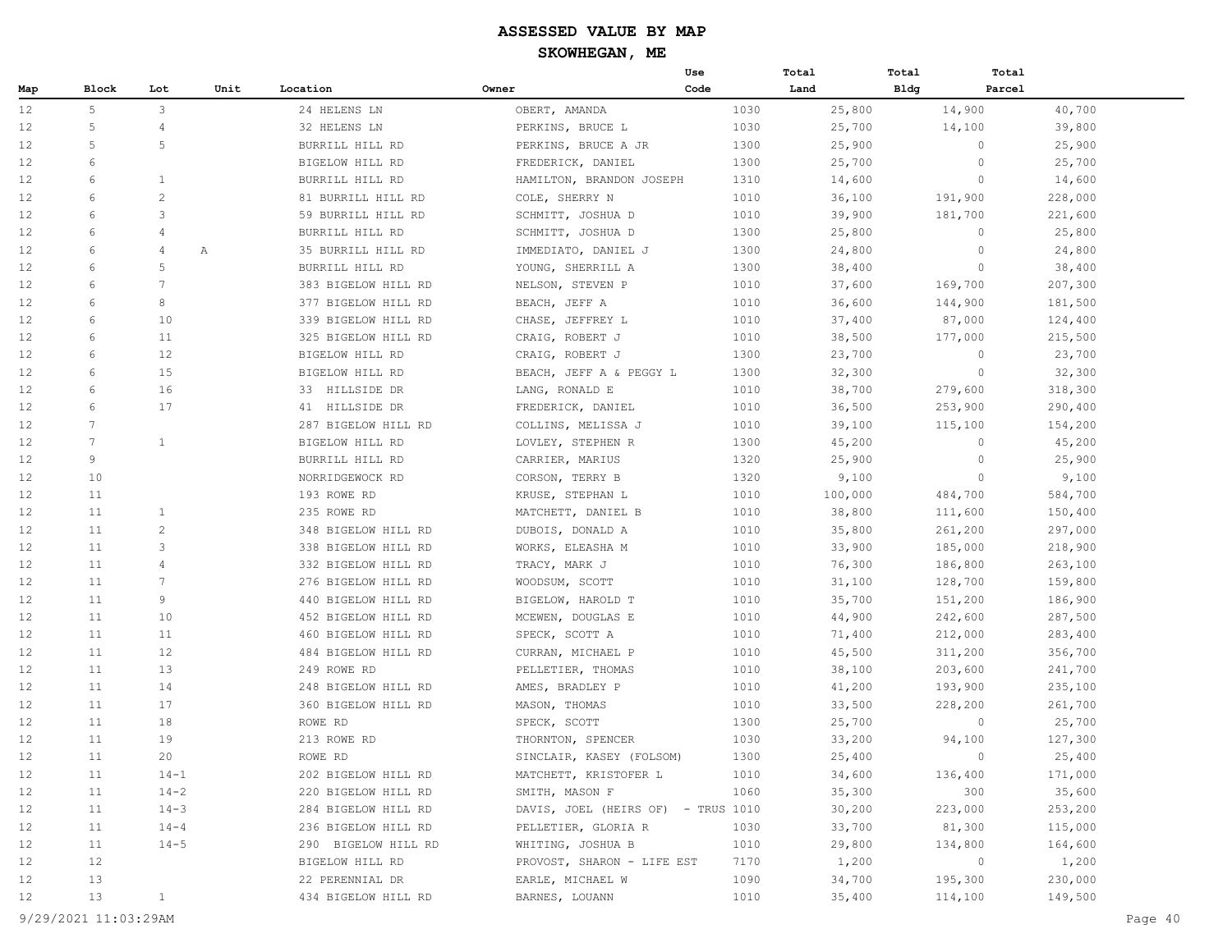|     |                 |                 |      |                     |                                    | Use  | Total   | Total       | Total   |         |
|-----|-----------------|-----------------|------|---------------------|------------------------------------|------|---------|-------------|---------|---------|
| Map | <b>Block</b>    | Lot             | Unit | Location            | Owner                              | Code | Land    | <b>Bldg</b> | Parcel  |         |
| 12  | 5               | $\mathbf{3}$    |      | 24 HELENS LN        | OBERT, AMANDA                      | 1030 | 25,800  |             | 14,900  | 40,700  |
| 12  | 5               | $\overline{4}$  |      | 32 HELENS LN        | PERKINS, BRUCE L                   | 1030 | 25,700  |             | 14,100  | 39,800  |
| 12  | 5               | 5               |      | BURRILL HILL RD     | PERKINS, BRUCE A JR                | 1300 | 25,900  |             | 0       | 25,900  |
| 12  | 6               |                 |      | BIGELOW HILL RD     | FREDERICK, DANIEL                  | 1300 | 25,700  |             | $\circ$ | 25,700  |
| 12  | 6               | $\mathbf{1}$    |      | BURRILL HILL RD     | HAMILTON, BRANDON JOSEPH           | 1310 | 14,600  |             | $\circ$ | 14,600  |
| 12  | 6               | $\overline{c}$  |      | 81 BURRILL HILL RD  | COLE, SHERRY N                     | 1010 | 36,100  |             | 191,900 | 228,000 |
| 12  | 6               | 3               |      | 59 BURRILL HILL RD  | SCHMITT, JOSHUA D                  | 1010 | 39,900  |             | 181,700 | 221,600 |
| 12  | 6               | 4               |      | BURRILL HILL RD     | SCHMITT, JOSHUA D                  | 1300 | 25,800  |             | $\circ$ | 25,800  |
| 12  | 6               | 4               | Α    | 35 BURRILL HILL RD  | IMMEDIATO, DANIEL J                | 1300 | 24,800  |             | $\circ$ | 24,800  |
| 12  | 6               | 5               |      | BURRILL HILL RD     | YOUNG, SHERRILL A                  | 1300 | 38,400  |             | $\circ$ | 38,400  |
| 12  | 6               | $7\phantom{.0}$ |      | 383 BIGELOW HILL RD | NELSON, STEVEN P                   | 1010 | 37,600  |             | 169,700 | 207,300 |
| 12  | 6               | 8               |      | 377 BIGELOW HILL RD | BEACH, JEFF A                      | 1010 | 36,600  |             | 144,900 | 181,500 |
| 12  | 6               | 10              |      | 339 BIGELOW HILL RD | CHASE, JEFFREY L                   | 1010 | 37,400  |             | 87,000  | 124,400 |
| 12  | 6               | 11              |      | 325 BIGELOW HILL RD | CRAIG, ROBERT J                    | 1010 | 38,500  |             | 177,000 | 215,500 |
| 12  | 6               | 12              |      | BIGELOW HILL RD     | CRAIG, ROBERT J                    | 1300 | 23,700  |             | $\circ$ | 23,700  |
| 12  | 6               | 15              |      | BIGELOW HILL RD     | BEACH, JEFF A & PEGGY L            | 1300 | 32,300  |             | $\circ$ | 32,300  |
| 12  | 6               | 16              |      | 33 HILLSIDE DR      | LANG, RONALD E                     | 1010 | 38,700  |             | 279,600 | 318,300 |
| 12  | 6               | 17              |      | 41 HILLSIDE DR      | FREDERICK, DANIEL                  | 1010 | 36,500  |             | 253,900 | 290,400 |
| 12  | $\overline{7}$  |                 |      | 287 BIGELOW HILL RD | COLLINS, MELISSA J                 | 1010 | 39,100  |             | 115,100 | 154,200 |
| 12  | $7\overline{ }$ | 1               |      | BIGELOW HILL RD     | LOVLEY, STEPHEN R                  | 1300 | 45,200  |             | $\circ$ | 45,200  |
| 12  | 9               |                 |      | BURRILL HILL RD     | CARRIER, MARIUS                    | 1320 | 25,900  |             | $\circ$ | 25,900  |
| 12  | 10              |                 |      | NORRIDGEWOCK RD     | CORSON, TERRY B                    | 1320 | 9,100   |             | $\circ$ | 9,100   |
| 12  | 11              |                 |      | 193 ROWE RD         | KRUSE, STEPHAN L                   | 1010 | 100,000 |             | 484,700 | 584,700 |
| 12  | 11              | $\mathbf{1}$    |      | 235 ROWE RD         | MATCHETT, DANIEL B                 | 1010 | 38,800  |             | 111,600 | 150,400 |
| 12  | 11              | $\overline{c}$  |      | 348 BIGELOW HILL RD | DUBOIS, DONALD A                   | 1010 | 35,800  |             | 261,200 | 297,000 |
| 12  | 11              | 3               |      | 338 BIGELOW HILL RD | WORKS, ELEASHA M                   | 1010 | 33,900  |             | 185,000 | 218,900 |
| 12  | 11              | 4               |      | 332 BIGELOW HILL RD | TRACY, MARK J                      | 1010 | 76,300  |             | 186,800 | 263,100 |
| 12  | 11              | $7\overline{ }$ |      | 276 BIGELOW HILL RD | WOODSUM, SCOTT                     | 1010 | 31,100  |             | 128,700 | 159,800 |
| 12  | 11              | 9               |      | 440 BIGELOW HILL RD | BIGELOW, HAROLD T                  | 1010 | 35,700  |             | 151,200 | 186,900 |
| 12  | 11              | 10              |      | 452 BIGELOW HILL RD | MCEWEN, DOUGLAS E                  | 1010 | 44,900  |             | 242,600 | 287,500 |
| 12  | 11              | 11              |      | 460 BIGELOW HILL RD | SPECK, SCOTT A                     | 1010 | 71,400  |             | 212,000 | 283,400 |
| 12  | 11              | 12              |      | 484 BIGELOW HILL RD | CURRAN, MICHAEL P                  | 1010 | 45,500  |             | 311,200 | 356,700 |
| 12  | 11              | 13              |      | 249 ROWE RD         | PELLETIER, THOMAS                  | 1010 | 38,100  |             | 203,600 | 241,700 |
| 12  | 11              | 14              |      | 248 BIGELOW HILL RD | AMES, BRADLEY P                    | 1010 | 41,200  |             | 193,900 | 235,100 |
| 12  | 11              | 17              |      | 360 BIGELOW HILL RD | MASON, THOMAS                      | 1010 | 33,500  |             | 228,200 | 261,700 |
| 12  | 11              | 18              |      | ROWE RD             | SPECK, SCOTT                       | 1300 | 25,700  |             | $\circ$ | 25,700  |
| 12  | 11              | 19              |      | 213 ROWE RD         | THORNTON, SPENCER                  | 1030 | 33,200  |             | 94,100  | 127,300 |
| 12  | 11              | 20              |      | ROWE RD             | SINCLAIR, KASEY (FOLSOM)           | 1300 | 25,400  |             | $\circ$ | 25,400  |
| 12  | 11              | $14 - 1$        |      | 202 BIGELOW HILL RD | MATCHETT, KRISTOFER L              | 1010 | 34,600  |             | 136,400 | 171,000 |
| 12  | 11              | $14 - 2$        |      | 220 BIGELOW HILL RD | SMITH, MASON F                     | 1060 | 35,300  |             | 300     | 35,600  |
| 12  | 11              | $14 - 3$        |      | 284 BIGELOW HILL RD | DAVIS, JOEL (HEIRS OF) - TRUS 1010 |      | 30,200  |             | 223,000 | 253,200 |
| 12  | 11              | $14 - 4$        |      | 236 BIGELOW HILL RD | PELLETIER, GLORIA R                | 1030 | 33,700  |             | 81,300  | 115,000 |
| 12  | 11              | $14 - 5$        |      | 290 BIGELOW HILL RD | WHITING, JOSHUA B                  | 1010 | 29,800  |             | 134,800 | 164,600 |
| 12  | 12              |                 |      | BIGELOW HILL RD     | PROVOST, SHARON - LIFE EST         | 7170 | 1,200   |             | $\circ$ | 1,200   |
| 12  | 13              |                 |      | 22 PERENNIAL DR     | EARLE, MICHAEL W                   | 1090 | 34,700  |             | 195,300 | 230,000 |
| 12  | 13              | $\mathbf{1}$    |      | 434 BIGELOW HILL RD | BARNES, LOUANN                     | 1010 | 35,400  |             | 114,100 | 149,500 |
|     |                 |                 |      |                     |                                    |      |         |             |         |         |

9/29/2021 11:03:29AM Page 40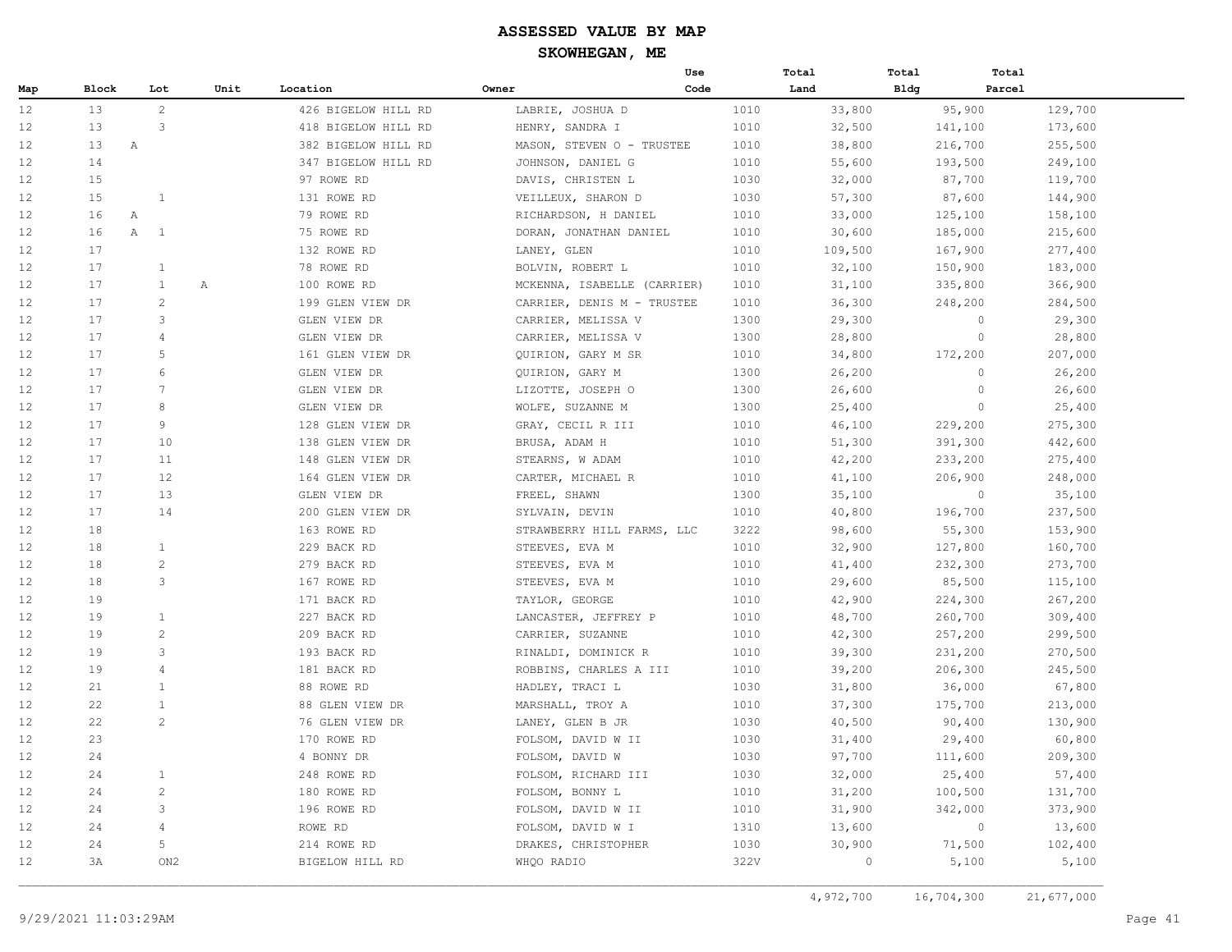|     |       |                              |      |                     |                             | Use  | Total   | Total       | Total             |
|-----|-------|------------------------------|------|---------------------|-----------------------------|------|---------|-------------|-------------------|
| Map | Block | Lot                          | Unit | Location            | Owner                       | Code | Land    | <b>Bldg</b> | Parcel            |
| 12  | 13    | 2                            |      | 426 BIGELOW HILL RD | LABRIE, JOSHUA D            | 1010 | 33,800  | 95,900      | 129,700           |
| 12  | 13    | 3                            |      | 418 BIGELOW HILL RD | HENRY, SANDRA I             | 1010 | 32,500  | 141,100     | 173,600           |
| 12  | 13    | A                            |      | 382 BIGELOW HILL RD | MASON, STEVEN O - TRUSTEE   | 1010 | 38,800  | 216,700     | 255,500           |
| 12  | 14    |                              |      | 347 BIGELOW HILL RD | JOHNSON, DANIEL G           | 1010 | 55,600  | 193,500     | 249,100           |
| 12  | 15    |                              |      | 97 ROWE RD          | DAVIS, CHRISTEN L           | 1030 | 32,000  | 87,700      | 119,700           |
| 12  | 15    | 1                            |      | 131 ROWE RD         | VEILLEUX, SHARON D          | 1030 | 57,300  | 87,600      | 144,900           |
| 12  | 16    | Α                            |      | 79 ROWE RD          | RICHARDSON, H DANIEL        | 1010 | 33,000  | 125,100     | 158,100           |
| 12  | 16    | $\mathbb{A}$<br><sup>1</sup> |      | 75 ROWE RD          | DORAN, JONATHAN DANIEL      | 1010 | 30,600  | 185,000     | 215,600           |
| 12  | 17    |                              |      | 132 ROWE RD         | LANEY, GLEN                 | 1010 | 109,500 | 167,900     | 277,400           |
| 12  | 17    | $\mathbf{1}$                 |      | 78 ROWE RD          | BOLVIN, ROBERT L            | 1010 | 32,100  | 150,900     | 183,000           |
| 12  | 17    | $\mathbf{1}$                 | Α    | 100 ROWE RD         | MCKENNA, ISABELLE (CARRIER) | 1010 | 31,100  | 335,800     | 366,900           |
| 12  | 17    | $\overline{c}$               |      | 199 GLEN VIEW DR    | CARRIER, DENIS M - TRUSTEE  | 1010 | 36,300  | 248,200     | 284,500           |
| 12  | 17    | 3                            |      | GLEN VIEW DR        | CARRIER, MELISSA V          | 1300 | 29,300  |             | $\circ$<br>29,300 |
| 12  | 17    | $\overline{4}$               |      | GLEN VIEW DR        | CARRIER, MELISSA V          | 1300 | 28,800  |             | $\circ$<br>28,800 |
| 12  | 17    | $\overline{5}$               |      | 161 GLEN VIEW DR    | QUIRION, GARY M SR          | 1010 | 34,800  | 172,200     | 207,000           |
| 12  | 17    | 6                            |      | GLEN VIEW DR        | QUIRION, GARY M             | 1300 | 26,200  |             | 26,200<br>$\circ$ |
| 12  | 17    | 7                            |      | GLEN VIEW DR        | LIZOTTE, JOSEPH O           | 1300 | 26,600  |             | $\circ$<br>26,600 |
| 12  | 17    | 8                            |      | GLEN VIEW DR        | WOLFE, SUZANNE M            | 1300 | 25,400  |             | $\circ$<br>25,400 |
| 12  | 17    | $\circ$                      |      | 128 GLEN VIEW DR    | GRAY, CECIL R III           | 1010 | 46,100  | 229,200     | 275,300           |
| 12  | 17    | 10                           |      | 138 GLEN VIEW DR    | BRUSA, ADAM H               | 1010 | 51,300  | 391,300     | 442,600           |
| 12  | 17    | 11                           |      | 148 GLEN VIEW DR    | STEARNS, W ADAM             | 1010 | 42,200  | 233,200     | 275,400           |
| 12  | 17    | 12                           |      | 164 GLEN VIEW DR    | CARTER, MICHAEL R           | 1010 | 41,100  | 206,900     | 248,000           |
| 12  | 17    | 13                           |      | GLEN VIEW DR        | FREEL, SHAWN                | 1300 | 35,100  |             | $\circ$<br>35,100 |
| 12  | 17    | 14                           |      | 200 GLEN VIEW DR    | SYLVAIN, DEVIN              | 1010 | 40,800  | 196,700     | 237,500           |
| 12  | 18    |                              |      | 163 ROWE RD         | STRAWBERRY HILL FARMS, LLC  | 3222 | 98,600  | 55,300      | 153,900           |
| 12  | 18    | $\mathbf{1}$                 |      | 229 BACK RD         | STEEVES, EVA M              | 1010 | 32,900  | 127,800     | 160,700           |
| 12  | 18    | $\overline{c}$               |      | 279 BACK RD         | STEEVES, EVA M              | 1010 | 41,400  | 232,300     | 273,700           |
| 12  | 18    | 3                            |      | 167 ROWE RD         | STEEVES, EVA M              | 1010 | 29,600  | 85,500      | 115,100           |
| 12  | 19    |                              |      | 171 BACK RD         | TAYLOR, GEORGE              | 1010 | 42,900  | 224,300     | 267,200           |
| 12  | 19    | $\mathbf{1}$                 |      | 227 BACK RD         | LANCASTER, JEFFREY P        | 1010 | 48,700  | 260,700     | 309,400           |
| 12  | 19    | 2                            |      | 209 BACK RD         | CARRIER, SUZANNE            | 1010 | 42,300  | 257,200     | 299,500           |
| 12  | 19    | 3                            |      | 193 BACK RD         | RINALDI, DOMINICK R         | 1010 | 39,300  | 231,200     | 270,500           |
| 12  | 19    | $\overline{4}$               |      | 181 BACK RD         | ROBBINS, CHARLES A III      | 1010 | 39,200  | 206,300     | 245,500           |
| 12  | 21    | $\mathbf{1}$                 |      | 88 ROWE RD          | HADLEY, TRACI L             | 1030 | 31,800  | 36,000      | 67,800            |
| 12  | 22    | $\mathbf{1}$                 |      | 88 GLEN VIEW DR     | MARSHALL, TROY A            | 1010 | 37,300  | 175,700     | 213,000           |
| 12  | 22    | $\overline{c}$               |      | 76 GLEN VIEW DR     | LANEY, GLEN B JR            | 1030 | 40,500  | 90,400      | 130,900           |
| 12  | 23    |                              |      | 170 ROWE RD         | FOLSOM, DAVID W II          | 1030 | 31,400  | 29,400      | 60,800            |
| 12  | 24    |                              |      | 4 BONNY DR          | FOLSOM, DAVID W             | 1030 | 97,700  | 111,600     | 209,300           |
| 12  | 24    | $\mathbf{1}$                 |      | 248 ROWE RD         | FOLSOM, RICHARD III         | 1030 | 32,000  | 25,400      | 57,400            |
| 12  | 24    | 2                            |      | 180 ROWE RD         | FOLSOM, BONNY L             | 1010 | 31,200  | 100,500     | 131,700           |
| 12  | 24    | 3                            |      | 196 ROWE RD         | FOLSOM, DAVID W II          | 1010 | 31,900  | 342,000     | 373,900           |
| 12  | 24    | $\overline{4}$               |      | ROWE RD             | FOLSOM, DAVID W I           | 1310 | 13,600  |             | $\circ$<br>13,600 |
| 12  | 24    | 5                            |      | 214 ROWE RD         | DRAKES, CHRISTOPHER         | 1030 | 30,900  | 71,500      | 102,400           |
| 12  | 3A    | ON <sub>2</sub>              |      | BIGELOW HILL RD     | WHQO RADIO                  | 322V | $\circ$ | 5,100       | 5,100             |
|     |       |                              |      |                     |                             |      |         |             |                   |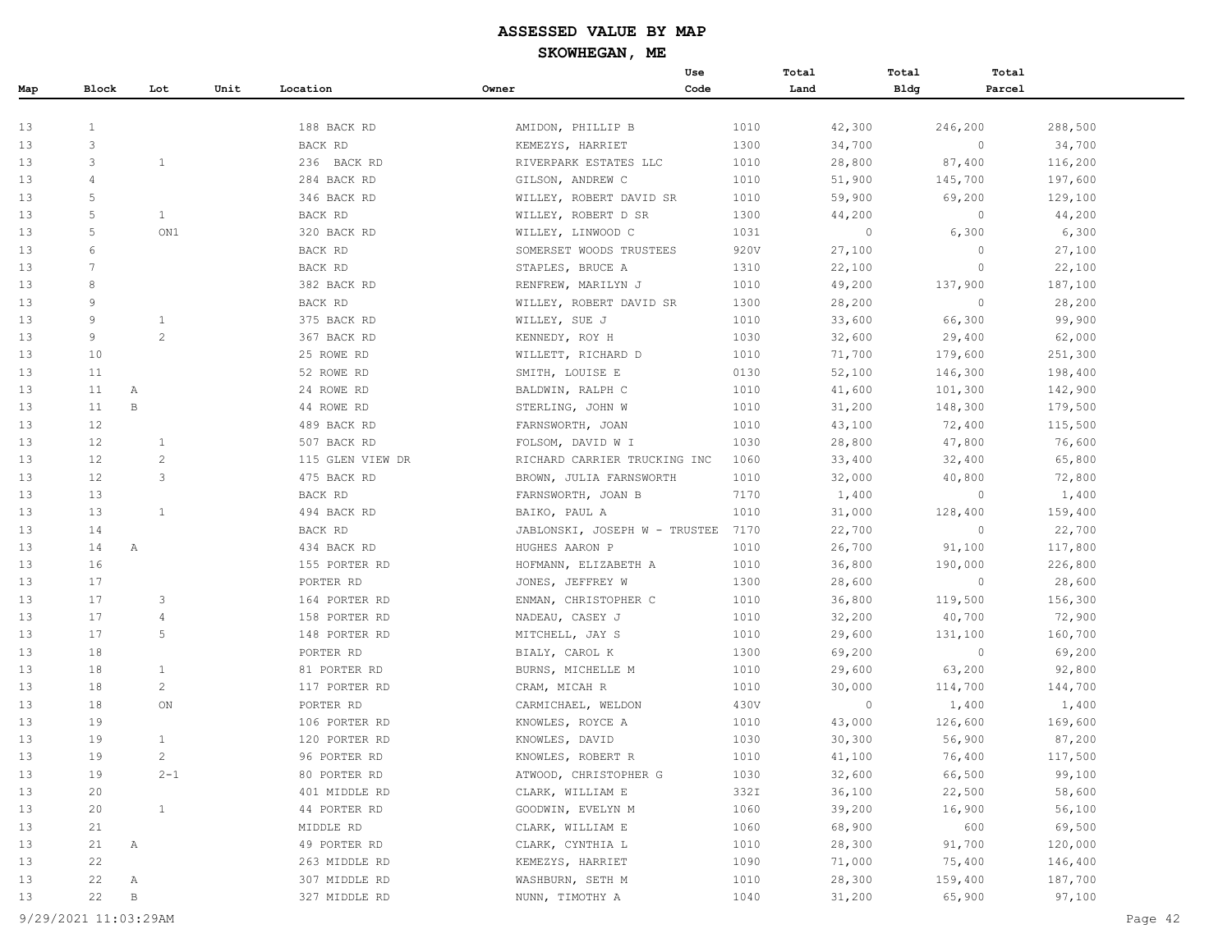|     |                   |                |      |                  |                               | Use  | Total   | Total       | Total   |         |  |
|-----|-------------------|----------------|------|------------------|-------------------------------|------|---------|-------------|---------|---------|--|
| Map | Block             | Lot            | Unit | Location         | Owner                         | Code | Land    | <b>Bldg</b> | Parcel  |         |  |
|     |                   |                |      |                  |                               |      |         |             |         |         |  |
| 13  | $\mathbf{1}$      |                |      | 188 BACK RD      | AMIDON, PHILLIP B             | 1010 | 42,300  |             | 246,200 | 288,500 |  |
| 13  | 3                 |                |      | BACK RD          | KEMEZYS, HARRIET              | 1300 | 34,700  |             | $\circ$ | 34,700  |  |
| 13  | 3                 | 1              |      | 236 BACK RD      | RIVERPARK ESTATES LLC         | 1010 | 28,800  |             | 87,400  | 116,200 |  |
| 13  | 4                 |                |      | 284 BACK RD      | GILSON, ANDREW C              | 1010 | 51,900  |             | 145,700 | 197,600 |  |
| 13  | 5                 |                |      | 346 BACK RD      | WILLEY, ROBERT DAVID SR       | 1010 | 59,900  |             | 69,200  | 129,100 |  |
| 13  | 5                 | $\mathbf{1}$   |      | BACK RD          | WILLEY, ROBERT D SR           | 1300 | 44,200  |             | $\circ$ | 44,200  |  |
| 13  | 5                 | ON1            |      | 320 BACK RD      | WILLEY, LINWOOD C             | 1031 | $\circ$ |             | 6,300   | 6,300   |  |
| 13  | 6                 |                |      | BACK RD          | SOMERSET WOODS TRUSTEES       | 920V | 27,100  |             | $\circ$ | 27,100  |  |
| 13  | 7                 |                |      | BACK RD          | STAPLES, BRUCE A              | 1310 | 22,100  |             | $\circ$ | 22,100  |  |
| 13  | 8                 |                |      | 382 BACK RD      | RENFREW, MARILYN J            | 1010 | 49,200  |             | 137,900 | 187,100 |  |
| 13  | 9                 |                |      | BACK RD          | WILLEY, ROBERT DAVID SR       | 1300 | 28,200  |             | $\circ$ | 28,200  |  |
| 13  | 9                 | $\mathbf{1}$   |      | 375 BACK RD      | WILLEY, SUE J                 | 1010 | 33,600  |             | 66,300  | 99,900  |  |
| 13  | 9                 | $\overline{2}$ |      | 367 BACK RD      | KENNEDY, ROY H                | 1030 | 32,600  |             | 29,400  | 62,000  |  |
| 13  | 10                |                |      | 25 ROWE RD       | WILLETT, RICHARD D            | 1010 | 71,700  |             | 179,600 | 251,300 |  |
| 13  | 11                |                |      | 52 ROWE RD       | SMITH, LOUISE E               | 0130 | 52,100  |             | 146,300 | 198,400 |  |
| 13  | 11                | А              |      | 24 ROWE RD       | BALDWIN, RALPH C              | 1010 | 41,600  |             | 101,300 | 142,900 |  |
| 13  | 11                | $\, {\bf B}$   |      | 44 ROWE RD       | STERLING, JOHN W              | 1010 | 31,200  |             | 148,300 | 179,500 |  |
| 13  | 12                |                |      | 489 BACK RD      | FARNSWORTH, JOAN              | 1010 | 43,100  |             | 72,400  | 115,500 |  |
| 13  | 12                | 1              |      | 507 BACK RD      | FOLSOM, DAVID W I             | 1030 | 28,800  |             | 47,800  | 76,600  |  |
| 13  | $12 \overline{ }$ | $\overline{c}$ |      | 115 GLEN VIEW DR | RICHARD CARRIER TRUCKING INC  | 1060 | 33,400  |             | 32,400  | 65,800  |  |
| 13  | 12                | 3              |      | 475 BACK RD      | BROWN, JULIA FARNSWORTH       | 1010 | 32,000  |             | 40,800  | 72,800  |  |
| 13  | 13                |                |      | BACK RD          | FARNSWORTH, JOAN B            | 7170 | 1,400   |             | $\circ$ | 1,400   |  |
| 13  | 13                | $\mathbf{1}$   |      | 494 BACK RD      | BAIKO, PAUL A                 | 1010 | 31,000  |             | 128,400 | 159,400 |  |
| 13  | 14                |                |      | BACK RD          | JABLONSKI, JOSEPH W - TRUSTEE | 7170 | 22,700  |             | $\circ$ | 22,700  |  |
| 13  | 14                | Α              |      | 434 BACK RD      | HUGHES AARON P                | 1010 | 26,700  |             | 91,100  | 117,800 |  |
| 13  | 16                |                |      | 155 PORTER RD    | HOFMANN, ELIZABETH A          | 1010 | 36,800  |             | 190,000 | 226,800 |  |
| 13  | 17                |                |      | PORTER RD        | JONES, JEFFREY W              | 1300 | 28,600  |             | $\circ$ | 28,600  |  |
| 13  | 17                | 3              |      | 164 PORTER RD    | ENMAN, CHRISTOPHER C          | 1010 | 36,800  |             | 119,500 | 156,300 |  |
| 13  | 17                | $\overline{4}$ |      | 158 PORTER RD    | NADEAU, CASEY J               | 1010 | 32,200  |             | 40,700  | 72,900  |  |
| 13  | 17                | 5              |      | 148 PORTER RD    | MITCHELL, JAY S               | 1010 | 29,600  |             | 131,100 | 160,700 |  |
| 13  | 18                |                |      | PORTER RD        | BIALY, CAROL K                | 1300 | 69,200  |             | $\circ$ | 69,200  |  |
| 13  | 18                | $\mathbf{1}$   |      | 81 PORTER RD     | BURNS, MICHELLE M             | 1010 | 29,600  |             | 63,200  | 92,800  |  |
| 13  | 18                | $\overline{c}$ |      | 117 PORTER RD    | CRAM, MICAH R                 | 1010 | 30,000  |             | 114,700 | 144,700 |  |
| 13  | 18                | ON             |      | PORTER RD        | CARMICHAEL, WELDON            | 430V | $\circ$ |             | 1,400   | 1,400   |  |
| 13  | 19                |                |      | 106 PORTER RD    | KNOWLES, ROYCE A              | 1010 | 43,000  |             | 126,600 | 169,600 |  |
| 13  | 19                | $\mathbf{1}$   |      | 120 PORTER RD    | KNOWLES, DAVID                | 1030 | 30,300  |             | 56,900  | 87,200  |  |
| 13  | 19                |                |      | 96 PORTER RD     | KNOWLES, ROBERT R             | 1010 | 41,100  |             | 76,400  | 117,500 |  |
| 13  | 19                | $2 - 1$        |      | 80 PORTER RD     | ATWOOD, CHRISTOPHER G         | 1030 | 32,600  |             | 66,500  | 99,100  |  |
| 13  | 20                |                |      | 401 MIDDLE RD    | CLARK, WILLIAM E              | 332I | 36,100  |             | 22,500  | 58,600  |  |
| 13  | 20                | $\mathbf{1}$   |      | 44 PORTER RD     | GOODWIN, EVELYN M             | 1060 | 39,200  |             | 16,900  | 56,100  |  |
| 13  | 21                |                |      | MIDDLE RD        | CLARK, WILLIAM E              | 1060 | 68,900  |             | 600     | 69,500  |  |
| 13  | 21                | А              |      | 49 PORTER RD     | CLARK, CYNTHIA L              | 1010 | 28,300  |             | 91,700  | 120,000 |  |
| 13  | 22                |                |      | 263 MIDDLE RD    | KEMEZYS, HARRIET              | 1090 | 71,000  |             | 75,400  | 146,400 |  |
| 13  | 22                | А              |      | 307 MIDDLE RD    | WASHBURN, SETH M              | 1010 | 28,300  |             | 159,400 | 187,700 |  |
| 13  | 22                | В              |      | 327 MIDDLE RD    | NUNN, TIMOTHY A               | 1040 | 31,200  |             | 65,900  | 97,100  |  |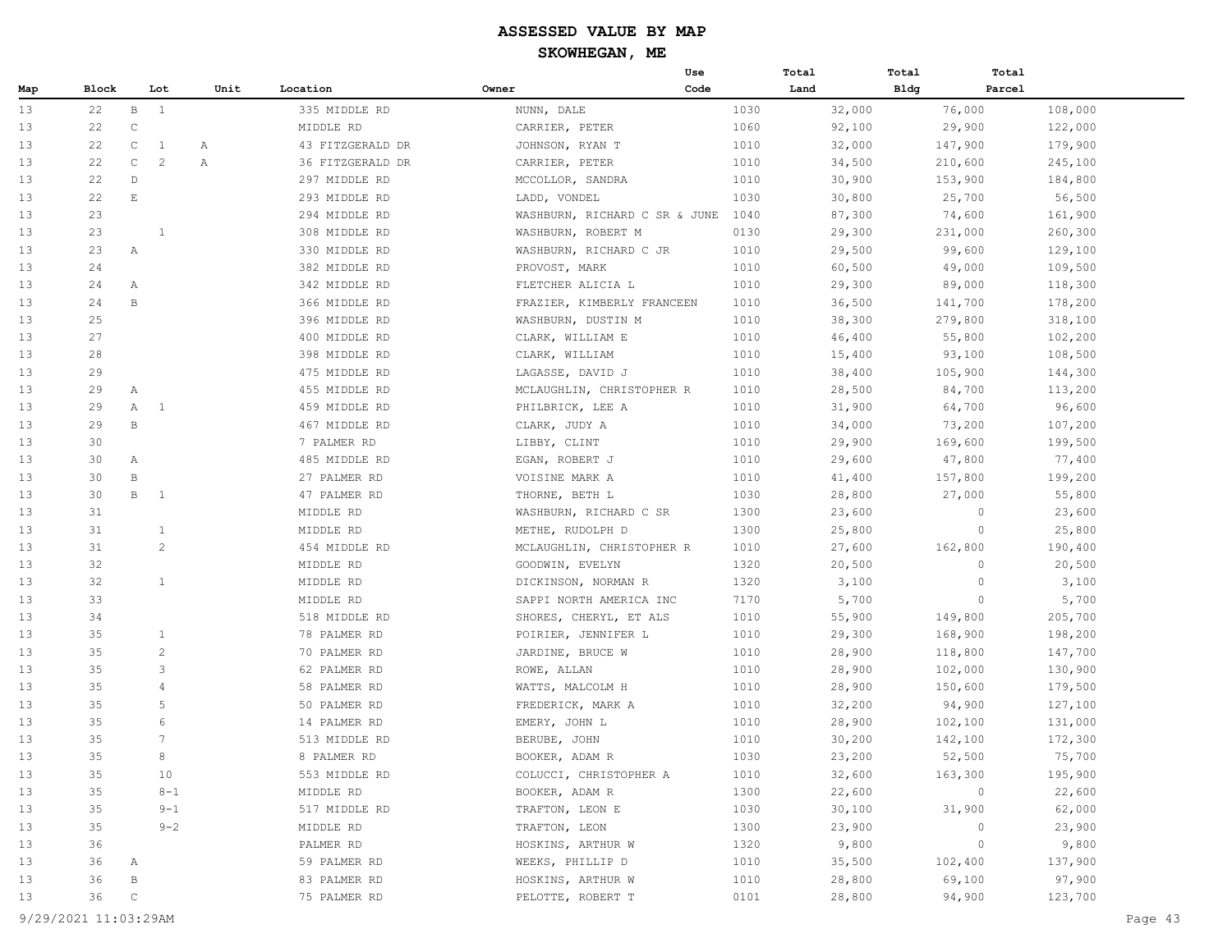|     |       |                                |         |                  |                  |                               | Use  | Total |        | Total       | Total   |         |
|-----|-------|--------------------------------|---------|------------------|------------------|-------------------------------|------|-------|--------|-------------|---------|---------|
| Map | Block | Lot                            |         | Unit<br>Location | Owner            |                               | Code | Land  |        | <b>Bldg</b> | Parcel  |         |
| 13  | 22    | $\mathbf{B}$<br>$\overline{1}$ |         |                  | 335 MIDDLE RD    | NUNN, DALE                    |      | 1030  | 32,000 |             | 76,000  | 108,000 |
| 13  | 22    | $\mathsf C$                    |         |                  | MIDDLE RD        | CARRIER, PETER                |      | 1060  | 92,100 |             | 29,900  | 122,000 |
| 13  | 22    | $\mathsf{C}$<br>1              | Α       |                  | 43 FITZGERALD DR | JOHNSON, RYAN T               |      | 1010  | 32,000 |             | 147,900 | 179,900 |
| 13  | 22    | $\mathsf{C}$<br>2              | Α       |                  | 36 FITZGERALD DR | CARRIER, PETER                |      | 1010  | 34,500 |             | 210,600 | 245,100 |
| 13  | 22    | $\mathbb{D}$                   |         |                  | 297 MIDDLE RD    | MCCOLLOR, SANDRA              |      | 1010  | 30,900 |             | 153,900 | 184,800 |
| 13  | 22    | $\mathop{}\mathbb{E}$          |         |                  | 293 MIDDLE RD    | LADD, VONDEL                  |      | 1030  | 30,800 |             | 25,700  | 56,500  |
| 13  | 23    |                                |         |                  | 294 MIDDLE RD    | WASHBURN, RICHARD C SR & JUNE |      | 1040  | 87,300 |             | 74,600  | 161,900 |
| 13  | 23    | 1                              |         |                  | 308 MIDDLE RD    | WASHBURN, ROBERT M            |      | 0130  | 29,300 |             | 231,000 | 260,300 |
| 13  | 23    | Α                              |         |                  | 330 MIDDLE RD    | WASHBURN, RICHARD C JR        |      | 1010  | 29,500 |             | 99,600  | 129,100 |
| 13  | 24    |                                |         |                  | 382 MIDDLE RD    | PROVOST, MARK                 |      | 1010  | 60,500 |             | 49,000  | 109,500 |
| 13  | 24    | А                              |         |                  | 342 MIDDLE RD    | FLETCHER ALICIA L             |      | 1010  | 29,300 |             | 89,000  | 118,300 |
| 13  | 24    | $\mathbf B$                    |         |                  | 366 MIDDLE RD    | FRAZIER, KIMBERLY FRANCEEN    |      | 1010  | 36,500 |             | 141,700 | 178,200 |
| 13  | 25    |                                |         |                  | 396 MIDDLE RD    | WASHBURN, DUSTIN M            |      | 1010  | 38,300 |             | 279,800 | 318,100 |
| 13  | 27    |                                |         |                  | 400 MIDDLE RD    | CLARK, WILLIAM E              |      | 1010  | 46,400 |             | 55,800  | 102,200 |
| 13  | 28    |                                |         |                  | 398 MIDDLE RD    | CLARK, WILLIAM                |      | 1010  | 15,400 |             | 93,100  | 108,500 |
| 13  | 29    |                                |         |                  | 475 MIDDLE RD    | LAGASSE, DAVID J              |      | 1010  | 38,400 |             | 105,900 | 144,300 |
| 13  | 29    | Α                              |         |                  | 455 MIDDLE RD    | MCLAUGHLIN, CHRISTOPHER R     |      | 1010  | 28,500 |             | 84,700  | 113,200 |
| 13  | 29    | $\mathbf{1}$<br>A              |         |                  | 459 MIDDLE RD    | PHILBRICK, LEE A              |      | 1010  | 31,900 |             | 64,700  | 96,600  |
| 13  | 29    | B                              |         |                  | 467 MIDDLE RD    | CLARK, JUDY A                 |      | 1010  | 34,000 |             | 73,200  | 107,200 |
| 13  | 30    |                                |         |                  | 7 PALMER RD      | LIBBY, CLINT                  |      | 1010  | 29,900 |             | 169,600 | 199,500 |
| 13  | 30    | Α                              |         |                  | 485 MIDDLE RD    | EGAN, ROBERT J                |      | 1010  | 29,600 |             | 47,800  | 77,400  |
| 13  | 30    | $\, {\bf B}$                   |         |                  | 27 PALMER RD     | VOISINE MARK A                |      | 1010  | 41,400 |             | 157,800 | 199,200 |
| 13  | 30    | В<br>$\mathbf{1}$              |         |                  | 47 PALMER RD     | THORNE, BETH L                |      | 1030  | 28,800 |             | 27,000  | 55,800  |
| 13  | 31    |                                |         |                  | MIDDLE RD        | WASHBURN, RICHARD C SR        |      | 1300  | 23,600 |             | $\circ$ | 23,600  |
| 13  | 31    | $\mathbf{1}$                   |         |                  | MIDDLE RD        | METHE, RUDOLPH D              |      | 1300  | 25,800 |             | $\circ$ | 25,800  |
| 13  | 31    | 2                              |         |                  | 454 MIDDLE RD    | MCLAUGHLIN, CHRISTOPHER R     |      | 1010  | 27,600 |             | 162,800 | 190,400 |
| 13  | 32    |                                |         |                  | MIDDLE RD        | GOODWIN, EVELYN               |      | 1320  | 20,500 |             | 0       | 20,500  |
| 13  | 32    | $\mathbf{1}$                   |         |                  | MIDDLE RD        | DICKINSON, NORMAN R           |      | 1320  | 3,100  |             | $\circ$ | 3,100   |
| 13  | 33    |                                |         |                  | MIDDLE RD        | SAPPI NORTH AMERICA INC       |      | 7170  | 5,700  |             | $\circ$ | 5,700   |
| 13  | 34    |                                |         |                  | 518 MIDDLE RD    | SHORES, CHERYL, ET ALS        |      | 1010  | 55,900 |             | 149,800 | 205,700 |
| 13  | 35    | 1                              |         |                  | 78 PALMER RD     | POIRIER, JENNIFER L           |      | 1010  | 29,300 |             | 168,900 | 198,200 |
| 13  | 35    | 2                              |         |                  | 70 PALMER RD     | JARDINE, BRUCE W              |      | 1010  | 28,900 |             | 118,800 | 147,700 |
| 13  | 35    | 3                              |         |                  | 62 PALMER RD     | ROWE, ALLAN                   |      | 1010  | 28,900 |             | 102,000 | 130,900 |
| 13  | 35    | $\overline{4}$                 |         |                  | 58 PALMER RD     | WATTS, MALCOLM H              |      | 1010  | 28,900 |             | 150,600 | 179,500 |
| 13  | 35    | 5                              |         |                  | 50 PALMER RD     | FREDERICK, MARK A             |      | 1010  | 32,200 |             | 94,900  | 127,100 |
| 13  | 35    | 6                              |         |                  | 14 PALMER RD     | EMERY, JOHN L                 |      | 1010  | 28,900 |             | 102,100 | 131,000 |
| 13  | 35    | 7                              |         |                  | 513 MIDDLE RD    | BERUBE, JOHN                  |      | 1010  | 30,200 |             | 142,100 | 172,300 |
| 13  | 35    | 8                              |         |                  | 8 PALMER RD      | BOOKER, ADAM R                |      | 1030  | 23,200 |             | 52,500  | 75,700  |
| 13  | 35    |                                | 10      |                  | 553 MIDDLE RD    | COLUCCI, CHRISTOPHER A        |      | 1010  | 32,600 |             | 163,300 | 195,900 |
| 13  | 35    |                                | $8 - 1$ |                  | MIDDLE RD        | BOOKER, ADAM R                |      | 1300  | 22,600 |             | 0       | 22,600  |
| 13  | 35    |                                | $9 - 1$ |                  | 517 MIDDLE RD    | TRAFTON, LEON E               |      | 1030  | 30,100 |             | 31,900  | 62,000  |
| 13  | 35    |                                | $9 - 2$ |                  | MIDDLE RD        | TRAFTON, LEON                 |      | 1300  | 23,900 |             | $\circ$ | 23,900  |
| 13  | 36    |                                |         |                  | PALMER RD        | HOSKINS, ARTHUR W             |      | 1320  | 9,800  |             | $\circ$ | 9,800   |
| 13  | 36    | A                              |         |                  | 59 PALMER RD     | WEEKS, PHILLIP D              |      | 1010  | 35,500 |             | 102,400 | 137,900 |
| 13  | 36    | $\, {\bf B}$                   |         |                  | 83 PALMER RD     | HOSKINS, ARTHUR W             |      | 1010  | 28,800 |             | 69,100  | 97,900  |
| 13  | 36    | $\mathbb C$                    |         |                  | 75 PALMER RD     | PELOTTE, ROBERT T             |      | 0101  | 28,800 |             | 94,900  | 123,700 |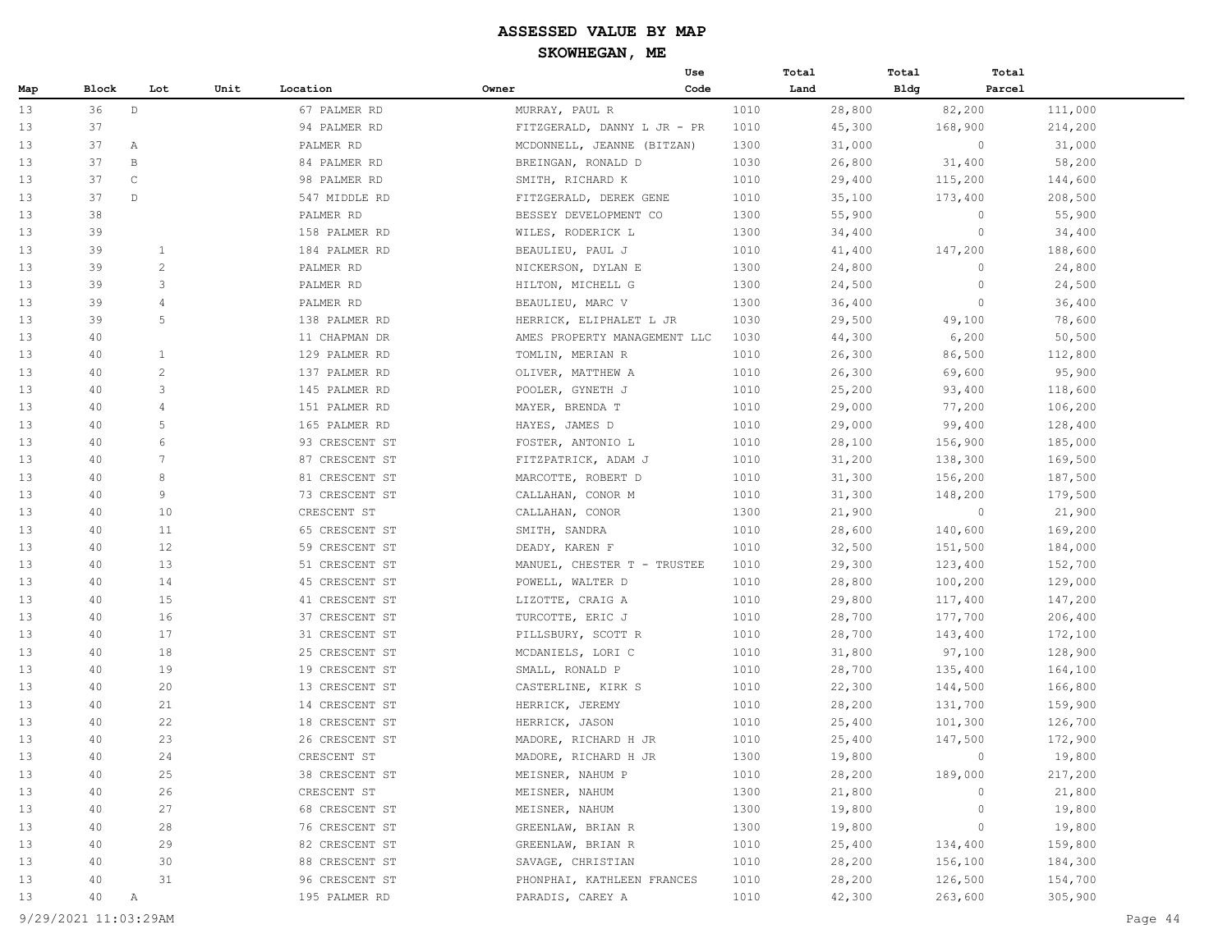|     |       |                 |      |                |                              | Use  | Total |        | Total       | Total   |         |
|-----|-------|-----------------|------|----------------|------------------------------|------|-------|--------|-------------|---------|---------|
| Map | Block | Lot             | Unit | Location       | Owner                        | Code |       | Land   | <b>Bldg</b> | Parcel  |         |
| 13  | 36    | $\mathbb D$     |      | 67 PALMER RD   | MURRAY, PAUL R               |      | 1010  | 28,800 |             | 82,200  | 111,000 |
| 13  | 37    |                 |      | 94 PALMER RD   | FITZGERALD, DANNY L JR - PR  |      | 1010  | 45,300 |             | 168,900 | 214,200 |
| 13  | 37    | Α               |      | PALMER RD      | MCDONNELL, JEANNE (BITZAN)   |      | 1300  | 31,000 |             | 0       | 31,000  |
| 13  | 37    | B               |      | 84 PALMER RD   | BREINGAN, RONALD D           |      | 1030  | 26,800 |             | 31,400  | 58,200  |
| 13  | 37    | $\mathsf C$     |      | 98 PALMER RD   | SMITH, RICHARD K             |      | 1010  | 29,400 |             | 115,200 | 144,600 |
| 13  | 37    | $\mathbb{D}$    |      | 547 MIDDLE RD  | FITZGERALD, DEREK GENE       |      | 1010  | 35,100 |             | 173,400 | 208,500 |
| 13  | 38    |                 |      | PALMER RD      | BESSEY DEVELOPMENT CO        |      | 1300  | 55,900 |             | 0       | 55,900  |
| 13  | 39    |                 |      | 158 PALMER RD  | WILES, RODERICK L            |      | 1300  | 34,400 |             | $\circ$ | 34,400  |
| 13  | 39    | 1               |      | 184 PALMER RD  | BEAULIEU, PAUL J             |      | 1010  | 41,400 |             | 147,200 | 188,600 |
| 13  | 39    | 2               |      | PALMER RD      | NICKERSON, DYLAN E           |      | 1300  | 24,800 |             | $\circ$ | 24,800  |
| 13  | 39    | 3               |      | PALMER RD      | HILTON, MICHELL G            |      | 1300  | 24,500 |             | 0       | 24,500  |
| 13  | 39    | $\overline{4}$  |      | PALMER RD      | BEAULIEU, MARC V             |      | 1300  | 36,400 |             | $\circ$ | 36,400  |
| 13  | 39    | 5               |      | 138 PALMER RD  | HERRICK, ELIPHALET L JR      |      | 1030  | 29,500 |             | 49,100  | 78,600  |
| 13  | 40    |                 |      | 11 CHAPMAN DR  | AMES PROPERTY MANAGEMENT LLC |      | 1030  | 44,300 |             | 6,200   | 50,500  |
| 13  | 40    | 1               |      | 129 PALMER RD  | TOMLIN, MERIAN R             |      | 1010  | 26,300 |             | 86,500  | 112,800 |
| 13  | 40    | 2               |      | 137 PALMER RD  | OLIVER, MATTHEW A            |      | 1010  | 26,300 |             | 69,600  | 95,900  |
| 13  | 40    | 3               |      | 145 PALMER RD  | POOLER, GYNETH J             |      | 1010  | 25,200 |             | 93,400  | 118,600 |
| 13  | 40    | $\overline{4}$  |      | 151 PALMER RD  | MAYER, BRENDA T              |      | 1010  | 29,000 |             | 77,200  | 106,200 |
| 13  | 40    | 5               |      | 165 PALMER RD  | HAYES, JAMES D               |      | 1010  | 29,000 |             | 99,400  | 128,400 |
| 13  | 40    | 6               |      | 93 CRESCENT ST | FOSTER, ANTONIO L            |      | 1010  | 28,100 |             | 156,900 | 185,000 |
| 13  | 40    | $7\phantom{.0}$ |      | 87 CRESCENT ST | FITZPATRICK, ADAM J          |      | 1010  | 31,200 |             | 138,300 | 169,500 |
| 13  | 40    | 8               |      | 81 CRESCENT ST | MARCOTTE, ROBERT D           |      | 1010  | 31,300 |             | 156,200 | 187,500 |
| 13  | 40    | 9               |      | 73 CRESCENT ST | CALLAHAN, CONOR M            |      | 1010  | 31,300 |             | 148,200 | 179,500 |
| 13  | 40    | 10              |      | CRESCENT ST    | CALLAHAN, CONOR              |      | 1300  | 21,900 |             | $\circ$ | 21,900  |
| 13  | 40    | 11              |      | 65 CRESCENT ST | SMITH, SANDRA                |      | 1010  | 28,600 |             | 140,600 | 169,200 |
| 13  | 40    | 12              |      | 59 CRESCENT ST | DEADY, KAREN F               |      | 1010  | 32,500 |             | 151,500 | 184,000 |
| 13  | 40    | 13              |      | 51 CRESCENT ST | MANUEL, CHESTER T - TRUSTEE  |      | 1010  | 29,300 |             | 123,400 | 152,700 |
| 13  | 40    | 14              |      | 45 CRESCENT ST | POWELL, WALTER D             |      | 1010  | 28,800 |             | 100,200 | 129,000 |
| 13  | 40    | 15              |      | 41 CRESCENT ST | LIZOTTE, CRAIG A             |      | 1010  | 29,800 |             | 117,400 | 147,200 |
| 13  | 40    | 16              |      | 37 CRESCENT ST | TURCOTTE, ERIC J             |      | 1010  | 28,700 |             | 177,700 | 206,400 |
| 13  | 40    | 17              |      | 31 CRESCENT ST | PILLSBURY, SCOTT R           |      | 1010  | 28,700 |             | 143,400 | 172,100 |
| 13  | 40    | 18              |      | 25 CRESCENT ST | MCDANIELS, LORI C            |      | 1010  | 31,800 |             | 97,100  | 128,900 |
| 13  | 40    | 19              |      | 19 CRESCENT ST | SMALL, RONALD P              |      | 1010  | 28,700 |             | 135,400 | 164,100 |
| 13  | 40    | 20              |      | 13 CRESCENT ST | CASTERLINE, KIRK S           |      | 1010  | 22,300 |             | 144,500 | 166,800 |
| 13  | 40    | 21              |      | 14 CRESCENT ST | HERRICK, JEREMY              |      | 1010  | 28,200 |             | 131,700 | 159,900 |
| 13  | 40    | 22              |      | 18 CRESCENT ST | HERRICK, JASON               |      | 1010  | 25,400 |             | 101,300 | 126,700 |
| 13  | 40    | 23              |      | 26 CRESCENT ST | MADORE, RICHARD H JR         |      | 1010  | 25,400 |             | 147,500 | 172,900 |
| 13  | 40    | 24              |      | CRESCENT ST    | MADORE, RICHARD H JR         |      | 1300  | 19,800 |             | $\circ$ | 19,800  |
| 13  | 40    | 25              |      | 38 CRESCENT ST | MEISNER, NAHUM P             |      | 1010  | 28,200 |             | 189,000 | 217,200 |
| 13  | 40    | 26              |      | CRESCENT ST    | MEISNER, NAHUM               |      | 1300  | 21,800 |             | 0       | 21,800  |
| 13  | 40    | 27              |      | 68 CRESCENT ST | MEISNER, NAHUM               |      | 1300  | 19,800 |             | 0       | 19,800  |
| 13  | 40    | 28              |      | 76 CRESCENT ST | GREENLAW, BRIAN R            |      | 1300  | 19,800 |             | 0       | 19,800  |
| 13  | 40    | 29              |      | 82 CRESCENT ST | GREENLAW, BRIAN R            |      | 1010  | 25,400 |             | 134,400 | 159,800 |
| 13  | 40    | 30              |      | 88 CRESCENT ST | SAVAGE, CHRISTIAN            |      | 1010  | 28,200 |             | 156,100 | 184,300 |
| 13  | 40    | 31              |      | 96 CRESCENT ST | PHONPHAI, KATHLEEN FRANCES   |      | 1010  | 28,200 |             | 126,500 | 154,700 |
| 13  | 40    | Α               |      | 195 PALMER RD  | PARADIS, CAREY A             |      | 1010  | 42,300 |             | 263,600 | 305,900 |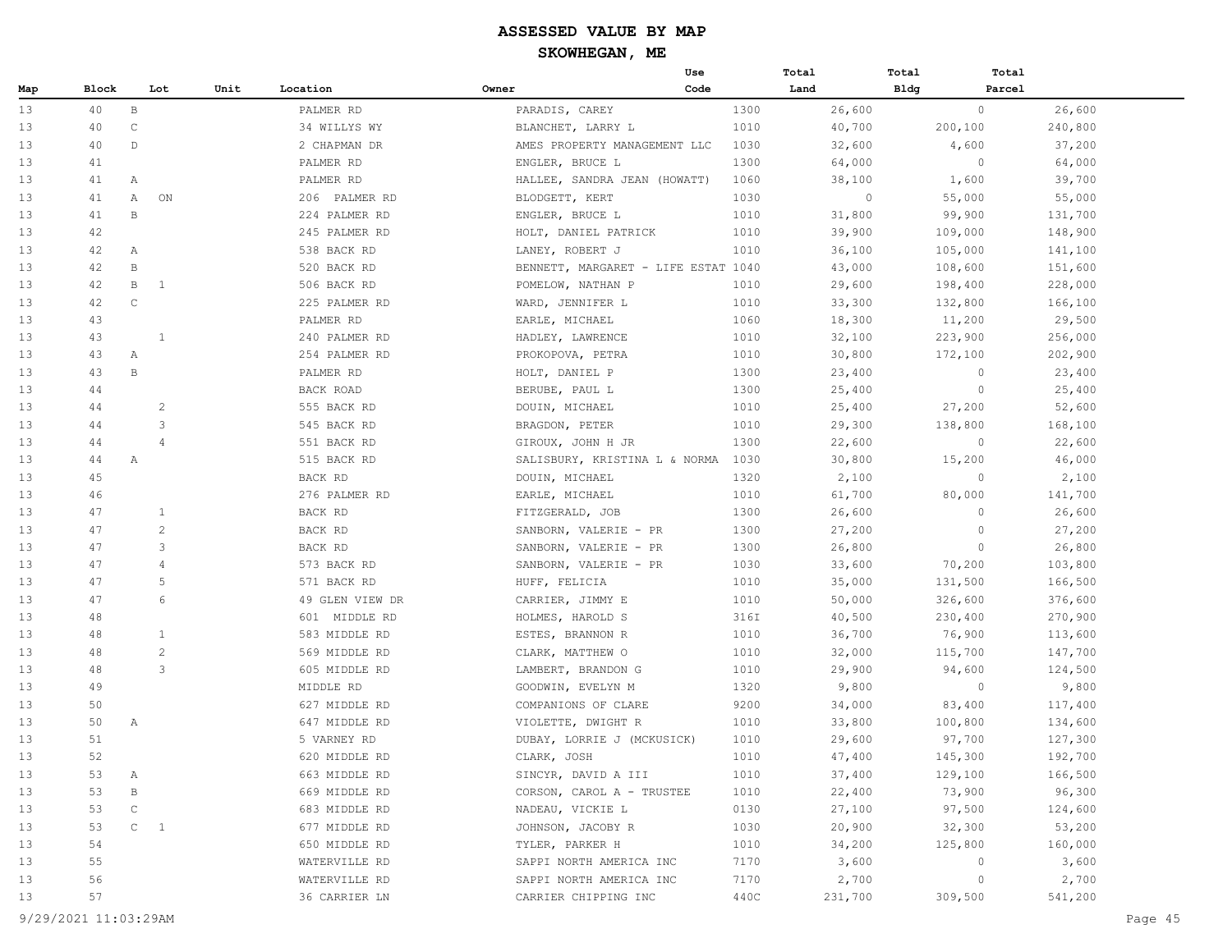|     |       |              |                |      |                 |       | Use                                 |      | Total   | Total       | Total    |         |
|-----|-------|--------------|----------------|------|-----------------|-------|-------------------------------------|------|---------|-------------|----------|---------|
| Map | Block |              | Lot            | Unit | Location        | Owner | Code                                |      | Land    | <b>Bldg</b> | Parcel   |         |
| 13  | 40    | $\, {\bf B}$ |                |      | PALMER RD       |       | PARADIS, CAREY                      | 1300 | 26,600  |             | $\circ$  | 26,600  |
| 13  | 40    | $\mathsf C$  |                |      | 34 WILLYS WY    |       | BLANCHET, LARRY L                   | 1010 | 40,700  |             | 200, 100 | 240,800 |
| 13  | 40    | $\mathbb{D}$ |                |      | 2 CHAPMAN DR    |       | AMES PROPERTY MANAGEMENT LLC        | 1030 | 32,600  |             | 4,600    | 37,200  |
| 13  | 41    |              |                |      | PALMER RD       |       | ENGLER, BRUCE L                     | 1300 | 64,000  |             | $\circ$  | 64,000  |
| 13  | 41    | Α            |                |      | PALMER RD       |       | HALLEE, SANDRA JEAN (HOWATT)        | 1060 | 38,100  |             | 1,600    | 39,700  |
| 13  | 41    | Α            | ON             |      | 206 PALMER RD   |       | BLODGETT, KERT                      | 1030 | $\circ$ |             | 55,000   | 55,000  |
| 13  | 41    | B            |                |      | 224 PALMER RD   |       | ENGLER, BRUCE L                     | 1010 | 31,800  |             | 99,900   | 131,700 |
| 13  | 42    |              |                |      | 245 PALMER RD   |       | HOLT, DANIEL PATRICK                | 1010 | 39,900  |             | 109,000  | 148,900 |
| 13  | 42    | А            |                |      | 538 BACK RD     |       | LANEY, ROBERT J                     | 1010 | 36,100  |             | 105,000  | 141,100 |
| 13  | 42    | $\, {\bf B}$ |                |      | 520 BACK RD     |       | BENNETT, MARGARET - LIFE ESTAT 1040 |      | 43,000  |             | 108,600  | 151,600 |
| 13  | 42    | В            | 1              |      | 506 BACK RD     |       | POMELOW, NATHAN P                   | 1010 | 29,600  |             | 198,400  | 228,000 |
| 13  | 42    | $\mathsf C$  |                |      | 225 PALMER RD   |       | WARD, JENNIFER L                    | 1010 | 33,300  |             | 132,800  | 166,100 |
| 13  | 43    |              |                |      | PALMER RD       |       | EARLE, MICHAEL                      | 1060 | 18,300  |             | 11,200   | 29,500  |
| 13  | 43    |              | $\mathbf{1}$   |      | 240 PALMER RD   |       | HADLEY, LAWRENCE                    | 1010 | 32,100  |             | 223,900  | 256,000 |
| 13  | 43    | Α            |                |      | 254 PALMER RD   |       | PROKOPOVA, PETRA                    | 1010 | 30,800  |             | 172,100  | 202,900 |
| 13  | 43    | $\, {\bf B}$ |                |      | PALMER RD       |       | HOLT, DANIEL P                      | 1300 | 23,400  |             | $\circ$  | 23,400  |
| 13  | 44    |              |                |      | BACK ROAD       |       | BERUBE, PAUL L                      | 1300 | 25,400  |             | $\circ$  | 25,400  |
| 13  | 44    |              | 2              |      | 555 BACK RD     |       | DOUIN, MICHAEL                      | 1010 | 25,400  |             | 27,200   | 52,600  |
| 13  | 44    |              | 3              |      | 545 BACK RD     |       | BRAGDON, PETER                      | 1010 | 29,300  |             | 138,800  | 168,100 |
| 13  | 44    |              | $\overline{4}$ |      | 551 BACK RD     |       | GIROUX, JOHN H JR                   | 1300 | 22,600  |             | $\circ$  | 22,600  |
| 13  | 44    | A            |                |      | 515 BACK RD     |       | SALISBURY, KRISTINA L & NORMA       | 1030 | 30,800  |             | 15,200   | 46,000  |
| 13  | 45    |              |                |      | BACK RD         |       | DOUIN, MICHAEL                      | 1320 | 2,100   |             | $\circ$  | 2,100   |
| 13  | 46    |              |                |      | 276 PALMER RD   |       | EARLE, MICHAEL                      | 1010 | 61,700  |             | 80,000   | 141,700 |
| 13  | 47    |              | 1              |      | BACK RD         |       | FITZGERALD, JOB                     | 1300 | 26,600  |             | $\circ$  | 26,600  |
| 13  | 47    |              | $\overline{c}$ |      | BACK RD         |       | SANBORN, VALERIE - PR               | 1300 | 27,200  |             | $\circ$  | 27,200  |
| 13  | 47    |              | 3              |      | BACK RD         |       | SANBORN, VALERIE - PR               | 1300 | 26,800  |             | $\circ$  | 26,800  |
| 13  | 47    |              | 4              |      | 573 BACK RD     |       | SANBORN, VALERIE - PR               | 1030 | 33,600  |             | 70,200   | 103,800 |
| 13  | 47    |              | 5              |      | 571 BACK RD     |       | HUFF, FELICIA                       | 1010 | 35,000  |             | 131,500  | 166,500 |
| 13  | 47    |              | 6              |      | 49 GLEN VIEW DR |       | CARRIER, JIMMY E                    | 1010 | 50,000  |             | 326,600  | 376,600 |
| 13  | 48    |              |                |      | 601 MIDDLE RD   |       | HOLMES, HAROLD S                    | 316I | 40,500  |             | 230,400  | 270,900 |
| 13  | 48    |              | $\mathbf{1}$   |      | 583 MIDDLE RD   |       | ESTES, BRANNON R                    | 1010 | 36,700  |             | 76,900   | 113,600 |
| 13  | 48    |              | $\overline{c}$ |      | 569 MIDDLE RD   |       | CLARK, MATTHEW O                    | 1010 | 32,000  |             | 115,700  | 147,700 |
| 13  | 48    |              | 3              |      | 605 MIDDLE RD   |       | LAMBERT, BRANDON G                  | 1010 | 29,900  |             | 94,600   | 124,500 |
| 13  | 49    |              |                |      | MIDDLE RD       |       | GOODWIN, EVELYN M                   | 1320 | 9,800   |             | $\circ$  | 9,800   |
| 13  | 50    |              |                |      | 627 MIDDLE RD   |       | COMPANIONS OF CLARE                 | 9200 | 34,000  |             | 83,400   | 117,400 |
| 13  | 50    | A            |                |      | 647 MIDDLE RD   |       | VIOLETTE, DWIGHT R                  | 1010 | 33,800  |             | 100,800  | 134,600 |
| 13  | 51    |              |                |      | 5 VARNEY RD     |       | DUBAY, LORRIE J (MCKUSICK)          | 1010 | 29,600  |             | 97,700   | 127,300 |
| 13  | 52    |              |                |      | 620 MIDDLE RD   |       | CLARK, JOSH                         | 1010 | 47,400  |             | 145,300  | 192,700 |
| 13  | 53    | Α            |                |      | 663 MIDDLE RD   |       | SINCYR, DAVID A III                 | 1010 | 37,400  |             | 129,100  | 166,500 |
| 13  | 53    | В            |                |      | 669 MIDDLE RD   |       | CORSON, CAROL A - TRUSTEE           | 1010 | 22,400  |             | 73,900   | 96,300  |
| 13  | 53    | $\mathsf C$  |                |      | 683 MIDDLE RD   |       | NADEAU, VICKIE L                    | 0130 | 27,100  |             | 97,500   | 124,600 |
| 13  | 53    | $C \t1$      |                |      | 677 MIDDLE RD   |       | JOHNSON, JACOBY R                   | 1030 | 20,900  |             | 32,300   | 53,200  |
| 13  | 54    |              |                |      | 650 MIDDLE RD   |       | TYLER, PARKER H                     | 1010 | 34,200  |             | 125,800  | 160,000 |
| 13  | 55    |              |                |      | WATERVILLE RD   |       | SAPPI NORTH AMERICA INC             | 7170 | 3,600   |             | 0        | 3,600   |
| 13  | 56    |              |                |      | WATERVILLE RD   |       | SAPPI NORTH AMERICA INC             | 7170 | 2,700   |             | $\circ$  | 2,700   |
| 13  | 57    |              |                |      | 36 CARRIER LN   |       | CARRIER CHIPPING INC                | 440C | 231,700 |             | 309,500  | 541,200 |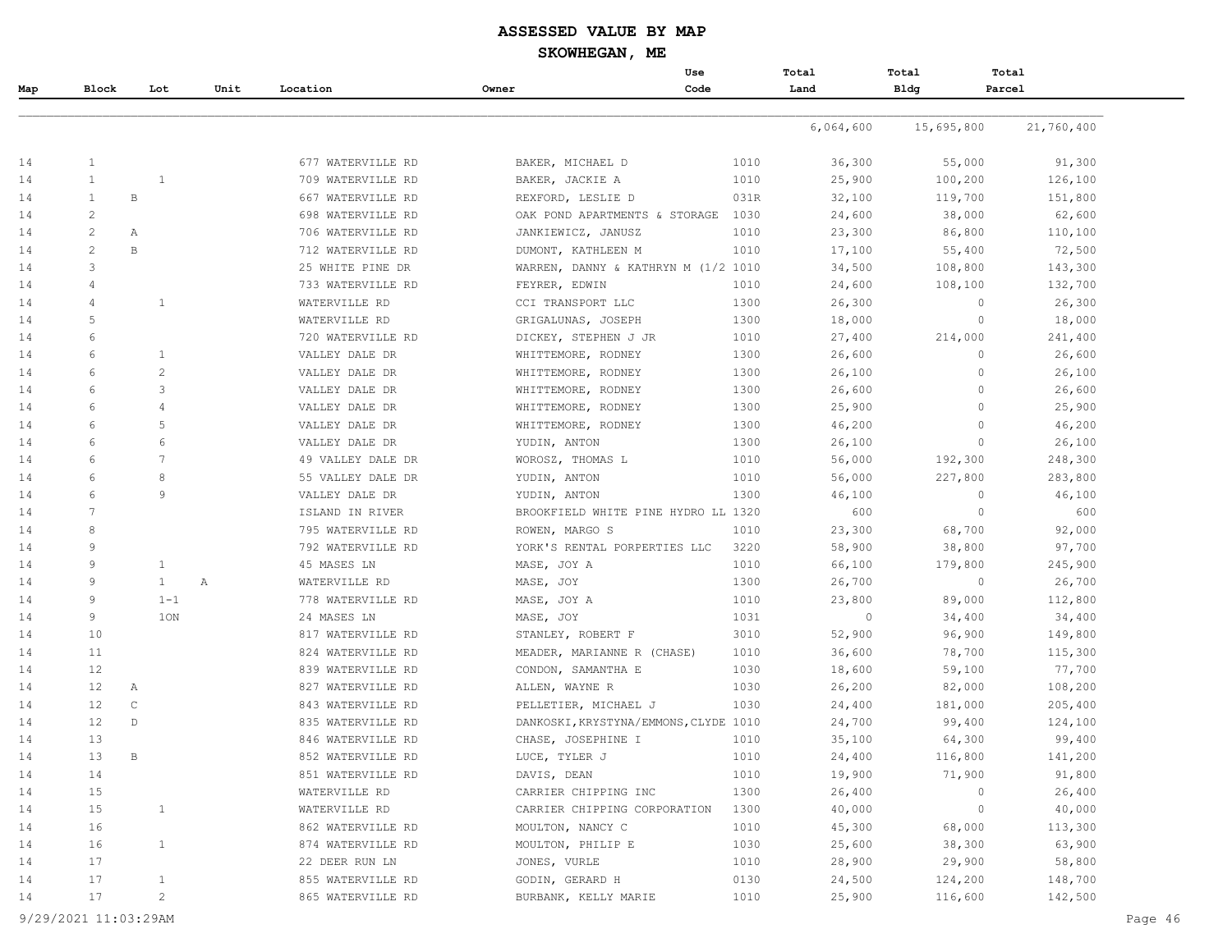## **ASSESSED VALUE BY MAP**

**SKOWHEGAN, ME**

|     |                |                |      |                   |                                       | Use  | Total     | Total       | Total             |
|-----|----------------|----------------|------|-------------------|---------------------------------------|------|-----------|-------------|-------------------|
| Map | Block          | Lot            | Unit | Location          | Owner                                 | Code | Land      | <b>Bldg</b> | Parcel            |
|     |                |                |      |                   |                                       |      |           |             |                   |
|     |                |                |      |                   |                                       |      | 6,064,600 | 15,695,800  | 21,760,400        |
| 14  | $\mathbf{1}$   |                |      | 677 WATERVILLE RD | BAKER, MICHAEL D                      | 1010 | 36,300    | 55,000      | 91,300            |
| 14  | $\mathbf{1}$   | $\overline{1}$ |      | 709 WATERVILLE RD | BAKER, JACKIE A                       | 1010 | 25,900    | 100,200     | 126,100           |
| 14  | $\mathbf{1}$   | В              |      | 667 WATERVILLE RD | REXFORD, LESLIE D                     | 031R | 32,100    | 119,700     | 151,800           |
| 14  | $\overline{c}$ |                |      | 698 WATERVILLE RD | OAK POND APARTMENTS & STORAGE         | 1030 | 24,600    | 38,000      | 62,600            |
| 14  | $\overline{c}$ | Α              |      | 706 WATERVILLE RD | JANKIEWICZ, JANUSZ                    | 1010 | 23,300    | 86,800      | 110,100           |
| 14  | $\overline{c}$ | B              |      | 712 WATERVILLE RD | DUMONT, KATHLEEN M                    | 1010 | 17,100    | 55,400      | 72,500            |
| 14  | 3              |                |      | 25 WHITE PINE DR  | WARREN, DANNY & KATHRYN M (1/2 1010   |      | 34,500    | 108,800     | 143,300           |
| 14  | 4              |                |      | 733 WATERVILLE RD | FEYRER, EDWIN                         | 1010 | 24,600    | 108,100     | 132,700           |
| 14  | 4              | $\mathbf{1}$   |      | WATERVILLE RD     | CCI TRANSPORT LLC                     | 1300 | 26,300    |             | 26,300<br>$\circ$ |
| 14  | 5              |                |      | WATERVILLE RD     | GRIGALUNAS, JOSEPH                    | 1300 | 18,000    |             | $\circ$<br>18,000 |
| 14  | 6              |                |      | 720 WATERVILLE RD | DICKEY, STEPHEN J JR                  | 1010 | 27,400    | 214,000     | 241,400           |
| 14  | 6              | 1              |      | VALLEY DALE DR    | WHITTEMORE, RODNEY                    | 1300 | 26,600    |             | $\circ$<br>26,600 |
| 14  | 6              | $\overline{c}$ |      | VALLEY DALE DR    | WHITTEMORE, RODNEY                    | 1300 | 26,100    |             | $\circ$<br>26,100 |
| 14  | 6              | 3              |      | VALLEY DALE DR    | WHITTEMORE, RODNEY                    | 1300 | 26,600    |             | $\circ$<br>26,600 |
| 14  | 6              | $\overline{4}$ |      | VALLEY DALE DR    | WHITTEMORE, RODNEY                    | 1300 | 25,900    |             | $\circ$<br>25,900 |
| 14  | 6              | 5              |      | VALLEY DALE DR    | WHITTEMORE, RODNEY                    | 1300 | 46,200    |             | $\circ$<br>46,200 |
| 14  | 6              | 6              |      | VALLEY DALE DR    | YUDIN, ANTON                          | 1300 | 26,100    |             | $\circ$<br>26,100 |
| 14  | 6              | 7              |      | 49 VALLEY DALE DR | WOROSZ, THOMAS L                      | 1010 | 56,000    | 192,300     | 248,300           |
| 14  | 6              | 8              |      | 55 VALLEY DALE DR | YUDIN, ANTON                          | 1010 | 56,000    | 227,800     | 283,800           |
| 14  | 6              | 9              |      | VALLEY DALE DR    | YUDIN, ANTON                          | 1300 | 46,100    |             | $\circ$<br>46,100 |
| 14  | 7              |                |      | ISLAND IN RIVER   | BROOKFIELD WHITE PINE HYDRO LL 1320   |      | 600       |             | $\circ$<br>600    |
| 14  | 8              |                |      | 795 WATERVILLE RD | ROWEN, MARGO S                        | 1010 | 23,300    | 68,700      | 92,000            |
| 14  | 9              |                |      | 792 WATERVILLE RD | YORK'S RENTAL PORPERTIES LLC          | 3220 | 58,900    | 38,800      | 97,700            |
| 14  | 9              | $\mathbf{1}$   |      | 45 MASES LN       | MASE, JOY A                           | 1010 | 66,100    | 179,800     | 245,900           |
| 14  | 9              | $\mathbf{1}$   | Α    | WATERVILLE RD     | MASE, JOY                             | 1300 | 26,700    |             | $\circ$<br>26,700 |
| 14  | 9              | $1 - 1$        |      | 778 WATERVILLE RD | MASE, JOY A                           | 1010 | 23,800    | 89,000      | 112,800           |
| 14  | 9              | 10N            |      | 24 MASES LN       | MASE, JOY                             | 1031 | $\circ$   | 34,400      | 34,400            |
| 14  | 10             |                |      | 817 WATERVILLE RD | STANLEY, ROBERT F                     | 3010 | 52,900    | 96,900      | 149,800           |
| 14  | 11             |                |      | 824 WATERVILLE RD | MEADER, MARIANNE R (CHASE)            | 1010 | 36,600    | 78,700      | 115,300           |
| 14  | 12             |                |      | 839 WATERVILLE RD | CONDON, SAMANTHA E                    | 1030 | 18,600    | 59,100      | 77,700            |
| 14  | 12             | Α              |      | 827 WATERVILLE RD | ALLEN, WAYNE R                        | 1030 | 26,200    | 82,000      | 108,200           |
| 14  | 12             | $\mathbb C$    |      | 843 WATERVILLE RD | PELLETIER, MICHAEL J                  | 1030 | 24,400    | 181,000     | 205,400           |
| 14  | 12             | $\mathbb D$    |      | 835 WATERVILLE RD | DANKOSKI, KRYSTYNA/EMMONS, CLYDE 1010 |      | 24,700    | 99,400      | 124,100           |
| 14  | 13             |                |      | 846 WATERVILLE RD | CHASE, JOSEPHINE I                    | 1010 | 35,100    | 64,300      | 99,400            |
| 14  | 13             | B              |      | 852 WATERVILLE RD | LUCE, TYLER J                         | 1010 | 24,400    | 116,800     | 141,200           |
| 14  | 14             |                |      | 851 WATERVILLE RD | DAVIS, DEAN                           | 1010 | 19,900    | 71,900      | 91,800            |
| 14  | 15             |                |      | WATERVILLE RD     | CARRIER CHIPPING INC                  | 1300 | 26,400    |             | 26,400<br>$\circ$ |
| 14  | 15             | $\mathbf{1}$   |      | WATERVILLE RD     | CARRIER CHIPPING CORPORATION          | 1300 | 40,000    |             | $\circ$<br>40,000 |
| 14  | 16             |                |      | 862 WATERVILLE RD | MOULTON, NANCY C                      | 1010 | 45,300    | 68,000      | 113,300           |
| 14  | 16             | $\mathbf{1}$   |      | 874 WATERVILLE RD | MOULTON, PHILIP E                     | 1030 | 25,600    | 38,300      | 63,900            |
| 14  | 17             |                |      | 22 DEER RUN LN    | JONES, VURLE                          | 1010 | 28,900    | 29,900      | 58,800            |
| 14  | 17             | $\mathbf{1}$   |      | 855 WATERVILLE RD | GODIN, GERARD H                       | 0130 | 24,500    | 124,200     | 148,700           |
| 14  | 17             | $\overline{c}$ |      | 865 WATERVILLE RD | BURBANK, KELLY MARIE                  | 1010 | 25,900    | 116,600     | 142,500           |
|     |                |                |      |                   |                                       |      |           |             |                   |

9/29/2021 11:03:29AM Page 46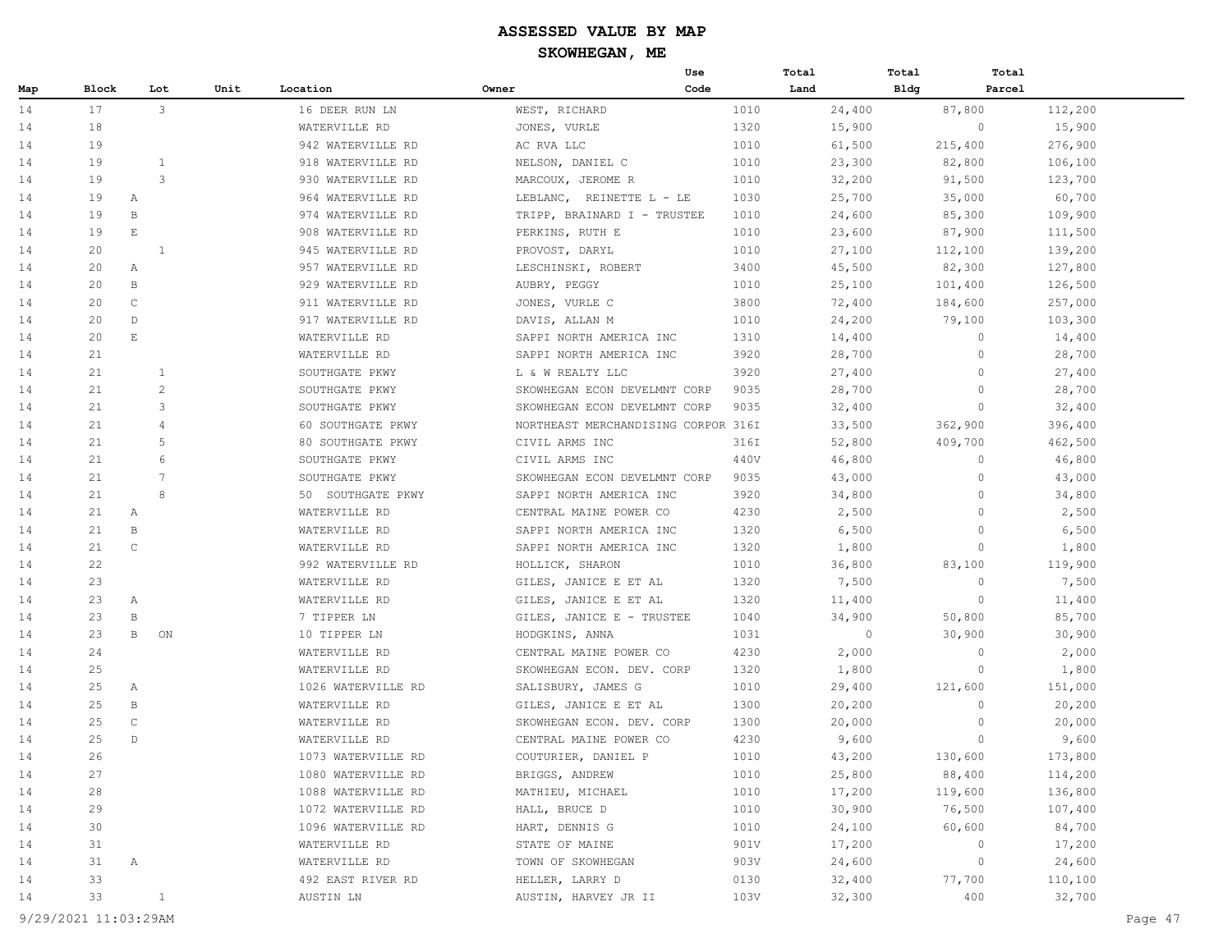|     |       |                       |              |                    |                                     | Use  | Total   | Total          | Total             |
|-----|-------|-----------------------|--------------|--------------------|-------------------------------------|------|---------|----------------|-------------------|
| Map | Block |                       | Lot<br>Unit  | Location           | Owner                               | Code | Land    | <b>Bldg</b>    | Parcel            |
| 14  | 17    |                       | 3            | 16 DEER RUN LN     | WEST, RICHARD                       | 1010 | 24,400  | 87,800         | 112,200           |
| 14  | 18    |                       |              | WATERVILLE RD      | JONES, VURLE                        | 1320 | 15,900  |                | $\circ$<br>15,900 |
| 14  | 19    |                       |              | 942 WATERVILLE RD  | AC RVA LLC                          | 1010 | 61,500  | 215,400        | 276,900           |
| 14  | 19    |                       | $\mathbf{1}$ | 918 WATERVILLE RD  | NELSON, DANIEL C                    | 1010 | 23,300  | 82,800         | 106,100           |
| 14  | 19    |                       | 3            | 930 WATERVILLE RD  | MARCOUX, JEROME R                   | 1010 | 32,200  | 91,500         | 123,700           |
| 14  | 19    | Α                     |              | 964 WATERVILLE RD  | LEBLANC,<br>REINETTE L - LE         | 1030 | 25,700  | 35,000         | 60,700            |
| 14  | 19    | $\, {\bf B}$          |              | 974 WATERVILLE RD  | TRIPP, BRAINARD I - TRUSTEE         | 1010 | 24,600  | 85,300         | 109,900           |
| 14  | 19    | $\mathop{}\mathbb{E}$ |              | 908 WATERVILLE RD  | PERKINS, RUTH E                     | 1010 | 23,600  | 87,900         | 111,500           |
| 14  | 20    |                       | <sup>1</sup> | 945 WATERVILLE RD  | PROVOST, DARYL                      | 1010 | 27,100  | 112,100        | 139,200           |
| 14  | 20    | А                     |              | 957 WATERVILLE RD  | LESCHINSKI, ROBERT                  | 3400 | 45,500  | 82,300         | 127,800           |
| 14  | 20    | B                     |              | 929 WATERVILLE RD  | AUBRY, PEGGY                        | 1010 | 25,100  | 101,400        | 126,500           |
| 14  | 20    | $\mathsf{C}$          |              | 911 WATERVILLE RD  | JONES, VURLE C                      | 3800 | 72,400  | 184,600        | 257,000           |
| 14  | 20    | $\mathbb{D}$          |              | 917 WATERVILLE RD  | DAVIS, ALLAN M                      | 1010 | 24,200  | 79,100         | 103,300           |
| 14  | 20    | $\mathbf{E}$          |              | WATERVILLE RD      | SAPPI NORTH AMERICA INC             | 1310 | 14,400  |                | $\circ$<br>14,400 |
| 14  | 21    |                       |              | WATERVILLE RD      | SAPPI NORTH AMERICA INC             | 3920 | 28,700  |                | $\circ$<br>28,700 |
| 14  | 21    |                       | $\mathbf{1}$ | SOUTHGATE PKWY     | L & W REALTY LLC                    | 3920 | 27,400  |                | $\circ$<br>27,400 |
| 14  | 21    |                       | 2            | SOUTHGATE PKWY     | SKOWHEGAN ECON DEVELMNT CORP        | 9035 | 28,700  |                | $\circ$<br>28,700 |
| 14  | 21    |                       | 3            | SOUTHGATE PKWY     | SKOWHEGAN ECON DEVELMNT CORP        | 9035 | 32,400  |                | $\circ$<br>32,400 |
| 14  | 21    |                       | 4            | 60 SOUTHGATE PKWY  | NORTHEAST MERCHANDISING CORPOR 316I |      | 33,500  | 362,900        | 396,400           |
| 14  | 21    |                       | 5            | 80 SOUTHGATE PKWY  | CIVIL ARMS INC                      | 316I | 52,800  | 409,700        | 462,500           |
| 14  | 21    |                       | 6            | SOUTHGATE PKWY     | CIVIL ARMS INC                      | 440V | 46,800  |                | $\circ$<br>46,800 |
| 14  | 21    |                       | 7            | SOUTHGATE PKWY     | SKOWHEGAN ECON DEVELMNT CORP        | 9035 | 43,000  |                | $\circ$<br>43,000 |
| 14  | 21    |                       | 8            | 50 SOUTHGATE PKWY  | SAPPI NORTH AMERICA INC             | 3920 | 34,800  |                | $\circ$<br>34,800 |
| 14  | 21    | Α                     |              | WATERVILLE RD      | CENTRAL MAINE POWER CO              | 4230 | 2,500   |                | $\circ$<br>2,500  |
| 14  | 21    | B                     |              | WATERVILLE RD      | SAPPI NORTH AMERICA INC             | 1320 | 6,500   | $\overline{0}$ | 6,500             |
| 14  | 21    | $\mathsf{C}$          |              | WATERVILLE RD      | SAPPI NORTH AMERICA INC             | 1320 | 1,800   |                | $\circ$<br>1,800  |
| 14  | 22    |                       |              | 992 WATERVILLE RD  | HOLLICK, SHARON                     | 1010 | 36,800  | 83,100         | 119,900           |
| 14  | 23    |                       |              | WATERVILLE RD      | GILES, JANICE E ET AL               | 1320 | 7,500   | $\circ$        | 7,500             |
| 14  | 23    | Α                     |              | WATERVILLE RD      | GILES, JANICE E ET AL               | 1320 | 11,400  |                | $\circ$<br>11,400 |
| 14  | 23    | $\, {\bf B}$          |              | 7 TIPPER LN        | GILES, JANICE E - TRUSTEE           | 1040 | 34,900  | 50,800         | 85,700            |
| 14  | 23    | $\mathbf{B}$          | ON           | 10 TIPPER LN       | HODGKINS, ANNA                      | 1031 | $\circ$ | 30,900         | 30,900            |
| 14  | 24    |                       |              | WATERVILLE RD      | CENTRAL MAINE POWER CO              | 4230 | 2,000   |                | $\circ$<br>2,000  |
| 14  | 25    |                       |              | WATERVILLE RD      | SKOWHEGAN ECON. DEV. CORP           | 1320 | 1,800   |                | $\circ$<br>1,800  |
| 14  | 25    | Α                     |              | 1026 WATERVILLE RD | SALISBURY, JAMES G                  | 1010 | 29,400  | 121,600        | 151,000           |
| 14  | 25    | B                     |              | WATERVILLE RD      | GILES, JANICE E ET AL               | 1300 | 20,200  |                | $\circ$<br>20,200 |
| 14  | 25    | $\mathsf{C}$          |              | WATERVILLE RD      | SKOWHEGAN ECON. DEV. CORP           | 1300 | 20,000  |                | $\circ$<br>20,000 |
| 14  | 25    | D                     |              | WATERVILLE RD      | CENTRAL MAINE POWER CO              | 4230 | 9,600   |                | $\circ$<br>9,600  |
| 14  | 26    |                       |              | 1073 WATERVILLE RD | COUTURIER, DANIEL P                 | 1010 | 43,200  | 130,600        | 173,800           |
| 14  | 27    |                       |              | 1080 WATERVILLE RD | BRIGGS, ANDREW                      | 1010 | 25,800  | 88,400         | 114,200           |
| 14  | 28    |                       |              | 1088 WATERVILLE RD | MATHIEU, MICHAEL                    | 1010 | 17,200  | 119,600        | 136,800           |
| 14  | 29    |                       |              | 1072 WATERVILLE RD | HALL, BRUCE D                       | 1010 | 30,900  | 76,500         | 107,400           |
| 14  | 30    |                       |              | 1096 WATERVILLE RD | HART, DENNIS G                      | 1010 | 24,100  | 60,600         | 84,700            |
| 14  | 31    |                       |              | WATERVILLE RD      | STATE OF MAINE                      | 901V | 17,200  | $\circ$        | 17,200            |
| 14  | 31    | Α                     |              | WATERVILLE RD      | TOWN OF SKOWHEGAN                   | 903V | 24,600  | $\circ$        | 24,600            |
| 14  | 33    |                       |              | 492 EAST RIVER RD  | HELLER, LARRY D                     | 0130 | 32,400  | 77,700         | 110,100           |
| 14  | 33    |                       | $\mathbf{1}$ | AUSTIN LN          | AUSTIN, HARVEY JR II                | 103V | 32,300  | 400            | 32,700            |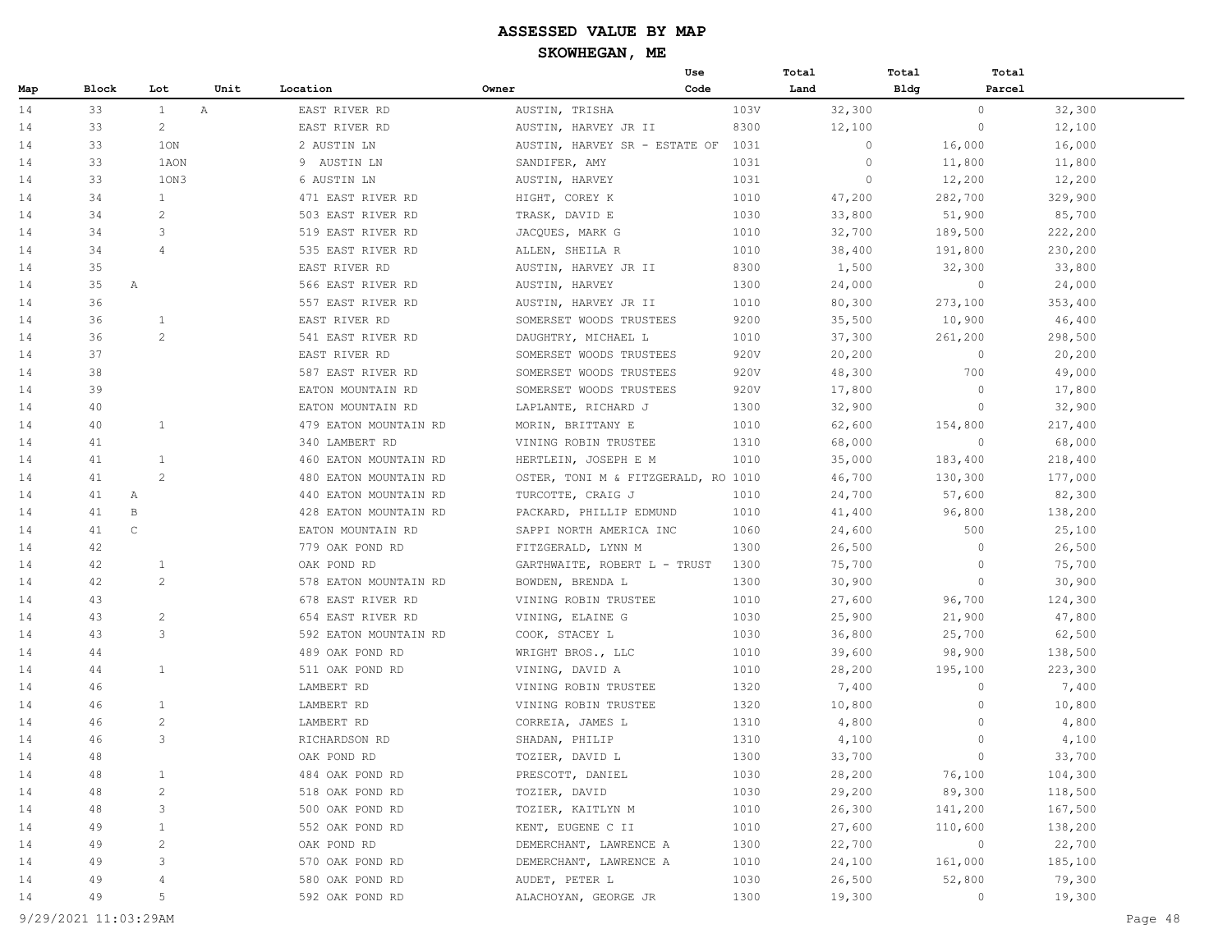|     |                    |                              |                       | Use                                 |      | Total   | Total       | Total   |
|-----|--------------------|------------------------------|-----------------------|-------------------------------------|------|---------|-------------|---------|
| Map | Block              | Lot                          | Unit<br>Location      | Owner                               | Code | Land    | <b>Bldg</b> | Parcel  |
| 14  | 33                 | $\mathbb{A}$<br>$\mathbf{1}$ | EAST RIVER RD         | AUSTIN, TRISHA                      | 103V | 32,300  | $\circ$     | 32,300  |
| 14  | 33                 | 2                            | EAST RIVER RD         | AUSTIN, HARVEY JR II                | 8300 | 12,100  | $\circ$     | 12,100  |
| 14  | 33                 | 10N                          | 2 AUSTIN LN           | AUSTIN, HARVEY SR - ESTATE OF       | 1031 | $\circ$ | 16,000      | 16,000  |
| 14  | 33                 | 1AON                         | 9 AUSTIN LN           | SANDIFER, AMY                       | 1031 | $\circ$ | 11,800      | 11,800  |
| 14  | 33                 | 10N3                         | 6 AUSTIN LN           | AUSTIN, HARVEY                      | 1031 | $\circ$ | 12,200      | 12,200  |
| 14  | 34                 | $\mathbf{1}$                 | 471 EAST RIVER RD     | HIGHT, COREY K                      | 1010 | 47,200  | 282,700     | 329,900 |
| 14  | 34                 | 2                            | 503 EAST RIVER RD     | TRASK, DAVID E                      | 1030 | 33,800  | 51,900      | 85,700  |
| 14  | 34                 | 3                            | 519 EAST RIVER RD     | JACQUES, MARK G                     | 1010 | 32,700  | 189,500     | 222,200 |
| 14  | 34                 | $\overline{4}$               | 535 EAST RIVER RD     | ALLEN, SHEILA R                     | 1010 | 38,400  | 191,800     | 230,200 |
| 14  | 35                 |                              | EAST RIVER RD         | AUSTIN, HARVEY JR II                | 8300 | 1,500   | 32,300      | 33,800  |
| 14  | 35<br>$\mathbb A$  |                              | 566 EAST RIVER RD     | AUSTIN, HARVEY                      | 1300 | 24,000  | $\circ$     | 24,000  |
| 14  | 36                 |                              | 557 EAST RIVER RD     | AUSTIN, HARVEY JR II                | 1010 | 80,300  | 273,100     | 353,400 |
| 14  | 36                 | 1                            | EAST RIVER RD         | SOMERSET WOODS TRUSTEES             | 9200 | 35,500  | 10,900      | 46,400  |
| 14  | 36                 | 2                            | 541 EAST RIVER RD     | DAUGHTRY, MICHAEL L                 | 1010 | 37,300  | 261,200     | 298,500 |
| 14  | 37                 |                              | EAST RIVER RD         | SOMERSET WOODS TRUSTEES             | 920V | 20,200  | $\circ$     | 20,200  |
| 14  | 38                 |                              | 587 EAST RIVER RD     | SOMERSET WOODS TRUSTEES             | 920V | 48,300  | 700         | 49,000  |
| 14  | 39                 |                              | EATON MOUNTAIN RD     | SOMERSET WOODS TRUSTEES             | 920V | 17,800  | $\circ$     | 17,800  |
| 14  | 40                 |                              | EATON MOUNTAIN RD     | LAPLANTE, RICHARD J                 | 1300 | 32,900  | $\circ$     | 32,900  |
| 14  | 40                 | 1                            | 479 EATON MOUNTAIN RD | MORIN, BRITTANY E                   | 1010 | 62,600  | 154,800     | 217,400 |
| 14  | 41                 |                              | 340 LAMBERT RD        | VINING ROBIN TRUSTEE                | 1310 | 68,000  | $\circ$     | 68,000  |
| 14  | 41                 | $\mathbf{1}$                 | 460 EATON MOUNTAIN RD | HERTLEIN, JOSEPH E M                | 1010 | 35,000  | 183,400     | 218,400 |
| 14  | 41                 | 2                            | 480 EATON MOUNTAIN RD | OSTER, TONI M & FITZGERALD, RO 1010 |      | 46,700  | 130,300     | 177,000 |
| 14  | 41<br>Α            |                              | 440 EATON MOUNTAIN RD | TURCOTTE, CRAIG J                   | 1010 | 24,700  | 57,600      | 82,300  |
| 14  | 41<br>B            |                              | 428 EATON MOUNTAIN RD | PACKARD, PHILLIP EDMUND             | 1010 | 41,400  | 96,800      | 138,200 |
| 14  | $\mathsf{C}$<br>41 |                              | EATON MOUNTAIN RD     | SAPPI NORTH AMERICA INC             | 1060 | 24,600  | 500         | 25,100  |
| 14  | 42                 |                              | 779 OAK POND RD       | FITZGERALD, LYNN M                  | 1300 | 26,500  | $\circ$     | 26,500  |
| 14  | 42                 | 1                            | OAK POND RD           | GARTHWAITE, ROBERT L - TRUST        | 1300 | 75,700  | $\circ$     | 75,700  |
| 14  | 42                 | 2                            | 578 EATON MOUNTAIN RD | BOWDEN, BRENDA L                    | 1300 | 30,900  | $\circ$     | 30,900  |
| 14  | 43                 |                              | 678 EAST RIVER RD     | VINING ROBIN TRUSTEE                | 1010 | 27,600  | 96,700      | 124,300 |
| 14  | 43                 | $\overline{c}$               | 654 EAST RIVER RD     | VINING, ELAINE G                    | 1030 | 25,900  | 21,900      | 47,800  |
| 14  | 43                 | 3                            | 592 EATON MOUNTAIN RD | COOK, STACEY L                      | 1030 | 36,800  | 25,700      | 62,500  |
| 14  | 44                 |                              | 489 OAK POND RD       | WRIGHT BROS., LLC                   | 1010 | 39,600  | 98,900      | 138,500 |
| 14  | 44                 | $\mathbf{1}$                 | 511 OAK POND RD       | VINING, DAVID A                     | 1010 | 28,200  | 195,100     | 223,300 |
| 14  | 46                 |                              | LAMBERT RD            | VINING ROBIN TRUSTEE                | 1320 | 7,400   | $\circ$     | 7,400   |
| 14  | 46                 | 1                            | LAMBERT RD            | VINING ROBIN TRUSTEE                | 1320 | 10,800  | $\circ$     | 10,800  |
| 14  | 46                 | 2                            | LAMBERT RD            | CORREIA, JAMES L                    | 1310 | 4,800   | $\circ$     | 4,800   |
| 14  | 46                 | 3                            | RICHARDSON RD         | SHADAN, PHILIP                      | 1310 | 4,100   | $\circ$     | 4,100   |
| 14  | 48                 |                              | OAK POND RD           | TOZIER, DAVID L                     | 1300 | 33,700  | $\circ$     | 33,700  |
| 14  | 48                 | $\mathbf{1}$                 | 484 OAK POND RD       | PRESCOTT, DANIEL                    | 1030 | 28,200  | 76,100      | 104,300 |
| 14  | 48                 | $\overline{c}$               | 518 OAK POND RD       | TOZIER, DAVID                       | 1030 | 29,200  | 89,300      | 118,500 |
| 14  | 48                 | 3                            | 500 OAK POND RD       | TOZIER, KAITLYN M                   | 1010 | 26,300  | 141,200     | 167,500 |
| 14  | 49                 | $\mathbf{1}$                 | 552 OAK POND RD       | KENT, EUGENE C II                   | 1010 | 27,600  | 110,600     | 138,200 |
| 14  | 49                 | $\overline{c}$               | OAK POND RD           | DEMERCHANT, LAWRENCE A              | 1300 | 22,700  | $\circ$     | 22,700  |
| 14  | 49                 | 3                            | 570 OAK POND RD       | DEMERCHANT, LAWRENCE A              | 1010 | 24,100  | 161,000     | 185,100 |
| 14  | 49                 | 4                            | 580 OAK POND RD       | AUDET, PETER L                      | 1030 | 26,500  | 52,800      | 79,300  |
| 14  | 49                 | 5                            | 592 OAK POND RD       | ALACHOYAN, GEORGE JR                | 1300 | 19,300  | $\circ$     | 19,300  |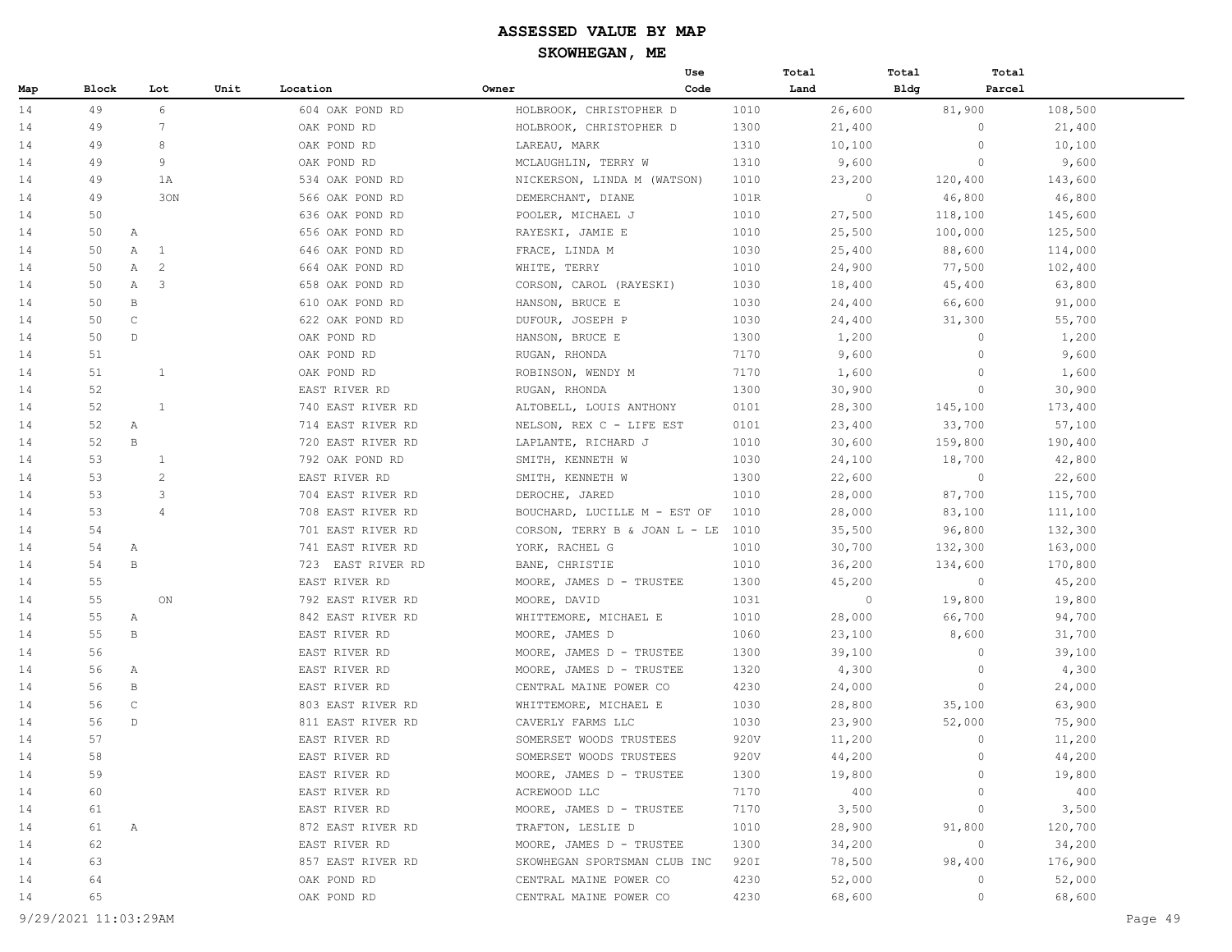|     |       |                       |      |                   |                               | Use  | Total   | Total        | Total   |
|-----|-------|-----------------------|------|-------------------|-------------------------------|------|---------|--------------|---------|
| Map | Block | Lot                   | Unit | Location          | Owner                         | Code | Land    | Bldg         | Parcel  |
| 14  | 49    | 6                     |      | 604 OAK POND RD   | HOLBROOK, CHRISTOPHER D       | 1010 | 26,600  | 81,900       | 108,500 |
| 14  | 49    | 7                     |      | OAK POND RD       | HOLBROOK, CHRISTOPHER D       | 1300 | 21,400  | $\circ$      | 21,400  |
| 14  | 49    | 8                     |      | OAK POND RD       | LAREAU, MARK                  | 1310 | 10,100  | $\circ$      | 10,100  |
| 14  | 49    | 9                     |      | OAK POND RD       | MCLAUGHLIN, TERRY W           | 1310 | 9,600   | $\circ$      | 9,600   |
| 14  | 49    | 1A                    |      | 534 OAK POND RD   | NICKERSON, LINDA M (WATSON)   | 1010 | 23,200  | 120,400      | 143,600 |
| 14  | 49    | 30N                   |      | 566 OAK POND RD   | DEMERCHANT, DIANE             | 101R | $\circ$ | 46,800       | 46,800  |
| 14  | 50    |                       |      | 636 OAK POND RD   | POOLER, MICHAEL J             | 1010 | 27,500  | 118,100      | 145,600 |
| 14  | 50    | $\mathbb{A}$          |      | 656 OAK POND RD   | RAYESKI, JAMIE E              | 1010 | 25,500  | 100,000      | 125,500 |
| 14  | 50    | A<br>$\mathbf{1}$     |      | 646 OAK POND RD   | FRACE, LINDA M                | 1030 | 25,400  | 88,600       | 114,000 |
| 14  | 50    | 2<br>Α                |      | 664 OAK POND RD   | WHITE, TERRY                  | 1010 | 24,900  | 77,500       | 102,400 |
| 14  | 50    | 3<br>$\mathbb A$      |      | 658 OAK POND RD   | CORSON, CAROL (RAYESKI)       | 1030 | 18,400  | 45,400       | 63,800  |
| 14  | 50    | B                     |      | 610 OAK POND RD   | HANSON, BRUCE E               | 1030 | 24,400  | 66,600       | 91,000  |
| 14  | 50    | $\mathsf{C}$          |      | 622 OAK POND RD   | DUFOUR, JOSEPH P              | 1030 | 24,400  | 31,300       | 55,700  |
| 14  | 50    | $\mathbb{D}$          |      | OAK POND RD       | HANSON, BRUCE E               | 1300 | 1,200   | $\circ$      | 1,200   |
| 14  | 51    |                       |      | OAK POND RD       | RUGAN, RHONDA                 | 7170 | 9,600   | $\circ$      | 9,600   |
| 14  | 51    | 1                     |      | OAK POND RD       | ROBINSON, WENDY M             | 7170 | 1,600   | $\circ$      | 1,600   |
| 14  | 52    |                       |      | EAST RIVER RD     | RUGAN, RHONDA                 | 1300 | 30,900  | $\circ$      | 30,900  |
| 14  | 52    | $\mathbf{1}$          |      | 740 EAST RIVER RD | ALTOBELL, LOUIS ANTHONY       | 0101 | 28,300  | 145,100      | 173,400 |
| 14  | 52    | $\mathbb{A}$          |      | 714 EAST RIVER RD | NELSON, REX C - LIFE EST      | 0101 | 23,400  | 33,700       | 57,100  |
| 14  | 52    | $\mathbf{B}$          |      | 720 EAST RIVER RD | LAPLANTE, RICHARD J           | 1010 | 30,600  | 159,800      | 190,400 |
| 14  | 53    | $\mathbf{1}$          |      | 792 OAK POND RD   | SMITH, KENNETH W              | 1030 | 24,100  | 18,700       | 42,800  |
| 14  | 53    | $\mathbf{2}^{\prime}$ |      | EAST RIVER RD     | SMITH, KENNETH W              | 1300 | 22,600  | $\circ$      | 22,600  |
| 14  | 53    | 3                     |      | 704 EAST RIVER RD | DEROCHE, JARED                | 1010 | 28,000  | 87,700       | 115,700 |
| 14  | 53    | $\overline{4}$        |      | 708 EAST RIVER RD | BOUCHARD, LUCILLE M - EST OF  | 1010 | 28,000  | 83,100       | 111,100 |
| 14  | 54    |                       |      | 701 EAST RIVER RD | CORSON, TERRY B & JOAN L - LE | 1010 | 35,500  | 96,800       | 132,300 |
| 14  | 54    | А                     |      | 741 EAST RIVER RD | YORK, RACHEL G                | 1010 | 30,700  | 132,300      | 163,000 |
| 14  | 54    | В                     |      | 723 EAST RIVER RD | BANE, CHRISTIE                | 1010 | 36,200  | 134,600      | 170,800 |
| 14  | 55    |                       |      | EAST RIVER RD     | MOORE, JAMES D - TRUSTEE      | 1300 | 45,200  | $\circ$      | 45,200  |
| 14  | 55    | ON                    |      | 792 EAST RIVER RD | MOORE, DAVID                  | 1031 | $\circ$ | 19,800       | 19,800  |
| 14  | 55    | $\mathbb{A}$          |      | 842 EAST RIVER RD | WHITTEMORE, MICHAEL E         | 1010 | 28,000  | 66,700       | 94,700  |
| 14  | 55    | B                     |      | EAST RIVER RD     | MOORE, JAMES D                | 1060 | 23,100  | 8,600        | 31,700  |
| 14  | 56    |                       |      | EAST RIVER RD     | MOORE, JAMES D - TRUSTEE      | 1300 | 39,100  | $\circ$      | 39,100  |
| 14  | 56    | Α                     |      | EAST RIVER RD     | MOORE, JAMES D - TRUSTEE      | 1320 | 4,300   | $\circ$      | 4,300   |
| 14  | 56    | B                     |      | EAST RIVER RD     | CENTRAL MAINE POWER CO        | 4230 | 24,000  | $\circ$      | 24,000  |
| 14  | 56    | $\mathsf C$           |      | 803 EAST RIVER RD | WHITTEMORE, MICHAEL E         | 1030 | 28,800  | 35,100       | 63,900  |
| 14  | 56    | $\mathbb{D}$          |      | 811 EAST RIVER RD | CAVERLY FARMS LLC             | 1030 | 23,900  | 52,000       | 75,900  |
| 14  | 57    |                       |      | EAST RIVER RD     | SOMERSET WOODS TRUSTEES       | 920V | 11,200  | $\mathbf{0}$ | 11,200  |
| 14  | 58    |                       |      | EAST RIVER RD     | SOMERSET WOODS TRUSTEES       | 920V | 44,200  | $\circ$      | 44,200  |
| 14  | 59    |                       |      | EAST RIVER RD     | MOORE, JAMES D - TRUSTEE      | 1300 | 19,800  | $\circ$      | 19,800  |
| 14  | 60    |                       |      | EAST RIVER RD     | ACREWOOD LLC                  | 7170 | 400     | $\circ$      | 400     |
| 14  | 61    |                       |      | EAST RIVER RD     | MOORE, JAMES D - TRUSTEE      | 7170 | 3,500   | $\circ$      | 3,500   |
| 14  | 61    | A                     |      | 872 EAST RIVER RD | TRAFTON, LESLIE D             | 1010 | 28,900  | 91,800       | 120,700 |
| 14  | 62    |                       |      | EAST RIVER RD     | MOORE, JAMES D - TRUSTEE      | 1300 | 34,200  | $\circ$      | 34,200  |
| 14  | 63    |                       |      | 857 EAST RIVER RD | SKOWHEGAN SPORTSMAN CLUB INC  | 920I | 78,500  | 98,400       | 176,900 |
| 14  | 64    |                       |      | OAK POND RD       | CENTRAL MAINE POWER CO        | 4230 | 52,000  | $\circ$      | 52,000  |
| 14  | 65    |                       |      | OAK POND RD       | CENTRAL MAINE POWER CO        | 4230 | 68,600  | $\circ$      | 68,600  |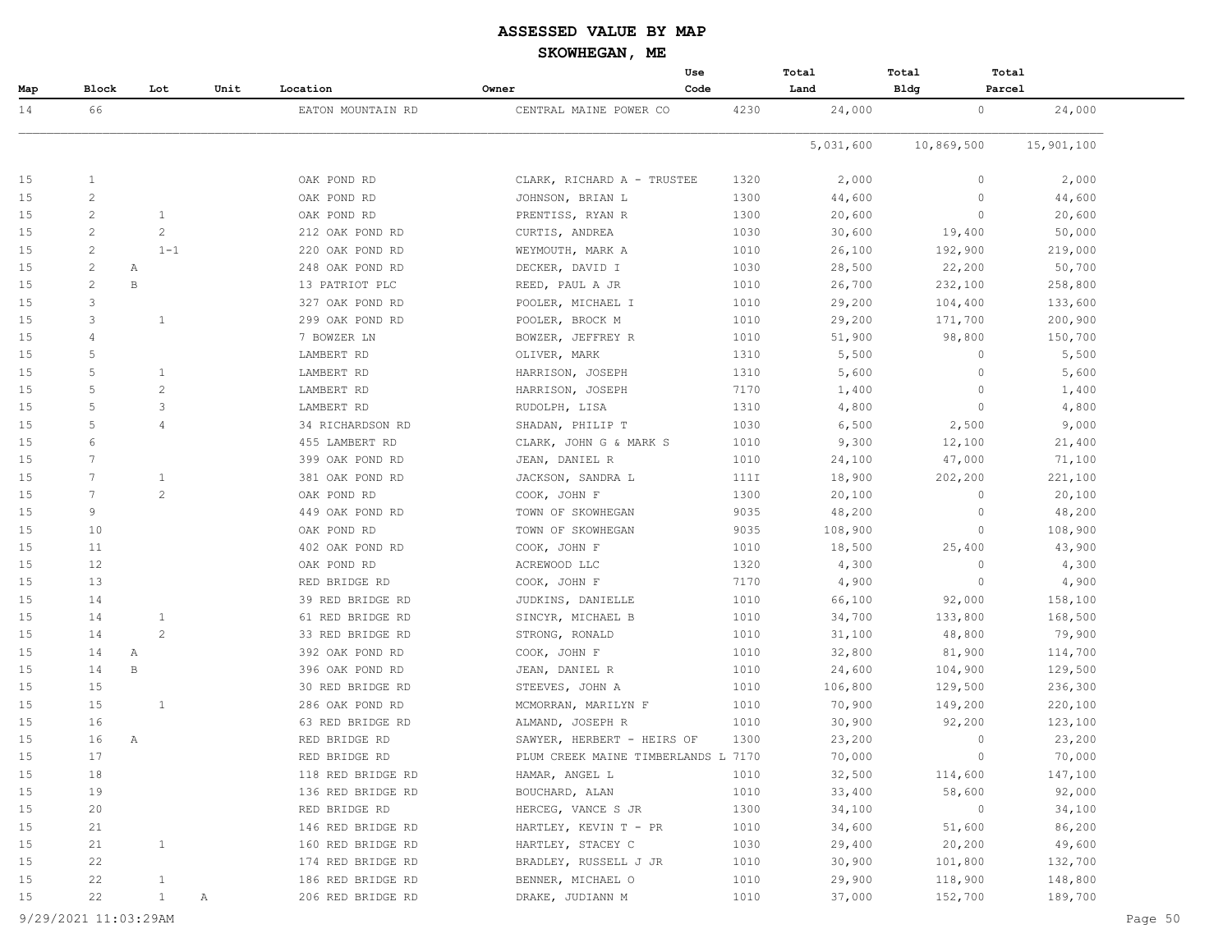|     |                |                |      |                   |                                     | Use  | Total     | Total        | Total      |  |
|-----|----------------|----------------|------|-------------------|-------------------------------------|------|-----------|--------------|------------|--|
| Map | <b>Block</b>   | Lot            | Unit | Location          | Owner                               | Code | Land      | <b>Bldg</b>  | Parcel     |  |
| 14  | 66             |                |      | EATON MOUNTAIN RD | CENTRAL MAINE POWER CO              | 4230 | 24,000    | $\circ$      | 24,000     |  |
|     |                |                |      |                   |                                     |      | 5,031,600 | 10,869,500   | 15,901,100 |  |
| 15  | 1              |                |      | OAK POND RD       | CLARK, RICHARD A - TRUSTEE          | 1320 | 2,000     | $\circ$      | 2,000      |  |
| 15  | $\overline{2}$ |                |      | OAK POND RD       | JOHNSON, BRIAN L                    | 1300 | 44,600    | $\Omega$     | 44,600     |  |
| 15  | $\overline{2}$ | $\mathbf{1}$   |      | OAK POND RD       | PRENTISS, RYAN R                    | 1300 | 20,600    | $\circ$      | 20,600     |  |
| 15  | $\overline{2}$ | $\mathbf{2}$   |      | 212 OAK POND RD   | CURTIS, ANDREA                      | 1030 | 30,600    | 19,400       | 50,000     |  |
| 15  | $\overline{2}$ | $1 - 1$        |      | 220 OAK POND RD   | WEYMOUTH, MARK A                    | 1010 | 26,100    | 192,900      | 219,000    |  |
| 15  | $\overline{2}$ | Α              |      | 248 OAK POND RD   | DECKER, DAVID I                     | 1030 | 28,500    | 22,200       | 50,700     |  |
| 15  | 2              | $\, {\bf B}$   |      | 13 PATRIOT PLC    | REED, PAUL A JR                     | 1010 | 26,700    | 232,100      | 258,800    |  |
| 15  | 3              |                |      | 327 OAK POND RD   | POOLER, MICHAEL I                   | 1010 | 29,200    | 104,400      | 133,600    |  |
| 15  | 3              | $\mathbf{1}$   |      | 299 OAK POND RD   | POOLER, BROCK M                     | 1010 | 29,200    | 171,700      | 200,900    |  |
| 15  | 4              |                |      | 7 BOWZER LN       | BOWZER, JEFFREY R                   | 1010 | 51,900    | 98,800       | 150,700    |  |
| 15  | 5              |                |      | LAMBERT RD        | OLIVER, MARK                        | 1310 | 5,500     | $\circ$      | 5,500      |  |
| 15  | 5              | $\mathbf{1}$   |      | LAMBERT RD        | HARRISON, JOSEPH                    | 1310 | 5,600     | $\circ$      | 5,600      |  |
| 15  | 5              | $\mathbf{2}$   |      | LAMBERT RD        | HARRISON, JOSEPH                    | 7170 | 1,400     | $\circ$      | 1,400      |  |
| 15  | 5              | 3              |      | LAMBERT RD        | RUDOLPH, LISA                       | 1310 | 4,800     | $\Omega$     | 4,800      |  |
| 15  | 5              | $\overline{4}$ |      | 34 RICHARDSON RD  | SHADAN, PHILIP T                    | 1030 | 6,500     | 2,500        | 9,000      |  |
| 15  | 6              |                |      | 455 LAMBERT RD    | CLARK, JOHN G & MARK S              | 1010 | 9,300     | 12,100       | 21,400     |  |
| 15  | 7              |                |      | 399 OAK POND RD   | JEAN, DANIEL R                      | 1010 | 24,100    | 47,000       | 71,100     |  |
| 15  | 7              | $\mathbf{1}$   |      | 381 OAK POND RD   | JACKSON, SANDRA L                   | 111I | 18,900    | 202,200      | 221,100    |  |
| 15  | 7              | 2              |      | OAK POND RD       | COOK, JOHN F                        | 1300 | 20,100    | 0            | 20,100     |  |
| 15  | 9              |                |      | 449 OAK POND RD   | TOWN OF SKOWHEGAN                   | 9035 | 48,200    | 0            | 48,200     |  |
| 15  | 10             |                |      | OAK POND RD       | TOWN OF SKOWHEGAN                   | 9035 | 108,900   | $\circ$      | 108,900    |  |
| 15  | 11             |                |      | 402 OAK POND RD   | COOK, JOHN F                        | 1010 | 18,500    | 25,400       | 43,900     |  |
| 15  | 12             |                |      | OAK POND RD       | ACREWOOD LLC                        | 1320 | 4,300     | $\circ$      | 4,300      |  |
| 15  | 13             |                |      | RED BRIDGE RD     | COOK, JOHN F                        | 7170 | 4,900     | $\Omega$     | 4,900      |  |
| 15  | 14             |                |      | 39 RED BRIDGE RD  | JUDKINS, DANIELLE                   | 1010 | 66,100    | 92,000       | 158,100    |  |
| 15  | 14             | $\mathbf{1}$   |      | 61 RED BRIDGE RD  | SINCYR, MICHAEL B                   | 1010 | 34,700    | 133,800      | 168,500    |  |
| 15  | 14             | 2              |      | 33 RED BRIDGE RD  | STRONG, RONALD                      | 1010 | 31,100    | 48,800       | 79,900     |  |
| 15  | 14             | Α              |      | 392 OAK POND RD   | COOK, JOHN F                        | 1010 | 32,800    | 81,900       | 114,700    |  |
| 15  | 14             | $\, {\bf B}$   |      | 396 OAK POND RD   | JEAN, DANIEL R                      | 1010 | 24,600    | 104,900      | 129,500    |  |
| 15  | 15             |                |      | 30 RED BRIDGE RD  | STEEVES, JOHN A                     | 1010 | 106,800   | 129,500      | 236,300    |  |
| 15  | 15             | $\mathbf{1}$   |      | 286 OAK POND RD   | MCMORRAN, MARILYN F                 | 1010 | 70,900    | 149,200      | 220,100    |  |
| 15  | 16             |                |      | 63 RED BRIDGE RD  | ALMAND, JOSEPH R                    | 1010 | 30,900    | 92,200       | 123,100    |  |
| 15  | 16             | Α              |      | RED BRIDGE RD     | SAWYER, HERBERT - HEIRS OF          | 1300 | 23,200    | $\Omega$     | 23,200     |  |
| 15  | 17             |                |      | RED BRIDGE RD     | PLUM CREEK MAINE TIMBERLANDS L 7170 |      | 70,000    | $\mathbf{0}$ | 70,000     |  |
| 15  | 18             |                |      | 118 RED BRIDGE RD | HAMAR, ANGEL L                      | 1010 | 32,500    | 114,600      | 147,100    |  |
| 15  | 19             |                |      | 136 RED BRIDGE RD | BOUCHARD, ALAN                      | 1010 | 33,400    | 58,600       | 92,000     |  |
| 15  | 20             |                |      | RED BRIDGE RD     | HERCEG, VANCE S JR                  | 1300 | 34,100    | $\circ$      | 34,100     |  |
| 15  | 21             |                |      | 146 RED BRIDGE RD | HARTLEY, KEVIN T - PR               | 1010 | 34,600    | 51,600       | 86,200     |  |
| 15  | 21             | $\mathbf{1}$   |      | 160 RED BRIDGE RD | HARTLEY, STACEY C                   | 1030 | 29,400    | 20,200       | 49,600     |  |
| 15  | 22             |                |      | 174 RED BRIDGE RD | BRADLEY, RUSSELL J JR               | 1010 | 30,900    | 101,800      | 132,700    |  |
| 15  | 22             | $\mathbf{1}$   |      | 186 RED BRIDGE RD | BENNER, MICHAEL O                   | 1010 | 29,900    | 118,900      | 148,800    |  |
| 15  | 22             | $\mathbf{1}$   |      | 206 RED BRIDGE RD | DRAKE, JUDIANN M                    | 1010 | 37,000    | 152,700      | 189,700    |  |
|     |                |                | Α    |                   |                                     |      |           |              |            |  |

9/29/2021 11:03:29AM Page 50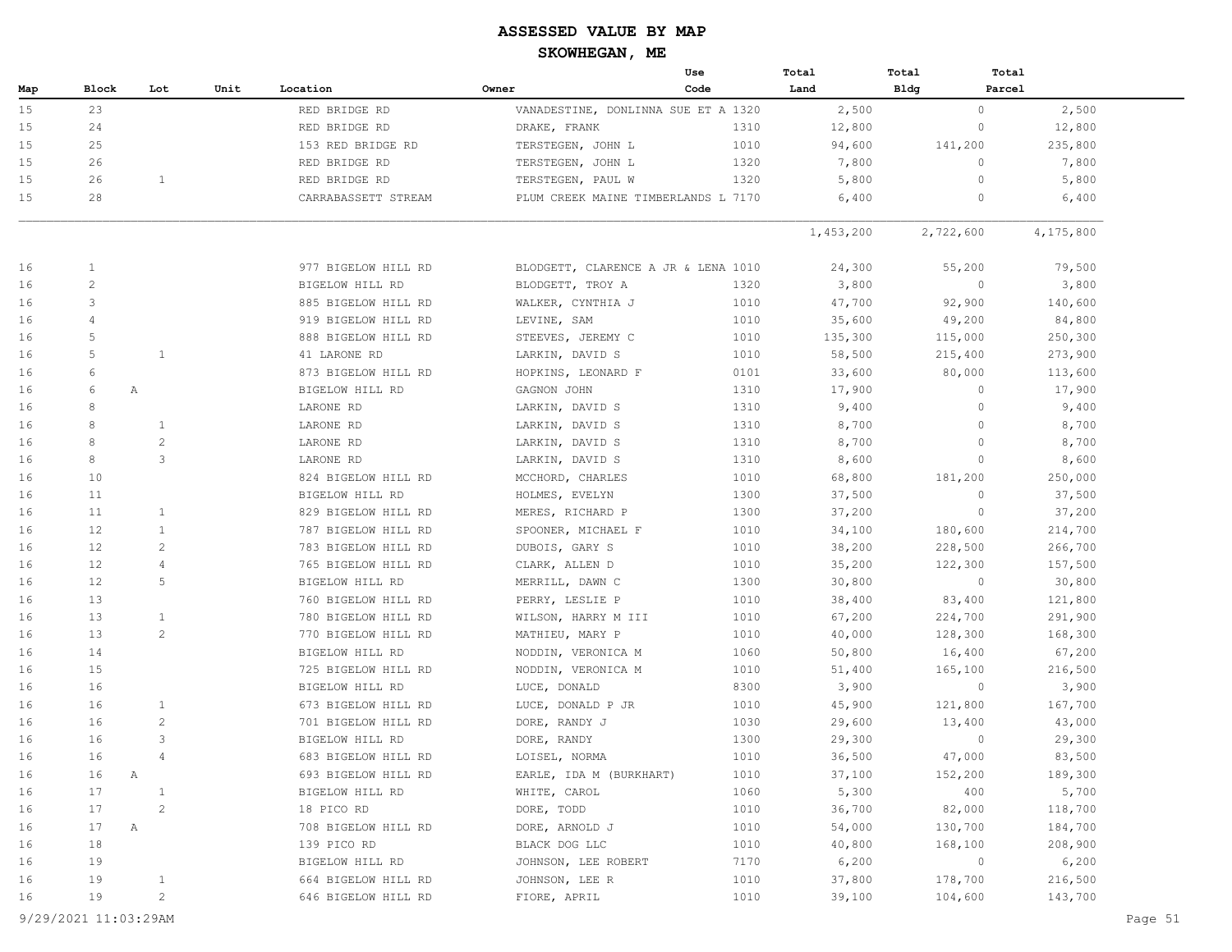|     |                      |                |      |                     |                         | Use                                 | Total     | Total       | Total                  |         |
|-----|----------------------|----------------|------|---------------------|-------------------------|-------------------------------------|-----------|-------------|------------------------|---------|
| Map | Block                | Lot            | Unit | Location            | Owner                   | Code                                | Land      | <b>Bldg</b> | Parcel                 |         |
| 15  | 23                   |                |      | RED BRIDGE RD       |                         | VANADESTINE, DONLINNA SUE ET A 1320 | 2,500     |             | $\circ$<br>2,500       |         |
| 15  | 24                   |                |      | RED BRIDGE RD       | DRAKE, FRANK            | 1310                                | 12,800    |             | $\circ$<br>12,800      |         |
| 15  | 25                   |                |      | 153 RED BRIDGE RD   | TERSTEGEN, JOHN L       | 1010                                | 94,600    | 141,200     | 235,800                |         |
| 15  | 26                   |                |      | RED BRIDGE RD       | TERSTEGEN, JOHN L       | 1320                                | 7,800     |             | $\circ$<br>7,800       |         |
| 15  | 26                   | $\mathbf{1}$   |      | RED BRIDGE RD       | TERSTEGEN, PAUL W       | 1320                                | 5,800     |             | $\circ$<br>5,800       |         |
| 15  | 28                   |                |      | CARRABASSETT STREAM |                         | PLUM CREEK MAINE TIMBERLANDS L 7170 | 6,400     |             | 6,400<br>0             |         |
|     |                      |                |      |                     |                         |                                     | 1,453,200 | 2,722,600   | 4,175,800              |         |
| 16  | $\mathbf{1}$         |                |      | 977 BIGELOW HILL RD |                         | BLODGETT, CLARENCE A JR & LENA 1010 | 24,300    | 55,200      | 79,500                 |         |
| 16  | 2                    |                |      | BIGELOW HILL RD     | BLODGETT, TROY A        | 1320                                | 3,800     |             | $\mathbf{0}$<br>3,800  |         |
| 16  | 3                    |                |      | 885 BIGELOW HILL RD | WALKER, CYNTHIA J       | 1010                                | 47,700    | 92,900      | 140,600                |         |
| 16  | 4                    |                |      | 919 BIGELOW HILL RD | LEVINE, SAM             | 1010                                | 35,600    | 49,200      | 84,800                 |         |
| 16  | 5                    |                |      | 888 BIGELOW HILL RD | STEEVES, JEREMY C       | 1010                                | 135,300   | 115,000     | 250,300                |         |
| 16  | 5                    | $\mathbf{1}$   |      | 41 LARONE RD        | LARKIN, DAVID S         | 1010                                | 58,500    | 215,400     | 273,900                |         |
| 16  | 6                    |                |      | 873 BIGELOW HILL RD | HOPKINS, LEONARD F      | 0101                                | 33,600    | 80,000      | 113,600                |         |
| 16  | 6                    | Α              |      | BIGELOW HILL RD     | GAGNON JOHN             | 1310                                | 17,900    |             | $\circ$<br>17,900      |         |
| 16  | 8                    |                |      | LARONE RD           | LARKIN, DAVID S         | 1310                                | 9,400     |             | $\Omega$<br>9,400      |         |
| 16  | 8                    | 1              |      | LARONE RD           | LARKIN, DAVID S         | 1310                                | 8,700     |             | $\Omega$<br>8,700      |         |
| 16  | 8                    | $\mathbf{2}$   |      | LARONE RD           | LARKIN, DAVID S         | 1310                                | 8,700     |             | 8,700<br>$\mathbf{0}$  |         |
| 16  | 8                    | 3              |      | LARONE RD           | LARKIN, DAVID S         | 1310                                | 8,600     |             | $\circ$<br>8,600       |         |
| 16  | 10                   |                |      | 824 BIGELOW HILL RD | MCCHORD, CHARLES        | 1010                                | 68,800    | 181,200     | 250,000                |         |
| 16  | 11                   |                |      | BIGELOW HILL RD     | HOLMES, EVELYN          | 1300                                | 37,500    |             | 37,500<br>0            |         |
| 16  | 11                   | $\mathbf{1}$   |      | 829 BIGELOW HILL RD | MERES, RICHARD P        | 1300                                | 37,200    |             | $\circ$<br>37,200      |         |
| 16  | 12                   | $\mathbf{1}$   |      | 787 BIGELOW HILL RD | SPOONER, MICHAEL F      | 1010                                | 34,100    | 180,600     | 214,700                |         |
| 16  | 12                   | 2              |      | 783 BIGELOW HILL RD | DUBOIS, GARY S          | 1010                                | 38,200    | 228,500     | 266,700                |         |
| 16  | 12                   | 4              |      | 765 BIGELOW HILL RD | CLARK, ALLEN D          | 1010                                | 35,200    | 122,300     | 157,500                |         |
| 16  | 12 <sup>°</sup>      | 5              |      | BIGELOW HILL RD     | MERRILL, DAWN C         | 1300                                | 30,800    |             | $\mathbf{0}$<br>30,800 |         |
| 16  | 13                   |                |      | 760 BIGELOW HILL RD | PERRY, LESLIE P         | 1010                                | 38,400    | 83,400      | 121,800                |         |
| 16  | 13                   | $\mathbf{1}$   |      | 780 BIGELOW HILL RD | WILSON, HARRY M III     | 1010                                | 67,200    | 224,700     | 291,900                |         |
| 16  | 13                   | 2              |      | 770 BIGELOW HILL RD | MATHIEU, MARY P         | 1010                                | 40,000    | 128,300     | 168,300                |         |
| 16  | 14                   |                |      | BIGELOW HILL RD     | NODDIN, VERONICA M      | 1060                                | 50,800    | 16,400      | 67,200                 |         |
| 16  | 15                   |                |      | 725 BIGELOW HILL RD | NODDIN, VERONICA M      | 1010                                | 51,400    | 165,100     | 216,500                |         |
| 16  | 16                   |                |      | BIGELOW HILL RD     | LUCE, DONALD            | 8300                                | 3,900     |             | 3,900<br>$\circ$       |         |
| 16  | 16                   | $\mathbf{1}$   |      | 673 BIGELOW HILL RD | LUCE, DONALD P JR       | 1010                                | 45,900    | 121,800     | 167,700                |         |
| 16  | 16                   | $\overline{c}$ |      | 701 BIGELOW HILL RD | DORE, RANDY J           | 1030                                | 29,600    | 13,400      | 43,000                 |         |
| 16  | 16                   | 3              |      | BIGELOW HILL RD     | DORE, RANDY             | 1300                                | 29,300    |             | 29,300<br>$\circ$      |         |
| 16  | 16                   | $\overline{4}$ |      | 683 BIGELOW HILL RD | LOISEL, NORMA           | 1010                                | 36,500    | 47,000      | 83,500                 |         |
| 16  | 16                   | Α              |      | 693 BIGELOW HILL RD | EARLE, IDA M (BURKHART) | 1010                                | 37,100    | 152,200     | 189,300                |         |
| 16  | 17                   | $\mathbf{1}$   |      | BIGELOW HILL RD     | WHITE, CAROL            | 1060                                | 5,300     | 400         | 5,700                  |         |
| 16  | 17                   | $\overline{c}$ |      | 18 PICO RD          | DORE, TODD              | 1010                                | 36,700    | 82,000      | 118,700                |         |
| 16  | 17                   | Α              |      | 708 BIGELOW HILL RD | DORE, ARNOLD J          | 1010                                | 54,000    | 130,700     | 184,700                |         |
| 16  | 18                   |                |      | 139 PICO RD         | BLACK DOG LLC           | 1010                                | 40,800    | 168,100     | 208,900                |         |
| 16  | 19                   |                |      | BIGELOW HILL RD     | JOHNSON, LEE ROBERT     | 7170                                | 6,200     |             | 6,200<br>$\circ$       |         |
| 16  | 19                   | $\mathbf{1}$   |      | 664 BIGELOW HILL RD | JOHNSON, LEE R          | 1010                                | 37,800    | 178,700     | 216,500                |         |
| 16  | 19                   | $\overline{c}$ |      | 646 BIGELOW HILL RD | FIORE, APRIL            | 1010                                | 39,100    | 104,600     | 143,700                |         |
|     | 9/29/2021 11:03:29AM |                |      |                     |                         |                                     |           |             |                        | Page 51 |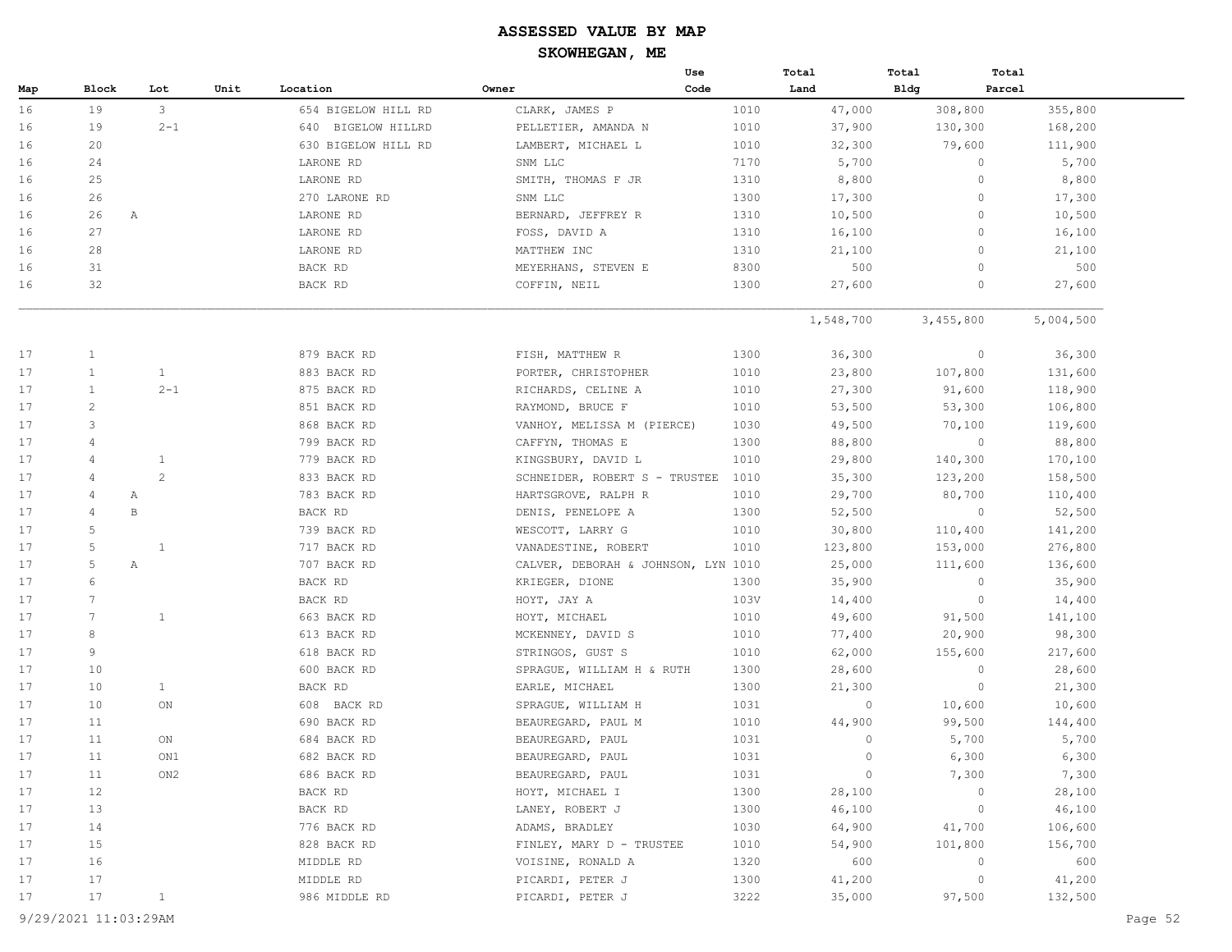|     |                      |               |      |                       |                                     | Use  | Total     | Total        | Total     |  |
|-----|----------------------|---------------|------|-----------------------|-------------------------------------|------|-----------|--------------|-----------|--|
| Map | Block                | Lot           | Unit | Location              | Owner                               | Code | Land      | Bldg         | Parcel    |  |
| 16  | 19                   | $\mathcal{S}$ |      | 654 BIGELOW HILL RD   | CLARK, JAMES P                      | 1010 | 47,000    | 308,800      | 355,800   |  |
| 16  | 19                   | $2 - 1$       |      | BIGELOW HILLRD<br>640 | PELLETIER, AMANDA N                 | 1010 | 37,900    | 130,300      | 168,200   |  |
| 16  | 20                   |               |      | 630 BIGELOW HILL RD   | LAMBERT, MICHAEL L                  | 1010 | 32,300    | 79,600       | 111,900   |  |
| 16  | 24                   |               |      | LARONE RD             | SNM LLC                             | 7170 | 5,700     | $\circ$      | 5,700     |  |
| 16  | 25                   |               |      | LARONE RD             | SMITH, THOMAS F JR                  | 1310 | 8,800     | $\circ$      | 8,800     |  |
| 16  | 26                   |               |      | 270 LARONE RD         | SNM LLC                             | 1300 | 17,300    | 0            | 17,300    |  |
| 16  | 26<br>A              |               |      | LARONE RD             | BERNARD, JEFFREY R                  | 1310 | 10,500    | $\circ$      | 10,500    |  |
| 16  | 27                   |               |      | LARONE RD             | FOSS, DAVID A                       | 1310 | 16,100    | $\circ$      | 16,100    |  |
| 16  | 28                   |               |      | LARONE RD             | MATTHEW INC                         | 1310 | 21,100    | $\mathbf{0}$ | 21,100    |  |
| 16  | 31                   |               |      | BACK RD               | MEYERHANS, STEVEN E                 | 8300 | 500       | $\circ$      | 500       |  |
| 16  | 32                   |               |      | BACK RD               | COFFIN, NEIL                        | 1300 | 27,600    | $\mathbf{0}$ | 27,600    |  |
|     |                      |               |      |                       |                                     |      | 1,548,700 | 3,455,800    | 5,004,500 |  |
| 17  | $\mathbf{1}$         |               |      | 879 BACK RD           | FISH, MATTHEW R                     | 1300 | 36,300    | $\circ$      | 36,300    |  |
| 17  | $\mathbf{1}$         | $\mathbf{1}$  |      | 883 BACK RD           | PORTER, CHRISTOPHER                 | 1010 | 23,800    | 107,800      | 131,600   |  |
| 17  | $\mathbf{1}$         | $2 - 1$       |      | 875 BACK RD           | RICHARDS, CELINE A                  | 1010 | 27,300    | 91,600       | 118,900   |  |
| 17  | $\overline{c}$       |               |      | 851 BACK RD           | RAYMOND, BRUCE F                    | 1010 | 53,500    | 53,300       | 106,800   |  |
| 17  | 3                    |               |      | 868 BACK RD           | VANHOY, MELISSA M (PIERCE)          | 1030 | 49,500    | 70,100       | 119,600   |  |
| 17  | $\overline{4}$       |               |      | 799 BACK RD           | CAFFYN, THOMAS E                    | 1300 | 88,800    | $\circ$      | 88,800    |  |
| 17  | 4                    | $\mathbf{1}$  |      | 779 BACK RD           | KINGSBURY, DAVID L                  | 1010 | 29,800    | 140,300      | 170,100   |  |
| 17  | $\overline{4}$       | 2             |      | 833 BACK RD           | SCHNEIDER, ROBERT S - TRUSTEE       | 1010 | 35,300    | 123,200      | 158,500   |  |
| 17  | 4<br>Α               |               |      | 783 BACK RD           | HARTSGROVE, RALPH R                 | 1010 | 29,700    | 80,700       | 110,400   |  |
| 17  | $\, {\bf B}$<br>4    |               |      | BACK RD               | DENIS, PENELOPE A                   | 1300 | 52,500    | $\circ$      | 52,500    |  |
| 17  | 5                    |               |      | 739 BACK RD           | WESCOTT, LARRY G                    | 1010 | 30,800    | 110,400      | 141,200   |  |
| 17  | 5                    | $\mathbf{1}$  |      | 717 BACK RD           | VANADESTINE, ROBERT                 | 1010 | 123,800   | 153,000      | 276,800   |  |
| 17  | 5<br>Α               |               |      | 707 BACK RD           | CALVER, DEBORAH & JOHNSON, LYN 1010 |      | 25,000    | 111,600      | 136,600   |  |
| 17  | 6                    |               |      | BACK RD               | KRIEGER, DIONE                      | 1300 | 35,900    | $\circ$      | 35,900    |  |
| 17  | 7                    |               |      | BACK RD               | HOYT, JAY A                         | 103V | 14,400    | $\circ$      | 14,400    |  |
| 17  | 7                    | $\mathbf{1}$  |      | 663 BACK RD           | HOYT, MICHAEL                       | 1010 | 49,600    | 91,500       | 141,100   |  |
| 17  | $\,8\,$              |               |      | 613 BACK RD           | MCKENNEY, DAVID S                   | 1010 | 77,400    | 20,900       | 98,300    |  |
| 17  | 9                    |               |      | 618 BACK RD           | STRINGOS, GUST S                    | 1010 | 62,000    | 155,600      | 217,600   |  |
| 17  | 10                   |               |      | 600 BACK RD           | SPRAGUE, WILLIAM H & RUTH           | 1300 | 28,600    | $\circ$      | 28,600    |  |
| 17  | 10                   | $\mathbf{1}$  |      | BACK RD               | EARLE, MICHAEL                      | 1300 | 21,300    | $\circ$      | 21,300    |  |
| 17  | 10                   | ON            |      | 608 BACK RD           | SPRAGUE, WILLIAM H                  | 1031 | $\circ$   | 10,600       | 10,600    |  |
| 17  | 11                   |               |      | 690 BACK RD           | BEAUREGARD, PAUL M                  | 1010 | 44,900    | 99,500       | 144,400   |  |
| 17  | 11                   | ON            |      | 684 BACK RD           | BEAUREGARD, PAUL                    | 1031 | $\circ$   | 5,700        | 5,700     |  |
| 17  | 11                   | ON1           |      | 682 BACK RD           | BEAUREGARD, PAUL                    | 1031 | $\circ$   | 6,300        | 6,300     |  |
| 17  | 11                   | ON2           |      | 686 BACK RD           | BEAUREGARD, PAUL                    | 1031 | $\circ$   | 7,300        | 7,300     |  |
| 17  | 12                   |               |      | BACK RD               | HOYT, MICHAEL I                     | 1300 | 28,100    | 0            | 28,100    |  |
| 17  | 13                   |               |      | BACK RD               | LANEY, ROBERT J                     | 1300 | 46,100    | $\circ$      | 46,100    |  |
| 17  | 14                   |               |      | 776 BACK RD           | ADAMS, BRADLEY                      | 1030 | 64,900    | 41,700       | 106,600   |  |
| 17  | 15                   |               |      | 828 BACK RD           | FINLEY, MARY D - TRUSTEE            | 1010 | 54,900    | 101,800      | 156,700   |  |
| 17  | 16                   |               |      | MIDDLE RD             | VOISINE, RONALD A                   | 1320 | 600       | 0            | 600       |  |
| 17  | 17                   |               |      | MIDDLE RD             | PICARDI, PETER J                    | 1300 | 41,200    | $\circ$      | 41,200    |  |
| 17  | 17                   | $\mathbf{1}$  |      | 986 MIDDLE RD         | PICARDI, PETER J                    | 3222 | 35,000    | 97,500       | 132,500   |  |
|     | 9/29/2021 11:03:29AM |               |      |                       |                                     |      |           |              | Page 52   |  |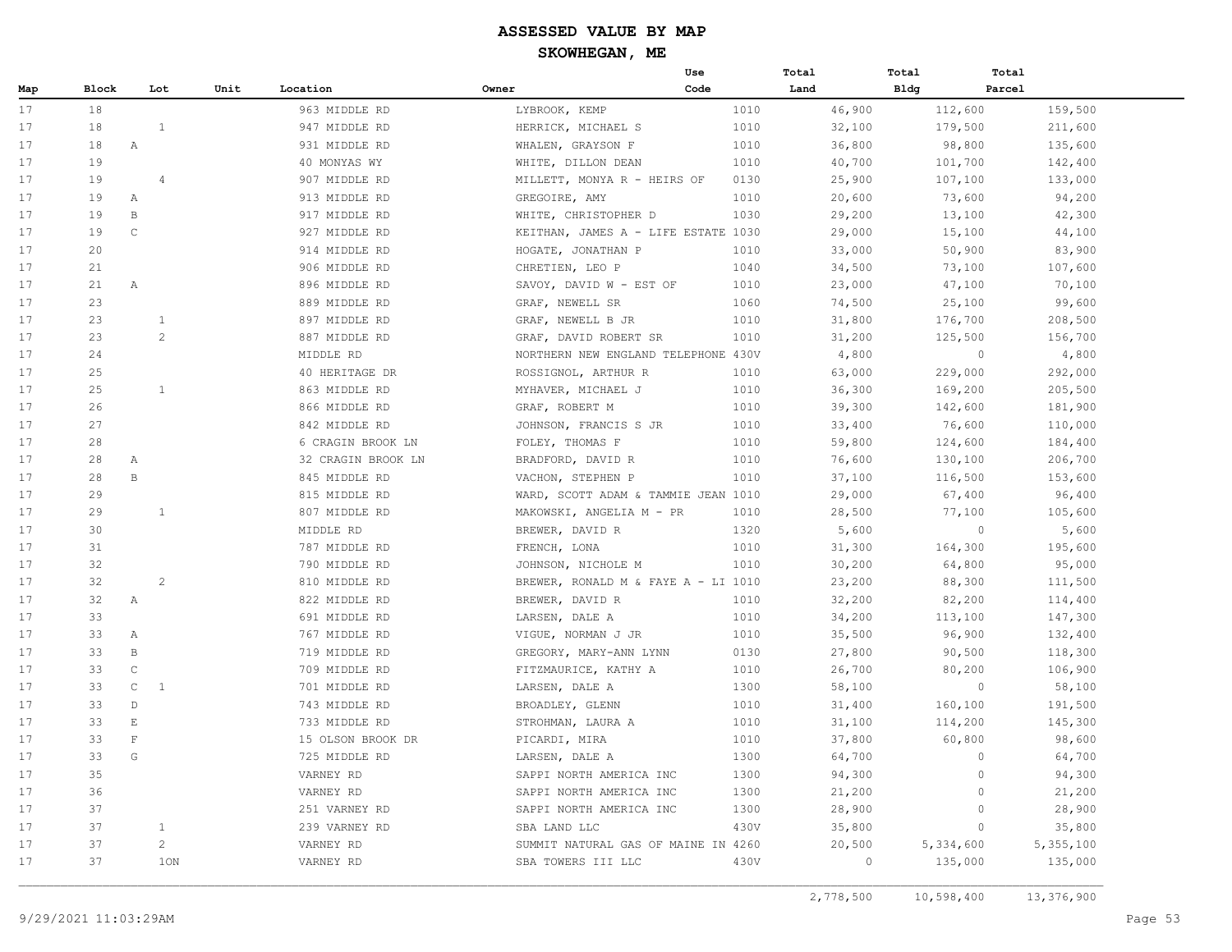|     |       |              |                |                    |                                     | Use  | Total   | Total       | Total              |
|-----|-------|--------------|----------------|--------------------|-------------------------------------|------|---------|-------------|--------------------|
| Map | Block |              | Unit<br>Lot    | Location           | Owner                               | Code | Land    | <b>Bldg</b> | Parcel             |
| 17  | 18    |              |                | 963 MIDDLE RD      | LYBROOK, KEMP                       | 1010 | 46,900  | 112,600     | 159,500            |
| 17  | 18    |              | <sup>1</sup>   | 947 MIDDLE RD      | HERRICK, MICHAEL S                  | 1010 | 32,100  | 179,500     | 211,600            |
| 17  | 18    | $\mathbb{A}$ |                | 931 MIDDLE RD      | WHALEN, GRAYSON F                   | 1010 | 36,800  | 98,800      | 135,600            |
| 17  | 19    |              |                | 40 MONYAS WY       | WHITE, DILLON DEAN                  | 1010 | 40,700  | 101,700     | 142,400            |
| 17  | 19    |              | $\overline{4}$ | 907 MIDDLE RD      | MILLETT, MONYA R - HEIRS OF         | 0130 | 25,900  | 107,100     | 133,000            |
| 17  | 19    | Α            |                | 913 MIDDLE RD      | GREGOIRE, AMY                       | 1010 | 20,600  | 73,600      | 94,200             |
| 17  | 19    | $\, {\bf B}$ |                | 917 MIDDLE RD      | WHITE, CHRISTOPHER D                | 1030 | 29,200  | 13,100      | 42,300             |
| 17  | 19    | $\mathsf{C}$ |                | 927 MIDDLE RD      | KEITHAN, JAMES A - LIFE ESTATE 1030 |      | 29,000  | 15,100      | 44,100             |
| 17  | 20    |              |                | 914 MIDDLE RD      | HOGATE, JONATHAN P                  | 1010 | 33,000  | 50,900      | 83,900             |
| 17  | 21    |              |                | 906 MIDDLE RD      | CHRETIEN, LEO P                     | 1040 | 34,500  | 73,100      | 107,600            |
| 17  | 21    | $\mathbb{A}$ |                | 896 MIDDLE RD      | SAVOY, DAVID W - EST OF             | 1010 | 23,000  | 47,100      | 70,100             |
| 17  | 23    |              |                | 889 MIDDLE RD      | GRAF, NEWELL SR                     | 1060 | 74,500  | 25,100      | 99,600             |
| 17  | 2.3   |              | $\overline{1}$ | 897 MIDDLE RD      | GRAF, NEWELL B JR                   | 1010 | 31,800  | 176,700     | 208,500            |
| 17  | 23    |              | $\overline{2}$ | 887 MIDDLE RD      | GRAF, DAVID ROBERT SR               | 1010 | 31,200  | 125,500     | 156,700            |
| 17  | 24    |              |                | MIDDLE RD          | NORTHERN NEW ENGLAND TELEPHONE 430V |      | 4,800   |             | 4,800<br>$\circ$   |
| 17  | 25    |              |                | 40 HERITAGE DR     | ROSSIGNOL, ARTHUR R                 | 1010 | 63,000  | 229,000     | 292,000            |
| 17  | 25    |              | 1              | 863 MIDDLE RD      | MYHAVER, MICHAEL J                  | 1010 | 36,300  | 169,200     | 205,500            |
| 17  | 26    |              |                | 866 MIDDLE RD      | GRAF, ROBERT M                      | 1010 | 39,300  | 142,600     | 181,900            |
| 17  | 27    |              |                | 842 MIDDLE RD      | JOHNSON, FRANCIS S JR               | 1010 | 33,400  | 76,600      | 110,000            |
| 17  | 28    |              |                | 6 CRAGIN BROOK LN  | FOLEY, THOMAS F                     | 1010 | 59,800  | 124,600     | 184,400            |
| 17  | 28    | $\mathbb{A}$ |                | 32 CRAGIN BROOK LN | BRADFORD, DAVID R                   | 1010 | 76,600  | 130,100     | 206,700            |
| 17  | 28    | $\, {\bf B}$ |                | 845 MIDDLE RD      | VACHON, STEPHEN P                   | 1010 | 37,100  | 116,500     | 153,600            |
| 17  | 29    |              |                | 815 MIDDLE RD      | WARD, SCOTT ADAM & TAMMIE JEAN 1010 |      | 29,000  | 67,400      | 96,400             |
| 17  | 29    |              | $\overline{1}$ | 807 MIDDLE RD      | MAKOWSKI, ANGELIA M - PR            | 1010 | 28,500  | 77,100      | 105,600            |
| 17  | 30    |              |                | MIDDLE RD          | BREWER, DAVID R                     | 1320 | 5,600   |             | $\circ$<br>5,600   |
| 17  | 31    |              |                | 787 MIDDLE RD      | FRENCH, LONA                        | 1010 | 31,300  | 164,300     | 195,600            |
| 17  | 32    |              |                | 790 MIDDLE RD      | JOHNSON, NICHOLE M                  | 1010 | 30,200  | 64,800      | 95,000             |
| 17  | 32    |              | $\overline{2}$ | 810 MIDDLE RD      | BREWER, RONALD M & FAYE A - LI 1010 |      | 23,200  | 88,300      | 111,500            |
| 17  | 32    | $\mathbb{A}$ |                | 822 MIDDLE RD      | BREWER, DAVID R                     | 1010 | 32,200  | 82,200      | 114,400            |
| 17  | 33    |              |                | 691 MIDDLE RD      | LARSEN, DALE A                      | 1010 | 34,200  | 113,100     | 147,300            |
| 17  | 33    | $\mathbb{A}$ |                | 767 MIDDLE RD      | VIGUE, NORMAN J JR                  | 1010 | 35,500  | 96,900      | 132,400            |
| 17  | 33    | $\mathsf{B}$ |                | 719 MIDDLE RD      | GREGORY, MARY-ANN LYNN              | 0130 | 27,800  | 90,500      | 118,300            |
| 17  | 33    | $\mathsf C$  |                | 709 MIDDLE RD      | FITZMAURICE, KATHY A                | 1010 | 26,700  | 80,200      | 106,900            |
| 17  | 33    | $\mathsf{C}$ | 1              | 701 MIDDLE RD      | LARSEN, DALE A                      | 1300 | 58,100  |             | $\circ$<br>58,100  |
| 17  | 33    | $\mathbb{D}$ |                | 743 MIDDLE RD      | BROADLEY, GLENN                     | 1010 | 31,400  | 160,100     | 191,500            |
| 17  | 33    | $\mathbf E$  |                | 733 MIDDLE RD      | STROHMAN, LAURA A                   | 1010 | 31,100  | 114,200     | 145,300            |
| 17  | 33    | $\mathbf F$  |                | 15 OLSON BROOK DR  | PICARDI, MIRA                       | 1010 | 37,800  | 60,800      | 98,600             |
| 17  | 33    | G            |                | 725 MIDDLE RD      | LARSEN, DALE A                      | 1300 | 64,700  |             | $\circ$<br>64,700  |
| 17  | 35    |              |                | VARNEY RD          | SAPPI NORTH AMERICA INC             | 1300 | 94,300  |             | $\circ$<br>94,300  |
| 17  | 36    |              |                | VARNEY RD          | SAPPI NORTH AMERICA INC             | 1300 | 21,200  |             | $\Omega$<br>21,200 |
| 17  | 37    |              |                | 251 VARNEY RD      | SAPPI NORTH AMERICA INC             | 1300 | 28,900  |             | 28,900<br>$\Omega$ |
| 17  | 37    |              | 1              | 239 VARNEY RD      | SBA LAND LLC                        | 430V | 35,800  |             | $\circ$<br>35,800  |
| 17  | 37    |              | $\overline{2}$ | VARNEY RD          | SUMMIT NATURAL GAS OF MAINE IN 4260 |      | 20,500  | 5,334,600   | 5,355,100          |
| 17  | 37    |              | 1ON            | VARNEY RD          | SBA TOWERS III LLC                  | 430V | $\circ$ | 135,000     | 135,000            |
|     |       |              |                |                    |                                     |      |         |             |                    |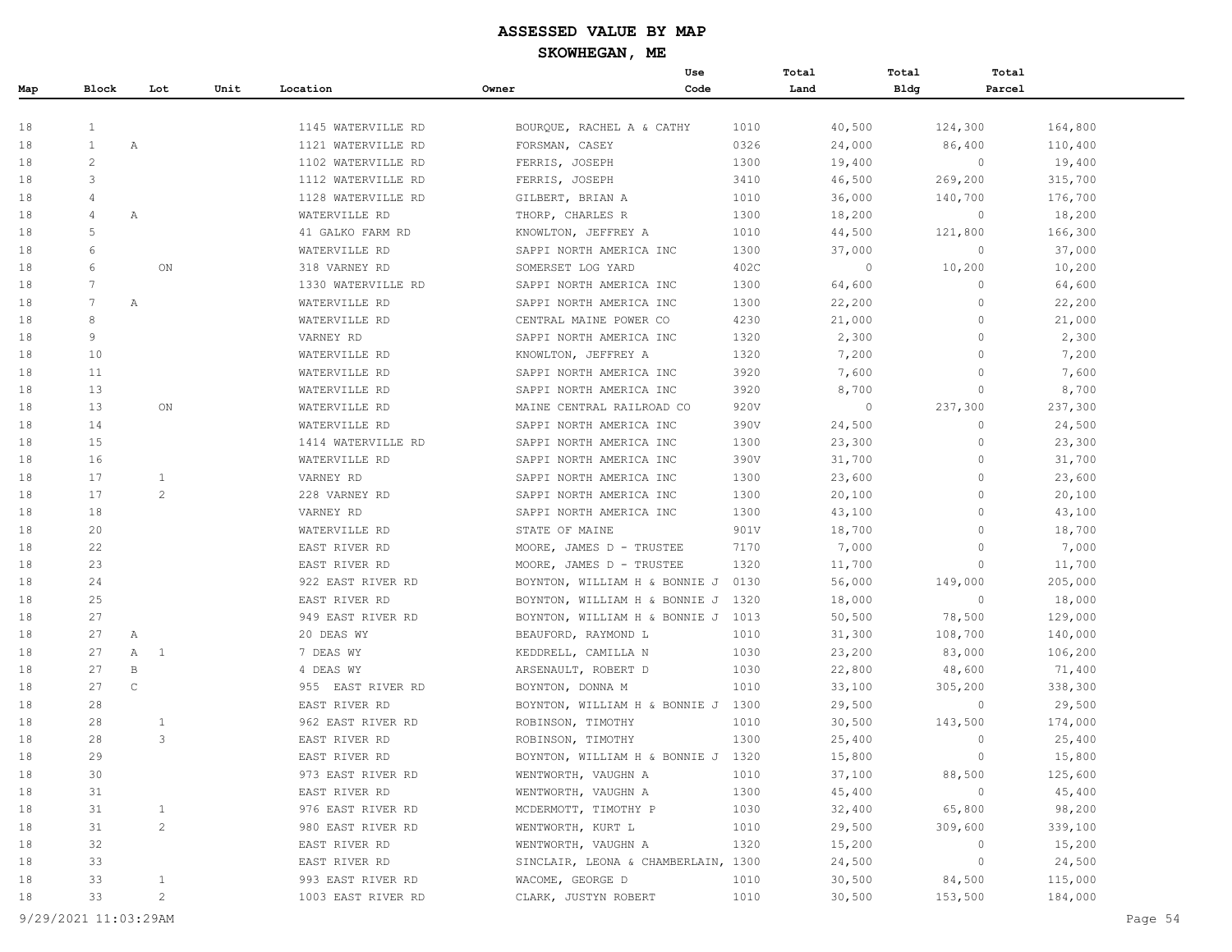|     |                |                |      |                    |                                     | Use  | Total   | Total       | Total          |         |
|-----|----------------|----------------|------|--------------------|-------------------------------------|------|---------|-------------|----------------|---------|
| Map | Block          | Lot            | Unit | Location           | Owner                               | Code | Land    | <b>Bldg</b> | Parcel         |         |
|     |                |                |      |                    |                                     |      |         |             |                |         |
| 18  | $\mathbf{1}$   |                |      | 1145 WATERVILLE RD | BOURQUE, RACHEL A & CATHY           | 1010 | 40,500  | 124,300     |                | 164,800 |
| 18  | $\mathbf{1}$   | Α              |      | 1121 WATERVILLE RD | FORSMAN, CASEY                      | 0326 | 24,000  | 86,400      |                | 110,400 |
| 18  | $\overline{c}$ |                |      | 1102 WATERVILLE RD | FERRIS, JOSEPH                      | 1300 | 19,400  |             | $\circ$        | 19,400  |
| 18  | 3              |                |      | 1112 WATERVILLE RD | FERRIS, JOSEPH                      | 3410 | 46,500  | 269,200     |                | 315,700 |
| 18  | 4              |                |      | 1128 WATERVILLE RD | GILBERT, BRIAN A                    | 1010 | 36,000  | 140,700     |                | 176,700 |
| 18  | 4              | Α              |      | WATERVILLE RD      | THORP, CHARLES R                    | 1300 | 18,200  |             | $\circ$        | 18,200  |
| 18  | 5              |                |      | 41 GALKO FARM RD   | KNOWLTON, JEFFREY A                 | 1010 | 44,500  | 121,800     |                | 166,300 |
| 18  | 6              |                |      | WATERVILLE RD      | SAPPI NORTH AMERICA INC             | 1300 | 37,000  |             | $\circ$        | 37,000  |
| 18  | 6              | ON             |      | 318 VARNEY RD      | SOMERSET LOG YARD                   | 402C | 0       | 10,200      |                | 10,200  |
| 18  | 7              |                |      | 1330 WATERVILLE RD | SAPPI NORTH AMERICA INC             | 1300 | 64,600  |             | $\circ$        | 64,600  |
| 18  | 7              | Α              |      | WATERVILLE RD      | SAPPI NORTH AMERICA INC             | 1300 | 22,200  |             | $\Omega$       | 22,200  |
| 18  | 8              |                |      | WATERVILLE RD      | CENTRAL MAINE POWER CO              | 4230 | 21,000  |             | $\circ$        | 21,000  |
| 18  | 9              |                |      | VARNEY RD          | SAPPI NORTH AMERICA INC             | 1320 | 2,300   |             | $\circ$        | 2,300   |
| 18  | 10             |                |      | WATERVILLE RD      | KNOWLTON, JEFFREY A                 | 1320 | 7,200   |             | $\circ$        | 7,200   |
| 18  | 11             |                |      | WATERVILLE RD      | SAPPI NORTH AMERICA INC             | 3920 | 7,600   |             | $\mathbf{0}$   | 7,600   |
| 18  | 13             |                |      | WATERVILLE RD      | SAPPI NORTH AMERICA INC             | 3920 | 8,700   |             | $\circ$        | 8,700   |
| 18  | 13             | ON             |      | WATERVILLE RD      | MAINE CENTRAL RAILROAD CO           | 920V | $\circ$ | 237,300     |                | 237,300 |
| 18  | 14             |                |      | WATERVILLE RD      | SAPPI NORTH AMERICA INC             | 390V | 24,500  |             | $\circ$        | 24,500  |
| 18  | 15             |                |      | 1414 WATERVILLE RD | SAPPI NORTH AMERICA INC             | 1300 | 23,300  |             | $\Omega$       | 23,300  |
| 18  | 16             |                |      | WATERVILLE RD      | SAPPI NORTH AMERICA INC             | 390V | 31,700  |             | $\mathbf{0}$   | 31,700  |
| 18  | 17             | $\mathbf{1}$   |      | VARNEY RD          | SAPPI NORTH AMERICA INC             | 1300 | 23,600  |             | $\mathbf{0}$   | 23,600  |
| 18  | 17             | $\overline{2}$ |      | 228 VARNEY RD      | SAPPI NORTH AMERICA INC             | 1300 | 20,100  |             | $\circ$        | 20,100  |
| 18  | 18             |                |      | VARNEY RD          | SAPPI NORTH AMERICA INC             | 1300 | 43,100  |             | $\mathbf{0}$   | 43,100  |
| 18  | 20             |                |      | WATERVILLE RD      | STATE OF MAINE                      | 901V | 18,700  |             | $\circ$        | 18,700  |
| 18  | 22             |                |      | EAST RIVER RD      | MOORE, JAMES D - TRUSTEE            | 7170 | 7,000   |             | $\Omega$       | 7,000   |
| 18  | 23             |                |      | EAST RIVER RD      | MOORE, JAMES D - TRUSTEE            | 1320 | 11,700  |             | $\mathbf{0}$   | 11,700  |
| 18  | 24             |                |      | 922 EAST RIVER RD  | BOYNTON, WILLIAM H & BONNIE J       | 0130 | 56,000  | 149,000     |                | 205,000 |
| 18  | 25             |                |      | EAST RIVER RD      | BOYNTON, WILLIAM H & BONNIE J       | 1320 | 18,000  |             | $\overline{0}$ | 18,000  |
| 18  | 27             |                |      | 949 EAST RIVER RD  | BOYNTON, WILLIAM H & BONNIE J 1013  |      | 50,500  | 78,500      |                | 129,000 |
| 18  | 27             | Α              |      | 20 DEAS WY         | BEAUFORD, RAYMOND L                 | 1010 | 31,300  | 108,700     |                | 140,000 |
| 18  | 27             | 1<br>Α         |      | 7 DEAS WY          | KEDDRELL, CAMILLA N                 | 1030 | 23,200  | 83,000      |                | 106,200 |
| 18  | 27             | $\, {\bf B}$   |      | 4 DEAS WY          | ARSENAULT, ROBERT D                 | 1030 | 22,800  | 48,600      |                | 71,400  |
| 18  | 27             | $\mathsf{C}$   |      | 955 EAST RIVER RD  | BOYNTON, DONNA M                    | 1010 | 33,100  | 305,200     |                | 338,300 |
| 18  | 28             |                |      | EAST RIVER RD      | BOYNTON, WILLIAM H & BONNIE J       | 1300 | 29,500  |             | $\circ$        | 29,500  |
| 18  | 28             | $\mathbf{1}$   |      | 962 EAST RIVER RD  | ROBINSON, TIMOTHY                   | 1010 | 30,500  | 143,500     |                | 174,000 |
| 18  | 28             | 3              |      | EAST RIVER RD      | ROBINSON, TIMOTHY                   | 1300 | 25,400  |             | $\circ$        | 25,400  |
| 18  | 29             |                |      | EAST RIVER RD      | BOYNTON, WILLIAM H & BONNIE J       | 1320 | 15,800  |             | $\Omega$       | 15,800  |
| 18  | 30             |                |      | 973 EAST RIVER RD  | WENTWORTH, VAUGHN A                 | 1010 | 37,100  | 88,500      |                | 125,600 |
| 18  | 31             |                |      | EAST RIVER RD      | WENTWORTH, VAUGHN A                 | 1300 | 45,400  |             | $\circ$        | 45,400  |
| 18  | 31             | $\mathbf{1}$   |      | 976 EAST RIVER RD  | MCDERMOTT, TIMOTHY P                | 1030 | 32,400  | 65,800      |                | 98,200  |
| 18  | 31             | $\overline{c}$ |      | 980 EAST RIVER RD  | WENTWORTH, KURT L                   | 1010 | 29,500  | 309,600     |                | 339,100 |
| 18  | 32             |                |      | EAST RIVER RD      | WENTWORTH, VAUGHN A                 | 1320 | 15,200  |             | $\circ$        | 15,200  |
| 18  | 33             |                |      | EAST RIVER RD      | SINCLAIR, LEONA & CHAMBERLAIN, 1300 |      | 24,500  |             | $\circ$        | 24,500  |
| 18  | 33             | $\mathbf{1}$   |      | 993 EAST RIVER RD  | WACOME, GEORGE D                    | 1010 | 30,500  | 84,500      |                | 115,000 |
| 18  | 33             | $\overline{c}$ |      | 1003 EAST RIVER RD | CLARK, JUSTYN ROBERT                | 1010 | 30,500  | 153,500     |                | 184,000 |

9/29/2021 11:03:29AM Page 54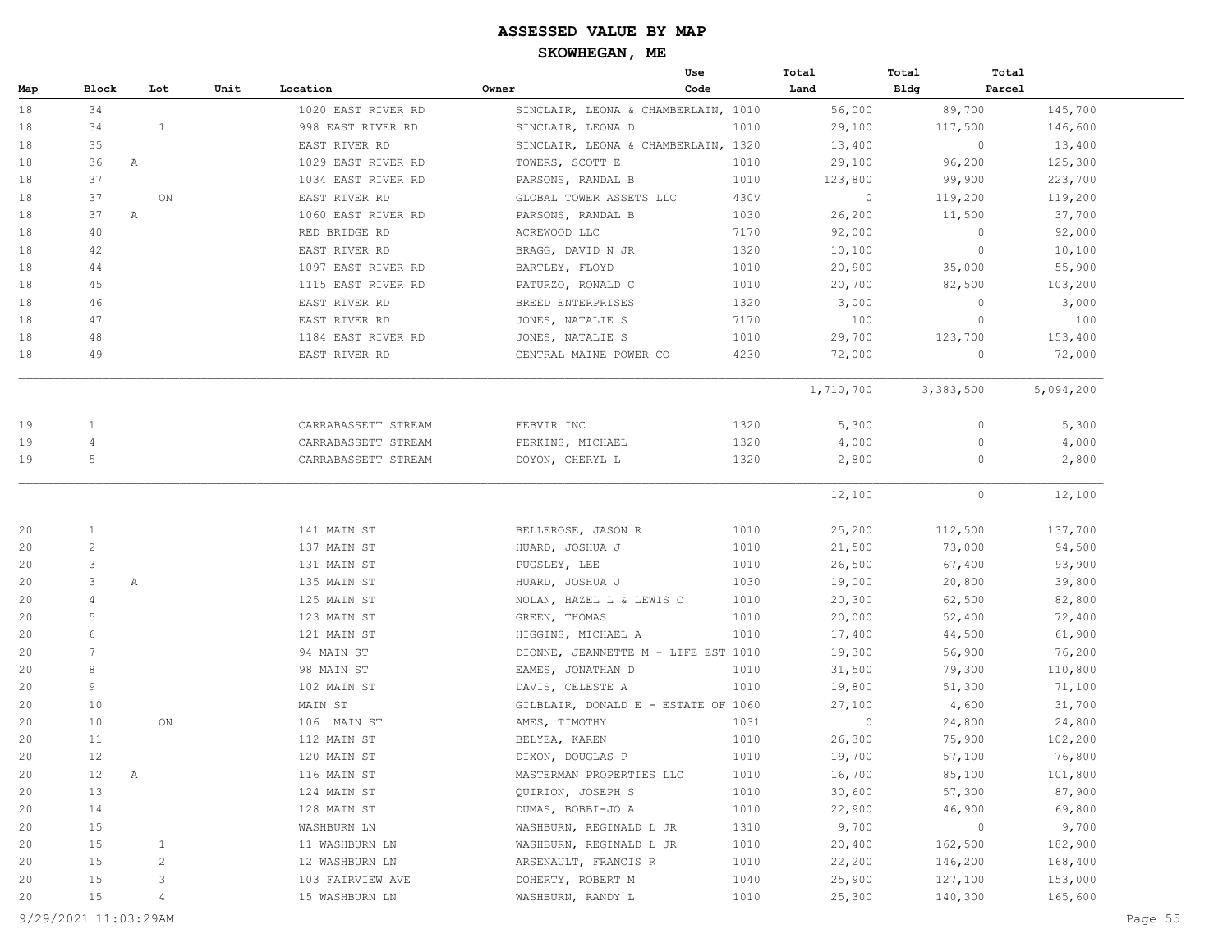|     |                    |                |      |                     |                                     | Use  | Total     | Total          | Total             |
|-----|--------------------|----------------|------|---------------------|-------------------------------------|------|-----------|----------------|-------------------|
| Map | Block              | Lot            | Unit | Location            | Owner                               | Code | Land      | <b>Bldg</b>    | Parcel            |
| 18  | 34                 |                |      | 1020 EAST RIVER RD  | SINCLAIR, LEONA & CHAMBERLAIN, 1010 |      | 56,000    | 89,700         | 145,700           |
| 18  | 34                 | $\mathbf{1}$   |      | 998 EAST RIVER RD   | SINCLAIR, LEONA D                   | 1010 | 29,100    | 117,500        | 146,600           |
| 18  | 35                 |                |      | EAST RIVER RD       | SINCLAIR, LEONA & CHAMBERLAIN, 1320 |      | 13,400    | $\overline{0}$ | 13,400            |
| 18  | 36                 | $\mathbb{A}$   |      | 1029 EAST RIVER RD  | TOWERS, SCOTT E                     | 1010 | 29,100    | 96,200         | 125,300           |
| 18  | 37                 |                |      | 1034 EAST RIVER RD  | PARSONS, RANDAL B                   | 1010 | 123,800   | 99,900         | 223,700           |
| 18  | 37                 | ON             |      | EAST RIVER RD       | GLOBAL TOWER ASSETS LLC             | 430V | $\circ$   | 119,200        | 119,200           |
| 18  | 37<br>A            |                |      | 1060 EAST RIVER RD  | PARSONS, RANDAL B                   | 1030 | 26,200    | 11,500         | 37,700            |
| 18  | 40                 |                |      | RED BRIDGE RD       | ACREWOOD LLC                        | 7170 | 92,000    | $\circ$        | 92,000            |
| 18  | 42                 |                |      | EAST RIVER RD       | BRAGG, DAVID N JR                   | 1320 | 10,100    |                | 10,100<br>$\circ$ |
| 18  | 44                 |                |      | 1097 EAST RIVER RD  | BARTLEY, FLOYD                      | 1010 | 20,900    | 35,000         | 55,900            |
| 18  | 45                 |                |      | 1115 EAST RIVER RD  | PATURZO, RONALD C                   | 1010 | 20,700    | 82,500         | 103,200           |
| 18  | 46                 |                |      | EAST RIVER RD       | BREED ENTERPRISES                   | 1320 | 3,000     | $\circ$        | 3,000             |
| 18  | 47                 |                |      | EAST RIVER RD       | JONES, NATALIE S                    | 7170 | 100       | $\circ$        | 100               |
| 18  | 48                 |                |      | 1184 EAST RIVER RD  | JONES, NATALIE S                    | 1010 | 29,700    | 123,700        | 153,400           |
| 18  | 49                 |                |      | EAST RIVER RD       | CENTRAL MAINE POWER CO              | 4230 | 72,000    | $\circ$        | 72,000            |
|     |                    |                |      |                     |                                     |      | 1,710,700 | 3,383,500      | 5,094,200         |
| 19  | $\mathbf{1}$       |                |      | CARRABASSETT STREAM | FEBVIR INC                          | 1320 | 5,300     |                | 5,300<br>0        |
| 19  | 4                  |                |      | CARRABASSETT STREAM | PERKINS, MICHAEL                    | 1320 | 4,000     |                | 4,000<br>0        |
| 19  | 5                  |                |      | CARRABASSETT STREAM | DOYON, CHERYL L                     | 1320 | 2,800     |                | 2,800<br>0        |
|     |                    |                |      |                     |                                     |      | 12,100    |                | $\circ$<br>12,100 |
| 20  | $\mathbf{1}$       |                |      | 141 MAIN ST         | BELLEROSE, JASON R                  | 1010 | 25,200    | 112,500        | 137,700           |
| 20  | $\overline{c}$     |                |      | 137 MAIN ST         | HUARD, JOSHUA J                     | 1010 | 21,500    | 73,000         | 94,500            |
| 20  | 3                  |                |      | 131 MAIN ST         | PUGSLEY, LEE                        | 1010 | 26,500    | 67,400         | 93,900            |
| 20  | 3                  | А              |      | 135 MAIN ST         | HUARD, JOSHUA J                     | 1030 | 19,000    | 20,800         | 39,800            |
| 20  | $\overline{4}$     |                |      | 125 MAIN ST         | NOLAN, HAZEL L & LEWIS C            | 1010 | 20,300    | 62,500         | 82,800            |
| 20  | $\overline{5}$     |                |      | 123 MAIN ST         | GREEN, THOMAS                       | 1010 | 20,000    | 52,400         | 72,400            |
| 20  | 6                  |                |      | 121 MAIN ST         | HIGGINS, MICHAEL A                  | 1010 | 17,400    | 44,500         | 61,900            |
| 20  | $7\phantom{.0}$    |                |      | 94 MAIN ST          | DIONNE, JEANNETTE M - LIFE EST 1010 |      | 19,300    | 56,900         | 76,200            |
| 20  | 8                  |                |      | 98 MAIN ST          | EAMES, JONATHAN D                   | 1010 | 31,500    | 79,300         | 110,800           |
| 20  | 9                  |                |      | 102 MAIN ST         | DAVIS, CELESTE A                    | 1010 | 19,800    | 51,300         | 71,100            |
| 20  | 10                 |                |      | MAIN ST             | GILBLAIR, DONALD E - ESTATE OF 1060 |      | 27,100    | 4,600          | 31,700            |
| 20  | 10                 | ON             |      | 106 MAIN ST         | AMES, TIMOTHY                       | 1031 | $\circ$   | 24,800         | 24,800            |
| 20  | 11                 |                |      | 112 MAIN ST         | BELYEA, KAREN                       | 1010 | 26,300    | 75,900         | 102,200           |
| 20  | 12                 |                |      | 120 MAIN ST         | DIXON, DOUGLAS P                    | 1010 | 19,700    | 57,100         | 76,800            |
| 20  | 12<br>$\mathbb{A}$ |                |      | 116 MAIN ST         | MASTERMAN PROPERTIES LLC            | 1010 | 16,700    | 85,100         | 101,800           |
| 20  | 13                 |                |      | 124 MAIN ST         | QUIRION, JOSEPH S                   | 1010 | 30,600    | 57,300         | 87,900            |
| 20  | 14                 |                |      | 128 MAIN ST         | DUMAS, BOBBI-JO A                   | 1010 | 22,900    | 46,900         | 69,800            |
| 20  | 15                 |                |      | WASHBURN LN         | WASHBURN, REGINALD L JR             | 1310 | 9,700     | $\circ$        | 9,700             |
| 20  | 15                 | 1              |      | 11 WASHBURN LN      | WASHBURN, REGINALD L JR             | 1010 | 20,400    | 162,500        | 182,900           |
| 20  | 15                 | $\overline{c}$ |      | 12 WASHBURN LN      | ARSENAULT, FRANCIS R                | 1010 | 22,200    | 146,200        | 168,400           |
| 20  | 15                 | 3              |      | 103 FAIRVIEW AVE    | DOHERTY, ROBERT M                   | 1040 | 25,900    | 127,100        | 153,000           |
| 20  | 15                 | 4              |      | 15 WASHBURN LN      | WASHBURN, RANDY L                   | 1010 | 25,300    | 140,300        | 165,600           |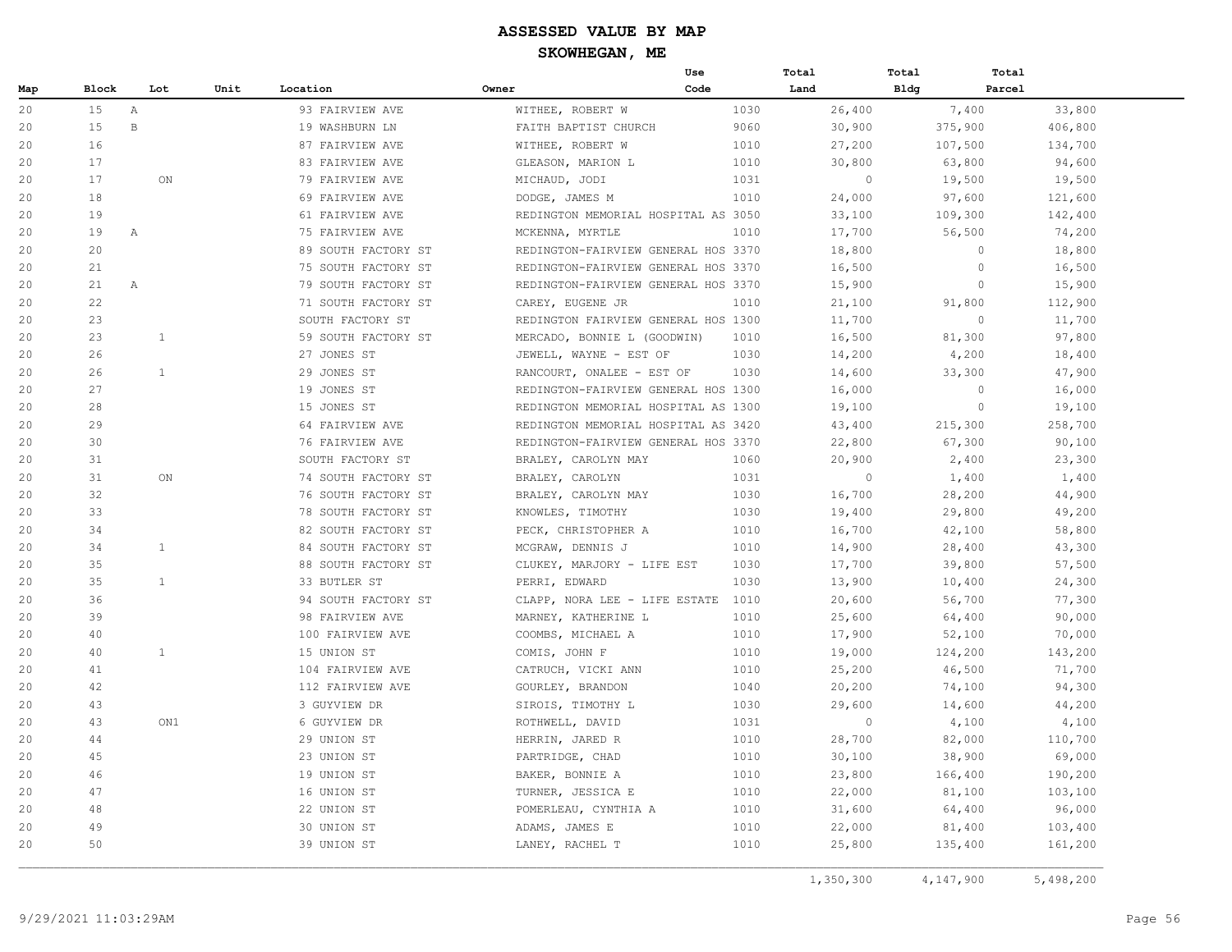|     |       |              |                     | Use                                 |      | Total   | Total   | Total   |
|-----|-------|--------------|---------------------|-------------------------------------|------|---------|---------|---------|
| Map | Block | Lot          | Unit<br>Location    | Code<br>Owner                       |      | Land    | Bldg    | Parcel  |
| 20  | 15    | A            | 93 FAIRVIEW AVE     | WITHEE, ROBERT W                    | 1030 | 26,400  | 7,400   | 33,800  |
| 20  | 15    | $\, {\bf B}$ | 19 WASHBURN LN      | FAITH BAPTIST CHURCH                | 9060 | 30,900  | 375,900 | 406,800 |
| 20  | 16    |              | 87 FAIRVIEW AVE     | WITHEE, ROBERT W                    | 1010 | 27,200  | 107,500 | 134,700 |
| 20  | 17    |              | 83 FAIRVIEW AVE     | GLEASON, MARION L                   | 1010 | 30,800  | 63,800  | 94,600  |
| 20  | 17    | ON           | 79 FAIRVIEW AVE     | MICHAUD, JODI                       | 1031 | $\circ$ | 19,500  | 19,500  |
| 20  | 18    |              | 69 FAIRVIEW AVE     | DODGE, JAMES M                      | 1010 | 24,000  | 97,600  | 121,600 |
| 20  | 19    |              | 61 FAIRVIEW AVE     | REDINGTON MEMORIAL HOSPITAL AS 3050 |      | 33,100  | 109,300 | 142,400 |
| 20  | 19    | Α            | 75 FAIRVIEW AVE     | MCKENNA, MYRTLE                     | 1010 | 17,700  | 56,500  | 74,200  |
| 20  | 20    |              | 89 SOUTH FACTORY ST | REDINGTON-FAIRVIEW GENERAL HOS 3370 |      | 18,800  | $\circ$ | 18,800  |
| 20  | 21    |              | 75 SOUTH FACTORY ST | REDINGTON-FAIRVIEW GENERAL HOS 3370 |      | 16,500  | $\circ$ | 16,500  |
| 20  | 21    | $\mathbb{A}$ | 79 SOUTH FACTORY ST | REDINGTON-FAIRVIEW GENERAL HOS 3370 |      | 15,900  | $\circ$ | 15,900  |
| 20  | 22    |              | 71 SOUTH FACTORY ST | CAREY, EUGENE JR                    | 1010 | 21,100  | 91,800  | 112,900 |
| 20  | 23    |              | SOUTH FACTORY ST    | REDINGTON FAIRVIEW GENERAL HOS 1300 |      | 11,700  | $\circ$ | 11,700  |
| 20  | 23    | 1            | 59 SOUTH FACTORY ST | MERCADO, BONNIE L (GOODWIN)         | 1010 | 16,500  | 81,300  | 97,800  |
| 20  | 26    |              | 27 JONES ST         | JEWELL, WAYNE - EST OF              | 1030 | 14,200  | 4,200   | 18,400  |
| 20  | 26    | $\mathbf{1}$ | 29 JONES ST         | RANCOURT, ONALEE - EST OF           | 1030 | 14,600  | 33,300  | 47,900  |
| 20  | 27    |              | 19 JONES ST         | REDINGTON-FAIRVIEW GENERAL HOS 1300 |      | 16,000  | $\circ$ | 16,000  |
| 20  | 28    |              | 15 JONES ST         | REDINGTON MEMORIAL HOSPITAL AS 1300 |      | 19,100  | $\circ$ | 19,100  |
| 20  | 29    |              | 64 FAIRVIEW AVE     | REDINGTON MEMORIAL HOSPITAL AS 3420 |      | 43,400  | 215,300 | 258,700 |
| 20  | 30    |              | 76 FAIRVIEW AVE     | REDINGTON-FAIRVIEW GENERAL HOS 3370 |      | 22,800  | 67,300  | 90,100  |
| 20  | 31    |              | SOUTH FACTORY ST    | BRALEY, CAROLYN MAY                 | 1060 | 20,900  | 2,400   | 23,300  |
| 20  | 31    | ON           | 74 SOUTH FACTORY ST | BRALEY, CAROLYN                     | 1031 | $\circ$ | 1,400   | 1,400   |
| 20  | 32    |              | 76 SOUTH FACTORY ST | BRALEY, CAROLYN MAY                 | 1030 | 16,700  | 28,200  | 44,900  |
| 20  | 33    |              | 78 SOUTH FACTORY ST | KNOWLES, TIMOTHY                    | 1030 | 19,400  | 29,800  | 49,200  |
| 20  | 34    |              | 82 SOUTH FACTORY ST | PECK, CHRISTOPHER A                 | 1010 | 16,700  | 42,100  | 58,800  |
| 20  | 34    | 1            | 84 SOUTH FACTORY ST | MCGRAW, DENNIS J                    | 1010 | 14,900  | 28,400  | 43,300  |
| 20  | 35    |              | 88 SOUTH FACTORY ST | CLUKEY, MARJORY - LIFE EST          | 1030 | 17,700  | 39,800  | 57,500  |
| 20  | 35    | <sup>1</sup> | 33 BUTLER ST        | PERRI, EDWARD                       | 1030 | 13,900  | 10,400  | 24,300  |
| 20  | 36    |              | 94 SOUTH FACTORY ST | CLAPP, NORA LEE - LIFE ESTATE       | 1010 | 20,600  | 56,700  | 77,300  |
| 20  | 39    |              | 98 FAIRVIEW AVE     | MARNEY, KATHERINE L                 | 1010 | 25,600  | 64,400  | 90,000  |
| 20  | 40    |              | 100 FAIRVIEW AVE    | COOMBS, MICHAEL A                   | 1010 | 17,900  | 52,100  | 70,000  |
| 20  | 40    | $\mathbf{1}$ | 15 UNION ST         | COMIS, JOHN F                       | 1010 | 19,000  | 124,200 | 143,200 |
| 20  | 41    |              | 104 FAIRVIEW AVE    | CATRUCH, VICKI ANN                  | 1010 | 25,200  | 46,500  | 71,700  |
| 20  | 42    |              | 112 FAIRVIEW AVE    | GOURLEY, BRANDON                    | 1040 | 20,200  | 74,100  | 94,300  |
| 20  | 43    |              | 3 GUYVIEW DR        | SIROIS, TIMOTHY L                   | 1030 | 29,600  | 14,600  | 44,200  |
| 20  | 43    | ON1          | 6 GUYVIEW DR        | ROTHWELL, DAVID                     | 1031 | $\circ$ | 4,100   | 4,100   |
| 20  | 44    |              | 29 UNION ST         | HERRIN, JARED R                     | 1010 | 28,700  | 82,000  | 110,700 |
| 20  | 45    |              | 23 UNION ST         | PARTRIDGE, CHAD                     | 1010 | 30,100  | 38,900  | 69,000  |
| 20  | 46    |              | 19 UNION ST         | BAKER, BONNIE A                     | 1010 | 23,800  | 166,400 | 190,200 |
| 20  | 47    |              | 16 UNION ST         | TURNER, JESSICA E                   | 1010 | 22,000  | 81,100  | 103,100 |
| 20  | 48    |              | 22 UNION ST         | POMERLEAU, CYNTHIA A                | 1010 | 31,600  | 64,400  | 96,000  |
| 20  | 49    |              | 30 UNION ST         | ADAMS, JAMES E                      | 1010 | 22,000  | 81,400  | 103,400 |
| 20  | 50    |              | 39 UNION ST         | LANEY, RACHEL T                     | 1010 | 25,800  | 135,400 | 161,200 |

1,350,300 4,147,900 5,498,200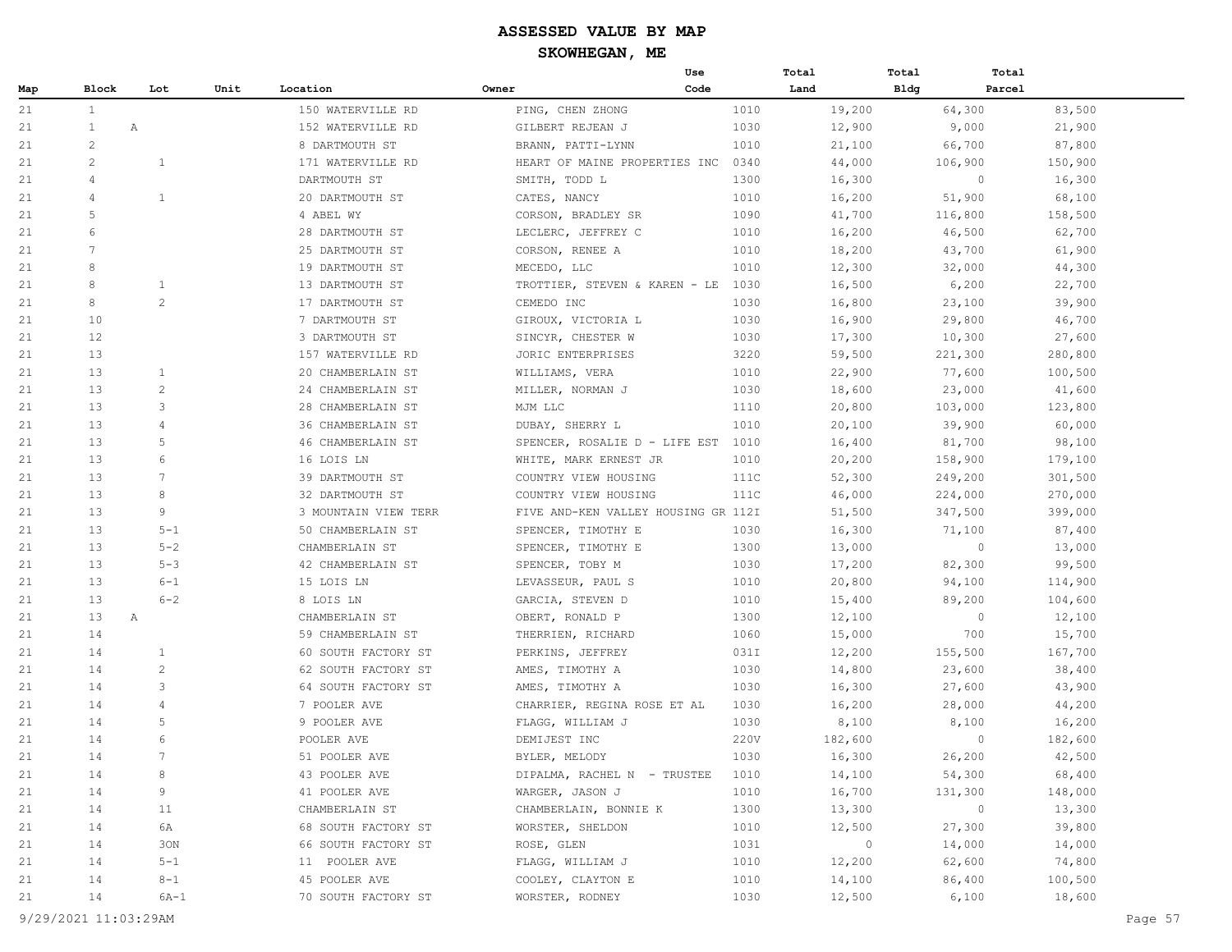|     |                 |                 |      |                      |                                     | Use  | Total   | Total   | Total              |
|-----|-----------------|-----------------|------|----------------------|-------------------------------------|------|---------|---------|--------------------|
| Map | Block           | Lot             | Unit | Location             | Owner                               | Code | Land    | Bldg    | Parcel             |
| 21  | $\mathbf{1}$    |                 |      | 150 WATERVILLE RD    | PING, CHEN ZHONG                    | 1010 | 19,200  | 64,300  | 83,500             |
| 21  | $\mathbf{1}$    | Α               |      | 152 WATERVILLE RD    | GILBERT REJEAN J                    | 1030 | 12,900  | 9,000   | 21,900             |
| 21  | $\overline{c}$  |                 |      | 8 DARTMOUTH ST       | BRANN, PATTI-LYNN                   | 1010 | 21,100  | 66,700  | 87,800             |
| 21  | 2               | $\mathbf{1}$    |      | 171 WATERVILLE RD    | HEART OF MAINE PROPERTIES INC       | 0340 | 44,000  | 106,900 | 150,900            |
| 21  | $\overline{4}$  |                 |      | DARTMOUTH ST         | SMITH, TODD L                       | 1300 | 16,300  |         | $\circ$<br>16,300  |
| 21  | $\overline{4}$  | $\mathbf{1}$    |      | 20 DARTMOUTH ST      | CATES, NANCY                        | 1010 | 16,200  | 51,900  | 68,100             |
| 21  | 5               |                 |      | 4 ABEL WY            | CORSON, BRADLEY SR                  | 1090 | 41,700  | 116,800 | 158,500            |
| 21  | 6               |                 |      | 28 DARTMOUTH ST      | LECLERC, JEFFREY C                  | 1010 | 16,200  | 46,500  | 62,700             |
| 21  | $7\phantom{.0}$ |                 |      | 25 DARTMOUTH ST      | CORSON, RENEE A                     | 1010 | 18,200  | 43,700  | 61,900             |
| 21  | 8               |                 |      | 19 DARTMOUTH ST      | MECEDO, LLC                         | 1010 | 12,300  | 32,000  | 44,300             |
| 21  | 8               | $\mathbf{1}$    |      | 13 DARTMOUTH ST      | TROTTIER, STEVEN & KAREN - LE       | 1030 | 16,500  | 6,200   | 22,700             |
| 21  | 8               | 2               |      | 17 DARTMOUTH ST      | CEMEDO INC                          | 1030 | 16,800  | 23,100  | 39,900             |
| 21  | 10              |                 |      | 7 DARTMOUTH ST       | GIROUX, VICTORIA L                  | 1030 | 16,900  | 29,800  | 46,700             |
| 21  | 12              |                 |      | 3 DARTMOUTH ST       | SINCYR, CHESTER W                   | 1030 | 17,300  | 10,300  | 27,600             |
| 21  | 13              |                 |      | 157 WATERVILLE RD    | JORIC ENTERPRISES                   | 3220 | 59,500  | 221,300 | 280,800            |
| 21  | 13              | $\mathbf{1}$    |      | 20 CHAMBERLAIN ST    | WILLIAMS, VERA                      | 1010 | 22,900  | 77,600  | 100,500            |
| 21  | 13              | $\overline{2}$  |      | 24 CHAMBERLAIN ST    | MILLER, NORMAN J                    | 1030 | 18,600  | 23,000  | 41,600             |
| 21  | 13              | 3               |      | 28 CHAMBERLAIN ST    | MJM LLC                             | 1110 | 20,800  | 103,000 | 123,800            |
| 21  | 13              | 4               |      | 36 CHAMBERLAIN ST    | DUBAY, SHERRY L                     | 1010 | 20,100  | 39,900  | 60,000             |
| 21  | 13              | 5               |      | 46 CHAMBERLAIN ST    | SPENCER, ROSALIE D - LIFE EST       | 1010 | 16,400  | 81,700  | 98,100             |
| 21  | 13              | 6               |      | 16 LOIS LN           | WHITE, MARK ERNEST JR               | 1010 | 20,200  | 158,900 | 179,100            |
| 21  | 13              | 7               |      | 39 DARTMOUTH ST      | COUNTRY VIEW HOUSING                | 111C | 52,300  | 249,200 | 301,500            |
| 21  | 13              | 8               |      | 32 DARTMOUTH ST      | COUNTRY VIEW HOUSING                | 111C | 46,000  | 224,000 | 270,000            |
| 21  | 13              | 9               |      | 3 MOUNTAIN VIEW TERR | FIVE AND-KEN VALLEY HOUSING GR 112I |      | 51,500  | 347,500 | 399,000            |
| 21  | 13              | $5 - 1$         |      | 50 CHAMBERLAIN ST    | SPENCER, TIMOTHY E                  | 1030 | 16,300  | 71,100  | 87,400             |
| 21  | 13              | $5 - 2$         |      | CHAMBERLAIN ST       | SPENCER, TIMOTHY E                  | 1300 | 13,000  |         | $\circ$<br>13,000  |
| 21  | 13              | $5 - 3$         |      | 42 CHAMBERLAIN ST    | SPENCER, TOBY M                     | 1030 | 17,200  | 82,300  | 99,500             |
| 21  | 13              | $6 - 1$         |      | 15 LOIS LN           | LEVASSEUR, PAUL S                   | 1010 | 20,800  | 94,100  | 114,900            |
| 21  | 13              | $6 - 2$         |      | 8 LOIS LN            | GARCIA, STEVEN D                    | 1010 | 15,400  | 89,200  | 104,600            |
| 21  | 13              | A               |      | CHAMBERLAIN ST       | OBERT, RONALD P                     | 1300 | 12,100  |         | $\circ$<br>12,100  |
| 21  | 14              |                 |      | 59 CHAMBERLAIN ST    | THERRIEN, RICHARD                   | 1060 | 15,000  | 700     | 15,700             |
| 21  | 14              | $\mathbf{1}$    |      | 60 SOUTH FACTORY ST  | PERKINS, JEFFREY                    | 031I | 12,200  | 155,500 | 167,700            |
| 21  | 14              | $\overline{2}$  |      | 62 SOUTH FACTORY ST  | AMES, TIMOTHY A                     | 1030 | 14,800  | 23,600  | 38,400             |
| 21  | 14              | 3               |      | 64 SOUTH FACTORY ST  | AMES, TIMOTHY A                     | 1030 | 16,300  | 27,600  | 43,900             |
| 21  | 14              | 4               |      | 7 POOLER AVE         | CHARRIER, REGINA ROSE ET AL         | 1030 | 16,200  | 28,000  | 44,200             |
| 21  | 14              | 5               |      | 9 POOLER AVE         | FLAGG, WILLIAM J                    | 1030 | 8,100   | 8,100   | 16,200             |
| 21  | 14              | 6               |      | POOLER AVE           | DEMIJEST INC                        | 220V | 182,600 |         | $\circ$<br>182,600 |
| 21  | 14              | $7\phantom{.0}$ |      | 51 POOLER AVE        | BYLER, MELODY                       | 1030 | 16,300  | 26,200  | 42,500             |
| 21  | 14              | 8               |      | 43 POOLER AVE        | DIPALMA, RACHEL N - TRUSTEE         | 1010 | 14,100  | 54,300  | 68,400             |
| 21  | 14              | 9               |      | 41 POOLER AVE        | WARGER, JASON J                     | 1010 | 16,700  | 131,300 | 148,000            |
| 21  | 14              | 11              |      | CHAMBERLAIN ST       | CHAMBERLAIN, BONNIE K               | 1300 | 13,300  |         | $\circ$<br>13,300  |
| 21  | 14              | 6A              |      | 68 SOUTH FACTORY ST  | WORSTER, SHELDON                    | 1010 | 12,500  | 27,300  | 39,800             |
| 21  | 14              | 30N             |      | 66 SOUTH FACTORY ST  | ROSE, GLEN                          | 1031 | $\circ$ | 14,000  | 14,000             |
| 21  | 14              | $5 - 1$         |      | 11 POOLER AVE        | FLAGG, WILLIAM J                    | 1010 | 12,200  | 62,600  | 74,800             |
| 21  | 14              | $8 - 1$         |      | 45 POOLER AVE        | COOLEY, CLAYTON E                   | 1010 | 14,100  | 86,400  | 100,500            |
| 21  | 14              | $6A-1$          |      | 70 SOUTH FACTORY ST  | WORSTER, RODNEY                     | 1030 | 12,500  | 6,100   | 18,600             |

9/29/2021 11:03:29AM Page 57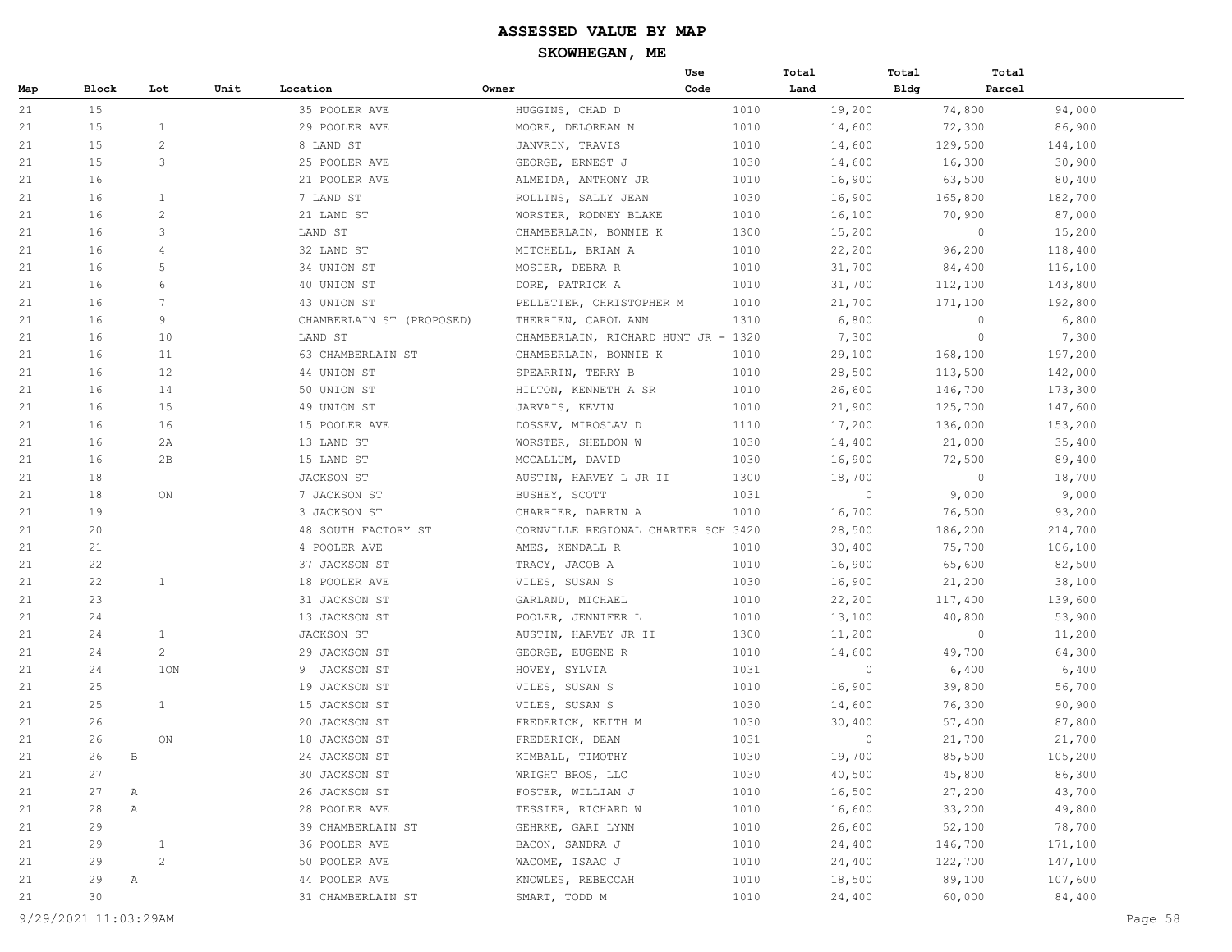|     |       |                 |      |                           |                                     | Use  | Total   | Total       | Total             |
|-----|-------|-----------------|------|---------------------------|-------------------------------------|------|---------|-------------|-------------------|
| Map | Block | Lot             | Unit | Location                  | Owner                               | Code | Land    | <b>Bldg</b> | Parcel            |
| 21  | 15    |                 |      | 35 POOLER AVE             | HUGGINS, CHAD D                     | 1010 | 19,200  | 74,800      | 94,000            |
| 21  | 15    | $\mathbf{1}$    |      | 29 POOLER AVE             | MOORE, DELOREAN N                   | 1010 | 14,600  | 72,300      | 86,900            |
| 21  | 15    | 2               |      | 8 LAND ST                 | JANVRIN, TRAVIS                     | 1010 | 14,600  | 129,500     | 144,100           |
| 21  | 15    | 3               |      | 25 POOLER AVE             | GEORGE, ERNEST J                    | 1030 | 14,600  | 16,300      | 30,900            |
| 21  | 16    |                 |      | 21 POOLER AVE             | ALMEIDA, ANTHONY JR                 | 1010 | 16,900  | 63,500      | 80,400            |
| 21  | 16    | 1               |      | 7 LAND ST                 | ROLLINS, SALLY JEAN                 | 1030 | 16,900  | 165,800     | 182,700           |
| 21  | 16    | $\mathbf{2}$    |      | 21 LAND ST                | WORSTER, RODNEY BLAKE               | 1010 | 16,100  | 70,900      | 87,000            |
| 21  | 16    | 3               |      | LAND ST                   | CHAMBERLAIN, BONNIE K               | 1300 | 15,200  |             | $\circ$<br>15,200 |
| 21  | 16    | 4               |      | 32 LAND ST                | MITCHELL, BRIAN A                   | 1010 | 22,200  | 96,200      | 118,400           |
| 21  | 16    | 5               |      | 34 UNION ST               | MOSIER, DEBRA R                     | 1010 | 31,700  | 84,400      | 116,100           |
| 21  | 16    | 6               |      | 40 UNION ST               | DORE, PATRICK A                     | 1010 | 31,700  | 112,100     | 143,800           |
| 21  | 16    | $7\phantom{.0}$ |      | 43 UNION ST               | PELLETIER, CHRISTOPHER M            | 1010 | 21,700  | 171,100     | 192,800           |
| 21  | 16    | 9               |      | CHAMBERLAIN ST (PROPOSED) | THERRIEN, CAROL ANN                 | 1310 | 6,800   |             | 6,800<br>$\circ$  |
| 21  | 16    | 10              |      | LAND ST                   | CHAMBERLAIN, RICHARD HUNT JR - 1320 |      | 7,300   |             | $\circ$<br>7,300  |
| 21  | 16    | 11              |      | 63 CHAMBERLAIN ST         | CHAMBERLAIN, BONNIE K               | 1010 | 29,100  | 168,100     | 197,200           |
| 21  | 16    | 12              |      | 44 UNION ST               | SPEARRIN, TERRY B                   | 1010 | 28,500  | 113,500     | 142,000           |
| 21  | 16    | 14              |      | 50 UNION ST               | HILTON, KENNETH A SR                | 1010 | 26,600  | 146,700     | 173,300           |
| 21  | 16    | 15              |      | 49 UNION ST               | JARVAIS, KEVIN                      | 1010 | 21,900  | 125,700     | 147,600           |
| 21  | 16    | 16              |      | 15 POOLER AVE             | DOSSEV, MIROSLAV D                  | 1110 | 17,200  | 136,000     | 153,200           |
| 21  | 16    | 2A              |      | 13 LAND ST                | WORSTER, SHELDON W                  | 1030 | 14,400  | 21,000      | 35,400            |
| 21  | 16    | 2в              |      | 15 LAND ST                | MCCALLUM, DAVID                     | 1030 | 16,900  | 72,500      | 89,400            |
| 21  | 18    |                 |      | JACKSON ST                | AUSTIN, HARVEY L JR II              | 1300 | 18,700  |             | $\circ$<br>18,700 |
| 21  | 18    | ON              |      | 7 JACKSON ST              | BUSHEY, SCOTT                       | 1031 | $\circ$ | 9,000       | 9,000             |
| 21  | 19    |                 |      | 3 JACKSON ST              | CHARRIER, DARRIN A                  | 1010 | 16,700  | 76,500      | 93,200            |
| 21  | 20    |                 |      | 48 SOUTH FACTORY ST       | CORNVILLE REGIONAL CHARTER SCH 3420 |      | 28,500  | 186,200     | 214,700           |
| 21  | 21    |                 |      | 4 POOLER AVE              | AMES, KENDALL R                     | 1010 | 30,400  | 75,700      | 106,100           |
| 21  | 22    |                 |      | 37 JACKSON ST             | TRACY, JACOB A                      | 1010 | 16,900  | 65,600      | 82,500            |
| 21  | 22    | $\mathbf{1}$    |      | 18 POOLER AVE             | VILES, SUSAN S                      | 1030 | 16,900  | 21,200      | 38,100            |
| 21  | 23    |                 |      | 31 JACKSON ST             | GARLAND, MICHAEL                    | 1010 | 22,200  | 117,400     | 139,600           |
| 21  | 24    |                 |      | 13 JACKSON ST             | POOLER, JENNIFER L                  | 1010 | 13,100  | 40,800      | 53,900            |
| 21  | 24    | $\mathbf{1}$    |      | JACKSON ST                | AUSTIN, HARVEY JR II                | 1300 | 11,200  |             | $\circ$<br>11,200 |
| 21  | 24    | $\overline{2}$  |      | 29 JACKSON ST             | GEORGE, EUGENE R                    | 1010 | 14,600  | 49,700      | 64,300            |
| 21  | 24    | 10N             |      | 9 JACKSON ST              | HOVEY, SYLVIA                       | 1031 | $\circ$ | 6,400       | 6,400             |
| 21  | 25    |                 |      | 19 JACKSON ST             | VILES, SUSAN S                      | 1010 | 16,900  | 39,800      | 56,700            |
| 21  | 25    | $\mathbf{1}$    |      | 15 JACKSON ST             | VILES, SUSAN S                      | 1030 | 14,600  | 76,300      | 90,900            |
| 21  | 26    |                 |      | 20 JACKSON ST             | FREDERICK, KEITH M                  | 1030 | 30,400  | 57,400      | 87,800            |
| 21  | 26    | ON              |      | 18 JACKSON ST             | FREDERICK, DEAN                     | 1031 | $\circ$ | 21,700      | 21,700            |
| 21  | 26    | B               |      | 24 JACKSON ST             | KIMBALL, TIMOTHY                    | 1030 | 19,700  | 85,500      | 105,200           |
| 21  | 27    |                 |      | 30 JACKSON ST             | WRIGHT BROS, LLC                    | 1030 | 40,500  | 45,800      | 86,300            |
| 21  | 27    | А               |      | 26 JACKSON ST             | FOSTER, WILLIAM J                   | 1010 | 16,500  | 27,200      | 43,700            |
| 21  | 28    | Α               |      | 28 POOLER AVE             | TESSIER, RICHARD W                  | 1010 | 16,600  | 33,200      | 49,800            |
| 21  | 29    |                 |      | 39 CHAMBERLAIN ST         | GEHRKE, GARI LYNN                   | 1010 | 26,600  | 52,100      | 78,700            |
| 21  | 29    | $\mathbf 1$     |      | 36 POOLER AVE             | BACON, SANDRA J                     | 1010 | 24,400  | 146,700     | 171,100           |
| 21  | 29    | $\overline{c}$  |      | 50 POOLER AVE             | WACOME, ISAAC J                     | 1010 | 24,400  | 122,700     | 147,100           |
| 21  | 29    | $\mathbb{A}$    |      | 44 POOLER AVE             | KNOWLES, REBECCAH                   | 1010 | 18,500  | 89,100      | 107,600           |
| 21  | 30    |                 |      | 31 CHAMBERLAIN ST         | SMART, TODD M                       | 1010 | 24,400  | 60,000      | 84,400            |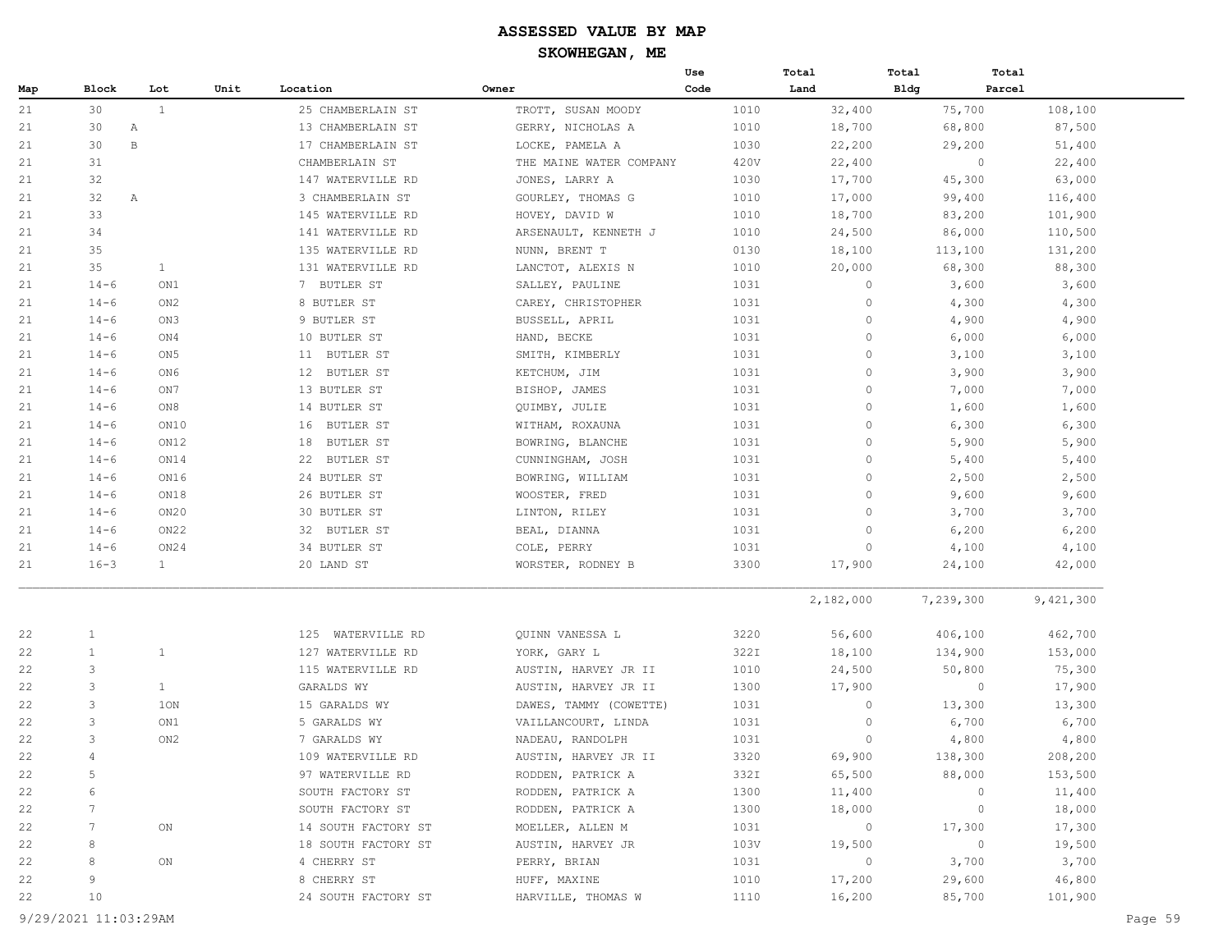|     |                |                 |      |                      |                         | Use  | Total        | Total       | Total   |           |
|-----|----------------|-----------------|------|----------------------|-------------------------|------|--------------|-------------|---------|-----------|
| Map | Block          | Lot             | Unit | Location             | Owner                   | Code | Land         | <b>Bldg</b> | Parcel  |           |
| 21  | 30             | $\mathbf{1}$    |      | 25 CHAMBERLAIN ST    | TROTT, SUSAN MOODY      | 1010 | 32,400       |             | 75,700  | 108,100   |
| 21  | 30             | Α               |      | 13 CHAMBERLAIN ST    | GERRY, NICHOLAS A       | 1010 | 18,700       |             | 68,800  | 87,500    |
| 21  | 30             | $\, {\bf B}$    |      | 17 CHAMBERLAIN ST    | LOCKE, PAMELA A         | 1030 | 22,200       |             | 29,200  | 51,400    |
| 21  | 31             |                 |      | CHAMBERLAIN ST       | THE MAINE WATER COMPANY | 420V | 22,400       |             | $\circ$ | 22,400    |
| 21  | 32             |                 |      | 147 WATERVILLE RD    | JONES, LARRY A          | 1030 | 17,700       |             | 45,300  | 63,000    |
| 21  | 32             | Α               |      | 3 CHAMBERLAIN ST     | GOURLEY, THOMAS G       | 1010 | 17,000       |             | 99,400  | 116,400   |
| 21  | 33             |                 |      | 145 WATERVILLE RD    | HOVEY, DAVID W          | 1010 | 18,700       |             | 83,200  | 101,900   |
| 21  | 34             |                 |      | 141 WATERVILLE RD    | ARSENAULT, KENNETH J    | 1010 | 24,500       |             | 86,000  | 110,500   |
| 21  | 35             |                 |      | 135 WATERVILLE RD    | NUNN, BRENT T           | 0130 | 18,100       |             | 113,100 | 131,200   |
| 21  | 35             | $\mathbf{1}$    |      | 131 WATERVILLE RD    | LANCTOT, ALEXIS N       | 1010 | 20,000       |             | 68,300  | 88,300    |
| 21  | $14 - 6$       | ON1             |      | 7 BUTLER ST          | SALLEY, PAULINE         | 1031 | $\circ$      |             | 3,600   | 3,600     |
| 21  | $14 - 6$       | ON <sub>2</sub> |      | 8 BUTLER ST          | CAREY, CHRISTOPHER      | 1031 | $\circ$      |             | 4,300   | 4,300     |
| 21  | $14 - 6$       | ON3             |      | 9 BUTLER ST          | BUSSELL, APRIL          | 1031 | $\circ$      |             | 4,900   | 4,900     |
| 21  | $14 - 6$       | ON4             |      | 10 BUTLER ST         | HAND, BECKE             | 1031 | $\circ$      |             | 6,000   | 6,000     |
| 21  | $14 - 6$       | ON <sub>5</sub> |      | BUTLER ST<br>11      | SMITH, KIMBERLY         | 1031 | $\mathbf{0}$ |             | 3,100   | 3,100     |
| 21  | $14 - 6$       | ON6             |      | 12 BUTLER ST         | KETCHUM, JIM            | 1031 | $\circ$      |             | 3,900   | 3,900     |
| 21  | $14 - 6$       | ON 7            |      | 13 BUTLER ST         | BISHOP, JAMES           | 1031 | $\circ$      |             | 7,000   | 7,000     |
| 21  | $14 - 6$       | ON8             |      | 14 BUTLER ST         | QUIMBY, JULIE           | 1031 | $\circ$      |             | 1,600   | 1,600     |
| 21  | $14 - 6$       | ON10            |      | 16<br>BUTLER ST      | WITHAM, ROXAUNA         | 1031 | $\circ$      |             | 6,300   | 6,300     |
| 21  | $14 - 6$       | ON12            |      | BUTLER ST<br>18      | BOWRING, BLANCHE        | 1031 | $\circ$      |             | 5,900   | 5,900     |
| 21  | $14 - 6$       | ON14            |      | 22<br>BUTLER ST      | CUNNINGHAM, JOSH        | 1031 | $\circ$      |             | 5,400   | 5,400     |
| 21  | $14 - 6$       | ON16            |      | 24 BUTLER ST         | BOWRING, WILLIAM        | 1031 | $\circ$      |             | 2,500   | 2,500     |
| 21  | $14 - 6$       | ON18            |      | 26 BUTLER ST         | WOOSTER, FRED           | 1031 | $\mathbf{0}$ |             | 9,600   | 9,600     |
| 21  | $14 - 6$       | ON20            |      | 30 BUTLER ST         | LINTON, RILEY           | 1031 | $\mathbf{0}$ |             | 3,700   | 3,700     |
| 21  | $14 - 6$       | ON22            |      | 32 BUTLER ST         | BEAL, DIANNA            | 1031 | $\mathbf{0}$ |             | 6,200   | 6,200     |
| 21  | $14 - 6$       | ON24            |      | 34 BUTLER ST         | COLE, PERRY             | 1031 | $\mathbf{0}$ |             | 4,100   | 4,100     |
| 21  | $16 - 3$       | $\mathbf{1}$    |      | 20 LAND ST           | WORSTER, RODNEY B       | 3300 | 17,900       |             | 24,100  | 42,000    |
|     |                |                 |      |                      |                         |      | 2,182,000    | 7,239,300   |         | 9,421,300 |
| 22  | $\mathbf{1}$   |                 |      | WATERVILLE RD<br>125 | QUINN VANESSA L         | 3220 | 56,600       |             | 406,100 | 462,700   |
| 22  | $\mathbf{1}$   | $\mathbf{1}$    |      | 127 WATERVILLE RD    | YORK, GARY L            | 322I | 18,100       |             | 134,900 | 153,000   |
| 22  | 3              |                 |      | 115 WATERVILLE RD    | AUSTIN, HARVEY JR II    | 1010 | 24,500       |             | 50,800  | 75,300    |
| 22  | 3              | $\mathbf{1}$    |      | GARALDS WY           | AUSTIN, HARVEY JR II    | 1300 | 17,900       |             | $\circ$ | 17,900    |
| 22  | 3              | 1ON             |      | 15 GARALDS WY        | DAWES, TAMMY (COWETTE)  | 1031 | $\circ$      |             | 13,300  | 13,300    |
| 22  | 3              | ON1             |      | 5 GARALDS WY         | VAILLANCOURT, LINDA     | 1031 | $\circ$      |             | 6,700   | 6,700     |
| 22  | 3              | ON2             |      | 7 GARALDS WY         | NADEAU, RANDOLPH        | 1031 | $\circ$      |             | 4,800   | 4,800     |
| 22  | $\overline{4}$ |                 |      | 109 WATERVILLE RD    | AUSTIN, HARVEY JR II    | 3320 | 69,900       |             | 138,300 | 208,200   |
| 22  | 5              |                 |      | 97 WATERVILLE RD     | RODDEN, PATRICK A       | 332I | 65,500       |             | 88,000  | 153,500   |
| 22  | 6              |                 |      | SOUTH FACTORY ST     | RODDEN, PATRICK A       | 1300 | 11,400       |             | 0       | 11,400    |
| 22  | 7              |                 |      | SOUTH FACTORY ST     | RODDEN, PATRICK A       | 1300 | 18,000       |             | $\circ$ | 18,000    |
| 22  | 7              | ON              |      | 14 SOUTH FACTORY ST  | MOELLER, ALLEN M        | 1031 | $\circ$      |             | 17,300  | 17,300    |
| 22  | 8              |                 |      | 18 SOUTH FACTORY ST  | AUSTIN, HARVEY JR       | 103V | 19,500       |             | $\circ$ | 19,500    |
| 22  | 8              | ON              |      | 4 CHERRY ST          | PERRY, BRIAN            | 1031 | $\circ$      |             | 3,700   | 3,700     |
| 22  | 9              |                 |      | 8 CHERRY ST          | HUFF, MAXINE            | 1010 | 17,200       |             | 29,600  | 46,800    |
| 22  | 10             |                 |      | 24 SOUTH FACTORY ST  | HARVILLE, THOMAS W      | 1110 | 16,200       |             | 85,700  | 101,900   |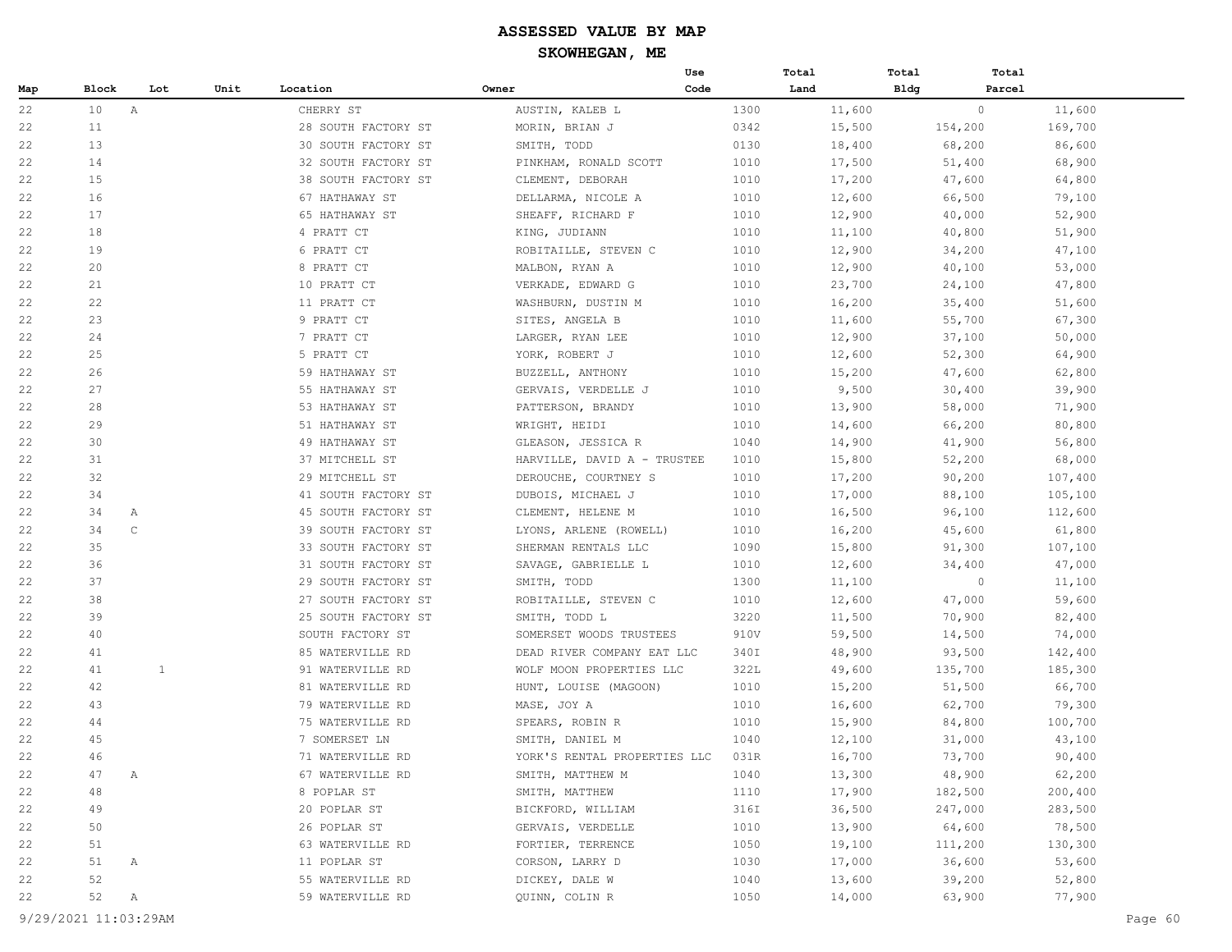|     |       |              |      |                     |                              | Use  | Total  | Total       | Total   |         |
|-----|-------|--------------|------|---------------------|------------------------------|------|--------|-------------|---------|---------|
| Map | Block | Lot          | Unit | Location            | Owner                        | Code | Land   | <b>Bldg</b> | Parcel  |         |
| 22  | 10    | $\mathbb A$  |      | CHERRY ST           | AUSTIN, KALEB L              | 1300 | 11,600 |             | $\circ$ | 11,600  |
| 22  | 11    |              |      | 28 SOUTH FACTORY ST | MORIN, BRIAN J               | 0342 | 15,500 |             | 154,200 | 169,700 |
| 22  | 13    |              |      | 30 SOUTH FACTORY ST | SMITH, TODD                  | 0130 | 18,400 |             | 68,200  | 86,600  |
| 22  | 14    |              |      | 32 SOUTH FACTORY ST | PINKHAM, RONALD SCOTT        | 1010 | 17,500 |             | 51,400  | 68,900  |
| 22  | 15    |              |      | 38 SOUTH FACTORY ST | CLEMENT, DEBORAH             | 1010 | 17,200 |             | 47,600  | 64,800  |
| 22  | 16    |              |      | 67 HATHAWAY ST      | DELLARMA, NICOLE A           | 1010 | 12,600 |             | 66,500  | 79,100  |
| 22  | 17    |              |      | 65 HATHAWAY ST      | SHEAFF, RICHARD F            | 1010 | 12,900 |             | 40,000  | 52,900  |
| 22  | 18    |              |      | 4 PRATT CT          | KING, JUDIANN                | 1010 | 11,100 |             | 40,800  | 51,900  |
| 22  | 19    |              |      | 6 PRATT CT          | ROBITAILLE, STEVEN C         | 1010 | 12,900 |             | 34,200  | 47,100  |
| 22  | 20    |              |      | 8 PRATT CT          | MALBON, RYAN A               | 1010 | 12,900 |             | 40,100  | 53,000  |
| 22  | 21    |              |      | 10 PRATT CT         | VERKADE, EDWARD G            | 1010 | 23,700 |             | 24,100  | 47,800  |
| 22  | 22    |              |      | 11 PRATT CT         | WASHBURN, DUSTIN M           | 1010 | 16,200 |             | 35,400  | 51,600  |
| 22  | 23    |              |      | 9 PRATT CT          | SITES, ANGELA B              | 1010 | 11,600 |             | 55,700  | 67,300  |
| 22  | 24    |              |      | 7 PRATT CT          | LARGER, RYAN LEE             | 1010 | 12,900 |             | 37,100  | 50,000  |
| 22  | 25    |              |      | 5 PRATT CT          | YORK, ROBERT J               | 1010 | 12,600 |             | 52,300  | 64,900  |
| 22  | 26    |              |      | 59 HATHAWAY ST      | BUZZELL, ANTHONY             | 1010 | 15,200 |             | 47,600  | 62,800  |
| 22  | 27    |              |      | 55 HATHAWAY ST      | GERVAIS, VERDELLE J          | 1010 | 9,500  |             | 30,400  | 39,900  |
| 22  | 28    |              |      | 53 HATHAWAY ST      | PATTERSON, BRANDY            | 1010 | 13,900 |             | 58,000  | 71,900  |
| 22  | 29    |              |      | 51 HATHAWAY ST      | WRIGHT, HEIDI                | 1010 | 14,600 |             | 66,200  | 80,800  |
| 22  | 30    |              |      | 49 HATHAWAY ST      | GLEASON, JESSICA R           | 1040 | 14,900 |             | 41,900  | 56,800  |
| 22  | 31    |              |      | 37 MITCHELL ST      | HARVILLE, DAVID A - TRUSTEE  | 1010 | 15,800 |             | 52,200  | 68,000  |
| 22  | 32    |              |      | 29 MITCHELL ST      | DEROUCHE, COURTNEY S         | 1010 | 17,200 |             | 90,200  | 107,400 |
| 22  | 34    |              |      | 41 SOUTH FACTORY ST | DUBOIS, MICHAEL J            | 1010 | 17,000 |             | 88,100  | 105,100 |
| 22  | 34    | A            |      | 45 SOUTH FACTORY ST | CLEMENT, HELENE M            | 1010 | 16,500 |             | 96,100  | 112,600 |
| 22  | 34    | $\mathbb C$  |      | 39 SOUTH FACTORY ST | LYONS, ARLENE (ROWELL)       | 1010 | 16,200 |             | 45,600  | 61,800  |
| 22  | 35    |              |      | 33 SOUTH FACTORY ST | SHERMAN RENTALS LLC          | 1090 | 15,800 |             | 91,300  | 107,100 |
| 22  | 36    |              |      | 31 SOUTH FACTORY ST | SAVAGE, GABRIELLE L          | 1010 | 12,600 |             | 34,400  | 47,000  |
| 22  | 37    |              |      | 29 SOUTH FACTORY ST | SMITH, TODD                  | 1300 | 11,100 |             | $\circ$ | 11,100  |
| 22  | 38    |              |      | 27 SOUTH FACTORY ST | ROBITAILLE, STEVEN C         | 1010 | 12,600 |             | 47,000  | 59,600  |
| 22  | 39    |              |      | 25 SOUTH FACTORY ST | SMITH, TODD L                | 3220 | 11,500 |             | 70,900  | 82,400  |
| 22  | 40    |              |      | SOUTH FACTORY ST    | SOMERSET WOODS TRUSTEES      | 910V | 59,500 |             | 14,500  | 74,000  |
| 22  | 41    |              |      | 85 WATERVILLE RD    | DEAD RIVER COMPANY EAT LLC   | 340I | 48,900 |             | 93,500  | 142,400 |
| 22  | 41    | $\mathbf{1}$ |      | 91 WATERVILLE RD    | WOLF MOON PROPERTIES LLC     | 322L | 49,600 |             | 135,700 | 185,300 |
| 22  | 42    |              |      | 81 WATERVILLE RD    | HUNT, LOUISE (MAGOON)        | 1010 | 15,200 |             | 51,500  | 66,700  |
| 22  | 43    |              |      | 79 WATERVILLE RD    | MASE, JOY A                  | 1010 | 16,600 |             | 62,700  | 79,300  |
| 22  | 44    |              |      | 75 WATERVILLE RD    | SPEARS, ROBIN R              | 1010 | 15,900 |             | 84,800  | 100,700 |
| 22  | 45    |              |      | 7 SOMERSET LN       | SMITH, DANIEL M              | 1040 | 12,100 |             | 31,000  | 43,100  |
| 22  | 46    |              |      | 71 WATERVILLE RD    | YORK'S RENTAL PROPERTIES LLC | 031R | 16,700 |             | 73,700  | 90,400  |
| 22  | 47    | Α            |      | 67 WATERVILLE RD    | SMITH, MATTHEW M             | 1040 | 13,300 |             | 48,900  | 62,200  |
| 22  | 48    |              |      | 8 POPLAR ST         | SMITH, MATTHEW               | 1110 | 17,900 |             | 182,500 | 200,400 |
| 22  | 49    |              |      | 20 POPLAR ST        | BICKFORD, WILLIAM            | 316I | 36,500 |             | 247,000 | 283,500 |
| 22  | 50    |              |      | 26 POPLAR ST        | GERVAIS, VERDELLE            | 1010 | 13,900 |             | 64,600  | 78,500  |
| 22  | 51    |              |      | 63 WATERVILLE RD    | FORTIER, TERRENCE            | 1050 | 19,100 |             | 111,200 | 130,300 |
| 22  | 51    | Α            |      | 11 POPLAR ST        | CORSON, LARRY D              | 1030 | 17,000 |             | 36,600  | 53,600  |
| 22  | 52    |              |      | 55 WATERVILLE RD    | DICKEY, DALE W               | 1040 | 13,600 |             | 39,200  | 52,800  |
| 22  | 52    | A            |      | 59 WATERVILLE RD    | QUINN, COLIN R               | 1050 | 14,000 |             | 63,900  | 77,900  |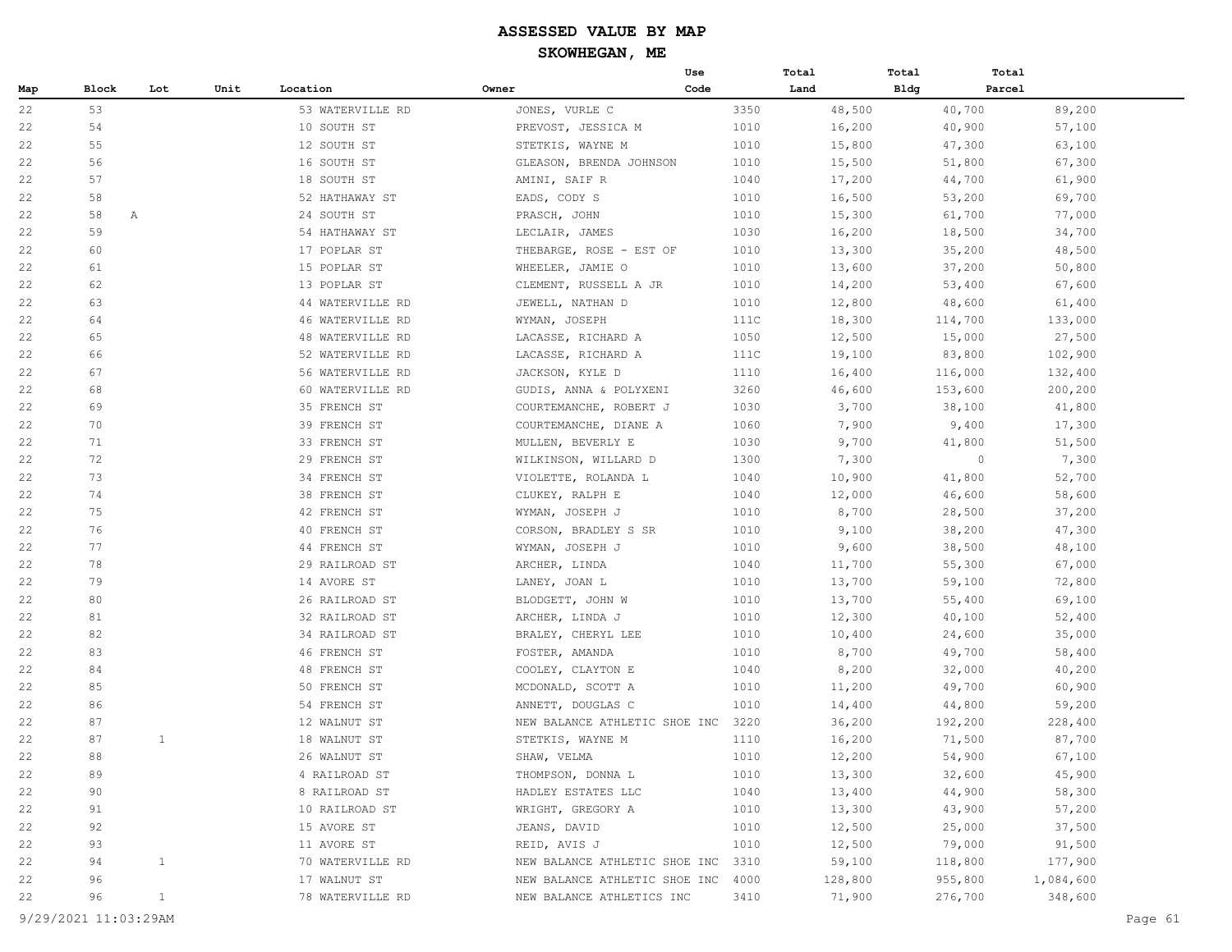|     |         |              |      |                  |                               | Use  | Total |         | Total | Total   |           |
|-----|---------|--------------|------|------------------|-------------------------------|------|-------|---------|-------|---------|-----------|
| Map | Block   | Lot          | Unit | Location         | Owner                         | Code | Land  |         | Bldg  | Parcel  |           |
| 22  | 53      |              |      | 53 WATERVILLE RD | JONES, VURLE C                | 3350 |       | 48,500  |       | 40,700  | 89,200    |
| 22  | 54      |              |      | 10 SOUTH ST      | PREVOST, JESSICA M            | 1010 |       | 16,200  |       | 40,900  | 57,100    |
| 22  | 55      |              |      | 12 SOUTH ST      | STETKIS, WAYNE M              | 1010 |       | 15,800  |       | 47,300  | 63,100    |
| 22  | 56      |              |      | 16 SOUTH ST      | GLEASON, BRENDA JOHNSON       | 1010 |       | 15,500  |       | 51,800  | 67,300    |
| 22  | 57      |              |      | 18 SOUTH ST      | AMINI, SAIF R                 | 1040 |       | 17,200  |       | 44,700  | 61,900    |
| 22  | 58      |              |      | 52 HATHAWAY ST   | EADS, CODY S                  | 1010 |       | 16,500  |       | 53,200  | 69,700    |
| 22  | 58<br>A |              |      | 24 SOUTH ST      | PRASCH, JOHN                  | 1010 |       | 15,300  |       | 61,700  | 77,000    |
| 22  | 59      |              |      | 54 HATHAWAY ST   | LECLAIR, JAMES                | 1030 |       | 16,200  |       | 18,500  | 34,700    |
| 22  | 60      |              |      | 17 POPLAR ST     | THEBARGE, ROSE - EST OF       | 1010 |       | 13,300  |       | 35,200  | 48,500    |
| 22  | 61      |              |      | 15 POPLAR ST     | WHEELER, JAMIE O              | 1010 |       | 13,600  |       | 37,200  | 50,800    |
| 22  | 62      |              |      | 13 POPLAR ST     | CLEMENT, RUSSELL A JR         | 1010 |       | 14,200  |       | 53,400  | 67,600    |
| 22  | 63      |              |      | 44 WATERVILLE RD | JEWELL, NATHAN D              | 1010 |       | 12,800  |       | 48,600  | 61,400    |
| 22  | 64      |              |      | 46 WATERVILLE RD | WYMAN, JOSEPH                 | 111C |       | 18,300  |       | 114,700 | 133,000   |
| 22  | 65      |              |      | 48 WATERVILLE RD | LACASSE, RICHARD A            | 1050 |       | 12,500  |       | 15,000  | 27,500    |
| 22  | 66      |              |      | 52 WATERVILLE RD | LACASSE, RICHARD A            | 111C |       | 19,100  |       | 83,800  | 102,900   |
| 22  | 67      |              |      | 56 WATERVILLE RD | JACKSON, KYLE D               | 1110 |       | 16,400  |       | 116,000 | 132,400   |
| 22  | 68      |              |      | 60 WATERVILLE RD | GUDIS, ANNA & POLYXENI        | 3260 |       | 46,600  |       | 153,600 | 200,200   |
| 22  | 69      |              |      | 35 FRENCH ST     | COURTEMANCHE, ROBERT J        | 1030 |       | 3,700   |       | 38,100  | 41,800    |
| 22  | 70      |              |      | 39 FRENCH ST     | COURTEMANCHE, DIANE A         | 1060 |       | 7,900   |       | 9,400   | 17,300    |
| 22  | 71      |              |      | 33 FRENCH ST     | MULLEN, BEVERLY E             | 1030 |       | 9,700   |       | 41,800  | 51,500    |
| 22  | 72      |              |      | 29 FRENCH ST     | WILKINSON, WILLARD D          | 1300 |       | 7,300   |       | $\circ$ | 7,300     |
| 22  | 73      |              |      | 34 FRENCH ST     | VIOLETTE, ROLANDA L           | 1040 |       | 10,900  |       | 41,800  | 52,700    |
| 22  | 74      |              |      | 38 FRENCH ST     | CLUKEY, RALPH E               | 1040 |       | 12,000  |       | 46,600  | 58,600    |
| 22  | 75      |              |      | 42 FRENCH ST     | WYMAN, JOSEPH J               | 1010 |       | 8,700   |       | 28,500  | 37,200    |
| 22  | 76      |              |      | 40 FRENCH ST     | CORSON, BRADLEY S SR          | 1010 |       | 9,100   |       | 38,200  | 47,300    |
| 22  | 77      |              |      | 44 FRENCH ST     | WYMAN, JOSEPH J               | 1010 |       | 9,600   |       | 38,500  | 48,100    |
| 22  | 78      |              |      | 29 RAILROAD ST   | ARCHER, LINDA                 | 1040 |       | 11,700  |       | 55,300  | 67,000    |
| 22  | 79      |              |      | 14 AVORE ST      | LANEY, JOAN L                 | 1010 |       | 13,700  |       | 59,100  | 72,800    |
| 22  | 80      |              |      | 26 RAILROAD ST   | BLODGETT, JOHN W              | 1010 |       | 13,700  |       | 55,400  | 69,100    |
| 22  | 81      |              |      | 32 RAILROAD ST   | ARCHER, LINDA J               | 1010 |       | 12,300  |       | 40,100  | 52,400    |
| 22  | 82      |              |      | 34 RAILROAD ST   | BRALEY, CHERYL LEE            | 1010 |       | 10,400  |       | 24,600  | 35,000    |
| 22  | 83      |              |      | 46 FRENCH ST     | FOSTER, AMANDA                | 1010 |       | 8,700   |       | 49,700  | 58,400    |
| 22  | 84      |              |      | 48 FRENCH ST     | COOLEY, CLAYTON E             | 1040 |       | 8,200   |       | 32,000  | 40,200    |
| 22  | 85      |              |      | 50 FRENCH ST     | MCDONALD, SCOTT A             | 1010 |       | 11,200  |       | 49,700  | 60,900    |
| 22  | 86      |              |      | 54 FRENCH ST     | ANNETT, DOUGLAS C             | 1010 |       | 14,400  |       | 44,800  | 59,200    |
| 22  | 87      |              |      | 12 WALNUT ST     | NEW BALANCE ATHLETIC SHOE INC | 3220 |       | 36,200  |       | 192,200 | 228,400   |
| 22  | 87      | $\mathbf{1}$ |      | 18 WALNUT ST     | STETKIS, WAYNE M              | 1110 |       | 16,200  |       | 71,500  | 87,700    |
| 22  | 88      |              |      | 26 WALNUT ST     | SHAW, VELMA                   | 1010 |       | 12,200  |       | 54,900  | 67,100    |
| 22  | 89      |              |      | 4 RAILROAD ST    | THOMPSON, DONNA L             | 1010 |       | 13,300  |       | 32,600  | 45,900    |
| 22  | 90      |              |      | 8 RAILROAD ST    | HADLEY ESTATES LLC            | 1040 |       | 13,400  |       | 44,900  | 58,300    |
| 22  | 91      |              |      | 10 RAILROAD ST   | WRIGHT, GREGORY A             | 1010 |       | 13,300  |       | 43,900  | 57,200    |
| 22  | 92      |              |      | 15 AVORE ST      | JEANS, DAVID                  | 1010 |       | 12,500  |       | 25,000  | 37,500    |
| 22  | 93      |              |      | 11 AVORE ST      | REID, AVIS J                  | 1010 |       | 12,500  |       | 79,000  | 91,500    |
| 22  | 94      | $\mathbf{1}$ |      | 70 WATERVILLE RD | NEW BALANCE ATHLETIC SHOE INC | 3310 |       | 59,100  |       | 118,800 | 177,900   |
| 22  | 96      |              |      | 17 WALNUT ST     | NEW BALANCE ATHLETIC SHOE INC | 4000 |       | 128,800 |       | 955,800 | 1,084,600 |
| 22  | 96      | $\mathbf{1}$ |      | 78 WATERVILLE RD | NEW BALANCE ATHLETICS INC     | 3410 |       | 71,900  |       | 276,700 | 348,600   |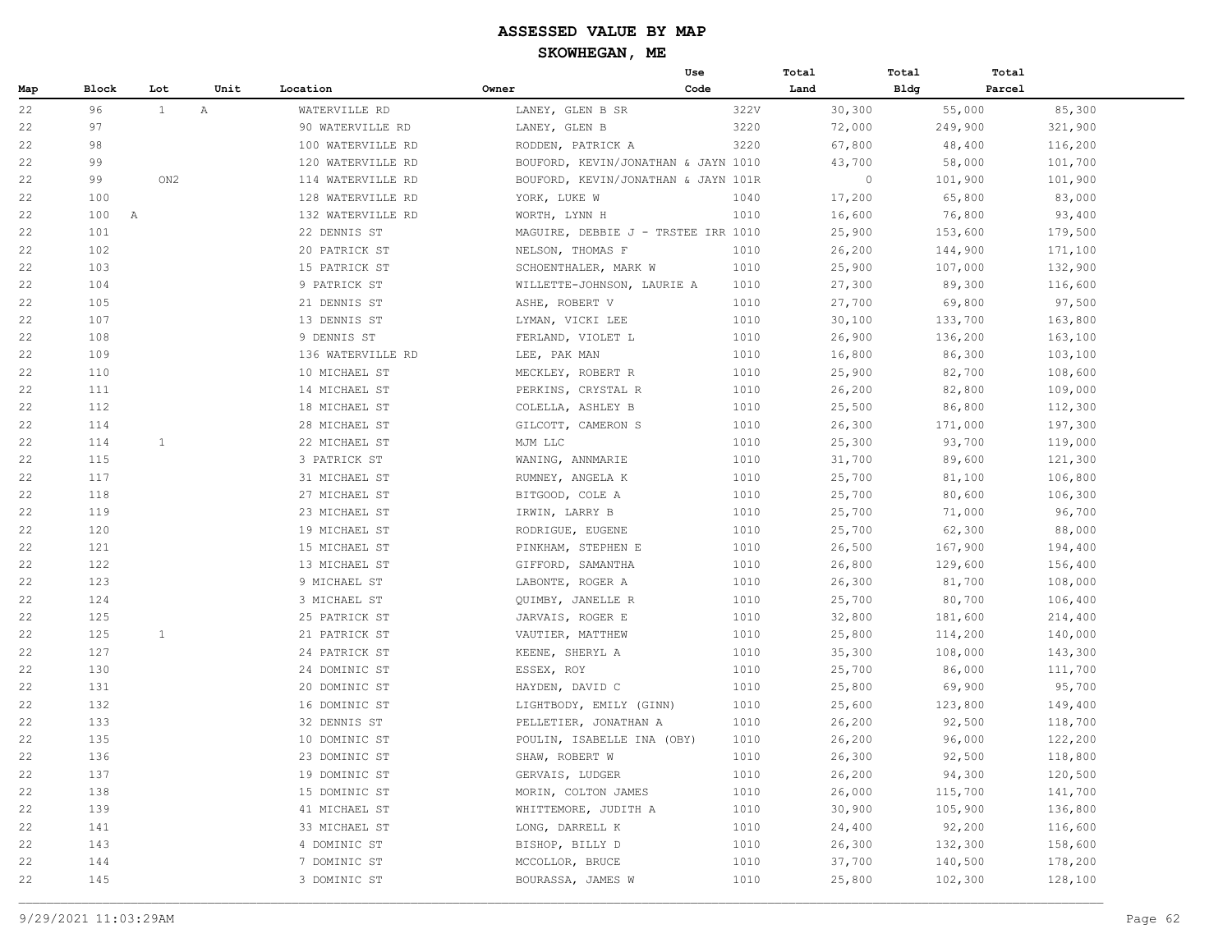|     |                     |              |             |                   |                                     | Use  | Total   | Total       | Total  |         |
|-----|---------------------|--------------|-------------|-------------------|-------------------------------------|------|---------|-------------|--------|---------|
| Map | Block               | Lot          | Unit        | Location          | Owner                               | Code | Land    | <b>Bldg</b> | Parcel |         |
| 22  | 96                  | $\mathbf{1}$ | $\mathbb A$ | WATERVILLE RD     | LANEY, GLEN B SR                    | 322V | 30,300  | 55,000      |        | 85,300  |
| 22  | 97                  |              |             | 90 WATERVILLE RD  | LANEY, GLEN B                       | 3220 | 72,000  | 249,900     |        | 321,900 |
| 22  | 98                  |              |             | 100 WATERVILLE RD | RODDEN, PATRICK A                   | 3220 | 67,800  | 48,400      |        | 116,200 |
| 22  | 99                  |              |             | 120 WATERVILLE RD | BOUFORD, KEVIN/JONATHAN & JAYN 1010 |      | 43,700  | 58,000      |        | 101,700 |
| 22  | 99                  | ON2          |             | 114 WATERVILLE RD | BOUFORD, KEVIN/JONATHAN & JAYN 101R |      | $\circ$ | 101,900     |        | 101,900 |
| 22  | 100                 |              |             | 128 WATERVILLE RD | YORK, LUKE W                        | 1040 | 17,200  | 65,800      |        | 83,000  |
| 22  | 100<br>$\mathbb{A}$ |              |             | 132 WATERVILLE RD | WORTH, LYNN H                       | 1010 | 16,600  | 76,800      |        | 93,400  |
| 22  | 101                 |              |             | 22 DENNIS ST      | MAGUIRE, DEBBIE J - TRSTEE IRR 1010 |      | 25,900  | 153,600     |        | 179,500 |
| 22  | 102                 |              |             | 20 PATRICK ST     | NELSON, THOMAS F                    | 1010 | 26,200  | 144,900     |        | 171,100 |
| 22  | 103                 |              |             | 15 PATRICK ST     | SCHOENTHALER, MARK W                | 1010 | 25,900  | 107,000     |        | 132,900 |
| 22  | 104                 |              |             | 9 PATRICK ST      | WILLETTE-JOHNSON, LAURIE A          | 1010 | 27,300  | 89,300      |        | 116,600 |
| 22  | 105                 |              |             | 21 DENNIS ST      | ASHE, ROBERT V                      | 1010 | 27,700  | 69,800      |        | 97,500  |
| 22  | 107                 |              |             | 13 DENNIS ST      | LYMAN, VICKI LEE                    | 1010 | 30,100  | 133,700     |        | 163,800 |
| 22  | 108                 |              |             | 9 DENNIS ST       | FERLAND, VIOLET L                   | 1010 | 26,900  | 136,200     |        | 163,100 |
| 22  | 109                 |              |             | 136 WATERVILLE RD | LEE, PAK MAN                        | 1010 | 16,800  | 86,300      |        | 103,100 |
| 22  | 110                 |              |             | 10 MICHAEL ST     | MECKLEY, ROBERT R                   | 1010 | 25,900  | 82,700      |        | 108,600 |
| 22  | 111                 |              |             | 14 MICHAEL ST     | PERKINS, CRYSTAL R                  | 1010 | 26,200  | 82,800      |        | 109,000 |
| 22  | 112                 |              |             | 18 MICHAEL ST     | COLELLA, ASHLEY B                   | 1010 | 25,500  | 86,800      |        | 112,300 |
| 22  | 114                 |              |             | 28 MICHAEL ST     | GILCOTT, CAMERON S                  | 1010 | 26,300  | 171,000     |        | 197,300 |
| 22  | 114                 | 1            |             | 22 MICHAEL ST     | MJM LLC                             | 1010 | 25,300  | 93,700      |        | 119,000 |
| 22  | 115                 |              |             | 3 PATRICK ST      | WANING, ANNMARIE                    | 1010 | 31,700  | 89,600      |        | 121,300 |
| 22  | 117                 |              |             | 31 MICHAEL ST     | RUMNEY, ANGELA K                    | 1010 | 25,700  | 81,100      |        | 106,800 |
| 22  | 118                 |              |             | 27 MICHAEL ST     | BITGOOD, COLE A                     | 1010 | 25,700  | 80,600      |        | 106,300 |
| 22  | 119                 |              |             | 23 MICHAEL ST     | IRWIN, LARRY B                      | 1010 | 25,700  | 71,000      |        | 96,700  |
| 22  | 120                 |              |             | 19 MICHAEL ST     | RODRIGUE, EUGENE                    | 1010 | 25,700  | 62,300      |        | 88,000  |
| 22  | 121                 |              |             | 15 MICHAEL ST     | PINKHAM, STEPHEN E                  | 1010 | 26,500  | 167,900     |        | 194,400 |
| 22  | 122                 |              |             | 13 MICHAEL ST     | GIFFORD, SAMANTHA                   | 1010 | 26,800  | 129,600     |        | 156,400 |
| 22  | 123                 |              |             | 9 MICHAEL ST      | LABONTE, ROGER A                    | 1010 | 26,300  | 81,700      |        | 108,000 |
| 22  | 124                 |              |             | 3 MICHAEL ST      | QUIMBY, JANELLE R                   | 1010 | 25,700  | 80,700      |        | 106,400 |
| 22  | 125                 |              |             | 25 PATRICK ST     | JARVAIS, ROGER E                    | 1010 | 32,800  | 181,600     |        | 214,400 |
| 22  | 125                 | $\mathbf{1}$ |             | 21 PATRICK ST     | VAUTIER, MATTHEW                    | 1010 | 25,800  | 114,200     |        | 140,000 |
| 22  | 127                 |              |             | 24 PATRICK ST     | KEENE, SHERYL A                     | 1010 | 35,300  | 108,000     |        | 143,300 |
| 22  | 130                 |              |             | 24 DOMINIC ST     | ESSEX, ROY                          | 1010 | 25,700  | 86,000      |        | 111,700 |
| 22  | 131                 |              |             | 20 DOMINIC ST     | HAYDEN, DAVID C                     | 1010 | 25,800  | 69,900      |        | 95,700  |
| 22  | 132                 |              |             | 16 DOMINIC ST     | LIGHTBODY, EMILY (GINN)             | 1010 | 25,600  | 123,800     |        | 149,400 |
| 22  | 133                 |              |             | 32 DENNIS ST      | PELLETIER, JONATHAN A               | 1010 | 26,200  | 92,500      |        | 118,700 |
| 22  | 135                 |              |             | 10 DOMINIC ST     | POULIN, ISABELLE INA (OBY)          | 1010 | 26,200  | 96,000      |        | 122,200 |
| 22  | 136                 |              |             | 23 DOMINIC ST     | SHAW, ROBERT W                      | 1010 | 26,300  | 92,500      |        | 118,800 |
| 22  | 137                 |              |             | 19 DOMINIC ST     | GERVAIS, LUDGER                     | 1010 | 26,200  | 94,300      |        | 120,500 |
| 22  | 138                 |              |             | 15 DOMINIC ST     | MORIN, COLTON JAMES                 | 1010 | 26,000  | 115,700     |        | 141,700 |
| 22  | 139                 |              |             | 41 MICHAEL ST     | WHITTEMORE, JUDITH A                | 1010 | 30,900  | 105,900     |        | 136,800 |
| 22  | 141                 |              |             | 33 MICHAEL ST     | LONG, DARRELL K                     | 1010 | 24,400  | 92,200      |        | 116,600 |
| 22  | 143                 |              |             | 4 DOMINIC ST      | BISHOP, BILLY D                     | 1010 | 26,300  | 132,300     |        | 158,600 |
| 22  | 144                 |              |             | 7 DOMINIC ST      | MCCOLLOR, BRUCE                     | 1010 | 37,700  | 140,500     |        | 178,200 |
| 22  | 145                 |              |             | 3 DOMINIC ST      | BOURASSA, JAMES W                   | 1010 | 25,800  | 102,300     |        | 128,100 |
|     |                     |              |             |                   |                                     |      |         |             |        |         |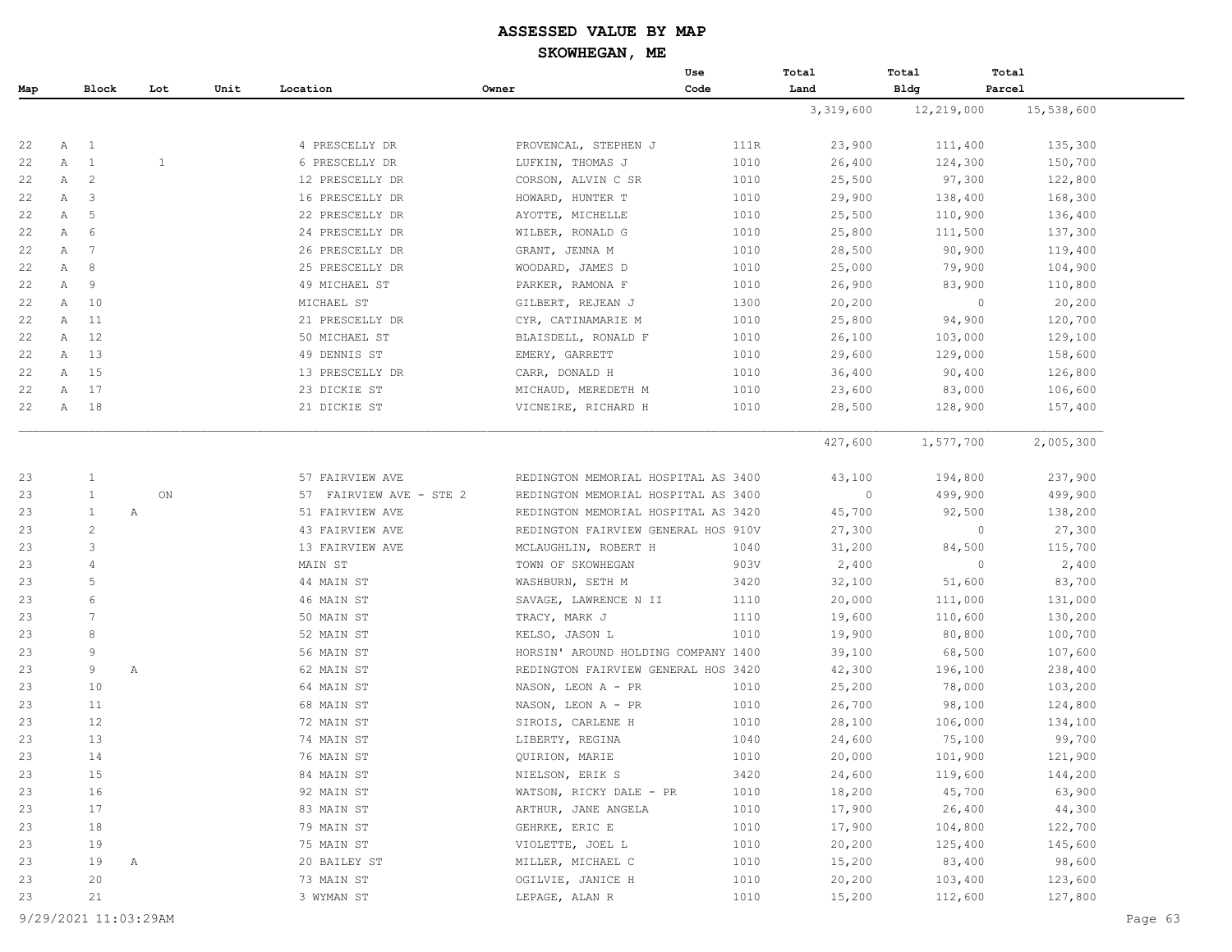|     |   |                         |     |      |                         |                                     | Use  | Total     | Total       | Total      |
|-----|---|-------------------------|-----|------|-------------------------|-------------------------------------|------|-----------|-------------|------------|
| Map |   | Block                   | Lot | Unit | Location                | Owner                               | Code | Land      | <b>Bldg</b> | Parcel     |
|     |   |                         |     |      |                         |                                     |      | 3,319,600 | 12,219,000  | 15,538,600 |
|     |   |                         |     |      |                         |                                     |      |           |             |            |
| 22  | A | $\mathbf{1}$            |     |      | 4 PRESCELLY DR          | PROVENCAL, STEPHEN J                | 111R | 23,900    | 111,400     | 135,300    |
| 22  | A | <sup>1</sup>            | 1   |      | 6 PRESCELLY DR          | LUFKIN, THOMAS J                    | 1010 | 26,400    | 124,300     | 150,700    |
| 22  | A | $\overline{c}$          |     |      | 12 PRESCELLY DR         | CORSON, ALVIN C SR                  | 1010 | 25,500    | 97,300      | 122,800    |
| 22  | A | $\overline{\mathbf{3}}$ |     |      | 16 PRESCELLY DR         | HOWARD, HUNTER T                    | 1010 | 29,900    | 138,400     | 168,300    |
| 22  | Α | 5                       |     |      | 22 PRESCELLY DR         | AYOTTE, MICHELLE                    | 1010 | 25,500    | 110,900     | 136,400    |
| 22  | Α | 6                       |     |      | 24 PRESCELLY DR         | WILBER, RONALD G                    | 1010 | 25,800    | 111,500     | 137,300    |
| 22  | Α | 7                       |     |      | 26 PRESCELLY DR         | GRANT, JENNA M                      | 1010 | 28,500    | 90,900      | 119,400    |
| 22  | Α | 8                       |     |      | 25 PRESCELLY DR         | WOODARD, JAMES D                    | 1010 | 25,000    | 79,900      | 104,900    |
| 22  | Α | 9                       |     |      | 49 MICHAEL ST           | PARKER, RAMONA F                    | 1010 | 26,900    | 83,900      | 110,800    |
| 22  | Α | 10                      |     |      | MICHAEL ST              | GILBERT, REJEAN J                   | 1300 | 20,200    | $\circ$     | 20,200     |
| 22  | А | 11                      |     |      | 21 PRESCELLY DR         | CYR, CATINAMARIE M                  | 1010 | 25,800    | 94,900      | 120,700    |
| 22  | Α | 12                      |     |      | 50 MICHAEL ST           | BLAISDELL, RONALD F                 | 1010 | 26,100    | 103,000     | 129,100    |
| 22  | Α | 13                      |     |      | 49 DENNIS ST            | EMERY, GARRETT                      | 1010 | 29,600    | 129,000     | 158,600    |
| 22  | Α | 15                      |     |      | 13 PRESCELLY DR         | CARR, DONALD H                      | 1010 | 36,400    | 90,400      | 126,800    |
| 22  | Α | 17                      |     |      | 23 DICKIE ST            | MICHAUD, MEREDETH M                 | 1010 | 23,600    | 83,000      | 106,600    |
| 22  | A | 18                      |     |      | 21 DICKIE ST            | VICNEIRE, RICHARD H                 | 1010 | 28,500    | 128,900     | 157,400    |
|     |   |                         |     |      |                         |                                     |      |           |             |            |
|     |   |                         |     |      |                         |                                     |      | 427,600   | 1,577,700   | 2,005,300  |
| 23  |   | $\mathbf{1}$            |     |      | 57 FAIRVIEW AVE         | REDINGTON MEMORIAL HOSPITAL AS 3400 |      | 43,100    | 194,800     | 237,900    |
| 23  |   | $\mathbf{1}$            | ON  |      | 57 FAIRVIEW AVE - STE 2 | REDINGTON MEMORIAL HOSPITAL AS 3400 |      | $\circ$   | 499,900     | 499,900    |
| 23  |   | $\mathbf{1}$<br>Α       |     |      | 51 FAIRVIEW AVE         | REDINGTON MEMORIAL HOSPITAL AS 3420 |      | 45,700    | 92,500      | 138,200    |
| 23  |   | $\overline{c}$          |     |      | 43 FAIRVIEW AVE         | REDINGTON FAIRVIEW GENERAL HOS 910V |      | 27,300    | $\circ$     | 27,300     |
| 23  |   | 3                       |     |      | 13 FAIRVIEW AVE         | MCLAUGHLIN, ROBERT H                | 1040 | 31,200    | 84,500      | 115,700    |
| 23  |   | 4                       |     |      | MAIN ST                 | TOWN OF SKOWHEGAN                   | 903V | 2,400     | $\circ$     | 2,400      |
| 23  |   | 5                       |     |      | 44 MAIN ST              | WASHBURN, SETH M                    | 3420 | 32,100    | 51,600      | 83,700     |
| 23  |   | 6                       |     |      | 46 MAIN ST              | SAVAGE, LAWRENCE N II               | 1110 | 20,000    | 111,000     | 131,000    |
| 23  |   | $7\phantom{.0}$         |     |      | 50 MAIN ST              | TRACY, MARK J                       | 1110 | 19,600    | 110,600     | 130,200    |
| 23  |   | 8                       |     |      | 52 MAIN ST              | KELSO, JASON L                      | 1010 | 19,900    | 80,800      | 100,700    |
| 23  |   | 9                       |     |      | 56 MAIN ST              | HORSIN' AROUND HOLDING COMPANY 1400 |      | 39,100    | 68,500      | 107,600    |
| 23  |   | 9<br>Α                  |     |      | 62 MAIN ST              | REDINGTON FAIRVIEW GENERAL HOS 3420 |      | 42,300    | 196,100     | 238,400    |
| 23  |   | 10                      |     |      | 64 MAIN ST              | NASON, LEON A - PR                  | 1010 | 25,200    | 78,000      | 103,200    |
| 23  |   | 11                      |     |      | 68 MAIN ST              | NASON, LEON A - PR                  | 1010 | 26,700    | 98,100      | 124,800    |
| 23  |   | 12                      |     |      | 72 MAIN ST              | SIROIS, CARLENE H                   | 1010 | 28,100    | 106,000     | 134,100    |
| 23  |   | 13                      |     |      | 74 MAIN ST              | LIBERTY, REGINA                     | 1040 | 24,600    | 75,100      | 99,700     |
| 23  |   | 14                      |     |      | 76 MAIN ST              | QUIRION, MARIE                      | 1010 | 20,000    | 101,900     | 121,900    |
| 23  |   | 15                      |     |      | 84 MAIN ST              | NIELSON, ERIK S                     | 3420 | 24,600    | 119,600     | 144,200    |
| 23  |   | 16                      |     |      | 92 MAIN ST              | WATSON, RICKY DALE - PR             | 1010 | 18,200    | 45,700      | 63,900     |
| 23  |   | 17                      |     |      | 83 MAIN ST              | ARTHUR, JANE ANGELA                 | 1010 | 17,900    | 26,400      | 44,300     |
| 23  |   | 18                      |     |      | 79 MAIN ST              | GEHRKE, ERIC E                      | 1010 | 17,900    | 104,800     | 122,700    |
| 23  |   | 19                      |     |      | 75 MAIN ST              | VIOLETTE, JOEL L                    | 1010 | 20,200    | 125,400     | 145,600    |
| 23  |   | 19                      | Α   |      | 20 BAILEY ST            | MILLER, MICHAEL C                   | 1010 | 15,200    | 83,400      | 98,600     |
| 23  |   | 20                      |     |      | 73 MAIN ST              | OGILVIE, JANICE H                   | 1010 | 20,200    | 103,400     | 123,600    |
| 23  |   | 21                      |     |      | 3 WYMAN ST              | LEPAGE, ALAN R                      | 1010 | 15,200    | 112,600     | 127,800    |
|     |   |                         |     |      |                         |                                     |      |           |             |            |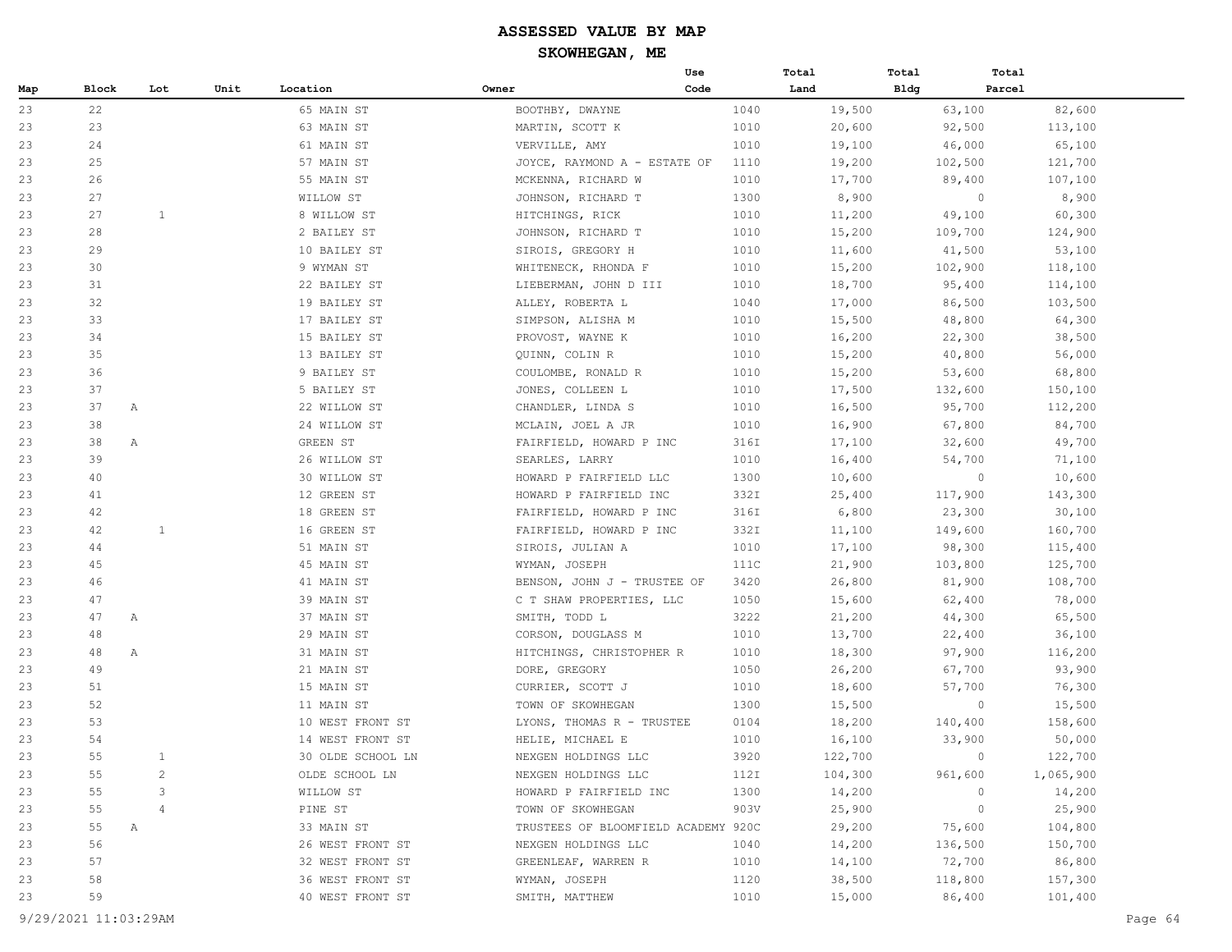|     |       |                |      |                   |                                     | Use  | Total |         | Total | Total   |           |
|-----|-------|----------------|------|-------------------|-------------------------------------|------|-------|---------|-------|---------|-----------|
| Map | Block | Lot            | Unit | Location          | Owner                               | Code | Land  |         | Bldg  | Parcel  |           |
| 23  | 22    |                |      | 65 MAIN ST        | BOOTHBY, DWAYNE                     |      | 1040  | 19,500  |       | 63,100  | 82,600    |
| 23  | 23    |                |      | 63 MAIN ST        | MARTIN, SCOTT K                     |      | 1010  | 20,600  |       | 92,500  | 113,100   |
| 23  | 24    |                |      | 61 MAIN ST        | VERVILLE, AMY                       |      | 1010  | 19,100  |       | 46,000  | 65,100    |
| 23  | 25    |                |      | 57 MAIN ST        | JOYCE, RAYMOND A - ESTATE OF        |      | 1110  | 19,200  |       | 102,500 | 121,700   |
| 23  | 26    |                |      | 55 MAIN ST        | MCKENNA, RICHARD W                  |      | 1010  | 17,700  |       | 89,400  | 107,100   |
| 23  | 27    |                |      | WILLOW ST         | JOHNSON, RICHARD T                  |      | 1300  | 8,900   |       | $\circ$ | 8,900     |
| 23  | 27    | 1              |      | 8 WILLOW ST       | HITCHINGS, RICK                     |      | 1010  | 11,200  |       | 49,100  | 60,300    |
| 23  | 28    |                |      | 2 BAILEY ST       | JOHNSON, RICHARD T                  |      | 1010  | 15,200  |       | 109,700 | 124,900   |
| 23  | 29    |                |      | 10 BAILEY ST      | SIROIS, GREGORY H                   |      | 1010  | 11,600  |       | 41,500  | 53,100    |
| 23  | 30    |                |      | 9 WYMAN ST        | WHITENECK, RHONDA F                 |      | 1010  | 15,200  |       | 102,900 | 118,100   |
| 23  | 31    |                |      | 22 BAILEY ST      | LIEBERMAN, JOHN D III               |      | 1010  | 18,700  |       | 95,400  | 114,100   |
| 23  | 32    |                |      | 19 BAILEY ST      | ALLEY, ROBERTA L                    |      | 1040  | 17,000  |       | 86,500  | 103,500   |
| 23  | 33    |                |      | 17 BAILEY ST      | SIMPSON, ALISHA M                   |      | 1010  | 15,500  |       | 48,800  | 64,300    |
| 23  | 34    |                |      | 15 BAILEY ST      | PROVOST, WAYNE K                    |      | 1010  | 16,200  |       | 22,300  | 38,500    |
| 23  | 35    |                |      | 13 BAILEY ST      | QUINN, COLIN R                      |      | 1010  | 15,200  |       | 40,800  | 56,000    |
| 23  | 36    |                |      | 9 BAILEY ST       | COULOMBE, RONALD R                  |      | 1010  | 15,200  |       | 53,600  | 68,800    |
| 23  | 37    |                |      | 5 BAILEY ST       | JONES, COLLEEN L                    |      | 1010  | 17,500  |       | 132,600 | 150,100   |
| 23  | 37    | Α              |      | 22 WILLOW ST      | CHANDLER, LINDA S                   |      | 1010  | 16,500  |       | 95,700  | 112,200   |
| 23  | 38    |                |      | 24 WILLOW ST      | MCLAIN, JOEL A JR                   |      | 1010  | 16,900  |       | 67,800  | 84,700    |
| 23  | 38    | Α              |      | GREEN ST          | FAIRFIELD, HOWARD P INC             |      | 316I  | 17,100  |       | 32,600  | 49,700    |
| 23  | 39    |                |      | 26 WILLOW ST      | SEARLES, LARRY                      |      | 1010  | 16,400  |       | 54,700  | 71,100    |
| 23  | 40    |                |      | 30 WILLOW ST      | HOWARD P FAIRFIELD LLC              |      | 1300  | 10,600  |       | $\circ$ | 10,600    |
| 23  | 41    |                |      | 12 GREEN ST       | HOWARD P FAIRFIELD INC              |      | 332I  | 25,400  |       | 117,900 | 143,300   |
| 23  | 42    |                |      | 18 GREEN ST       | FAIRFIELD, HOWARD P INC             |      | 316I  | 6,800   |       | 23,300  | 30,100    |
| 23  | 42    | $\mathbf{1}$   |      | 16 GREEN ST       | FAIRFIELD, HOWARD P INC             |      | 332I  | 11,100  |       | 149,600 | 160,700   |
| 23  | 44    |                |      | 51 MAIN ST        | SIROIS, JULIAN A                    |      | 1010  | 17,100  |       | 98,300  | 115,400   |
| 23  | 45    |                |      | 45 MAIN ST        | WYMAN, JOSEPH                       |      | 111C  | 21,900  |       | 103,800 | 125,700   |
| 23  | 46    |                |      | 41 MAIN ST        | BENSON, JOHN J - TRUSTEE OF         |      | 3420  | 26,800  |       | 81,900  | 108,700   |
| 23  | 47    |                |      | 39 MAIN ST        | C T SHAW PROPERTIES, LLC            |      | 1050  | 15,600  |       | 62,400  | 78,000    |
| 23  | 47    | Α              |      | 37 MAIN ST        | SMITH, TODD L                       |      | 3222  | 21,200  |       | 44,300  | 65,500    |
| 23  | 48    |                |      | 29 MAIN ST        | CORSON, DOUGLASS M                  |      | 1010  | 13,700  |       | 22,400  | 36,100    |
| 23  | 48    | Α              |      | 31 MAIN ST        | HITCHINGS, CHRISTOPHER R            |      | 1010  | 18,300  |       | 97,900  | 116,200   |
| 23  | 49    |                |      | 21 MAIN ST        | DORE, GREGORY                       |      | 1050  | 26,200  |       | 67,700  | 93,900    |
| 23  | 51    |                |      | 15 MAIN ST        | CURRIER, SCOTT J                    |      | 1010  | 18,600  |       | 57,700  | 76,300    |
| 23  | 52    |                |      | 11 MAIN ST        | TOWN OF SKOWHEGAN                   |      | 1300  | 15,500  |       | $\circ$ | 15,500    |
| 23  | 53    |                |      | 10 WEST FRONT ST  | LYONS, THOMAS R - TRUSTEE           |      | 0104  | 18,200  |       | 140,400 | 158,600   |
| 23  | 54    |                |      | 14 WEST FRONT ST  | HELIE, MICHAEL E                    |      | 1010  | 16,100  |       | 33,900  | 50,000    |
| 23  | 55    | $\mathbf{1}$   |      | 30 OLDE SCHOOL LN | NEXGEN HOLDINGS LLC                 |      | 3920  | 122,700 |       | $\circ$ | 122,700   |
| 23  | 55    | $\overline{c}$ |      | OLDE SCHOOL LN    | NEXGEN HOLDINGS LLC                 |      | 112I  | 104,300 |       | 961,600 | 1,065,900 |
| 23  | 55    | 3              |      | WILLOW ST         | HOWARD P FAIRFIELD INC              |      | 1300  | 14,200  |       | $\circ$ | 14,200    |
| 23  | 55    | 4              |      | PINE ST           | TOWN OF SKOWHEGAN                   |      | 903V  | 25,900  |       | $\circ$ | 25,900    |
| 23  | 55    | Α              |      | 33 MAIN ST        | TRUSTEES OF BLOOMFIELD ACADEMY 920C |      |       | 29,200  |       | 75,600  | 104,800   |
| 23  | 56    |                |      | 26 WEST FRONT ST  | NEXGEN HOLDINGS LLC                 |      | 1040  | 14,200  |       | 136,500 | 150,700   |
| 23  | 57    |                |      | 32 WEST FRONT ST  | GREENLEAF, WARREN R                 |      | 1010  | 14,100  |       | 72,700  | 86,800    |
| 23  | 58    |                |      | 36 WEST FRONT ST  | WYMAN, JOSEPH                       |      | 1120  | 38,500  |       | 118,800 | 157,300   |
| 23  | 59    |                |      | 40 WEST FRONT ST  | SMITH, MATTHEW                      |      | 1010  | 15,000  |       | 86,400  | 101,400   |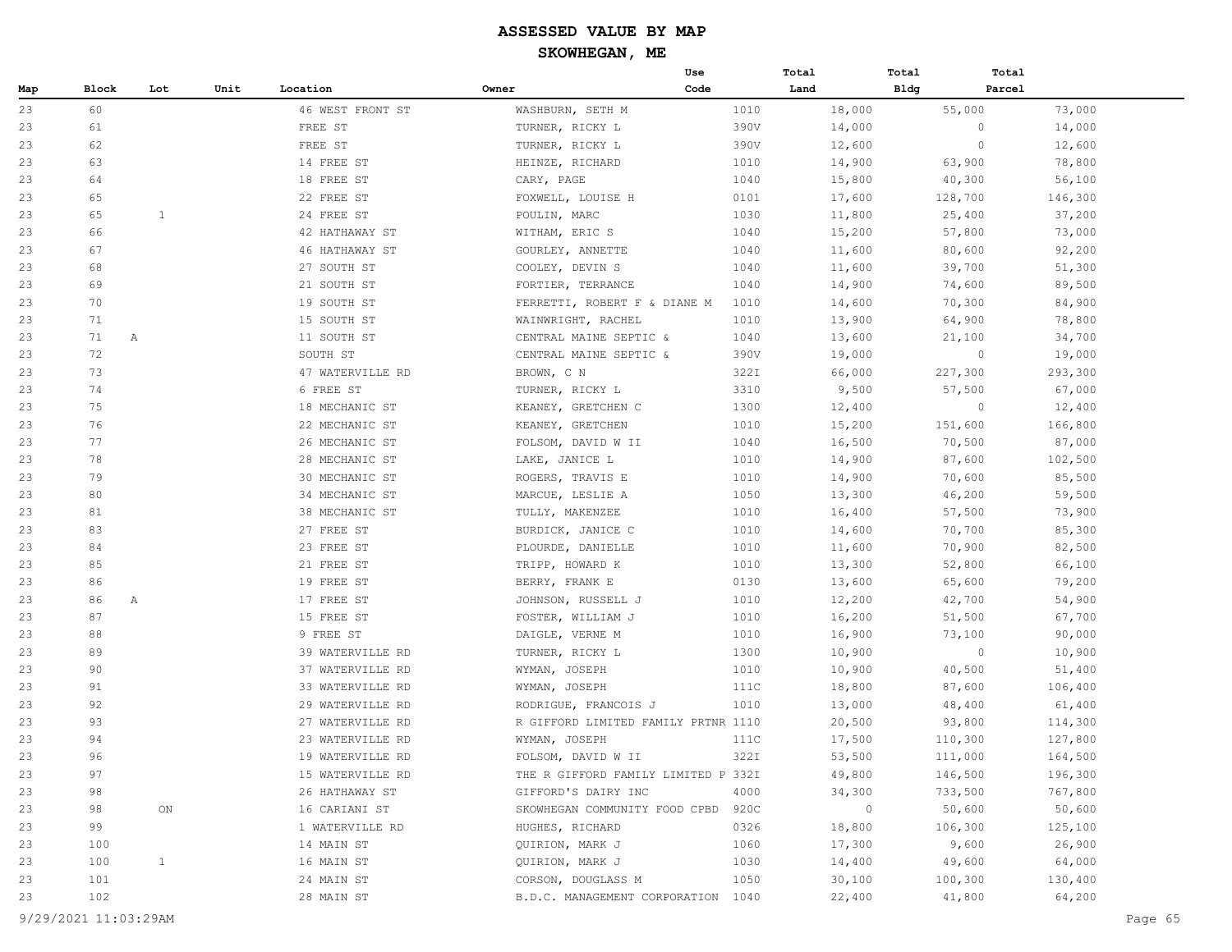|     |         |              |      |                  |                                     | Use  | Total   | Total       | Total             |
|-----|---------|--------------|------|------------------|-------------------------------------|------|---------|-------------|-------------------|
| Map | Block   | Lot          | Unit | Location         | Owner                               | Code | Land    | <b>Bldg</b> | Parcel            |
| 23  | 60      |              |      | 46 WEST FRONT ST | WASHBURN, SETH M                    | 1010 | 18,000  | 55,000      | 73,000            |
| 23  | 61      |              |      | FREE ST          | TURNER, RICKY L                     | 390V | 14,000  |             | $\circ$<br>14,000 |
| 23  | 62      |              |      | FREE ST          | TURNER, RICKY L                     | 390V | 12,600  |             | $\circ$<br>12,600 |
| 23  | 63      |              |      | 14 FREE ST       | HEINZE, RICHARD                     | 1010 | 14,900  | 63,900      | 78,800            |
| 23  | 64      |              |      | 18 FREE ST       | CARY, PAGE                          | 1040 | 15,800  | 40,300      | 56,100            |
| 23  | 65      |              |      | 22 FREE ST       | FOXWELL, LOUISE H                   | 0101 | 17,600  | 128,700     | 146,300           |
| 23  | 65      | 1            |      | 24 FREE ST       | POULIN, MARC                        | 1030 | 11,800  | 25,400      | 37,200            |
| 23  | 66      |              |      | 42 HATHAWAY ST   | WITHAM, ERIC S                      | 1040 | 15,200  | 57,800      | 73,000            |
| 23  | 67      |              |      | 46 HATHAWAY ST   | GOURLEY, ANNETTE                    | 1040 | 11,600  | 80,600      | 92,200            |
| 23  | 68      |              |      | 27 SOUTH ST      | COOLEY, DEVIN S                     | 1040 | 11,600  | 39,700      | 51,300            |
| 23  | 69      |              |      | 21 SOUTH ST      | FORTIER, TERRANCE                   | 1040 | 14,900  | 74,600      | 89,500            |
| 23  | 70      |              |      | 19 SOUTH ST      | FERRETTI, ROBERT F & DIANE M        | 1010 | 14,600  | 70,300      | 84,900            |
| 23  | 71      |              |      | 15 SOUTH ST      | WAINWRIGHT, RACHEL                  | 1010 | 13,900  | 64,900      | 78,800            |
| 23  | 71<br>A |              |      | 11 SOUTH ST      | CENTRAL MAINE SEPTIC &              | 1040 | 13,600  | 21,100      | 34,700            |
| 23  | 72      |              |      | SOUTH ST         | CENTRAL MAINE SEPTIC &              | 390V | 19,000  |             | $\circ$<br>19,000 |
| 23  | 73      |              |      | 47 WATERVILLE RD | BROWN, C N                          | 322I | 66,000  | 227,300     | 293,300           |
| 23  | 74      |              |      | 6 FREE ST        | TURNER, RICKY L                     | 3310 | 9,500   | 57,500      | 67,000            |
| 23  | 75      |              |      | 18 MECHANIC ST   | KEANEY, GRETCHEN C                  | 1300 | 12,400  |             | $\circ$<br>12,400 |
| 23  | 76      |              |      | 22 MECHANIC ST   | KEANEY, GRETCHEN                    | 1010 | 15,200  | 151,600     | 166,800           |
| 23  | 77      |              |      | 26 MECHANIC ST   | FOLSOM, DAVID W II                  | 1040 | 16,500  | 70,500      | 87,000            |
| 23  | 78      |              |      | 28 MECHANIC ST   | LAKE, JANICE L                      | 1010 | 14,900  | 87,600      | 102,500           |
| 23  | 79      |              |      | 30 MECHANIC ST   | ROGERS, TRAVIS E                    | 1010 | 14,900  | 70,600      | 85,500            |
| 23  | 80      |              |      | 34 MECHANIC ST   | MARCUE, LESLIE A                    | 1050 | 13,300  | 46,200      | 59,500            |
| 23  | 81      |              |      | 38 MECHANIC ST   | TULLY, MAKENZEE                     | 1010 | 16,400  | 57,500      | 73,900            |
| 23  | 83      |              |      | 27 FREE ST       | BURDICK, JANICE C                   | 1010 | 14,600  | 70,700      | 85,300            |
| 23  | 84      |              |      | 23 FREE ST       | PLOURDE, DANIELLE                   | 1010 | 11,600  | 70,900      | 82,500            |
| 23  | 85      |              |      | 21 FREE ST       | TRIPP, HOWARD K                     | 1010 | 13,300  | 52,800      | 66,100            |
| 23  | 86      |              |      | 19 FREE ST       | BERRY, FRANK E                      | 0130 | 13,600  | 65,600      | 79,200            |
| 23  | 86<br>A |              |      | 17 FREE ST       | JOHNSON, RUSSELL J                  | 1010 | 12,200  | 42,700      | 54,900            |
| 23  | 87      |              |      | 15 FREE ST       | FOSTER, WILLIAM J                   | 1010 | 16,200  | 51,500      | 67,700            |
| 23  | 88      |              |      | 9 FREE ST        | DAIGLE, VERNE M                     | 1010 | 16,900  | 73,100      | 90,000            |
| 23  | 89      |              |      | 39 WATERVILLE RD | TURNER, RICKY L                     | 1300 | 10,900  |             | $\circ$<br>10,900 |
| 23  | 90      |              |      | 37 WATERVILLE RD | WYMAN, JOSEPH                       | 1010 | 10,900  | 40,500      | 51,400            |
| 23  | 91      |              |      | 33 WATERVILLE RD | WYMAN, JOSEPH                       | 111C | 18,800  | 87,600      | 106,400           |
| 23  | 92      |              |      | 29 WATERVILLE RD | RODRIGUE, FRANCOIS J                | 1010 | 13,000  | 48,400      | 61,400            |
| 23  | 93      |              |      | 27 WATERVILLE RD | R GIFFORD LIMITED FAMILY PRTNR 1110 |      | 20,500  | 93,800      | 114,300           |
| 23  | 94      |              |      | 23 WATERVILLE RD | WYMAN, JOSEPH                       | 111C | 17,500  | 110,300     | 127,800           |
| 23  | 96      |              |      | 19 WATERVILLE RD | FOLSOM, DAVID W II                  | 322I | 53,500  | 111,000     | 164,500           |
| 23  | 97      |              |      | 15 WATERVILLE RD | THE R GIFFORD FAMILY LIMITED P 332I |      | 49,800  | 146,500     | 196,300           |
| 23  | 98      |              |      | 26 HATHAWAY ST   | GIFFORD'S DAIRY INC                 | 4000 | 34,300  | 733,500     | 767,800           |
| 23  | 98      | ON           |      | 16 CARIANI ST    | SKOWHEGAN COMMUNITY FOOD CPBD       | 920C | $\circ$ | 50,600      | 50,600            |
| 23  | 99      |              |      | 1 WATERVILLE RD  | HUGHES, RICHARD                     | 0326 | 18,800  | 106,300     | 125,100           |
| 23  | 100     |              |      | 14 MAIN ST       | QUIRION, MARK J                     | 1060 | 17,300  | 9,600       | 26,900            |
| 23  | 100     | $\mathbf{1}$ |      | 16 MAIN ST       | QUIRION, MARK J                     | 1030 | 14,400  | 49,600      | 64,000            |
| 23  | 101     |              |      | 24 MAIN ST       | CORSON, DOUGLASS M                  | 1050 | 30,100  | 100,300     | 130,400           |
| 23  | 102     |              |      | 28 MAIN ST       | B.D.C. MANAGEMENT CORPORATION 1040  |      | 22,400  | 41,800      | 64,200            |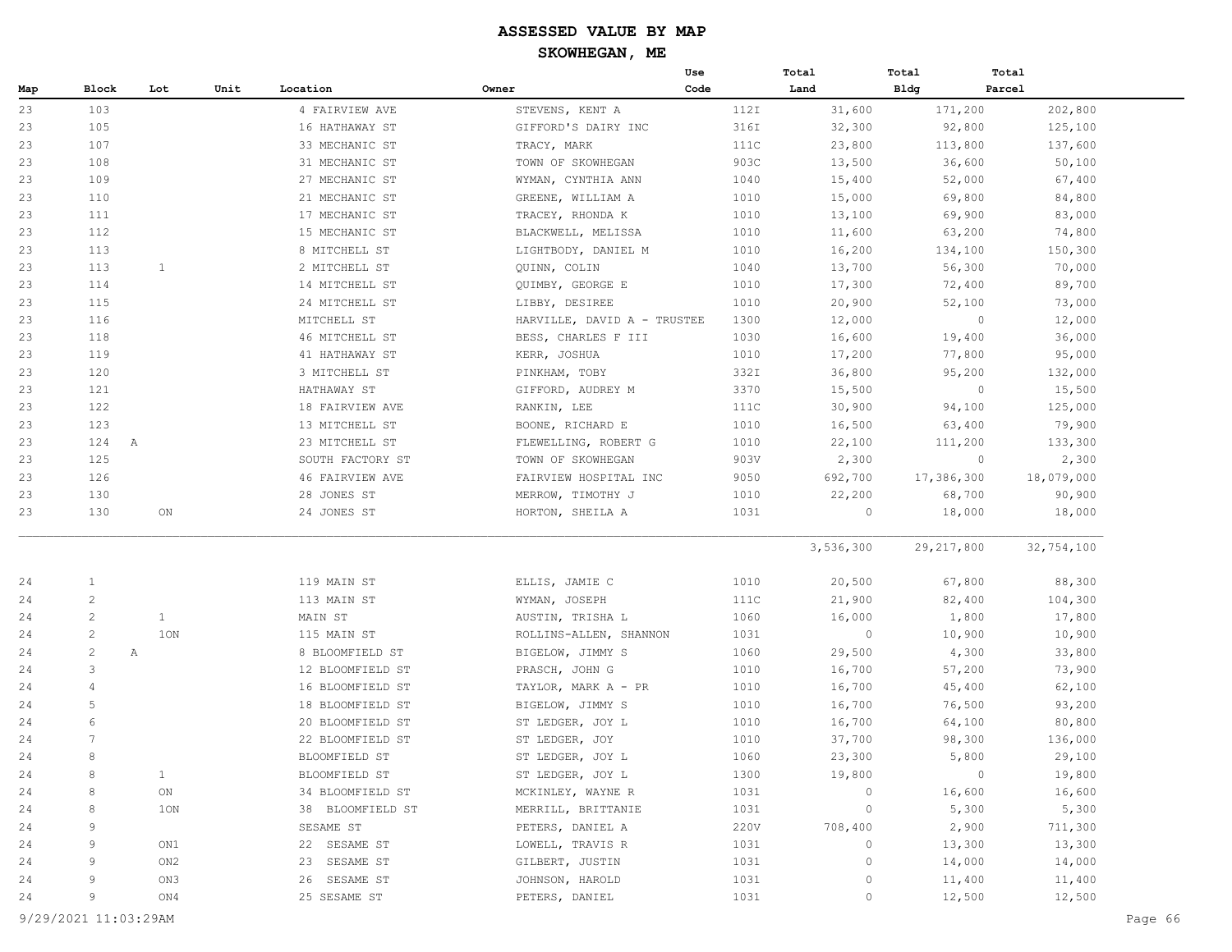| Code<br>Block<br>Lot<br>Unit<br>Location<br>Owner<br>Land<br>Bldg<br>Parcel<br>103<br>4 FAIRVIEW AVE<br>112I<br>31,600<br>171,200<br>202,800<br>STEVENS, KENT A<br>105<br>16 HATHAWAY ST<br>316I<br>32,300<br>92,800<br>125,100<br>GIFFORD'S DAIRY INC<br>107<br>111C<br>23,800<br>113,800<br>137,600<br>33 MECHANIC ST<br>TRACY, MARK<br>108<br>903C<br>13,500<br>36,600<br>50,100<br>31 MECHANIC ST<br>TOWN OF SKOWHEGAN<br>15,400<br>52,000<br>67,400<br>109<br>27 MECHANIC ST<br>WYMAN, CYNTHIA ANN<br>1040<br>110<br>1010<br>15,000<br>69,800<br>84,800<br>21 MECHANIC ST<br>GREENE, WILLIAM A<br>69,900<br>83,000<br>111<br>17 MECHANIC ST<br>TRACEY, RHONDA K<br>1010<br>13,100<br>112<br>15 MECHANIC ST<br>1010<br>11,600<br>63,200<br>74,800<br>BLACKWELL, MELISSA<br>8 MITCHELL ST<br>1010<br>16,200<br>134,100<br>150,300<br>113<br>LIGHTBODY, DANIEL M<br>113<br>1<br>2 MITCHELL ST<br>13,700<br>56,300<br>70,000<br>QUINN, COLIN<br>1040<br>114<br>72,400<br>89,700<br>14 MITCHELL ST<br>QUIMBY, GEORGE E<br>1010<br>17,300<br>115<br>20,900<br>52,100<br>24 MITCHELL ST<br>LIBBY, DESIREE<br>1010<br>73,000<br>116<br>MITCHELL ST<br>12,000<br>$\circ$<br>12,000<br>23<br>HARVILLE, DAVID A - TRUSTEE<br>1300<br>23<br>118<br>46 MITCHELL ST<br>1030<br>16,600<br>19,400<br>36,000<br>BESS, CHARLES F III<br>17,200<br>77,800<br>95,000<br>119<br>41 HATHAWAY ST<br>KERR, JOSHUA<br>1010<br>23<br>120<br>3 MITCHELL ST<br>332I<br>36,800<br>95,200<br>132,000<br>PINKHAM, TOBY<br>15,500<br>23<br>121<br>3370<br>15,500<br>$\circ$<br>HATHAWAY ST<br>GIFFORD, AUDREY M<br>122<br>18 FAIRVIEW AVE<br>111C<br>30,900<br>94,100<br>125,000<br>RANKIN, LEE<br>123<br>63,400<br>79,900<br>23<br>13 MITCHELL ST<br>BOONE, RICHARD E<br>1010<br>16,500<br>23<br>124<br>22,100<br>111,200<br>133,300<br>$\mathbb{A}$<br>23 MITCHELL ST<br>FLEWELLING, ROBERT G<br>1010<br>125<br>2,300<br>$\circ$<br>2,300<br>23<br>SOUTH FACTORY ST<br>903V<br>TOWN OF SKOWHEGAN<br>23<br>126<br>46 FAIRVIEW AVE<br>9050<br>692,700<br>17,386,300<br>18,079,000<br>FAIRVIEW HOSPITAL INC<br>22,200<br>68,700<br>90,900<br>23<br>130<br>28 JONES ST<br>MERROW, TIMOTHY J<br>1010<br>130<br>24 JONES ST<br>1031<br>$\circ$<br>18,000<br>18,000<br>23<br>ON<br>HORTON, SHEILA A<br>3,536,300<br>29, 217, 800<br>32,754,100<br>$\mathbf{1}$<br>119 MAIN ST<br>67,800<br>88,300<br>24<br>ELLIS, JAMIE C<br>1010<br>20,500<br>$\mathbf{2}$<br>24<br>113 MAIN ST<br>111C<br>82,400<br>104,300<br>WYMAN, JOSEPH<br>21,900<br>2<br>$\mathbf{1}$<br>MAIN ST<br>1060<br>16,000<br>1,800<br>17,800<br>24<br>AUSTIN, TRISHA L<br>2<br>1ON<br>1031<br>$\circ$<br>10,900<br>10,900<br>24<br>115 MAIN ST<br>ROLLINS-ALLEN, SHANNON<br>2<br>8 BLOOMFIELD ST<br>1060<br>29,500<br>4,300<br>33,800<br>24<br>Α<br>BIGELOW, JIMMY S<br>57,200<br>3<br>1010<br>16,700<br>73,900<br>24<br>12 BLOOMFIELD ST<br>PRASCH, JOHN G<br>16 BLOOMFIELD ST<br>1010<br>16,700<br>45,400<br>62,100<br>24<br>$\overline{4}$<br>TAYLOR, MARK A - PR<br>5<br>93,200<br>24<br>18 BLOOMFIELD ST<br>BIGELOW, JIMMY S<br>1010<br>16,700<br>76,500<br>6<br>64,100<br>24<br>20 BLOOMFIELD ST<br>ST LEDGER, JOY L<br>1010<br>16,700<br>80,800<br>24<br>22 BLOOMFIELD ST<br>ST LEDGER, JOY<br>1010<br>37,700<br>98,300<br>136,000<br>24<br>8<br>BLOOMFIELD ST<br>1060<br>23,300<br>5,800<br>29,100<br>ST LEDGER, JOY L<br>$\mathbf{1}$<br>$\circ$<br>24<br>8<br>BLOOMFIELD ST<br>ST LEDGER, JOY L<br>1300<br>19,800<br>19,800<br>34 BLOOMFIELD ST<br>1031<br>$\mathbb O$<br>16,600<br>16,600<br>24<br>8<br>ON<br>MCKINLEY, WAYNE R<br>$\circ$<br>5,300<br>5,300<br>24<br>8<br>1ON<br>38 BLOOMFIELD ST<br>MERRILL, BRITTANIE<br>1031<br>SESAME ST<br>220V<br>2,900<br>711,300<br>24<br>9<br>PETERS, DANIEL A<br>708,400<br>13,300<br>24<br>9<br>ON1<br>22 SESAME ST<br>LOWELL, TRAVIS R<br>1031<br>0<br>13,300<br>$\overline{9}$<br>23 SESAME ST<br>ON <sub>2</sub><br>GILBERT, JUSTIN<br>1031<br>0<br>14,000<br>14,000<br>9<br>26 SESAME ST<br>ON3<br>JOHNSON, HAROLD<br>1031<br>0<br>11,400<br>11,400<br>9<br>25 SESAME ST<br>PETERS, DANIEL<br>1031<br>$\circ$<br>12,500<br>12,500<br>ON4 |     |  |  | Use | Total | Total | Total |
|--------------------------------------------------------------------------------------------------------------------------------------------------------------------------------------------------------------------------------------------------------------------------------------------------------------------------------------------------------------------------------------------------------------------------------------------------------------------------------------------------------------------------------------------------------------------------------------------------------------------------------------------------------------------------------------------------------------------------------------------------------------------------------------------------------------------------------------------------------------------------------------------------------------------------------------------------------------------------------------------------------------------------------------------------------------------------------------------------------------------------------------------------------------------------------------------------------------------------------------------------------------------------------------------------------------------------------------------------------------------------------------------------------------------------------------------------------------------------------------------------------------------------------------------------------------------------------------------------------------------------------------------------------------------------------------------------------------------------------------------------------------------------------------------------------------------------------------------------------------------------------------------------------------------------------------------------------------------------------------------------------------------------------------------------------------------------------------------------------------------------------------------------------------------------------------------------------------------------------------------------------------------------------------------------------------------------------------------------------------------------------------------------------------------------------------------------------------------------------------------------------------------------------------------------------------------------------------------------------------------------------------------------------------------------------------------------------------------------------------------------------------------------------------------------------------------------------------------------------------------------------------------------------------------------------------------------------------------------------------------------------------------------------------------------------------------------------------------------------------------------------------------------------------------------------------------------------------------------------------------------------------------------------------------------------------------------------------------------------------------------------------------------------------------------------------------------------------------------------------------------------------------------------------------------------------------------------------------------------------------------------------------------------------------------------------------------------------------------------------------------------------------------------------------------------------------------------------------------------------------------------------------------------------------------------------------------------------------------------------------------------------------------------------------------------------------------------------------------------------------------------------|-----|--|--|-----|-------|-------|-------|
|                                                                                                                                                                                                                                                                                                                                                                                                                                                                                                                                                                                                                                                                                                                                                                                                                                                                                                                                                                                                                                                                                                                                                                                                                                                                                                                                                                                                                                                                                                                                                                                                                                                                                                                                                                                                                                                                                                                                                                                                                                                                                                                                                                                                                                                                                                                                                                                                                                                                                                                                                                                                                                                                                                                                                                                                                                                                                                                                                                                                                                                                                                                                                                                                                                                                                                                                                                                                                                                                                                                                                                                                                                                                                                                                                                                                                                                                                                                                                                                                                                                                                                                                      | Map |  |  |     |       |       |       |
|                                                                                                                                                                                                                                                                                                                                                                                                                                                                                                                                                                                                                                                                                                                                                                                                                                                                                                                                                                                                                                                                                                                                                                                                                                                                                                                                                                                                                                                                                                                                                                                                                                                                                                                                                                                                                                                                                                                                                                                                                                                                                                                                                                                                                                                                                                                                                                                                                                                                                                                                                                                                                                                                                                                                                                                                                                                                                                                                                                                                                                                                                                                                                                                                                                                                                                                                                                                                                                                                                                                                                                                                                                                                                                                                                                                                                                                                                                                                                                                                                                                                                                                                      | 23  |  |  |     |       |       |       |
|                                                                                                                                                                                                                                                                                                                                                                                                                                                                                                                                                                                                                                                                                                                                                                                                                                                                                                                                                                                                                                                                                                                                                                                                                                                                                                                                                                                                                                                                                                                                                                                                                                                                                                                                                                                                                                                                                                                                                                                                                                                                                                                                                                                                                                                                                                                                                                                                                                                                                                                                                                                                                                                                                                                                                                                                                                                                                                                                                                                                                                                                                                                                                                                                                                                                                                                                                                                                                                                                                                                                                                                                                                                                                                                                                                                                                                                                                                                                                                                                                                                                                                                                      | 23  |  |  |     |       |       |       |
|                                                                                                                                                                                                                                                                                                                                                                                                                                                                                                                                                                                                                                                                                                                                                                                                                                                                                                                                                                                                                                                                                                                                                                                                                                                                                                                                                                                                                                                                                                                                                                                                                                                                                                                                                                                                                                                                                                                                                                                                                                                                                                                                                                                                                                                                                                                                                                                                                                                                                                                                                                                                                                                                                                                                                                                                                                                                                                                                                                                                                                                                                                                                                                                                                                                                                                                                                                                                                                                                                                                                                                                                                                                                                                                                                                                                                                                                                                                                                                                                                                                                                                                                      | 23  |  |  |     |       |       |       |
|                                                                                                                                                                                                                                                                                                                                                                                                                                                                                                                                                                                                                                                                                                                                                                                                                                                                                                                                                                                                                                                                                                                                                                                                                                                                                                                                                                                                                                                                                                                                                                                                                                                                                                                                                                                                                                                                                                                                                                                                                                                                                                                                                                                                                                                                                                                                                                                                                                                                                                                                                                                                                                                                                                                                                                                                                                                                                                                                                                                                                                                                                                                                                                                                                                                                                                                                                                                                                                                                                                                                                                                                                                                                                                                                                                                                                                                                                                                                                                                                                                                                                                                                      | 23  |  |  |     |       |       |       |
|                                                                                                                                                                                                                                                                                                                                                                                                                                                                                                                                                                                                                                                                                                                                                                                                                                                                                                                                                                                                                                                                                                                                                                                                                                                                                                                                                                                                                                                                                                                                                                                                                                                                                                                                                                                                                                                                                                                                                                                                                                                                                                                                                                                                                                                                                                                                                                                                                                                                                                                                                                                                                                                                                                                                                                                                                                                                                                                                                                                                                                                                                                                                                                                                                                                                                                                                                                                                                                                                                                                                                                                                                                                                                                                                                                                                                                                                                                                                                                                                                                                                                                                                      | 23  |  |  |     |       |       |       |
|                                                                                                                                                                                                                                                                                                                                                                                                                                                                                                                                                                                                                                                                                                                                                                                                                                                                                                                                                                                                                                                                                                                                                                                                                                                                                                                                                                                                                                                                                                                                                                                                                                                                                                                                                                                                                                                                                                                                                                                                                                                                                                                                                                                                                                                                                                                                                                                                                                                                                                                                                                                                                                                                                                                                                                                                                                                                                                                                                                                                                                                                                                                                                                                                                                                                                                                                                                                                                                                                                                                                                                                                                                                                                                                                                                                                                                                                                                                                                                                                                                                                                                                                      | 23  |  |  |     |       |       |       |
|                                                                                                                                                                                                                                                                                                                                                                                                                                                                                                                                                                                                                                                                                                                                                                                                                                                                                                                                                                                                                                                                                                                                                                                                                                                                                                                                                                                                                                                                                                                                                                                                                                                                                                                                                                                                                                                                                                                                                                                                                                                                                                                                                                                                                                                                                                                                                                                                                                                                                                                                                                                                                                                                                                                                                                                                                                                                                                                                                                                                                                                                                                                                                                                                                                                                                                                                                                                                                                                                                                                                                                                                                                                                                                                                                                                                                                                                                                                                                                                                                                                                                                                                      | 23  |  |  |     |       |       |       |
|                                                                                                                                                                                                                                                                                                                                                                                                                                                                                                                                                                                                                                                                                                                                                                                                                                                                                                                                                                                                                                                                                                                                                                                                                                                                                                                                                                                                                                                                                                                                                                                                                                                                                                                                                                                                                                                                                                                                                                                                                                                                                                                                                                                                                                                                                                                                                                                                                                                                                                                                                                                                                                                                                                                                                                                                                                                                                                                                                                                                                                                                                                                                                                                                                                                                                                                                                                                                                                                                                                                                                                                                                                                                                                                                                                                                                                                                                                                                                                                                                                                                                                                                      | 23  |  |  |     |       |       |       |
|                                                                                                                                                                                                                                                                                                                                                                                                                                                                                                                                                                                                                                                                                                                                                                                                                                                                                                                                                                                                                                                                                                                                                                                                                                                                                                                                                                                                                                                                                                                                                                                                                                                                                                                                                                                                                                                                                                                                                                                                                                                                                                                                                                                                                                                                                                                                                                                                                                                                                                                                                                                                                                                                                                                                                                                                                                                                                                                                                                                                                                                                                                                                                                                                                                                                                                                                                                                                                                                                                                                                                                                                                                                                                                                                                                                                                                                                                                                                                                                                                                                                                                                                      | 23  |  |  |     |       |       |       |
|                                                                                                                                                                                                                                                                                                                                                                                                                                                                                                                                                                                                                                                                                                                                                                                                                                                                                                                                                                                                                                                                                                                                                                                                                                                                                                                                                                                                                                                                                                                                                                                                                                                                                                                                                                                                                                                                                                                                                                                                                                                                                                                                                                                                                                                                                                                                                                                                                                                                                                                                                                                                                                                                                                                                                                                                                                                                                                                                                                                                                                                                                                                                                                                                                                                                                                                                                                                                                                                                                                                                                                                                                                                                                                                                                                                                                                                                                                                                                                                                                                                                                                                                      | 23  |  |  |     |       |       |       |
|                                                                                                                                                                                                                                                                                                                                                                                                                                                                                                                                                                                                                                                                                                                                                                                                                                                                                                                                                                                                                                                                                                                                                                                                                                                                                                                                                                                                                                                                                                                                                                                                                                                                                                                                                                                                                                                                                                                                                                                                                                                                                                                                                                                                                                                                                                                                                                                                                                                                                                                                                                                                                                                                                                                                                                                                                                                                                                                                                                                                                                                                                                                                                                                                                                                                                                                                                                                                                                                                                                                                                                                                                                                                                                                                                                                                                                                                                                                                                                                                                                                                                                                                      | 23  |  |  |     |       |       |       |
|                                                                                                                                                                                                                                                                                                                                                                                                                                                                                                                                                                                                                                                                                                                                                                                                                                                                                                                                                                                                                                                                                                                                                                                                                                                                                                                                                                                                                                                                                                                                                                                                                                                                                                                                                                                                                                                                                                                                                                                                                                                                                                                                                                                                                                                                                                                                                                                                                                                                                                                                                                                                                                                                                                                                                                                                                                                                                                                                                                                                                                                                                                                                                                                                                                                                                                                                                                                                                                                                                                                                                                                                                                                                                                                                                                                                                                                                                                                                                                                                                                                                                                                                      | 23  |  |  |     |       |       |       |
|                                                                                                                                                                                                                                                                                                                                                                                                                                                                                                                                                                                                                                                                                                                                                                                                                                                                                                                                                                                                                                                                                                                                                                                                                                                                                                                                                                                                                                                                                                                                                                                                                                                                                                                                                                                                                                                                                                                                                                                                                                                                                                                                                                                                                                                                                                                                                                                                                                                                                                                                                                                                                                                                                                                                                                                                                                                                                                                                                                                                                                                                                                                                                                                                                                                                                                                                                                                                                                                                                                                                                                                                                                                                                                                                                                                                                                                                                                                                                                                                                                                                                                                                      |     |  |  |     |       |       |       |
|                                                                                                                                                                                                                                                                                                                                                                                                                                                                                                                                                                                                                                                                                                                                                                                                                                                                                                                                                                                                                                                                                                                                                                                                                                                                                                                                                                                                                                                                                                                                                                                                                                                                                                                                                                                                                                                                                                                                                                                                                                                                                                                                                                                                                                                                                                                                                                                                                                                                                                                                                                                                                                                                                                                                                                                                                                                                                                                                                                                                                                                                                                                                                                                                                                                                                                                                                                                                                                                                                                                                                                                                                                                                                                                                                                                                                                                                                                                                                                                                                                                                                                                                      |     |  |  |     |       |       |       |
|                                                                                                                                                                                                                                                                                                                                                                                                                                                                                                                                                                                                                                                                                                                                                                                                                                                                                                                                                                                                                                                                                                                                                                                                                                                                                                                                                                                                                                                                                                                                                                                                                                                                                                                                                                                                                                                                                                                                                                                                                                                                                                                                                                                                                                                                                                                                                                                                                                                                                                                                                                                                                                                                                                                                                                                                                                                                                                                                                                                                                                                                                                                                                                                                                                                                                                                                                                                                                                                                                                                                                                                                                                                                                                                                                                                                                                                                                                                                                                                                                                                                                                                                      | 23  |  |  |     |       |       |       |
|                                                                                                                                                                                                                                                                                                                                                                                                                                                                                                                                                                                                                                                                                                                                                                                                                                                                                                                                                                                                                                                                                                                                                                                                                                                                                                                                                                                                                                                                                                                                                                                                                                                                                                                                                                                                                                                                                                                                                                                                                                                                                                                                                                                                                                                                                                                                                                                                                                                                                                                                                                                                                                                                                                                                                                                                                                                                                                                                                                                                                                                                                                                                                                                                                                                                                                                                                                                                                                                                                                                                                                                                                                                                                                                                                                                                                                                                                                                                                                                                                                                                                                                                      |     |  |  |     |       |       |       |
|                                                                                                                                                                                                                                                                                                                                                                                                                                                                                                                                                                                                                                                                                                                                                                                                                                                                                                                                                                                                                                                                                                                                                                                                                                                                                                                                                                                                                                                                                                                                                                                                                                                                                                                                                                                                                                                                                                                                                                                                                                                                                                                                                                                                                                                                                                                                                                                                                                                                                                                                                                                                                                                                                                                                                                                                                                                                                                                                                                                                                                                                                                                                                                                                                                                                                                                                                                                                                                                                                                                                                                                                                                                                                                                                                                                                                                                                                                                                                                                                                                                                                                                                      |     |  |  |     |       |       |       |
|                                                                                                                                                                                                                                                                                                                                                                                                                                                                                                                                                                                                                                                                                                                                                                                                                                                                                                                                                                                                                                                                                                                                                                                                                                                                                                                                                                                                                                                                                                                                                                                                                                                                                                                                                                                                                                                                                                                                                                                                                                                                                                                                                                                                                                                                                                                                                                                                                                                                                                                                                                                                                                                                                                                                                                                                                                                                                                                                                                                                                                                                                                                                                                                                                                                                                                                                                                                                                                                                                                                                                                                                                                                                                                                                                                                                                                                                                                                                                                                                                                                                                                                                      | 23  |  |  |     |       |       |       |
|                                                                                                                                                                                                                                                                                                                                                                                                                                                                                                                                                                                                                                                                                                                                                                                                                                                                                                                                                                                                                                                                                                                                                                                                                                                                                                                                                                                                                                                                                                                                                                                                                                                                                                                                                                                                                                                                                                                                                                                                                                                                                                                                                                                                                                                                                                                                                                                                                                                                                                                                                                                                                                                                                                                                                                                                                                                                                                                                                                                                                                                                                                                                                                                                                                                                                                                                                                                                                                                                                                                                                                                                                                                                                                                                                                                                                                                                                                                                                                                                                                                                                                                                      |     |  |  |     |       |       |       |
|                                                                                                                                                                                                                                                                                                                                                                                                                                                                                                                                                                                                                                                                                                                                                                                                                                                                                                                                                                                                                                                                                                                                                                                                                                                                                                                                                                                                                                                                                                                                                                                                                                                                                                                                                                                                                                                                                                                                                                                                                                                                                                                                                                                                                                                                                                                                                                                                                                                                                                                                                                                                                                                                                                                                                                                                                                                                                                                                                                                                                                                                                                                                                                                                                                                                                                                                                                                                                                                                                                                                                                                                                                                                                                                                                                                                                                                                                                                                                                                                                                                                                                                                      |     |  |  |     |       |       |       |
|                                                                                                                                                                                                                                                                                                                                                                                                                                                                                                                                                                                                                                                                                                                                                                                                                                                                                                                                                                                                                                                                                                                                                                                                                                                                                                                                                                                                                                                                                                                                                                                                                                                                                                                                                                                                                                                                                                                                                                                                                                                                                                                                                                                                                                                                                                                                                                                                                                                                                                                                                                                                                                                                                                                                                                                                                                                                                                                                                                                                                                                                                                                                                                                                                                                                                                                                                                                                                                                                                                                                                                                                                                                                                                                                                                                                                                                                                                                                                                                                                                                                                                                                      |     |  |  |     |       |       |       |
|                                                                                                                                                                                                                                                                                                                                                                                                                                                                                                                                                                                                                                                                                                                                                                                                                                                                                                                                                                                                                                                                                                                                                                                                                                                                                                                                                                                                                                                                                                                                                                                                                                                                                                                                                                                                                                                                                                                                                                                                                                                                                                                                                                                                                                                                                                                                                                                                                                                                                                                                                                                                                                                                                                                                                                                                                                                                                                                                                                                                                                                                                                                                                                                                                                                                                                                                                                                                                                                                                                                                                                                                                                                                                                                                                                                                                                                                                                                                                                                                                                                                                                                                      |     |  |  |     |       |       |       |
|                                                                                                                                                                                                                                                                                                                                                                                                                                                                                                                                                                                                                                                                                                                                                                                                                                                                                                                                                                                                                                                                                                                                                                                                                                                                                                                                                                                                                                                                                                                                                                                                                                                                                                                                                                                                                                                                                                                                                                                                                                                                                                                                                                                                                                                                                                                                                                                                                                                                                                                                                                                                                                                                                                                                                                                                                                                                                                                                                                                                                                                                                                                                                                                                                                                                                                                                                                                                                                                                                                                                                                                                                                                                                                                                                                                                                                                                                                                                                                                                                                                                                                                                      |     |  |  |     |       |       |       |
|                                                                                                                                                                                                                                                                                                                                                                                                                                                                                                                                                                                                                                                                                                                                                                                                                                                                                                                                                                                                                                                                                                                                                                                                                                                                                                                                                                                                                                                                                                                                                                                                                                                                                                                                                                                                                                                                                                                                                                                                                                                                                                                                                                                                                                                                                                                                                                                                                                                                                                                                                                                                                                                                                                                                                                                                                                                                                                                                                                                                                                                                                                                                                                                                                                                                                                                                                                                                                                                                                                                                                                                                                                                                                                                                                                                                                                                                                                                                                                                                                                                                                                                                      |     |  |  |     |       |       |       |
|                                                                                                                                                                                                                                                                                                                                                                                                                                                                                                                                                                                                                                                                                                                                                                                                                                                                                                                                                                                                                                                                                                                                                                                                                                                                                                                                                                                                                                                                                                                                                                                                                                                                                                                                                                                                                                                                                                                                                                                                                                                                                                                                                                                                                                                                                                                                                                                                                                                                                                                                                                                                                                                                                                                                                                                                                                                                                                                                                                                                                                                                                                                                                                                                                                                                                                                                                                                                                                                                                                                                                                                                                                                                                                                                                                                                                                                                                                                                                                                                                                                                                                                                      |     |  |  |     |       |       |       |
|                                                                                                                                                                                                                                                                                                                                                                                                                                                                                                                                                                                                                                                                                                                                                                                                                                                                                                                                                                                                                                                                                                                                                                                                                                                                                                                                                                                                                                                                                                                                                                                                                                                                                                                                                                                                                                                                                                                                                                                                                                                                                                                                                                                                                                                                                                                                                                                                                                                                                                                                                                                                                                                                                                                                                                                                                                                                                                                                                                                                                                                                                                                                                                                                                                                                                                                                                                                                                                                                                                                                                                                                                                                                                                                                                                                                                                                                                                                                                                                                                                                                                                                                      |     |  |  |     |       |       |       |
|                                                                                                                                                                                                                                                                                                                                                                                                                                                                                                                                                                                                                                                                                                                                                                                                                                                                                                                                                                                                                                                                                                                                                                                                                                                                                                                                                                                                                                                                                                                                                                                                                                                                                                                                                                                                                                                                                                                                                                                                                                                                                                                                                                                                                                                                                                                                                                                                                                                                                                                                                                                                                                                                                                                                                                                                                                                                                                                                                                                                                                                                                                                                                                                                                                                                                                                                                                                                                                                                                                                                                                                                                                                                                                                                                                                                                                                                                                                                                                                                                                                                                                                                      |     |  |  |     |       |       |       |
|                                                                                                                                                                                                                                                                                                                                                                                                                                                                                                                                                                                                                                                                                                                                                                                                                                                                                                                                                                                                                                                                                                                                                                                                                                                                                                                                                                                                                                                                                                                                                                                                                                                                                                                                                                                                                                                                                                                                                                                                                                                                                                                                                                                                                                                                                                                                                                                                                                                                                                                                                                                                                                                                                                                                                                                                                                                                                                                                                                                                                                                                                                                                                                                                                                                                                                                                                                                                                                                                                                                                                                                                                                                                                                                                                                                                                                                                                                                                                                                                                                                                                                                                      |     |  |  |     |       |       |       |
|                                                                                                                                                                                                                                                                                                                                                                                                                                                                                                                                                                                                                                                                                                                                                                                                                                                                                                                                                                                                                                                                                                                                                                                                                                                                                                                                                                                                                                                                                                                                                                                                                                                                                                                                                                                                                                                                                                                                                                                                                                                                                                                                                                                                                                                                                                                                                                                                                                                                                                                                                                                                                                                                                                                                                                                                                                                                                                                                                                                                                                                                                                                                                                                                                                                                                                                                                                                                                                                                                                                                                                                                                                                                                                                                                                                                                                                                                                                                                                                                                                                                                                                                      |     |  |  |     |       |       |       |
|                                                                                                                                                                                                                                                                                                                                                                                                                                                                                                                                                                                                                                                                                                                                                                                                                                                                                                                                                                                                                                                                                                                                                                                                                                                                                                                                                                                                                                                                                                                                                                                                                                                                                                                                                                                                                                                                                                                                                                                                                                                                                                                                                                                                                                                                                                                                                                                                                                                                                                                                                                                                                                                                                                                                                                                                                                                                                                                                                                                                                                                                                                                                                                                                                                                                                                                                                                                                                                                                                                                                                                                                                                                                                                                                                                                                                                                                                                                                                                                                                                                                                                                                      |     |  |  |     |       |       |       |
|                                                                                                                                                                                                                                                                                                                                                                                                                                                                                                                                                                                                                                                                                                                                                                                                                                                                                                                                                                                                                                                                                                                                                                                                                                                                                                                                                                                                                                                                                                                                                                                                                                                                                                                                                                                                                                                                                                                                                                                                                                                                                                                                                                                                                                                                                                                                                                                                                                                                                                                                                                                                                                                                                                                                                                                                                                                                                                                                                                                                                                                                                                                                                                                                                                                                                                                                                                                                                                                                                                                                                                                                                                                                                                                                                                                                                                                                                                                                                                                                                                                                                                                                      |     |  |  |     |       |       |       |
|                                                                                                                                                                                                                                                                                                                                                                                                                                                                                                                                                                                                                                                                                                                                                                                                                                                                                                                                                                                                                                                                                                                                                                                                                                                                                                                                                                                                                                                                                                                                                                                                                                                                                                                                                                                                                                                                                                                                                                                                                                                                                                                                                                                                                                                                                                                                                                                                                                                                                                                                                                                                                                                                                                                                                                                                                                                                                                                                                                                                                                                                                                                                                                                                                                                                                                                                                                                                                                                                                                                                                                                                                                                                                                                                                                                                                                                                                                                                                                                                                                                                                                                                      |     |  |  |     |       |       |       |
|                                                                                                                                                                                                                                                                                                                                                                                                                                                                                                                                                                                                                                                                                                                                                                                                                                                                                                                                                                                                                                                                                                                                                                                                                                                                                                                                                                                                                                                                                                                                                                                                                                                                                                                                                                                                                                                                                                                                                                                                                                                                                                                                                                                                                                                                                                                                                                                                                                                                                                                                                                                                                                                                                                                                                                                                                                                                                                                                                                                                                                                                                                                                                                                                                                                                                                                                                                                                                                                                                                                                                                                                                                                                                                                                                                                                                                                                                                                                                                                                                                                                                                                                      |     |  |  |     |       |       |       |
|                                                                                                                                                                                                                                                                                                                                                                                                                                                                                                                                                                                                                                                                                                                                                                                                                                                                                                                                                                                                                                                                                                                                                                                                                                                                                                                                                                                                                                                                                                                                                                                                                                                                                                                                                                                                                                                                                                                                                                                                                                                                                                                                                                                                                                                                                                                                                                                                                                                                                                                                                                                                                                                                                                                                                                                                                                                                                                                                                                                                                                                                                                                                                                                                                                                                                                                                                                                                                                                                                                                                                                                                                                                                                                                                                                                                                                                                                                                                                                                                                                                                                                                                      |     |  |  |     |       |       |       |
|                                                                                                                                                                                                                                                                                                                                                                                                                                                                                                                                                                                                                                                                                                                                                                                                                                                                                                                                                                                                                                                                                                                                                                                                                                                                                                                                                                                                                                                                                                                                                                                                                                                                                                                                                                                                                                                                                                                                                                                                                                                                                                                                                                                                                                                                                                                                                                                                                                                                                                                                                                                                                                                                                                                                                                                                                                                                                                                                                                                                                                                                                                                                                                                                                                                                                                                                                                                                                                                                                                                                                                                                                                                                                                                                                                                                                                                                                                                                                                                                                                                                                                                                      |     |  |  |     |       |       |       |
|                                                                                                                                                                                                                                                                                                                                                                                                                                                                                                                                                                                                                                                                                                                                                                                                                                                                                                                                                                                                                                                                                                                                                                                                                                                                                                                                                                                                                                                                                                                                                                                                                                                                                                                                                                                                                                                                                                                                                                                                                                                                                                                                                                                                                                                                                                                                                                                                                                                                                                                                                                                                                                                                                                                                                                                                                                                                                                                                                                                                                                                                                                                                                                                                                                                                                                                                                                                                                                                                                                                                                                                                                                                                                                                                                                                                                                                                                                                                                                                                                                                                                                                                      |     |  |  |     |       |       |       |
|                                                                                                                                                                                                                                                                                                                                                                                                                                                                                                                                                                                                                                                                                                                                                                                                                                                                                                                                                                                                                                                                                                                                                                                                                                                                                                                                                                                                                                                                                                                                                                                                                                                                                                                                                                                                                                                                                                                                                                                                                                                                                                                                                                                                                                                                                                                                                                                                                                                                                                                                                                                                                                                                                                                                                                                                                                                                                                                                                                                                                                                                                                                                                                                                                                                                                                                                                                                                                                                                                                                                                                                                                                                                                                                                                                                                                                                                                                                                                                                                                                                                                                                                      |     |  |  |     |       |       |       |
|                                                                                                                                                                                                                                                                                                                                                                                                                                                                                                                                                                                                                                                                                                                                                                                                                                                                                                                                                                                                                                                                                                                                                                                                                                                                                                                                                                                                                                                                                                                                                                                                                                                                                                                                                                                                                                                                                                                                                                                                                                                                                                                                                                                                                                                                                                                                                                                                                                                                                                                                                                                                                                                                                                                                                                                                                                                                                                                                                                                                                                                                                                                                                                                                                                                                                                                                                                                                                                                                                                                                                                                                                                                                                                                                                                                                                                                                                                                                                                                                                                                                                                                                      |     |  |  |     |       |       |       |
|                                                                                                                                                                                                                                                                                                                                                                                                                                                                                                                                                                                                                                                                                                                                                                                                                                                                                                                                                                                                                                                                                                                                                                                                                                                                                                                                                                                                                                                                                                                                                                                                                                                                                                                                                                                                                                                                                                                                                                                                                                                                                                                                                                                                                                                                                                                                                                                                                                                                                                                                                                                                                                                                                                                                                                                                                                                                                                                                                                                                                                                                                                                                                                                                                                                                                                                                                                                                                                                                                                                                                                                                                                                                                                                                                                                                                                                                                                                                                                                                                                                                                                                                      |     |  |  |     |       |       |       |
|                                                                                                                                                                                                                                                                                                                                                                                                                                                                                                                                                                                                                                                                                                                                                                                                                                                                                                                                                                                                                                                                                                                                                                                                                                                                                                                                                                                                                                                                                                                                                                                                                                                                                                                                                                                                                                                                                                                                                                                                                                                                                                                                                                                                                                                                                                                                                                                                                                                                                                                                                                                                                                                                                                                                                                                                                                                                                                                                                                                                                                                                                                                                                                                                                                                                                                                                                                                                                                                                                                                                                                                                                                                                                                                                                                                                                                                                                                                                                                                                                                                                                                                                      |     |  |  |     |       |       |       |
|                                                                                                                                                                                                                                                                                                                                                                                                                                                                                                                                                                                                                                                                                                                                                                                                                                                                                                                                                                                                                                                                                                                                                                                                                                                                                                                                                                                                                                                                                                                                                                                                                                                                                                                                                                                                                                                                                                                                                                                                                                                                                                                                                                                                                                                                                                                                                                                                                                                                                                                                                                                                                                                                                                                                                                                                                                                                                                                                                                                                                                                                                                                                                                                                                                                                                                                                                                                                                                                                                                                                                                                                                                                                                                                                                                                                                                                                                                                                                                                                                                                                                                                                      |     |  |  |     |       |       |       |
|                                                                                                                                                                                                                                                                                                                                                                                                                                                                                                                                                                                                                                                                                                                                                                                                                                                                                                                                                                                                                                                                                                                                                                                                                                                                                                                                                                                                                                                                                                                                                                                                                                                                                                                                                                                                                                                                                                                                                                                                                                                                                                                                                                                                                                                                                                                                                                                                                                                                                                                                                                                                                                                                                                                                                                                                                                                                                                                                                                                                                                                                                                                                                                                                                                                                                                                                                                                                                                                                                                                                                                                                                                                                                                                                                                                                                                                                                                                                                                                                                                                                                                                                      | 24  |  |  |     |       |       |       |
|                                                                                                                                                                                                                                                                                                                                                                                                                                                                                                                                                                                                                                                                                                                                                                                                                                                                                                                                                                                                                                                                                                                                                                                                                                                                                                                                                                                                                                                                                                                                                                                                                                                                                                                                                                                                                                                                                                                                                                                                                                                                                                                                                                                                                                                                                                                                                                                                                                                                                                                                                                                                                                                                                                                                                                                                                                                                                                                                                                                                                                                                                                                                                                                                                                                                                                                                                                                                                                                                                                                                                                                                                                                                                                                                                                                                                                                                                                                                                                                                                                                                                                                                      | 24  |  |  |     |       |       |       |
|                                                                                                                                                                                                                                                                                                                                                                                                                                                                                                                                                                                                                                                                                                                                                                                                                                                                                                                                                                                                                                                                                                                                                                                                                                                                                                                                                                                                                                                                                                                                                                                                                                                                                                                                                                                                                                                                                                                                                                                                                                                                                                                                                                                                                                                                                                                                                                                                                                                                                                                                                                                                                                                                                                                                                                                                                                                                                                                                                                                                                                                                                                                                                                                                                                                                                                                                                                                                                                                                                                                                                                                                                                                                                                                                                                                                                                                                                                                                                                                                                                                                                                                                      | 24  |  |  |     |       |       |       |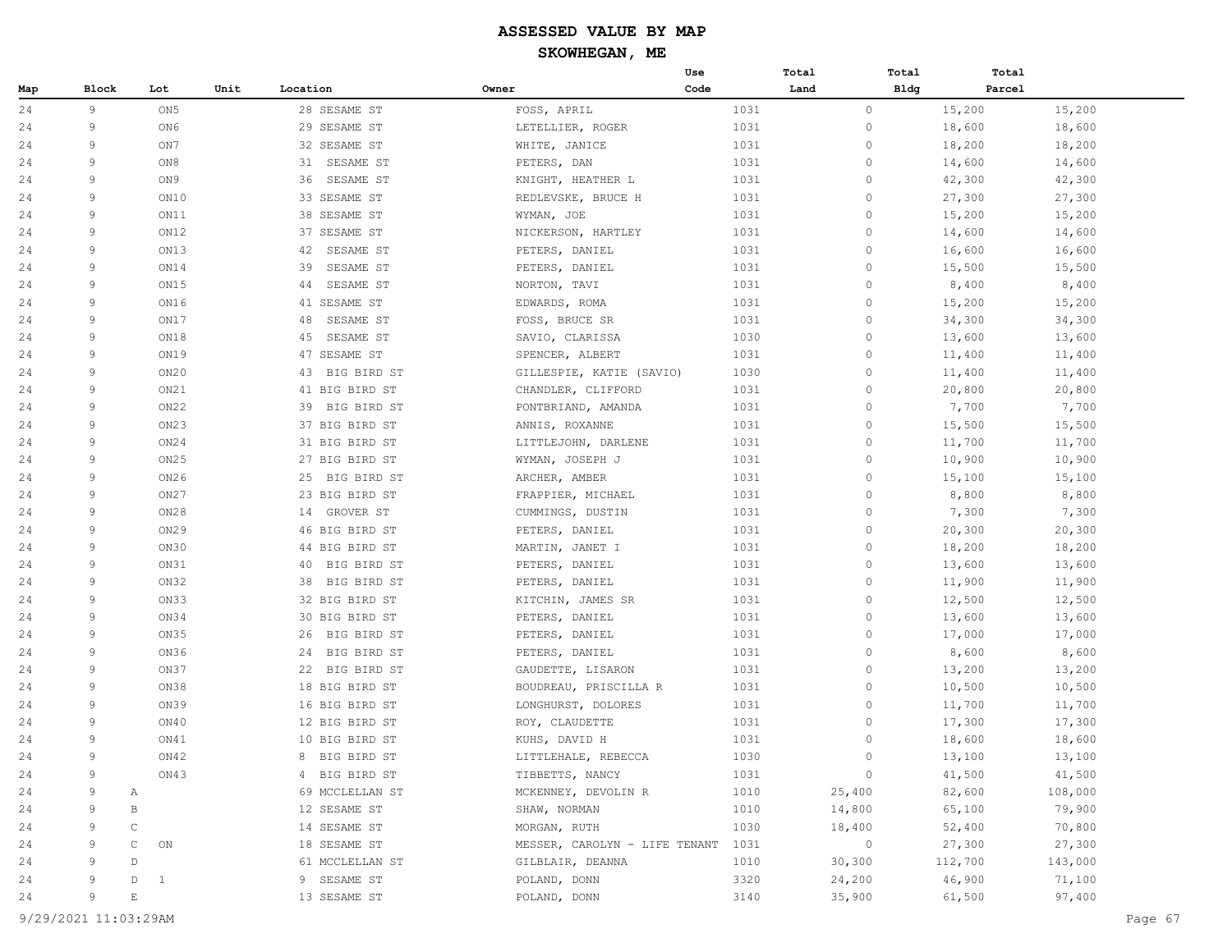|     |       |                   |                   |                                    | Use  | Total        | Total   | Total   |
|-----|-------|-------------------|-------------------|------------------------------------|------|--------------|---------|---------|
| Map | Block | Lot               | Unit<br>Location  | Owner                              | Code | Land         | Bldg    | Parcel  |
| 24  | 9     | ON <sub>5</sub>   | 28 SESAME ST      | FOSS, APRIL                        | 1031 | $\circ$      | 15,200  | 15,200  |
| 24  | 9     | ON6               | 29 SESAME ST      | LETELLIER, ROGER                   | 1031 | $\circ$      | 18,600  | 18,600  |
| 24  | 9     | ON 7              | 32 SESAME ST      | WHITE, JANICE                      | 1031 | 0            | 18,200  | 18,200  |
| 24  | 9     | ON8               | 31<br>SESAME ST   | PETERS, DAN                        | 1031 | $\circ$      | 14,600  | 14,600  |
| 24  | 9     | ON 9              | 36<br>SESAME ST   | KNIGHT, HEATHER L                  | 1031 | $\circ$      | 42,300  | 42,300  |
| 24  | 9     | ON10              | 33 SESAME ST      | REDLEVSKE, BRUCE H                 | 1031 | $\circ$      | 27,300  | 27,300  |
| 24  | 9     | ON11              | 38 SESAME ST      | WYMAN, JOE                         | 1031 | 0            | 15,200  | 15,200  |
| 24  | 9     | ON12              | 37 SESAME ST      | NICKERSON, HARTLEY                 | 1031 | $\circ$      | 14,600  | 14,600  |
| 24  | 9     | ON13              | 42<br>SESAME ST   | PETERS, DANIEL                     | 1031 | $\mathbf{0}$ | 16,600  | 16,600  |
| 24  | 9     | ON14              | SESAME ST<br>39   | PETERS, DANIEL                     | 1031 | $\circ$      | 15,500  | 15,500  |
| 24  | 9     | ON15              | SESAME ST<br>44   | NORTON, TAVI                       | 1031 | 0            | 8,400   | 8,400   |
| 24  | 9     | ON16              | 41 SESAME ST      | EDWARDS, ROMA                      | 1031 | $\circ$      | 15,200  | 15,200  |
| 24  | 9     | ON17              | 48<br>SESAME ST   | FOSS, BRUCE SR                     | 1031 | $\circ$      | 34,300  | 34,300  |
| 24  | 9     | ON18              | SESAME ST<br>45   | SAVIO, CLARISSA                    | 1030 | $\circ$      | 13,600  | 13,600  |
| 24  | 9     | ON19              | 47 SESAME ST      | SPENCER, ALBERT                    | 1031 | $\circ$      | 11,400  | 11,400  |
| 24  | 9     | ON20              | BIG BIRD ST<br>43 | GILLESPIE, KATIE (SAVIO)           | 1030 | $\circ$      | 11,400  | 11,400  |
| 24  | 9     | ON21              | 41 BIG BIRD ST    | CHANDLER, CLIFFORD                 | 1031 | $\mathbf{0}$ | 20,800  | 20,800  |
| 24  | 9     | ON22              | 39 BIG BIRD ST    | PONTBRIAND, AMANDA                 | 1031 | $\circ$      | 7,700   | 7,700   |
| 24  | 9     | ON23              | 37 BIG BIRD ST    | ANNIS, ROXANNE                     | 1031 | 0            | 15,500  | 15,500  |
| 24  | 9     | ON24              | 31 BIG BIRD ST    | LITTLEJOHN, DARLENE                | 1031 | $\circ$      | 11,700  | 11,700  |
| 24  | 9     | ON <sub>25</sub>  | 27 BIG BIRD ST    | WYMAN, JOSEPH J                    | 1031 | $\circ$      | 10,900  | 10,900  |
| 24  | 9     | ON26              | 25<br>BIG BIRD ST | ARCHER, AMBER                      | 1031 | $\circ$      | 15,100  | 15,100  |
| 24  | 9     | ON27              | 23 BIG BIRD ST    | FRAPPIER, MICHAEL                  | 1031 | 0            | 8,800   | 8,800   |
| 24  | 9     | ON28              | 14 GROVER ST      | CUMMINGS, DUSTIN                   | 1031 | $\circ$      | 7,300   | 7,300   |
| 24  | 9     | ON29              | 46 BIG BIRD ST    | PETERS, DANIEL                     | 1031 | $\mathbf{0}$ | 20,300  | 20,300  |
| 24  | 9     | ON30              | 44 BIG BIRD ST    | MARTIN, JANET I                    | 1031 | $\circ$      | 18,200  | 18,200  |
| 24  | 9     | ON31              | BIG BIRD ST<br>40 | PETERS, DANIEL                     | 1031 | 0            | 13,600  | 13,600  |
| 24  | 9     | ON32              | 38<br>BIG BIRD ST | PETERS, DANIEL                     | 1031 | $\circ$      | 11,900  | 11,900  |
| 24  | 9     | ON33              | 32 BIG BIRD ST    | KITCHIN, JAMES SR                  | 1031 | $\circ$      | 12,500  | 12,500  |
| 24  | 9     | ON34              | 30 BIG BIRD ST    | PETERS, DANIEL                     | 1031 | $\circ$      | 13,600  | 13,600  |
| 24  | 9     | ON35              | BIG BIRD ST<br>26 | PETERS, DANIEL                     | 1031 | $\circ$      | 17,000  | 17,000  |
| 24  | 9     | ON36              | BIG BIRD ST<br>24 | PETERS, DANIEL                     | 1031 | $\circ$      | 8,600   | 8,600   |
| 24  | 9     | ON37              | 22 BIG BIRD ST    | GAUDETTE, LISARON                  | 1031 | $\circ$      | 13,200  | 13,200  |
| 24  | 9     | ON38              | 18 BIG BIRD ST    | BOUDREAU, PRISCILLA R              | 1031 | $\circ$      | 10,500  | 10,500  |
| 24  | 9     | ON39              | 16 BIG BIRD ST    | LONGHURST, DOLORES                 | 1031 | 0            | 11,700  | 11,700  |
| 24  | 9     | ON40              | 12 BIG BIRD ST    | ROY, CLAUDETTE                     | 1031 | $\circ$      | 17,300  | 17,300  |
| 24  | 9     | ON41              | 10 BIG BIRD ST    | KUHS, DAVID H                      | 1031 | $\mathbf{0}$ | 18,600  | 18,600  |
| 24  | 9     | ON42              | 8 BIG BIRD ST     | LITTLEHALE, REBECCA                | 1030 | $\circ$      | 13,100  | 13,100  |
| 24  | 9     | ON43              | 4 BIG BIRD ST     | TIBBETTS, NANCY                    | 1031 | $\circ$      | 41,500  | 41,500  |
| 24  | 9     | Α                 | 69 MCCLELLAN ST   | MCKENNEY, DEVOLIN R                | 1010 | 25,400       | 82,600  | 108,000 |
| 24  | 9     | В                 | 12 SESAME ST      | SHAW, NORMAN                       | 1010 | 14,800       | 65,100  | 79,900  |
| 24  | 9     | C                 | 14 SESAME ST      | MORGAN, RUTH                       | 1030 | 18,400       | 52,400  | 70,800  |
| 24  | 9     | C<br>ON           | 18 SESAME ST      | MESSER, CAROLYN - LIFE TENANT 1031 |      | $\circ$      | 27,300  | 27,300  |
| 24  | 9     | D                 | 61 MCCLELLAN ST   | GILBLAIR, DEANNA                   | 1010 | 30,300       | 112,700 | 143,000 |
| 24  | 9     | D<br>$\mathbf{1}$ | 9 SESAME ST       | POLAND, DONN                       | 3320 | 24,200       | 46,900  | 71,100  |
| 24  | 9     | $\mathbf E$       | 13 SESAME ST      | POLAND, DONN                       | 3140 | 35,900       | 61,500  | 97,400  |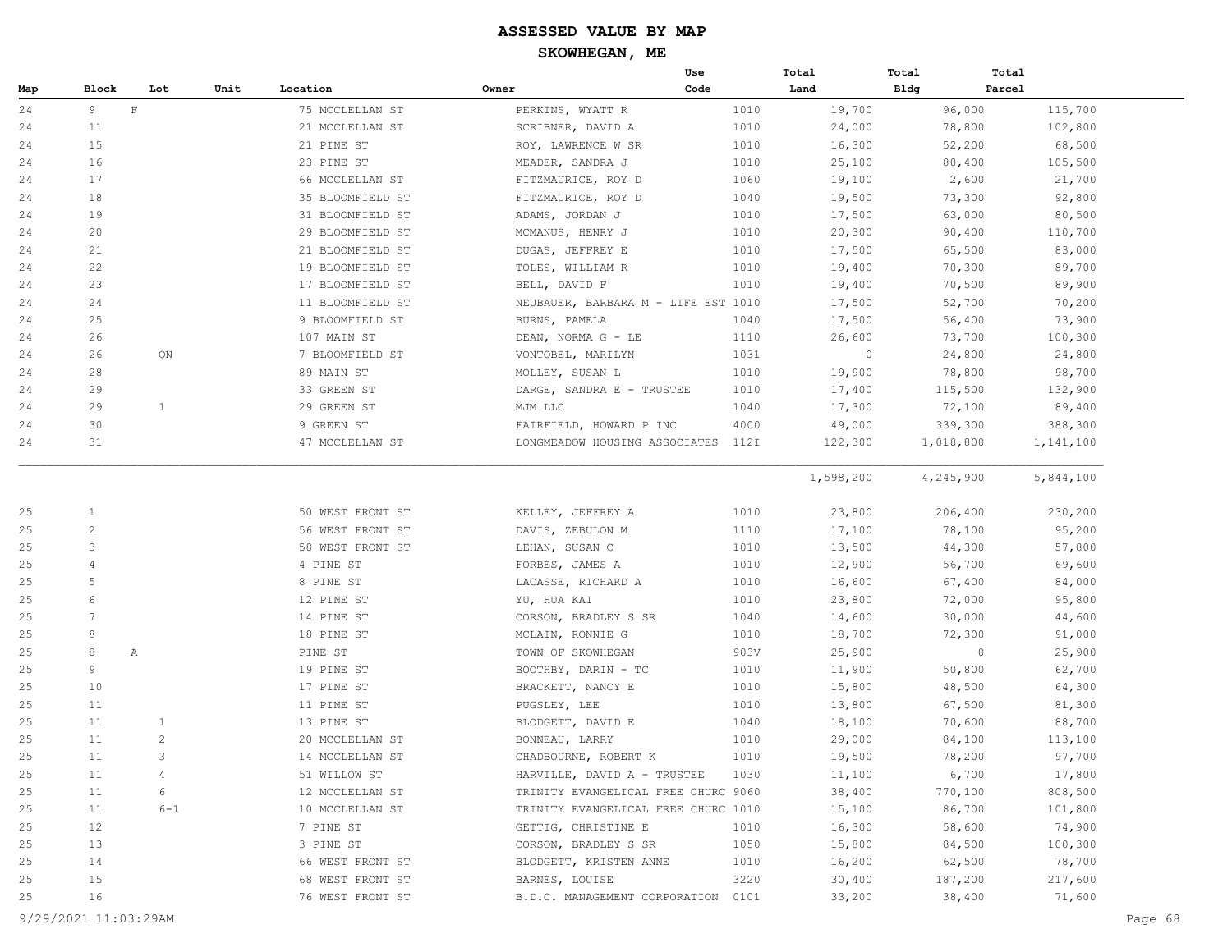|     |                 |                |      |                  |                                     | Use  | Total     | Total       | Total     |
|-----|-----------------|----------------|------|------------------|-------------------------------------|------|-----------|-------------|-----------|
| Map | <b>Block</b>    | Lot            | Unit | Location         | Owner                               | Code | Land      | <b>Bldg</b> | Parcel    |
| 24  | 9               | $\mathbf{F}$   |      | 75 MCCLELLAN ST  | PERKINS, WYATT R                    | 1010 | 19,700    | 96,000      | 115,700   |
| 24  | 11              |                |      | 21 MCCLELLAN ST  | SCRIBNER, DAVID A                   | 1010 | 24,000    | 78,800      | 102,800   |
| 24  | 15              |                |      | 21 PINE ST       | ROY, LAWRENCE W SR                  | 1010 | 16,300    | 52,200      | 68,500    |
| 24  | 16              |                |      | 23 PINE ST       | MEADER, SANDRA J                    | 1010 | 25,100    | 80,400      | 105,500   |
| 24  | 17              |                |      | 66 MCCLELLAN ST  | FITZMAURICE, ROY D                  | 1060 | 19,100    | 2,600       | 21,700    |
| 24  | 18              |                |      | 35 BLOOMFIELD ST | FITZMAURICE, ROY D                  | 1040 | 19,500    | 73,300      | 92,800    |
| 24  | 19              |                |      | 31 BLOOMFIELD ST | ADAMS, JORDAN J                     | 1010 | 17,500    | 63,000      | 80,500    |
| 24  | 20              |                |      | 29 BLOOMFIELD ST | MCMANUS, HENRY J                    | 1010 | 20,300    | 90,400      | 110,700   |
| 24  | 21              |                |      | 21 BLOOMFIELD ST | DUGAS, JEFFREY E                    | 1010 | 17,500    | 65,500      | 83,000    |
| 24  | 22              |                |      | 19 BLOOMFIELD ST | TOLES, WILLIAM R                    | 1010 | 19,400    | 70,300      | 89,700    |
| 24  | 23              |                |      | 17 BLOOMFIELD ST | BELL, DAVID F                       | 1010 | 19,400    | 70,500      | 89,900    |
| 24  | 24              |                |      | 11 BLOOMFIELD ST | NEUBAUER, BARBARA M - LIFE EST 1010 |      | 17,500    | 52,700      | 70,200    |
| 24  | 25              |                |      | 9 BLOOMFIELD ST  | BURNS, PAMELA                       | 1040 | 17,500    | 56,400      | 73,900    |
| 24  | 26              |                |      | 107 MAIN ST      | DEAN, NORMA G - LE                  | 1110 | 26,600    | 73,700      | 100,300   |
| 24  | 26              | ON             |      | 7 BLOOMFIELD ST  | VONTOBEL, MARILYN                   | 1031 | $\circ$   | 24,800      | 24,800    |
| 24  | 28              |                |      | 89 MAIN ST       | MOLLEY, SUSAN L                     | 1010 | 19,900    | 78,800      | 98,700    |
| 24  | 29              |                |      | 33 GREEN ST      | DARGE, SANDRA E - TRUSTEE           | 1010 | 17,400    | 115,500     | 132,900   |
| 24  | 29              | $\mathbf{1}$   |      | 29 GREEN ST      | MJM LLC                             | 1040 | 17,300    | 72,100      | 89,400    |
| 24  | 30              |                |      | 9 GREEN ST       | FAIRFIELD, HOWARD P INC             | 4000 | 49,000    | 339,300     | 388,300   |
| 24  | 31              |                |      | 47 MCCLELLAN ST  | LONGMEADOW HOUSING ASSOCIATES       | 112I | 122,300   | 1,018,800   | 1,141,100 |
|     |                 |                |      |                  |                                     |      | 1,598,200 | 4,245,900   | 5,844,100 |
| 25  | 1               |                |      | 50 WEST FRONT ST | KELLEY, JEFFREY A                   | 1010 | 23,800    | 206,400     | 230,200   |
| 25  | $\overline{c}$  |                |      | 56 WEST FRONT ST | DAVIS, ZEBULON M                    | 1110 | 17,100    | 78,100      | 95,200    |
| 25  | 3               |                |      | 58 WEST FRONT ST | LEHAN, SUSAN C                      | 1010 | 13,500    | 44,300      | 57,800    |
| 25  | 4               |                |      | 4 PINE ST        | FORBES, JAMES A                     | 1010 | 12,900    | 56,700      | 69,600    |
| 25  | 5               |                |      | 8 PINE ST        | LACASSE, RICHARD A                  | 1010 | 16,600    | 67,400      | 84,000    |
| 25  | 6               |                |      | 12 PINE ST       | YU, HUA KAI                         | 1010 | 23,800    | 72,000      | 95,800    |
| 25  | $7\phantom{.0}$ |                |      | 14 PINE ST       | CORSON, BRADLEY S SR                | 1040 | 14,600    | 30,000      | 44,600    |
| 25  | 8               |                |      | 18 PINE ST       | MCLAIN, RONNIE G                    | 1010 | 18,700    | 72,300      | 91,000    |
| 25  | 8               | $\mathbb{A}$   |      | PINE ST          | TOWN OF SKOWHEGAN                   | 903V | 25,900    | $\circ$     | 25,900    |
| 25  | 9               |                |      | 19 PINE ST       | BOOTHBY, DARIN - TC                 | 1010 | 11,900    | 50,800      | 62,700    |
| 25  | 10              |                |      | 17 PINE ST       | BRACKETT, NANCY E                   | 1010 | 15,800    | 48,500      | 64,300    |
| 25  | 11              |                |      | 11 PINE ST       | PUGSLEY, LEE                        | 1010 | 13,800    | 67,500      | 81,300    |
| 25  | 11              | 1              |      | 13 PINE ST       | BLODGETT, DAVID E                   | 1040 | 18,100    | 70,600      | 88,700    |
| 25  | 11              | 2              |      | 20 MCCLELLAN ST  | BONNEAU, LARRY                      | 1010 | 29,000    | 84,100      | 113,100   |
| 25  | 11              | 3              |      | 14 MCCLELLAN ST  | CHADBOURNE, ROBERT K                | 1010 | 19,500    | 78,200      | 97,700    |
| 25  | 11              | $\overline{4}$ |      | 51 WILLOW ST     | HARVILLE, DAVID A - TRUSTEE         | 1030 | 11,100    | 6,700       | 17,800    |
| 25  | 11              | 6              |      | 12 MCCLELLAN ST  | TRINITY EVANGELICAL FREE CHURC 9060 |      | 38,400    | 770,100     | 808,500   |
| 25  | 11              | $6 - 1$        |      | 10 MCCLELLAN ST  | TRINITY EVANGELICAL FREE CHURC 1010 |      | 15,100    | 86,700      | 101,800   |
| 25  | 12              |                |      | 7 PINE ST        | GETTIG, CHRISTINE E                 | 1010 | 16,300    | 58,600      | 74,900    |
| 25  | 13              |                |      | 3 PINE ST        | CORSON, BRADLEY S SR                | 1050 | 15,800    | 84,500      | 100,300   |
| 25  | 14              |                |      | 66 WEST FRONT ST | BLODGETT, KRISTEN ANNE              | 1010 | 16,200    | 62,500      | 78,700    |
| 25  | 15              |                |      | 68 WEST FRONT ST | BARNES, LOUISE                      | 3220 | 30,400    | 187,200     | 217,600   |
| 25  | 16              |                |      | 76 WEST FRONT ST | B.D.C. MANAGEMENT CORPORATION 0101  |      | 33,200    | 38,400      | 71,600    |

9/29/2021 11:03:29AM Page 68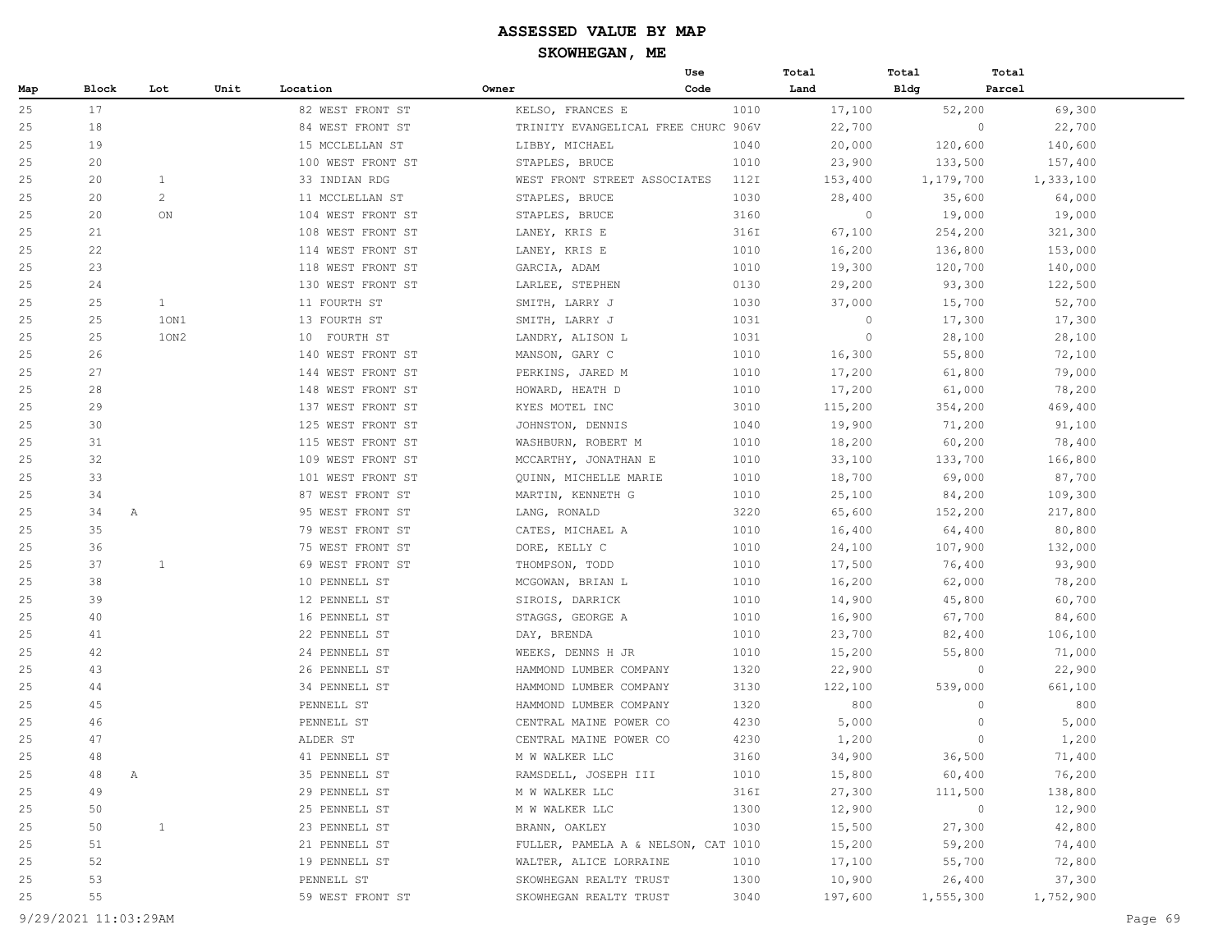|     |         |              |      |                   |                                     | Use  | Total   | Total     | Total             |
|-----|---------|--------------|------|-------------------|-------------------------------------|------|---------|-----------|-------------------|
| Map | Block   | Lot          | Unit | Location          | Owner                               | Code | Land    | Bldg      | Parcel            |
| 25  | 17      |              |      | 82 WEST FRONT ST  | KELSO, FRANCES E                    | 1010 | 17,100  | 52,200    | 69,300            |
| 25  | 18      |              |      | 84 WEST FRONT ST  | TRINITY EVANGELICAL FREE CHURC 906V |      | 22,700  |           | $\circ$<br>22,700 |
| 25  | 19      |              |      | 15 MCCLELLAN ST   | LIBBY, MICHAEL                      | 1040 | 20,000  | 120,600   | 140,600           |
| 25  | 20      |              |      | 100 WEST FRONT ST | STAPLES, BRUCE                      | 1010 | 23,900  | 133,500   | 157,400           |
| 25  | 20      | $\mathbf{1}$ |      | 33 INDIAN RDG     | WEST FRONT STREET ASSOCIATES        | 112I | 153,400 | 1,179,700 | 1,333,100         |
| 25  | 20      | 2            |      | 11 MCCLELLAN ST   | STAPLES, BRUCE                      | 1030 | 28,400  | 35,600    | 64,000            |
| 25  | 20      | ON           |      | 104 WEST FRONT ST | STAPLES, BRUCE                      | 3160 | $\circ$ | 19,000    | 19,000            |
| 25  | 21      |              |      | 108 WEST FRONT ST | LANEY, KRIS E                       | 316I | 67,100  | 254,200   | 321,300           |
| 25  | 22      |              |      | 114 WEST FRONT ST | LANEY, KRIS E                       | 1010 | 16,200  | 136,800   | 153,000           |
| 25  | 23      |              |      | 118 WEST FRONT ST | GARCIA, ADAM                        | 1010 | 19,300  | 120,700   | 140,000           |
| 25  | 24      |              |      | 130 WEST FRONT ST | LARLEE, STEPHEN                     | 0130 | 29,200  | 93,300    | 122,500           |
| 25  | 25      | $\mathbf{1}$ |      | 11 FOURTH ST      | SMITH, LARRY J                      | 1030 | 37,000  | 15,700    | 52,700            |
| 25  | 25      | 10N1         |      | 13 FOURTH ST      | SMITH, LARRY J                      | 1031 | $\circ$ | 17,300    | 17,300            |
| 25  | 25      | 10N2         |      | 10 FOURTH ST      | LANDRY, ALISON L                    | 1031 | $\circ$ | 28,100    | 28,100            |
| 25  | 26      |              |      | 140 WEST FRONT ST | MANSON, GARY C                      | 1010 | 16,300  | 55,800    | 72,100            |
| 25  | 27      |              |      | 144 WEST FRONT ST | PERKINS, JARED M                    | 1010 | 17,200  | 61,800    | 79,000            |
| 25  | 28      |              |      | 148 WEST FRONT ST | HOWARD, HEATH D                     | 1010 | 17,200  | 61,000    | 78,200            |
| 25  | 29      |              |      | 137 WEST FRONT ST | KYES MOTEL INC                      | 3010 | 115,200 | 354,200   | 469,400           |
| 25  | 30      |              |      | 125 WEST FRONT ST | JOHNSTON, DENNIS                    | 1040 | 19,900  | 71,200    | 91,100            |
| 25  | 31      |              |      | 115 WEST FRONT ST | WASHBURN, ROBERT M                  | 1010 | 18,200  | 60,200    | 78,400            |
| 25  | 32      |              |      | 109 WEST FRONT ST | MCCARTHY, JONATHAN E                | 1010 | 33,100  | 133,700   | 166,800           |
| 25  | 33      |              |      | 101 WEST FRONT ST | QUINN, MICHELLE MARIE               | 1010 | 18,700  | 69,000    | 87,700            |
| 25  | 34      |              |      | 87 WEST FRONT ST  | MARTIN, KENNETH G                   | 1010 | 25,100  | 84,200    | 109,300           |
| 25  | 34<br>Α |              |      | 95 WEST FRONT ST  | LANG, RONALD                        | 3220 | 65,600  | 152,200   | 217,800           |
| 25  | 35      |              |      | 79 WEST FRONT ST  | CATES, MICHAEL A                    | 1010 | 16,400  | 64,400    | 80,800            |
| 25  | 36      |              |      | 75 WEST FRONT ST  | DORE, KELLY C                       | 1010 | 24,100  | 107,900   | 132,000           |
| 25  | 37      | 1            |      | 69 WEST FRONT ST  | THOMPSON, TODD                      | 1010 | 17,500  | 76,400    | 93,900            |
| 25  | 38      |              |      | 10 PENNELL ST     | MCGOWAN, BRIAN L                    | 1010 | 16,200  | 62,000    | 78,200            |
| 25  | 39      |              |      | 12 PENNELL ST     | SIROIS, DARRICK                     | 1010 | 14,900  | 45,800    | 60,700            |
| 25  | 40      |              |      | 16 PENNELL ST     | STAGGS, GEORGE A                    | 1010 | 16,900  | 67,700    | 84,600            |
| 25  | 41      |              |      | 22 PENNELL ST     | DAY, BRENDA                         | 1010 | 23,700  | 82,400    | 106,100           |
| 25  | 42      |              |      | 24 PENNELL ST     | WEEKS, DENNS H JR                   | 1010 | 15,200  | 55,800    | 71,000            |
| 25  | 43      |              |      | 26 PENNELL ST     | HAMMOND LUMBER COMPANY              | 1320 | 22,900  |           | 22,900<br>$\circ$ |
| 25  | 44      |              |      | 34 PENNELL ST     | HAMMOND LUMBER COMPANY              | 3130 | 122,100 | 539,000   | 661,100           |
| 25  | 45      |              |      | PENNELL ST        | HAMMOND LUMBER COMPANY              | 1320 | 800     |           | 800<br>$\circ$    |
| 25  | 46      |              |      | PENNELL ST        | CENTRAL MAINE POWER CO              | 4230 | 5,000   |           | 5,000<br>$\circ$  |
| 25  | 47      |              |      | ALDER ST          | CENTRAL MAINE POWER CO              | 4230 | 1,200   |           | $\circ$<br>1,200  |
| 25  | 48      |              |      | 41 PENNELL ST     | M W WALKER LLC                      | 3160 | 34,900  | 36,500    | 71,400            |
| 25  | 48<br>Α |              |      | 35 PENNELL ST     | RAMSDELL, JOSEPH III                | 1010 | 15,800  | 60,400    | 76,200            |
| 25  | 49      |              |      | 29 PENNELL ST     | M W WALKER LLC                      | 316I | 27,300  | 111,500   | 138,800           |
| 25  | 50      |              |      | 25 PENNELL ST     | M W WALKER LLC                      | 1300 | 12,900  |           | 12,900<br>$\circ$ |
| 25  | 50      | $\mathbf{1}$ |      | 23 PENNELL ST     | BRANN, OAKLEY                       | 1030 | 15,500  | 27,300    | 42,800            |
| 25  | 51      |              |      | 21 PENNELL ST     | FULLER, PAMELA A & NELSON, CAT 1010 |      | 15,200  | 59,200    | 74,400            |
| 25  | 52      |              |      | 19 PENNELL ST     | WALTER, ALICE LORRAINE              | 1010 | 17,100  | 55,700    | 72,800            |
| 25  | 53      |              |      | PENNELL ST        | SKOWHEGAN REALTY TRUST              | 1300 | 10,900  | 26,400    | 37,300            |
| 25  | 55      |              |      | 59 WEST FRONT ST  | SKOWHEGAN REALTY TRUST              | 3040 | 197,600 | 1,555,300 | 1,752,900         |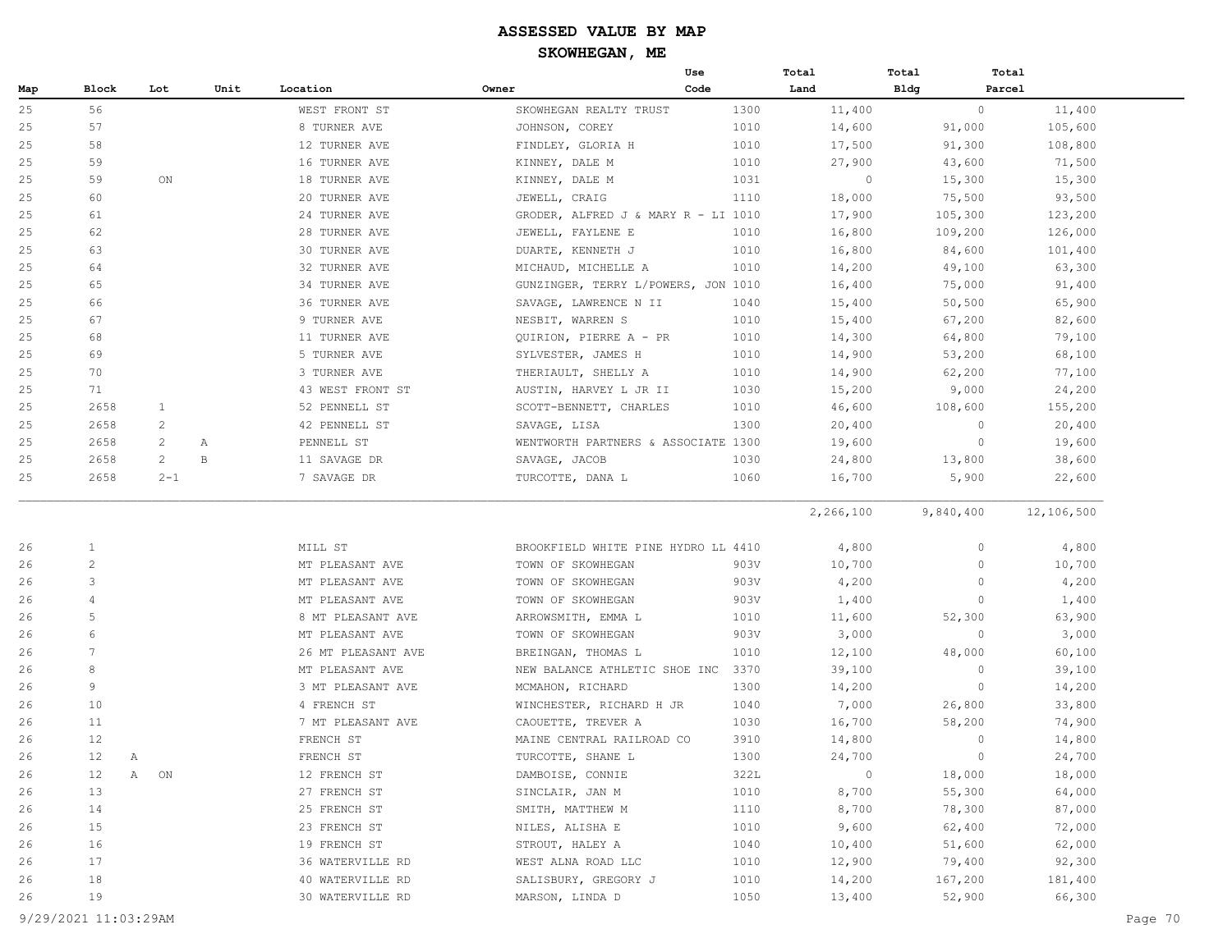|     |                 |                    |      |                    |                                     | Use  | Total          | Total     | Total      |
|-----|-----------------|--------------------|------|--------------------|-------------------------------------|------|----------------|-----------|------------|
| Map | Block           | Lot                | Unit | Location           | Owner                               | Code | Land           | Bldg      | Parcel     |
| 25  | 56              |                    |      | WEST FRONT ST      | SKOWHEGAN REALTY TRUST              | 1300 | 11,400         | $\circ$   | 11,400     |
| 25  | 57              |                    |      | 8 TURNER AVE       | JOHNSON, COREY                      | 1010 | 14,600         | 91,000    | 105,600    |
| 25  | 58              |                    |      | 12 TURNER AVE      | FINDLEY, GLORIA H                   | 1010 | 17,500         | 91,300    | 108,800    |
| 25  | 59              |                    |      | 16 TURNER AVE      | KINNEY, DALE M                      | 1010 | 27,900         | 43,600    | 71,500     |
| 25  | 59              | ON                 |      | 18 TURNER AVE      | KINNEY, DALE M                      | 1031 | $\circ$        | 15,300    | 15,300     |
| 25  | 60              |                    |      | 20 TURNER AVE      | JEWELL, CRAIG                       | 1110 | 18,000         | 75,500    | 93,500     |
| 25  | 61              |                    |      | 24 TURNER AVE      | GRODER, ALFRED J & MARY R - LI 1010 |      | 17,900         | 105,300   | 123,200    |
| 25  | 62              |                    |      | 28 TURNER AVE      | JEWELL, FAYLENE E                   | 1010 | 16,800         | 109,200   | 126,000    |
| 25  | 63              |                    |      | 30 TURNER AVE      | DUARTE, KENNETH J                   | 1010 | 16,800         | 84,600    | 101,400    |
| 25  | 64              |                    |      | 32 TURNER AVE      | MICHAUD, MICHELLE A                 | 1010 | 14,200         | 49,100    | 63,300     |
| 25  | 65              |                    |      | 34 TURNER AVE      | GUNZINGER, TERRY L/POWERS, JON 1010 |      | 16,400         | 75,000    | 91,400     |
| 25  | 66              |                    |      | 36 TURNER AVE      | SAVAGE, LAWRENCE N II               | 1040 | 15,400         | 50,500    | 65,900     |
| 25  | 67              |                    |      | 9 TURNER AVE       | NESBIT, WARREN S                    | 1010 | 15,400         | 67,200    | 82,600     |
| 25  | 68              |                    |      | 11 TURNER AVE      | QUIRION, PIERRE A - PR              | 1010 | 14,300         | 64,800    | 79,100     |
| 25  | 69              |                    |      | 5 TURNER AVE       | SYLVESTER, JAMES H                  | 1010 | 14,900         | 53,200    | 68,100     |
| 25  | 70              |                    |      | 3 TURNER AVE       | THERIAULT, SHELLY A                 | 1010 | 14,900         | 62,200    | 77,100     |
| 25  | 71              |                    |      | 43 WEST FRONT ST   | AUSTIN, HARVEY L JR II              | 1030 | 15,200         | 9,000     | 24,200     |
| 25  | 2658            | $\mathbf{1}$       |      | 52 PENNELL ST      | SCOTT-BENNETT, CHARLES              | 1010 | 46,600         | 108,600   | 155,200    |
| 25  | 2658            | 2                  |      | 42 PENNELL ST      | SAVAGE, LISA                        | 1300 | 20,400         | $\circ$   | 20,400     |
| 25  | 2658            | 2                  | А    | PENNELL ST         | WENTWORTH PARTNERS & ASSOCIATE 1300 |      | 19,600         | $\circ$   | 19,600     |
| 25  | 2658            | $\overline{c}$     | B    | 11 SAVAGE DR       | SAVAGE, JACOB                       | 1030 | 24,800         | 13,800    | 38,600     |
| 25  | 2658            | $2 - 1$            |      | 7 SAVAGE DR        | TURCOTTE, DANA L                    | 1060 | 16,700         | 5,900     | 22,600     |
|     |                 |                    |      |                    |                                     |      |                |           |            |
|     |                 |                    |      |                    |                                     |      | 2,266,100      | 9,840,400 | 12,106,500 |
| 26  | $\mathbf{1}$    |                    |      | MILL ST            | BROOKFIELD WHITE PINE HYDRO LL 4410 |      | 4,800          | 0         | 4,800      |
| 26  | $\mathbf{2}$    |                    |      | MT PLEASANT AVE    | TOWN OF SKOWHEGAN                   | 903V | 10,700         | 0         | 10,700     |
| 26  | 3               |                    |      | MT PLEASANT AVE    | TOWN OF SKOWHEGAN                   | 903V | 4,200          | 0         | 4,200      |
| 26  | $\overline{4}$  |                    |      | MT PLEASANT AVE    | TOWN OF SKOWHEGAN                   | 903V | 1,400          | $\circ$   | 1,400      |
| 26  | $\mathsf S$     |                    |      | 8 MT PLEASANT AVE  | ARROWSMITH, EMMA L                  | 1010 | 11,600         | 52,300    | 63,900     |
| 26  | 6               |                    |      | MT PLEASANT AVE    | TOWN OF SKOWHEGAN                   | 903V | 3,000          | $\circ$   | 3,000      |
| 26  | $7\phantom{.0}$ |                    |      | 26 MT PLEASANT AVE | BREINGAN, THOMAS L                  | 1010 | 12,100         | 48,000    | 60,100     |
| 26  | 8               |                    |      | MT PLEASANT AVE    | NEW BALANCE ATHLETIC SHOE INC       | 3370 | 39,100         | 0         | 39,100     |
| 26  | 9               |                    |      | 3 MT PLEASANT AVE  | MCMAHON, RICHARD                    | 1300 | 14,200         | $\circ$   | 14,200     |
| 26  | 10              |                    |      | 4 FRENCH ST        | WINCHESTER, RICHARD H JR            | 1040 | 7,000          | 26,800    | 33,800     |
| 26  | 11              |                    |      | 7 MT PLEASANT AVE  | CAOUETTE, TREVER A                  | 1030 | 16,700         | 58,200    | 74,900     |
| 26  | 12              |                    |      | FRENCH ST          | MAINE CENTRAL RAILROAD CO           | 3910 | 14,800         | 0         | 14,800     |
| 26  | 12<br>Α         |                    |      | FRENCH ST          | TURCOTTE, SHANE L                   | 1300 | 24,700         | $\circ$   | 24,700     |
| 26  | 12              | $\mathbb{A}$<br>ON |      | 12 FRENCH ST       | DAMBOISE, CONNIE                    | 322L | $\circledcirc$ | 18,000    | 18,000     |
| 26  | 13              |                    |      | 27 FRENCH ST       | SINCLAIR, JAN M                     | 1010 | 8,700          | 55,300    | 64,000     |
| 26  | 14              |                    |      | 25 FRENCH ST       | SMITH, MATTHEW M                    | 1110 | 8,700          | 78,300    | 87,000     |
| 26  | 15              |                    |      | 23 FRENCH ST       | NILES, ALISHA E                     | 1010 | 9,600          | 62,400    | 72,000     |
| 26  | 16              |                    |      | 19 FRENCH ST       | STROUT, HALEY A                     | 1040 | 10,400         | 51,600    | 62,000     |
| 26  | 17              |                    |      | 36 WATERVILLE RD   | WEST ALNA ROAD LLC                  | 1010 | 12,900         | 79,400    | 92,300     |
| 26  | 18              |                    |      | 40 WATERVILLE RD   | SALISBURY, GREGORY J                | 1010 | 14,200         | 167,200   | 181,400    |
| 26  | 19              |                    |      | 30 WATERVILLE RD   | MARSON, LINDA D                     | 1050 | 13,400         | 52,900    | 66,300     |
|     |                 |                    |      |                    |                                     |      |                |           |            |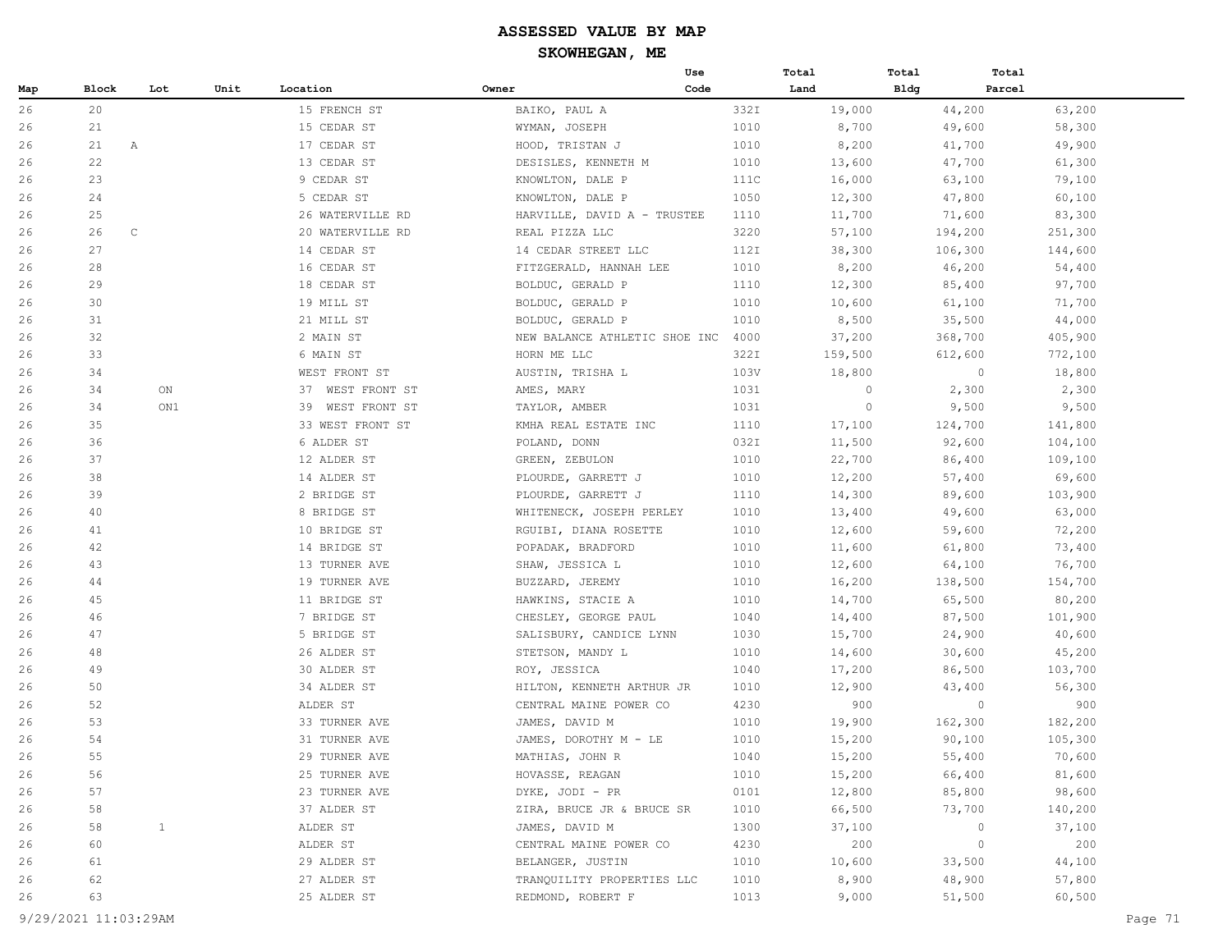|     |       |              |      |                  |                               | Use  | Total   | Total   | Total   |         |
|-----|-------|--------------|------|------------------|-------------------------------|------|---------|---------|---------|---------|
| Map | Block | Lot          | Unit | Location         | Owner                         | Code | Land    | Bldg    | Parcel  |         |
| 26  | 20    |              |      | 15 FRENCH ST     | BAIKO, PAUL A                 | 332I | 19,000  |         | 44,200  | 63,200  |
| 26  | 21    |              |      | 15 CEDAR ST      | WYMAN, JOSEPH                 | 1010 | 8,700   |         | 49,600  | 58,300  |
| 26  | 21    | $\mathbb{A}$ |      | 17 CEDAR ST      | HOOD, TRISTAN J               | 1010 | 8,200   |         | 41,700  | 49,900  |
| 26  | 22    |              |      | 13 CEDAR ST      | DESISLES, KENNETH M           | 1010 | 13,600  |         | 47,700  | 61,300  |
| 26  | 23    |              |      | 9 CEDAR ST       | KNOWLTON, DALE P              | 111C | 16,000  |         | 63,100  | 79,100  |
| 26  | 24    |              |      | 5 CEDAR ST       | KNOWLTON, DALE P              | 1050 | 12,300  |         | 47,800  | 60,100  |
| 26  | 25    |              |      | 26 WATERVILLE RD | HARVILLE, DAVID A - TRUSTEE   | 1110 | 11,700  |         | 71,600  | 83,300  |
| 26  | 26    | $\mathbb C$  |      | 20 WATERVILLE RD | REAL PIZZA LLC                | 3220 | 57,100  | 194,200 |         | 251,300 |
| 26  | 27    |              |      | 14 CEDAR ST      | 14 CEDAR STREET LLC           | 112I | 38,300  | 106,300 |         | 144,600 |
| 26  | 28    |              |      | 16 CEDAR ST      | FITZGERALD, HANNAH LEE        | 1010 | 8,200   |         | 46,200  | 54,400  |
| 26  | 29    |              |      | 18 CEDAR ST      | BOLDUC, GERALD P              | 1110 | 12,300  |         | 85,400  | 97,700  |
| 26  | 30    |              |      | 19 MILL ST       | BOLDUC, GERALD P              | 1010 | 10,600  |         | 61,100  | 71,700  |
| 26  | 31    |              |      | 21 MILL ST       | BOLDUC, GERALD P              | 1010 | 8,500   |         | 35,500  | 44,000  |
| 26  | 32    |              |      | 2 MAIN ST        | NEW BALANCE ATHLETIC SHOE INC | 4000 | 37,200  | 368,700 |         | 405,900 |
| 26  | 33    |              |      | 6 MAIN ST        | HORN ME LLC                   | 322I | 159,500 | 612,600 |         | 772,100 |
| 26  | 34    |              |      | WEST FRONT ST    | AUSTIN, TRISHA L              | 103V | 18,800  |         | $\circ$ | 18,800  |
| 26  | 34    | ON           |      | 37 WEST FRONT ST | AMES, MARY                    | 1031 | 0       |         | 2,300   | 2,300   |
| 26  | 34    | ON1          |      | 39 WEST FRONT ST | TAYLOR, AMBER                 | 1031 | $\circ$ |         | 9,500   | 9,500   |
| 26  | 35    |              |      | 33 WEST FRONT ST | KMHA REAL ESTATE INC          | 1110 | 17,100  | 124,700 |         | 141,800 |
| 26  | 36    |              |      | 6 ALDER ST       | POLAND, DONN                  | 032I | 11,500  |         | 92,600  | 104,100 |
| 26  | 37    |              |      | 12 ALDER ST      | GREEN, ZEBULON                | 1010 | 22,700  |         | 86,400  | 109,100 |
| 26  | 38    |              |      | 14 ALDER ST      | PLOURDE, GARRETT J            | 1010 | 12,200  |         | 57,400  | 69,600  |
| 26  | 39    |              |      | 2 BRIDGE ST      | PLOURDE, GARRETT J            | 1110 | 14,300  |         | 89,600  | 103,900 |
| 26  | 40    |              |      | 8 BRIDGE ST      | WHITENECK, JOSEPH PERLEY      | 1010 | 13,400  |         | 49,600  | 63,000  |
| 26  | 41    |              |      | 10 BRIDGE ST     | RGUIBI, DIANA ROSETTE         | 1010 | 12,600  |         | 59,600  | 72,200  |
| 26  | 42    |              |      | 14 BRIDGE ST     | POPADAK, BRADFORD             | 1010 | 11,600  |         | 61,800  | 73,400  |
| 26  | 43    |              |      | 13 TURNER AVE    | SHAW, JESSICA L               | 1010 | 12,600  |         | 64,100  | 76,700  |
| 26  | 44    |              |      | 19 TURNER AVE    | BUZZARD, JEREMY               | 1010 | 16,200  | 138,500 |         | 154,700 |
| 26  | 45    |              |      | 11 BRIDGE ST     | HAWKINS, STACIE A             | 1010 | 14,700  |         | 65,500  | 80,200  |
| 26  | 46    |              |      | 7 BRIDGE ST      | CHESLEY, GEORGE PAUL          | 1040 | 14,400  |         | 87,500  | 101,900 |
| 26  | 47    |              |      | 5 BRIDGE ST      | SALISBURY, CANDICE LYNN       | 1030 | 15,700  |         | 24,900  | 40,600  |
| 26  | 48    |              |      | 26 ALDER ST      | STETSON, MANDY L              | 1010 | 14,600  |         | 30,600  | 45,200  |
| 26  | 49    |              |      | 30 ALDER ST      | ROY, JESSICA                  | 1040 | 17,200  |         | 86,500  | 103,700 |
| 26  | 50    |              |      | 34 ALDER ST      | HILTON, KENNETH ARTHUR JR     | 1010 | 12,900  |         | 43,400  | 56,300  |
| 26  | 52    |              |      | ALDER ST         | CENTRAL MAINE POWER CO        | 4230 | 900     |         | $\circ$ | 900     |
| 26  | 53    |              |      | 33 TURNER AVE    | JAMES, DAVID M                | 1010 | 19,900  | 162,300 |         | 182,200 |
| 26  | 54    |              |      | 31 TURNER AVE    | JAMES, DOROTHY M - LE         | 1010 | 15,200  |         | 90,100  | 105,300 |
| 26  | 55    |              |      | 29 TURNER AVE    | MATHIAS, JOHN R               | 1040 | 15,200  |         | 55,400  | 70,600  |
| 26  | 56    |              |      | 25 TURNER AVE    | HOVASSE, REAGAN               | 1010 | 15,200  |         | 66,400  | 81,600  |
| 26  | 57    |              |      | 23 TURNER AVE    | DYKE, JODI - PR               | 0101 | 12,800  |         | 85,800  | 98,600  |
| 26  | 58    |              |      | 37 ALDER ST      | ZIRA, BRUCE JR & BRUCE SR     | 1010 | 66,500  |         | 73,700  | 140,200 |
| 26  | 58    | $\mathbf{1}$ |      | ALDER ST         | JAMES, DAVID M                | 1300 | 37,100  |         | $\circ$ | 37,100  |
| 26  | 60    |              |      | ALDER ST         | CENTRAL MAINE POWER CO        | 4230 | 200     |         | $\circ$ | 200     |
| 26  | 61    |              |      | 29 ALDER ST      | BELANGER, JUSTIN              | 1010 | 10,600  |         | 33,500  | 44,100  |
| 26  | 62    |              |      | 27 ALDER ST      | TRANQUILITY PROPERTIES LLC    | 1010 | 8,900   |         | 48,900  | 57,800  |
| 26  | 63    |              |      | 25 ALDER ST      | REDMOND, ROBERT F             | 1013 | 9,000   |         | 51,500  | 60,500  |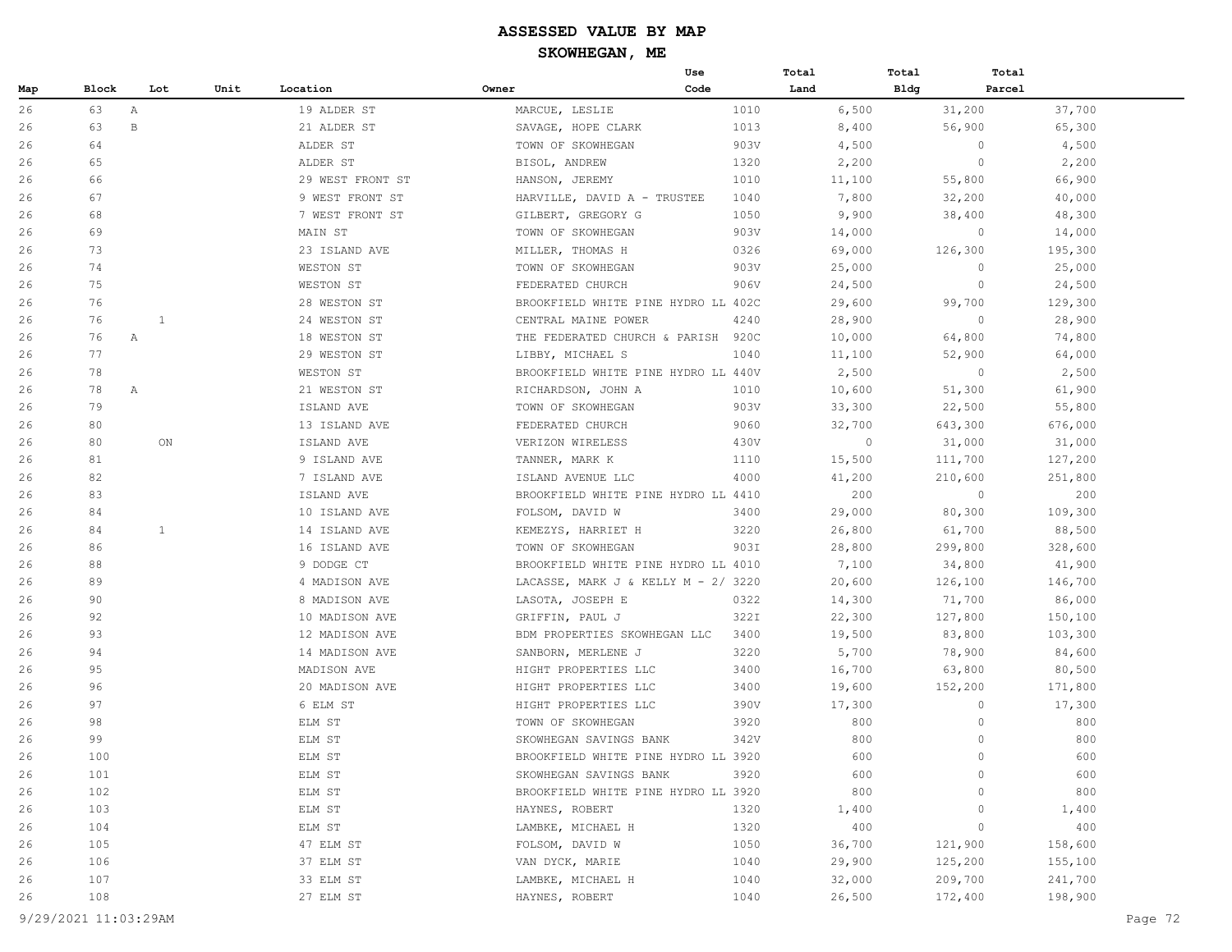|     |       |              |      |                  |                                     | Use  | Total   | Total   | Total                  |
|-----|-------|--------------|------|------------------|-------------------------------------|------|---------|---------|------------------------|
| Map | Block | Lot          | Unit | Location         | Owner                               | Code | Land    | Bldg    | Parcel                 |
| 26  | 63    | $\mathbb{A}$ |      | 19 ALDER ST      | MARCUE, LESLIE                      | 1010 | 6,500   | 31,200  | 37,700                 |
| 26  | 63    | $\, {\bf B}$ |      | 21 ALDER ST      | SAVAGE, HOPE CLARK                  | 1013 | 8,400   | 56,900  | 65,300                 |
| 26  | 64    |              |      | ALDER ST         | TOWN OF SKOWHEGAN                   | 903V | 4,500   |         | $\circ$<br>4,500       |
| 26  | 65    |              |      | ALDER ST         | BISOL, ANDREW                       | 1320 | 2,200   |         | 2,200<br>$\circ$       |
| 26  | 66    |              |      | 29 WEST FRONT ST | HANSON, JEREMY                      | 1010 | 11,100  | 55,800  | 66,900                 |
| 26  | 67    |              |      | 9 WEST FRONT ST  | HARVILLE, DAVID A - TRUSTEE         | 1040 | 7,800   | 32,200  | 40,000                 |
| 26  | 68    |              |      | 7 WEST FRONT ST  | GILBERT, GREGORY G                  | 1050 | 9,900   | 38,400  | 48,300                 |
| 26  | 69    |              |      | MAIN ST          | TOWN OF SKOWHEGAN                   | 903V | 14,000  |         | $\circ$<br>14,000      |
| 26  | 73    |              |      | 23 ISLAND AVE    | MILLER, THOMAS H                    | 0326 | 69,000  | 126,300 | 195,300                |
| 26  | 74    |              |      | WESTON ST        | TOWN OF SKOWHEGAN                   | 903V | 25,000  |         | 25,000<br>$\mathbf{0}$ |
| 26  | 75    |              |      | WESTON ST        | FEDERATED CHURCH                    | 906V | 24,500  |         | $\circ$<br>24,500      |
| 26  | 76    |              |      | 28 WESTON ST     | BROOKFIELD WHITE PINE HYDRO LL 402C |      | 29,600  | 99,700  | 129,300                |
| 26  | 76    | 1            |      | 24 WESTON ST     | CENTRAL MAINE POWER                 | 4240 | 28,900  |         | $\circ$<br>28,900      |
| 26  | 76    | Α            |      | 18 WESTON ST     | THE FEDERATED CHURCH & PARISH       | 920C | 10,000  | 64,800  | 74,800                 |
| 26  | 77    |              |      | 29 WESTON ST     | LIBBY, MICHAEL S                    | 1040 | 11,100  | 52,900  | 64,000                 |
| 26  | 78    |              |      | WESTON ST        | BROOKFIELD WHITE PINE HYDRO LL 440V |      | 2,500   |         | $\circ$<br>2,500       |
| 26  | 78    | Α            |      | 21 WESTON ST     | RICHARDSON, JOHN A                  | 1010 | 10,600  | 51,300  | 61,900                 |
| 26  | 79    |              |      | ISLAND AVE       | TOWN OF SKOWHEGAN                   | 903V | 33,300  | 22,500  | 55,800                 |
| 26  | 80    |              |      | 13 ISLAND AVE    | FEDERATED CHURCH                    | 9060 | 32,700  | 643,300 | 676,000                |
| 26  | 80    | ON           |      | ISLAND AVE       | VERIZON WIRELESS                    | 430V | $\circ$ | 31,000  | 31,000                 |
| 26  | 81    |              |      | 9 ISLAND AVE     | TANNER, MARK K                      | 1110 | 15,500  | 111,700 | 127,200                |
| 26  | 82    |              |      | 7 ISLAND AVE     | ISLAND AVENUE LLC                   | 4000 | 41,200  | 210,600 | 251,800                |
| 26  | 83    |              |      | ISLAND AVE       | BROOKFIELD WHITE PINE HYDRO LL 4410 |      | 200     |         | 200<br>$\circ$         |
| 26  | 84    |              |      | 10 ISLAND AVE    | FOLSOM, DAVID W                     | 3400 | 29,000  | 80,300  | 109,300                |
| 26  | 84    | $\mathbf{1}$ |      | 14 ISLAND AVE    | KEMEZYS, HARRIET H                  | 3220 | 26,800  | 61,700  | 88,500                 |
| 26  | 86    |              |      | 16 ISLAND AVE    | TOWN OF SKOWHEGAN                   | 903I | 28,800  | 299,800 | 328,600                |
| 26  | 88    |              |      | 9 DODGE CT       | BROOKFIELD WHITE PINE HYDRO LL 4010 |      | 7,100   | 34,800  | 41,900                 |
| 26  | 89    |              |      | 4 MADISON AVE    | LACASSE, MARK J & KELLY M - 2/ 3220 |      | 20,600  | 126,100 | 146,700                |
| 26  | 90    |              |      | 8 MADISON AVE    | LASOTA, JOSEPH E                    | 0322 | 14,300  | 71,700  | 86,000                 |
| 26  | 92    |              |      | 10 MADISON AVE   | GRIFFIN, PAUL J                     | 322I | 22,300  | 127,800 | 150,100                |
| 26  | 93    |              |      | 12 MADISON AVE   | BDM PROPERTIES SKOWHEGAN LLC        | 3400 | 19,500  | 83,800  | 103,300                |
| 26  | 94    |              |      | 14 MADISON AVE   | SANBORN, MERLENE J                  | 3220 | 5,700   | 78,900  | 84,600                 |
| 26  | 95    |              |      | MADISON AVE      | HIGHT PROPERTIES LLC                | 3400 | 16,700  | 63,800  | 80,500                 |
| 26  | 96    |              |      | 20 MADISON AVE   | HIGHT PROPERTIES LLC                | 3400 | 19,600  | 152,200 | 171,800                |
| 26  | 97    |              |      | 6 ELM ST         | HIGHT PROPERTIES LLC                | 390V | 17,300  |         | $\circ$<br>17,300      |
| 26  | 98    |              |      | ELM ST           | TOWN OF SKOWHEGAN                   | 3920 | 800     |         | 800<br>$\circ$         |
| 26  | 99    |              |      | ELM ST           | SKOWHEGAN SAVINGS BANK              | 342V | 800     |         | $\circ$<br>800         |
| 26  | 100   |              |      | ELM ST           | BROOKFIELD WHITE PINE HYDRO LL 3920 |      | 600     |         | $\circ$<br>600         |
| 26  | 101   |              |      | ELM ST           | SKOWHEGAN SAVINGS BANK              | 3920 | 600     |         | $\circ$<br>600         |
| 26  | 102   |              |      | ELM ST           | BROOKFIELD WHITE PINE HYDRO LL 3920 |      | 800     |         | 800<br>$\Omega$        |
| 26  | 103   |              |      | ELM ST           | HAYNES, ROBERT                      | 1320 | 1,400   |         | 1,400<br>$\circ$       |
| 26  | 104   |              |      | ELM ST           | LAMBKE, MICHAEL H                   | 1320 | 400     |         | $\circ$<br>400         |
| 26  | 105   |              |      | 47 ELM ST        | FOLSOM, DAVID W                     | 1050 | 36,700  | 121,900 | 158,600                |
| 26  | 106   |              |      | 37 ELM ST        | VAN DYCK, MARIE                     | 1040 | 29,900  | 125,200 | 155,100                |
| 26  | 107   |              |      | 33 ELM ST        | LAMBKE, MICHAEL H                   | 1040 | 32,000  | 209,700 | 241,700                |
| 26  | 108   |              |      | 27 ELM ST        | HAYNES, ROBERT                      | 1040 | 26,500  | 172,400 | 198,900                |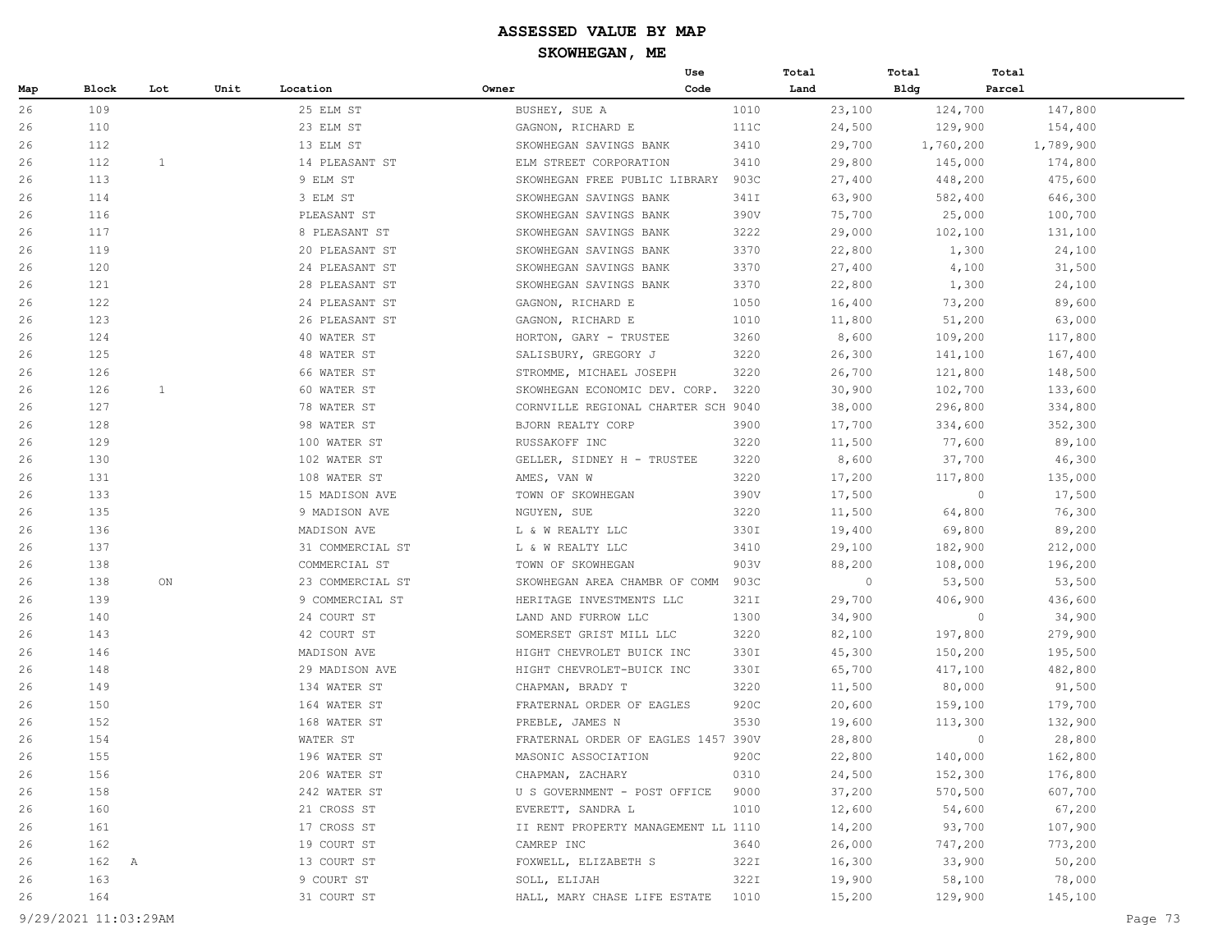|     |          |              |      |                  |                                     | Use  | Total   | Total       | Total     |
|-----|----------|--------------|------|------------------|-------------------------------------|------|---------|-------------|-----------|
| Map | Block    | Lot          | Unit | Location         | Owner                               | Code | Land    | <b>Bldg</b> | Parcel    |
| 26  | 109      |              |      | 25 ELM ST        | BUSHEY, SUE A                       | 1010 | 23,100  | 124,700     | 147,800   |
| 26  | 110      |              |      | 23 ELM ST        | GAGNON, RICHARD E                   | 111C | 24,500  | 129,900     | 154,400   |
| 26  | 112      |              |      | 13 ELM ST        | SKOWHEGAN SAVINGS BANK              | 3410 | 29,700  | 1,760,200   | 1,789,900 |
| 26  | 112      | $\mathbf{1}$ |      | 14 PLEASANT ST   | ELM STREET CORPORATION              | 3410 | 29,800  | 145,000     | 174,800   |
| 26  | 113      |              |      | 9 ELM ST         | SKOWHEGAN FREE PUBLIC LIBRARY       | 903C | 27,400  | 448,200     | 475,600   |
| 26  | 114      |              |      | 3 ELM ST         | SKOWHEGAN SAVINGS BANK              | 341I | 63,900  | 582,400     | 646,300   |
| 26  | 116      |              |      | PLEASANT ST      | SKOWHEGAN SAVINGS BANK              | 390V | 75,700  | 25,000      | 100,700   |
| 26  | 117      |              |      | 8 PLEASANT ST    | SKOWHEGAN SAVINGS BANK              | 3222 | 29,000  | 102,100     | 131,100   |
| 26  | 119      |              |      | 20 PLEASANT ST   | SKOWHEGAN SAVINGS BANK              | 3370 | 22,800  | 1,300       | 24,100    |
| 26  | 120      |              |      | 24 PLEASANT ST   | SKOWHEGAN SAVINGS BANK              | 3370 | 27,400  | 4,100       | 31,500    |
| 26  | 121      |              |      | 28 PLEASANT ST   | SKOWHEGAN SAVINGS BANK              | 3370 | 22,800  | 1,300       | 24,100    |
| 26  | 122      |              |      | 24 PLEASANT ST   | GAGNON, RICHARD E                   | 1050 | 16,400  | 73,200      | 89,600    |
| 26  | 123      |              |      | 26 PLEASANT ST   | GAGNON, RICHARD E                   | 1010 | 11,800  | 51,200      | 63,000    |
| 26  | 124      |              |      | 40 WATER ST      | HORTON, GARY - TRUSTEE              | 3260 | 8,600   | 109,200     | 117,800   |
| 26  | 125      |              |      | 48 WATER ST      | SALISBURY, GREGORY J                | 3220 | 26,300  | 141,100     | 167,400   |
| 26  | 126      |              |      | 66 WATER ST      | STROMME, MICHAEL JOSEPH             | 3220 | 26,700  | 121,800     | 148,500   |
| 26  | 126      | 1            |      | 60 WATER ST      | SKOWHEGAN ECONOMIC DEV. CORP.       | 3220 | 30,900  | 102,700     | 133,600   |
| 26  | 127      |              |      | 78 WATER ST      | CORNVILLE REGIONAL CHARTER SCH 9040 |      | 38,000  | 296,800     | 334,800   |
| 26  | 128      |              |      | 98 WATER ST      | BJORN REALTY CORP                   | 3900 | 17,700  | 334,600     | 352,300   |
| 26  | 129      |              |      | 100 WATER ST     | RUSSAKOFF INC                       | 3220 | 11,500  | 77,600      | 89,100    |
| 26  | 130      |              |      | 102 WATER ST     | GELLER, SIDNEY H - TRUSTEE          | 3220 | 8,600   | 37,700      | 46,300    |
| 26  | 131      |              |      | 108 WATER ST     | AMES, VAN W                         | 3220 | 17,200  | 117,800     | 135,000   |
| 26  | 133      |              |      | 15 MADISON AVE   | TOWN OF SKOWHEGAN                   | 390V | 17,500  | $\circ$     | 17,500    |
| 26  | 135      |              |      | 9 MADISON AVE    | NGUYEN, SUE                         | 3220 | 11,500  | 64,800      | 76,300    |
| 26  | 136      |              |      | MADISON AVE      | L & W REALTY LLC                    | 330I | 19,400  | 69,800      | 89,200    |
| 26  | 137      |              |      | 31 COMMERCIAL ST | L & W REALTY LLC                    | 3410 | 29,100  | 182,900     | 212,000   |
| 26  | 138      |              |      | COMMERCIAL ST    | TOWN OF SKOWHEGAN                   | 903V | 88,200  | 108,000     | 196,200   |
| 26  | 138      | ON           |      | 23 COMMERCIAL ST | SKOWHEGAN AREA CHAMBR OF COMM       | 903C | $\circ$ | 53,500      | 53,500    |
| 26  | 139      |              |      | 9 COMMERCIAL ST  | HERITAGE INVESTMENTS LLC            | 321I | 29,700  | 406,900     | 436,600   |
| 26  | 140      |              |      | 24 COURT ST      | LAND AND FURROW LLC                 | 1300 | 34,900  | $\circ$     | 34,900    |
| 26  | 143      |              |      | 42 COURT ST      | SOMERSET GRIST MILL LLC             | 3220 | 82,100  | 197,800     | 279,900   |
| 26  | 146      |              |      | MADISON AVE      | HIGHT CHEVROLET BUICK INC           | 330I | 45,300  | 150,200     | 195,500   |
| 26  | 148      |              |      | 29 MADISON AVE   | HIGHT CHEVROLET-BUICK INC           | 330I | 65,700  | 417,100     | 482,800   |
| 26  | 149      |              |      | 134 WATER ST     | CHAPMAN, BRADY T                    | 3220 | 11,500  | 80,000      | 91,500    |
| 26  | 150      |              |      | 164 WATER ST     | FRATERNAL ORDER OF EAGLES           | 920C | 20,600  | 159,100     | 179,700   |
| 26  | 152      |              |      | 168 WATER ST     | PREBLE, JAMES N                     | 3530 | 19,600  | 113,300     | 132,900   |
| 26  | 154      |              |      | WATER ST         | FRATERNAL ORDER OF EAGLES 1457 390V |      | 28,800  | $\circ$     | 28,800    |
| 26  | 155      |              |      | 196 WATER ST     | MASONIC ASSOCIATION                 | 920C | 22,800  | 140,000     | 162,800   |
| 26  | 156      |              |      | 206 WATER ST     | CHAPMAN, ZACHARY                    | 0310 | 24,500  | 152,300     | 176,800   |
| 26  | 158      |              |      | 242 WATER ST     | U S GOVERNMENT - POST OFFICE        | 9000 | 37,200  | 570,500     | 607,700   |
| 26  | 160      |              |      | 21 CROSS ST      | EVERETT, SANDRA L                   | 1010 | 12,600  | 54,600      | 67,200    |
| 26  | 161      |              |      | 17 CROSS ST      | II RENT PROPERTY MANAGEMENT LL 1110 |      | 14,200  | 93,700      | 107,900   |
| 26  | 162      |              |      | 19 COURT ST      | CAMREP INC                          | 3640 | 26,000  | 747,200     | 773,200   |
| 26  | 162<br>A |              |      | 13 COURT ST      | FOXWELL, ELIZABETH S                | 322I | 16,300  | 33,900      | 50,200    |
| 26  | 163      |              |      | 9 COURT ST       | SOLL, ELIJAH                        | 322I | 19,900  | 58,100      | 78,000    |
| 26  | 164      |              |      | 31 COURT ST      | HALL, MARY CHASE LIFE ESTATE        | 1010 | 15,200  | 129,900     | 145,100   |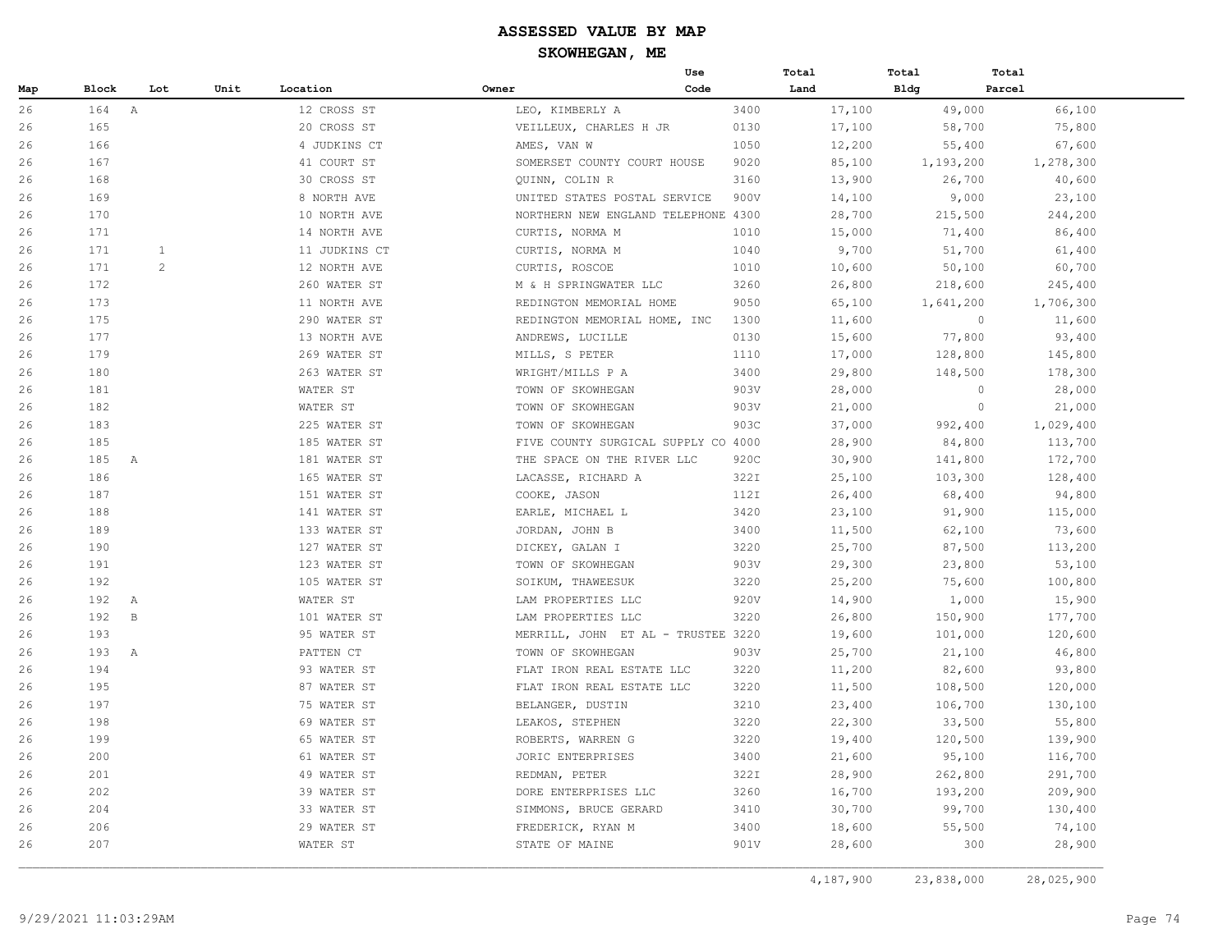|     |                     |             |      |               |                                     | Use  | Total  | Total       | Total             |
|-----|---------------------|-------------|------|---------------|-------------------------------------|------|--------|-------------|-------------------|
| Map | Block               | Lot         | Unit | Location      | Owner                               | Code | Land   | <b>Bldg</b> | Parcel            |
| 26  | 164 A               |             |      | 12 CROSS ST   | LEO, KIMBERLY A                     | 3400 | 17,100 | 49,000      | 66,100            |
| 26  | 165                 |             |      | 20 CROSS ST   | VEILLEUX, CHARLES H JR              | 0130 | 17,100 | 58,700      | 75,800            |
| 26  | 166                 |             |      | 4 JUDKINS CT  | AMES, VAN W                         | 1050 | 12,200 | 55,400      | 67,600            |
| 26  | 167                 |             |      | 41 COURT ST   | SOMERSET COUNTY COURT HOUSE         | 9020 | 85,100 | 1,193,200   | 1,278,300         |
| 26  | 168                 |             |      | 30 CROSS ST   | QUINN, COLIN R                      | 3160 | 13,900 | 26,700      | 40,600            |
| 26  | 169                 |             |      | 8 NORTH AVE   | UNITED STATES POSTAL SERVICE        | 900V | 14,100 | 9,000       | 23,100            |
| 26  | 170                 |             |      | 10 NORTH AVE  | NORTHERN NEW ENGLAND TELEPHONE 4300 |      | 28,700 | 215,500     | 244,200           |
| 26  | 171                 |             |      | 14 NORTH AVE  | CURTIS, NORMA M                     | 1010 | 15,000 | 71,400      | 86,400            |
| 26  | 171                 | 1           |      | 11 JUDKINS CT | CURTIS, NORMA M                     | 1040 | 9,700  | 51,700      | 61,400            |
| 26  | 171                 | 2           |      | 12 NORTH AVE  | CURTIS, ROSCOE                      | 1010 | 10,600 | 50,100      | 60,700            |
| 26  | 172                 |             |      | 260 WATER ST  | M & H SPRINGWATER LLC               | 3260 | 26,800 | 218,600     | 245,400           |
| 26  | 173                 |             |      | 11 NORTH AVE  | REDINGTON MEMORIAL HOME             | 9050 | 65,100 | 1,641,200   | 1,706,300         |
| 26  | 175                 |             |      | 290 WATER ST  | REDINGTON MEMORIAL HOME, INC        | 1300 | 11,600 |             | $\circ$<br>11,600 |
| 26  | 177                 |             |      | 13 NORTH AVE  | ANDREWS, LUCILLE                    | 0130 | 15,600 | 77,800      | 93,400            |
| 26  | 179                 |             |      | 269 WATER ST  | MILLS, S PETER                      | 1110 | 17,000 | 128,800     | 145,800           |
| 26  | 180                 |             |      | 263 WATER ST  | WRIGHT/MILLS P A                    | 3400 | 29,800 | 148,500     | 178,300           |
| 26  | 181                 |             |      | WATER ST      | TOWN OF SKOWHEGAN                   | 903V | 28,000 |             | $\circ$<br>28,000 |
| 26  | 182                 |             |      | WATER ST      | TOWN OF SKOWHEGAN                   | 903V | 21,000 |             | $\circ$<br>21,000 |
| 26  | 183                 |             |      | 225 WATER ST  | TOWN OF SKOWHEGAN                   | 903C | 37,000 | 992,400     | 1,029,400         |
| 26  | 185                 |             |      | 185 WATER ST  | FIVE COUNTY SURGICAL SUPPLY CO 4000 |      | 28,900 | 84,800      | 113,700           |
| 26  | 185<br>A            |             |      | 181 WATER ST  | THE SPACE ON THE RIVER LLC          | 920C | 30,900 | 141,800     | 172,700           |
| 26  | 186                 |             |      | 165 WATER ST  | LACASSE, RICHARD A                  | 322I | 25,100 | 103,300     | 128,400           |
| 26  | 187                 |             |      | 151 WATER ST  | COOKE, JASON                        | 112I | 26,400 | 68,400      | 94,800            |
| 26  | 188                 |             |      | 141 WATER ST  | EARLE, MICHAEL L                    | 3420 | 23,100 | 91,900      | 115,000           |
| 26  | 189                 |             |      | 133 WATER ST  | JORDAN, JOHN B                      | 3400 | 11,500 | 62,100      | 73,600            |
| 26  | 190                 |             |      | 127 WATER ST  | DICKEY, GALAN I                     | 3220 | 25,700 | 87,500      | 113,200           |
| 26  | 191                 |             |      | 123 WATER ST  | TOWN OF SKOWHEGAN                   | 903V | 29,300 | 23,800      | 53,100            |
| 26  | 192                 |             |      | 105 WATER ST  | SOIKUM, THAWEESUK                   | 3220 | 25,200 | 75,600      | 100,800           |
| 26  | 192<br>$\mathbb{A}$ |             |      | WATER ST      | LAM PROPERTIES LLC                  | 920V | 14,900 | 1,000       | 15,900            |
| 26  | 192                 | $\mathbf B$ |      | 101 WATER ST  | LAM PROPERTIES LLC                  | 3220 | 26,800 | 150,900     | 177,700           |
| 26  | 193                 |             |      | 95 WATER ST   | MERRILL, JOHN ET AL - TRUSTEE 3220  |      | 19,600 | 101,000     | 120,600           |
| 26  | 193<br>A            |             |      | PATTEN CT     | TOWN OF SKOWHEGAN                   | 903V | 25,700 | 21,100      | 46,800            |
| 26  | 194                 |             |      | 93 WATER ST   | FLAT IRON REAL ESTATE LLC           | 3220 | 11,200 | 82,600      | 93,800            |
| 26  | 195                 |             |      | 87 WATER ST   | FLAT IRON REAL ESTATE LLC           | 3220 | 11,500 | 108,500     | 120,000           |
| 26  | 197                 |             |      | 75 WATER ST   | BELANGER, DUSTIN                    | 3210 | 23,400 | 106,700     | 130,100           |
| 26  | 198                 |             |      | 69 WATER ST   | LEAKOS, STEPHEN                     | 3220 | 22,300 | 33,500      | 55,800            |
| 26  | 199                 |             |      | 65 WATER ST   | ROBERTS, WARREN G                   | 3220 | 19,400 | 120,500     | 139,900           |
| 26  | 200                 |             |      | 61 WATER ST   | JORIC ENTERPRISES                   | 3400 | 21,600 | 95,100      | 116,700           |
| 26  | 201                 |             |      | 49 WATER ST   | REDMAN, PETER                       | 322I | 28,900 | 262,800     | 291,700           |
| 26  | 202                 |             |      | 39 WATER ST   | DORE ENTERPRISES LLC                | 3260 | 16,700 | 193,200     | 209,900           |
| 26  | 204                 |             |      | 33 WATER ST   | SIMMONS, BRUCE GERARD               | 3410 | 30,700 | 99,700      | 130,400           |
| 26  | 206                 |             |      | 29 WATER ST   | FREDERICK, RYAN M                   | 3400 | 18,600 | 55,500      | 74,100            |
| 26  | 207                 |             |      | WATER ST      | STATE OF MAINE                      | 901V | 28,600 | 300         | 28,900            |
|     |                     |             |      |               |                                     |      |        |             |                   |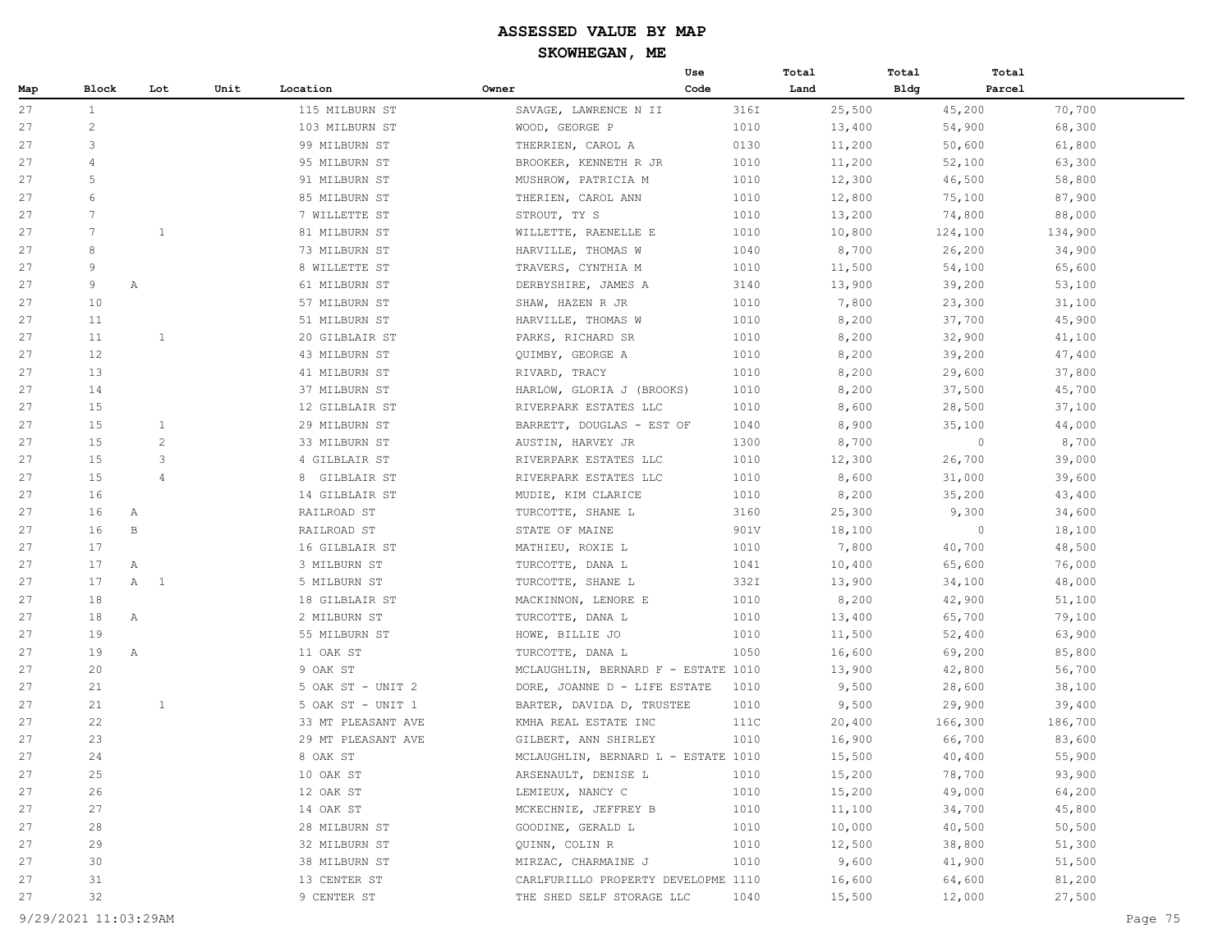|     |              |                   |      |                    |                                     | Use  | Total  | Total       | Total             |
|-----|--------------|-------------------|------|--------------------|-------------------------------------|------|--------|-------------|-------------------|
| Map | <b>Block</b> | Lot               | Unit | Location           | Owner                               | Code | Land   | <b>Bldg</b> | Parcel            |
| 27  | $\mathbf{1}$ |                   |      | 115 MILBURN ST     | SAVAGE, LAWRENCE N II               | 316I | 25,500 | 45,200      | 70,700            |
| 27  | 2            |                   |      | 103 MILBURN ST     | WOOD, GEORGE P                      | 1010 | 13,400 | 54,900      | 68,300            |
| 27  | 3            |                   |      | 99 MILBURN ST      | THERRIEN, CAROL A                   | 0130 | 11,200 | 50,600      | 61,800            |
| 27  | 4            |                   |      | 95 MILBURN ST      | BROOKER, KENNETH R JR               | 1010 | 11,200 | 52,100      | 63,300            |
| 27  | 5            |                   |      | 91 MILBURN ST      | MUSHROW, PATRICIA M                 | 1010 | 12,300 | 46,500      | 58,800            |
| 27  | 6            |                   |      | 85 MILBURN ST      | THERIEN, CAROL ANN                  | 1010 | 12,800 | 75,100      | 87,900            |
| 27  | 7            |                   |      | 7 WILLETTE ST      | STROUT, TY S                        | 1010 | 13,200 | 74,800      | 88,000            |
| 27  | 7            | $\mathbf{1}$      |      | 81 MILBURN ST      | WILLETTE, RAENELLE E                | 1010 | 10,800 | 124,100     | 134,900           |
| 27  | 8            |                   |      | 73 MILBURN ST      | HARVILLE, THOMAS W                  | 1040 | 8,700  | 26,200      | 34,900            |
| 27  | 9            |                   |      | 8 WILLETTE ST      | TRAVERS, CYNTHIA M                  | 1010 | 11,500 | 54,100      | 65,600            |
| 27  | 9            | Α                 |      | 61 MILBURN ST      | DERBYSHIRE, JAMES A                 | 3140 | 13,900 | 39,200      | 53,100            |
| 27  | 10           |                   |      | 57 MILBURN ST      | SHAW, HAZEN R JR                    | 1010 | 7,800  | 23,300      | 31,100            |
| 27  | 11           |                   |      | 51 MILBURN ST      | HARVILLE, THOMAS W                  | 1010 | 8,200  | 37,700      | 45,900            |
| 27  | 11           | 1                 |      | 20 GILBLAIR ST     | PARKS, RICHARD SR                   | 1010 | 8,200  | 32,900      | 41,100            |
| 27  | 12           |                   |      | 43 MILBURN ST      | QUIMBY, GEORGE A                    | 1010 | 8,200  | 39,200      | 47,400            |
| 27  | 13           |                   |      | 41 MILBURN ST      | RIVARD, TRACY                       | 1010 | 8,200  | 29,600      | 37,800            |
| 27  | 14           |                   |      | 37 MILBURN ST      | HARLOW, GLORIA J (BROOKS)           | 1010 | 8,200  | 37,500      | 45,700            |
| 27  | 15           |                   |      | 12 GILBLAIR ST     | RIVERPARK ESTATES LLC               | 1010 | 8,600  | 28,500      | 37,100            |
| 27  | 15           | 1                 |      | 29 MILBURN ST      | BARRETT, DOUGLAS - EST OF           | 1040 | 8,900  | 35,100      | 44,000            |
| 27  | 15           | 2                 |      | 33 MILBURN ST      | AUSTIN, HARVEY JR                   | 1300 | 8,700  |             | $\circ$<br>8,700  |
| 27  | 15           | 3                 |      | 4 GILBLAIR ST      | RIVERPARK ESTATES LLC               | 1010 | 12,300 | 26,700      | 39,000            |
| 27  | 15           | $\overline{4}$    |      | 8 GILBLAIR ST      | RIVERPARK ESTATES LLC               | 1010 | 8,600  | 31,000      | 39,600            |
| 27  | 16           |                   |      | 14 GILBLAIR ST     | MUDIE, KIM CLARICE                  | 1010 | 8,200  | 35,200      | 43,400            |
| 27  | 16           | Α                 |      | RAILROAD ST        | TURCOTTE, SHANE L                   | 3160 | 25,300 | 9,300       | 34,600            |
| 27  | 16           | В                 |      | RAILROAD ST        | STATE OF MAINE                      | 901V | 18,100 |             | $\circ$<br>18,100 |
| 27  | 17           |                   |      | 16 GILBLAIR ST     | MATHIEU, ROXIE L                    | 1010 | 7,800  | 40,700      | 48,500            |
| 27  | 17           | Α                 |      | 3 MILBURN ST       | TURCOTTE, DANA L                    | 1041 | 10,400 | 65,600      | 76,000            |
| 27  | 17           | A<br>$\mathbf{1}$ |      | 5 MILBURN ST       | TURCOTTE, SHANE L                   | 332I | 13,900 | 34,100      | 48,000            |
| 27  | 18           |                   |      | 18 GILBLAIR ST     | MACKINNON, LENORE E                 | 1010 | 8,200  | 42,900      | 51,100            |
| 27  | 18           | $\mathbb{A}$      |      | 2 MILBURN ST       | TURCOTTE, DANA L                    | 1010 | 13,400 | 65,700      | 79,100            |
| 27  | 19           |                   |      | 55 MILBURN ST      | HOWE, BILLIE JO                     | 1010 | 11,500 | 52,400      | 63,900            |
| 27  | 19           | A                 |      | 11 OAK ST          | TURCOTTE, DANA L                    | 1050 | 16,600 | 69,200      | 85,800            |
| 27  | 20           |                   |      | 9 OAK ST           | MCLAUGHLIN, BERNARD F - ESTATE 1010 |      | 13,900 | 42,800      | 56,700            |
| 27  | 21           |                   |      | 5 OAK ST - UNIT 2  | DORE, JOANNE D - LIFE ESTATE        | 1010 | 9,500  | 28,600      | 38,100            |
| 27  | 21           | $\mathbf{1}$      |      | 5 OAK ST - UNIT 1  | BARTER, DAVIDA D, TRUSTEE           | 1010 | 9,500  | 29,900      | 39,400            |
| 27  | 22           |                   |      | 33 MT PLEASANT AVE | KMHA REAL ESTATE INC                | 111C | 20,400 | 166,300     | 186,700           |
| 27  | 23           |                   |      | 29 MT PLEASANT AVE | GILBERT, ANN SHIRLEY                | 1010 | 16,900 | 66,700      | 83,600            |
| 27  | 24           |                   |      | 8 OAK ST           | MCLAUGHLIN, BERNARD L - ESTATE 1010 |      | 15,500 | 40,400      | 55,900            |
| 27  | 25           |                   |      | 10 OAK ST          | ARSENAULT, DENISE L                 | 1010 | 15,200 | 78,700      | 93,900            |
| 27  | 26           |                   |      | 12 OAK ST          | LEMIEUX, NANCY C                    | 1010 | 15,200 | 49,000      | 64,200            |
| 27  | 27           |                   |      | 14 OAK ST          | MCKECHNIE, JEFFREY B                | 1010 | 11,100 | 34,700      | 45,800            |
| 27  | 28           |                   |      | 28 MILBURN ST      | GOODINE, GERALD L                   | 1010 | 10,000 | 40,500      | 50, 500           |
| 27  | 29           |                   |      | 32 MILBURN ST      | QUINN, COLIN R                      | 1010 | 12,500 | 38,800      | 51,300            |
| 27  | 30           |                   |      | 38 MILBURN ST      | MIRZAC, CHARMAINE J                 | 1010 | 9,600  | 41,900      | 51,500            |
| 27  | 31           |                   |      | 13 CENTER ST       | CARLFURILLO PROPERTY DEVELOPME 1110 |      | 16,600 | 64,600      | 81,200            |
| 27  | 32           |                   |      | 9 CENTER ST        | THE SHED SELF STORAGE LLC           | 1040 | 15,500 | 12,000      | 27,500            |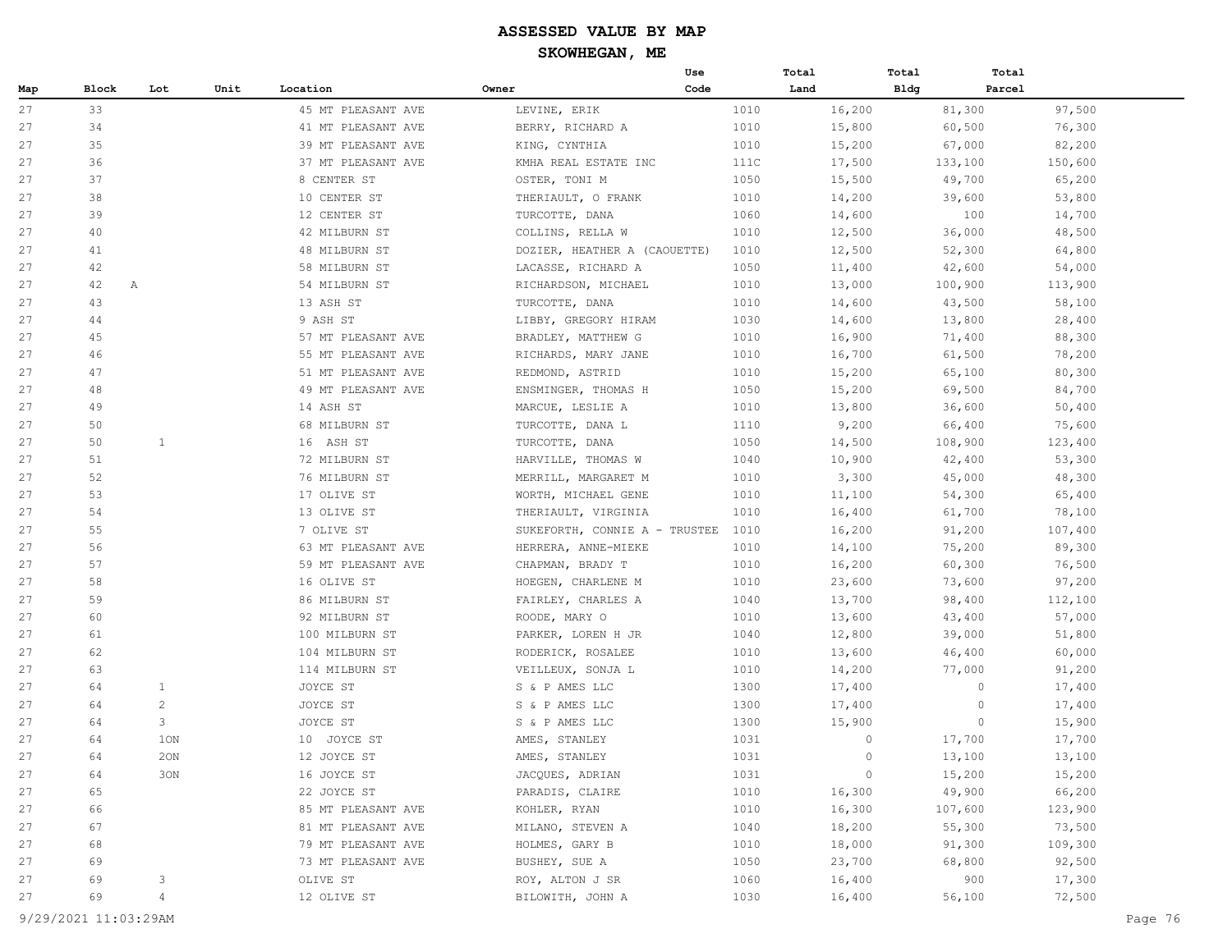|     |              |                 |      |                    |                               | Use  | Total |         | Total       | Total   |         |
|-----|--------------|-----------------|------|--------------------|-------------------------------|------|-------|---------|-------------|---------|---------|
| Map | <b>Block</b> | Lot             | Unit | Location           | Owner                         | Code | Land  |         | <b>Bldg</b> | Parcel  |         |
| 27  | 33           |                 |      | 45 MT PLEASANT AVE | LEVINE, ERIK                  |      | 1010  | 16,200  |             | 81,300  | 97,500  |
| 27  | 34           |                 |      | 41 MT PLEASANT AVE | BERRY, RICHARD A              |      | 1010  | 15,800  |             | 60,500  | 76,300  |
| 27  | 35           |                 |      | 39 MT PLEASANT AVE | KING, CYNTHIA                 |      | 1010  | 15,200  |             | 67,000  | 82,200  |
| 27  | 36           |                 |      | 37 MT PLEASANT AVE | KMHA REAL ESTATE INC          |      | 111C  | 17,500  |             | 133,100 | 150,600 |
| 27  | 37           |                 |      | 8 CENTER ST        | OSTER, TONI M                 |      | 1050  | 15,500  |             | 49,700  | 65,200  |
| 27  | 38           |                 |      | 10 CENTER ST       | THERIAULT, O FRANK            |      | 1010  | 14,200  |             | 39,600  | 53,800  |
| 27  | 39           |                 |      | 12 CENTER ST       | TURCOTTE, DANA                |      | 1060  | 14,600  |             | 100     | 14,700  |
| 27  | 40           |                 |      | 42 MILBURN ST      | COLLINS, RELLA W              |      | 1010  | 12,500  |             | 36,000  | 48,500  |
| 27  | 41           |                 |      | 48 MILBURN ST      | DOZIER, HEATHER A (CAOUETTE)  |      | 1010  | 12,500  |             | 52,300  | 64,800  |
| 27  | 42           |                 |      | 58 MILBURN ST      | LACASSE, RICHARD A            |      | 1050  | 11,400  |             | 42,600  | 54,000  |
| 27  | 42           | $\mathbb{A}$    |      | 54 MILBURN ST      | RICHARDSON, MICHAEL           |      | 1010  | 13,000  |             | 100,900 | 113,900 |
| 27  | 43           |                 |      | 13 ASH ST          | TURCOTTE, DANA                |      | 1010  | 14,600  |             | 43,500  | 58,100  |
| 27  | 44           |                 |      | 9 ASH ST           | LIBBY, GREGORY HIRAM          |      | 1030  | 14,600  |             | 13,800  | 28,400  |
| 27  | 45           |                 |      | 57 MT PLEASANT AVE | BRADLEY, MATTHEW G            |      | 1010  | 16,900  |             | 71,400  | 88,300  |
| 27  | 46           |                 |      | 55 MT PLEASANT AVE | RICHARDS, MARY JANE           |      | 1010  | 16,700  |             | 61,500  | 78,200  |
| 27  | 47           |                 |      | 51 MT PLEASANT AVE | REDMOND, ASTRID               |      | 1010  | 15,200  |             | 65,100  | 80,300  |
| 27  | 48           |                 |      | 49 MT PLEASANT AVE | ENSMINGER, THOMAS H           |      | 1050  | 15,200  |             | 69,500  | 84,700  |
| 27  | 49           |                 |      | 14 ASH ST          | MARCUE, LESLIE A              |      | 1010  | 13,800  |             | 36,600  | 50,400  |
| 27  | 50           |                 |      | 68 MILBURN ST      | TURCOTTE, DANA L              |      | 1110  | 9,200   |             | 66,400  | 75,600  |
| 27  | 50           | 1               |      | 16 ASH ST          | TURCOTTE, DANA                |      | 1050  | 14,500  |             | 108,900 | 123,400 |
| 27  | 51           |                 |      | 72 MILBURN ST      | HARVILLE, THOMAS W            |      | 1040  | 10,900  |             | 42,400  | 53,300  |
| 27  | 52           |                 |      | 76 MILBURN ST      | MERRILL, MARGARET M           |      | 1010  | 3,300   |             | 45,000  | 48,300  |
| 27  | 53           |                 |      | 17 OLIVE ST        | WORTH, MICHAEL GENE           |      | 1010  | 11,100  |             | 54,300  | 65,400  |
| 27  | 54           |                 |      | 13 OLIVE ST        | THERIAULT, VIRGINIA           |      | 1010  | 16,400  |             | 61,700  | 78,100  |
| 27  | 55           |                 |      | 7 OLIVE ST         | SUKEFORTH, CONNIE A - TRUSTEE |      | 1010  | 16,200  |             | 91,200  | 107,400 |
| 27  | 56           |                 |      | 63 MT PLEASANT AVE | HERRERA, ANNE-MIEKE           |      | 1010  | 14,100  |             | 75,200  | 89,300  |
| 27  | 57           |                 |      | 59 MT PLEASANT AVE | CHAPMAN, BRADY T              |      | 1010  | 16,200  |             | 60,300  | 76,500  |
| 27  | 58           |                 |      | 16 OLIVE ST        | HOEGEN, CHARLENE M            |      | 1010  | 23,600  |             | 73,600  | 97,200  |
| 27  | 59           |                 |      | 86 MILBURN ST      | FAIRLEY, CHARLES A            |      | 1040  | 13,700  |             | 98,400  | 112,100 |
| 27  | 60           |                 |      | 92 MILBURN ST      | ROODE, MARY O                 |      | 1010  | 13,600  |             | 43,400  | 57,000  |
| 27  | 61           |                 |      | 100 MILBURN ST     | PARKER, LOREN H JR            |      | 1040  | 12,800  |             | 39,000  | 51,800  |
| 27  | 62           |                 |      | 104 MILBURN ST     | RODERICK, ROSALEE             |      | 1010  | 13,600  |             | 46,400  | 60,000  |
| 27  | 63           |                 |      | 114 MILBURN ST     | VEILLEUX, SONJA L             |      | 1010  | 14,200  |             | 77,000  | 91,200  |
| 27  | 64           | 1               |      | JOYCE ST           | S & P AMES LLC                |      | 1300  | 17,400  |             | $\circ$ | 17,400  |
| 27  | 64           | $\overline{2}$  |      | JOYCE ST           | S & P AMES LLC                |      | 1300  | 17,400  |             | $\circ$ | 17,400  |
| 27  | 64           | 3               |      | JOYCE ST           | S & P AMES LLC                |      | 1300  | 15,900  |             | $\circ$ | 15,900  |
| 27  | 64           | 1 <sub>ON</sub> |      | 10 JOYCE ST        | AMES, STANLEY                 |      | 1031  | $\circ$ |             | 17,700  | 17,700  |
| 27  | 64           | 20N             |      | 12 JOYCE ST        | AMES, STANLEY                 |      | 1031  | $\circ$ |             | 13,100  | 13,100  |
| 27  | 64           | 30N             |      | 16 JOYCE ST        | JACQUES, ADRIAN               |      | 1031  | $\circ$ |             | 15,200  | 15,200  |
| 27  | 65           |                 |      | 22 JOYCE ST        | PARADIS, CLAIRE               |      | 1010  | 16,300  |             | 49,900  | 66,200  |
| 27  | 66           |                 |      | 85 MT PLEASANT AVE | KOHLER, RYAN                  |      | 1010  | 16,300  |             | 107,600 | 123,900 |
| 27  | 67           |                 |      | 81 MT PLEASANT AVE | MILANO, STEVEN A              |      | 1040  | 18,200  |             | 55,300  | 73,500  |
| 27  | 68           |                 |      | 79 MT PLEASANT AVE | HOLMES, GARY B                |      | 1010  | 18,000  |             | 91,300  | 109,300 |
| 27  | 69           |                 |      | 73 MT PLEASANT AVE | BUSHEY, SUE A                 |      | 1050  | 23,700  |             | 68,800  | 92,500  |
| 27  | 69           | 3               |      | OLIVE ST           | ROY, ALTON J SR               |      | 1060  | 16,400  |             | 900     | 17,300  |
| 27  | 69           | $\overline{4}$  |      | 12 OLIVE ST        | BILOWITH, JOHN A              |      | 1030  | 16,400  |             | 56,100  | 72,500  |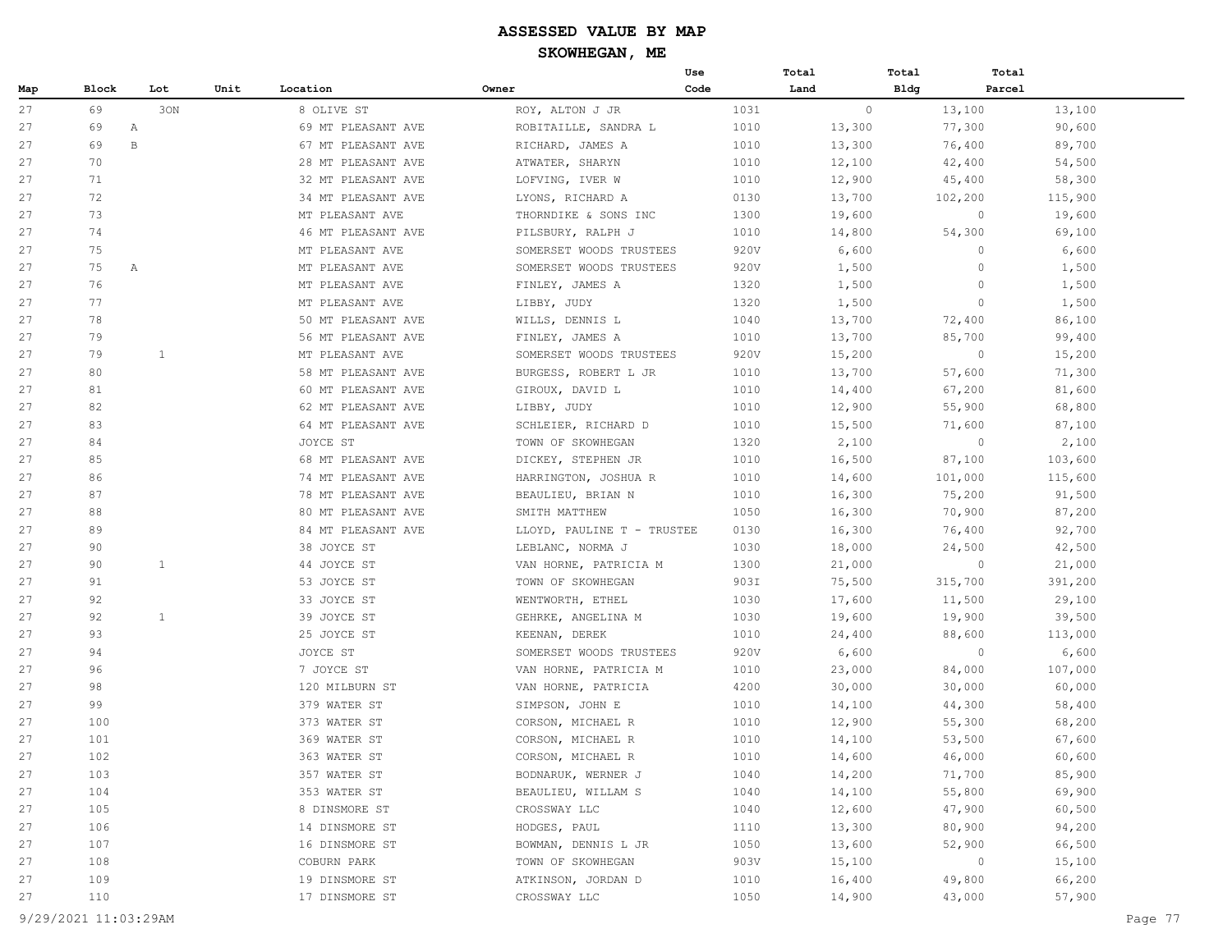|     |       |              |      |                    |                            | Use  | Total  | Total       | Total   |         |
|-----|-------|--------------|------|--------------------|----------------------------|------|--------|-------------|---------|---------|
| Map | Block | Lot          | Unit | Location           | Owner                      | Code | Land   | <b>Bldg</b> | Parcel  |         |
| 27  | 69    | 30N          |      | 8 OLIVE ST         | ROY, ALTON J JR            | 1031 |        | $\circ$     | 13,100  | 13,100  |
| 27  | 69    | Α            |      | 69 MT PLEASANT AVE | ROBITAILLE, SANDRA L       | 1010 | 13,300 |             | 77,300  | 90,600  |
| 27  | 69    | В            |      | 67 MT PLEASANT AVE | RICHARD, JAMES A           | 1010 | 13,300 |             | 76,400  | 89,700  |
| 27  | 70    |              |      | 28 MT PLEASANT AVE | ATWATER, SHARYN            | 1010 | 12,100 |             | 42,400  | 54,500  |
| 27  | 71    |              |      | 32 MT PLEASANT AVE | LOFVING, IVER W            | 1010 | 12,900 |             | 45,400  | 58,300  |
| 27  | 72    |              |      | 34 MT PLEASANT AVE | LYONS, RICHARD A           | 0130 | 13,700 |             | 102,200 | 115,900 |
| 27  | 73    |              |      | MT PLEASANT AVE    | THORNDIKE & SONS INC       | 1300 | 19,600 |             | $\circ$ | 19,600  |
| 27  | 74    |              |      | 46 MT PLEASANT AVE | PILSBURY, RALPH J          | 1010 | 14,800 |             | 54,300  | 69,100  |
| 27  | 75    |              |      | MT PLEASANT AVE    | SOMERSET WOODS TRUSTEES    | 920V | 6,600  |             | $\circ$ | 6,600   |
| 27  | 75    | $\mathbb{A}$ |      | MT PLEASANT AVE    | SOMERSET WOODS TRUSTEES    | 920V | 1,500  |             | $\circ$ | 1,500   |
| 27  | 76    |              |      | MT PLEASANT AVE    | FINLEY, JAMES A            | 1320 | 1,500  |             | $\circ$ | 1,500   |
| 27  | 77    |              |      | MT PLEASANT AVE    | LIBBY, JUDY                | 1320 | 1,500  |             | $\circ$ | 1,500   |
| 27  | 78    |              |      | 50 MT PLEASANT AVE | WILLS, DENNIS L            | 1040 | 13,700 |             | 72,400  | 86,100  |
| 27  | 79    |              |      | 56 MT PLEASANT AVE | FINLEY, JAMES A            | 1010 | 13,700 |             | 85,700  | 99,400  |
| 27  | 79    | $\mathbf{1}$ |      | MT PLEASANT AVE    | SOMERSET WOODS TRUSTEES    | 920V | 15,200 |             | $\circ$ | 15,200  |
| 27  | 80    |              |      | 58 MT PLEASANT AVE | BURGESS, ROBERT L JR       | 1010 | 13,700 |             | 57,600  | 71,300  |
| 27  | 81    |              |      | 60 MT PLEASANT AVE | GIROUX, DAVID L            | 1010 | 14,400 |             | 67,200  | 81,600  |
| 27  | 82    |              |      | 62 MT PLEASANT AVE | LIBBY, JUDY                | 1010 | 12,900 |             | 55,900  | 68,800  |
| 27  | 83    |              |      | 64 MT PLEASANT AVE | SCHLEIER, RICHARD D        | 1010 | 15,500 |             | 71,600  | 87,100  |
| 27  | 84    |              |      | JOYCE ST           | TOWN OF SKOWHEGAN          | 1320 | 2,100  |             | $\circ$ | 2,100   |
| 27  | 85    |              |      | 68 MT PLEASANT AVE | DICKEY, STEPHEN JR         | 1010 | 16,500 |             | 87,100  | 103,600 |
| 27  | 86    |              |      | 74 MT PLEASANT AVE | HARRINGTON, JOSHUA R       | 1010 | 14,600 |             | 101,000 | 115,600 |
| 27  | 87    |              |      | 78 MT PLEASANT AVE | BEAULIEU, BRIAN N          | 1010 | 16,300 |             | 75,200  | 91,500  |
| 27  | 88    |              |      | 80 MT PLEASANT AVE | SMITH MATTHEW              | 1050 | 16,300 |             | 70,900  | 87,200  |
| 27  | 89    |              |      | 84 MT PLEASANT AVE | LLOYD, PAULINE T - TRUSTEE | 0130 | 16,300 |             | 76,400  | 92,700  |
| 27  | 90    |              |      | 38 JOYCE ST        | LEBLANC, NORMA J           | 1030 | 18,000 |             | 24,500  | 42,500  |
| 27  | 90    | 1            |      | 44 JOYCE ST        | VAN HORNE, PATRICIA M      | 1300 | 21,000 |             | $\circ$ | 21,000  |
| 27  | 91    |              |      | 53 JOYCE ST        | TOWN OF SKOWHEGAN          | 903I | 75,500 |             | 315,700 | 391,200 |
| 27  | 92    |              |      | 33 JOYCE ST        | WENTWORTH, ETHEL           | 1030 | 17,600 |             | 11,500  | 29,100  |
| 27  | 92    | $\mathbf{1}$ |      | 39 JOYCE ST        | GEHRKE, ANGELINA M         | 1030 | 19,600 |             | 19,900  | 39,500  |
| 27  | 93    |              |      | 25 JOYCE ST        | KEENAN, DEREK              | 1010 | 24,400 |             | 88,600  | 113,000 |
| 27  | 94    |              |      | JOYCE ST           | SOMERSET WOODS TRUSTEES    | 920V | 6,600  |             | $\circ$ | 6,600   |
| 27  | 96    |              |      | 7 JOYCE ST         | VAN HORNE, PATRICIA M      | 1010 | 23,000 |             | 84,000  | 107,000 |
| 27  | 98    |              |      | 120 MILBURN ST     | VAN HORNE, PATRICIA        | 4200 | 30,000 |             | 30,000  | 60,000  |
| 27  | 99    |              |      | 379 WATER ST       | SIMPSON, JOHN E            | 1010 | 14,100 |             | 44,300  | 58,400  |
| 27  | 100   |              |      | 373 WATER ST       | CORSON, MICHAEL R          | 1010 | 12,900 |             | 55,300  | 68,200  |
| 27  | 101   |              |      | 369 WATER ST       | CORSON, MICHAEL R          | 1010 | 14,100 |             | 53,500  | 67,600  |
| 27  | 102   |              |      | 363 WATER ST       | CORSON, MICHAEL R          | 1010 | 14,600 |             | 46,000  | 60,600  |
| 27  | 103   |              |      | 357 WATER ST       | BODNARUK, WERNER J         | 1040 | 14,200 |             | 71,700  | 85,900  |
| 27  | 104   |              |      | 353 WATER ST       | BEAULIEU, WILLAM S         | 1040 | 14,100 |             | 55,800  | 69,900  |
| 27  | 105   |              |      | 8 DINSMORE ST      | CROSSWAY LLC               | 1040 | 12,600 |             | 47,900  | 60,500  |
| 27  | 106   |              |      | 14 DINSMORE ST     | HODGES, PAUL               | 1110 | 13,300 |             | 80,900  | 94,200  |
| 27  | 107   |              |      | 16 DINSMORE ST     | BOWMAN, DENNIS L JR        | 1050 | 13,600 |             | 52,900  | 66,500  |
| 27  | 108   |              |      | COBURN PARK        | TOWN OF SKOWHEGAN          | 903V | 15,100 |             | $\circ$ | 15,100  |
| 27  | 109   |              |      | 19 DINSMORE ST     | ATKINSON, JORDAN D         | 1010 | 16,400 |             | 49,800  | 66,200  |
| 27  | 110   |              |      | 17 DINSMORE ST     | CROSSWAY LLC               | 1050 | 14,900 |             | 43,000  | 57,900  |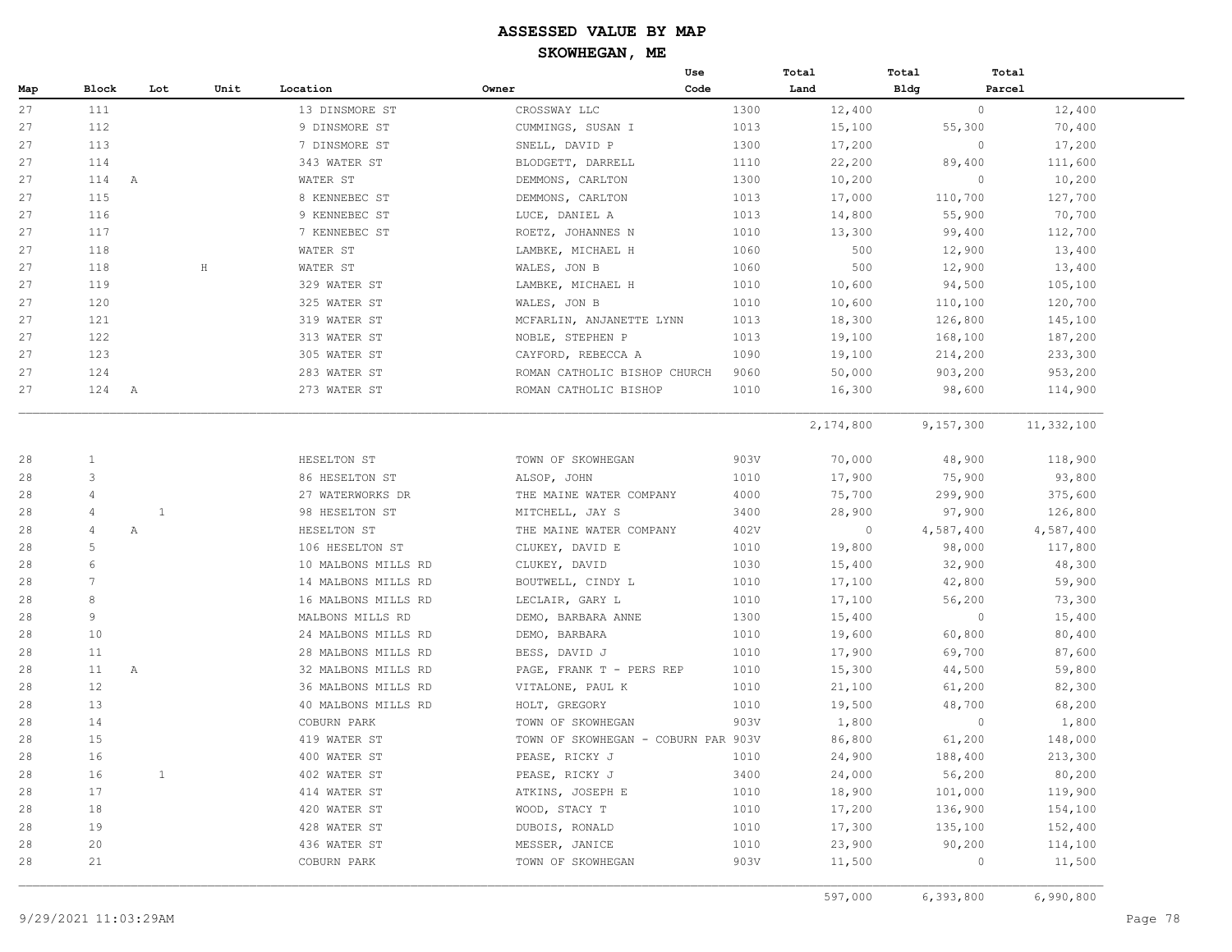|     |                 |       |              |                     |                                     | Use  | Total     | Total       | Total      |
|-----|-----------------|-------|--------------|---------------------|-------------------------------------|------|-----------|-------------|------------|
| Map | Block           | Lot   | Unit         | Location            | Owner                               | Code | Land      | <b>Bldg</b> | Parcel     |
| 27  | 111             |       |              | 13 DINSMORE ST      | CROSSWAY LLC                        | 1300 | 12,400    | $\circ$     | 12,400     |
| 27  | 112             |       |              | 9 DINSMORE ST       | CUMMINGS, SUSAN I                   | 1013 | 15,100    | 55,300      | 70,400     |
| 27  | 113             |       |              | 7 DINSMORE ST       | SNELL, DAVID P                      | 1300 | 17,200    | $\circ$     | 17,200     |
| 27  | 114             |       |              | 343 WATER ST        | BLODGETT, DARRELL                   | 1110 | 22,200    | 89,400      | 111,600    |
| 27  | 114<br>A        |       |              | WATER ST            | DEMMONS, CARLTON                    | 1300 | 10,200    | $\circ$     | 10,200     |
| 27  | 115             |       |              | 8 KENNEBEC ST       | DEMMONS, CARLTON                    | 1013 | 17,000    | 110,700     | 127,700    |
| 27  | 116             |       |              | 9 KENNEBEC ST       | LUCE, DANIEL A                      | 1013 | 14,800    | 55,900      | 70,700     |
| 27  | 117             |       |              | 7 KENNEBEC ST       | ROETZ, JOHANNES N                   | 1010 | 13,300    | 99,400      | 112,700    |
| 27  | 118             |       |              | WATER ST            | LAMBKE, MICHAEL H                   | 1060 | 500       | 12,900      | 13,400     |
| 27  | 118             |       | $\, {\rm H}$ | WATER ST            | WALES, JON B                        | 1060 | 500       | 12,900      | 13,400     |
| 27  | 119             |       |              | 329 WATER ST        | LAMBKE, MICHAEL H                   | 1010 | 10,600    | 94,500      | 105,100    |
| 27  | 120             |       |              | 325 WATER ST        | WALES, JON B                        | 1010 | 10,600    | 110,100     | 120,700    |
| 27  | 121             |       |              | 319 WATER ST        | MCFARLIN, ANJANETTE LYNN            | 1013 | 18,300    | 126,800     | 145,100    |
| 27  | 122             |       |              | 313 WATER ST        | NOBLE, STEPHEN P                    | 1013 | 19,100    | 168,100     | 187,200    |
| 27  | 123             |       |              | 305 WATER ST        | CAYFORD, REBECCA A                  | 1090 | 19,100    | 214,200     | 233,300    |
| 27  | 124             |       |              | 283 WATER ST        | ROMAN CATHOLIC BISHOP CHURCH        | 9060 | 50,000    | 903,200     | 953,200    |
| 27  | 124<br>A        |       |              | 273 WATER ST        | ROMAN CATHOLIC BISHOP               | 1010 | 16,300    | 98,600      | 114,900    |
|     |                 |       |              |                     |                                     |      | 2,174,800 | 9,157,300   | 11,332,100 |
| 28  | $\mathbf{1}$    |       |              | HESELTON ST         | TOWN OF SKOWHEGAN                   | 903V | 70,000    | 48,900      | 118,900    |
| 28  | 3               |       |              | 86 HESELTON ST      | ALSOP, JOHN                         | 1010 | 17,900    | 75,900      | 93,800     |
| 28  | $\overline{4}$  |       |              | 27 WATERWORKS DR    | THE MAINE WATER COMPANY             | 4000 | 75,700    | 299,900     | 375,600    |
| 28  | $\overline{4}$  | $1\,$ |              | 98 HESELTON ST      | MITCHELL, JAY S                     | 3400 | 28,900    | 97,900      | 126,800    |
| 28  | $\overline{4}$  | Α     |              | HESELTON ST         | THE MAINE WATER COMPANY             | 402V | $\circ$   | 4,587,400   | 4,587,400  |
| 28  | 5               |       |              | 106 HESELTON ST     | CLUKEY, DAVID E                     | 1010 | 19,800    | 98,000      | 117,800    |
| 28  | 6               |       |              | 10 MALBONS MILLS RD | CLUKEY, DAVID                       | 1030 | 15,400    | 32,900      | 48,300     |
| 28  | $7\phantom{.0}$ |       |              | 14 MALBONS MILLS RD | BOUTWELL, CINDY L                   | 1010 | 17,100    | 42,800      | 59,900     |
| 28  | $\mathsf{R}$    |       |              | 16 MALBONS MILLS RD | LECLAIR, GARY L                     | 1010 | 17,100    | 56,200      | 73,300     |
| 28  | 9               |       |              | MALBONS MILLS RD    | DEMO, BARBARA ANNE                  | 1300 | 15,400    | $\circ$     | 15,400     |
| 28  | 10              |       |              | 24 MALBONS MILLS RD | DEMO, BARBARA                       | 1010 | 19,600    | 60,800      | 80,400     |
| 28  | 11              |       |              | 28 MALBONS MILLS RD | BESS, DAVID J                       | 1010 | 17,900    | 69,700      | 87,600     |
| 28  | 11              | Α     |              | 32 MALBONS MILLS RD | PAGE, FRANK T - PERS REP            | 1010 | 15,300    | 44,500      | 59,800     |
| 28  | 12              |       |              | 36 MALBONS MILLS RD | VITALONE, PAUL K                    | 1010 | 21,100    | 61,200      | 82,300     |
| 28  | 13              |       |              | 40 MALBONS MILLS RD | HOLT, GREGORY                       | 1010 | 19,500    | 48,700      | 68,200     |
| 28  | 14              |       |              | COBURN PARK         | TOWN OF SKOWHEGAN                   | 903V | 1,800     | $\circ$     | 1,800      |
| 28  | 15              |       |              | 419 WATER ST        | TOWN OF SKOWHEGAN - COBURN PAR 903V |      | 86,800    | 61,200      | 148,000    |
| 28  | 16              |       |              | 400 WATER ST        | PEASE, RICKY J                      | 1010 | 24,900    | 188,400     | 213,300    |
| 28  | 16              | 1     |              | 402 WATER ST        | PEASE, RICKY J                      | 3400 | 24,000    | 56,200      | 80,200     |
| 28  | 17              |       |              | 414 WATER ST        | ATKINS, JOSEPH E                    | 1010 | 18,900    | 101,000     | 119,900    |
| 28  | 18              |       |              | 420 WATER ST        | WOOD, STACY T                       | 1010 | 17,200    | 136,900     | 154,100    |
| 28  | 19              |       |              | 428 WATER ST        | DUBOIS, RONALD                      | 1010 | 17,300    | 135,100     | 152,400    |
| 28  | 20              |       |              | 436 WATER ST        | MESSER, JANICE                      | 1010 | 23,900    | 90,200      | 114,100    |
|     | 21              |       |              | COBURN PARK         | TOWN OF SKOWHEGAN                   | 903V | 11,500    | $\circ$     | 11,500     |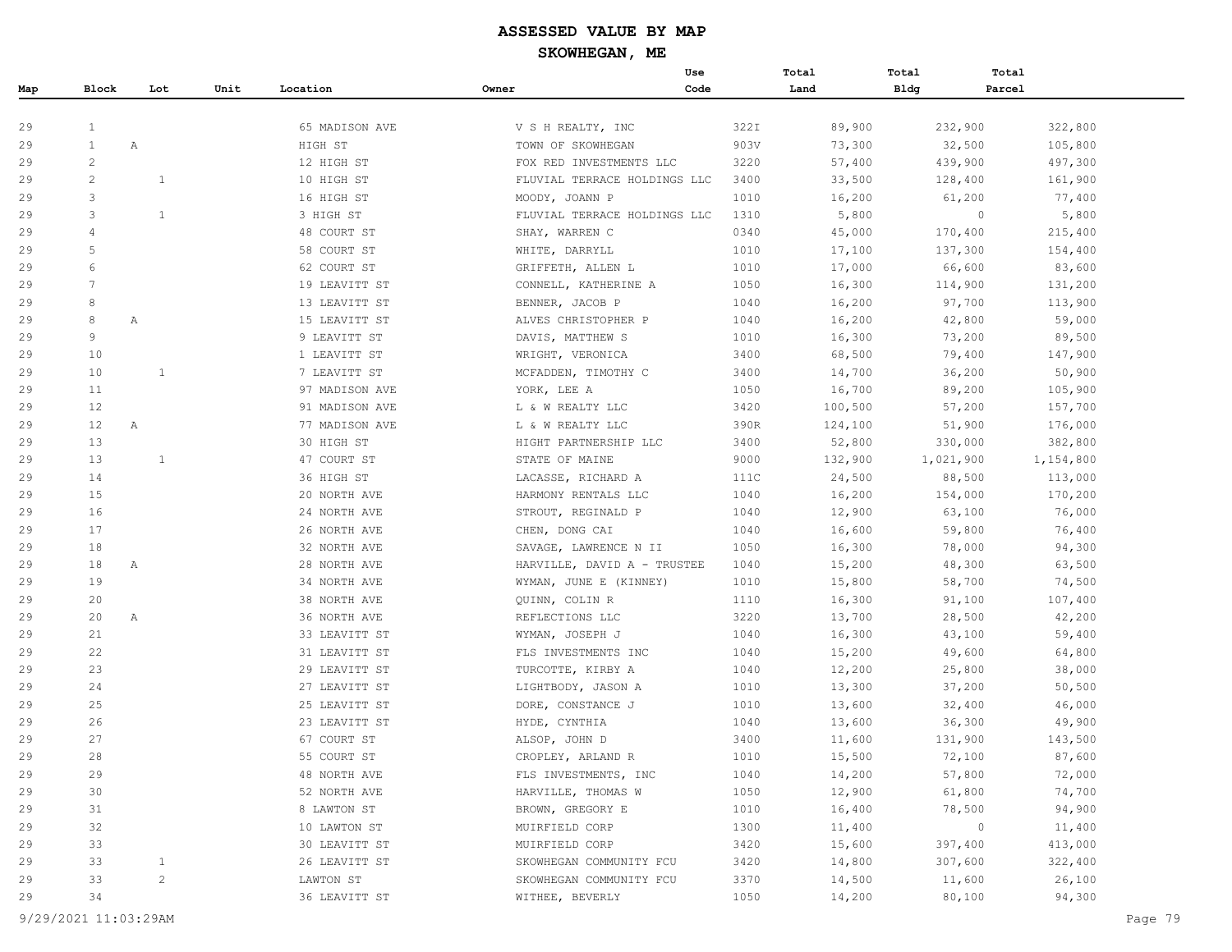|     |              |                |      |                |       | Use                          |      | Total   | Total       | Total     |           |
|-----|--------------|----------------|------|----------------|-------|------------------------------|------|---------|-------------|-----------|-----------|
| Map | Block        | Lot            | Unit | Location       | Owner | Code                         |      | Land    | <b>Bldg</b> | Parcel    |           |
|     |              |                |      |                |       |                              |      |         |             |           |           |
| 29  | 1            |                |      | 65 MADISON AVE |       | V S H REALTY, INC            | 322I | 89,900  |             | 232,900   | 322,800   |
| 29  | $\mathbf{1}$ | Α              |      | HIGH ST        |       | TOWN OF SKOWHEGAN            | 903V | 73,300  |             | 32,500    | 105,800   |
| 29  | $\mathbf{2}$ |                |      | 12 HIGH ST     |       | FOX RED INVESTMENTS LLC      | 3220 | 57,400  |             | 439,900   | 497,300   |
| 29  | 2            | $\mathbf{1}$   |      | 10 HIGH ST     |       | FLUVIAL TERRACE HOLDINGS LLC | 3400 | 33,500  |             | 128,400   | 161,900   |
| 29  | 3            |                |      | 16 HIGH ST     |       | MOODY, JOANN P               | 1010 | 16,200  |             | 61,200    | 77,400    |
| 29  | 3            | 1              |      | 3 HIGH ST      |       | FLUVIAL TERRACE HOLDINGS LLC | 1310 | 5,800   |             | $\circ$   | 5,800     |
| 29  | 4            |                |      | 48 COURT ST    |       | SHAY, WARREN C               | 0340 | 45,000  |             | 170,400   | 215,400   |
| 29  | 5            |                |      | 58 COURT ST    |       | WHITE, DARRYLL               | 1010 | 17,100  |             | 137,300   | 154,400   |
| 29  | 6            |                |      | 62 COURT ST    |       | GRIFFETH, ALLEN L            | 1010 | 17,000  |             | 66,600    | 83,600    |
| 29  | 7            |                |      | 19 LEAVITT ST  |       | CONNELL, KATHERINE A         | 1050 | 16,300  |             | 114,900   | 131,200   |
| 29  | 8            |                |      | 13 LEAVITT ST  |       | BENNER, JACOB P              | 1040 | 16,200  |             | 97,700    | 113,900   |
| 29  | 8            | Α              |      | 15 LEAVITT ST  |       | ALVES CHRISTOPHER P          | 1040 | 16,200  |             | 42,800    | 59,000    |
| 29  | 9            |                |      | 9 LEAVITT ST   |       | DAVIS, MATTHEW S             | 1010 | 16,300  |             | 73,200    | 89,500    |
| 29  | 10           |                |      | 1 LEAVITT ST   |       | WRIGHT, VERONICA             | 3400 | 68,500  |             | 79,400    | 147,900   |
| 29  | 10           | $\mathbf{1}$   |      | 7 LEAVITT ST   |       | MCFADDEN, TIMOTHY C          | 3400 | 14,700  |             | 36,200    | 50,900    |
| 29  | 11           |                |      | 97 MADISON AVE |       | YORK, LEE A                  | 1050 | 16,700  |             | 89,200    | 105,900   |
| 29  | 12           |                |      | 91 MADISON AVE |       | L & W REALTY LLC             | 3420 | 100,500 |             | 57,200    | 157,700   |
| 29  | 12           | A              |      | 77 MADISON AVE |       | L & W REALTY LLC             | 390R | 124,100 |             | 51,900    | 176,000   |
| 29  | 13           |                |      | 30 HIGH ST     |       | HIGHT PARTNERSHIP LLC        | 3400 | 52,800  |             | 330,000   | 382,800   |
| 29  | 13           | $\mathbf{1}$   |      | 47 COURT ST    |       | STATE OF MAINE               | 9000 | 132,900 |             | 1,021,900 | 1,154,800 |
| 29  | 14           |                |      | 36 HIGH ST     |       | LACASSE, RICHARD A           | 111C | 24,500  |             | 88,500    | 113,000   |
| 29  | 15           |                |      | 20 NORTH AVE   |       | HARMONY RENTALS LLC          | 1040 | 16,200  |             | 154,000   | 170,200   |
| 29  | 16           |                |      | 24 NORTH AVE   |       | STROUT, REGINALD P           | 1040 | 12,900  |             | 63,100    | 76,000    |
| 29  | 17           |                |      | 26 NORTH AVE   |       | CHEN, DONG CAI               | 1040 | 16,600  |             | 59,800    | 76,400    |
| 29  | 18           |                |      | 32 NORTH AVE   |       | SAVAGE, LAWRENCE N II        | 1050 | 16,300  |             | 78,000    | 94,300    |
| 29  | 18           | Α              |      | 28 NORTH AVE   |       | HARVILLE, DAVID A - TRUSTEE  | 1040 | 15,200  |             | 48,300    | 63,500    |
| 29  | 19           |                |      | 34 NORTH AVE   |       | WYMAN, JUNE E (KINNEY)       | 1010 | 15,800  |             | 58,700    | 74,500    |
| 29  | 20           |                |      | 38 NORTH AVE   |       | QUINN, COLIN R               | 1110 | 16,300  |             | 91,100    | 107,400   |
| 29  | 20           | A              |      | 36 NORTH AVE   |       | REFLECTIONS LLC              | 3220 | 13,700  |             | 28,500    | 42,200    |
| 29  | 21           |                |      | 33 LEAVITT ST  |       | WYMAN, JOSEPH J              | 1040 | 16,300  |             | 43,100    | 59,400    |
| 29  | 22           |                |      | 31 LEAVITT ST  |       | FLS INVESTMENTS INC          | 1040 | 15,200  |             | 49,600    | 64,800    |
| 29  | 23           |                |      | 29 LEAVITT ST  |       | TURCOTTE, KIRBY A            | 1040 | 12,200  |             | 25,800    | 38,000    |
| 29  | 24           |                |      | 27 LEAVITT ST  |       | LIGHTBODY, JASON A           | 1010 | 13,300  |             | 37,200    | 50,500    |
| 29  | 25           |                |      | 25 LEAVITT ST  |       | DORE, CONSTANCE J            | 1010 | 13,600  |             | 32,400    | 46,000    |
| 29  | 26           |                |      | 23 LEAVITT ST  |       | HYDE, CYNTHIA                | 1040 | 13,600  |             | 36,300    | 49,900    |
| 29  | 27           |                |      | 67 COURT ST    |       | ALSOP, JOHN D                | 3400 | 11,600  |             | 131,900   | 143,500   |
| 29  | 28           |                |      | 55 COURT ST    |       | CROPLEY, ARLAND R            | 1010 | 15,500  |             | 72,100    | 87,600    |
| 29  | 29           |                |      | 48 NORTH AVE   |       | FLS INVESTMENTS, INC         | 1040 | 14,200  |             | 57,800    | 72,000    |
| 29  | 30           |                |      | 52 NORTH AVE   |       | HARVILLE, THOMAS W           | 1050 | 12,900  |             | 61,800    | 74,700    |
| 29  | 31           |                |      | 8 LAWTON ST    |       | BROWN, GREGORY E             | 1010 | 16,400  |             | 78,500    | 94,900    |
| 29  | 32           |                |      | 10 LAWTON ST   |       | MUIRFIELD CORP               | 1300 | 11,400  |             | $\circ$   | 11,400    |
| 29  | 33           |                |      | 30 LEAVITT ST  |       | MUIRFIELD CORP               | 3420 | 15,600  |             | 397,400   | 413,000   |
| 29  | 33           | $\mathbf{1}$   |      | 26 LEAVITT ST  |       | SKOWHEGAN COMMUNITY FCU      | 3420 | 14,800  |             | 307,600   | 322,400   |
| 29  | 33           | $\overline{c}$ |      | LAWTON ST      |       | SKOWHEGAN COMMUNITY FCU      | 3370 | 14,500  |             | 11,600    | 26,100    |
| 29  | 34           |                |      | 36 LEAVITT ST  |       | WITHEE, BEVERLY              | 1050 | 14,200  |             | 80,100    | 94,300    |
|     |              |                |      |                |       |                              |      |         |             |           |           |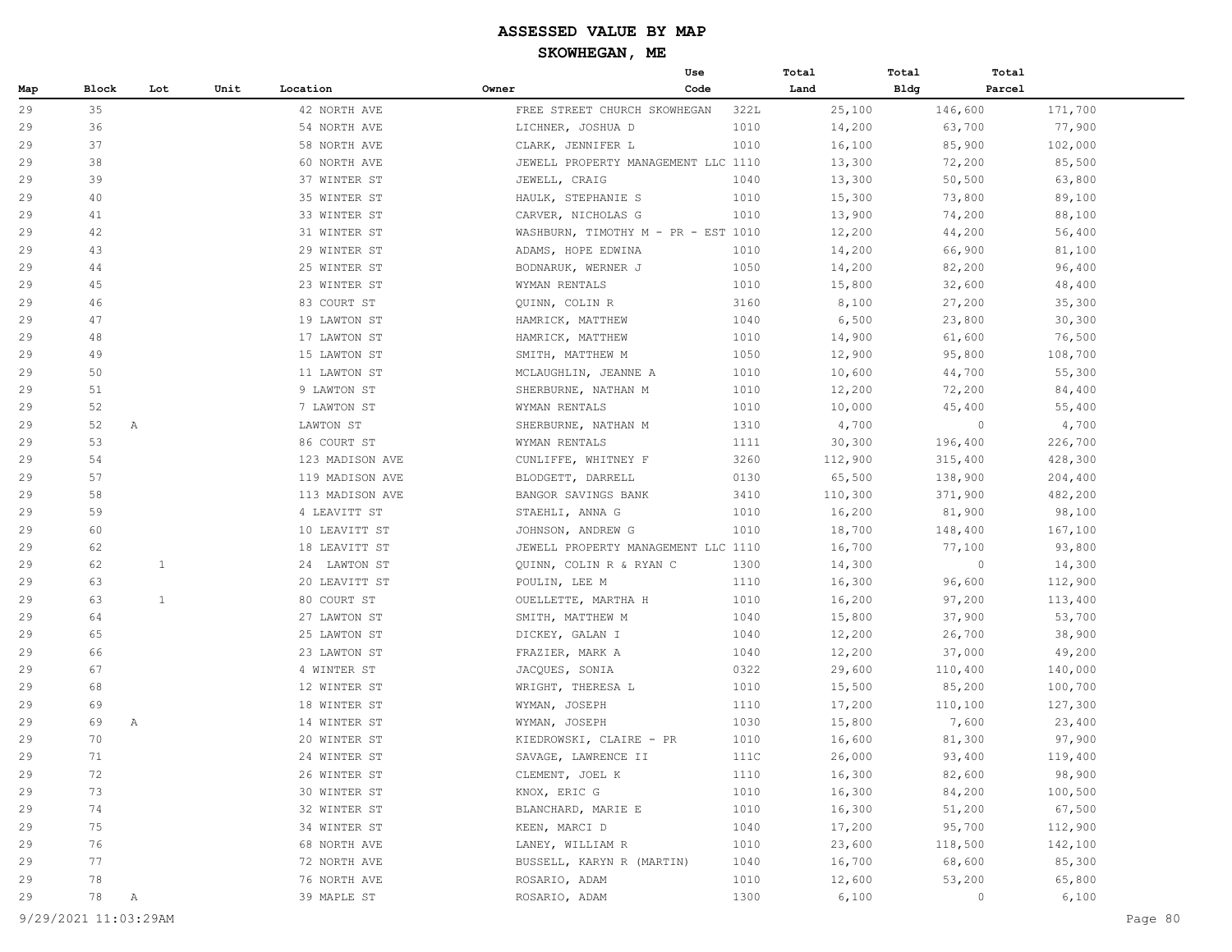|     |       |              |      |                 |                                     | Use  | Total   | Total       | Total             |
|-----|-------|--------------|------|-----------------|-------------------------------------|------|---------|-------------|-------------------|
| Map | Block | Lot          | Unit | Location        | Owner                               | Code | Land    | <b>Bldg</b> | Parcel            |
| 29  | 35    |              |      | 42 NORTH AVE    | FREE STREET CHURCH SKOWHEGAN        | 322L | 25,100  | 146,600     | 171,700           |
| 29  | 36    |              |      | 54 NORTH AVE    | LICHNER, JOSHUA D                   | 1010 | 14,200  | 63,700      | 77,900            |
| 29  | 37    |              |      | 58 NORTH AVE    | CLARK, JENNIFER L                   | 1010 | 16,100  | 85,900      | 102,000           |
| 29  | 38    |              |      | 60 NORTH AVE    | JEWELL PROPERTY MANAGEMENT LLC 1110 |      | 13,300  | 72,200      | 85,500            |
| 29  | 39    |              |      | 37 WINTER ST    | JEWELL, CRAIG                       | 1040 | 13,300  | 50,500      | 63,800            |
| 29  | 40    |              |      | 35 WINTER ST    | HAULK, STEPHANIE S                  | 1010 | 15,300  | 73,800      | 89,100            |
| 29  | 41    |              |      | 33 WINTER ST    | CARVER, NICHOLAS G                  | 1010 | 13,900  | 74,200      | 88,100            |
| 29  | 42    |              |      | 31 WINTER ST    | WASHBURN, TIMOTHY M - PR - EST 1010 |      | 12,200  | 44,200      | 56,400            |
| 29  | 43    |              |      | 29 WINTER ST    | ADAMS, HOPE EDWINA                  | 1010 | 14,200  | 66,900      | 81,100            |
| 29  | 44    |              |      | 25 WINTER ST    | BODNARUK, WERNER J                  | 1050 | 14,200  | 82,200      | 96,400            |
| 29  | 45    |              |      | 23 WINTER ST    | WYMAN RENTALS                       | 1010 | 15,800  | 32,600      | 48,400            |
| 29  | 46    |              |      | 83 COURT ST     | QUINN, COLIN R                      | 3160 | 8,100   | 27,200      | 35,300            |
| 29  | 47    |              |      | 19 LAWTON ST    | HAMRICK, MATTHEW                    | 1040 | 6,500   | 23,800      | 30,300            |
| 29  | 48    |              |      | 17 LAWTON ST    | HAMRICK, MATTHEW                    | 1010 | 14,900  | 61,600      | 76,500            |
| 29  | 49    |              |      | 15 LAWTON ST    | SMITH, MATTHEW M                    | 1050 | 12,900  | 95,800      | 108,700           |
| 29  | 50    |              |      | 11 LAWTON ST    | MCLAUGHLIN, JEANNE A                | 1010 | 10,600  | 44,700      | 55,300            |
| 29  | 51    |              |      | 9 LAWTON ST     | SHERBURNE, NATHAN M                 | 1010 | 12,200  | 72,200      | 84,400            |
| 29  | 52    |              |      | 7 LAWTON ST     | WYMAN RENTALS                       | 1010 | 10,000  | 45,400      | 55,400            |
| 29  | 52    | Α            |      | LAWTON ST       | SHERBURNE, NATHAN M                 | 1310 | 4,700   |             | 4,700<br>$\circ$  |
| 29  | 53    |              |      | 86 COURT ST     | WYMAN RENTALS                       | 1111 | 30,300  | 196,400     | 226,700           |
| 29  | 54    |              |      | 123 MADISON AVE | CUNLIFFE, WHITNEY F                 | 3260 | 112,900 | 315,400     | 428,300           |
| 29  | 57    |              |      | 119 MADISON AVE | BLODGETT, DARRELL                   | 0130 | 65,500  | 138,900     | 204,400           |
| 29  | 58    |              |      | 113 MADISON AVE | BANGOR SAVINGS BANK                 | 3410 | 110,300 | 371,900     | 482,200           |
| 29  | 59    |              |      | 4 LEAVITT ST    | STAEHLI, ANNA G                     | 1010 | 16,200  | 81,900      | 98,100            |
| 29  | 60    |              |      | 10 LEAVITT ST   | JOHNSON, ANDREW G                   | 1010 | 18,700  | 148,400     | 167,100           |
| 29  | 62    |              |      | 18 LEAVITT ST   | JEWELL PROPERTY MANAGEMENT LLC 1110 |      | 16,700  | 77,100      | 93,800            |
| 29  | 62    | 1            |      | 24 LAWTON ST    | QUINN, COLIN R & RYAN C             | 1300 | 14,300  |             | 14,300<br>$\circ$ |
| 29  | 63    |              |      | 20 LEAVITT ST   | POULIN, LEE M                       | 1110 | 16,300  | 96,600      | 112,900           |
| 29  | 63    | 1            |      | 80 COURT ST     | OUELLETTE, MARTHA H                 | 1010 | 16,200  | 97,200      | 113,400           |
| 29  | 64    |              |      | 27 LAWTON ST    | SMITH, MATTHEW M                    | 1040 | 15,800  | 37,900      | 53,700            |
| 29  | 65    |              |      | 25 LAWTON ST    | DICKEY, GALAN I                     | 1040 | 12,200  | 26,700      | 38,900            |
| 29  | 66    |              |      | 23 LAWTON ST    | FRAZIER, MARK A                     | 1040 | 12,200  | 37,000      | 49,200            |
| 29  | 67    |              |      | 4 WINTER ST     | JACQUES, SONIA                      | 0322 | 29,600  | 110,400     | 140,000           |
| 29  | 68    |              |      | 12 WINTER ST    | WRIGHT, THERESA L                   | 1010 | 15,500  | 85,200      | 100,700           |
| 29  | 69    |              |      | 18 WINTER ST    | WYMAN, JOSEPH                       | 1110 | 17,200  | 110,100     | 127,300           |
| 29  | 69    | Α            |      | 14 WINTER ST    | WYMAN, JOSEPH                       | 1030 | 15,800  | 7,600       | 23,400            |
| 29  | 70    |              |      | 20 WINTER ST    | KIEDROWSKI, CLAIRE - PR             | 1010 | 16,600  | 81,300      | 97,900            |
| 29  | 71    |              |      | 24 WINTER ST    | SAVAGE, LAWRENCE II                 | 111C | 26,000  | 93,400      | 119,400           |
| 29  | 72    |              |      | 26 WINTER ST    | CLEMENT, JOEL K                     | 1110 | 16,300  | 82,600      | 98,900            |
| 29  | 73    |              |      | 30 WINTER ST    | KNOX, ERIC G                        | 1010 | 16,300  | 84,200      | 100,500           |
| 29  | 74    |              |      | 32 WINTER ST    | BLANCHARD, MARIE E                  | 1010 | 16,300  | 51,200      | 67,500            |
| 29  | 75    |              |      | 34 WINTER ST    | KEEN, MARCI D                       | 1040 | 17,200  | 95,700      | 112,900           |
| 29  | 76    |              |      | 68 NORTH AVE    | LANEY, WILLIAM R                    | 1010 | 23,600  | 118,500     | 142,100           |
| 29  | 77    |              |      | 72 NORTH AVE    | BUSSELL, KARYN R (MARTIN)           | 1040 | 16,700  | 68,600      | 85,300            |
| 29  | 78    |              |      | 76 NORTH AVE    | ROSARIO, ADAM                       | 1010 | 12,600  | 53,200      | 65,800            |
| 29  | 78    | $\mathbb{A}$ |      | 39 MAPLE ST     | ROSARIO, ADAM                       | 1300 | 6,100   |             | 6,100<br>$\circ$  |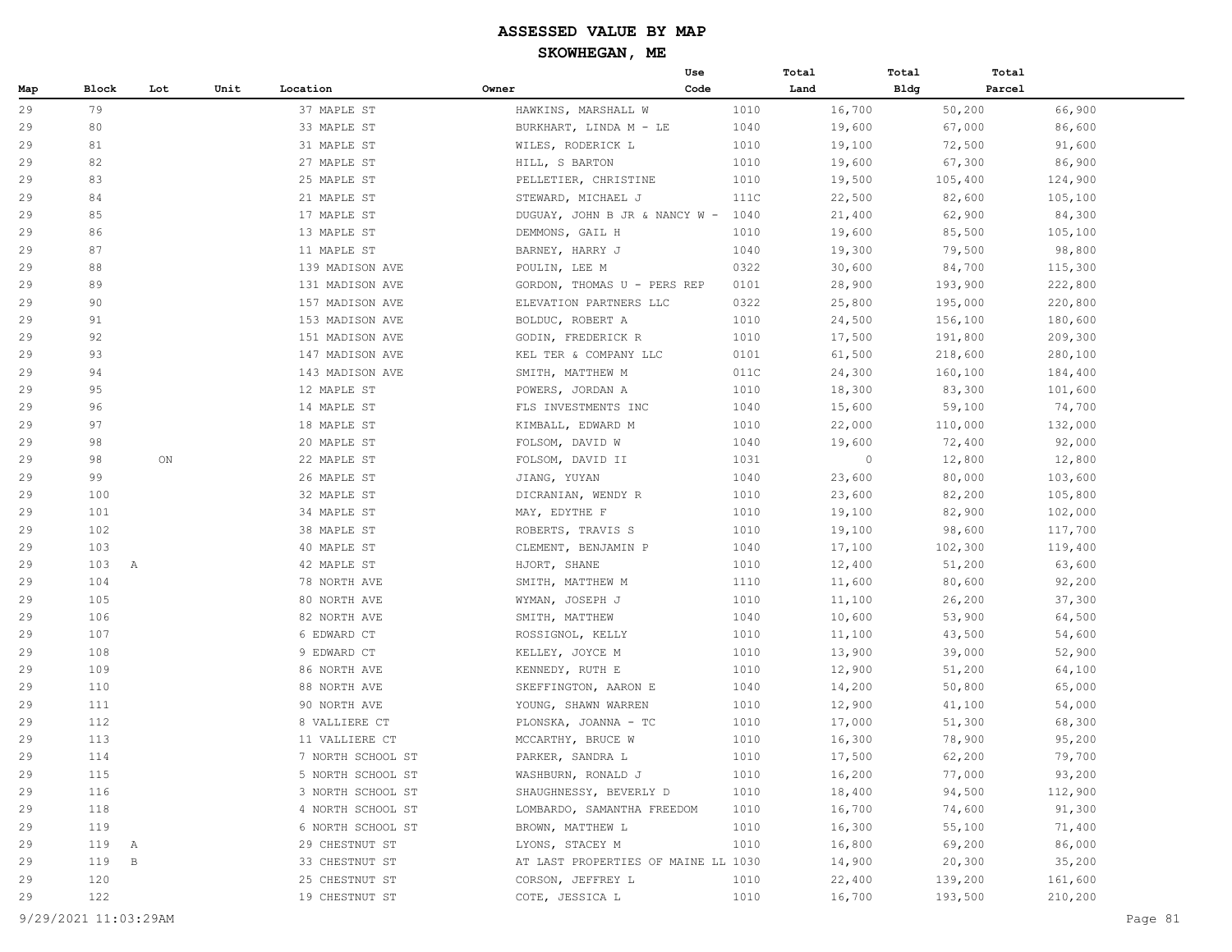# **ASSESSED VALUE BY MAP**

**SKOWHEGAN, ME**

|     |              |     |      |                             | Use                                   |      | Total   | Total | Total   |         |
|-----|--------------|-----|------|-----------------------------|---------------------------------------|------|---------|-------|---------|---------|
| Map | <b>Block</b> | Lot | Unit | Location                    | Owner                                 | Code | Land    | Bldg  | Parcel  |         |
| 29  | 79           |     |      | 37 MAPLE ST                 | HAWKINS, MARSHALL W                   | 1010 | 16,700  |       | 50,200  | 66,900  |
| 29  | 80           |     |      | 33 MAPLE ST                 | BURKHART, LINDA M - LE                | 1040 | 19,600  |       | 67,000  | 86,600  |
| 29  | 81           |     |      | 31 MAPLE ST                 | WILES, RODERICK L                     | 1010 | 19,100  |       | 72,500  | 91,600  |
| 29  | 82           |     |      | 27 MAPLE ST                 | HILL, S BARTON                        | 1010 | 19,600  |       | 67,300  | 86,900  |
| 29  | 83           |     |      | 25 MAPLE ST                 | PELLETIER, CHRISTINE                  | 1010 | 19,500  |       | 105,400 | 124,900 |
| 29  | 84           |     |      | 21 MAPLE ST                 | STEWARD, MICHAEL J                    | 111C | 22,500  |       | 82,600  | 105,100 |
| 29  | 85           |     |      | 17 MAPLE ST                 | DUGUAY, JOHN B JR & NANCY W - 1040    |      | 21,400  |       | 62,900  | 84,300  |
|     | 86           |     |      | 13 MAPLE ST                 | DEMMONS, GAIL H                       | 1010 | 19,600  |       | 85,500  | 105,100 |
|     | 87           |     |      | 11 MAPLE ST                 | BARNEY, HARRY J                       | 1040 | 19,300  |       | 79,500  | 98,800  |
|     | 88           |     |      | 139 MADISON AVE             | POULIN, LEE M                         | 0322 | 30,600  |       | 84,700  | 115,300 |
|     | 89           |     |      | 131 MADISON AVE             | GORDON, THOMAS U - PERS REP           | 0101 | 28,900  |       | 193,900 | 222,800 |
|     | 90           |     |      | 157 MADISON AVE             | ELEVATION PARTNERS LLC                | 0322 | 25,800  |       | 195,000 | 220,800 |
|     | 91           |     |      | 153 MADISON AVE             | BOLDUC, ROBERT A                      | 1010 | 24,500  |       | 156,100 | 180,600 |
|     | 92           |     |      | 151 MADISON AVE             | GODIN, FREDERICK R                    | 1010 | 17,500  |       | 191,800 | 209,300 |
|     | 93           |     |      | 147 MADISON AVE             | KEL TER & COMPANY LLC                 | 0101 | 61,500  |       | 218,600 | 280,100 |
|     | 94           |     |      | 143 MADISON AVE             | SMITH, MATTHEW M                      | 011C | 24,300  |       | 160,100 | 184,400 |
|     | 95           |     |      | 12 MAPLE ST                 | POWERS, JORDAN A                      | 1010 | 18,300  |       | 83,300  | 101,600 |
|     | 96           |     |      | 14 MAPLE ST                 | FLS INVESTMENTS INC                   | 1040 | 15,600  |       | 59,100  | 74,700  |
|     | 97           |     |      | 18 MAPLE ST                 | KIMBALL, EDWARD M                     | 1010 | 22,000  |       | 110,000 | 132,000 |
|     | 98           |     |      | 20 MAPLE ST                 | FOLSOM, DAVID W                       | 1040 | 19,600  |       | 72,400  | 92,000  |
|     | 98           | ON  |      | 22 MAPLE ST                 | FOLSOM, DAVID II                      | 1031 | $\circ$ |       | 12,800  | 12,800  |
|     | 99           |     |      | 26 MAPLE ST                 | JIANG, YUYAN                          | 1040 | 23,600  |       | 80,000  | 103,600 |
|     | 100          |     |      | 32 MAPLE ST                 | DICRANIAN, WENDY R                    | 1010 | 23,600  |       | 82,200  | 105,800 |
|     | 101          |     |      | 34 MAPLE ST                 | MAY, EDYTHE F                         | 1010 | 19,100  |       | 82,900  | 102,000 |
|     | 102          |     |      | 38 MAPLE ST                 | ROBERTS, TRAVIS S                     | 1010 | 19,100  |       | 98,600  | 117,700 |
|     | 103          |     |      | 40 MAPLE ST                 | CLEMENT, BENJAMIN P                   | 1040 | 17,100  |       | 102,300 | 119,400 |
|     | 103 A        |     |      | 42 MAPLE ST                 | HJORT, SHANE                          | 1010 | 12,400  |       | 51,200  | 63,600  |
|     | 104          |     |      | 78 NORTH AVE                | SMITH, MATTHEW M                      | 1110 | 11,600  |       | 80,600  | 92,200  |
|     | 105          |     |      | 80 NORTH AVE                | WYMAN, JOSEPH J                       | 1010 | 11,100  |       | 26,200  | 37,300  |
|     | 106          |     |      |                             |                                       |      |         |       |         |         |
|     | 107          |     |      | 82 NORTH AVE<br>6 EDWARD CT | SMITH, MATTHEW                        | 1040 | 10,600  |       | 53,900  | 64,500  |
|     | 108          |     |      |                             | ROSSIGNOL, KELLY                      | 1010 | 11,100  |       | 43,500  | 54,600  |
|     |              |     |      | 9 EDWARD CT                 | KELLEY, JOYCE M                       | 1010 | 13,900  |       | 39,000  | 52,900  |
|     | 109          |     |      | 86 NORTH AVE                | KENNEDY, RUTH E                       | 1010 | 12,900  |       | 51,200  | 64,100  |
|     | 110          |     |      | 88 NORTH AVE                | SKEFFINGTON, AARON E                  | 1040 | 14,200  |       | 50,800  | 65,000  |
|     | 111          |     |      | 90 NORTH AVE                | YOUNG, SHAWN WARREN                   | 1010 | 12,900  |       | 41,100  | 54,000  |
|     | 112          |     |      | 8 VALLIERE CT               | PLONSKA, JOANNA - TC                  | 1010 | 17,000  |       | 51,300  | 68,300  |
|     | 113          |     |      | 11 VALLIERE CT              | MCCARTHY, BRUCE W<br>PARKER, SANDRA L | 1010 | 16,300  |       | 78,900  | 95,200  |
|     | $1\,1\,4$    |     |      | 7 NORTH SCHOOL ST           |                                       | 1010 | 17,500  |       | 62,200  | 79,700  |
|     | 115          |     |      | 5 NORTH SCHOOL ST           | WASHBURN, RONALD J                    | 1010 | 16,200  |       | 77,000  | 93,200  |
|     | 116          |     |      | 3 NORTH SCHOOL ST           | SHAUGHNESSY, BEVERLY D                | 1010 | 18,400  |       | 94,500  | 112,900 |
|     | 118          |     |      | 4 NORTH SCHOOL ST           | LOMBARDO, SAMANTHA FREEDOM            | 1010 | 16,700  |       | 74,600  | 91,300  |
|     | 119          |     |      | 6 NORTH SCHOOL ST           | BROWN, MATTHEW L                      | 1010 | 16,300  |       | 55,100  | 71,400  |
|     | 119 A        |     |      | 29 CHESTNUT ST              | LYONS, STACEY M                       | 1010 | 16,800  |       | 69,200  | 86,000  |
|     | 119 B        |     |      | 33 CHESTNUT ST              | AT LAST PROPERTIES OF MAINE LL 1030   |      | 14,900  |       | 20,300  | 35,200  |
|     | 120          |     |      | 25 CHESTNUT ST              | CORSON, JEFFREY L                     | 1010 | 22,400  |       | 139,200 | 161,600 |
| 29  | 122          |     |      | 19 CHESTNUT ST              | COTE, JESSICA L                       | 1010 | 16,700  |       | 193,500 | 210,200 |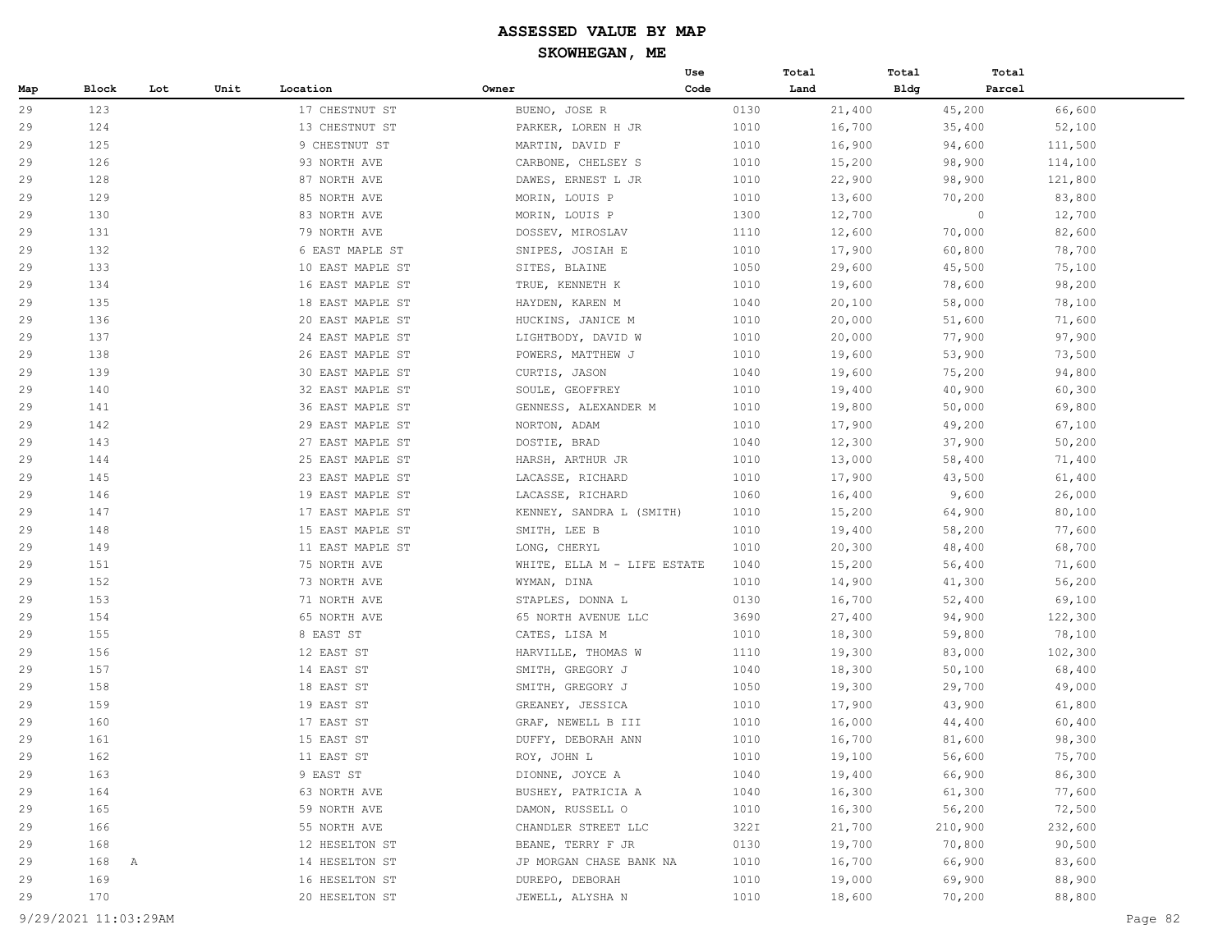|     |              |     |      |                  |                             | Use  | Total  | Total       | Total   |         |
|-----|--------------|-----|------|------------------|-----------------------------|------|--------|-------------|---------|---------|
| Map | <b>Block</b> | Lot | Unit | Location         | Owner                       | Code | Land   | <b>Bldg</b> | Parcel  |         |
| 29  | 123          |     |      | 17 CHESTNUT ST   | BUENO, JOSE R               | 0130 | 21,400 |             | 45,200  | 66,600  |
| 29  | 124          |     |      | 13 CHESTNUT ST   | PARKER, LOREN H JR          | 1010 | 16,700 |             | 35,400  | 52,100  |
| 29  | 125          |     |      | 9 CHESTNUT ST    | MARTIN, DAVID F             | 1010 | 16,900 |             | 94,600  | 111,500 |
| 29  | 126          |     |      | 93 NORTH AVE     | CARBONE, CHELSEY S          | 1010 | 15,200 |             | 98,900  | 114,100 |
| 29  | 128          |     |      | 87 NORTH AVE     | DAWES, ERNEST L JR          | 1010 | 22,900 |             | 98,900  | 121,800 |
| 29  | 129          |     |      | 85 NORTH AVE     | MORIN, LOUIS P              | 1010 | 13,600 |             | 70,200  | 83,800  |
| 29  | 130          |     |      | 83 NORTH AVE     | MORIN, LOUIS P              | 1300 | 12,700 |             | $\circ$ | 12,700  |
| 29  | 131          |     |      | 79 NORTH AVE     | DOSSEV, MIROSLAV            | 1110 | 12,600 |             | 70,000  | 82,600  |
| 29  | 132          |     |      | 6 EAST MAPLE ST  | SNIPES, JOSIAH E            | 1010 | 17,900 |             | 60,800  | 78,700  |
| 29  | 133          |     |      | 10 EAST MAPLE ST | SITES, BLAINE               | 1050 | 29,600 |             | 45,500  | 75,100  |
| 29  | 134          |     |      | 16 EAST MAPLE ST | TRUE, KENNETH K             | 1010 | 19,600 |             | 78,600  | 98,200  |
| 29  | 135          |     |      | 18 EAST MAPLE ST | HAYDEN, KAREN M             | 1040 | 20,100 |             | 58,000  | 78,100  |
| 29  | 136          |     |      | 20 EAST MAPLE ST | HUCKINS, JANICE M           | 1010 | 20,000 |             | 51,600  | 71,600  |
| 29  | 137          |     |      | 24 EAST MAPLE ST | LIGHTBODY, DAVID W          | 1010 | 20,000 |             | 77,900  | 97,900  |
| 29  | 138          |     |      | 26 EAST MAPLE ST | POWERS, MATTHEW J           | 1010 | 19,600 |             | 53,900  | 73,500  |
| 29  | 139          |     |      | 30 EAST MAPLE ST | CURTIS, JASON               | 1040 | 19,600 |             | 75,200  | 94,800  |
| 29  | 140          |     |      | 32 EAST MAPLE ST | SOULE, GEOFFREY             | 1010 | 19,400 |             | 40,900  | 60,300  |
| 29  | 141          |     |      | 36 EAST MAPLE ST | GENNESS, ALEXANDER M        | 1010 | 19,800 |             | 50,000  | 69,800  |
| 29  | 142          |     |      | 29 EAST MAPLE ST | NORTON, ADAM                | 1010 | 17,900 |             | 49,200  | 67,100  |
| 29  | 143          |     |      | 27 EAST MAPLE ST | DOSTIE, BRAD                | 1040 | 12,300 |             | 37,900  | 50,200  |
| 29  | 144          |     |      | 25 EAST MAPLE ST | HARSH, ARTHUR JR            | 1010 | 13,000 |             | 58,400  | 71,400  |
| 29  | 145          |     |      | 23 EAST MAPLE ST | LACASSE, RICHARD            | 1010 | 17,900 |             | 43,500  | 61,400  |
| 29  | 146          |     |      | 19 EAST MAPLE ST | LACASSE, RICHARD            | 1060 | 16,400 |             | 9,600   | 26,000  |
| 29  | 147          |     |      | 17 EAST MAPLE ST | KENNEY, SANDRA L (SMITH)    | 1010 | 15,200 |             | 64,900  | 80,100  |
| 29  | 148          |     |      | 15 EAST MAPLE ST | SMITH, LEE B                | 1010 | 19,400 |             | 58,200  | 77,600  |
| 29  | 149          |     |      | 11 EAST MAPLE ST | LONG, CHERYL                | 1010 | 20,300 |             | 48,400  | 68,700  |
| 29  | 151          |     |      | 75 NORTH AVE     | WHITE, ELLA M - LIFE ESTATE | 1040 | 15,200 |             | 56,400  | 71,600  |
| 29  | 152          |     |      | 73 NORTH AVE     | WYMAN, DINA                 | 1010 | 14,900 |             | 41,300  | 56,200  |
| 29  | 153          |     |      | 71 NORTH AVE     | STAPLES, DONNA L            | 0130 | 16,700 |             | 52,400  | 69,100  |
| 29  | 154          |     |      | 65 NORTH AVE     | 65 NORTH AVENUE LLC         | 3690 | 27,400 |             | 94,900  | 122,300 |
| 29  | 155          |     |      | 8 EAST ST        | CATES, LISA M               | 1010 | 18,300 |             | 59,800  | 78,100  |
| 29  | 156          |     |      | 12 EAST ST       | HARVILLE, THOMAS W          | 1110 | 19,300 |             | 83,000  | 102,300 |
| 29  | 157          |     |      | 14 EAST ST       | SMITH, GREGORY J            | 1040 | 18,300 |             | 50,100  | 68,400  |
| 29  | 158          |     |      | 18 EAST ST       | SMITH, GREGORY J            | 1050 | 19,300 |             | 29,700  | 49,000  |
| 29  | 159          |     |      | 19 EAST ST       | GREANEY, JESSICA            | 1010 | 17,900 |             | 43,900  | 61,800  |
| 29  | 160          |     |      | 17 EAST ST       | GRAF, NEWELL B III          | 1010 | 16,000 |             | 44,400  | 60,400  |
| 29  | 161          |     |      | 15 EAST ST       | DUFFY, DEBORAH ANN          | 1010 | 16,700 |             | 81,600  | 98,300  |
| 29  | 162          |     |      | 11 EAST ST       | ROY, JOHN L                 | 1010 | 19,100 |             | 56,600  | 75,700  |
| 29  | 163          |     |      | 9 EAST ST        | DIONNE, JOYCE A             | 1040 | 19,400 |             | 66,900  | 86,300  |
| 29  | 164          |     |      | 63 NORTH AVE     | BUSHEY, PATRICIA A          | 1040 | 16,300 |             | 61,300  | 77,600  |
| 29  | 165          |     |      | 59 NORTH AVE     | DAMON, RUSSELL O            | 1010 | 16,300 |             | 56,200  | 72,500  |
| 29  | 166          |     |      | 55 NORTH AVE     | CHANDLER STREET LLC         | 322I | 21,700 |             | 210,900 | 232,600 |
| 29  | 168          |     |      | 12 HESELTON ST   | BEANE, TERRY F JR           | 0130 | 19,700 |             | 70,800  | 90,500  |
| 29  | 168<br>A     |     |      | 14 HESELTON ST   | JP MORGAN CHASE BANK NA     | 1010 | 16,700 |             | 66,900  | 83,600  |
| 29  | 169          |     |      | 16 HESELTON ST   | DUREPO, DEBORAH             | 1010 | 19,000 |             | 69,900  | 88,900  |
| 29  | 170          |     |      | 20 HESELTON ST   | JEWELL, ALYSHA N            | 1010 | 18,600 |             | 70,200  | 88,800  |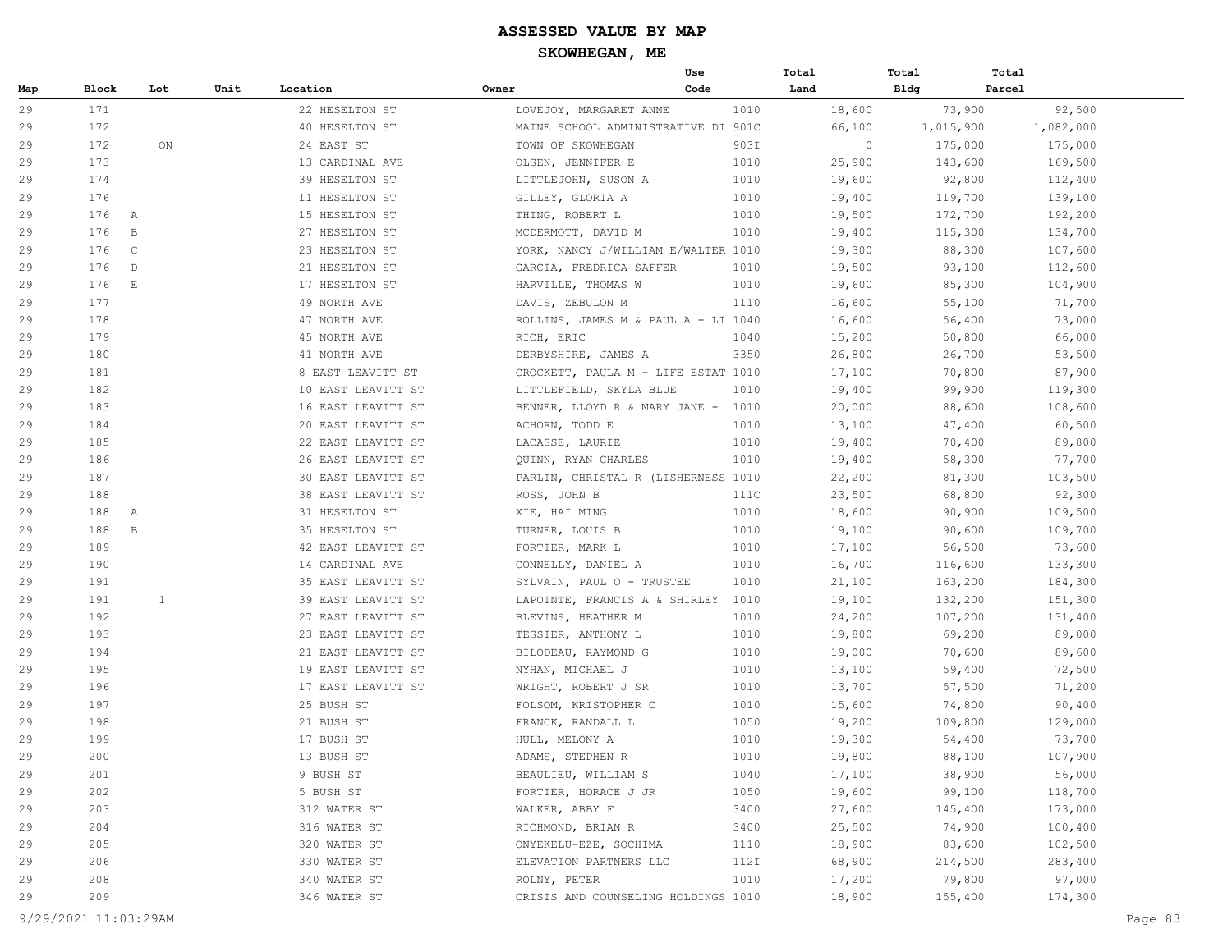|     |       |                       |      |                    |                                     | Use  | Total   | Total       | Total     |
|-----|-------|-----------------------|------|--------------------|-------------------------------------|------|---------|-------------|-----------|
| Map | Block | Lot                   | Unit | Location           | Owner                               | Code | Land    | <b>Bldg</b> | Parcel    |
| 29  | 171   |                       |      | 22 HESELTON ST     | LOVEJOY, MARGARET ANNE              | 1010 | 18,600  | 73,900      | 92,500    |
| 29  | 172   |                       |      | 40 HESELTON ST     | MAINE SCHOOL ADMINISTRATIVE DI 901C |      | 66,100  | 1,015,900   | 1,082,000 |
| 29  | 172   | ON                    |      | 24 EAST ST         | TOWN OF SKOWHEGAN                   | 903I | $\circ$ | 175,000     | 175,000   |
| 29  | 173   |                       |      | 13 CARDINAL AVE    | OLSEN, JENNIFER E                   | 1010 | 25,900  | 143,600     | 169,500   |
| 29  | 174   |                       |      | 39 HESELTON ST     | LITTLEJOHN, SUSON A                 | 1010 | 19,600  | 92,800      | 112,400   |
| 29  | 176   |                       |      | 11 HESELTON ST     | GILLEY, GLORIA A                    | 1010 | 19,400  | 119,700     | 139,100   |
| 29  | 176   | A                     |      | 15 HESELTON ST     | THING, ROBERT L                     | 1010 | 19,500  | 172,700     | 192,200   |
| 29  | 176   | $\, {\bf B}$          |      | 27 HESELTON ST     | MCDERMOTT, DAVID M                  | 1010 | 19,400  | 115,300     | 134,700   |
| 29  | 176   | $\mathsf{C}$          |      | 23 HESELTON ST     | YORK, NANCY J/WILLIAM E/WALTER 1010 |      | 19,300  | 88,300      | 107,600   |
| 29  | 176   | $\mathbb{D}$          |      | 21 HESELTON ST     | GARCIA, FREDRICA SAFFER             | 1010 | 19,500  | 93,100      | 112,600   |
| 29  | 176   | $\mathop{}\mathbb{E}$ |      | 17 HESELTON ST     | HARVILLE, THOMAS W                  | 1010 | 19,600  | 85,300      | 104,900   |
| 29  | 177   |                       |      | 49 NORTH AVE       | DAVIS, ZEBULON M                    | 1110 | 16,600  | 55,100      | 71,700    |
| 29  | 178   |                       |      | 47 NORTH AVE       | ROLLINS, JAMES M & PAUL A - LI 1040 |      | 16,600  | 56,400      | 73,000    |
| 29  | 179   |                       |      | 45 NORTH AVE       | RICH, ERIC                          | 1040 | 15,200  | 50,800      | 66,000    |
| 29  | 180   |                       |      | 41 NORTH AVE       | DERBYSHIRE, JAMES A                 | 3350 | 26,800  | 26,700      | 53,500    |
| 29  | 181   |                       |      | 8 EAST LEAVITT ST  | CROCKETT, PAULA M - LIFE ESTAT 1010 |      | 17,100  | 70,800      | 87,900    |
| 29  | 182   |                       |      | 10 EAST LEAVITT ST | LITTLEFIELD, SKYLA BLUE             | 1010 | 19,400  | 99,900      | 119,300   |
| 29  | 183   |                       |      | 16 EAST LEAVITT ST | BENNER, LLOYD R & MARY JANE - 1010  |      | 20,000  | 88,600      | 108,600   |
| 29  | 184   |                       |      | 20 EAST LEAVITT ST | ACHORN, TODD E                      | 1010 | 13,100  | 47,400      | 60,500    |
| 29  | 185   |                       |      | 22 EAST LEAVITT ST | LACASSE, LAURIE                     | 1010 | 19,400  | 70,400      | 89,800    |
| 29  | 186   |                       |      | 26 EAST LEAVITT ST | QUINN, RYAN CHARLES                 | 1010 | 19,400  | 58,300      | 77,700    |
| 29  | 187   |                       |      | 30 EAST LEAVITT ST | PARLIN, CHRISTAL R (LISHERNESS 1010 |      | 22,200  | 81,300      | 103,500   |
| 29  | 188   |                       |      | 38 EAST LEAVITT ST | ROSS, JOHN B                        | 111C | 23,500  | 68,800      | 92,300    |
| 29  | 188   | A                     |      | 31 HESELTON ST     | XIE, HAI MING                       | 1010 | 18,600  | 90,900      | 109,500   |
| 29  | 188   | $\, {\bf B}$          |      | 35 HESELTON ST     | TURNER, LOUIS B                     | 1010 | 19,100  | 90,600      | 109,700   |
| 29  | 189   |                       |      | 42 EAST LEAVITT ST | FORTIER, MARK L                     | 1010 | 17,100  | 56,500      | 73,600    |
| 29  | 190   |                       |      | 14 CARDINAL AVE    | CONNELLY, DANIEL A                  | 1010 | 16,700  | 116,600     | 133,300   |
| 29  | 191   |                       |      | 35 EAST LEAVITT ST | SYLVAIN, PAUL O - TRUSTEE           | 1010 | 21,100  | 163,200     | 184,300   |
| 29  | 191   | 1                     |      | 39 EAST LEAVITT ST | LAPOINTE, FRANCIS A & SHIRLEY 1010  |      | 19,100  | 132,200     | 151,300   |
| 29  | 192   |                       |      | 27 EAST LEAVITT ST | BLEVINS, HEATHER M                  | 1010 | 24,200  | 107,200     | 131,400   |
| 29  | 193   |                       |      | 23 EAST LEAVITT ST | TESSIER, ANTHONY L                  | 1010 | 19,800  | 69,200      | 89,000    |
| 29  | 194   |                       |      | 21 EAST LEAVITT ST | BILODEAU, RAYMOND G                 | 1010 | 19,000  | 70,600      | 89,600    |
| 29  | 195   |                       |      | 19 EAST LEAVITT ST | NYHAN, MICHAEL J                    | 1010 | 13,100  | 59,400      | 72,500    |
| 29  | 196   |                       |      | 17 EAST LEAVITT ST | WRIGHT, ROBERT J SR                 | 1010 | 13,700  | 57,500      | 71,200    |
| 29  | 197   |                       |      | 25 BUSH ST         | FOLSOM, KRISTOPHER C                | 1010 | 15,600  | 74,800      | 90,400    |
| 29  | 198   |                       |      | 21 BUSH ST         | FRANCK, RANDALL L                   | 1050 | 19,200  | 109,800     | 129,000   |
| 29  | 199   |                       |      | 17 BUSH ST         | HULL, MELONY A                      | 1010 | 19,300  | 54,400      | 73,700    |
| 29  | 200   |                       |      | 13 BUSH ST         | ADAMS, STEPHEN R                    | 1010 | 19,800  | 88,100      | 107,900   |
| 29  | 201   |                       |      | 9 BUSH ST          | BEAULIEU, WILLIAM S                 | 1040 | 17,100  | 38,900      | 56,000    |
| 29  | 202   |                       |      | 5 BUSH ST          | FORTIER, HORACE J JR                | 1050 | 19,600  | 99,100      | 118,700   |
| 29  | 203   |                       |      | 312 WATER ST       | WALKER, ABBY F                      | 3400 | 27,600  | 145,400     | 173,000   |
| 29  | 204   |                       |      | 316 WATER ST       | RICHMOND, BRIAN R                   | 3400 | 25,500  | 74,900      | 100,400   |
| 29  | 205   |                       |      | 320 WATER ST       | ONYEKELU-EZE, SOCHIMA               | 1110 | 18,900  | 83,600      | 102,500   |
| 29  | 206   |                       |      | 330 WATER ST       | ELEVATION PARTNERS LLC              | 112I | 68,900  | 214,500     | 283,400   |
| 29  | 208   |                       |      | 340 WATER ST       | ROLNY, PETER                        | 1010 | 17,200  | 79,800      | 97,000    |
| 29  | 209   |                       |      | 346 WATER ST       | CRISIS AND COUNSELING HOLDINGS 1010 |      | 18,900  | 155,400     | 174,300   |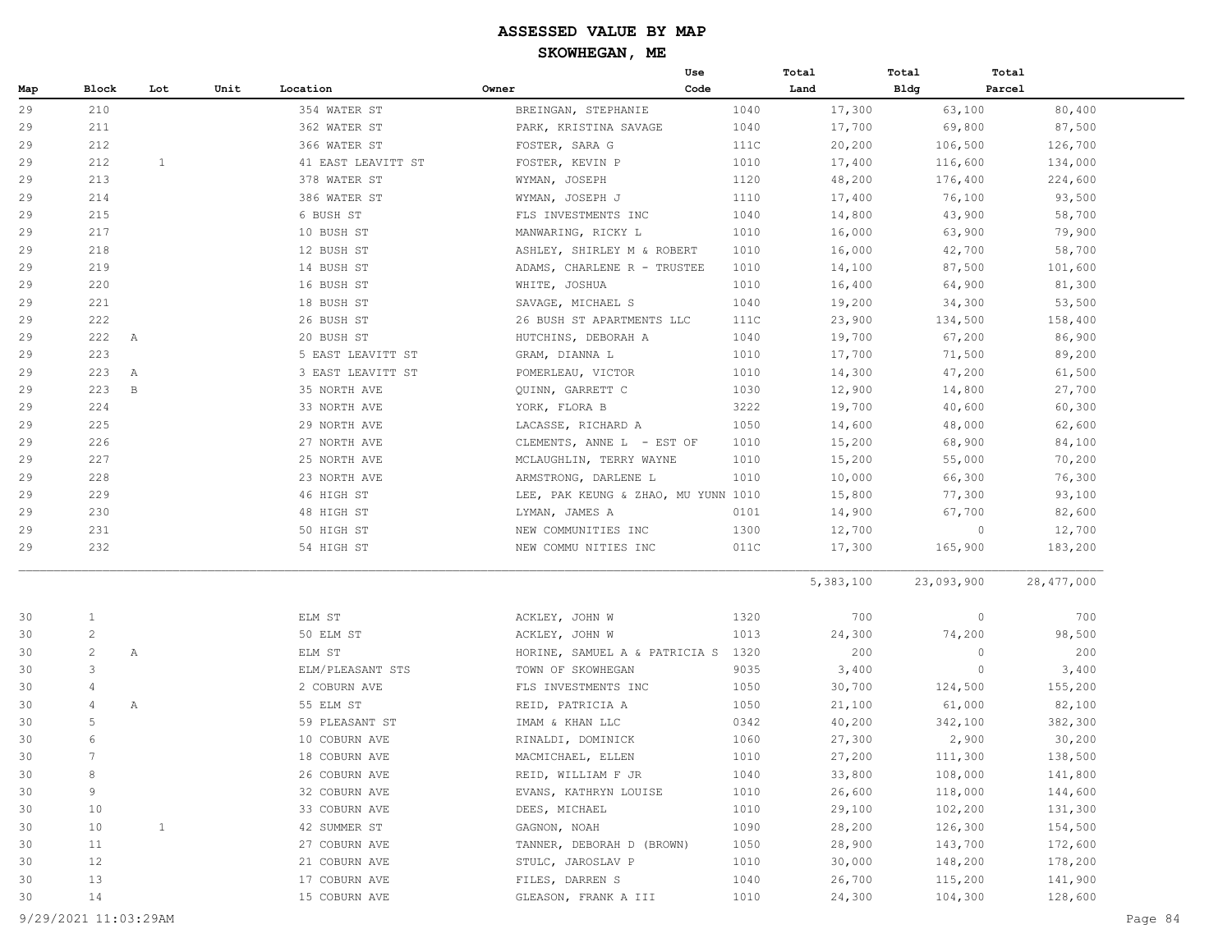|     |                 |              |      |                    |                                     | Use  | Total     | Total      | Total             |
|-----|-----------------|--------------|------|--------------------|-------------------------------------|------|-----------|------------|-------------------|
| Map | Block           | Lot          | Unit | Location           | Owner                               | Code | Land      | Bldg       | Parcel            |
| 29  | 210             |              |      | 354 WATER ST       | BREINGAN, STEPHANIE                 | 1040 | 17,300    | 63,100     | 80,400            |
| 29  | 211             |              |      | 362 WATER ST       | PARK, KRISTINA SAVAGE               | 1040 | 17,700    | 69,800     | 87,500            |
| 29  | 212             |              |      | 366 WATER ST       | FOSTER, SARA G                      | 111C | 20,200    | 106,500    | 126,700           |
| 29  | 212             | 1            |      | 41 EAST LEAVITT ST | FOSTER, KEVIN P                     | 1010 | 17,400    | 116,600    | 134,000           |
| 29  | 213             |              |      | 378 WATER ST       | WYMAN, JOSEPH                       | 1120 | 48,200    | 176,400    | 224,600           |
| 29  | 214             |              |      | 386 WATER ST       | WYMAN, JOSEPH J                     | 1110 | 17,400    | 76,100     | 93,500            |
| 29  | 215             |              |      | 6 BUSH ST          | FLS INVESTMENTS INC                 | 1040 | 14,800    | 43,900     | 58,700            |
| 29  | 217             |              |      | 10 BUSH ST         | MANWARING, RICKY L                  | 1010 | 16,000    | 63,900     | 79,900            |
| 29  | 218             |              |      | 12 BUSH ST         | ASHLEY, SHIRLEY M & ROBERT          | 1010 | 16,000    | 42,700     | 58,700            |
| 29  | 219             |              |      | 14 BUSH ST         | ADAMS, CHARLENE R - TRUSTEE         | 1010 | 14,100    | 87,500     | 101,600           |
| 29  | 220             |              |      | 16 BUSH ST         | WHITE, JOSHUA                       | 1010 | 16,400    | 64,900     | 81,300            |
| 29  | 221             |              |      | 18 BUSH ST         | SAVAGE, MICHAEL S                   | 1040 | 19,200    | 34,300     | 53,500            |
| 29  | 222             |              |      | 26 BUSH ST         | 26 BUSH ST APARTMENTS LLC           | 111C | 23,900    | 134,500    | 158,400           |
| 29  | 222             | A            |      | 20 BUSH ST         | HUTCHINS, DEBORAH A                 | 1040 | 19,700    | 67,200     | 86,900            |
| 29  | 223             |              |      | 5 EAST LEAVITT ST  | GRAM, DIANNA L                      | 1010 | 17,700    | 71,500     | 89,200            |
| 29  | 223             | Α            |      | 3 EAST LEAVITT ST  | POMERLEAU, VICTOR                   | 1010 | 14,300    | 47,200     | 61,500            |
| 29  | 223             | $\, {\bf B}$ |      | 35 NORTH AVE       | QUINN, GARRETT C                    | 1030 | 12,900    | 14,800     | 27,700            |
| 29  | 224             |              |      | 33 NORTH AVE       | YORK, FLORA B                       | 3222 | 19,700    | 40,600     | 60,300            |
| 29  | 225             |              |      | 29 NORTH AVE       | LACASSE, RICHARD A                  | 1050 | 14,600    | 48,000     | 62,600            |
| 29  | 226             |              |      | 27 NORTH AVE       | CLEMENTS, ANNE L - EST OF           | 1010 | 15,200    | 68,900     | 84,100            |
| 29  | 227             |              |      | 25 NORTH AVE       | MCLAUGHLIN, TERRY WAYNE             | 1010 | 15,200    | 55,000     | 70,200            |
| 29  | 228             |              |      | 23 NORTH AVE       | ARMSTRONG, DARLENE L                | 1010 | 10,000    | 66,300     | 76,300            |
| 29  | 229             |              |      | 46 HIGH ST         | LEE, PAK KEUNG & ZHAO, MU YUNN 1010 |      | 15,800    | 77,300     | 93,100            |
| 29  | 230             |              |      | 48 HIGH ST         | LYMAN, JAMES A                      | 0101 | 14,900    | 67,700     | 82,600            |
| 29  | 231             |              |      | 50 HIGH ST         | NEW COMMUNITIES INC                 | 1300 | 12,700    |            | 12,700<br>$\circ$ |
| 29  | 232             |              |      | 54 HIGH ST         | NEW COMMU NITIES INC                | 011C | 17,300    | 165,900    | 183,200           |
|     |                 |              |      |                    |                                     |      | 5,383,100 | 23,093,900 | 28,477,000        |
| 30  | $\mathbf{1}$    |              |      | ELM ST             | ACKLEY, JOHN W                      | 1320 | 700       |            | $\circ$<br>700    |
| 30  | $\mathbf{2}$    |              |      | 50 ELM ST          | ACKLEY, JOHN W                      | 1013 | 24,300    | 74,200     | 98,500            |
| 30  | $\overline{c}$  | Α            |      | ELM ST             | HORINE, SAMUEL A & PATRICIA S       | 1320 | 200       |            | $\circ$<br>200    |
| 30  | 3               |              |      | ELM/PLEASANT STS   | TOWN OF SKOWHEGAN                   | 9035 | 3,400     |            | $\circ$<br>3,400  |
| 30  | 4               |              |      | 2 COBURN AVE       | FLS INVESTMENTS INC                 | 1050 | 30,700    | 124,500    | 155,200           |
| 30  | 4               | Α            |      | 55 ELM ST          | REID, PATRICIA A                    | 1050 | 21,100    | 61,000     | 82,100            |
| 30  | 5               |              |      | 59 PLEASANT ST     | IMAM & KHAN LLC                     | 0342 | 40,200    | 342,100    | 382,300           |
| 30  | 6               |              |      | 10 COBURN AVE      | RINALDI, DOMINICK                   | 1060 | 27,300    | 2,900      | 30,200            |
| 30  | $7\phantom{.0}$ |              |      | 18 COBURN AVE      | MACMICHAEL, ELLEN                   | 1010 | 27,200    | 111,300    | 138,500           |
| 30  | 8               |              |      | 26 COBURN AVE      | REID, WILLIAM F JR                  | 1040 | 33,800    | 108,000    | 141,800           |
| 30  | 9               |              |      | 32 COBURN AVE      | EVANS, KATHRYN LOUISE               | 1010 | 26,600    | 118,000    | 144,600           |
| 30  | 10              |              |      | 33 COBURN AVE      | DEES, MICHAEL                       | 1010 | 29,100    | 102,200    | 131,300           |
| 30  | 10              | $\mathbf{1}$ |      | 42 SUMMER ST       | GAGNON, NOAH                        | 1090 | 28,200    | 126,300    | 154,500           |
| 30  | 11              |              |      | 27 COBURN AVE      | TANNER, DEBORAH D (BROWN)           | 1050 | 28,900    | 143,700    | 172,600           |
| 30  | 12              |              |      | 21 COBURN AVE      | STULC, JAROSLAV P                   | 1010 | 30,000    | 148,200    | 178,200           |
| 30  | 13              |              |      | 17 COBURN AVE      | FILES, DARREN S                     | 1040 | 26,700    | 115,200    | 141,900           |
| 30  | 14              |              |      | 15 COBURN AVE      | GLEASON, FRANK A III                | 1010 | 24,300    | 104,300    | 128,600           |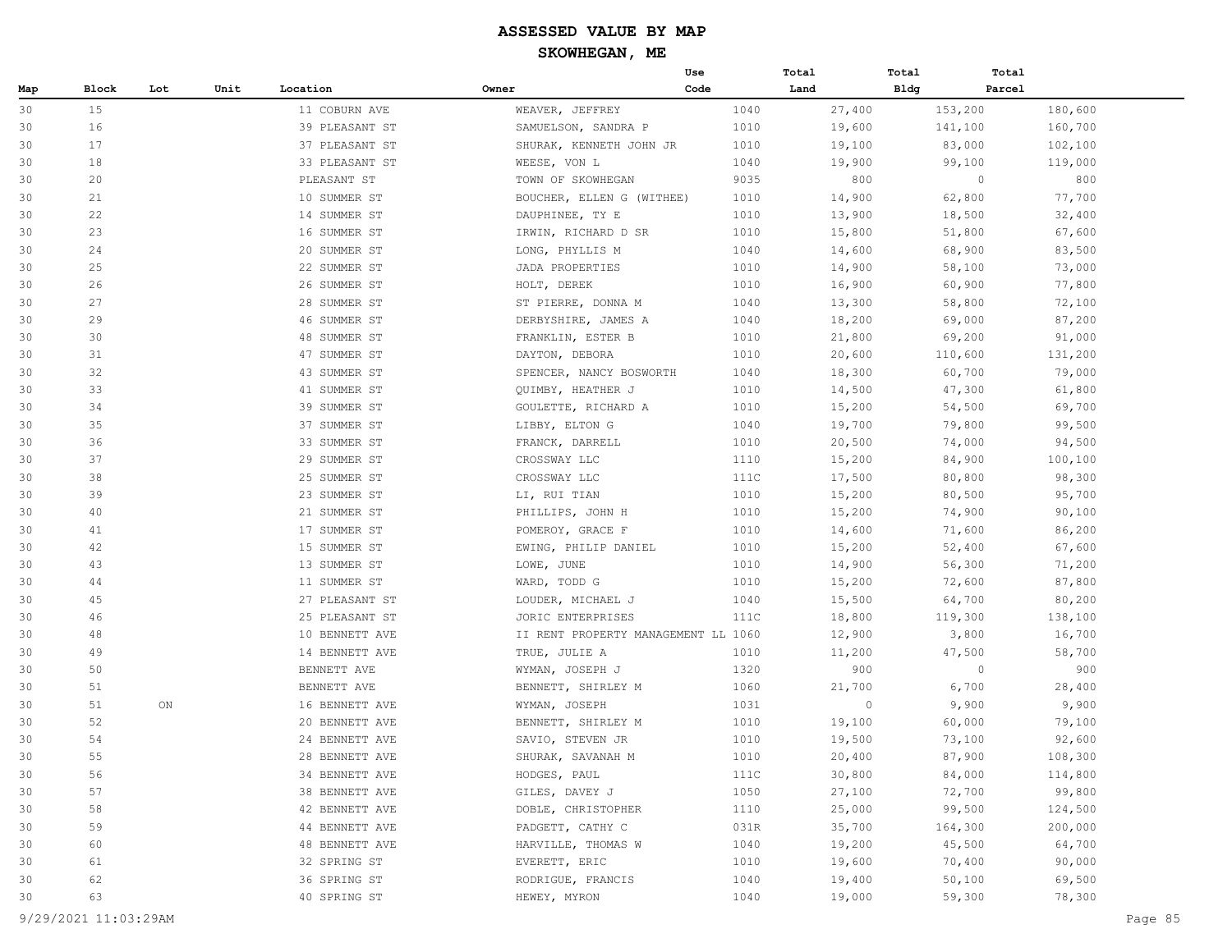|     |       |     |      |                |                                     | Use  | Total  | Total | Total   |         |
|-----|-------|-----|------|----------------|-------------------------------------|------|--------|-------|---------|---------|
| Map | Block | Lot | Unit | Location       | Owner                               | Code | Land   | Bldg  | Parcel  |         |
| 30  | 15    |     |      | 11 COBURN AVE  | WEAVER, JEFFREY                     | 1040 | 27,400 |       | 153,200 | 180,600 |
| 30  | 16    |     |      | 39 PLEASANT ST | SAMUELSON, SANDRA P                 | 1010 | 19,600 |       | 141,100 | 160,700 |
| 30  | 17    |     |      | 37 PLEASANT ST | SHURAK, KENNETH JOHN JR             | 1010 | 19,100 |       | 83,000  | 102,100 |
| 30  | 18    |     |      | 33 PLEASANT ST | WEESE, VON L                        | 1040 | 19,900 |       | 99,100  | 119,000 |
| 30  | 20    |     |      | PLEASANT ST    | TOWN OF SKOWHEGAN                   | 9035 | 800    |       | $\circ$ | 800     |
| 30  | 21    |     |      | 10 SUMMER ST   | BOUCHER, ELLEN G (WITHEE)           | 1010 | 14,900 |       | 62,800  | 77,700  |
| 30  | 22    |     |      | 14 SUMMER ST   | DAUPHINEE, TY E                     | 1010 | 13,900 |       | 18,500  | 32,400  |
| 30  | 23    |     |      | 16 SUMMER ST   | IRWIN, RICHARD D SR                 | 1010 | 15,800 |       | 51,800  | 67,600  |
| 30  | 24    |     |      | 20 SUMMER ST   | LONG, PHYLLIS M                     | 1040 | 14,600 |       | 68,900  | 83,500  |
| 30  | 25    |     |      | 22 SUMMER ST   | JADA PROPERTIES                     | 1010 | 14,900 |       | 58,100  | 73,000  |
| 30  | 26    |     |      | 26 SUMMER ST   | HOLT, DEREK                         | 1010 | 16,900 |       | 60,900  | 77,800  |
| 30  | 27    |     |      | 28 SUMMER ST   | ST PIERRE, DONNA M                  | 1040 | 13,300 |       | 58,800  | 72,100  |
| 30  | 29    |     |      | 46 SUMMER ST   | DERBYSHIRE, JAMES A                 | 1040 | 18,200 |       | 69,000  | 87,200  |
| 30  | 30    |     |      | 48 SUMMER ST   | FRANKLIN, ESTER B                   | 1010 | 21,800 |       | 69,200  | 91,000  |
| 30  | 31    |     |      | 47 SUMMER ST   | DAYTON, DEBORA                      | 1010 | 20,600 |       | 110,600 | 131,200 |
| 30  | 32    |     |      | 43 SUMMER ST   | SPENCER, NANCY BOSWORTH             | 1040 | 18,300 |       | 60,700  | 79,000  |
| 30  | 33    |     |      | 41 SUMMER ST   | QUIMBY, HEATHER J                   | 1010 | 14,500 |       | 47,300  | 61,800  |
| 30  | 34    |     |      | 39 SUMMER ST   | GOULETTE, RICHARD A                 | 1010 | 15,200 |       | 54,500  | 69,700  |
| 30  | 35    |     |      | 37 SUMMER ST   | LIBBY, ELTON G                      | 1040 | 19,700 |       | 79,800  | 99,500  |
| 30  | 36    |     |      | 33 SUMMER ST   | FRANCK, DARRELL                     | 1010 | 20,500 |       | 74,000  | 94,500  |
| 30  | 37    |     |      | 29 SUMMER ST   | CROSSWAY LLC                        | 1110 | 15,200 |       | 84,900  | 100,100 |
| 30  | 38    |     |      | 25 SUMMER ST   | CROSSWAY LLC                        | 111C | 17,500 |       | 80,800  | 98,300  |
| 30  | 39    |     |      | 23 SUMMER ST   | LI, RUI TIAN                        | 1010 | 15,200 |       | 80,500  | 95,700  |
| 30  | 40    |     |      | 21 SUMMER ST   | PHILLIPS, JOHN H                    | 1010 | 15,200 |       | 74,900  | 90,100  |
| 30  | 41    |     |      | 17 SUMMER ST   | POMEROY, GRACE F                    | 1010 | 14,600 |       | 71,600  | 86,200  |
| 30  | 42    |     |      | 15 SUMMER ST   | EWING, PHILIP DANIEL                | 1010 | 15,200 |       | 52,400  | 67,600  |
| 30  | 43    |     |      | 13 SUMMER ST   | LOWE, JUNE                          | 1010 | 14,900 |       | 56,300  | 71,200  |
| 30  | 44    |     |      | 11 SUMMER ST   | WARD, TODD G                        | 1010 | 15,200 |       | 72,600  | 87,800  |
| 30  | 45    |     |      | 27 PLEASANT ST | LOUDER, MICHAEL J                   | 1040 | 15,500 |       | 64,700  | 80,200  |
| 30  | 46    |     |      | 25 PLEASANT ST | JORIC ENTERPRISES                   | 111C | 18,800 |       | 119,300 | 138,100 |
| 30  | 48    |     |      | 10 BENNETT AVE | II RENT PROPERTY MANAGEMENT LL 1060 |      | 12,900 |       | 3,800   | 16,700  |
| 30  | 49    |     |      | 14 BENNETT AVE | TRUE, JULIE A                       | 1010 | 11,200 |       | 47,500  | 58,700  |
| 30  | 50    |     |      | BENNETT AVE    | WYMAN, JOSEPH J                     | 1320 | 900    |       | $\circ$ | 900     |
| 30  | 51    |     |      | BENNETT AVE    | BENNETT, SHIRLEY M                  | 1060 | 21,700 |       | 6,700   | 28,400  |
| 30  | 51    | ON  |      | 16 BENNETT AVE | WYMAN, JOSEPH                       | 1031 | 0      |       | 9,900   | 9,900   |
| 30  | 52    |     |      | 20 BENNETT AVE | BENNETT, SHIRLEY M                  | 1010 | 19,100 |       | 60,000  | 79,100  |
| 30  | 54    |     |      | 24 BENNETT AVE | SAVIO, STEVEN JR                    | 1010 | 19,500 |       | 73,100  | 92,600  |
| 30  | 55    |     |      | 28 BENNETT AVE | SHURAK, SAVANAH M                   | 1010 | 20,400 |       | 87,900  | 108,300 |
| 30  | 56    |     |      | 34 BENNETT AVE | HODGES, PAUL                        | 111C | 30,800 |       | 84,000  | 114,800 |
| 30  | 57    |     |      | 38 BENNETT AVE | GILES, DAVEY J                      | 1050 | 27,100 |       | 72,700  | 99,800  |
| 30  | 58    |     |      | 42 BENNETT AVE | DOBLE, CHRISTOPHER                  | 1110 | 25,000 |       | 99,500  | 124,500 |
| 30  | 59    |     |      | 44 BENNETT AVE | PADGETT, CATHY C                    | 031R | 35,700 |       | 164,300 | 200,000 |
| 30  | 60    |     |      | 48 BENNETT AVE | HARVILLE, THOMAS W                  | 1040 | 19,200 |       | 45,500  | 64,700  |
| 30  | 61    |     |      | 32 SPRING ST   | EVERETT, ERIC                       | 1010 | 19,600 |       | 70,400  | 90,000  |
| 30  | 62    |     |      | 36 SPRING ST   | RODRIGUE, FRANCIS                   | 1040 | 19,400 |       | 50,100  | 69,500  |
| 30  | 63    |     |      | 40 SPRING ST   | HEWEY, MYRON                        | 1040 | 19,000 |       | 59,300  | 78,300  |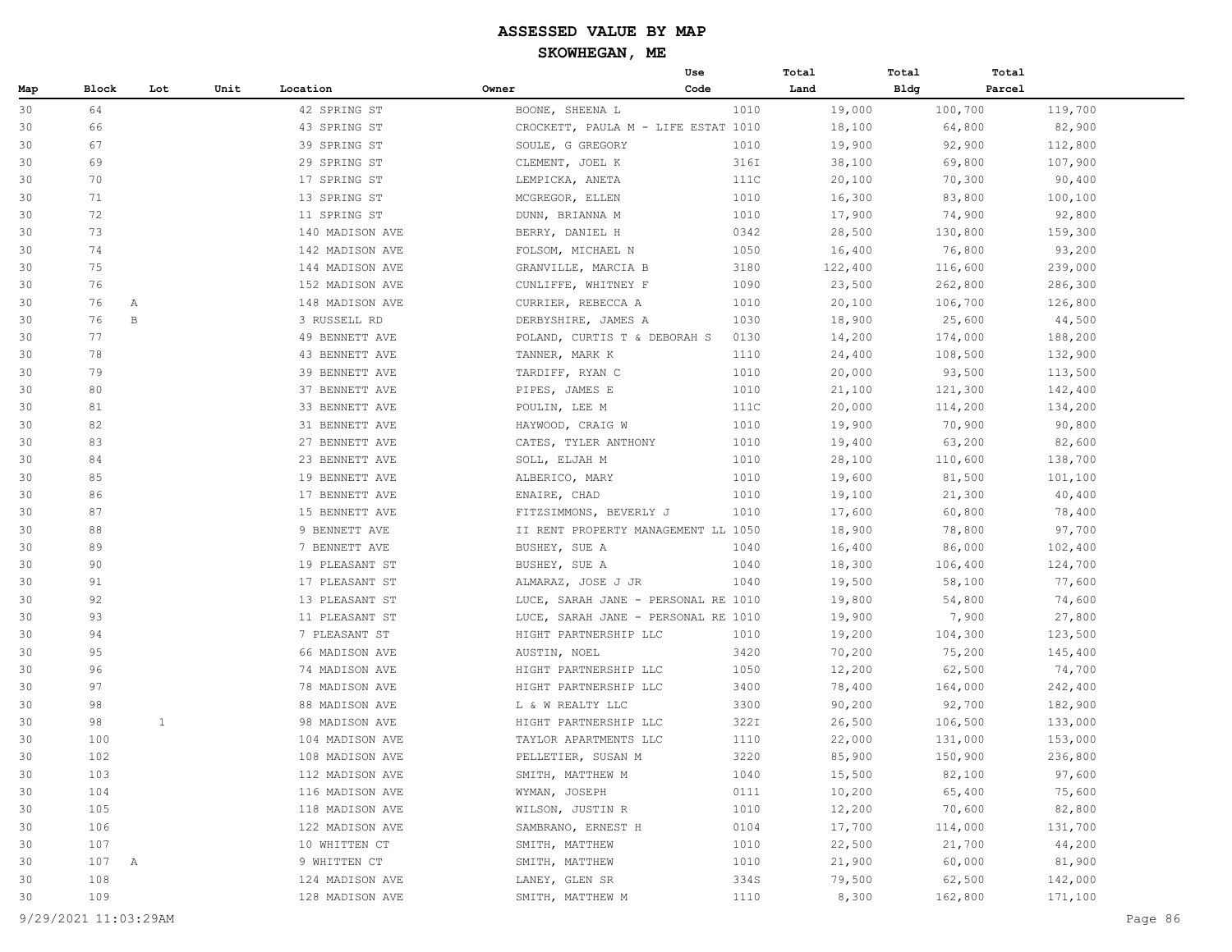|     |         |     |      |                 |                                     | Use  | Total   | Total       | Total   |  |
|-----|---------|-----|------|-----------------|-------------------------------------|------|---------|-------------|---------|--|
| Map | Block   | Lot | Unit | Location        | Owner                               | Code | Land    | <b>Bldg</b> | Parcel  |  |
| 30  | 64      |     |      | 42 SPRING ST    | BOONE, SHEENA L                     | 1010 | 19,000  | 100,700     | 119,700 |  |
| 30  | 66      |     |      | 43 SPRING ST    | CROCKETT, PAULA M - LIFE ESTAT 1010 |      | 18,100  | 64,800      | 82,900  |  |
| 30  | 67      |     |      | 39 SPRING ST    | SOULE, G GREGORY                    | 1010 | 19,900  | 92,900      | 112,800 |  |
| 30  | 69      |     |      | 29 SPRING ST    | CLEMENT, JOEL K                     | 316I | 38,100  | 69,800      | 107,900 |  |
| 30  | 70      |     |      | 17 SPRING ST    | LEMPICKA, ANETA                     | 111C | 20,100  | 70,300      | 90,400  |  |
| 30  | 71      |     |      | 13 SPRING ST    | MCGREGOR, ELLEN                     | 1010 | 16,300  | 83,800      | 100,100 |  |
| 30  | 72      |     |      | 11 SPRING ST    | DUNN, BRIANNA M                     | 1010 | 17,900  | 74,900      | 92,800  |  |
| 30  | 73      |     |      | 140 MADISON AVE | BERRY, DANIEL H                     | 0342 | 28,500  | 130,800     | 159,300 |  |
| 30  | 74      |     |      | 142 MADISON AVE | FOLSOM, MICHAEL N                   | 1050 | 16,400  | 76,800      | 93,200  |  |
| 30  | 75      |     |      | 144 MADISON AVE | GRANVILLE, MARCIA B                 | 3180 | 122,400 | 116,600     | 239,000 |  |
| 30  | 76      |     |      | 152 MADISON AVE | CUNLIFFE, WHITNEY F                 | 1090 | 23,500  | 262,800     | 286,300 |  |
| 30  | 76<br>Α |     |      | 148 MADISON AVE | CURRIER, REBECCA A                  | 1010 | 20,100  | 106,700     | 126,800 |  |
| 30  | 76      | B   |      | 3 RUSSELL RD    | DERBYSHIRE, JAMES A                 | 1030 | 18,900  | 25,600      | 44,500  |  |
| 30  | 77      |     |      | 49 BENNETT AVE  | POLAND, CURTIS T & DEBORAH S        | 0130 | 14,200  | 174,000     | 188,200 |  |
| 30  | 78      |     |      | 43 BENNETT AVE  | TANNER, MARK K                      | 1110 | 24,400  | 108,500     | 132,900 |  |
| 30  | 79      |     |      | 39 BENNETT AVE  | TARDIFF, RYAN C                     | 1010 | 20,000  | 93,500      | 113,500 |  |
| 30  | 80      |     |      | 37 BENNETT AVE  | PIPES, JAMES E                      | 1010 | 21,100  | 121,300     | 142,400 |  |
| 30  | 81      |     |      | 33 BENNETT AVE  | POULIN, LEE M                       | 111C | 20,000  | 114,200     | 134,200 |  |
| 30  | 82      |     |      | 31 BENNETT AVE  | HAYWOOD, CRAIG W                    | 1010 | 19,900  | 70,900      | 90,800  |  |
| 30  | 83      |     |      | 27 BENNETT AVE  | CATES, TYLER ANTHONY                | 1010 | 19,400  | 63,200      | 82,600  |  |
| 30  | 84      |     |      | 23 BENNETT AVE  | SOLL, ELJAH M                       | 1010 | 28,100  | 110,600     | 138,700 |  |
| 30  | 85      |     |      | 19 BENNETT AVE  | ALBERICO, MARY                      | 1010 | 19,600  | 81,500      | 101,100 |  |
| 30  | 86      |     |      | 17 BENNETT AVE  | ENAIRE, CHAD                        | 1010 | 19,100  | 21,300      | 40,400  |  |
| 30  | 87      |     |      | 15 BENNETT AVE  | FITZSIMMONS, BEVERLY J              | 1010 | 17,600  | 60,800      | 78,400  |  |
| 30  | 88      |     |      | 9 BENNETT AVE   | II RENT PROPERTY MANAGEMENT LL 1050 |      | 18,900  | 78,800      | 97,700  |  |
| 30  | 89      |     |      | 7 BENNETT AVE   | BUSHEY, SUE A                       | 1040 | 16,400  | 86,000      | 102,400 |  |
| 30  | 90      |     |      | 19 PLEASANT ST  | BUSHEY, SUE A                       | 1040 | 18,300  | 106,400     | 124,700 |  |
| 30  | 91      |     |      | 17 PLEASANT ST  | ALMARAZ, JOSE J JR                  | 1040 | 19,500  | 58,100      | 77,600  |  |
| 30  | 92      |     |      | 13 PLEASANT ST  | LUCE, SARAH JANE - PERSONAL RE 1010 |      | 19,800  | 54,800      | 74,600  |  |
| 30  | 93      |     |      | 11 PLEASANT ST  | LUCE, SARAH JANE - PERSONAL RE 1010 |      | 19,900  | 7,900       | 27,800  |  |
| 30  | 94      |     |      | 7 PLEASANT ST   | HIGHT PARTNERSHIP LLC               | 1010 | 19,200  | 104,300     | 123,500 |  |
| 30  | 95      |     |      | 66 MADISON AVE  | AUSTIN, NOEL                        | 3420 | 70,200  | 75,200      | 145,400 |  |
| 30  | 96      |     |      | 74 MADISON AVE  | HIGHT PARTNERSHIP LLC               | 1050 | 12,200  | 62,500      | 74,700  |  |
| 30  | 97      |     |      | 78 MADISON AVE  | HIGHT PARTNERSHIP LLC               | 3400 | 78,400  | 164,000     | 242,400 |  |
| 30  | 98      |     |      | 88 MADISON AVE  | L & W REALTY LLC                    | 3300 | 90,200  | 92,700      | 182,900 |  |
| 30  | 98      | 1   |      | 98 MADISON AVE  | HIGHT PARTNERSHIP LLC               | 322I | 26,500  | 106,500     | 133,000 |  |
| 30  | 100     |     |      | 104 MADISON AVE | TAYLOR APARTMENTS LLC               | 1110 | 22,000  | 131,000     | 153,000 |  |
| 30  | 102     |     |      | 108 MADISON AVE | PELLETIER, SUSAN M                  | 3220 | 85,900  | 150,900     | 236,800 |  |
| 30  | 103     |     |      | 112 MADISON AVE | SMITH, MATTHEW M                    | 1040 | 15,500  | 82,100      | 97,600  |  |
| 30  | 104     |     |      | 116 MADISON AVE | WYMAN, JOSEPH                       | 0111 | 10,200  | 65,400      | 75,600  |  |
| 30  | 105     |     |      | 118 MADISON AVE | WILSON, JUSTIN R                    | 1010 | 12,200  | 70,600      | 82,800  |  |
| 30  | 106     |     |      | 122 MADISON AVE | SAMBRANO, ERNEST H                  | 0104 | 17,700  |             | 131,700 |  |
|     | 107     |     |      | 10 WHITTEN CT   |                                     |      | 22,500  | 114,000     | 44,200  |  |
| 30  |         |     |      |                 | SMITH, MATTHEW                      | 1010 |         | 21,700      |         |  |
| 30  | 107 A   |     |      | 9 WHITTEN CT    | SMITH, MATTHEW                      | 1010 | 21,900  | 60,000      | 81,900  |  |
| 30  | 108     |     |      | 124 MADISON AVE | LANEY, GLEN SR                      | 334S | 79,500  | 62,500      | 142,000 |  |
| 30  | 109     |     |      | 128 MADISON AVE | SMITH, MATTHEW M                    | 1110 | 8,300   | 162,800     | 171,100 |  |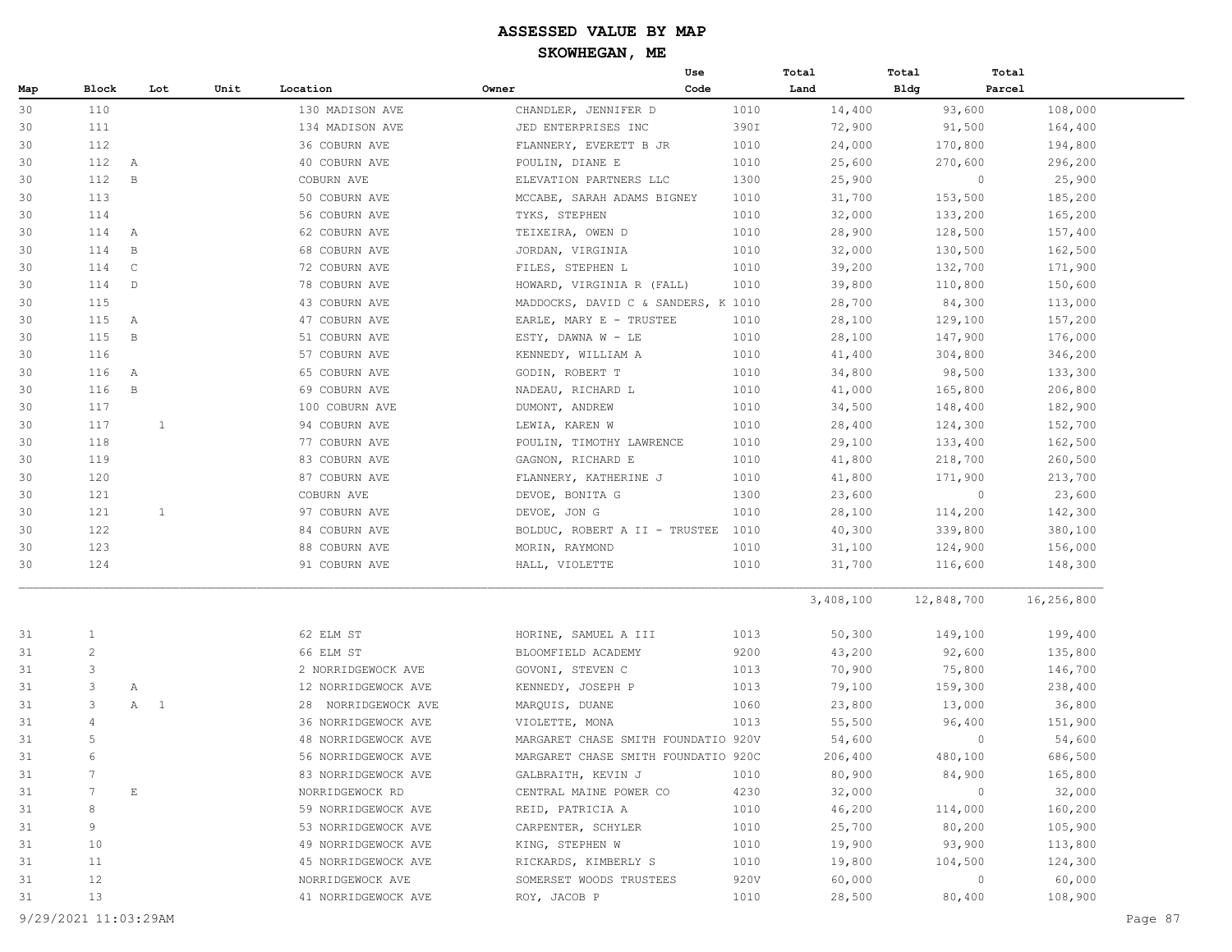|     |                 |                             |      |                     |                                     | Use  | Total     | Total      | Total             |
|-----|-----------------|-----------------------------|------|---------------------|-------------------------------------|------|-----------|------------|-------------------|
| Map | Block           | Lot                         | Unit | Location            | Owner                               | Code | Land      | Bldg       | Parcel            |
| 30  | 110             |                             |      | 130 MADISON AVE     | CHANDLER, JENNIFER D                | 1010 | 14,400    | 93,600     | 108,000           |
| 30  | 111             |                             |      | 134 MADISON AVE     | JED ENTERPRISES INC                 | 390I | 72,900    | 91,500     | 164,400           |
| 30  | 112             |                             |      | 36 COBURN AVE       | FLANNERY, EVERETT B JR              | 1010 | 24,000    | 170,800    | 194,800           |
| 30  | 112             | A                           |      | 40 COBURN AVE       | POULIN, DIANE E                     | 1010 | 25,600    | 270,600    | 296,200           |
| 30  | 112             | $\, {\bf B}$                |      | COBURN AVE          | ELEVATION PARTNERS LLC              | 1300 | 25,900    |            | $\circ$<br>25,900 |
| 30  | 113             |                             |      | 50 COBURN AVE       | MCCABE, SARAH ADAMS BIGNEY          | 1010 | 31,700    | 153,500    | 185,200           |
| 30  | 114             |                             |      | 56 COBURN AVE       | TYKS, STEPHEN                       | 1010 | 32,000    | 133,200    | 165,200           |
| 30  | 114             | A                           |      | 62 COBURN AVE       | TEIXEIRA, OWEN D                    | 1010 | 28,900    | 128,500    | 157,400           |
| 30  | 114             | $\, {\bf B}$                |      | 68 COBURN AVE       | JORDAN, VIRGINIA                    | 1010 | 32,000    | 130,500    | 162,500           |
| 30  | 114             | $\mathsf{C}$                |      | 72 COBURN AVE       | FILES, STEPHEN L                    | 1010 | 39,200    | 132,700    | 171,900           |
| 30  | 114             | $\mathbb{D}$                |      | 78 COBURN AVE       | HOWARD, VIRGINIA R (FALL)           | 1010 | 39,800    | 110,800    | 150,600           |
| 30  | 115             |                             |      | 43 COBURN AVE       | MADDOCKS, DAVID C & SANDERS, K 1010 |      | 28,700    | 84,300     | 113,000           |
| 30  | 115             | A                           |      | 47 COBURN AVE       | EARLE, MARY E - TRUSTEE             | 1010 | 28,100    | 129,100    | 157,200           |
| 30  | 115             | $\, {\bf B}$                |      | 51 COBURN AVE       | ESTY, DAWNA W - LE                  | 1010 | 28,100    | 147,900    | 176,000           |
| 30  | 116             |                             |      | 57 COBURN AVE       | KENNEDY, WILLIAM A                  | 1010 | 41,400    | 304,800    | 346,200           |
| 30  | 116             | A                           |      | 65 COBURN AVE       | GODIN, ROBERT T                     | 1010 | 34,800    | 98,500     | 133,300           |
| 30  | 116             | $\, {\bf B}$                |      | 69 COBURN AVE       | NADEAU, RICHARD L                   | 1010 | 41,000    | 165,800    | 206,800           |
| 30  | 117             |                             |      | 100 COBURN AVE      | DUMONT, ANDREW                      | 1010 | 34,500    | 148,400    | 182,900           |
| 30  | 117             | 1                           |      | 94 COBURN AVE       | LEWIA, KAREN W                      | 1010 | 28,400    | 124,300    | 152,700           |
| 30  | 118             |                             |      | 77 COBURN AVE       | POULIN, TIMOTHY LAWRENCE            | 1010 | 29,100    | 133,400    | 162,500           |
| 30  | 119             |                             |      | 83 COBURN AVE       | GAGNON, RICHARD E                   | 1010 | 41,800    | 218,700    | 260,500           |
| 30  | 120             |                             |      | 87 COBURN AVE       | FLANNERY, KATHERINE J               | 1010 | 41,800    | 171,900    | 213,700           |
| 30  | 121             |                             |      | COBURN AVE          | DEVOE, BONITA G                     | 1300 | 23,600    |            | $\circ$<br>23,600 |
| 30  | 121             | 1                           |      | 97 COBURN AVE       | DEVOE, JON G                        | 1010 | 28,100    | 114,200    | 142,300           |
| 30  | 122             |                             |      | 84 COBURN AVE       | BOLDUC, ROBERT A II - TRUSTEE       | 1010 | 40,300    | 339,800    | 380,100           |
| 30  | 123             |                             |      | 88 COBURN AVE       | MORIN, RAYMOND                      | 1010 | 31,100    | 124,900    | 156,000           |
| 30  | 124             |                             |      | 91 COBURN AVE       | HALL, VIOLETTE                      | 1010 | 31,700    | 116,600    | 148,300           |
|     |                 |                             |      |                     |                                     |      |           |            |                   |
|     |                 |                             |      |                     |                                     |      | 3,408,100 | 12,848,700 | 16,256,800        |
| 31  | <sup>1</sup>    |                             |      | 62 ELM ST           | HORINE, SAMUEL A III                | 1013 | 50,300    | 149,100    | 199,400           |
| 31  | $\overline{c}$  |                             |      | 66 ELM ST           | BLOOMFIELD ACADEMY                  | 9200 | 43,200    | 92,600     | 135,800           |
| 31  | 3               |                             |      | 2 NORRIDGEWOCK AVE  | GOVONI, STEVEN C                    | 1013 | 70,900    | 75,800     | 146,700           |
| 31  | 3               | Α                           |      | 12 NORRIDGEWOCK AVE | KENNEDY, JOSEPH P                   | 1013 | 79,100    | 159,300    | 238,400           |
| 31  | 3               | A 1                         |      | 28 NORRIDGEWOCK AVE | MARQUIS, DUANE                      | 1060 | 23,800    | 13,000     | 36,800            |
| 31  | 4               |                             |      | 36 NORRIDGEWOCK AVE | VIOLETTE, MONA                      | 1013 | 55,500    | 96,400     | 151,900           |
| 31  | 5               |                             |      | 48 NORRIDGEWOCK AVE | MARGARET CHASE SMITH FOUNDATIO 920V |      | 54,600    |            | 0<br>54,600       |
| 31  | 6               |                             |      | 56 NORRIDGEWOCK AVE | MARGARET CHASE SMITH FOUNDATIO 920C |      | 206,400   | 480,100    | 686,500           |
| 31  | $7\phantom{.0}$ |                             |      | 83 NORRIDGEWOCK AVE | GALBRAITH, KEVIN J                  | 1010 | 80,900    | 84,900     | 165,800           |
| 31  | 7               | $\mathop{}\!\textnormal{E}$ |      | NORRIDGEWOCK RD     | CENTRAL MAINE POWER CO              | 4230 | 32,000    |            | 32,000<br>0       |
| 31  | 8               |                             |      | 59 NORRIDGEWOCK AVE | REID, PATRICIA A                    | 1010 | 46,200    | 114,000    | 160,200           |
| 31  | 9               |                             |      | 53 NORRIDGEWOCK AVE | CARPENTER, SCHYLER                  | 1010 | 25,700    | 80,200     | 105,900           |
| 31  | 10              |                             |      | 49 NORRIDGEWOCK AVE | KING, STEPHEN W                     | 1010 | 19,900    | 93,900     | 113,800           |
| 31  | 11              |                             |      | 45 NORRIDGEWOCK AVE | RICKARDS, KIMBERLY S                | 1010 | 19,800    | 104,500    | 124,300           |
| 31  | 12              |                             |      | NORRIDGEWOCK AVE    | SOMERSET WOODS TRUSTEES             | 920V | 60,000    |            | 60,000<br>$\circ$ |
| 31  | 13              |                             |      | 41 NORRIDGEWOCK AVE | ROY, JACOB P                        | 1010 | 28,500    | 80,400     | 108,900           |
|     |                 |                             |      |                     |                                     |      |           |            |                   |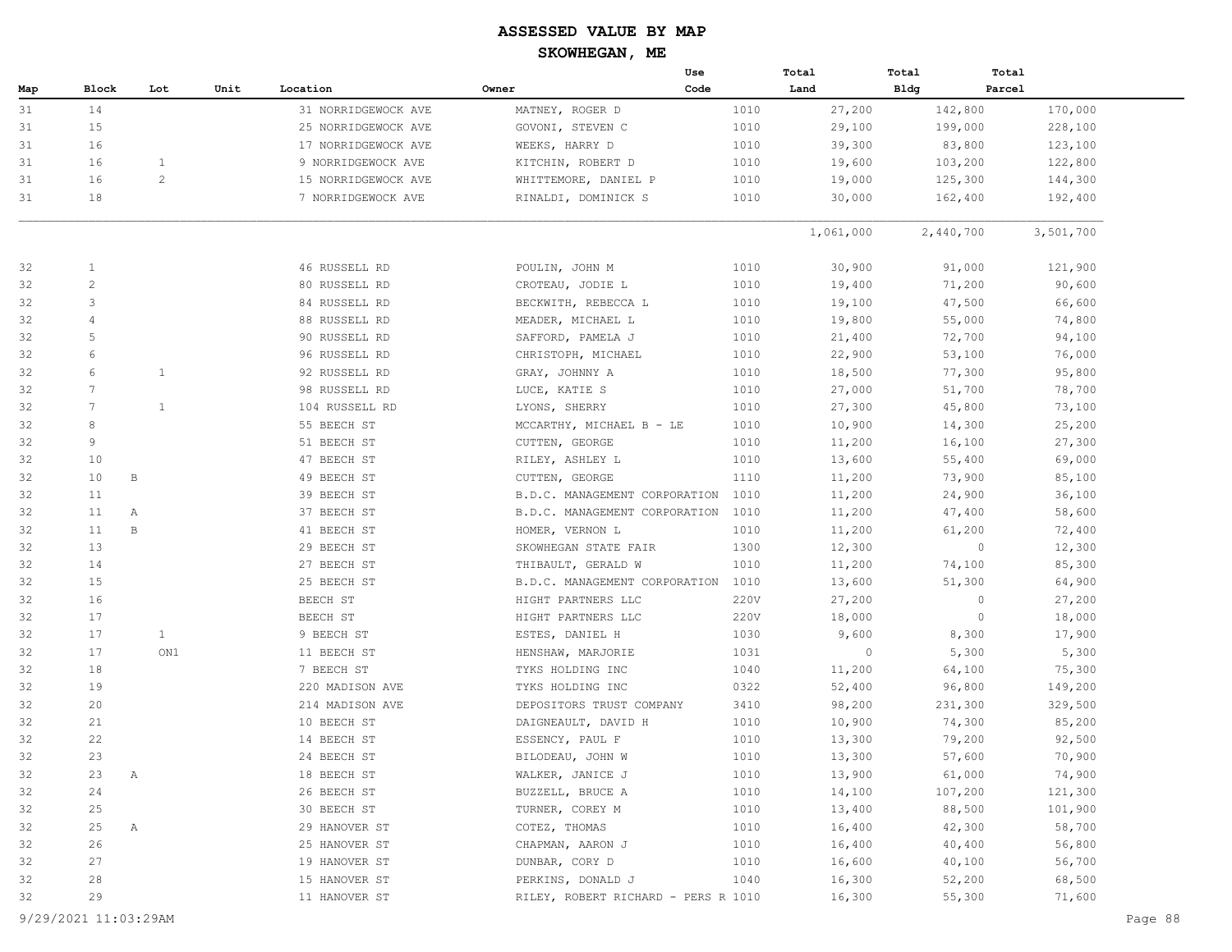|     |                 |                |      |                     |                                     | Use  | Total     | Total       | Total     |
|-----|-----------------|----------------|------|---------------------|-------------------------------------|------|-----------|-------------|-----------|
| Map | Block           | Lot            | Unit | Location            | Owner                               | Code | Land      | <b>Bldg</b> | Parcel    |
| 31  | 14              |                |      | 31 NORRIDGEWOCK AVE | MATNEY, ROGER D                     | 1010 | 27,200    | 142,800     | 170,000   |
| 31  | 15              |                |      | 25 NORRIDGEWOCK AVE | GOVONI, STEVEN C                    | 1010 | 29,100    | 199,000     | 228,100   |
| 31  | 16              |                |      | 17 NORRIDGEWOCK AVE | WEEKS, HARRY D                      | 1010 | 39,300    | 83,800      | 123,100   |
| 31  | 16              | $\mathbf{1}$   |      | 9 NORRIDGEWOCK AVE  | KITCHIN, ROBERT D                   | 1010 | 19,600    | 103,200     | 122,800   |
| 31  | 16              | $\overline{c}$ |      | 15 NORRIDGEWOCK AVE | WHITTEMORE, DANIEL P                | 1010 | 19,000    | 125,300     | 144,300   |
| 31  | 18              |                |      | 7 NORRIDGEWOCK AVE  | RINALDI, DOMINICK S                 | 1010 | 30,000    | 162,400     | 192,400   |
|     |                 |                |      |                     |                                     |      | 1,061,000 | 2,440,700   | 3,501,700 |
| 32  | 1               |                |      | 46 RUSSELL RD       | POULIN, JOHN M                      | 1010 | 30,900    | 91,000      | 121,900   |
| 32  | $\overline{c}$  |                |      | 80 RUSSELL RD       | CROTEAU, JODIE L                    | 1010 | 19,400    | 71,200      | 90,600    |
| 32  | 3               |                |      | 84 RUSSELL RD       | BECKWITH, REBECCA L                 | 1010 | 19,100    | 47,500      | 66,600    |
| 32  | 4               |                |      | 88 RUSSELL RD       | MEADER, MICHAEL L                   | 1010 | 19,800    | 55,000      | 74,800    |
| 32  | 5               |                |      | 90 RUSSELL RD       | SAFFORD, PAMELA J                   | 1010 | 21,400    | 72,700      | 94,100    |
| 32  | 6               |                |      | 96 RUSSELL RD       | CHRISTOPH, MICHAEL                  | 1010 | 22,900    | 53,100      | 76,000    |
| 32  | 6               | $\mathbf{1}$   |      | 92 RUSSELL RD       | GRAY, JOHNNY A                      | 1010 | 18,500    | 77,300      | 95,800    |
| 32  | $7\phantom{.0}$ |                |      | 98 RUSSELL RD       | LUCE, KATIE S                       | 1010 | 27,000    | 51,700      | 78,700    |
| 32  | 7               | $\mathbf{1}$   |      | 104 RUSSELL RD      | LYONS, SHERRY                       | 1010 | 27,300    | 45,800      | 73,100    |
| 32  | 8               |                |      | 55 BEECH ST         | MCCARTHY, MICHAEL B - LE            | 1010 | 10,900    | 14,300      | 25,200    |
| 32  | 9               |                |      | 51 BEECH ST         | CUTTEN, GEORGE                      | 1010 | 11,200    | 16,100      | 27,300    |
| 32  | 10              |                |      | 47 BEECH ST         | RILEY, ASHLEY L                     | 1010 | 13,600    | 55,400      | 69,000    |
| 32  | 10              | В              |      | 49 BEECH ST         | CUTTEN, GEORGE                      | 1110 | 11,200    | 73,900      | 85,100    |
| 32  | 11              |                |      | 39 BEECH ST         | B.D.C. MANAGEMENT CORPORATION       | 1010 | 11,200    | 24,900      | 36,100    |
| 32  | 11<br>Α         |                |      | 37 BEECH ST         | B.D.C. MANAGEMENT CORPORATION       | 1010 | 11,200    | 47,400      | 58,600    |
| 32  | 11              | $\, {\bf B}$   |      | 41 BEECH ST         | HOMER, VERNON L                     | 1010 | 11,200    | 61,200      | 72,400    |
| 32  | 13              |                |      | 29 BEECH ST         | SKOWHEGAN STATE FAIR                | 1300 | 12,300    | $\circ$     | 12,300    |
| 32  | 14              |                |      | 27 BEECH ST         | THIBAULT, GERALD W                  | 1010 | 11,200    | 74,100      | 85,300    |
| 32  | 15              |                |      | 25 BEECH ST         | B.D.C. MANAGEMENT CORPORATION       | 1010 | 13,600    | 51,300      | 64,900    |
| 32  | 16              |                |      | BEECH ST            | HIGHT PARTNERS LLC                  | 220V | 27,200    | $\circ$     | 27,200    |
| 32  | 17              |                |      | BEECH ST            | HIGHT PARTNERS LLC                  | 220V | 18,000    | $\circ$     | 18,000    |
| 32  | 17              | $\mathbf{1}$   |      | 9 BEECH ST          | ESTES, DANIEL H                     | 1030 | 9,600     | 8,300       | 17,900    |
| 32  | 17              | ON1            |      | 11 BEECH ST         | HENSHAW, MARJORIE                   | 1031 | $\circ$   | 5,300       | 5,300     |
| 32  | 18              |                |      | 7 BEECH ST          | TYKS HOLDING INC                    | 1040 | 11,200    | 64,100      | 75,300    |
| 32  | 19              |                |      | 220 MADISON AVE     | TYKS HOLDING INC                    | 0322 | 52,400    | 96,800      | 149,200   |
| 32  | 20              |                |      | 214 MADISON AVE     | DEPOSITORS TRUST COMPANY            | 3410 | 98,200    | 231,300     | 329,500   |
| 32  | 21              |                |      | 10 BEECH ST         | DAIGNEAULT, DAVID H                 | 1010 | 10,900    | 74,300      | 85,200    |
| 32  | 22              |                |      | 14 BEECH ST         | ESSENCY, PAUL F                     | 1010 | 13,300    | 79,200      | 92,500    |
| 32  | 23              |                |      | 24 BEECH ST         | BILODEAU, JOHN W                    | 1010 | 13,300    | 57,600      | 70,900    |
| 32  | 23<br>Α         |                |      | 18 BEECH ST         | WALKER, JANICE J                    | 1010 | 13,900    | 61,000      | 74,900    |
| 32  | 24              |                |      | 26 BEECH ST         | BUZZELL, BRUCE A                    | 1010 | 14,100    | 107,200     | 121,300   |
| 32  | 25              |                |      | 30 BEECH ST         | TURNER, COREY M                     | 1010 | 13,400    | 88,500      | 101,900   |
| 32  | 25<br>Α         |                |      | 29 HANOVER ST       | COTEZ, THOMAS                       | 1010 | 16,400    | 42,300      | 58,700    |
| 32  | 26              |                |      | 25 HANOVER ST       | CHAPMAN, AARON J                    | 1010 | 16,400    | 40,400      | 56,800    |
| 32  | 27              |                |      | 19 HANOVER ST       | DUNBAR, CORY D                      | 1010 | 16,600    | 40,100      | 56,700    |
| 32  | 28              |                |      | 15 HANOVER ST       | PERKINS, DONALD J                   | 1040 | 16,300    | 52,200      | 68,500    |
| 32  | 29              |                |      | 11 HANOVER ST       | RILEY, ROBERT RICHARD - PERS R 1010 |      | 16,300    | 55,300      | 71,600    |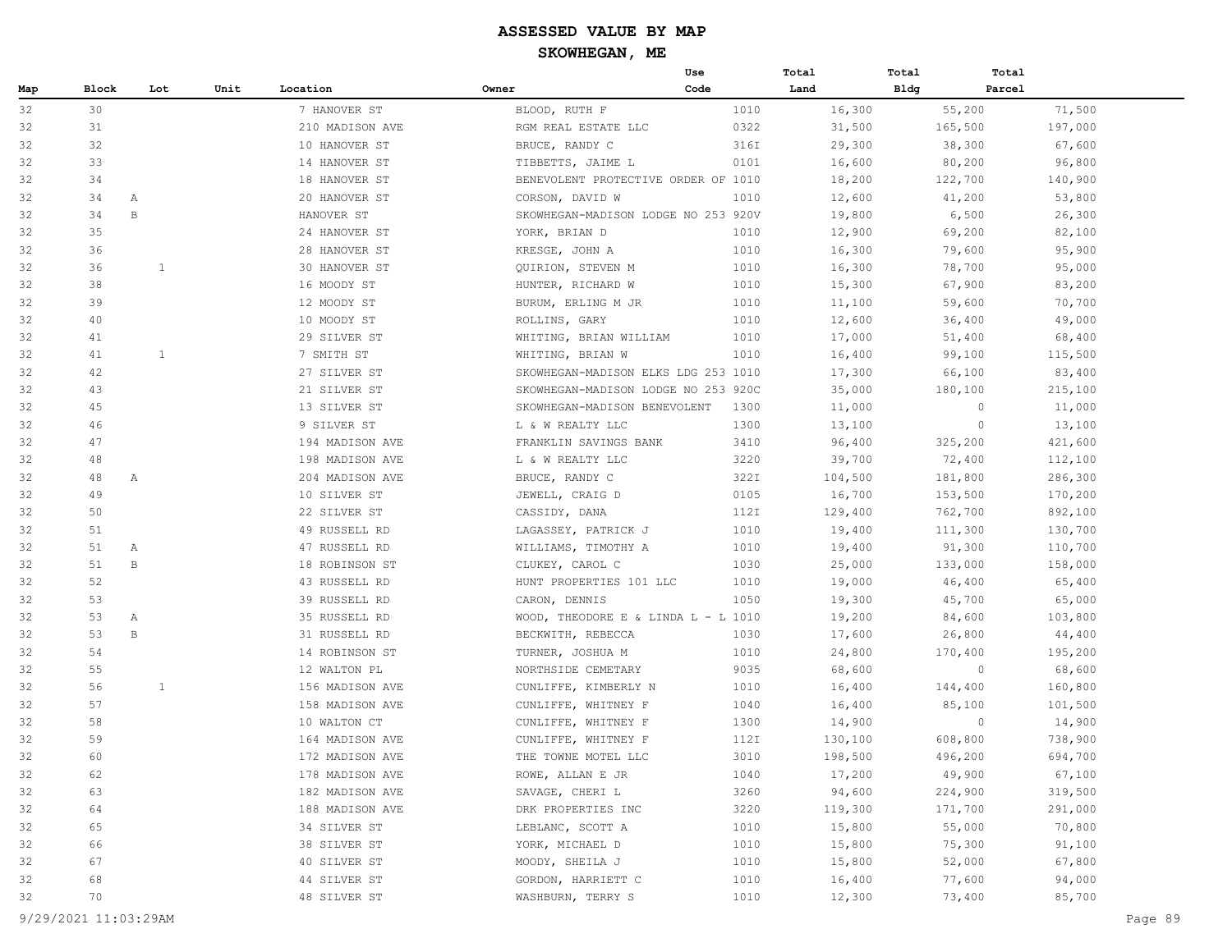|     |       |              |      |                 |                                     | Use  | Total   | Total   | Total             |
|-----|-------|--------------|------|-----------------|-------------------------------------|------|---------|---------|-------------------|
| Map | Block | Lot          | Unit | Location        | Owner                               | Code | Land    | Bldg    | Parcel            |
| 32  | 30    |              |      | 7 HANOVER ST    | BLOOD, RUTH F                       | 1010 | 16,300  | 55,200  | 71,500            |
| 32  | 31    |              |      | 210 MADISON AVE | RGM REAL ESTATE LLC                 | 0322 | 31,500  | 165,500 | 197,000           |
| 32  | 32    |              |      | 10 HANOVER ST   | BRUCE, RANDY C                      | 316I | 29,300  | 38,300  | 67,600            |
| 32  | 33    |              |      | 14 HANOVER ST   | TIBBETTS, JAIME L                   | 0101 | 16,600  | 80,200  | 96,800            |
| 32  | 34    |              |      | 18 HANOVER ST   | BENEVOLENT PROTECTIVE ORDER OF 1010 |      | 18,200  | 122,700 | 140,900           |
| 32  | 34    | Α            |      | 20 HANOVER ST   | CORSON, DAVID W                     | 1010 | 12,600  | 41,200  | 53,800            |
| 32  | 34    | $\, {\bf B}$ |      | HANOVER ST      | SKOWHEGAN-MADISON LODGE NO 253 920V |      | 19,800  | 6,500   | 26,300            |
| 32  | 35    |              |      | 24 HANOVER ST   | YORK, BRIAN D                       | 1010 | 12,900  | 69,200  | 82,100            |
| 32  | 36    |              |      | 28 HANOVER ST   | KRESGE, JOHN A                      | 1010 | 16,300  | 79,600  | 95,900            |
| 32  | 36    | 1            |      | 30 HANOVER ST   | QUIRION, STEVEN M                   | 1010 | 16,300  | 78,700  | 95,000            |
| 32  | 38    |              |      | 16 MOODY ST     | HUNTER, RICHARD W                   | 1010 | 15,300  | 67,900  | 83,200            |
| 32  | 39    |              |      | 12 MOODY ST     | BURUM, ERLING M JR                  | 1010 | 11,100  | 59,600  | 70,700            |
| 32  | 40    |              |      | 10 MOODY ST     | ROLLINS, GARY                       | 1010 | 12,600  | 36,400  | 49,000            |
| 32  | 41    |              |      | 29 SILVER ST    | WHITING, BRIAN WILLIAM              | 1010 | 17,000  | 51,400  | 68,400            |
| 32  | 41    | 1            |      | 7 SMITH ST      | WHITING, BRIAN W                    | 1010 | 16,400  | 99,100  | 115,500           |
| 32  | 42    |              |      | 27 SILVER ST    | SKOWHEGAN-MADISON ELKS LDG 253 1010 |      | 17,300  | 66,100  | 83,400            |
| 32  | 43    |              |      | 21 SILVER ST    | SKOWHEGAN-MADISON LODGE NO 253 920C |      | 35,000  | 180,100 | 215,100           |
| 32  | 45    |              |      | 13 SILVER ST    | SKOWHEGAN-MADISON BENEVOLENT        | 1300 | 11,000  |         | $\circ$<br>11,000 |
| 32  | 46    |              |      | 9 SILVER ST     | L & W REALTY LLC                    | 1300 | 13,100  |         | $\circ$<br>13,100 |
| 32  | 47    |              |      | 194 MADISON AVE | FRANKLIN SAVINGS BANK               | 3410 | 96,400  | 325,200 | 421,600           |
| 32  | 48    |              |      | 198 MADISON AVE | L & W REALTY LLC                    | 3220 | 39,700  | 72,400  | 112,100           |
| 32  | 48    | Α            |      | 204 MADISON AVE | BRUCE, RANDY C                      | 322I | 104,500 | 181,800 | 286,300           |
| 32  | 49    |              |      | 10 SILVER ST    | JEWELL, CRAIG D                     | 0105 | 16,700  | 153,500 | 170,200           |
| 32  | 50    |              |      | 22 SILVER ST    | CASSIDY, DANA                       | 112I | 129,400 | 762,700 | 892,100           |
| 32  | 51    |              |      | 49 RUSSELL RD   | LAGASSEY, PATRICK J                 | 1010 | 19,400  | 111,300 | 130,700           |
| 32  | 51    | А            |      | 47 RUSSELL RD   | WILLIAMS, TIMOTHY A                 | 1010 | 19,400  | 91,300  | 110,700           |
| 32  | 51    | B            |      | 18 ROBINSON ST  | CLUKEY, CAROL C                     | 1030 | 25,000  | 133,000 | 158,000           |
| 32  | 52    |              |      | 43 RUSSELL RD   | HUNT PROPERTIES 101 LLC             | 1010 | 19,000  | 46,400  | 65,400            |
| 32  | 53    |              |      | 39 RUSSELL RD   | CARON, DENNIS                       | 1050 | 19,300  | 45,700  | 65,000            |
| 32  | 53    | Α            |      | 35 RUSSELL RD   | WOOD, THEODORE E & LINDA L - L 1010 |      | 19,200  | 84,600  | 103,800           |
| 32  | 53    | B            |      | 31 RUSSELL RD   | BECKWITH, REBECCA                   | 1030 | 17,600  | 26,800  | 44,400            |
| 32  | 54    |              |      | 14 ROBINSON ST  | TURNER, JOSHUA M                    | 1010 | 24,800  | 170,400 | 195,200           |
| 32  | 55    |              |      | 12 WALTON PL    | NORTHSIDE CEMETARY                  | 9035 | 68,600  |         | $\circ$<br>68,600 |
| 32  | 56    | $\mathbf{1}$ |      | 156 MADISON AVE | CUNLIFFE, KIMBERLY N                | 1010 | 16,400  | 144,400 | 160,800           |
| 32  | 57    |              |      | 158 MADISON AVE | CUNLIFFE, WHITNEY F                 | 1040 | 16,400  | 85,100  | 101,500           |
| 32  | 58    |              |      | 10 WALTON CT    | CUNLIFFE, WHITNEY F                 | 1300 | 14,900  |         | $\circ$<br>14,900 |
| 32  | 59    |              |      | 164 MADISON AVE | CUNLIFFE, WHITNEY F                 | 112I | 130,100 | 608,800 | 738,900           |
| 32  | 60    |              |      | 172 MADISON AVE | THE TOWNE MOTEL LLC                 | 3010 | 198,500 | 496,200 | 694,700           |
| 32  | 62    |              |      | 178 MADISON AVE | ROWE, ALLAN E JR                    | 1040 | 17,200  | 49,900  | 67,100            |
| 32  | 63    |              |      | 182 MADISON AVE | SAVAGE, CHERI L                     | 3260 | 94,600  | 224,900 | 319,500           |
| 32  | 64    |              |      | 188 MADISON AVE | DRK PROPERTIES INC                  | 3220 | 119,300 | 171,700 | 291,000           |
| 32  | 65    |              |      | 34 SILVER ST    | LEBLANC, SCOTT A                    | 1010 | 15,800  | 55,000  | 70,800            |
| 32  | 66    |              |      | 38 SILVER ST    | YORK, MICHAEL D                     | 1010 | 15,800  | 75,300  | 91,100            |
| 32  | 67    |              |      | 40 SILVER ST    | MOODY, SHEILA J                     | 1010 | 15,800  | 52,000  | 67,800            |
| 32  | 68    |              |      | 44 SILVER ST    | GORDON, HARRIETT C                  | 1010 | 16,400  | 77,600  | 94,000            |
| 32  | 70    |              |      | 48 SILVER ST    | WASHBURN, TERRY S                   | 1010 | 12,300  | 73,400  | 85,700            |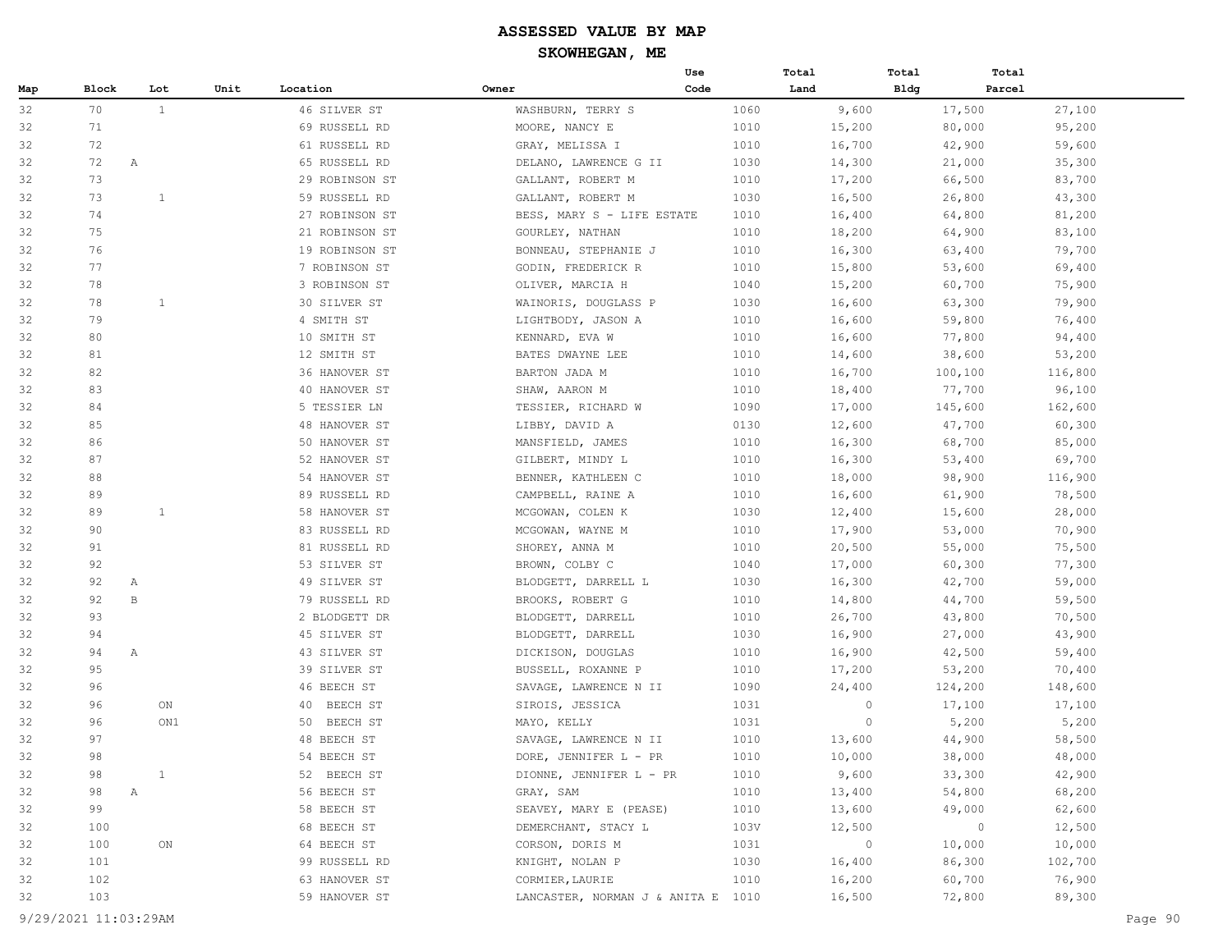|     |       |              |      |                |                                    | Use  | Total   | Total       | Total   |         |
|-----|-------|--------------|------|----------------|------------------------------------|------|---------|-------------|---------|---------|
| Map | Block | Lot          | Unit | Location       | Owner                              | Code | Land    | <b>Bldg</b> | Parcel  |         |
| 32  | 70    | <sup>1</sup> |      | 46 SILVER ST   | WASHBURN, TERRY S                  | 1060 | 9,600   |             | 17,500  | 27,100  |
| 32  | 71    |              |      | 69 RUSSELL RD  | MOORE, NANCY E                     | 1010 | 15,200  |             | 80,000  | 95,200  |
| 32  | 72    |              |      | 61 RUSSELL RD  | GRAY, MELISSA I                    | 1010 | 16,700  |             | 42,900  | 59,600  |
| 32  | 72    | $\mathbb{A}$ |      | 65 RUSSELL RD  | DELANO, LAWRENCE G II              | 1030 | 14,300  |             | 21,000  | 35,300  |
| 32  | 73    |              |      | 29 ROBINSON ST | GALLANT, ROBERT M                  | 1010 | 17,200  |             | 66,500  | 83,700  |
| 32  | 73    | $\mathbf{1}$ |      | 59 RUSSELL RD  | GALLANT, ROBERT M                  | 1030 | 16,500  |             | 26,800  | 43,300  |
| 32  | 74    |              |      | 27 ROBINSON ST | BESS, MARY S - LIFE ESTATE         | 1010 | 16,400  |             | 64,800  | 81,200  |
| 32  | 75    |              |      | 21 ROBINSON ST | GOURLEY, NATHAN                    | 1010 | 18,200  |             | 64,900  | 83,100  |
| 32  | 76    |              |      | 19 ROBINSON ST | BONNEAU, STEPHANIE J               | 1010 | 16,300  |             | 63,400  | 79,700  |
| 32  | 77    |              |      | 7 ROBINSON ST  | GODIN, FREDERICK R                 | 1010 | 15,800  |             | 53,600  | 69,400  |
| 32  | 78    |              |      | 3 ROBINSON ST  | OLIVER, MARCIA H                   | 1040 | 15,200  |             | 60,700  | 75,900  |
| 32  | 78    | $\mathbf{1}$ |      | 30 SILVER ST   | WAINORIS, DOUGLASS P               | 1030 | 16,600  |             | 63,300  | 79,900  |
| 32  | 79    |              |      | 4 SMITH ST     | LIGHTBODY, JASON A                 | 1010 | 16,600  |             | 59,800  | 76,400  |
| 32  | 80    |              |      | 10 SMITH ST    | KENNARD, EVA W                     | 1010 | 16,600  |             | 77,800  | 94,400  |
| 32  | 81    |              |      | 12 SMITH ST    | BATES DWAYNE LEE                   | 1010 | 14,600  |             | 38,600  | 53,200  |
| 32  | 82    |              |      | 36 HANOVER ST  | BARTON JADA M                      | 1010 | 16,700  |             | 100,100 | 116,800 |
| 32  | 83    |              |      | 40 HANOVER ST  | SHAW, AARON M                      | 1010 | 18,400  |             | 77,700  | 96,100  |
| 32  | 84    |              |      | 5 TESSIER LN   | TESSIER, RICHARD W                 | 1090 | 17,000  |             | 145,600 | 162,600 |
| 32  | 85    |              |      | 48 HANOVER ST  | LIBBY, DAVID A                     | 0130 | 12,600  |             | 47,700  | 60,300  |
| 32  | 86    |              |      | 50 HANOVER ST  | MANSFIELD, JAMES                   | 1010 | 16,300  |             | 68,700  | 85,000  |
| 32  | 87    |              |      | 52 HANOVER ST  | GILBERT, MINDY L                   | 1010 | 16,300  |             | 53,400  | 69,700  |
| 32  | 88    |              |      | 54 HANOVER ST  | BENNER, KATHLEEN C                 | 1010 | 18,000  |             | 98,900  | 116,900 |
| 32  | 89    |              |      | 89 RUSSELL RD  | CAMPBELL, RAINE A                  | 1010 | 16,600  |             | 61,900  | 78,500  |
| 32  | 89    | $\mathbf{1}$ |      | 58 HANOVER ST  | MCGOWAN, COLEN K                   | 1030 | 12,400  |             | 15,600  | 28,000  |
| 32  | 90    |              |      | 83 RUSSELL RD  | MCGOWAN, WAYNE M                   | 1010 | 17,900  |             | 53,000  | 70,900  |
| 32  | 91    |              |      | 81 RUSSELL RD  | SHOREY, ANNA M                     | 1010 | 20,500  |             | 55,000  | 75,500  |
| 32  | 92    |              |      | 53 SILVER ST   | BROWN, COLBY C                     | 1040 | 17,000  |             | 60,300  | 77,300  |
| 32  | 92    | Α            |      | 49 SILVER ST   | BLODGETT, DARRELL L                | 1030 | 16,300  |             | 42,700  | 59,000  |
| 32  | 92    | $\mathbf{B}$ |      | 79 RUSSELL RD  | BROOKS, ROBERT G                   | 1010 | 14,800  |             | 44,700  | 59,500  |
| 32  | 93    |              |      | 2 BLODGETT DR  | BLODGETT, DARRELL                  | 1010 | 26,700  |             | 43,800  | 70,500  |
| 32  | 94    |              |      | 45 SILVER ST   | BLODGETT, DARRELL                  | 1030 | 16,900  |             | 27,000  | 43,900  |
| 32  | 94    | $\mathbb{A}$ |      | 43 SILVER ST   | DICKISON, DOUGLAS                  | 1010 | 16,900  |             | 42,500  | 59,400  |
| 32  | 95    |              |      | 39 SILVER ST   | BUSSELL, ROXANNE P                 | 1010 | 17,200  |             | 53,200  | 70,400  |
| 32  | 96    |              |      | 46 BEECH ST    | SAVAGE, LAWRENCE N II              | 1090 | 24,400  |             | 124,200 | 148,600 |
| 32  | 96    | ON           |      | BEECH ST<br>40 | SIROIS, JESSICA                    | 1031 | $\circ$ |             | 17,100  | 17,100  |
| 32  | 96    | ON1          |      | 50<br>BEECH ST | MAYO, KELLY                        | 1031 | 0       |             | 5,200   | 5,200   |
| 32  | 97    |              |      | 48 BEECH ST    | SAVAGE, LAWRENCE N II              | 1010 | 13,600  |             | 44,900  | 58,500  |
| 32  | 98    |              |      | 54 BEECH ST    | DORE, JENNIFER L - PR              | 1010 | 10,000  |             | 38,000  | 48,000  |
| 32  | 98    | $\mathbf{1}$ |      | 52 BEECH ST    | DIONNE, JENNIFER L - PR            | 1010 | 9,600   |             | 33,300  | 42,900  |
| 32  | 98    | Α            |      | 56 BEECH ST    | GRAY, SAM                          | 1010 | 13,400  |             | 54,800  | 68,200  |
| 32  | 99    |              |      | 58 BEECH ST    | SEAVEY, MARY E (PEASE)             | 1010 | 13,600  |             | 49,000  | 62,600  |
| 32  | 100   |              |      | 68 BEECH ST    | DEMERCHANT, STACY L                | 103V | 12,500  |             | $\circ$ | 12,500  |
| 32  | 100   | ON           |      | 64 BEECH ST    | CORSON, DORIS M                    | 1031 | 0       |             | 10,000  | 10,000  |
| 32  | 101   |              |      | 99 RUSSELL RD  | KNIGHT, NOLAN P                    | 1030 | 16,400  |             | 86,300  | 102,700 |
| 32  | 102   |              |      | 63 HANOVER ST  | CORMIER, LAURIE                    | 1010 | 16,200  |             | 60,700  | 76,900  |
| 32  | 103   |              |      | 59 HANOVER ST  | LANCASTER, NORMAN J & ANITA E 1010 |      | 16,500  |             | 72,800  | 89,300  |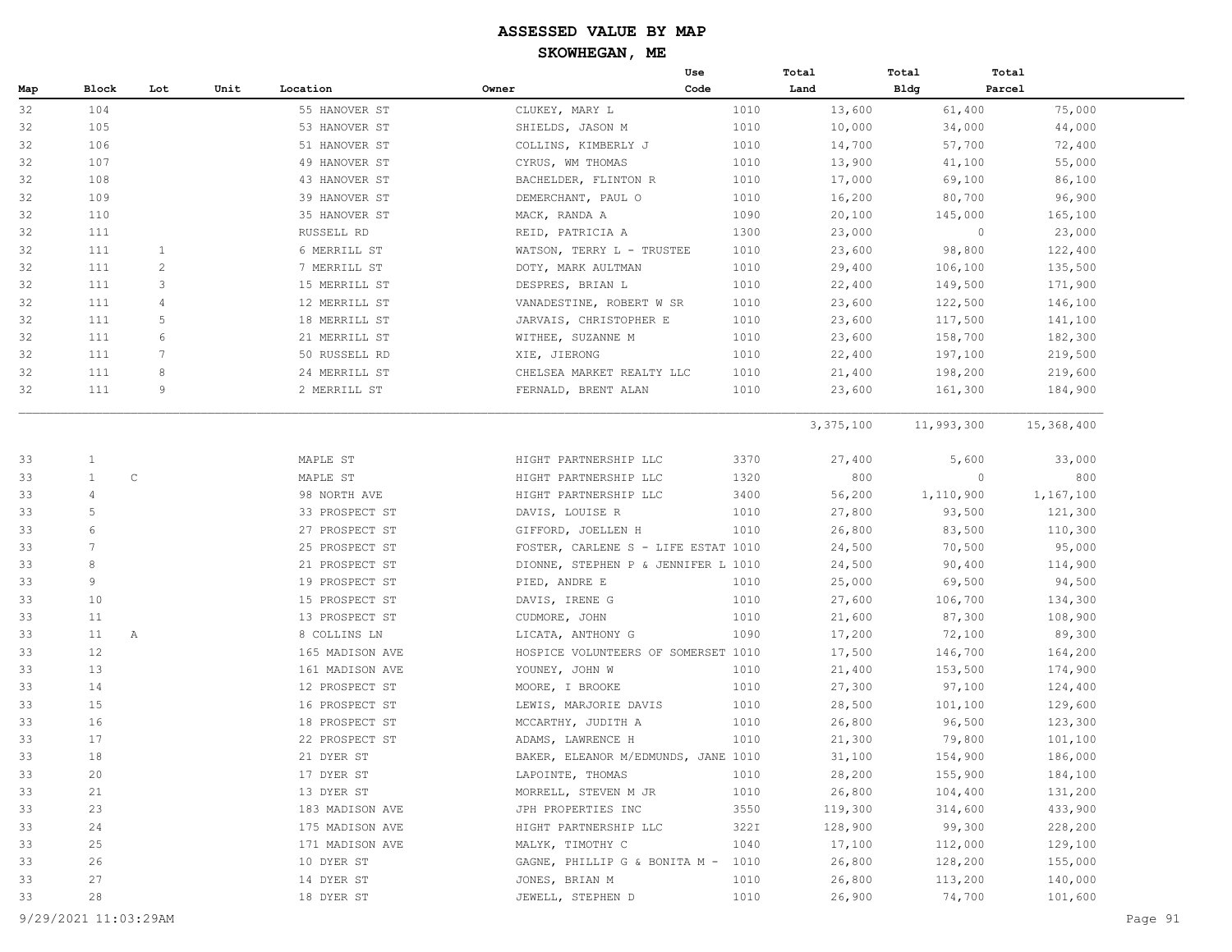|     |                   |                 |      |                 |                                     | Use  | Total     | Total      | Total      |
|-----|-------------------|-----------------|------|-----------------|-------------------------------------|------|-----------|------------|------------|
| Map | Block             | Lot             | Unit | Location        | Owner                               | Code | Land      | Bldg       | Parcel     |
| 32  | 104               |                 |      | 55 HANOVER ST   | CLUKEY, MARY L                      | 1010 | 13,600    | 61,400     | 75,000     |
| 32  | 105               |                 |      | 53 HANOVER ST   | SHIELDS, JASON M                    | 1010 | 10,000    | 34,000     | 44,000     |
| 32  | 106               |                 |      | 51 HANOVER ST   | COLLINS, KIMBERLY J                 | 1010 | 14,700    | 57,700     | 72,400     |
| 32  | 107               |                 |      | 49 HANOVER ST   | CYRUS, WM THOMAS                    | 1010 | 13,900    | 41,100     | 55,000     |
| 32  | 108               |                 |      | 43 HANOVER ST   | BACHELDER, FLINTON R                | 1010 | 17,000    | 69,100     | 86,100     |
| 32  | 109               |                 |      | 39 HANOVER ST   | DEMERCHANT, PAUL O                  | 1010 | 16,200    | 80,700     | 96,900     |
| 32  | 110               |                 |      | 35 HANOVER ST   | MACK, RANDA A                       | 1090 | 20,100    | 145,000    | 165,100    |
| 32  | 111               |                 |      | RUSSELL RD      | REID, PATRICIA A                    | 1300 | 23,000    | $\circ$    | 23,000     |
| 32  | 111               | 1               |      | 6 MERRILL ST    | WATSON, TERRY L - TRUSTEE           | 1010 | 23,600    | 98,800     | 122,400    |
| 32  | 111               | $\overline{c}$  |      | 7 MERRILL ST    | DOTY, MARK AULTMAN                  | 1010 | 29,400    | 106,100    | 135,500    |
| 32  | 111               | 3               |      | 15 MERRILL ST   | DESPRES, BRIAN L                    | 1010 | 22,400    | 149,500    | 171,900    |
| 32  | 111               | 4               |      | 12 MERRILL ST   | VANADESTINE, ROBERT W SR            | 1010 | 23,600    | 122,500    | 146,100    |
| 32  | 111               | 5               |      | 18 MERRILL ST   | JARVAIS, CHRISTOPHER E              | 1010 | 23,600    | 117,500    | 141,100    |
| 32  | 111               | 6               |      | 21 MERRILL ST   | WITHEE, SUZANNE M                   | 1010 | 23,600    | 158,700    | 182,300    |
| 32  | 111               | $7\phantom{.0}$ |      | 50 RUSSELL RD   | XIE, JIERONG                        | 1010 | 22,400    | 197,100    | 219,500    |
| 32  | 111               | 8               |      | 24 MERRILL ST   | CHELSEA MARKET REALTY LLC           | 1010 | 21,400    | 198,200    | 219,600    |
| 32  | 111               | 9               |      | 2 MERRILL ST    | FERNALD, BRENT ALAN                 | 1010 | 23,600    | 161,300    | 184,900    |
|     |                   |                 |      |                 |                                     |      | 3,375,100 | 11,993,300 | 15,368,400 |
|     |                   |                 |      |                 |                                     |      |           |            |            |
| 33  | $\mathbf{1}$      |                 |      | MAPLE ST        | HIGHT PARTNERSHIP LLC               | 3370 | 27,400    | 5,600      | 33,000     |
| 33  | $\mathbf{1}$      | $\mathbb C$     |      | MAPLE ST        | HIGHT PARTNERSHIP LLC               | 1320 | 800       | $\circ$    | 800        |
| 33  | 4                 |                 |      | 98 NORTH AVE    | HIGHT PARTNERSHIP LLC               | 3400 | 56,200    | 1,110,900  | 1,167,100  |
| 33  | 5                 |                 |      | 33 PROSPECT ST  | DAVIS, LOUISE R                     | 1010 | 27,800    | 93,500     | 121,300    |
| 33  | 6                 |                 |      | 27 PROSPECT ST  | GIFFORD, JOELLEN H                  | 1010 | 26,800    | 83,500     | 110,300    |
| 33  | $7\phantom{.0}$   |                 |      | 25 PROSPECT ST  | FOSTER, CARLENE S - LIFE ESTAT 1010 |      | 24,500    | 70,500     | 95,000     |
| 33  | 8                 |                 |      | 21 PROSPECT ST  | DIONNE, STEPHEN P & JENNIFER L 1010 |      | 24,500    | 90,400     | 114,900    |
| 33  | 9                 |                 |      | 19 PROSPECT ST  | PIED, ANDRE E                       | 1010 | 25,000    | 69,500     | 94,500     |
| 33  | 10                |                 |      | 15 PROSPECT ST  | DAVIS, IRENE G                      | 1010 | 27,600    | 106,700    | 134,300    |
| 33  | 11                |                 |      | 13 PROSPECT ST  | CUDMORE, JOHN                       | 1010 | 21,600    | 87,300     | 108,900    |
| 33  | 11                | Α               |      | 8 COLLINS LN    | LICATA, ANTHONY G                   | 1090 | 17,200    | 72,100     | 89,300     |
| 33  | $12 \overline{ }$ |                 |      | 165 MADISON AVE | HOSPICE VOLUNTEERS OF SOMERSET 1010 |      | 17,500    | 146,700    | 164,200    |
| 33  | 13                |                 |      | 161 MADISON AVE | YOUNEY, JOHN W                      | 1010 | 21,400    | 153,500    | 174,900    |
| 33  | 14                |                 |      | 12 PROSPECT ST  | MOORE, I BROOKE                     | 1010 | 27,300    | 97,100     | 124,400    |
| 33  | 15                |                 |      | 16 PROSPECT ST  | LEWIS, MARJORIE DAVIS               | 1010 | 28,500    | 101,100    | 129,600    |
| 33  | 16                |                 |      | 18 PROSPECT ST  | MCCARTHY, JUDITH A                  | 1010 | 26,800    | 96,500     | 123,300    |
| 33  | 17                |                 |      | 22 PROSPECT ST  | ADAMS, LAWRENCE H                   | 1010 | 21,300    | 79,800     | 101,100    |
| 33  | 18                |                 |      | 21 DYER ST      | BAKER, ELEANOR M/EDMUNDS, JANE 1010 |      | 31,100    | 154,900    | 186,000    |
| 33  | 20                |                 |      | 17 DYER ST      | LAPOINTE, THOMAS                    | 1010 | 28,200    | 155,900    | 184,100    |
| 33  | 21                |                 |      | 13 DYER ST      | MORRELL, STEVEN M JR                | 1010 | 26,800    | 104,400    | 131,200    |
| 33  | 23                |                 |      | 183 MADISON AVE | JPH PROPERTIES INC                  | 3550 | 119,300   | 314,600    | 433,900    |
| 33  | 24                |                 |      | 175 MADISON AVE | HIGHT PARTNERSHIP LLC               | 322I | 128,900   | 99,300     | 228,200    |
| 33  | 25                |                 |      | 171 MADISON AVE | MALYK, TIMOTHY C                    | 1040 | 17,100    | 112,000    | 129,100    |
| 33  | 26                |                 |      | 10 DYER ST      | GAGNE, PHILLIP G & BONITA M -       | 1010 | 26,800    | 128,200    | 155,000    |
| 33  | 27                |                 |      | 14 DYER ST      | JONES, BRIAN M                      | 1010 | 26,800    | 113,200    | 140,000    |
| 33  | 28                |                 |      | 18 DYER ST      | JEWELL, STEPHEN D                   | 1010 | 26,900    | 74,700     | 101,600    |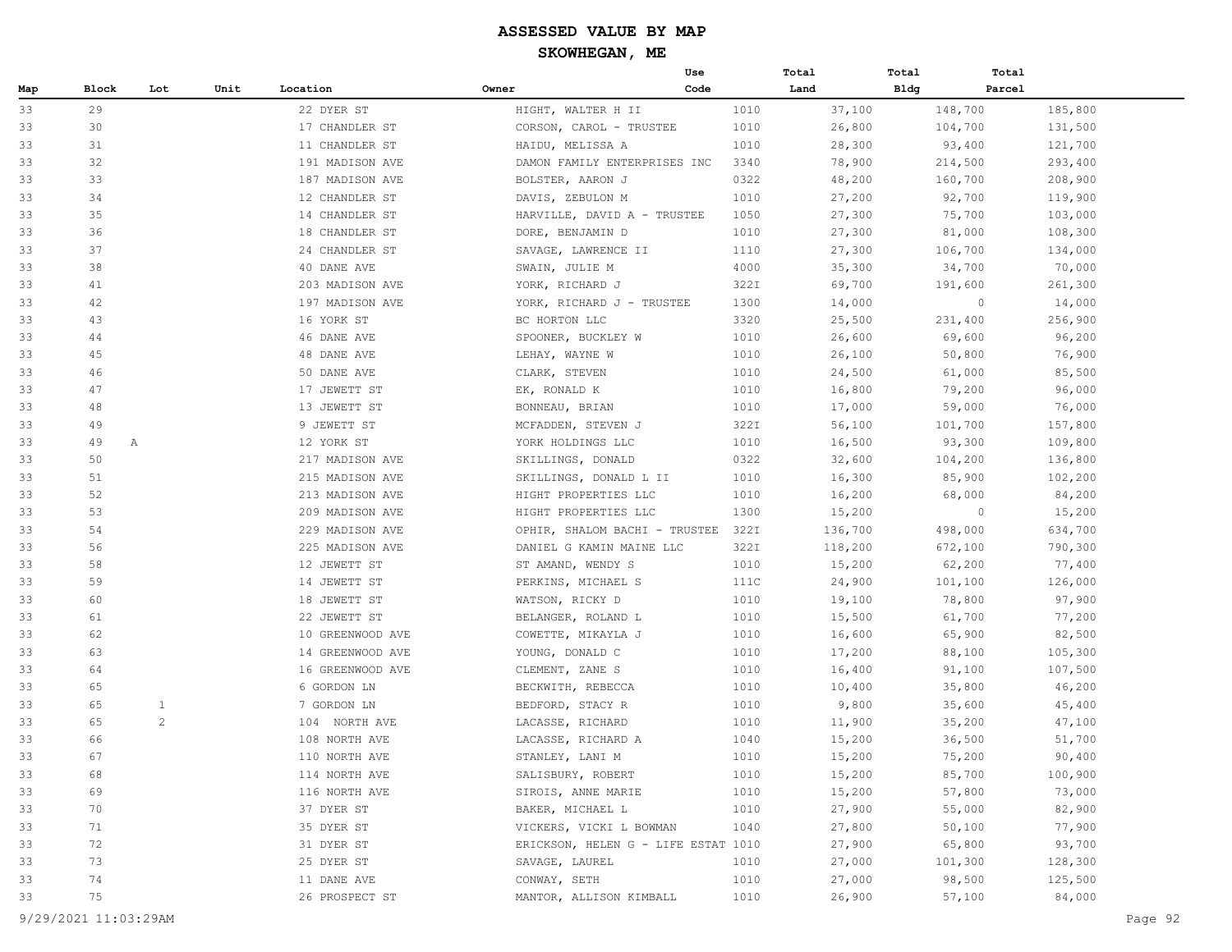|     |         |              |      |                  |                                     | Use  | Total   | Total   | Total             |  |
|-----|---------|--------------|------|------------------|-------------------------------------|------|---------|---------|-------------------|--|
| Map | Block   | Lot          | Unit | Location         | Owner                               | Code | Land    | Bldg    | Parcel            |  |
| 33  | 29      |              |      | 22 DYER ST       | HIGHT, WALTER H II                  | 1010 | 37,100  | 148,700 | 185,800           |  |
| 33  | 30      |              |      | 17 CHANDLER ST   | CORSON, CAROL - TRUSTEE             | 1010 | 26,800  | 104,700 | 131,500           |  |
| 33  | 31      |              |      | 11 CHANDLER ST   | HAIDU, MELISSA A                    | 1010 | 28,300  | 93,400  | 121,700           |  |
| 33  | 32      |              |      | 191 MADISON AVE  | DAMON FAMILY ENTERPRISES INC        | 3340 | 78,900  | 214,500 | 293,400           |  |
| 33  | 33      |              |      | 187 MADISON AVE  | BOLSTER, AARON J                    | 0322 | 48,200  | 160,700 | 208,900           |  |
| 33  | 34      |              |      | 12 CHANDLER ST   | DAVIS, ZEBULON M                    | 1010 | 27,200  | 92,700  | 119,900           |  |
| 33  | 35      |              |      | 14 CHANDLER ST   | HARVILLE, DAVID A - TRUSTEE         | 1050 | 27,300  | 75,700  | 103,000           |  |
| 33  | 36      |              |      | 18 CHANDLER ST   | DORE, BENJAMIN D                    | 1010 | 27,300  | 81,000  | 108,300           |  |
| 33  | 37      |              |      | 24 CHANDLER ST   | SAVAGE, LAWRENCE II                 | 1110 | 27,300  | 106,700 | 134,000           |  |
| 33  | 38      |              |      | 40 DANE AVE      | SWAIN, JULIE M                      | 4000 | 35,300  | 34,700  | 70,000            |  |
| 33  | 41      |              |      | 203 MADISON AVE  | YORK, RICHARD J                     | 322I | 69,700  | 191,600 | 261,300           |  |
| 33  | 42      |              |      | 197 MADISON AVE  | YORK, RICHARD J - TRUSTEE           | 1300 | 14,000  |         | $\circ$<br>14,000 |  |
| 33  | 43      |              |      | 16 YORK ST       | BC HORTON LLC                       | 3320 | 25,500  | 231,400 | 256,900           |  |
| 33  | 44      |              |      | 46 DANE AVE      | SPOONER, BUCKLEY W                  | 1010 | 26,600  | 69,600  | 96,200            |  |
| 33  | 45      |              |      | 48 DANE AVE      | LEHAY, WAYNE W                      | 1010 | 26,100  | 50,800  | 76,900            |  |
| 33  | 46      |              |      | 50 DANE AVE      | CLARK, STEVEN                       | 1010 | 24,500  | 61,000  | 85,500            |  |
| 33  | 47      |              |      | 17 JEWETT ST     | EK, RONALD K                        | 1010 | 16,800  | 79,200  | 96,000            |  |
| 33  | 48      |              |      | 13 JEWETT ST     | BONNEAU, BRIAN                      | 1010 | 17,000  | 59,000  | 76,000            |  |
| 33  | 49      |              |      | 9 JEWETT ST      | MCFADDEN, STEVEN J                  | 322I | 56,100  | 101,700 | 157,800           |  |
| 33  | 49<br>Α |              |      | 12 YORK ST       | YORK HOLDINGS LLC                   | 1010 | 16,500  | 93,300  | 109,800           |  |
| 33  | 50      |              |      | 217 MADISON AVE  | SKILLINGS, DONALD                   | 0322 | 32,600  | 104,200 | 136,800           |  |
| 33  | 51      |              |      | 215 MADISON AVE  | SKILLINGS, DONALD L II              | 1010 | 16,300  | 85,900  | 102,200           |  |
| 33  | 52      |              |      | 213 MADISON AVE  | HIGHT PROPERTIES LLC                | 1010 | 16,200  | 68,000  | 84,200            |  |
| 33  | 53      |              |      | 209 MADISON AVE  | HIGHT PROPERTIES LLC                | 1300 | 15,200  |         | $\circ$<br>15,200 |  |
| 33  | 54      |              |      | 229 MADISON AVE  | OPHIR, SHALOM BACHI - TRUSTEE       | 322I | 136,700 | 498,000 | 634,700           |  |
| 33  | 56      |              |      | 225 MADISON AVE  | DANIEL G KAMIN MAINE LLC            | 322I | 118,200 | 672,100 | 790,300           |  |
| 33  | 58      |              |      | 12 JEWETT ST     | ST AMAND, WENDY S                   | 1010 | 15,200  | 62,200  | 77,400            |  |
| 33  | 59      |              |      | 14 JEWETT ST     | PERKINS, MICHAEL S                  | 111C | 24,900  | 101,100 | 126,000           |  |
| 33  | 60      |              |      | 18 JEWETT ST     | WATSON, RICKY D                     | 1010 | 19,100  | 78,800  | 97,900            |  |
| 33  | 61      |              |      | 22 JEWETT ST     | BELANGER, ROLAND L                  | 1010 | 15,500  | 61,700  | 77,200            |  |
| 33  | 62      |              |      | 10 GREENWOOD AVE | COWETTE, MIKAYLA J                  | 1010 | 16,600  | 65,900  | 82,500            |  |
| 33  | 63      |              |      | 14 GREENWOOD AVE | YOUNG, DONALD C                     | 1010 | 17,200  | 88,100  | 105,300           |  |
| 33  | 64      |              |      | 16 GREENWOOD AVE | CLEMENT, ZANE S                     | 1010 | 16,400  | 91,100  | 107,500           |  |
| 33  | 65      |              |      | 6 GORDON LN      | BECKWITH, REBECCA                   | 1010 | 10,400  | 35,800  | 46,200            |  |
| 33  | 65      | $\mathbf{1}$ |      | 7 GORDON LN      | BEDFORD, STACY R                    | 1010 | 9,800   | 35,600  | 45,400            |  |
| 33  | 65      | $\mathbf{2}$ |      | 104 NORTH AVE    | LACASSE, RICHARD                    | 1010 | 11,900  | 35,200  | 47,100            |  |
| 33  | 66      |              |      | 108 NORTH AVE    | LACASSE, RICHARD A                  | 1040 | 15,200  | 36,500  | 51,700            |  |
| 33  | 67      |              |      | 110 NORTH AVE    | STANLEY, LANI M                     | 1010 | 15,200  |         | 75,200<br>90,400  |  |
| 33  | 68      |              |      | 114 NORTH AVE    | SALISBURY, ROBERT                   | 1010 | 15,200  | 85,700  | 100,900           |  |
| 33  | 69      |              |      | 116 NORTH AVE    | SIROIS, ANNE MARIE                  | 1010 | 15,200  |         | 57,800<br>73,000  |  |
| 33  | 70      |              |      | 37 DYER ST       | BAKER, MICHAEL L                    | 1010 | 27,900  | 55,000  | 82,900            |  |
| 33  | 71      |              |      | 35 DYER ST       | VICKERS, VICKI L BOWMAN             | 1040 | 27,800  | 50,100  | 77,900            |  |
| 33  | 72      |              |      | 31 DYER ST       | ERICKSON, HELEN G - LIFE ESTAT 1010 |      | 27,900  | 65,800  | 93,700            |  |
| 33  | 73      |              |      | 25 DYER ST       | SAVAGE, LAUREL                      | 1010 | 27,000  | 101,300 | 128,300           |  |
| 33  | 74      |              |      | 11 DANE AVE      | CONWAY, SETH                        | 1010 | 27,000  | 98,500  | 125,500           |  |
| 33  | 75      |              |      | 26 PROSPECT ST   | MANTOR, ALLISON KIMBALL             | 1010 | 26,900  | 57,100  | 84,000            |  |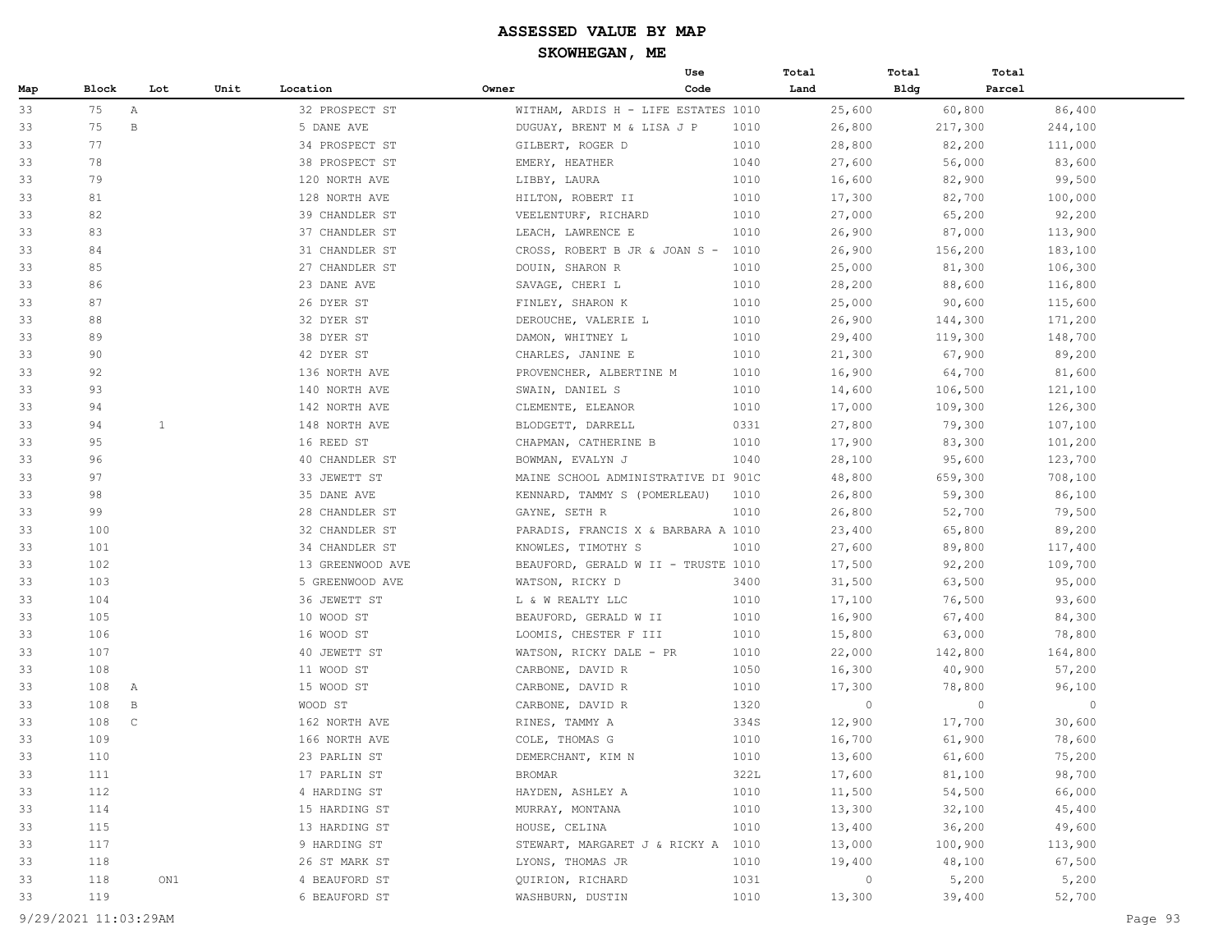## **ASSESSED VALUE BY MAP**

**SKOWHEGAN, ME**

|     |                     |     |      |                  |                                     | Use  | Total          | Total       | Total   |         |  |
|-----|---------------------|-----|------|------------------|-------------------------------------|------|----------------|-------------|---------|---------|--|
| Map | Block               | Lot | Unit | Location         | Owner                               | Code | Land           | <b>Bldg</b> | Parcel  |         |  |
| 33  | 75<br>Α             |     |      | 32 PROSPECT ST   | WITHAM, ARDIS H - LIFE ESTATES 1010 |      | 25,600         |             | 60,800  | 86,400  |  |
| 33  | 75<br>В             |     |      | 5 DANE AVE       | DUGUAY, BRENT M & LISA J P          | 1010 | 26,800         |             | 217,300 | 244,100 |  |
| 33  | 77                  |     |      | 34 PROSPECT ST   | GILBERT, ROGER D                    | 1010 | 28,800         |             | 82,200  | 111,000 |  |
| 33  | 78                  |     |      | 38 PROSPECT ST   | EMERY, HEATHER                      | 1040 | 27,600         |             | 56,000  | 83,600  |  |
| 33  | 79                  |     |      | 120 NORTH AVE    | LIBBY, LAURA                        | 1010 | 16,600         |             | 82,900  | 99,500  |  |
| 33  | 81                  |     |      | 128 NORTH AVE    | HILTON, ROBERT II                   | 1010 | 17,300         |             | 82,700  | 100,000 |  |
| 33  | 82                  |     |      | 39 CHANDLER ST   | VEELENTURF, RICHARD                 | 1010 | 27,000         |             | 65,200  | 92,200  |  |
| 33  | 83                  |     |      | 37 CHANDLER ST   | LEACH, LAWRENCE E                   | 1010 | 26,900         |             | 87,000  | 113,900 |  |
| 33  | 84                  |     |      | 31 CHANDLER ST   | CROSS, ROBERT B JR & JOAN S -       | 1010 | 26,900         |             | 156,200 | 183,100 |  |
| 33  | 85                  |     |      | 27 CHANDLER ST   | DOUIN, SHARON R                     | 1010 | 25,000         |             | 81,300  | 106,300 |  |
| 33  | 86                  |     |      | 23 DANE AVE      | SAVAGE, CHERI L                     | 1010 | 28,200         |             | 88,600  | 116,800 |  |
| 33  | 87                  |     |      | 26 DYER ST       | FINLEY, SHARON K                    | 1010 | 25,000         |             | 90,600  | 115,600 |  |
| 33  | 88                  |     |      | 32 DYER ST       | DEROUCHE, VALERIE L                 | 1010 | 26,900         |             | 144,300 | 171,200 |  |
| 33  | 89                  |     |      | 38 DYER ST       | DAMON, WHITNEY L                    | 1010 | 29,400         |             | 119,300 | 148,700 |  |
| 33  | 90                  |     |      | 42 DYER ST       | CHARLES, JANINE E                   | 1010 | 21,300         |             | 67,900  | 89,200  |  |
| 33  | 92                  |     |      | 136 NORTH AVE    | PROVENCHER, ALBERTINE M             | 1010 | 16,900         |             | 64,700  | 81,600  |  |
| 33  | 93                  |     |      | 140 NORTH AVE    | SWAIN, DANIEL S                     | 1010 | 14,600         |             | 106,500 | 121,100 |  |
| 33  | 94                  |     |      | 142 NORTH AVE    | CLEMENTE, ELEANOR                   | 1010 | 17,000         |             | 109,300 | 126,300 |  |
| 33  | 94                  | 1   |      | 148 NORTH AVE    | BLODGETT, DARRELL                   | 0331 | 27,800         |             | 79,300  | 107,100 |  |
| 33  | 95                  |     |      | 16 REED ST       | CHAPMAN, CATHERINE B                | 1010 | 17,900         |             | 83,300  | 101,200 |  |
| 33  | 96                  |     |      | 40 CHANDLER ST   | BOWMAN, EVALYN J                    | 1040 | 28,100         |             | 95,600  | 123,700 |  |
| 33  | 97                  |     |      | 33 JEWETT ST     | MAINE SCHOOL ADMINISTRATIVE DI 901C |      | 48,800         |             | 659,300 | 708,100 |  |
| 33  | 98                  |     |      | 35 DANE AVE      | KENNARD, TAMMY S (POMERLEAU)        | 1010 | 26,800         |             | 59,300  | 86,100  |  |
| 33  | 99                  |     |      | 28 CHANDLER ST   | GAYNE, SETH R                       | 1010 | 26,800         |             | 52,700  | 79,500  |  |
| 33  | 100                 |     |      | 32 CHANDLER ST   | PARADIS, FRANCIS X & BARBARA A 1010 |      | 23,400         |             | 65,800  | 89,200  |  |
| 33  | 101                 |     |      | 34 CHANDLER ST   | KNOWLES, TIMOTHY S                  | 1010 | 27,600         |             | 89,800  | 117,400 |  |
| 33  | 102                 |     |      | 13 GREENWOOD AVE | BEAUFORD, GERALD W II - TRUSTE 1010 |      | 17,500         |             | 92,200  | 109,700 |  |
| 33  | 103                 |     |      | 5 GREENWOOD AVE  | WATSON, RICKY D                     | 3400 | 31,500         |             | 63,500  | 95,000  |  |
| 33  | 104                 |     |      | 36 JEWETT ST     | L & W REALTY LLC                    | 1010 | 17,100         |             | 76,500  | 93,600  |  |
| 33  | 105                 |     |      | 10 WOOD ST       | BEAUFORD, GERALD W II               | 1010 | 16,900         |             | 67,400  | 84,300  |  |
| 33  | 106                 |     |      | 16 WOOD ST       | LOOMIS, CHESTER F III               | 1010 | 15,800         |             | 63,000  | 78,800  |  |
| 33  | 107                 |     |      | 40 JEWETT ST     | WATSON, RICKY DALE - PR             | 1010 | 22,000         |             | 142,800 | 164,800 |  |
| 33  | 108                 |     |      | 11 WOOD ST       | CARBONE, DAVID R                    | 1050 | 16,300         |             | 40,900  | 57,200  |  |
| 33  | 108<br>A            |     |      | 15 WOOD ST       | CARBONE, DAVID R                    | 1010 | 17,300         |             | 78,800  | 96,100  |  |
| 33  | 108<br>B            |     |      | WOOD ST          | CARBONE, DAVID R                    | 1320 | $\circ$        |             | $\circ$ | $\circ$ |  |
| 33  | 108<br>$\mathbb{C}$ |     |      | 162 NORTH AVE    | RINES, TAMMY A                      | 334S | 12,900         |             | 17,700  | 30,600  |  |
| 33  | 109                 |     |      | 166 NORTH AVE    | COLE, THOMAS G                      | 1010 | 16,700         |             | 61,900  | 78,600  |  |
| 33  | 110                 |     |      | 23 PARLIN ST     | DEMERCHANT, KIM N                   | 1010 | 13,600         |             | 61,600  | 75,200  |  |
| 33  | 111                 |     |      | 17 PARLIN ST     | BROMAR                              | 322L | 17,600         |             | 81,100  | 98,700  |  |
| 33  | 112                 |     |      | 4 HARDING ST     | HAYDEN, ASHLEY A                    | 1010 | 11,500         |             | 54,500  | 66,000  |  |
| 33  | 114                 |     |      | 15 HARDING ST    | MURRAY, MONTANA                     | 1010 | 13,300         |             | 32,100  | 45,400  |  |
| 33  | 115                 |     |      | 13 HARDING ST    | HOUSE, CELINA                       | 1010 | 13,400         |             | 36,200  | 49,600  |  |
| 33  | 117                 |     |      | 9 HARDING ST     | STEWART, MARGARET J & RICKY A 1010  |      | 13,000         |             | 100,900 | 113,900 |  |
| 33  | 118                 |     |      | 26 ST MARK ST    | LYONS, THOMAS JR                    | 1010 | 19,400         |             | 48,100  | 67,500  |  |
| 33  | 118                 | ON1 |      | 4 BEAUFORD ST    | QUIRION, RICHARD                    | 1031 | $\overline{0}$ |             | 5,200   | 5,200   |  |
| 33  | 119                 |     |      | 6 BEAUFORD ST    | WASHBURN, DUSTIN                    | 1010 | 13,300         |             | 39,400  | 52,700  |  |
|     |                     |     |      |                  |                                     |      |                |             |         |         |  |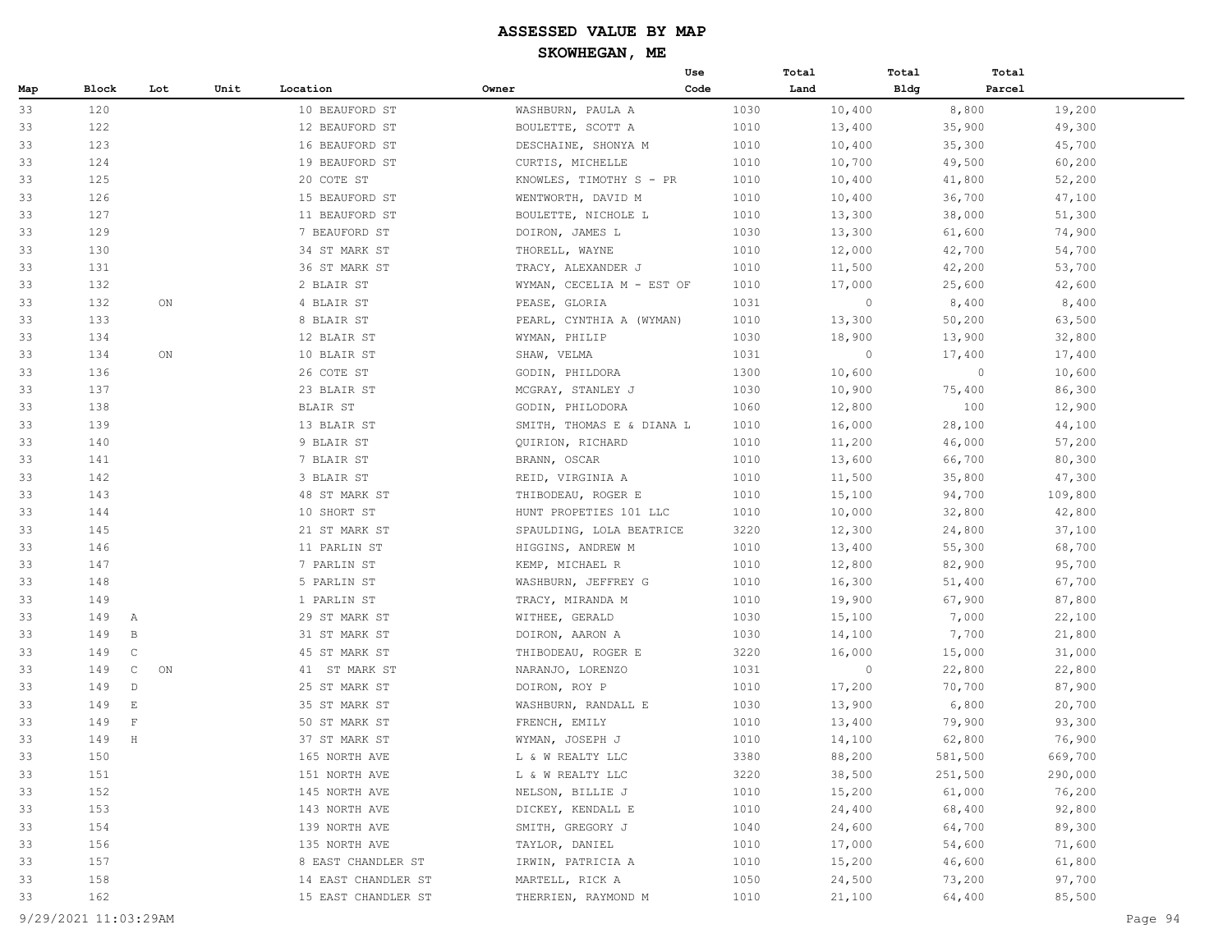|     |                              |             |      |                     |                           | Use  | Total   | Total       | Total   |         |
|-----|------------------------------|-------------|------|---------------------|---------------------------|------|---------|-------------|---------|---------|
| Map | <b>Block</b>                 | Lot         | Unit | Location            | Owner                     | Code | Land    | <b>Bldg</b> | Parcel  |         |
| 33  | 120                          |             |      | 10 BEAUFORD ST      | WASHBURN, PAULA A         | 1030 | 10,400  |             | 8,800   | 19,200  |
| 33  | 122                          |             |      | 12 BEAUFORD ST      | BOULETTE, SCOTT A         | 1010 | 13,400  |             | 35,900  | 49,300  |
| 33  | 123                          |             |      | 16 BEAUFORD ST      | DESCHAINE, SHONYA M       | 1010 | 10,400  |             | 35,300  | 45,700  |
| 33  | 124                          |             |      | 19 BEAUFORD ST      | CURTIS, MICHELLE          | 1010 | 10,700  |             | 49,500  | 60,200  |
| 33  | 125                          |             |      | 20 COTE ST          | KNOWLES, TIMOTHY S - PR   | 1010 | 10,400  |             | 41,800  | 52,200  |
| 33  | 126                          |             |      | 15 BEAUFORD ST      | WENTWORTH, DAVID M        | 1010 | 10,400  |             | 36,700  | 47,100  |
| 33  | 127                          |             |      | 11 BEAUFORD ST      | BOULETTE, NICHOLE L       | 1010 | 13,300  |             | 38,000  | 51,300  |
| 33  | 129                          |             |      | 7 BEAUFORD ST       | DOIRON, JAMES L           | 1030 | 13,300  |             | 61,600  | 74,900  |
| 33  | 130                          |             |      | 34 ST MARK ST       | THORELL, WAYNE            | 1010 | 12,000  |             | 42,700  | 54,700  |
| 33  | 131                          |             |      | 36 ST MARK ST       | TRACY, ALEXANDER J        | 1010 | 11,500  |             | 42,200  | 53,700  |
| 33  | 132                          |             |      | 2 BLAIR ST          | WYMAN, CECELIA M - EST OF | 1010 | 17,000  |             | 25,600  | 42,600  |
| 33  | 132                          | ON          |      | 4 BLAIR ST          | PEASE, GLORIA             | 1031 | $\circ$ |             | 8,400   | 8,400   |
| 33  | 133                          |             |      | 8 BLAIR ST          | PEARL, CYNTHIA A (WYMAN)  | 1010 | 13,300  |             | 50,200  | 63,500  |
| 33  | 134                          |             |      | 12 BLAIR ST         | WYMAN, PHILIP             | 1030 | 18,900  |             | 13,900  | 32,800  |
| 33  | 134                          | $_{\rm ON}$ |      | 10 BLAIR ST         | SHAW, VELMA               | 1031 | $\circ$ |             | 17,400  | 17,400  |
| 33  | 136                          |             |      | 26 COTE ST          | GODIN, PHILDORA           | 1300 | 10,600  |             | $\circ$ | 10,600  |
| 33  | 137                          |             |      | 23 BLAIR ST         | MCGRAY, STANLEY J         | 1030 | 10,900  |             | 75,400  | 86,300  |
| 33  | 138                          |             |      | <b>BLAIR ST</b>     | GODIN, PHILODORA          | 1060 | 12,800  |             | 100     | 12,900  |
| 33  | 139                          |             |      | 13 BLAIR ST         | SMITH, THOMAS E & DIANA L | 1010 | 16,000  |             | 28,100  | 44,100  |
| 33  | 140                          |             |      | 9 BLAIR ST          | QUIRION, RICHARD          | 1010 | 11,200  |             | 46,000  | 57,200  |
| 33  | 141                          |             |      | 7 BLAIR ST          | BRANN, OSCAR              | 1010 | 13,600  |             | 66,700  | 80,300  |
| 33  | 142                          |             |      | 3 BLAIR ST          | REID, VIRGINIA A          | 1010 | 11,500  |             | 35,800  | 47,300  |
| 33  | 143                          |             |      | 48 ST MARK ST       | THIBODEAU, ROGER E        | 1010 | 15,100  |             | 94,700  | 109,800 |
| 33  | 144                          |             |      | 10 SHORT ST         | HUNT PROPETIES 101 LLC    | 1010 | 10,000  |             | 32,800  | 42,800  |
| 33  | 145                          |             |      | 21 ST MARK ST       | SPAULDING, LOLA BEATRICE  | 3220 | 12,300  |             | 24,800  | 37,100  |
| 33  | 146                          |             |      | 11 PARLIN ST        | HIGGINS, ANDREW M         | 1010 | 13,400  |             | 55,300  | 68,700  |
| 33  | 147                          |             |      | 7 PARLIN ST         | KEMP, MICHAEL R           | 1010 | 12,800  |             | 82,900  | 95,700  |
| 33  | 148                          |             |      | 5 PARLIN ST         | WASHBURN, JEFFREY G       | 1010 | 16,300  |             | 51,400  | 67,700  |
| 33  | 149                          |             |      | 1 PARLIN ST         | TRACY, MIRANDA M          | 1010 | 19,900  |             | 67,900  | 87,800  |
| 33  | 149<br>A                     |             |      | 29 ST MARK ST       | WITHEE, GERALD            | 1030 | 15,100  |             | 7,000   | 22,100  |
| 33  | 149<br>$\mathbb B$           |             |      | 31 ST MARK ST       | DOIRON, AARON A           | 1030 | 14,100  |             | 7,700   | 21,800  |
| 33  | $\mathbb C$<br>149           |             |      | 45 ST MARK ST       | THIBODEAU, ROGER E        | 3220 | 16,000  |             | 15,000  | 31,000  |
| 33  | 149<br>$\mathbb{C}$          | ON          |      | 41 ST MARK ST       | NARANJO, LORENZO          | 1031 | $\circ$ |             | 22,800  | 22,800  |
| 33  | 149<br>$\mathbb D$           |             |      | 25 ST MARK ST       | DOIRON, ROY P             | 1010 | 17,200  |             | 70,700  | 87,900  |
| 33  | 149<br>$\mathop{}\mathbb{E}$ |             |      | 35 ST MARK ST       | WASHBURN, RANDALL E       | 1030 | 13,900  |             | 6,800   | 20,700  |
| 33  | 149<br>$\mathbb F$           |             |      | 50 ST MARK ST       | FRENCH, EMILY             | 1010 | 13,400  |             | 79,900  | 93,300  |
| 33  | 149<br>H                     |             |      | 37 ST MARK ST       | WYMAN, JOSEPH J           | 1010 | 14,100  |             | 62,800  | 76,900  |
| 33  | 150                          |             |      | 165 NORTH AVE       | L & W REALTY LLC          | 3380 | 88,200  |             | 581,500 | 669,700 |
| 33  | 151                          |             |      | 151 NORTH AVE       | L & W REALTY LLC          | 3220 | 38,500  |             | 251,500 | 290,000 |
| 33  | 152                          |             |      | 145 NORTH AVE       | NELSON, BILLIE J          | 1010 | 15,200  |             | 61,000  | 76,200  |
| 33  | 153                          |             |      | 143 NORTH AVE       | DICKEY, KENDALL E         | 1010 | 24,400  |             | 68,400  | 92,800  |
| 33  | 154                          |             |      | 139 NORTH AVE       | SMITH, GREGORY J          | 1040 | 24,600  |             | 64,700  | 89,300  |
| 33  | 156                          |             |      | 135 NORTH AVE       | TAYLOR, DANIEL            | 1010 | 17,000  |             | 54,600  | 71,600  |
| 33  | 157                          |             |      | 8 EAST CHANDLER ST  | IRWIN, PATRICIA A         | 1010 | 15,200  |             | 46,600  | 61,800  |
| 33  | 158                          |             |      | 14 EAST CHANDLER ST | MARTELL, RICK A           | 1050 | 24,500  |             | 73,200  | 97,700  |
| 33  | 162                          |             |      | 15 EAST CHANDLER ST | THERRIEN, RAYMOND M       | 1010 | 21,100  |             | 64,400  | 85,500  |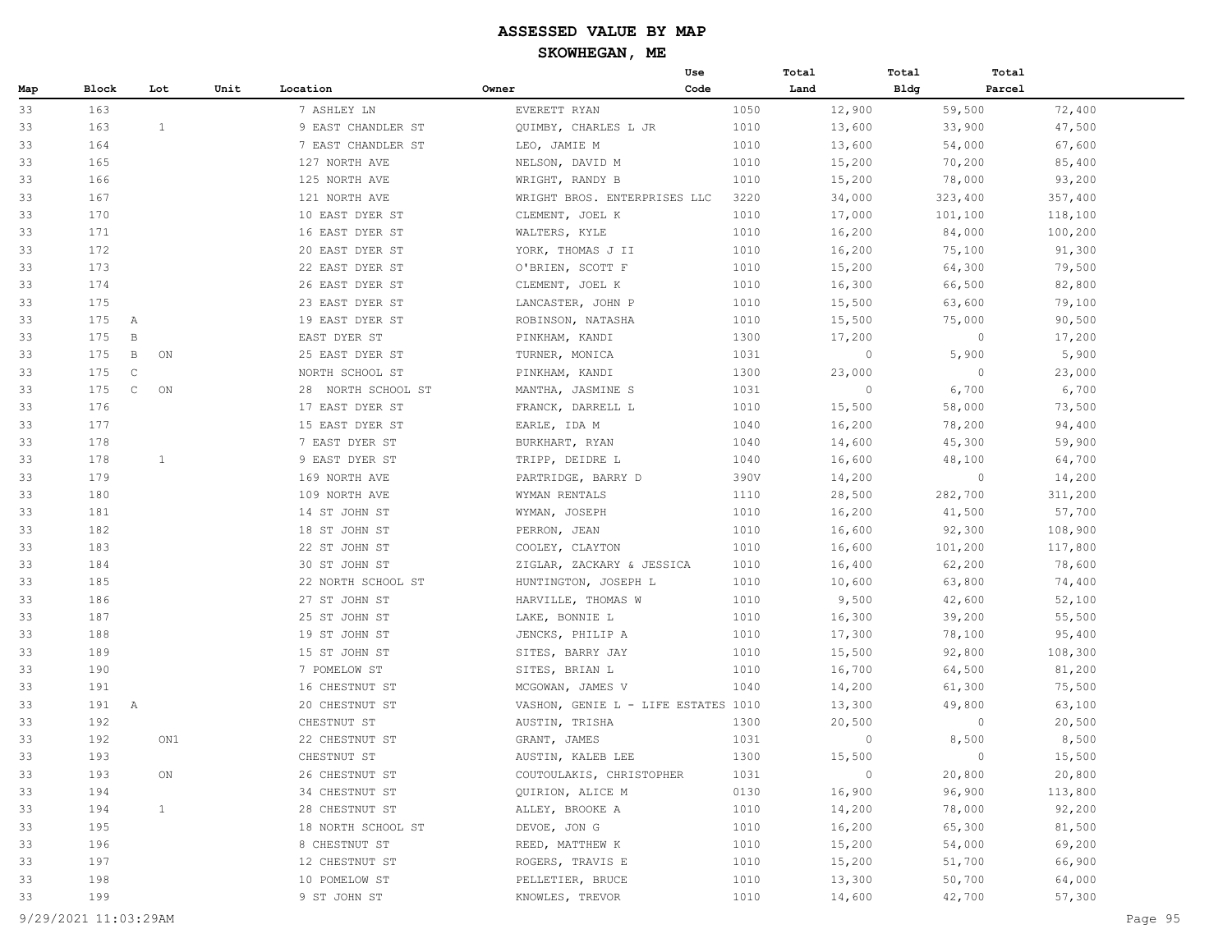|     |                     |              |      |                    |                                     | Use  | Total   | Total       | Total                    |
|-----|---------------------|--------------|------|--------------------|-------------------------------------|------|---------|-------------|--------------------------|
| Map | Block               | Lot          | Unit | Location           | Owner                               | Code | Land    | <b>Bldg</b> | Parcel                   |
| 33  | 163                 |              |      | 7 ASHLEY LN        | EVERETT RYAN                        | 1050 | 12,900  | 59,500      | 72,400                   |
| 33  | 163                 | $\mathbf{1}$ |      | 9 EAST CHANDLER ST | QUIMBY, CHARLES L JR                | 1010 | 13,600  | 33,900      | 47,500                   |
| 33  | 164                 |              |      | 7 EAST CHANDLER ST | LEO, JAMIE M                        | 1010 | 13,600  | 54,000      | 67,600                   |
| 33  | 165                 |              |      | 127 NORTH AVE      | NELSON, DAVID M                     | 1010 | 15,200  | 70,200      | 85,400                   |
| 33  | 166                 |              |      | 125 NORTH AVE      | WRIGHT, RANDY B                     | 1010 | 15,200  | 78,000      | 93,200                   |
| 33  | 167                 |              |      | 121 NORTH AVE      | WRIGHT BROS. ENTERPRISES LLC        | 3220 | 34,000  | 323,400     | 357,400                  |
| 33  | 170                 |              |      | 10 EAST DYER ST    | CLEMENT, JOEL K                     | 1010 | 17,000  | 101,100     | 118,100                  |
| 33  | 171                 |              |      | 16 EAST DYER ST    | WALTERS, KYLE                       | 1010 | 16,200  | 84,000      | 100,200                  |
| 33  | 172                 |              |      | 20 EAST DYER ST    | YORK, THOMAS J II                   | 1010 | 16,200  | 75,100      | 91,300                   |
| 33  | 173                 |              |      | 22 EAST DYER ST    | O'BRIEN, SCOTT F                    | 1010 | 15,200  | 64,300      | 79,500                   |
| 33  | 174                 |              |      | 26 EAST DYER ST    | CLEMENT, JOEL K                     | 1010 | 16,300  | 66,500      | 82,800                   |
| 33  | 175                 |              |      | 23 EAST DYER ST    | LANCASTER, JOHN P                   | 1010 | 15,500  | 63,600      | 79,100                   |
| 33  | 175<br>A            |              |      | 19 EAST DYER ST    | ROBINSON, NATASHA                   | 1010 | 15,500  | 75,000      | 90,500                   |
| 33  | 175<br>$\mathbf B$  |              |      | EAST DYER ST       | PINKHAM, KANDI                      | 1300 | 17,200  |             | $\circ$<br>17,200        |
| 33  | 175<br>$\mathbf{B}$ | ON           |      | 25 EAST DYER ST    | TURNER, MONICA                      | 1031 | $\circ$ |             | 5,900<br>5,900           |
| 33  | 175<br>$\mathbb{C}$ |              |      | NORTH SCHOOL ST    | PINKHAM, KANDI                      | 1300 | 23,000  |             | $\circ$<br>23,000        |
| 33  | 175<br>$\mathsf{C}$ | ON           |      | 28 NORTH SCHOOL ST | MANTHA, JASMINE S                   | 1031 | $\circ$ |             | 6,700<br>6,700           |
| 33  | 176                 |              |      | 17 EAST DYER ST    | FRANCK, DARRELL L                   | 1010 | 15,500  | 58,000      | 73,500                   |
| 33  | 177                 |              |      | 15 EAST DYER ST    | EARLE, IDA M                        | 1040 | 16,200  | 78,200      | 94,400                   |
| 33  | 178                 |              |      | 7 EAST DYER ST     | BURKHART, RYAN                      | 1040 | 14,600  | 45,300      | 59,900                   |
| 33  | 178                 | 1            |      | 9 EAST DYER ST     | TRIPP, DEIDRE L                     | 1040 | 16,600  | 48,100      | 64,700                   |
| 33  | 179                 |              |      | 169 NORTH AVE      | PARTRIDGE, BARRY D                  | 390V | 14,200  |             | $\overline{0}$<br>14,200 |
| 33  | 180                 |              |      | 109 NORTH AVE      | WYMAN RENTALS                       | 1110 | 28,500  | 282,700     | 311,200                  |
| 33  | 181                 |              |      | 14 ST JOHN ST      | WYMAN, JOSEPH                       | 1010 | 16,200  | 41,500      | 57,700                   |
| 33  | 182                 |              |      | 18 ST JOHN ST      | PERRON, JEAN                        | 1010 | 16,600  | 92,300      | 108,900                  |
| 33  | 183                 |              |      | 22 ST JOHN ST      | COOLEY, CLAYTON                     | 1010 | 16,600  | 101,200     | 117,800                  |
| 33  | 184                 |              |      | 30 ST JOHN ST      | ZIGLAR, ZACKARY & JESSICA           | 1010 | 16,400  | 62,200      | 78,600                   |
| 33  | 185                 |              |      | 22 NORTH SCHOOL ST | HUNTINGTON, JOSEPH L                | 1010 | 10,600  | 63,800      | 74,400                   |
| 33  | 186                 |              |      | 27 ST JOHN ST      | HARVILLE, THOMAS W                  | 1010 | 9,500   | 42,600      | 52,100                   |
| 33  | 187                 |              |      | 25 ST JOHN ST      | LAKE, BONNIE L                      | 1010 | 16,300  | 39,200      | 55,500                   |
| 33  | 188                 |              |      | 19 ST JOHN ST      | JENCKS, PHILIP A                    | 1010 | 17,300  | 78,100      | 95,400                   |
| 33  | 189                 |              |      | 15 ST JOHN ST      | SITES, BARRY JAY                    | 1010 | 15,500  | 92,800      | 108,300                  |
| 33  | 190                 |              |      | 7 POMELOW ST       | SITES, BRIAN L                      | 1010 | 16,700  | 64,500      | 81,200                   |
| 33  | 191                 |              |      | 16 CHESTNUT ST     | MCGOWAN, JAMES V                    | 1040 | 14,200  | 61,300      | 75,500                   |
| 33  | 191<br>$\mathbb{A}$ |              |      | 20 CHESTNUT ST     | VASHON, GENIE L - LIFE ESTATES 1010 |      | 13,300  | 49,800      | 63,100                   |
| 33  | 192                 |              |      | CHESTNUT ST        | AUSTIN, TRISHA                      | 1300 | 20,500  |             | $\circ$<br>20,500        |
| 33  | 192                 | ON1          |      | 22 CHESTNUT ST     | GRANT, JAMES                        | 1031 | $\circ$ |             | 8,500<br>8,500           |
| 33  | 193                 |              |      | CHESTNUT ST        | AUSTIN, KALEB LEE                   | 1300 | 15,500  |             | $\circ$<br>15,500        |
| 33  | 193                 | ON           |      | 26 CHESTNUT ST     | COUTOULAKIS, CHRISTOPHER            | 1031 | $\circ$ | 20,800      | 20,800                   |
| 33  | 194                 |              |      | 34 CHESTNUT ST     | QUIRION, ALICE M                    | 0130 | 16,900  | 96,900      | 113,800                  |
| 33  | 194                 | $\mathbf{1}$ |      | 28 CHESTNUT ST     | ALLEY, BROOKE A                     | 1010 | 14,200  | 78,000      | 92,200                   |
| 33  | 195                 |              |      | 18 NORTH SCHOOL ST | DEVOE, JON G                        | 1010 | 16,200  | 65,300      | 81,500                   |
| 33  | 196                 |              |      | 8 CHESTNUT ST      | REED, MATTHEW K                     | 1010 | 15,200  | 54,000      | 69,200                   |
| 33  | 197                 |              |      | 12 CHESTNUT ST     | ROGERS, TRAVIS E                    | 1010 | 15,200  | 51,700      | 66,900                   |
| 33  | 198                 |              |      | 10 POMELOW ST      | PELLETIER, BRUCE                    | 1010 | 13,300  | 50,700      | 64,000                   |
| 33  | 199                 |              |      | 9 ST JOHN ST       | KNOWLES, TREVOR                     | 1010 | 14,600  | 42,700      | 57,300                   |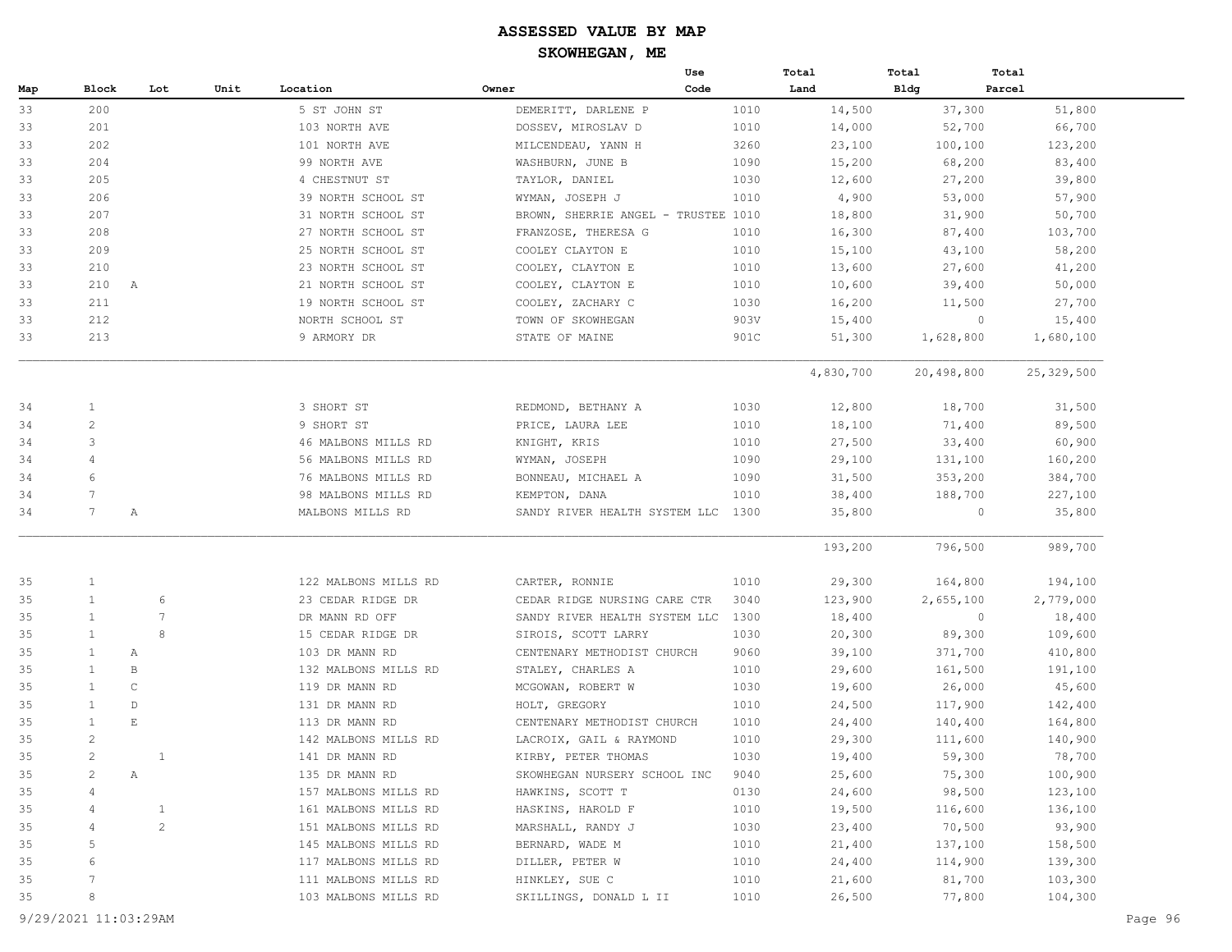|     |                 |              |      |                      |                                     | Use  | Total     | Total       | Total        |
|-----|-----------------|--------------|------|----------------------|-------------------------------------|------|-----------|-------------|--------------|
| Map | Block           | Lot          | Unit | Location             | Owner                               | Code | Land      | <b>Bldg</b> | Parcel       |
| 33  | 200             |              |      | 5 ST JOHN ST         | DEMERITT, DARLENE P                 | 1010 | 14,500    | 37,300      | 51,800       |
| 33  | 201             |              |      | 103 NORTH AVE        | DOSSEV, MIROSLAV D                  | 1010 | 14,000    | 52,700      | 66,700       |
| 33  | 202             |              |      | 101 NORTH AVE        | MILCENDEAU, YANN H                  | 3260 | 23,100    | 100,100     | 123,200      |
| 33  | 204             |              |      | 99 NORTH AVE         | WASHBURN, JUNE B                    | 1090 | 15,200    | 68,200      | 83,400       |
| 33  | 205             |              |      | 4 CHESTNUT ST        | TAYLOR, DANIEL                      | 1030 | 12,600    | 27,200      | 39,800       |
| 33  | 206             |              |      | 39 NORTH SCHOOL ST   | WYMAN, JOSEPH J                     | 1010 | 4,900     | 53,000      | 57,900       |
| 33  | 207             |              |      | 31 NORTH SCHOOL ST   | BROWN, SHERRIE ANGEL - TRUSTEE 1010 |      | 18,800    | 31,900      | 50,700       |
| 33  | 208             |              |      | 27 NORTH SCHOOL ST   | FRANZOSE, THERESA G                 | 1010 | 16,300    | 87,400      | 103,700      |
| 33  | 209             |              |      | 25 NORTH SCHOOL ST   | COOLEY CLAYTON E                    | 1010 | 15,100    | 43,100      | 58,200       |
| 33  | 210             |              |      | 23 NORTH SCHOOL ST   | COOLEY, CLAYTON E                   | 1010 | 13,600    | 27,600      | 41,200       |
| 33  | 210 A           |              |      | 21 NORTH SCHOOL ST   | COOLEY, CLAYTON E                   | 1010 | 10,600    | 39,400      | 50,000       |
| 33  | 211             |              |      | 19 NORTH SCHOOL ST   | COOLEY, ZACHARY C                   | 1030 | 16,200    | 11,500      | 27,700       |
| 33  | 212             |              |      | NORTH SCHOOL ST      | TOWN OF SKOWHEGAN                   | 903V | 15,400    | $\circ$     | 15,400       |
| 33  | 213             |              |      | 9 ARMORY DR          | STATE OF MAINE                      | 901C | 51,300    | 1,628,800   | 1,680,100    |
|     |                 |              |      |                      |                                     |      | 4,830,700 | 20,498,800  | 25, 329, 500 |
| 34  | $\mathbf{1}$    |              |      | 3 SHORT ST           | REDMOND, BETHANY A                  | 1030 | 12,800    | 18,700      | 31,500       |
| 34  | $\overline{c}$  |              |      | 9 SHORT ST           | PRICE, LAURA LEE                    | 1010 | 18,100    | 71,400      | 89,500       |
| 34  | 3               |              |      | 46 MALBONS MILLS RD  | KNIGHT, KRIS                        | 1010 | 27,500    | 33,400      | 60,900       |
| 34  | 4               |              |      | 56 MALBONS MILLS RD  | WYMAN, JOSEPH                       | 1090 | 29,100    | 131,100     | 160,200      |
| 34  | 6               |              |      | 76 MALBONS MILLS RD  | BONNEAU, MICHAEL A                  | 1090 | 31,500    | 353,200     | 384,700      |
| 34  | $\overline{7}$  |              |      | 98 MALBONS MILLS RD  | KEMPTON, DANA                       | 1010 | 38,400    | 188,700     | 227,100      |
| 34  | $7\phantom{.0}$ | Α            |      | MALBONS MILLS RD     | SANDY RIVER HEALTH SYSTEM LLC 1300  |      | 35,800    | $\circ$     | 35,800       |
|     |                 |              |      |                      |                                     |      | 193,200   | 796,500     | 989,700      |
| 35  | $\mathbf{1}$    |              |      | 122 MALBONS MILLS RD | CARTER, RONNIE                      | 1010 | 29,300    | 164,800     | 194,100      |
| 35  | $\mathbf{1}$    | 6            |      | 23 CEDAR RIDGE DR    | CEDAR RIDGE NURSING CARE CTR        | 3040 | 123,900   | 2,655,100   | 2,779,000    |
| 35  | $\mathbf{1}$    | 7            |      | DR MANN RD OFF       | SANDY RIVER HEALTH SYSTEM LLC       | 1300 | 18,400    | $\circ$     | 18,400       |
| 35  | $\mathbf{1}$    | 8            |      | 15 CEDAR RIDGE DR    | SIROIS, SCOTT LARRY                 | 1030 | 20,300    | 89,300      | 109,600      |
| 35  | $\mathbf{1}$    | Α            |      | 103 DR MANN RD       | CENTENARY METHODIST CHURCH          | 9060 | 39,100    | 371,700     | 410,800      |
| 35  | 1               | B            |      | 132 MALBONS MILLS RD | STALEY, CHARLES A                   | 1010 | 29,600    | 161,500     | 191,100      |
| 35  | $\mathbf{1}$    | C            |      | 119 DR MANN RD       | MCGOWAN, ROBERT W                   | 1030 | 19,600    | 26,000      | 45,600       |
| 35  | $\mathbf{1}$    | D            |      | 131 DR MANN RD       | HOLT, GREGORY                       | 1010 | 24,500    | 117,900     | 142,400      |
| 35  | $\mathbf{1}$    | E            |      | 113 DR MANN RD       | CENTENARY METHODIST CHURCH          | 1010 | 24,400    | 140,400     | 164,800      |
| 35  | $\overline{c}$  |              |      | 142 MALBONS MILLS RD | LACROIX, GAIL & RAYMOND             | 1010 | 29,300    | 111,600     | 140,900      |
| 35  | 2               | 1            |      | 141 DR MANN RD       | KIRBY, PETER THOMAS                 | 1030 | 19,400    | 59,300      | 78,700       |
| 35  | $\overline{c}$  | А            |      | 135 DR MANN RD       | SKOWHEGAN NURSERY SCHOOL INC        | 9040 | 25,600    | 75,300      | 100,900      |
| 35  | 4               |              |      | 157 MALBONS MILLS RD | HAWKINS, SCOTT T                    | 0130 | 24,600    | 98,500      | 123,100      |
| 35  | 4               | $\mathbf{1}$ |      | 161 MALBONS MILLS RD | HASKINS, HAROLD F                   | 1010 | 19,500    | 116,600     | 136,100      |
| 35  | 4               | $\mathbf{2}$ |      | 151 MALBONS MILLS RD | MARSHALL, RANDY J                   | 1030 | 23,400    | 70,500      | 93,900       |
| 35  | 5               |              |      | 145 MALBONS MILLS RD | BERNARD, WADE M                     | 1010 | 21,400    | 137,100     | 158,500      |
| 35  | 6               |              |      | 117 MALBONS MILLS RD | DILLER, PETER W                     | 1010 | 24,400    | 114,900     | 139,300      |
| 35  | 7               |              |      | 111 MALBONS MILLS RD | HINKLEY, SUE C                      | 1010 | 21,600    | 81,700      | 103,300      |
| 35  | 8               |              |      | 103 MALBONS MILLS RD | SKILLINGS, DONALD L II              | 1010 | 26,500    | 77,800      | 104,300      |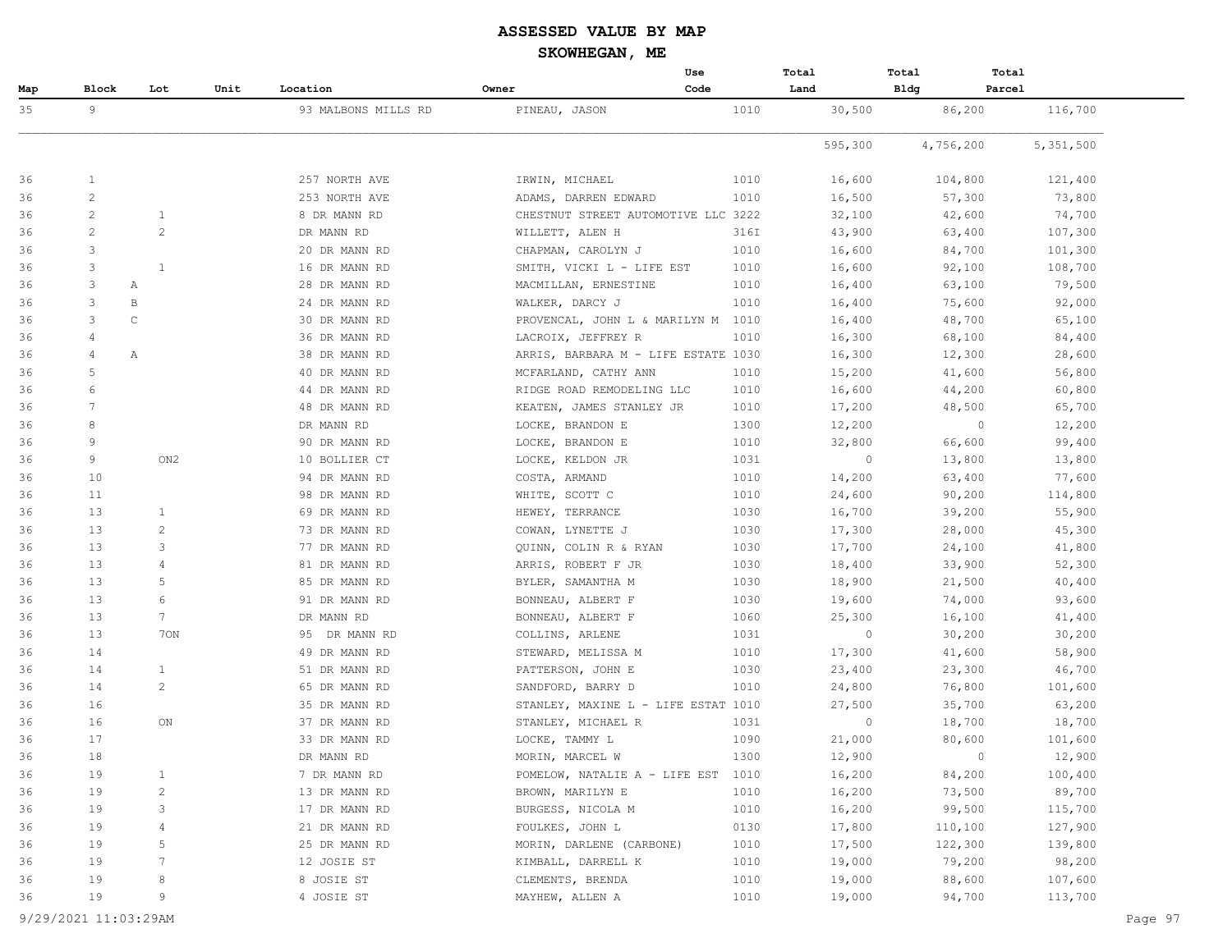|     |                |                 |      |                     |                                     | Use  | Total   | Total          | Total     |  |
|-----|----------------|-----------------|------|---------------------|-------------------------------------|------|---------|----------------|-----------|--|
| Map | Block          | Lot             | Unit | Location            | Owner                               | Code | Land    | <b>Bldg</b>    | Parcel    |  |
| 35  | 9              |                 |      | 93 MALBONS MILLS RD | PINEAU, JASON                       | 1010 | 30,500  | 86,200         | 116,700   |  |
|     |                |                 |      |                     |                                     |      | 595,300 | 4,756,200      | 5,351,500 |  |
| 36  | $\mathbf{1}$   |                 |      | 257 NORTH AVE       | IRWIN, MICHAEL                      | 1010 | 16,600  | 104,800        | 121,400   |  |
| 36  | $\overline{c}$ |                 |      | 253 NORTH AVE       | ADAMS, DARREN EDWARD                | 1010 | 16,500  | 57,300         | 73,800    |  |
| 36  | $\overline{c}$ | $\mathbf{1}$    |      | 8 DR MANN RD        | CHESTNUT STREET AUTOMOTIVE LLC 3222 |      | 32,100  | 42,600         | 74,700    |  |
| 36  | $\mathbf{2}$   | 2               |      | DR MANN RD          | WILLETT, ALEN H                     | 316I | 43,900  | 63,400         | 107,300   |  |
| 36  | 3              |                 |      | 20 DR MANN RD       | CHAPMAN, CAROLYN J                  | 1010 | 16,600  | 84,700         | 101,300   |  |
| 36  | 3              | $\mathbf{1}$    |      | 16 DR MANN RD       | SMITH, VICKI L - LIFE EST           | 1010 | 16,600  | 92,100         | 108,700   |  |
| 36  | 3              | Α               |      | 28 DR MANN RD       | MACMILLAN, ERNESTINE                | 1010 | 16,400  | 63,100         | 79,500    |  |
| 36  | 3              | B               |      | 24 DR MANN RD       | WALKER, DARCY J                     | 1010 | 16,400  | 75,600         | 92,000    |  |
| 36  | 3              | $\mathsf{C}$    |      | 30 DR MANN RD       | PROVENCAL, JOHN L & MARILYN M       | 1010 | 16,400  | 48,700         | 65,100    |  |
| 36  | 4              |                 |      | 36 DR MANN RD       | LACROIX, JEFFREY R                  | 1010 | 16,300  | 68,100         | 84,400    |  |
| 36  | 4              | Α               |      | 38 DR MANN RD       | ARRIS, BARBARA M - LIFE ESTATE 1030 |      | 16,300  | 12,300         | 28,600    |  |
| 36  | 5              |                 |      | 40 DR MANN RD       | MCFARLAND, CATHY ANN                | 1010 | 15,200  | 41,600         | 56,800    |  |
| 36  | 6              |                 |      | 44 DR MANN RD       | RIDGE ROAD REMODELING LLC           | 1010 | 16,600  | 44,200         | 60,800    |  |
| 36  | 7              |                 |      | 48 DR MANN RD       | KEATEN, JAMES STANLEY JR            | 1010 | 17,200  | 48,500         | 65,700    |  |
| 36  | 8              |                 |      | DR MANN RD          | LOCKE, BRANDON E                    | 1300 | 12,200  | $\overline{0}$ | 12,200    |  |
| 36  | 9              |                 |      | 90 DR MANN RD       | LOCKE, BRANDON E                    | 1010 | 32,800  | 66,600         | 99,400    |  |
| 36  | 9              | ON <sub>2</sub> |      | 10 BOLLIER CT       | LOCKE, KELDON JR                    | 1031 | $\circ$ | 13,800         | 13,800    |  |
| 36  | 10             |                 |      | 94 DR MANN RD       | COSTA, ARMAND                       | 1010 | 14,200  | 63,400         | 77,600    |  |
| 36  | 11             |                 |      | 98 DR MANN RD       | WHITE, SCOTT C                      | 1010 | 24,600  | 90,200         | 114,800   |  |
| 36  | 13             | $\mathbf{1}$    |      | 69 DR MANN RD       | HEWEY, TERRANCE                     | 1030 | 16,700  | 39,200         | 55,900    |  |
| 36  | 13             | $\overline{c}$  |      | 73 DR MANN RD       | COWAN, LYNETTE J                    | 1030 | 17,300  | 28,000         | 45,300    |  |
| 36  | 13             | 3               |      | 77 DR MANN RD       | QUINN, COLIN R & RYAN               | 1030 | 17,700  | 24,100         | 41,800    |  |
| 36  | 13             | 4               |      | 81 DR MANN RD       | ARRIS, ROBERT F JR                  | 1030 | 18,400  | 33,900         | 52,300    |  |
| 36  | 13             | 5               |      | 85 DR MANN RD       | BYLER, SAMANTHA M                   | 1030 | 18,900  | 21,500         | 40,400    |  |
| 36  | 13             | 6               |      | 91 DR MANN RD       | BONNEAU, ALBERT F                   | 1030 | 19,600  | 74,000         | 93,600    |  |
| 36  | 13             | $7^{\circ}$     |      | DR MANN RD          | BONNEAU, ALBERT F                   | 1060 | 25,300  | 16,100         | 41,400    |  |
| 36  | 13             | 70N             |      | 95 DR MANN RD       | COLLINS, ARLENE                     | 1031 | $\circ$ | 30,200         | 30,200    |  |
| 36  | 14             |                 |      | 49 DR MANN RD       | STEWARD, MELISSA M                  | 1010 | 17,300  | 41,600         | 58,900    |  |
| 36  | 14             | $\mathbf{1}$    |      | 51 DR MANN RD       | PATTERSON, JOHN E                   | 1030 | 23,400  | 23,300         | 46,700    |  |
| 36  | 14             | 2               |      | 65 DR MANN RD       | SANDFORD, BARRY D                   | 1010 | 24,800  | 76,800         | 101,600   |  |
| 36  | 16             |                 |      | 35 DR MANN RD       | STANLEY, MAXINE L - LIFE ESTAT 1010 |      | 27,500  | 35,700         | 63,200    |  |
| 36  | 16             | ON              |      | 37 DR MANN RD       | STANLEY, MICHAEL R                  | 1031 | $\circ$ | 18,700         | 18,700    |  |
| 36  | 17             |                 |      | 33 DR MANN RD       | LOCKE, TAMMY L                      | 1090 | 21,000  | 80,600         | 101,600   |  |
| 36  | 18             |                 |      | DR MANN RD          | MORIN, MARCEL W                     | 1300 | 12,900  | $\mathbf{0}$   | 12,900    |  |
| 36  | 19             | $\mathbf{1}$    |      | 7 DR MANN RD        | POMELOW, NATALIE A - LIFE EST 1010  |      | 16,200  | 84,200         | 100,400   |  |
| 36  | 19             | 2               |      | 13 DR MANN RD       | BROWN, MARILYN E                    | 1010 | 16,200  | 73,500         | 89,700    |  |
| 36  | 19             | 3               |      | 17 DR MANN RD       | BURGESS, NICOLA M                   | 1010 | 16,200  | 99,500         | 115,700   |  |
| 36  | 19             | 4               |      | 21 DR MANN RD       | FOULKES, JOHN L                     | 0130 | 17,800  | 110,100        | 127,900   |  |
| 36  | 19             | 5               |      | 25 DR MANN RD       | MORIN, DARLENE (CARBONE)            | 1010 | 17,500  | 122,300        | 139,800   |  |
| 36  | 19             | 7               |      | 12 JOSIE ST         | KIMBALL, DARRELL K                  | 1010 | 19,000  | 79,200         | 98,200    |  |
| 36  | 19             | 8               |      | 8 JOSIE ST          | CLEMENTS, BRENDA                    | 1010 | 19,000  | 88,600         | 107,600   |  |
| 36  | 19             | 9               |      | 4 JOSIE ST          | MAYHEW, ALLEN A                     | 1010 | 19,000  | 94,700         | 113,700   |  |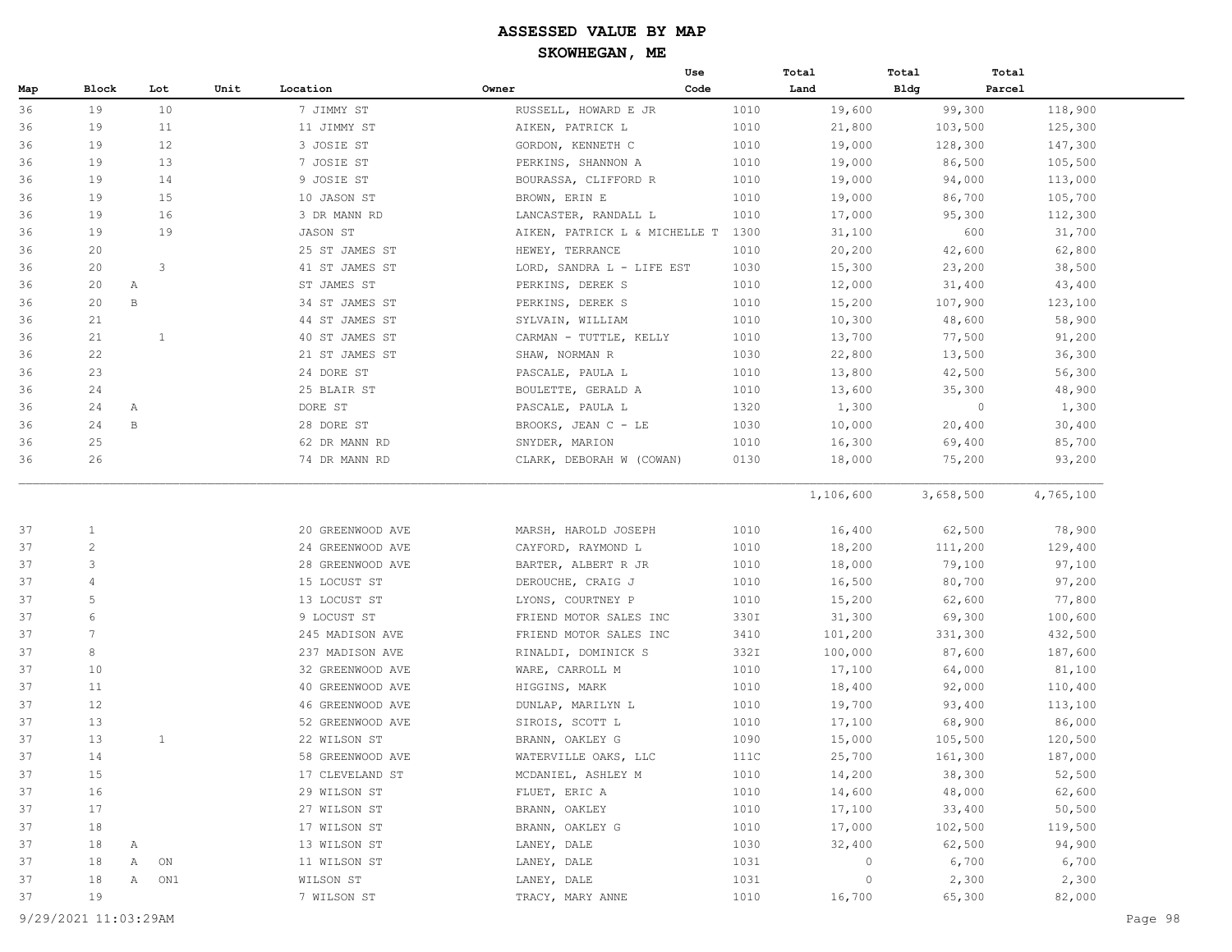|     |                 |              |                  |                  |                               | Use  | Total     | Total     | Total     |
|-----|-----------------|--------------|------------------|------------------|-------------------------------|------|-----------|-----------|-----------|
| Map | Block           | Lot          | Unit<br>Location |                  | Owner                         | Code | Land      | Bldg      | Parcel    |
| 36  | 19              | 10           |                  | 7 JIMMY ST       | RUSSELL, HOWARD E JR          | 1010 | 19,600    | 99,300    | 118,900   |
| 36  | 19              | 11           |                  | 11 JIMMY ST      | AIKEN, PATRICK L              | 1010 | 21,800    | 103,500   | 125,300   |
| 36  | 19              | 12           |                  | 3 JOSIE ST       | GORDON, KENNETH C             | 1010 | 19,000    | 128,300   | 147,300   |
| 36  | 19              | 13           |                  | 7 JOSIE ST       | PERKINS, SHANNON A            | 1010 | 19,000    | 86,500    | 105,500   |
| 36  | 19              | 14           |                  | 9 JOSIE ST       | BOURASSA, CLIFFORD R          | 1010 | 19,000    | 94,000    | 113,000   |
| 36  | 19              | 15           |                  | 10 JASON ST      | BROWN, ERIN E                 | 1010 | 19,000    | 86,700    | 105,700   |
| 36  | 19              | 16           |                  | 3 DR MANN RD     | LANCASTER, RANDALL L          | 1010 | 17,000    | 95,300    | 112,300   |
| 36  | 19              | 19           |                  | JASON ST         | AIKEN, PATRICK L & MICHELLE T | 1300 | 31,100    | 600       | 31,700    |
| 36  | 20              |              |                  | 25 ST JAMES ST   | HEWEY, TERRANCE               | 1010 | 20,200    | 42,600    | 62,800    |
| 36  | 20              | 3            |                  | 41 ST JAMES ST   | LORD, SANDRA L - LIFE EST     | 1030 | 15,300    | 23,200    | 38,500    |
| 36  | 20              | Α            |                  | ST JAMES ST      | PERKINS, DEREK S              | 1010 | 12,000    | 31,400    | 43,400    |
| 36  | 20              | $\mathbf B$  |                  | 34 ST JAMES ST   | PERKINS, DEREK S              | 1010 | 15,200    | 107,900   | 123,100   |
| 36  | 21              |              |                  | 44 ST JAMES ST   | SYLVAIN, WILLIAM              | 1010 | 10,300    | 48,600    | 58,900    |
| 36  | 21              | $\mathbf{1}$ |                  | 40 ST JAMES ST   | CARMAN - TUTTLE, KELLY        | 1010 | 13,700    | 77,500    | 91,200    |
| 36  | 22              |              |                  | 21 ST JAMES ST   | SHAW, NORMAN R                | 1030 | 22,800    | 13,500    | 36,300    |
| 36  | 23              |              |                  | 24 DORE ST       | PASCALE, PAULA L              | 1010 | 13,800    | 42,500    | 56,300    |
| 36  | 24              |              |                  | 25 BLAIR ST      | BOULETTE, GERALD A            | 1010 | 13,600    | 35,300    | 48,900    |
| 36  | 24              | Α            | DORE ST          |                  | PASCALE, PAULA L              | 1320 | 1,300     | $\circ$   | 1,300     |
| 36  | 24              | В            |                  | 28 DORE ST       | BROOKS, JEAN C - LE           | 1030 | 10,000    | 20,400    | 30,400    |
| 36  | 25              |              |                  | 62 DR MANN RD    | SNYDER, MARION                | 1010 | 16,300    | 69,400    | 85,700    |
| 36  | 26              |              |                  | 74 DR MANN RD    | CLARK, DEBORAH W (COWAN)      | 0130 | 18,000    | 75,200    | 93,200    |
|     |                 |              |                  |                  |                               |      | 1,106,600 | 3,658,500 | 4,765,100 |
| 37  | $\mathbf{1}$    |              |                  | 20 GREENWOOD AVE | MARSH, HAROLD JOSEPH          | 1010 | 16,400    | 62,500    | 78,900    |
| 37  | 2               |              |                  | 24 GREENWOOD AVE | CAYFORD, RAYMOND L            | 1010 | 18,200    | 111,200   | 129,400   |
| 37  | 3               |              |                  | 28 GREENWOOD AVE | BARTER, ALBERT R JR           | 1010 | 18,000    | 79,100    | 97,100    |
| 37  | 4               |              |                  | 15 LOCUST ST     | DEROUCHE, CRAIG J             | 1010 | 16,500    | 80,700    | 97,200    |
| 37  | 5               |              |                  | 13 LOCUST ST     | LYONS, COURTNEY P             | 1010 | 15,200    | 62,600    | 77,800    |
| 37  | 6               |              |                  | 9 LOCUST ST      | FRIEND MOTOR SALES INC        | 330I | 31,300    | 69,300    | 100,600   |
| 37  | $7\phantom{.0}$ |              |                  | 245 MADISON AVE  | FRIEND MOTOR SALES INC        | 3410 | 101,200   | 331,300   | 432,500   |
| 37  | 8               |              |                  | 237 MADISON AVE  | RINALDI, DOMINICK S           | 332I | 100,000   | 87,600    | 187,600   |
| 37  | 10              |              |                  | 32 GREENWOOD AVE | WARE, CARROLL M               | 1010 | 17,100    | 64,000    | 81,100    |
| 37  | 11              |              |                  | 40 GREENWOOD AVE | HIGGINS, MARK                 | 1010 | 18,400    | 92,000    | 110,400   |
| 37  | 12              |              |                  | 46 GREENWOOD AVE | DUNLAP, MARILYN L             | 1010 | 19,700    | 93,400    | 113,100   |
| 37  | 13              |              |                  | 52 GREENWOOD AVE | SIROIS, SCOTT L               | 1010 | 17,100    | 68,900    | 86,000    |
| 37  | 13              | $\mathbf{1}$ |                  | 22 WILSON ST     | BRANN, OAKLEY G               | 1090 | 15,000    | 105,500   | 120,500   |
| 37  | 14              |              |                  | 58 GREENWOOD AVE | WATERVILLE OAKS, LLC          | 111C | 25,700    | 161,300   | 187,000   |
| 37  | 15              |              |                  | 17 CLEVELAND ST  | MCDANIEL, ASHLEY M            | 1010 | 14,200    | 38,300    | 52,500    |
| 37  | 16              |              |                  | 29 WILSON ST     | FLUET, ERIC A                 | 1010 | 14,600    | 48,000    | 62,600    |
| 37  | 17              |              |                  | 27 WILSON ST     | BRANN, OAKLEY                 | 1010 | 17,100    | 33,400    | 50,500    |
| 37  | 18              |              |                  | 17 WILSON ST     | BRANN, OAKLEY G               | 1010 | 17,000    | 102,500   | 119,500   |
| 37  | 18              | Α            |                  | 13 WILSON ST     | LANEY, DALE                   | 1030 | 32,400    | 62,500    | 94,900    |
| 37  | 18              | Α<br>ON      |                  | 11 WILSON ST     | LANEY, DALE                   | 1031 | 0         | 6,700     | 6,700     |
| 37  | 18              | Α<br>ON1     |                  | WILSON ST        | LANEY, DALE                   | 1031 | $\circ$   | 2,300     | 2,300     |
| 37  | 19              |              |                  | 7 WILSON ST      | TRACY, MARY ANNE              | 1010 | 16,700    | 65,300    | 82,000    |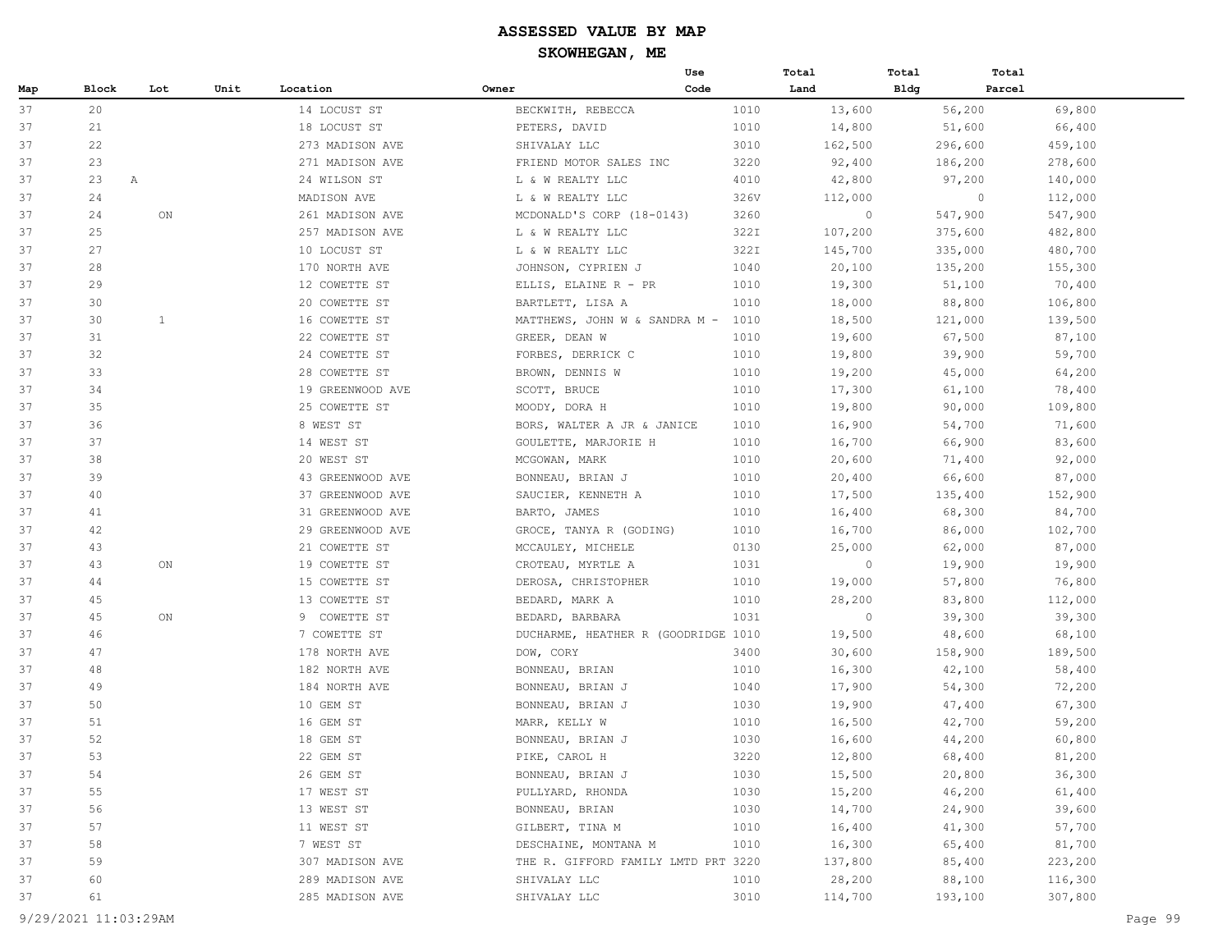|     |         |              |      |                  |                                     | Use  | Total   | Total       | Total   |         |
|-----|---------|--------------|------|------------------|-------------------------------------|------|---------|-------------|---------|---------|
| Map | Block   | Lot          | Unit | Location         | Owner                               | Code | Land    | <b>Bldg</b> | Parcel  |         |
| 37  | 20      |              |      | 14 LOCUST ST     | BECKWITH, REBECCA                   | 1010 | 13,600  |             | 56,200  | 69,800  |
| 37  | 21      |              |      | 18 LOCUST ST     | PETERS, DAVID                       | 1010 | 14,800  |             | 51,600  | 66,400  |
| 37  | 22      |              |      | 273 MADISON AVE  | SHIVALAY LLC                        | 3010 | 162,500 | 296,600     |         | 459,100 |
| 37  | 23      |              |      | 271 MADISON AVE  | FRIEND MOTOR SALES INC              | 3220 | 92,400  | 186,200     |         | 278,600 |
| 37  | 23<br>A |              |      | 24 WILSON ST     | L & W REALTY LLC                    | 4010 | 42,800  |             | 97,200  | 140,000 |
| 37  | 24      |              |      | MADISON AVE      | L & W REALTY LLC                    | 326V | 112,000 |             | $\circ$ | 112,000 |
| 37  | 24      | ON           |      | 261 MADISON AVE  | MCDONALD'S CORP (18-0143)           | 3260 | $\circ$ | 547,900     |         | 547,900 |
| 37  | 25      |              |      | 257 MADISON AVE  | L & W REALTY LLC                    | 322I | 107,200 | 375,600     |         | 482,800 |
| 37  | 27      |              |      | 10 LOCUST ST     | L & W REALTY LLC                    | 322I | 145,700 | 335,000     |         | 480,700 |
| 37  | 28      |              |      | 170 NORTH AVE    | JOHNSON, CYPRIEN J                  | 1040 | 20,100  | 135,200     |         | 155,300 |
| 37  | 29      |              |      | 12 COWETTE ST    | ELLIS, ELAINE R - PR                | 1010 | 19,300  |             | 51,100  | 70,400  |
| 37  | 30      |              |      | 20 COWETTE ST    | BARTLETT, LISA A                    | 1010 | 18,000  |             | 88,800  | 106,800 |
| 37  | 30      | $\mathbf{1}$ |      | 16 COWETTE ST    | MATTHEWS, JOHN W & SANDRA M - 1010  |      | 18,500  | 121,000     |         | 139,500 |
| 37  | 31      |              |      | 22 COWETTE ST    | GREER, DEAN W                       | 1010 | 19,600  |             | 67,500  | 87,100  |
| 37  | 32      |              |      | 24 COWETTE ST    | FORBES, DERRICK C                   | 1010 | 19,800  |             | 39,900  | 59,700  |
| 37  | 33      |              |      | 28 COWETTE ST    | BROWN, DENNIS W                     | 1010 | 19,200  |             | 45,000  | 64,200  |
| 37  | 34      |              |      | 19 GREENWOOD AVE | SCOTT, BRUCE                        | 1010 | 17,300  |             | 61,100  | 78,400  |
| 37  | 35      |              |      | 25 COWETTE ST    | MOODY, DORA H                       | 1010 | 19,800  |             | 90,000  | 109,800 |
| 37  | 36      |              |      | 8 WEST ST        | BORS, WALTER A JR & JANICE          | 1010 | 16,900  |             | 54,700  | 71,600  |
| 37  | 37      |              |      | 14 WEST ST       | GOULETTE, MARJORIE H                | 1010 | 16,700  |             | 66,900  | 83,600  |
| 37  | 38      |              |      | 20 WEST ST       | MCGOWAN, MARK                       | 1010 | 20,600  |             | 71,400  | 92,000  |
| 37  | 39      |              |      | 43 GREENWOOD AVE | BONNEAU, BRIAN J                    | 1010 | 20,400  |             | 66,600  | 87,000  |
| 37  | 40      |              |      | 37 GREENWOOD AVE | SAUCIER, KENNETH A                  | 1010 | 17,500  | 135,400     |         | 152,900 |
| 37  | 41      |              |      | 31 GREENWOOD AVE | BARTO, JAMES                        | 1010 | 16,400  |             | 68,300  | 84,700  |
| 37  | 42      |              |      | 29 GREENWOOD AVE | GROCE, TANYA R (GODING)             | 1010 | 16,700  |             | 86,000  | 102,700 |
| 37  | 43      |              |      | 21 COWETTE ST    | MCCAULEY, MICHELE                   | 0130 | 25,000  |             | 62,000  | 87,000  |
| 37  | 43      | ON           |      | 19 COWETTE ST    | CROTEAU, MYRTLE A                   | 1031 | $\circ$ |             | 19,900  | 19,900  |
| 37  | 44      |              |      | 15 COWETTE ST    | DEROSA, CHRISTOPHER                 | 1010 | 19,000  |             | 57,800  | 76,800  |
| 37  | 45      |              |      | 13 COWETTE ST    | BEDARD, MARK A                      | 1010 | 28,200  |             | 83,800  | 112,000 |
| 37  | 45      | ON           |      | 9 COWETTE ST     | BEDARD, BARBARA                     | 1031 | $\circ$ |             | 39,300  | 39,300  |
| 37  | 46      |              |      | 7 COWETTE ST     | DUCHARME, HEATHER R (GOODRIDGE 1010 |      | 19,500  |             | 48,600  | 68,100  |
| 37  | 47      |              |      | 178 NORTH AVE    | DOW, CORY                           | 3400 | 30,600  | 158,900     |         | 189,500 |
| 37  | 48      |              |      | 182 NORTH AVE    | BONNEAU, BRIAN                      | 1010 | 16,300  |             | 42,100  | 58,400  |
| 37  | 49      |              |      | 184 NORTH AVE    | BONNEAU, BRIAN J                    | 1040 | 17,900  |             | 54,300  | 72,200  |
| 37  | 50      |              |      | 10 GEM ST        | BONNEAU, BRIAN J                    | 1030 | 19,900  |             | 47,400  | 67,300  |
| 37  | 51      |              |      | 16 GEM ST        | MARR, KELLY W                       | 1010 | 16,500  |             | 42,700  | 59,200  |
| 37  | 52      |              |      | 18 GEM ST        | BONNEAU, BRIAN J                    | 1030 | 16,600  |             | 44,200  | 60,800  |
| 37  | 53      |              |      | 22 GEM ST        | PIKE, CAROL H                       | 3220 | 12,800  |             | 68,400  | 81,200  |
| 37  | 54      |              |      | 26 GEM ST        | BONNEAU, BRIAN J                    | 1030 | 15,500  |             | 20,800  | 36,300  |
| 37  | 55      |              |      | 17 WEST ST       | PULLYARD, RHONDA                    | 1030 | 15,200  |             | 46,200  | 61,400  |
| 37  | 56      |              |      | 13 WEST ST       | BONNEAU, BRIAN                      | 1030 | 14,700  |             | 24,900  | 39,600  |
| 37  | 57      |              |      | 11 WEST ST       | GILBERT, TINA M                     | 1010 | 16,400  |             | 41,300  | 57,700  |
| 37  | 58      |              |      | 7 WEST ST        | DESCHAINE, MONTANA M                | 1010 | 16,300  |             | 65,400  | 81,700  |
| 37  | 59      |              |      | 307 MADISON AVE  | THE R. GIFFORD FAMILY LMTD PRT 3220 |      | 137,800 |             | 85,400  | 223,200 |
| 37  | 60      |              |      | 289 MADISON AVE  | SHIVALAY LLC                        | 1010 | 28,200  |             | 88,100  | 116,300 |
| 37  | 61      |              |      | 285 MADISON AVE  | SHIVALAY LLC                        | 3010 | 114,700 | 193,100     |         | 307,800 |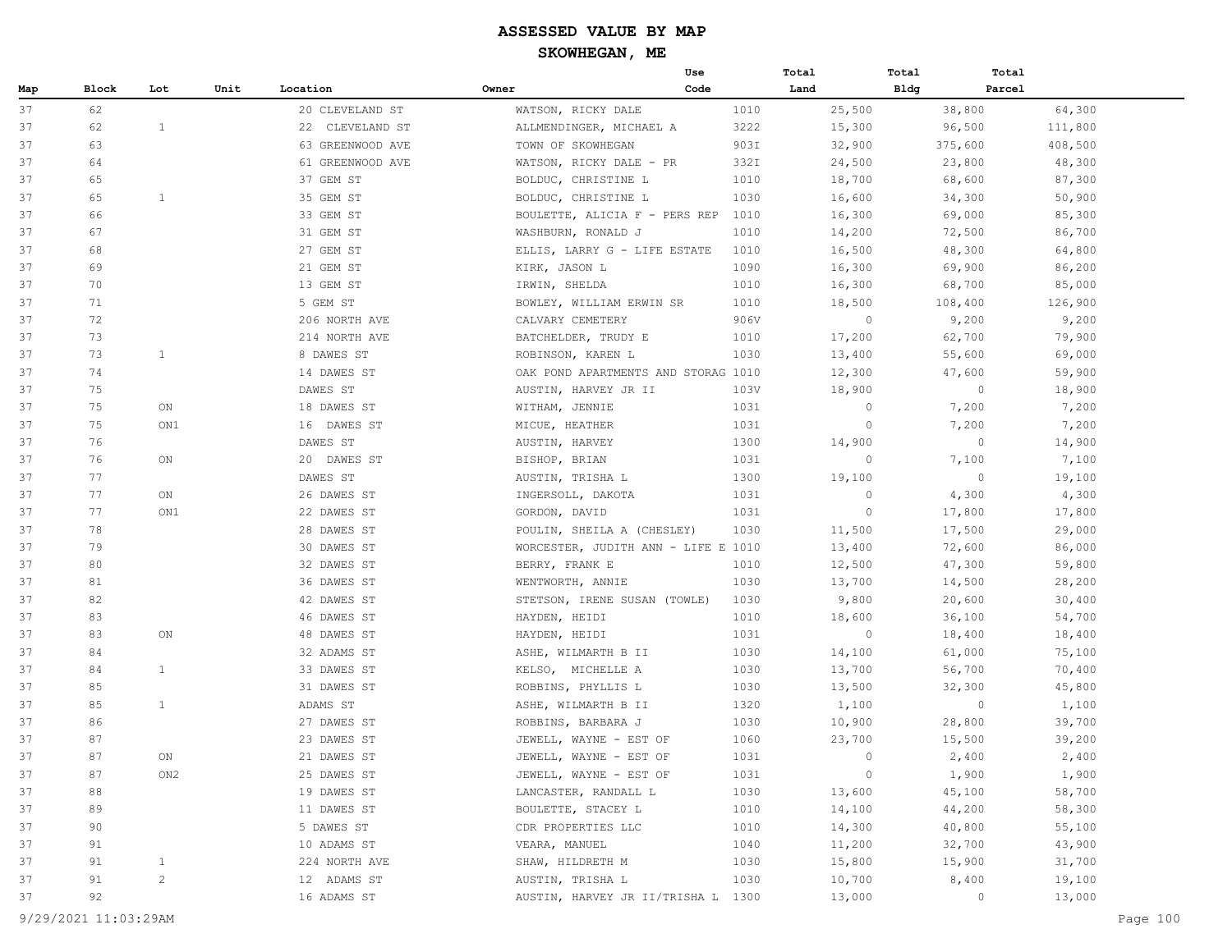| Block<br>Lot<br>Unit<br>Location<br>Owner<br>Code<br>Land<br>Bldg<br>Parcel<br>Map<br>37<br>62<br>20 CLEVELAND ST<br>1010<br>25,500<br>38,800<br>64,300<br>WATSON, RICKY DALE<br>$\mathbf{1}$<br>3222<br>37<br>62<br>22 CLEVELAND ST<br>15,300<br>96,500<br>111,800<br>ALLMENDINGER, MICHAEL A<br>37<br>63<br>63 GREENWOOD AVE<br>TOWN OF SKOWHEGAN<br>903I<br>32,900<br>375,600<br>408,500<br>61 GREENWOOD AVE<br>332I<br>37<br>64<br>WATSON, RICKY DALE - PR<br>24,500<br>23,800<br>48,300<br>1010<br>68,600<br>87,300<br>37<br>65<br>37 GEM ST<br>BOLDUC, CHRISTINE L<br>18,700<br>1<br>35 GEM ST<br>1030<br>37<br>65<br>BOLDUC, CHRISTINE L<br>16,600<br>34,300<br>50,900<br>33 GEM ST<br>69,000<br>37<br>66<br>BOULETTE, ALICIA F - PERS REP<br>1010<br>16,300<br>85,300<br>31 GEM ST<br>72,500<br>86,700<br>37<br>67<br>1010<br>14,200<br>WASHBURN, RONALD J<br>27 GEM ST<br>37<br>68<br>ELLIS, LARRY G - LIFE ESTATE<br>1010<br>16,500<br>48,300<br>64,800<br>37<br>69<br>21 GEM ST<br>1090<br>69,900<br>86,200<br>KIRK, JASON L<br>16,300<br>37<br>70<br>13 GEM ST<br>IRWIN, SHELDA<br>1010<br>16,300<br>68,700<br>85,000<br>37<br>71<br>5 GEM ST<br>BOWLEY, WILLIAM ERWIN SR<br>1010<br>18,500<br>108,400<br>126,900<br>$\circ$<br>72<br>906V<br>9,200<br>9,200<br>37<br>206 NORTH AVE<br>CALVARY CEMETERY<br>37<br>73<br>214 NORTH AVE<br>BATCHELDER, TRUDY E<br>17,200<br>62,700<br>79,900<br>1010<br>73<br>$\mathbf{1}$<br>8 DAWES ST<br>1030<br>13,400<br>37<br>ROBINSON, KAREN L<br>55,600<br>69,000<br>74<br>14 DAWES ST<br>59,900<br>37<br>OAK POND APARTMENTS AND STORAG 1010<br>12,300<br>47,600<br>37<br>75<br>DAWES ST<br>$\circ$<br>18,900<br>AUSTIN, HARVEY JR II<br>103V<br>18,900<br>37<br>75<br>18 DAWES ST<br>1031<br>$\circ$<br>7,200<br>7,200<br>ON<br>WITHAM, JENNIE<br>75<br>7,200<br>37<br>ON1<br>16 DAWES ST<br>MICUE, HEATHER<br>1031<br>0<br>7,200<br>37<br>76<br>1300<br>14,900<br>$\circ$<br>14,900<br>DAWES ST<br>AUSTIN, HARVEY<br>20 DAWES ST<br>$\circ$<br>7,100<br>7,100<br>37<br>76<br>ON<br>BISHOP, BRIAN<br>1031<br>37<br>77<br>DAWES ST<br>1300<br>19,100<br>$\overline{0}$<br>19,100<br>AUSTIN, TRISHA L<br>26 DAWES ST<br>$\circ$<br>4,300<br>37<br>77<br>ON<br>INGERSOLL, DAKOTA<br>1031<br>4,300<br>77<br>22 DAWES ST<br>1031<br>$\circ$<br>17,800<br>17,800<br>37<br>ON1<br>GORDON, DAVID<br>37<br>78<br>28 DAWES ST<br>1030<br>11,500<br>17,500<br>29,000<br>POULIN, SHEILA A (CHESLEY)<br>37<br>79<br>30 DAWES ST<br>13,400<br>86,000<br>WORCESTER, JUDITH ANN - LIFE E 1010<br>72,600<br>37<br>32 DAWES ST<br>80<br>BERRY, FRANK E<br>1010<br>12,500<br>47,300<br>59,800<br>37<br>81<br>36 DAWES ST<br>1030<br>WENTWORTH, ANNIE<br>13,700<br>14,500<br>28,200<br>82<br>42 DAWES ST<br>9,800<br>37<br>STETSON, IRENE SUSAN (TOWLE)<br>1030<br>20,600<br>30,400<br>37<br>83<br>46 DAWES ST<br>1010<br>HAYDEN, HEIDI<br>18,600<br>36,100<br>54,700<br>48 DAWES ST<br>$\circ$<br>37<br>83<br>ON<br>HAYDEN, HEIDI<br>1031<br>18,400<br>18,400<br>32 ADAMS ST<br>1030<br>14,100<br>61,000<br>75,100<br>37<br>84<br>ASHE, WILMARTH B II<br>$\mathbf{1}$<br>33 DAWES ST<br>1030<br>13,700<br>37<br>84<br>KELSO, MICHELLE A<br>56,700<br>70,400<br>37<br>85<br>31 DAWES ST<br>1030<br>ROBBINS, PHYLLIS L<br>13,500<br>32,300<br>45,800<br>85<br>$\mathbf{1}$<br>1,100<br>37<br>ADAMS ST<br>ASHE, WILMARTH B II<br>1320<br>$\circ$<br>1,100<br>1030<br>37<br>86<br>27 DAWES ST<br>10,900<br>28,800<br>39,700<br>ROBBINS, BARBARA J<br>87<br>37<br>23 DAWES ST<br>JEWELL, WAYNE - EST OF<br>1060<br>23,700<br>15,500<br>39,200<br>37<br>87<br>21 DAWES ST<br>1031<br>$\circ$<br>2,400<br>2,400<br>ON<br>JEWELL, WAYNE - EST OF<br>$\circ$<br>37<br>87<br>ON2<br>25 DAWES ST<br>JEWELL, WAYNE - EST OF<br>1031<br>1,900<br>1,900<br>88<br>19 DAWES ST<br>1030<br>45,100<br>58,700<br>37<br>LANCASTER, RANDALL L<br>13,600<br>1010<br>37<br>89<br>11 DAWES ST<br>BOULETTE, STACEY L<br>14,100<br>44,200<br>58,300<br>5 DAWES ST<br>CDR PROPERTIES LLC<br>37<br>90<br>1010<br>14,300<br>40,800<br>55,100<br>37<br>91<br>10 ADAMS ST<br>VEARA, MANUEL<br>1040<br>32,700<br>43,900<br>11,200<br>37<br>91<br>$\mathbf{1}$<br>224 NORTH AVE<br>SHAW, HILDRETH M<br>1030<br>15,900<br>31,700<br>15,800<br>$\mathbf{2}$<br>37<br>91<br>12 ADAMS ST<br>1030<br>10,700<br>8,400<br>19,100<br>AUSTIN, TRISHA L<br>92<br>16 ADAMS ST<br>37<br>AUSTIN, HARVEY JR II/TRISHA L 1300<br>13,000<br>$\circ$<br>13,000 |  |  |  | Use | Total | Total | Total |  |
|----------------------------------------------------------------------------------------------------------------------------------------------------------------------------------------------------------------------------------------------------------------------------------------------------------------------------------------------------------------------------------------------------------------------------------------------------------------------------------------------------------------------------------------------------------------------------------------------------------------------------------------------------------------------------------------------------------------------------------------------------------------------------------------------------------------------------------------------------------------------------------------------------------------------------------------------------------------------------------------------------------------------------------------------------------------------------------------------------------------------------------------------------------------------------------------------------------------------------------------------------------------------------------------------------------------------------------------------------------------------------------------------------------------------------------------------------------------------------------------------------------------------------------------------------------------------------------------------------------------------------------------------------------------------------------------------------------------------------------------------------------------------------------------------------------------------------------------------------------------------------------------------------------------------------------------------------------------------------------------------------------------------------------------------------------------------------------------------------------------------------------------------------------------------------------------------------------------------------------------------------------------------------------------------------------------------------------------------------------------------------------------------------------------------------------------------------------------------------------------------------------------------------------------------------------------------------------------------------------------------------------------------------------------------------------------------------------------------------------------------------------------------------------------------------------------------------------------------------------------------------------------------------------------------------------------------------------------------------------------------------------------------------------------------------------------------------------------------------------------------------------------------------------------------------------------------------------------------------------------------------------------------------------------------------------------------------------------------------------------------------------------------------------------------------------------------------------------------------------------------------------------------------------------------------------------------------------------------------------------------------------------------------------------------------------------------------------------------------------------------------------------------------------------------------------------------------------------------------------------------------------------------------------------------------------------------------------------------------------------------------------------------------------------------------------------------------------------------------------------------------------------------------------------------------------------------------------------------------------------------------------------------------------------------------------------------------------------------------------------------------------------------------------------------------------------------|--|--|--|-----|-------|-------|-------|--|
|                                                                                                                                                                                                                                                                                                                                                                                                                                                                                                                                                                                                                                                                                                                                                                                                                                                                                                                                                                                                                                                                                                                                                                                                                                                                                                                                                                                                                                                                                                                                                                                                                                                                                                                                                                                                                                                                                                                                                                                                                                                                                                                                                                                                                                                                                                                                                                                                                                                                                                                                                                                                                                                                                                                                                                                                                                                                                                                                                                                                                                                                                                                                                                                                                                                                                                                                                                                                                                                                                                                                                                                                                                                                                                                                                                                                                                                                                                                                                                                                                                                                                                                                                                                                                                                                                                                                                                                                                                              |  |  |  |     |       |       |       |  |
|                                                                                                                                                                                                                                                                                                                                                                                                                                                                                                                                                                                                                                                                                                                                                                                                                                                                                                                                                                                                                                                                                                                                                                                                                                                                                                                                                                                                                                                                                                                                                                                                                                                                                                                                                                                                                                                                                                                                                                                                                                                                                                                                                                                                                                                                                                                                                                                                                                                                                                                                                                                                                                                                                                                                                                                                                                                                                                                                                                                                                                                                                                                                                                                                                                                                                                                                                                                                                                                                                                                                                                                                                                                                                                                                                                                                                                                                                                                                                                                                                                                                                                                                                                                                                                                                                                                                                                                                                                              |  |  |  |     |       |       |       |  |
|                                                                                                                                                                                                                                                                                                                                                                                                                                                                                                                                                                                                                                                                                                                                                                                                                                                                                                                                                                                                                                                                                                                                                                                                                                                                                                                                                                                                                                                                                                                                                                                                                                                                                                                                                                                                                                                                                                                                                                                                                                                                                                                                                                                                                                                                                                                                                                                                                                                                                                                                                                                                                                                                                                                                                                                                                                                                                                                                                                                                                                                                                                                                                                                                                                                                                                                                                                                                                                                                                                                                                                                                                                                                                                                                                                                                                                                                                                                                                                                                                                                                                                                                                                                                                                                                                                                                                                                                                                              |  |  |  |     |       |       |       |  |
|                                                                                                                                                                                                                                                                                                                                                                                                                                                                                                                                                                                                                                                                                                                                                                                                                                                                                                                                                                                                                                                                                                                                                                                                                                                                                                                                                                                                                                                                                                                                                                                                                                                                                                                                                                                                                                                                                                                                                                                                                                                                                                                                                                                                                                                                                                                                                                                                                                                                                                                                                                                                                                                                                                                                                                                                                                                                                                                                                                                                                                                                                                                                                                                                                                                                                                                                                                                                                                                                                                                                                                                                                                                                                                                                                                                                                                                                                                                                                                                                                                                                                                                                                                                                                                                                                                                                                                                                                                              |  |  |  |     |       |       |       |  |
|                                                                                                                                                                                                                                                                                                                                                                                                                                                                                                                                                                                                                                                                                                                                                                                                                                                                                                                                                                                                                                                                                                                                                                                                                                                                                                                                                                                                                                                                                                                                                                                                                                                                                                                                                                                                                                                                                                                                                                                                                                                                                                                                                                                                                                                                                                                                                                                                                                                                                                                                                                                                                                                                                                                                                                                                                                                                                                                                                                                                                                                                                                                                                                                                                                                                                                                                                                                                                                                                                                                                                                                                                                                                                                                                                                                                                                                                                                                                                                                                                                                                                                                                                                                                                                                                                                                                                                                                                                              |  |  |  |     |       |       |       |  |
|                                                                                                                                                                                                                                                                                                                                                                                                                                                                                                                                                                                                                                                                                                                                                                                                                                                                                                                                                                                                                                                                                                                                                                                                                                                                                                                                                                                                                                                                                                                                                                                                                                                                                                                                                                                                                                                                                                                                                                                                                                                                                                                                                                                                                                                                                                                                                                                                                                                                                                                                                                                                                                                                                                                                                                                                                                                                                                                                                                                                                                                                                                                                                                                                                                                                                                                                                                                                                                                                                                                                                                                                                                                                                                                                                                                                                                                                                                                                                                                                                                                                                                                                                                                                                                                                                                                                                                                                                                              |  |  |  |     |       |       |       |  |
|                                                                                                                                                                                                                                                                                                                                                                                                                                                                                                                                                                                                                                                                                                                                                                                                                                                                                                                                                                                                                                                                                                                                                                                                                                                                                                                                                                                                                                                                                                                                                                                                                                                                                                                                                                                                                                                                                                                                                                                                                                                                                                                                                                                                                                                                                                                                                                                                                                                                                                                                                                                                                                                                                                                                                                                                                                                                                                                                                                                                                                                                                                                                                                                                                                                                                                                                                                                                                                                                                                                                                                                                                                                                                                                                                                                                                                                                                                                                                                                                                                                                                                                                                                                                                                                                                                                                                                                                                                              |  |  |  |     |       |       |       |  |
|                                                                                                                                                                                                                                                                                                                                                                                                                                                                                                                                                                                                                                                                                                                                                                                                                                                                                                                                                                                                                                                                                                                                                                                                                                                                                                                                                                                                                                                                                                                                                                                                                                                                                                                                                                                                                                                                                                                                                                                                                                                                                                                                                                                                                                                                                                                                                                                                                                                                                                                                                                                                                                                                                                                                                                                                                                                                                                                                                                                                                                                                                                                                                                                                                                                                                                                                                                                                                                                                                                                                                                                                                                                                                                                                                                                                                                                                                                                                                                                                                                                                                                                                                                                                                                                                                                                                                                                                                                              |  |  |  |     |       |       |       |  |
|                                                                                                                                                                                                                                                                                                                                                                                                                                                                                                                                                                                                                                                                                                                                                                                                                                                                                                                                                                                                                                                                                                                                                                                                                                                                                                                                                                                                                                                                                                                                                                                                                                                                                                                                                                                                                                                                                                                                                                                                                                                                                                                                                                                                                                                                                                                                                                                                                                                                                                                                                                                                                                                                                                                                                                                                                                                                                                                                                                                                                                                                                                                                                                                                                                                                                                                                                                                                                                                                                                                                                                                                                                                                                                                                                                                                                                                                                                                                                                                                                                                                                                                                                                                                                                                                                                                                                                                                                                              |  |  |  |     |       |       |       |  |
|                                                                                                                                                                                                                                                                                                                                                                                                                                                                                                                                                                                                                                                                                                                                                                                                                                                                                                                                                                                                                                                                                                                                                                                                                                                                                                                                                                                                                                                                                                                                                                                                                                                                                                                                                                                                                                                                                                                                                                                                                                                                                                                                                                                                                                                                                                                                                                                                                                                                                                                                                                                                                                                                                                                                                                                                                                                                                                                                                                                                                                                                                                                                                                                                                                                                                                                                                                                                                                                                                                                                                                                                                                                                                                                                                                                                                                                                                                                                                                                                                                                                                                                                                                                                                                                                                                                                                                                                                                              |  |  |  |     |       |       |       |  |
|                                                                                                                                                                                                                                                                                                                                                                                                                                                                                                                                                                                                                                                                                                                                                                                                                                                                                                                                                                                                                                                                                                                                                                                                                                                                                                                                                                                                                                                                                                                                                                                                                                                                                                                                                                                                                                                                                                                                                                                                                                                                                                                                                                                                                                                                                                                                                                                                                                                                                                                                                                                                                                                                                                                                                                                                                                                                                                                                                                                                                                                                                                                                                                                                                                                                                                                                                                                                                                                                                                                                                                                                                                                                                                                                                                                                                                                                                                                                                                                                                                                                                                                                                                                                                                                                                                                                                                                                                                              |  |  |  |     |       |       |       |  |
|                                                                                                                                                                                                                                                                                                                                                                                                                                                                                                                                                                                                                                                                                                                                                                                                                                                                                                                                                                                                                                                                                                                                                                                                                                                                                                                                                                                                                                                                                                                                                                                                                                                                                                                                                                                                                                                                                                                                                                                                                                                                                                                                                                                                                                                                                                                                                                                                                                                                                                                                                                                                                                                                                                                                                                                                                                                                                                                                                                                                                                                                                                                                                                                                                                                                                                                                                                                                                                                                                                                                                                                                                                                                                                                                                                                                                                                                                                                                                                                                                                                                                                                                                                                                                                                                                                                                                                                                                                              |  |  |  |     |       |       |       |  |
|                                                                                                                                                                                                                                                                                                                                                                                                                                                                                                                                                                                                                                                                                                                                                                                                                                                                                                                                                                                                                                                                                                                                                                                                                                                                                                                                                                                                                                                                                                                                                                                                                                                                                                                                                                                                                                                                                                                                                                                                                                                                                                                                                                                                                                                                                                                                                                                                                                                                                                                                                                                                                                                                                                                                                                                                                                                                                                                                                                                                                                                                                                                                                                                                                                                                                                                                                                                                                                                                                                                                                                                                                                                                                                                                                                                                                                                                                                                                                                                                                                                                                                                                                                                                                                                                                                                                                                                                                                              |  |  |  |     |       |       |       |  |
|                                                                                                                                                                                                                                                                                                                                                                                                                                                                                                                                                                                                                                                                                                                                                                                                                                                                                                                                                                                                                                                                                                                                                                                                                                                                                                                                                                                                                                                                                                                                                                                                                                                                                                                                                                                                                                                                                                                                                                                                                                                                                                                                                                                                                                                                                                                                                                                                                                                                                                                                                                                                                                                                                                                                                                                                                                                                                                                                                                                                                                                                                                                                                                                                                                                                                                                                                                                                                                                                                                                                                                                                                                                                                                                                                                                                                                                                                                                                                                                                                                                                                                                                                                                                                                                                                                                                                                                                                                              |  |  |  |     |       |       |       |  |
|                                                                                                                                                                                                                                                                                                                                                                                                                                                                                                                                                                                                                                                                                                                                                                                                                                                                                                                                                                                                                                                                                                                                                                                                                                                                                                                                                                                                                                                                                                                                                                                                                                                                                                                                                                                                                                                                                                                                                                                                                                                                                                                                                                                                                                                                                                                                                                                                                                                                                                                                                                                                                                                                                                                                                                                                                                                                                                                                                                                                                                                                                                                                                                                                                                                                                                                                                                                                                                                                                                                                                                                                                                                                                                                                                                                                                                                                                                                                                                                                                                                                                                                                                                                                                                                                                                                                                                                                                                              |  |  |  |     |       |       |       |  |
|                                                                                                                                                                                                                                                                                                                                                                                                                                                                                                                                                                                                                                                                                                                                                                                                                                                                                                                                                                                                                                                                                                                                                                                                                                                                                                                                                                                                                                                                                                                                                                                                                                                                                                                                                                                                                                                                                                                                                                                                                                                                                                                                                                                                                                                                                                                                                                                                                                                                                                                                                                                                                                                                                                                                                                                                                                                                                                                                                                                                                                                                                                                                                                                                                                                                                                                                                                                                                                                                                                                                                                                                                                                                                                                                                                                                                                                                                                                                                                                                                                                                                                                                                                                                                                                                                                                                                                                                                                              |  |  |  |     |       |       |       |  |
|                                                                                                                                                                                                                                                                                                                                                                                                                                                                                                                                                                                                                                                                                                                                                                                                                                                                                                                                                                                                                                                                                                                                                                                                                                                                                                                                                                                                                                                                                                                                                                                                                                                                                                                                                                                                                                                                                                                                                                                                                                                                                                                                                                                                                                                                                                                                                                                                                                                                                                                                                                                                                                                                                                                                                                                                                                                                                                                                                                                                                                                                                                                                                                                                                                                                                                                                                                                                                                                                                                                                                                                                                                                                                                                                                                                                                                                                                                                                                                                                                                                                                                                                                                                                                                                                                                                                                                                                                                              |  |  |  |     |       |       |       |  |
|                                                                                                                                                                                                                                                                                                                                                                                                                                                                                                                                                                                                                                                                                                                                                                                                                                                                                                                                                                                                                                                                                                                                                                                                                                                                                                                                                                                                                                                                                                                                                                                                                                                                                                                                                                                                                                                                                                                                                                                                                                                                                                                                                                                                                                                                                                                                                                                                                                                                                                                                                                                                                                                                                                                                                                                                                                                                                                                                                                                                                                                                                                                                                                                                                                                                                                                                                                                                                                                                                                                                                                                                                                                                                                                                                                                                                                                                                                                                                                                                                                                                                                                                                                                                                                                                                                                                                                                                                                              |  |  |  |     |       |       |       |  |
|                                                                                                                                                                                                                                                                                                                                                                                                                                                                                                                                                                                                                                                                                                                                                                                                                                                                                                                                                                                                                                                                                                                                                                                                                                                                                                                                                                                                                                                                                                                                                                                                                                                                                                                                                                                                                                                                                                                                                                                                                                                                                                                                                                                                                                                                                                                                                                                                                                                                                                                                                                                                                                                                                                                                                                                                                                                                                                                                                                                                                                                                                                                                                                                                                                                                                                                                                                                                                                                                                                                                                                                                                                                                                                                                                                                                                                                                                                                                                                                                                                                                                                                                                                                                                                                                                                                                                                                                                                              |  |  |  |     |       |       |       |  |
|                                                                                                                                                                                                                                                                                                                                                                                                                                                                                                                                                                                                                                                                                                                                                                                                                                                                                                                                                                                                                                                                                                                                                                                                                                                                                                                                                                                                                                                                                                                                                                                                                                                                                                                                                                                                                                                                                                                                                                                                                                                                                                                                                                                                                                                                                                                                                                                                                                                                                                                                                                                                                                                                                                                                                                                                                                                                                                                                                                                                                                                                                                                                                                                                                                                                                                                                                                                                                                                                                                                                                                                                                                                                                                                                                                                                                                                                                                                                                                                                                                                                                                                                                                                                                                                                                                                                                                                                                                              |  |  |  |     |       |       |       |  |
|                                                                                                                                                                                                                                                                                                                                                                                                                                                                                                                                                                                                                                                                                                                                                                                                                                                                                                                                                                                                                                                                                                                                                                                                                                                                                                                                                                                                                                                                                                                                                                                                                                                                                                                                                                                                                                                                                                                                                                                                                                                                                                                                                                                                                                                                                                                                                                                                                                                                                                                                                                                                                                                                                                                                                                                                                                                                                                                                                                                                                                                                                                                                                                                                                                                                                                                                                                                                                                                                                                                                                                                                                                                                                                                                                                                                                                                                                                                                                                                                                                                                                                                                                                                                                                                                                                                                                                                                                                              |  |  |  |     |       |       |       |  |
|                                                                                                                                                                                                                                                                                                                                                                                                                                                                                                                                                                                                                                                                                                                                                                                                                                                                                                                                                                                                                                                                                                                                                                                                                                                                                                                                                                                                                                                                                                                                                                                                                                                                                                                                                                                                                                                                                                                                                                                                                                                                                                                                                                                                                                                                                                                                                                                                                                                                                                                                                                                                                                                                                                                                                                                                                                                                                                                                                                                                                                                                                                                                                                                                                                                                                                                                                                                                                                                                                                                                                                                                                                                                                                                                                                                                                                                                                                                                                                                                                                                                                                                                                                                                                                                                                                                                                                                                                                              |  |  |  |     |       |       |       |  |
|                                                                                                                                                                                                                                                                                                                                                                                                                                                                                                                                                                                                                                                                                                                                                                                                                                                                                                                                                                                                                                                                                                                                                                                                                                                                                                                                                                                                                                                                                                                                                                                                                                                                                                                                                                                                                                                                                                                                                                                                                                                                                                                                                                                                                                                                                                                                                                                                                                                                                                                                                                                                                                                                                                                                                                                                                                                                                                                                                                                                                                                                                                                                                                                                                                                                                                                                                                                                                                                                                                                                                                                                                                                                                                                                                                                                                                                                                                                                                                                                                                                                                                                                                                                                                                                                                                                                                                                                                                              |  |  |  |     |       |       |       |  |
|                                                                                                                                                                                                                                                                                                                                                                                                                                                                                                                                                                                                                                                                                                                                                                                                                                                                                                                                                                                                                                                                                                                                                                                                                                                                                                                                                                                                                                                                                                                                                                                                                                                                                                                                                                                                                                                                                                                                                                                                                                                                                                                                                                                                                                                                                                                                                                                                                                                                                                                                                                                                                                                                                                                                                                                                                                                                                                                                                                                                                                                                                                                                                                                                                                                                                                                                                                                                                                                                                                                                                                                                                                                                                                                                                                                                                                                                                                                                                                                                                                                                                                                                                                                                                                                                                                                                                                                                                                              |  |  |  |     |       |       |       |  |
|                                                                                                                                                                                                                                                                                                                                                                                                                                                                                                                                                                                                                                                                                                                                                                                                                                                                                                                                                                                                                                                                                                                                                                                                                                                                                                                                                                                                                                                                                                                                                                                                                                                                                                                                                                                                                                                                                                                                                                                                                                                                                                                                                                                                                                                                                                                                                                                                                                                                                                                                                                                                                                                                                                                                                                                                                                                                                                                                                                                                                                                                                                                                                                                                                                                                                                                                                                                                                                                                                                                                                                                                                                                                                                                                                                                                                                                                                                                                                                                                                                                                                                                                                                                                                                                                                                                                                                                                                                              |  |  |  |     |       |       |       |  |
|                                                                                                                                                                                                                                                                                                                                                                                                                                                                                                                                                                                                                                                                                                                                                                                                                                                                                                                                                                                                                                                                                                                                                                                                                                                                                                                                                                                                                                                                                                                                                                                                                                                                                                                                                                                                                                                                                                                                                                                                                                                                                                                                                                                                                                                                                                                                                                                                                                                                                                                                                                                                                                                                                                                                                                                                                                                                                                                                                                                                                                                                                                                                                                                                                                                                                                                                                                                                                                                                                                                                                                                                                                                                                                                                                                                                                                                                                                                                                                                                                                                                                                                                                                                                                                                                                                                                                                                                                                              |  |  |  |     |       |       |       |  |
|                                                                                                                                                                                                                                                                                                                                                                                                                                                                                                                                                                                                                                                                                                                                                                                                                                                                                                                                                                                                                                                                                                                                                                                                                                                                                                                                                                                                                                                                                                                                                                                                                                                                                                                                                                                                                                                                                                                                                                                                                                                                                                                                                                                                                                                                                                                                                                                                                                                                                                                                                                                                                                                                                                                                                                                                                                                                                                                                                                                                                                                                                                                                                                                                                                                                                                                                                                                                                                                                                                                                                                                                                                                                                                                                                                                                                                                                                                                                                                                                                                                                                                                                                                                                                                                                                                                                                                                                                                              |  |  |  |     |       |       |       |  |
|                                                                                                                                                                                                                                                                                                                                                                                                                                                                                                                                                                                                                                                                                                                                                                                                                                                                                                                                                                                                                                                                                                                                                                                                                                                                                                                                                                                                                                                                                                                                                                                                                                                                                                                                                                                                                                                                                                                                                                                                                                                                                                                                                                                                                                                                                                                                                                                                                                                                                                                                                                                                                                                                                                                                                                                                                                                                                                                                                                                                                                                                                                                                                                                                                                                                                                                                                                                                                                                                                                                                                                                                                                                                                                                                                                                                                                                                                                                                                                                                                                                                                                                                                                                                                                                                                                                                                                                                                                              |  |  |  |     |       |       |       |  |
|                                                                                                                                                                                                                                                                                                                                                                                                                                                                                                                                                                                                                                                                                                                                                                                                                                                                                                                                                                                                                                                                                                                                                                                                                                                                                                                                                                                                                                                                                                                                                                                                                                                                                                                                                                                                                                                                                                                                                                                                                                                                                                                                                                                                                                                                                                                                                                                                                                                                                                                                                                                                                                                                                                                                                                                                                                                                                                                                                                                                                                                                                                                                                                                                                                                                                                                                                                                                                                                                                                                                                                                                                                                                                                                                                                                                                                                                                                                                                                                                                                                                                                                                                                                                                                                                                                                                                                                                                                              |  |  |  |     |       |       |       |  |
|                                                                                                                                                                                                                                                                                                                                                                                                                                                                                                                                                                                                                                                                                                                                                                                                                                                                                                                                                                                                                                                                                                                                                                                                                                                                                                                                                                                                                                                                                                                                                                                                                                                                                                                                                                                                                                                                                                                                                                                                                                                                                                                                                                                                                                                                                                                                                                                                                                                                                                                                                                                                                                                                                                                                                                                                                                                                                                                                                                                                                                                                                                                                                                                                                                                                                                                                                                                                                                                                                                                                                                                                                                                                                                                                                                                                                                                                                                                                                                                                                                                                                                                                                                                                                                                                                                                                                                                                                                              |  |  |  |     |       |       |       |  |
|                                                                                                                                                                                                                                                                                                                                                                                                                                                                                                                                                                                                                                                                                                                                                                                                                                                                                                                                                                                                                                                                                                                                                                                                                                                                                                                                                                                                                                                                                                                                                                                                                                                                                                                                                                                                                                                                                                                                                                                                                                                                                                                                                                                                                                                                                                                                                                                                                                                                                                                                                                                                                                                                                                                                                                                                                                                                                                                                                                                                                                                                                                                                                                                                                                                                                                                                                                                                                                                                                                                                                                                                                                                                                                                                                                                                                                                                                                                                                                                                                                                                                                                                                                                                                                                                                                                                                                                                                                              |  |  |  |     |       |       |       |  |
|                                                                                                                                                                                                                                                                                                                                                                                                                                                                                                                                                                                                                                                                                                                                                                                                                                                                                                                                                                                                                                                                                                                                                                                                                                                                                                                                                                                                                                                                                                                                                                                                                                                                                                                                                                                                                                                                                                                                                                                                                                                                                                                                                                                                                                                                                                                                                                                                                                                                                                                                                                                                                                                                                                                                                                                                                                                                                                                                                                                                                                                                                                                                                                                                                                                                                                                                                                                                                                                                                                                                                                                                                                                                                                                                                                                                                                                                                                                                                                                                                                                                                                                                                                                                                                                                                                                                                                                                                                              |  |  |  |     |       |       |       |  |
|                                                                                                                                                                                                                                                                                                                                                                                                                                                                                                                                                                                                                                                                                                                                                                                                                                                                                                                                                                                                                                                                                                                                                                                                                                                                                                                                                                                                                                                                                                                                                                                                                                                                                                                                                                                                                                                                                                                                                                                                                                                                                                                                                                                                                                                                                                                                                                                                                                                                                                                                                                                                                                                                                                                                                                                                                                                                                                                                                                                                                                                                                                                                                                                                                                                                                                                                                                                                                                                                                                                                                                                                                                                                                                                                                                                                                                                                                                                                                                                                                                                                                                                                                                                                                                                                                                                                                                                                                                              |  |  |  |     |       |       |       |  |
|                                                                                                                                                                                                                                                                                                                                                                                                                                                                                                                                                                                                                                                                                                                                                                                                                                                                                                                                                                                                                                                                                                                                                                                                                                                                                                                                                                                                                                                                                                                                                                                                                                                                                                                                                                                                                                                                                                                                                                                                                                                                                                                                                                                                                                                                                                                                                                                                                                                                                                                                                                                                                                                                                                                                                                                                                                                                                                                                                                                                                                                                                                                                                                                                                                                                                                                                                                                                                                                                                                                                                                                                                                                                                                                                                                                                                                                                                                                                                                                                                                                                                                                                                                                                                                                                                                                                                                                                                                              |  |  |  |     |       |       |       |  |
|                                                                                                                                                                                                                                                                                                                                                                                                                                                                                                                                                                                                                                                                                                                                                                                                                                                                                                                                                                                                                                                                                                                                                                                                                                                                                                                                                                                                                                                                                                                                                                                                                                                                                                                                                                                                                                                                                                                                                                                                                                                                                                                                                                                                                                                                                                                                                                                                                                                                                                                                                                                                                                                                                                                                                                                                                                                                                                                                                                                                                                                                                                                                                                                                                                                                                                                                                                                                                                                                                                                                                                                                                                                                                                                                                                                                                                                                                                                                                                                                                                                                                                                                                                                                                                                                                                                                                                                                                                              |  |  |  |     |       |       |       |  |
|                                                                                                                                                                                                                                                                                                                                                                                                                                                                                                                                                                                                                                                                                                                                                                                                                                                                                                                                                                                                                                                                                                                                                                                                                                                                                                                                                                                                                                                                                                                                                                                                                                                                                                                                                                                                                                                                                                                                                                                                                                                                                                                                                                                                                                                                                                                                                                                                                                                                                                                                                                                                                                                                                                                                                                                                                                                                                                                                                                                                                                                                                                                                                                                                                                                                                                                                                                                                                                                                                                                                                                                                                                                                                                                                                                                                                                                                                                                                                                                                                                                                                                                                                                                                                                                                                                                                                                                                                                              |  |  |  |     |       |       |       |  |
|                                                                                                                                                                                                                                                                                                                                                                                                                                                                                                                                                                                                                                                                                                                                                                                                                                                                                                                                                                                                                                                                                                                                                                                                                                                                                                                                                                                                                                                                                                                                                                                                                                                                                                                                                                                                                                                                                                                                                                                                                                                                                                                                                                                                                                                                                                                                                                                                                                                                                                                                                                                                                                                                                                                                                                                                                                                                                                                                                                                                                                                                                                                                                                                                                                                                                                                                                                                                                                                                                                                                                                                                                                                                                                                                                                                                                                                                                                                                                                                                                                                                                                                                                                                                                                                                                                                                                                                                                                              |  |  |  |     |       |       |       |  |
|                                                                                                                                                                                                                                                                                                                                                                                                                                                                                                                                                                                                                                                                                                                                                                                                                                                                                                                                                                                                                                                                                                                                                                                                                                                                                                                                                                                                                                                                                                                                                                                                                                                                                                                                                                                                                                                                                                                                                                                                                                                                                                                                                                                                                                                                                                                                                                                                                                                                                                                                                                                                                                                                                                                                                                                                                                                                                                                                                                                                                                                                                                                                                                                                                                                                                                                                                                                                                                                                                                                                                                                                                                                                                                                                                                                                                                                                                                                                                                                                                                                                                                                                                                                                                                                                                                                                                                                                                                              |  |  |  |     |       |       |       |  |
|                                                                                                                                                                                                                                                                                                                                                                                                                                                                                                                                                                                                                                                                                                                                                                                                                                                                                                                                                                                                                                                                                                                                                                                                                                                                                                                                                                                                                                                                                                                                                                                                                                                                                                                                                                                                                                                                                                                                                                                                                                                                                                                                                                                                                                                                                                                                                                                                                                                                                                                                                                                                                                                                                                                                                                                                                                                                                                                                                                                                                                                                                                                                                                                                                                                                                                                                                                                                                                                                                                                                                                                                                                                                                                                                                                                                                                                                                                                                                                                                                                                                                                                                                                                                                                                                                                                                                                                                                                              |  |  |  |     |       |       |       |  |
|                                                                                                                                                                                                                                                                                                                                                                                                                                                                                                                                                                                                                                                                                                                                                                                                                                                                                                                                                                                                                                                                                                                                                                                                                                                                                                                                                                                                                                                                                                                                                                                                                                                                                                                                                                                                                                                                                                                                                                                                                                                                                                                                                                                                                                                                                                                                                                                                                                                                                                                                                                                                                                                                                                                                                                                                                                                                                                                                                                                                                                                                                                                                                                                                                                                                                                                                                                                                                                                                                                                                                                                                                                                                                                                                                                                                                                                                                                                                                                                                                                                                                                                                                                                                                                                                                                                                                                                                                                              |  |  |  |     |       |       |       |  |
|                                                                                                                                                                                                                                                                                                                                                                                                                                                                                                                                                                                                                                                                                                                                                                                                                                                                                                                                                                                                                                                                                                                                                                                                                                                                                                                                                                                                                                                                                                                                                                                                                                                                                                                                                                                                                                                                                                                                                                                                                                                                                                                                                                                                                                                                                                                                                                                                                                                                                                                                                                                                                                                                                                                                                                                                                                                                                                                                                                                                                                                                                                                                                                                                                                                                                                                                                                                                                                                                                                                                                                                                                                                                                                                                                                                                                                                                                                                                                                                                                                                                                                                                                                                                                                                                                                                                                                                                                                              |  |  |  |     |       |       |       |  |
|                                                                                                                                                                                                                                                                                                                                                                                                                                                                                                                                                                                                                                                                                                                                                                                                                                                                                                                                                                                                                                                                                                                                                                                                                                                                                                                                                                                                                                                                                                                                                                                                                                                                                                                                                                                                                                                                                                                                                                                                                                                                                                                                                                                                                                                                                                                                                                                                                                                                                                                                                                                                                                                                                                                                                                                                                                                                                                                                                                                                                                                                                                                                                                                                                                                                                                                                                                                                                                                                                                                                                                                                                                                                                                                                                                                                                                                                                                                                                                                                                                                                                                                                                                                                                                                                                                                                                                                                                                              |  |  |  |     |       |       |       |  |
|                                                                                                                                                                                                                                                                                                                                                                                                                                                                                                                                                                                                                                                                                                                                                                                                                                                                                                                                                                                                                                                                                                                                                                                                                                                                                                                                                                                                                                                                                                                                                                                                                                                                                                                                                                                                                                                                                                                                                                                                                                                                                                                                                                                                                                                                                                                                                                                                                                                                                                                                                                                                                                                                                                                                                                                                                                                                                                                                                                                                                                                                                                                                                                                                                                                                                                                                                                                                                                                                                                                                                                                                                                                                                                                                                                                                                                                                                                                                                                                                                                                                                                                                                                                                                                                                                                                                                                                                                                              |  |  |  |     |       |       |       |  |
|                                                                                                                                                                                                                                                                                                                                                                                                                                                                                                                                                                                                                                                                                                                                                                                                                                                                                                                                                                                                                                                                                                                                                                                                                                                                                                                                                                                                                                                                                                                                                                                                                                                                                                                                                                                                                                                                                                                                                                                                                                                                                                                                                                                                                                                                                                                                                                                                                                                                                                                                                                                                                                                                                                                                                                                                                                                                                                                                                                                                                                                                                                                                                                                                                                                                                                                                                                                                                                                                                                                                                                                                                                                                                                                                                                                                                                                                                                                                                                                                                                                                                                                                                                                                                                                                                                                                                                                                                                              |  |  |  |     |       |       |       |  |
|                                                                                                                                                                                                                                                                                                                                                                                                                                                                                                                                                                                                                                                                                                                                                                                                                                                                                                                                                                                                                                                                                                                                                                                                                                                                                                                                                                                                                                                                                                                                                                                                                                                                                                                                                                                                                                                                                                                                                                                                                                                                                                                                                                                                                                                                                                                                                                                                                                                                                                                                                                                                                                                                                                                                                                                                                                                                                                                                                                                                                                                                                                                                                                                                                                                                                                                                                                                                                                                                                                                                                                                                                                                                                                                                                                                                                                                                                                                                                                                                                                                                                                                                                                                                                                                                                                                                                                                                                                              |  |  |  |     |       |       |       |  |
|                                                                                                                                                                                                                                                                                                                                                                                                                                                                                                                                                                                                                                                                                                                                                                                                                                                                                                                                                                                                                                                                                                                                                                                                                                                                                                                                                                                                                                                                                                                                                                                                                                                                                                                                                                                                                                                                                                                                                                                                                                                                                                                                                                                                                                                                                                                                                                                                                                                                                                                                                                                                                                                                                                                                                                                                                                                                                                                                                                                                                                                                                                                                                                                                                                                                                                                                                                                                                                                                                                                                                                                                                                                                                                                                                                                                                                                                                                                                                                                                                                                                                                                                                                                                                                                                                                                                                                                                                                              |  |  |  |     |       |       |       |  |
|                                                                                                                                                                                                                                                                                                                                                                                                                                                                                                                                                                                                                                                                                                                                                                                                                                                                                                                                                                                                                                                                                                                                                                                                                                                                                                                                                                                                                                                                                                                                                                                                                                                                                                                                                                                                                                                                                                                                                                                                                                                                                                                                                                                                                                                                                                                                                                                                                                                                                                                                                                                                                                                                                                                                                                                                                                                                                                                                                                                                                                                                                                                                                                                                                                                                                                                                                                                                                                                                                                                                                                                                                                                                                                                                                                                                                                                                                                                                                                                                                                                                                                                                                                                                                                                                                                                                                                                                                                              |  |  |  |     |       |       |       |  |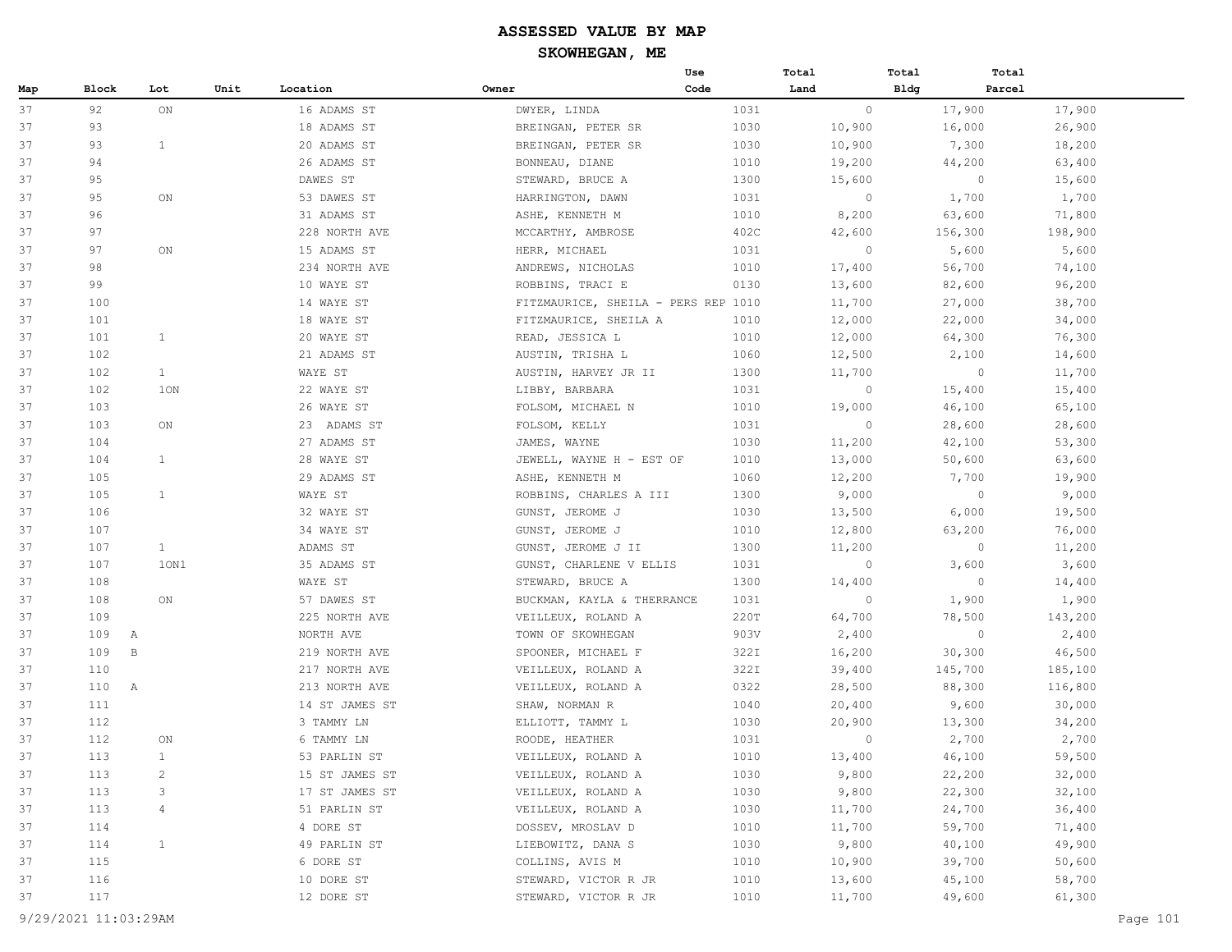|     |                       |                |      |                |                                     | Use  | Total   | Total          | Total   |
|-----|-----------------------|----------------|------|----------------|-------------------------------------|------|---------|----------------|---------|
| Map | Block                 | Lot            | Unit | Location       | Owner                               | Code | Land    | <b>Bldg</b>    | Parcel  |
| 37  | 92                    | ON             |      | 16 ADAMS ST    | DWYER, LINDA                        | 1031 | $\circ$ | 17,900         | 17,900  |
| 37  | 93                    |                |      | 18 ADAMS ST    | BREINGAN, PETER SR                  | 1030 | 10,900  | 16,000         | 26,900  |
| 37  | 93                    | 1              |      | 20 ADAMS ST    | BREINGAN, PETER SR                  | 1030 | 10,900  | 7,300          | 18,200  |
| 37  | 94                    |                |      | 26 ADAMS ST    | BONNEAU, DIANE                      | 1010 | 19,200  | 44,200         | 63,400  |
| 37  | 95                    |                |      | DAWES ST       | STEWARD, BRUCE A                    | 1300 | 15,600  | $\circ$        | 15,600  |
| 37  | 95                    | ON             |      | 53 DAWES ST    | HARRINGTON, DAWN                    | 1031 | $\circ$ | 1,700          | 1,700   |
| 37  | 96                    |                |      | 31 ADAMS ST    | ASHE, KENNETH M                     | 1010 | 8,200   | 63,600         | 71,800  |
| 37  | 97                    |                |      | 228 NORTH AVE  | MCCARTHY, AMBROSE                   | 402C | 42,600  | 156,300        | 198,900 |
| 37  | 97                    | ON             |      | 15 ADAMS ST    | HERR, MICHAEL                       | 1031 | $\circ$ | 5,600          | 5,600   |
| 37  | 98                    |                |      | 234 NORTH AVE  | ANDREWS, NICHOLAS                   | 1010 | 17,400  | 56,700         | 74,100  |
| 37  | 99                    |                |      | 10 WAYE ST     | ROBBINS, TRACI E                    | 0130 | 13,600  | 82,600         | 96,200  |
| 37  | 100                   |                |      | 14 WAYE ST     | FITZMAURICE, SHEILA - PERS REP 1010 |      | 11,700  | 27,000         | 38,700  |
| 37  | 101                   |                |      | 18 WAYE ST     | FITZMAURICE, SHEILA A               | 1010 | 12,000  | 22,000         | 34,000  |
| 37  | 101                   | $\mathbf{1}$   |      | 20 WAYE ST     | READ, JESSICA L                     | 1010 | 12,000  | 64,300         | 76,300  |
| 37  | 102                   |                |      | 21 ADAMS ST    | AUSTIN, TRISHA L                    | 1060 | 12,500  | 2,100          | 14,600  |
| 37  | 102                   | 1              |      | WAYE ST        | AUSTIN, HARVEY JR II                | 1300 | 11,700  | $\circ$        | 11,700  |
| 37  | 102                   | 1ON            |      | 22 WAYE ST     | LIBBY, BARBARA                      | 1031 | $\circ$ | 15,400         | 15,400  |
| 37  | 103                   |                |      | 26 WAYE ST     | FOLSOM, MICHAEL N                   | 1010 | 19,000  | 46,100         | 65,100  |
| 37  | 103                   | ON             |      | 23 ADAMS ST    | FOLSOM, KELLY                       | 1031 | $\circ$ | 28,600         | 28,600  |
| 37  | 104                   |                |      | 27 ADAMS ST    | JAMES, WAYNE                        | 1030 | 11,200  | 42,100         | 53,300  |
| 37  | 104                   | $\mathbf{1}$   |      | 28 WAYE ST     | JEWELL, WAYNE H - EST OF            | 1010 | 13,000  | 50,600         | 63,600  |
| 37  | 105                   |                |      | 29 ADAMS ST    | ASHE, KENNETH M                     | 1060 | 12,200  | 7,700          | 19,900  |
| 37  | 105                   | $\mathbf{1}$   |      | WAYE ST        | ROBBINS, CHARLES A III              | 1300 | 9,000   | $\overline{0}$ | 9,000   |
| 37  | 106                   |                |      | 32 WAYE ST     | GUNST, JEROME J                     | 1030 | 13,500  | 6,000          | 19,500  |
| 37  | 107                   |                |      | 34 WAYE ST     | GUNST, JEROME J                     | 1010 | 12,800  | 63,200         | 76,000  |
| 37  | 107                   | $\mathbf{1}$   |      | ADAMS ST       | GUNST, JEROME J II                  | 1300 | 11,200  | $\circ$        | 11,200  |
| 37  | 107                   | 10N1           |      | 35 ADAMS ST    | GUNST, CHARLENE V ELLIS             | 1031 | $\circ$ | 3,600          | 3,600   |
| 37  | 108                   |                |      | WAYE ST        | STEWARD, BRUCE A                    | 1300 | 14,400  | $\circ$        | 14,400  |
| 37  | 108                   | ON             |      | 57 DAWES ST    | BUCKMAN, KAYLA & THERRANCE          | 1031 | $\circ$ | 1,900          | 1,900   |
| 37  | 109                   |                |      | 225 NORTH AVE  | VEILLEUX, ROLAND A                  | 220T | 64,700  | 78,500         | 143,200 |
| 37  | 109<br>$\overline{A}$ |                |      | NORTH AVE      | TOWN OF SKOWHEGAN                   | 903V | 2,400   | $\overline{0}$ | 2,400   |
| 37  | 109                   | $\mathbf B$    |      | 219 NORTH AVE  | SPOONER, MICHAEL F                  | 322I | 16,200  | 30,300         | 46,500  |
| 37  | 110                   |                |      | 217 NORTH AVE  | VEILLEUX, ROLAND A                  | 322I | 39,400  | 145,700        | 185,100 |
| 37  | 110 A                 |                |      | 213 NORTH AVE  | VEILLEUX, ROLAND A                  | 0322 | 28,500  | 88,300         | 116,800 |
| 37  | 111                   |                |      | 14 ST JAMES ST | SHAW, NORMAN R                      | 1040 | 20,400  | 9,600          | 30,000  |
| 37  | 112                   |                |      | 3 TAMMY LN     | ELLIOTT, TAMMY L                    | 1030 | 20,900  | 13,300         | 34,200  |
| 37  | 112                   | ON             |      | 6 TAMMY LN     | ROODE, HEATHER                      | 1031 | 0       | 2,700          | 2,700   |
| 37  | 113                   | $\mathbf{1}$   |      | 53 PARLIN ST   | VEILLEUX, ROLAND A                  | 1010 | 13,400  | 46,100         | 59,500  |
| 37  | 113                   | $\overline{c}$ |      | 15 ST JAMES ST | VEILLEUX, ROLAND A                  | 1030 | 9,800   | 22,200         | 32,000  |
| 37  | 113                   | 3              |      | 17 ST JAMES ST | VEILLEUX, ROLAND A                  | 1030 | 9,800   | 22,300         | 32,100  |
| 37  | 113                   | 4              |      | 51 PARLIN ST   | VEILLEUX, ROLAND A                  | 1030 | 11,700  | 24,700         | 36,400  |
| 37  | 114                   |                |      | 4 DORE ST      | DOSSEV, MROSLAV D                   | 1010 | 11,700  | 59,700         | 71,400  |
| 37  | 114                   | $\mathbf{1}$   |      | 49 PARLIN ST   | LIEBOWITZ, DANA S                   | 1030 | 9,800   | 40,100         | 49,900  |
| 37  | 115                   |                |      | 6 DORE ST      | COLLINS, AVIS M                     | 1010 | 10,900  | 39,700         | 50,600  |
| 37  | 116                   |                |      | 10 DORE ST     | STEWARD, VICTOR R JR                | 1010 | 13,600  | 45,100         | 58,700  |
| 37  | 117                   |                |      | 12 DORE ST     | STEWARD, VICTOR R JR                | 1010 | 11,700  | 49,600         | 61,300  |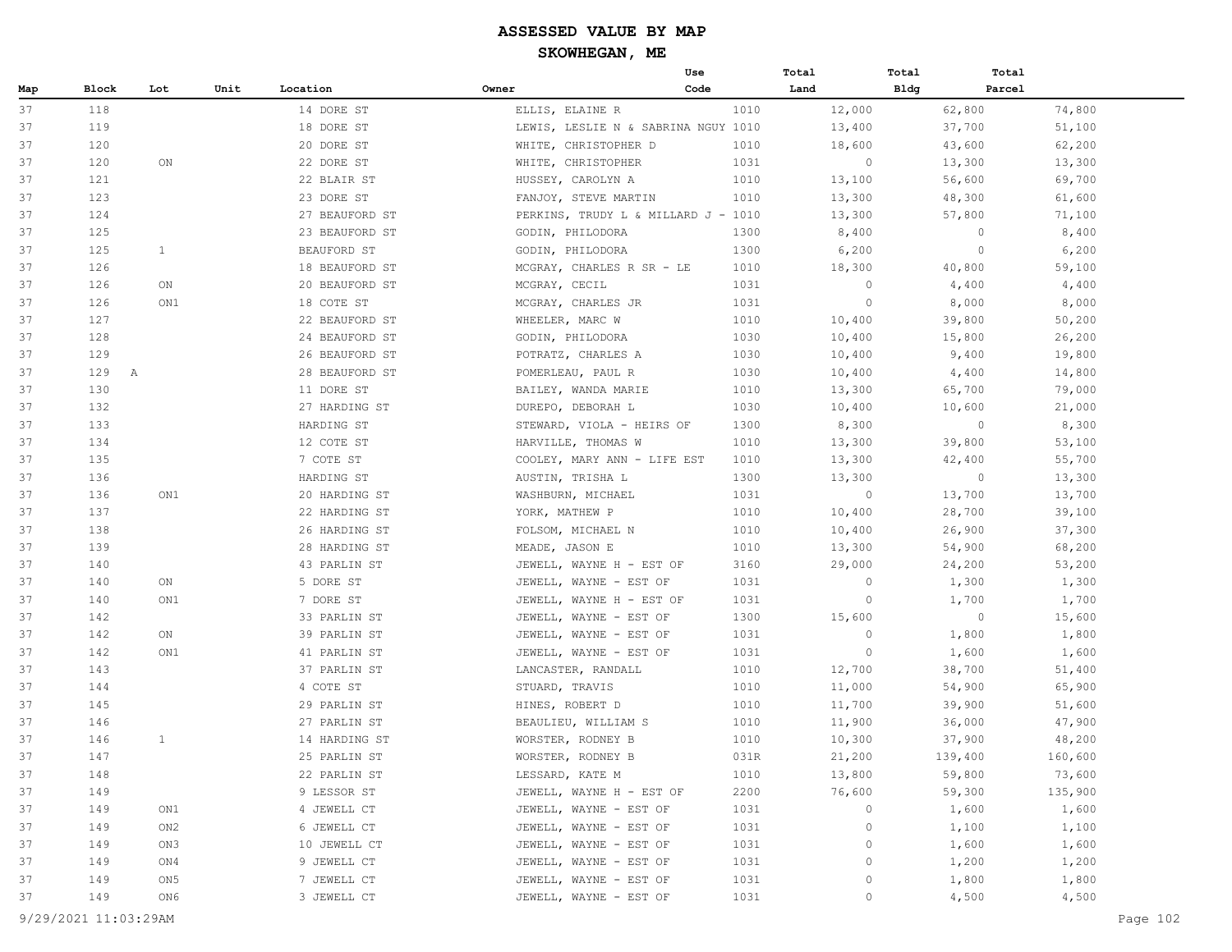### **ASSESSED VALUE BY MAP**

**SKOWHEGAN, ME**

| Block<br>Map<br>37<br>118<br>37<br>119<br>37<br>120<br>37<br>120<br>37<br>121<br>37<br>123<br>37<br>124 | Unit<br>Lot<br>ON | Location<br>14 DORE ST<br>18 DORE ST<br>20 DORE ST<br>22 DORE ST<br>22 BLAIR ST<br>23 DORE ST | Owner<br>ELLIS, ELAINE R<br>LEWIS, LESLIE N & SABRINA NGUY 1010<br>WHITE, CHRISTOPHER D<br>WHITE, CHRISTOPHER<br>HUSSEY, CAROLYN A | Code<br>1010<br>1010<br>1031 | Land<br>12,000<br>13,400<br>18,600 | Bldg<br>62,800<br>37,700 | Parcel<br>74,800<br>51,100 |
|---------------------------------------------------------------------------------------------------------|-------------------|-----------------------------------------------------------------------------------------------|------------------------------------------------------------------------------------------------------------------------------------|------------------------------|------------------------------------|--------------------------|----------------------------|
|                                                                                                         |                   |                                                                                               |                                                                                                                                    |                              |                                    |                          |                            |
|                                                                                                         |                   |                                                                                               |                                                                                                                                    |                              |                                    |                          |                            |
|                                                                                                         |                   |                                                                                               |                                                                                                                                    |                              |                                    |                          |                            |
|                                                                                                         |                   |                                                                                               |                                                                                                                                    |                              |                                    | 43,600                   | 62,200                     |
|                                                                                                         |                   |                                                                                               |                                                                                                                                    |                              | $\circ$                            | 13,300                   | 13,300                     |
|                                                                                                         |                   |                                                                                               |                                                                                                                                    | 1010                         | 13,100                             | 56,600                   | 69,700                     |
|                                                                                                         |                   |                                                                                               | FANJOY, STEVE MARTIN                                                                                                               | 1010                         | 13,300                             | 48,300                   | 61,600                     |
|                                                                                                         |                   | 27 BEAUFORD ST                                                                                | PERKINS, TRUDY L & MILLARD J - 1010                                                                                                |                              | 13,300                             | 57,800                   | 71,100                     |
| 37<br>125                                                                                               |                   | 23 BEAUFORD ST                                                                                | GODIN, PHILODORA                                                                                                                   | 1300                         | 8,400                              | $\circ$                  | 8,400                      |
| 37<br>125                                                                                               | 1                 | BEAUFORD ST                                                                                   | GODIN, PHILODORA                                                                                                                   | 1300                         | 6,200                              | $\circ$                  | 6,200                      |
| 37<br>126                                                                                               |                   | 18 BEAUFORD ST                                                                                | MCGRAY, CHARLES R SR - LE                                                                                                          | 1010                         | 18,300                             | 40,800                   | 59,100                     |
| 37<br>126                                                                                               | ON                | 20 BEAUFORD ST                                                                                | MCGRAY, CECIL                                                                                                                      | 1031                         | $\circ$                            | 4,400                    | 4,400                      |
| 37<br>126                                                                                               | ON1               | 18 COTE ST                                                                                    | MCGRAY, CHARLES JR                                                                                                                 | 1031                         | $\circ$                            | 8,000                    | 8,000                      |
| 127<br>37                                                                                               |                   | 22 BEAUFORD ST                                                                                | WHEELER, MARC W                                                                                                                    | 1010                         | 10,400                             | 39,800                   | 50,200                     |
| 37<br>128                                                                                               |                   | 24 BEAUFORD ST                                                                                | GODIN, PHILODORA                                                                                                                   | 1030                         | 10,400                             | 15,800                   | 26,200                     |
| 37<br>129                                                                                               |                   | 26 BEAUFORD ST                                                                                | POTRATZ, CHARLES A                                                                                                                 | 1030                         | 10,400                             | 9,400                    | 19,800                     |
| 37<br>129 A                                                                                             |                   | 28 BEAUFORD ST                                                                                | POMERLEAU, PAUL R                                                                                                                  | 1030                         | 10,400                             | 4,400                    | 14,800                     |
| 37<br>130                                                                                               |                   | 11 DORE ST                                                                                    | BAILEY, WANDA MARIE                                                                                                                | 1010                         | 13,300                             | 65,700                   | 79,000                     |
| 37<br>132                                                                                               |                   | 27 HARDING ST                                                                                 | DUREPO, DEBORAH L                                                                                                                  | 1030                         | 10,400                             | 10,600                   | 21,000                     |
| 37<br>133                                                                                               |                   | HARDING ST                                                                                    | STEWARD, VIOLA - HEIRS OF                                                                                                          | 1300                         | 8,300                              | $\circ$                  | 8,300                      |
| 37<br>134                                                                                               |                   | 12 COTE ST                                                                                    | HARVILLE, THOMAS W                                                                                                                 | 1010                         | 13,300                             | 39,800                   | 53,100                     |
| 37<br>135                                                                                               |                   | 7 COTE ST                                                                                     | COOLEY, MARY ANN - LIFE EST                                                                                                        | 1010                         | 13,300                             | 42,400                   | 55,700                     |
| 37<br>136                                                                                               |                   | HARDING ST                                                                                    | AUSTIN, TRISHA L                                                                                                                   | 1300                         | 13,300                             | $\circ$                  | 13,300                     |
| 37<br>136                                                                                               | ON1               | 20 HARDING ST                                                                                 | WASHBURN, MICHAEL                                                                                                                  | 1031                         | $\circ$                            | 13,700                   | 13,700                     |
| 37<br>137                                                                                               |                   | 22 HARDING ST                                                                                 | YORK, MATHEW P                                                                                                                     | 1010                         | 10,400                             | 28,700                   | 39,100                     |
| 37<br>138                                                                                               |                   | 26 HARDING ST                                                                                 | FOLSOM, MICHAEL N                                                                                                                  | 1010                         | 10,400                             | 26,900                   | 37,300                     |
| 37<br>139                                                                                               |                   | 28 HARDING ST                                                                                 | MEADE, JASON E                                                                                                                     | 1010                         | 13,300                             | 54,900                   | 68,200                     |
| 37<br>140                                                                                               |                   | 43 PARLIN ST                                                                                  | JEWELL, WAYNE H - EST OF                                                                                                           | 3160                         | 29,000                             | 24,200                   | 53,200                     |
| 37<br>140                                                                                               | ON                | 5 DORE ST                                                                                     | JEWELL, WAYNE - EST OF                                                                                                             | 1031                         | $\circ$                            | 1,300                    | 1,300                      |
| 37<br>140                                                                                               | ON1               | 7 DORE ST                                                                                     | JEWELL, WAYNE H - EST OF                                                                                                           | 1031                         | $\circ$                            | 1,700                    | 1,700                      |
| 37<br>142                                                                                               |                   | 33 PARLIN ST                                                                                  | JEWELL, WAYNE - EST OF                                                                                                             | 1300                         | 15,600                             | $\circ$                  | 15,600                     |
| 37<br>142                                                                                               | ON                | 39 PARLIN ST                                                                                  | JEWELL, WAYNE - EST OF                                                                                                             | 1031                         | $\circ$                            | 1,800                    | 1,800                      |
| 37<br>142                                                                                               | ON1               | 41 PARLIN ST                                                                                  | JEWELL, WAYNE - EST OF                                                                                                             | 1031                         | $\circ$                            | 1,600                    | 1,600                      |
| 37<br>143                                                                                               |                   | 37 PARLIN ST                                                                                  | LANCASTER, RANDALL                                                                                                                 | 1010                         | 12,700                             | 38,700                   | 51,400                     |
| 37<br>144                                                                                               |                   | 4 COTE ST                                                                                     | STUARD, TRAVIS                                                                                                                     | 1010                         | 11,000                             | 54,900                   | 65,900                     |
| 37<br>145                                                                                               |                   | 29 PARLIN ST                                                                                  | HINES, ROBERT D                                                                                                                    | 1010                         | 11,700                             | 39,900                   | 51,600                     |
| 37<br>146                                                                                               |                   | 27 PARLIN ST                                                                                  | BEAULIEU, WILLIAM S                                                                                                                | 1010                         | 11,900                             | 36,000                   | 47,900                     |
| 146<br>37                                                                                               | 1                 | 14 HARDING ST                                                                                 | WORSTER, RODNEY B                                                                                                                  | 1010                         | 10,300                             | 37,900                   | 48,200                     |
| 147<br>37                                                                                               |                   | 25 PARLIN ST                                                                                  | WORSTER, RODNEY B                                                                                                                  | 031R                         | 21,200                             | 139,400                  | 160,600                    |
| 37<br>148                                                                                               |                   | 22 PARLIN ST                                                                                  | LESSARD, KATE M                                                                                                                    | 1010                         | 13,800                             | 59,800                   | 73,600                     |
| 149<br>37                                                                                               |                   | 9 LESSOR ST                                                                                   | JEWELL, WAYNE H - EST OF                                                                                                           | 2200                         | 76,600                             | 59,300                   | 135,900                    |
| 37<br>149                                                                                               | ON1               | 4 JEWELL CT                                                                                   | JEWELL, WAYNE - EST OF                                                                                                             | 1031                         | $\circ$                            | 1,600                    | 1,600                      |
| 37<br>149                                                                                               | ON2               | 6 JEWELL CT                                                                                   | JEWELL, WAYNE - EST OF                                                                                                             | 1031                         | 0                                  | 1,100                    | 1,100                      |
| 37<br>149                                                                                               | ON3               | 10 JEWELL CT                                                                                  | JEWELL, WAYNE - EST OF                                                                                                             | 1031                         | 0                                  | 1,600                    | 1,600                      |
| 149<br>37                                                                                               | ON4               | 9 JEWELL CT                                                                                   | JEWELL, WAYNE - EST OF                                                                                                             | 1031                         | 0                                  | 1,200                    | 1,200                      |
| 149<br>37                                                                                               | ON 5              | 7 JEWELL CT                                                                                   | JEWELL, WAYNE - EST OF                                                                                                             | 1031                         | 0                                  | 1,800                    | 1,800                      |
| 37<br>149                                                                                               | ON6               | 3 JEWELL CT                                                                                   | JEWELL, WAYNE - EST OF                                                                                                             | 1031                         | $\circ$                            | 4,500                    | 4,500                      |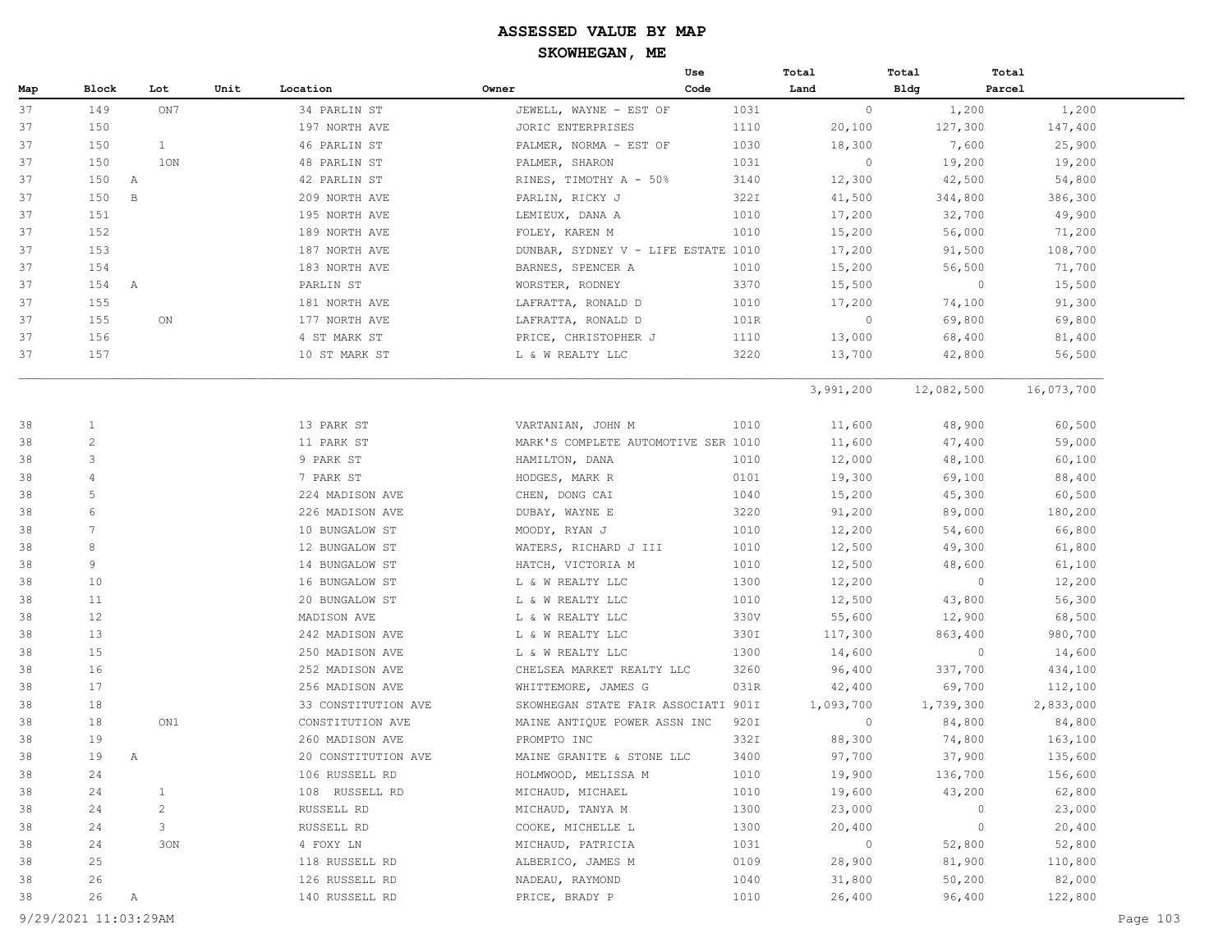|     |                 |                |      |                     |                                     | Use  | Total     | Total       | Total      |
|-----|-----------------|----------------|------|---------------------|-------------------------------------|------|-----------|-------------|------------|
| Map | Block           | Lot            | Unit | Location            | Owner                               | Code | Land      | <b>Bldg</b> | Parcel     |
| 37  | 149             | ON7            |      | 34 PARLIN ST        | JEWELL, WAYNE - EST OF              | 1031 | $\circ$   | 1,200       | 1,200      |
| 37  | 150             |                |      | 197 NORTH AVE       | JORIC ENTERPRISES                   | 1110 | 20,100    | 127,300     | 147,400    |
| 37  | 150             | $\mathbf{1}$   |      | 46 PARLIN ST        | PALMER, NORMA - EST OF              | 1030 | 18,300    | 7,600       | 25,900     |
| 37  | 150             | 10N            |      | 48 PARLIN ST        | PALMER, SHARON                      | 1031 | $\circ$   | 19,200      | 19,200     |
| 37  | 150             | A              |      | 42 PARLIN ST        | RINES, TIMOTHY A - 50%              | 3140 | 12,300    | 42,500      | 54,800     |
| 37  | 150             | $\,$ B         |      | 209 NORTH AVE       | PARLIN, RICKY J                     | 322I | 41,500    | 344,800     | 386,300    |
| 37  | 151             |                |      | 195 NORTH AVE       | LEMIEUX, DANA A                     | 1010 | 17,200    | 32,700      | 49,900     |
| 37  | 152             |                |      | 189 NORTH AVE       | FOLEY, KAREN M                      | 1010 | 15,200    | 56,000      | 71,200     |
| 37  | 153             |                |      | 187 NORTH AVE       | DUNBAR, SYDNEY V - LIFE ESTATE 1010 |      | 17,200    | 91,500      | 108,700    |
| 37  | 154             |                |      | 183 NORTH AVE       | BARNES, SPENCER A                   | 1010 | 15,200    | 56,500      | 71,700     |
| 37  | 154 A           |                |      | PARLIN ST           | WORSTER, RODNEY                     | 3370 | 15,500    | $\circ$     | 15,500     |
| 37  | 155             |                |      | 181 NORTH AVE       | LAFRATTA, RONALD D                  | 1010 | 17,200    | 74,100      | 91,300     |
| 37  | 155             | ON             |      | 177 NORTH AVE       | LAFRATTA, RONALD D                  | 101R | $\circ$   | 69,800      | 69,800     |
| 37  | 156             |                |      | 4 ST MARK ST        | PRICE, CHRISTOPHER J                | 1110 | 13,000    | 68,400      | 81,400     |
| 37  | 157             |                |      | 10 ST MARK ST       | L & W REALTY LLC                    | 3220 | 13,700    | 42,800      | 56,500     |
|     |                 |                |      |                     |                                     |      | 3,991,200 | 12,082,500  | 16,073,700 |
| 38  | $\mathbf{1}$    |                |      | 13 PARK ST          | VARTANIAN, JOHN M                   | 1010 | 11,600    | 48,900      | 60,500     |
| 38  | $\overline{c}$  |                |      | 11 PARK ST          | MARK'S COMPLETE AUTOMOTIVE SER 1010 |      | 11,600    | 47,400      | 59,000     |
| 38  | 3               |                |      | 9 PARK ST           | HAMILTON, DANA                      | 1010 | 12,000    | 48,100      | 60,100     |
| 38  | $\overline{4}$  |                |      | 7 PARK ST           | HODGES, MARK R                      | 0101 | 19,300    | 69,100      | 88,400     |
| 38  | $\mathsf S$     |                |      | 224 MADISON AVE     | CHEN, DONG CAI                      | 1040 | 15,200    | 45,300      | 60,500     |
| 38  | 6               |                |      | 226 MADISON AVE     | DUBAY, WAYNE E                      | 3220 | 91,200    | 89,000      | 180,200    |
| 38  | $7\phantom{.0}$ |                |      | 10 BUNGALOW ST      | MOODY, RYAN J                       | 1010 | 12,200    | 54,600      | 66,800     |
| 38  | 8               |                |      | 12 BUNGALOW ST      | WATERS, RICHARD J III               | 1010 | 12,500    | 49,300      | 61,800     |
| 38  | 9               |                |      | 14 BUNGALOW ST      | HATCH, VICTORIA M                   | 1010 | 12,500    | 48,600      | 61,100     |
| 38  | 10              |                |      | 16 BUNGALOW ST      | L & W REALTY LLC                    | 1300 | 12,200    | $\circ$     | 12,200     |
| 38  | 11              |                |      | 20 BUNGALOW ST      | L & W REALTY LLC                    | 1010 | 12,500    | 43,800      | 56,300     |
| 38  | 12              |                |      | MADISON AVE         | L & W REALTY LLC                    | 330V | 55,600    | 12,900      | 68,500     |
| 38  | 13              |                |      | 242 MADISON AVE     | L & W REALTY LLC                    | 330I | 117,300   | 863,400     | 980,700    |
| 38  | 15              |                |      | 250 MADISON AVE     | L & W REALTY LLC                    | 1300 | 14,600    | $\circ$     | 14,600     |
| 38  | 16              |                |      | 252 MADISON AVE     | CHELSEA MARKET REALTY LLC           | 3260 | 96,400    | 337,700     | 434,100    |
| 38  | 17              |                |      | 256 MADISON AVE     | WHITTEMORE, JAMES G                 | 031R | 42,400    | 69,700      | 112,100    |
| 38  | 18              |                |      | 33 CONSTITUTION AVE | SKOWHEGAN STATE FAIR ASSOCIATI 901I |      | 1,093,700 | 1,739,300   | 2,833,000  |
| 38  | 18              | ON1            |      | CONSTITUTION AVE    | MAINE ANTIQUE POWER ASSN INC        | 920I | $\circ$   | 84,800      | 84,800     |
| 38  | 19              |                |      | 260 MADISON AVE     | PROMPTO INC                         | 332I | 88,300    | 74,800      | 163,100    |
| 38  | 19              | Α              |      | 20 CONSTITUTION AVE | MAINE GRANITE & STONE LLC           | 3400 | 97,700    | 37,900      | 135,600    |
| 38  | 24              |                |      | 106 RUSSELL RD      | HOLMWOOD, MELISSA M                 | 1010 | 19,900    | 136,700     | 156,600    |
| 38  | 24              | $\mathbf{1}$   |      | 108 RUSSELL RD      | MICHAUD, MICHAEL                    | 1010 | 19,600    | 43,200      | 62,800     |
| 38  | 24              | $\overline{c}$ |      | RUSSELL RD          | MICHAUD, TANYA M                    | 1300 | 23,000    | $\circ$     | 23,000     |
| 38  | 24              | 3              |      | RUSSELL RD          | COOKE, MICHELLE L                   | 1300 | 20,400    | $\circ$     | 20,400     |
| 38  | 24              | 30N            |      | 4 FOXY LN           | MICHAUD, PATRICIA                   | 1031 | $\circ$   | 52,800      | 52,800     |
| 38  | 25              |                |      | 118 RUSSELL RD      | ALBERICO, JAMES M                   | 0109 | 28,900    | 81,900      | 110,800    |
| 38  | 26              |                |      | 126 RUSSELL RD      | NADEAU, RAYMOND                     | 1040 | 31,800    | 50,200      | 82,000     |
| 38  | 26              | Α              |      | 140 RUSSELL RD      | PRICE, BRADY P                      | 1010 | 26,400    | 96,400      | 122,800    |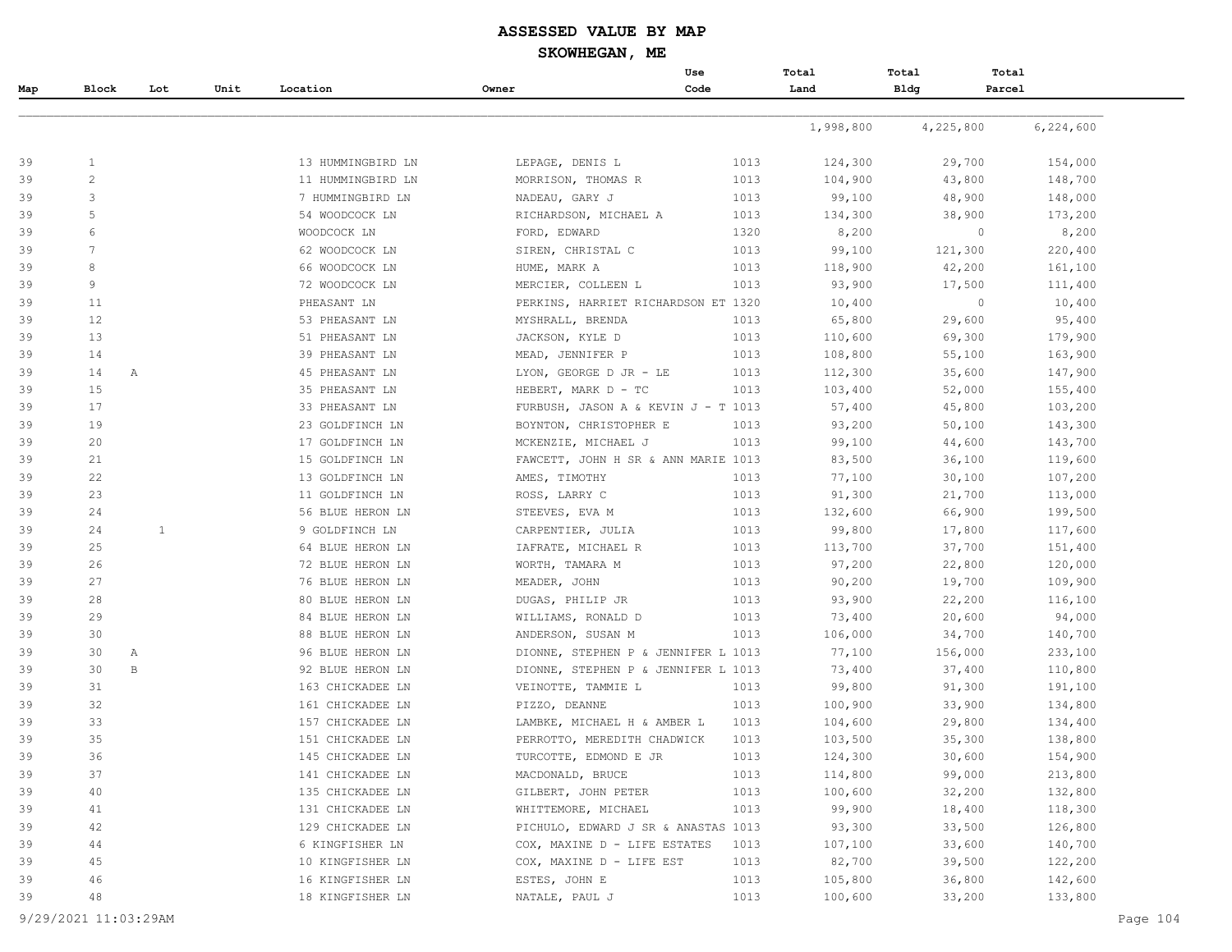#### **ASSESSED VALUE BY MAP**

#### **SKOWHEGAN, ME**

|          |                |              |      |                   |                                     | Use  | Total     | Total       | Total                  |
|----------|----------------|--------------|------|-------------------|-------------------------------------|------|-----------|-------------|------------------------|
| Map      | Block          | Lot          | Unit | Location          | Owner                               | Code | Land      | <b>Bldg</b> | Parcel                 |
|          |                |              |      |                   |                                     |      |           |             |                        |
|          |                |              |      |                   |                                     |      | 1,998,800 | 4,225,800   | 6,224,600              |
| 39       | 1              |              |      | 13 HUMMINGBIRD LN | LEPAGE, DENIS L                     | 1013 | 124,300   | 29,700      | 154,000                |
| 39       | $\overline{c}$ |              |      | 11 HUMMINGBIRD LN | MORRISON, THOMAS R                  | 1013 | 104,900   | 43,800      | 148,700                |
| 39       | 3              |              |      | 7 HUMMINGBIRD LN  | NADEAU, GARY J                      | 1013 | 99,100    | 48,900      | 148,000                |
| 39       | 5              |              |      | 54 WOODCOCK LN    | RICHARDSON, MICHAEL A               | 1013 | 134,300   | 38,900      | 173,200                |
| 39       | 6              |              |      | WOODCOCK LN       | FORD, EDWARD                        | 1320 | 8,200     |             | $\circ$<br>8,200       |
| 39       | 7              |              |      | 62 WOODCOCK LN    | SIREN, CHRISTAL C                   | 1013 | 99,100    | 121,300     | 220,400                |
| 39       | 8              |              |      | 66 WOODCOCK LN    | HUME, MARK A                        | 1013 | 118,900   | 42,200      | 161,100                |
| 39       | 9              |              |      | 72 WOODCOCK LN    | MERCIER, COLLEEN L                  | 1013 | 93,900    | 17,500      | 111,400                |
| 39       | 11             |              |      | PHEASANT LN       | PERKINS, HARRIET RICHARDSON ET 1320 |      | 10,400    |             | $\mathbf{0}$<br>10,400 |
| 39       | 12             |              |      | 53 PHEASANT LN    | MYSHRALL, BRENDA                    | 1013 | 65,800    | 29,600      | 95,400                 |
| 39       | 13             |              |      | 51 PHEASANT LN    | JACKSON, KYLE D                     | 1013 | 110,600   | 69,300      | 179,900                |
| 39       | 14             |              |      | 39 PHEASANT LN    | MEAD, JENNIFER P                    | 1013 | 108,800   | 55,100      | 163,900                |
| 39       | 14             | $\mathbb{A}$ |      | 45 PHEASANT LN    | LYON, GEORGE D JR - LE              | 1013 | 112,300   | 35,600      | 147,900                |
| 39       | 15             |              |      | 35 PHEASANT LN    | HEBERT, MARK D - TC                 | 1013 | 103,400   | 52,000      | 155,400                |
| 39       | 17             |              |      | 33 PHEASANT LN    | FURBUSH, JASON A & KEVIN J - T 1013 |      | 57,400    | 45,800      | 103,200                |
| 39       | 19             |              |      | 23 GOLDFINCH LN   | BOYNTON, CHRISTOPHER E              | 1013 | 93,200    | 50,100      | 143,300                |
|          | 20             |              |      | 17 GOLDFINCH LN   | MCKENZIE, MICHAEL J                 | 1013 | 99,100    | 44,600      | 143,700                |
|          | 21             |              |      | 15 GOLDFINCH LN   | FAWCETT, JOHN H SR & ANN MARIE 1013 |      | 83,500    | 36,100      | 119,600                |
|          | 22             |              |      | 13 GOLDFINCH LN   | AMES, TIMOTHY                       | 1013 | 77,100    | 30,100      | 107,200                |
|          | 23             |              |      | 11 GOLDFINCH LN   | ROSS, LARRY C                       | 1013 | 91,300    | 21,700      | 113,000                |
|          | 24             |              |      | 56 BLUE HERON LN  | STEEVES, EVA M                      | 1013 | 132,600   | 66,900      | 199,500                |
|          | 24             | $\mathbf{1}$ |      | 9 GOLDFINCH LN    | CARPENTIER, JULIA                   | 1013 | 99,800    | 17,800      | 117,600                |
|          | 25             |              |      | 64 BLUE HERON LN  | IAFRATE, MICHAEL R                  | 1013 | 113,700   | 37,700      | 151,400                |
|          | 26             |              |      | 72 BLUE HERON LN  | WORTH, TAMARA M                     | 1013 | 97,200    | 22,800      | 120,000                |
|          | 27             |              |      | 76 BLUE HERON LN  | MEADER, JOHN                        | 1013 | 90,200    | 19,700      | 109,900                |
|          | 28             |              |      | 80 BLUE HERON LN  | DUGAS, PHILIP JR                    | 1013 | 93,900    | 22,200      | 116,100                |
|          | 29             |              |      | 84 BLUE HERON LN  | WILLIAMS, RONALD D                  | 1013 | 73,400    | 20,600      | 94,000                 |
| 39       | 30             |              |      | 88 BLUE HERON LN  | ANDERSON, SUSAN M                   | 1013 | 106,000   | 34,700      | 140,700                |
|          | 30             | $\mathbb{A}$ |      | 96 BLUE HERON LN  | DIONNE, STEPHEN P & JENNIFER L 1013 |      | 77,100    | 156,000     | 233,100                |
|          | 30             | $\, {\bf B}$ |      | 92 BLUE HERON LN  | DIONNE, STEPHEN P & JENNIFER L 1013 |      | 73,400    | 37,400      | 110,800                |
|          | 31             |              |      | 163 CHICKADEE LN  | VEINOTTE, TAMMIE L                  | 1013 | 99,800    | 91,300      | 191,100                |
|          | 32             |              |      | 161 CHICKADEE LN  | PIZZO, DEANNE                       | 1013 | 100,900   | 33,900      | 134,800                |
|          | 33             |              |      | 157 CHICKADEE LN  | LAMBKE, MICHAEL H & AMBER L         | 1013 | 104,600   | 29,800      | 134,400                |
|          | 35             |              |      | 151 CHICKADEE LN  | PERROTTO, MEREDITH CHADWICK         | 1013 | 103,500   | 35,300      | 138,800                |
|          | 36             |              |      | 145 CHICKADEE LN  | TURCOTTE, EDMOND E JR               | 1013 | 124,300   | 30,600      | 154,900                |
|          | 37             |              |      | 141 CHICKADEE LN  | MACDONALD, BRUCE                    | 1013 | 114,800   | 99,000      | 213,800                |
|          | 40             |              |      | 135 CHICKADEE LN  | GILBERT, JOHN PETER                 | 1013 | 100,600   | 32,200      | 132,800                |
|          | 41             |              |      | 131 CHICKADEE LN  | WHITTEMORE, MICHAEL                 | 1013 | 99,900    | 18,400      | 118,300                |
| 39       | 42             |              |      | 129 CHICKADEE LN  | PICHULO, EDWARD J SR & ANASTAS 1013 |      | 93,300    | 33,500      | 126,800                |
| 39<br>39 | 44             |              |      | 6 KINGFISHER LN   | COX, MAXINE D - LIFE ESTATES        | 1013 | 107,100   | 33,600      | 140,700                |
| 39       | 45             |              |      | 10 KINGFISHER LN  | COX, MAXINE D - LIFE EST            | 1013 | 82,700    | 39,500      | 122,200                |
| 39       | 46             |              |      | 16 KINGFISHER LN  | ESTES, JOHN E                       | 1013 | 105,800   | 36,800      | 142,600                |
|          | 48             |              |      | 18 KINGFISHER LN  | NATALE, PAUL J                      | 1013 | 100,600   | 33,200      | 133,800                |
| 39       |                |              |      |                   |                                     |      |           |             |                        |